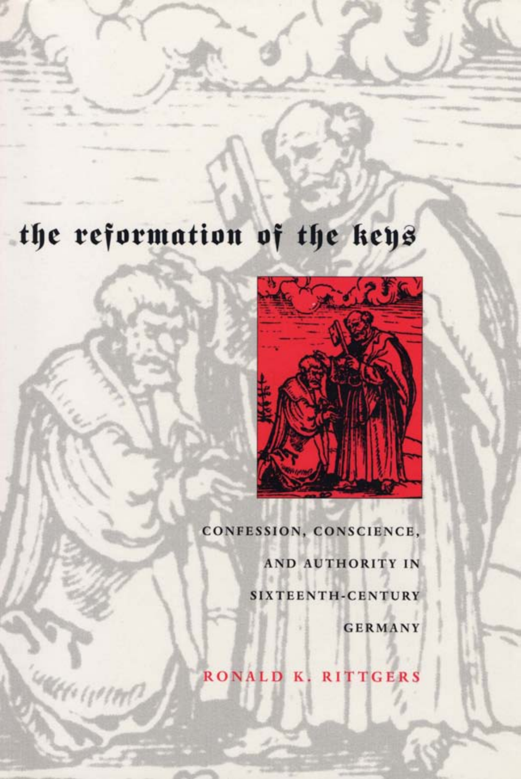# the reformation of the keys

**SALE COLORED** 



CONFESSION, CONSCIENCE, **AND AUTHORITY IN** 

**SIXTEENTH-CENTURY** 

**GERMANY** 

RONALD K. RITTGERS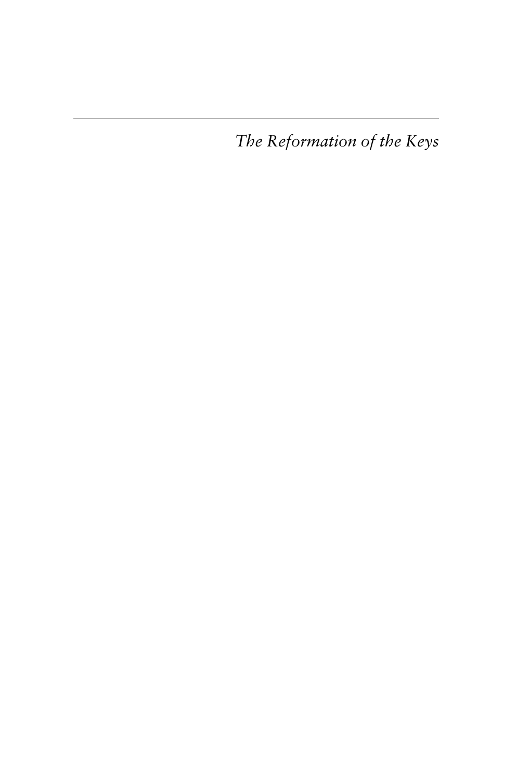*The Reformation of the Keys*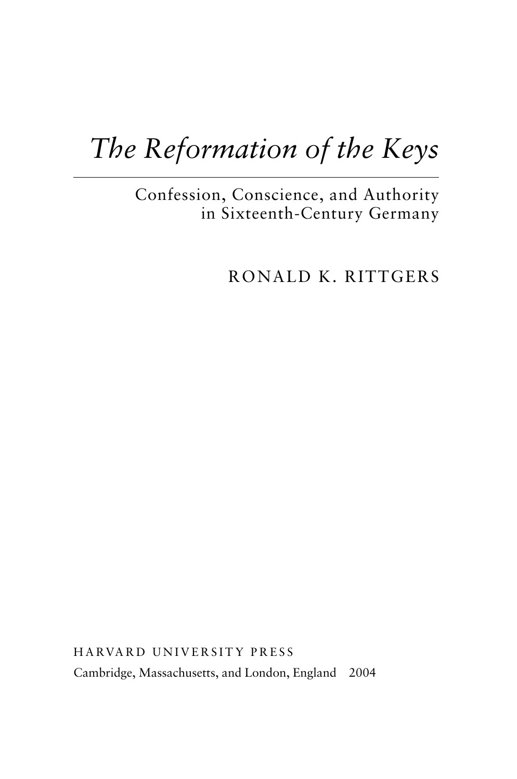## *The Reformation of the Keys*

Confession, Conscience, and Authority in Sixteenth-Century Germany

RONALD K. RITTGERS

HARVARD UNIVERSITY PRESS Cambridge, Massachusetts, and London, England 2004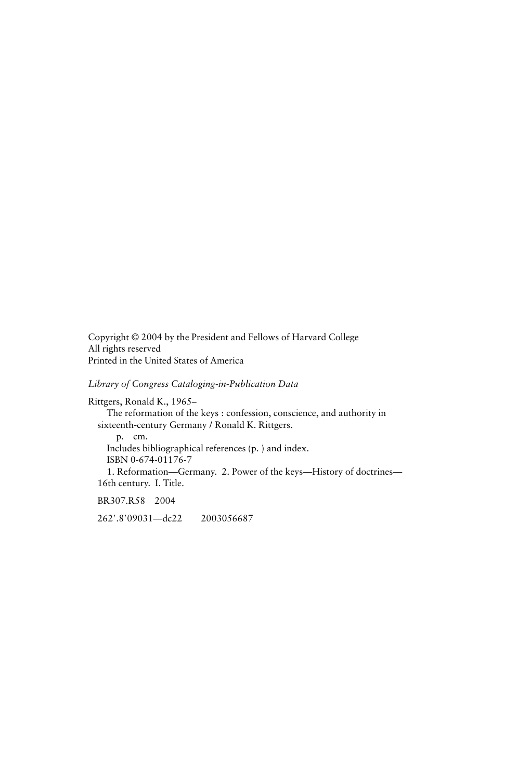Copyright © 2004 by the President and Fellows of Harvard College All rights reserved Printed in the United States of America

#### *Library of Congress Cataloging-in-Publication Data*

Rittgers, Ronald K., 1965– The reformation of the keys : confession, conscience, and authority in sixteenth-century Germany / Ronald K. Rittgers. p. cm. Includes bibliographical references (p. ) and index. ISBN 0-674-01176-7 1. Reformation—Germany. 2. Power of the keys—History of doctrines— 16th century. I. Title. BR307.R58 2004

262′.8′09031—dc22 2003056687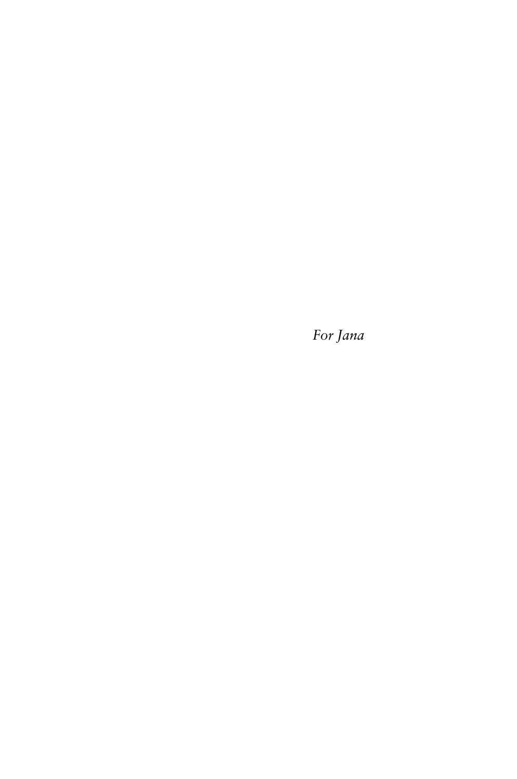For Jana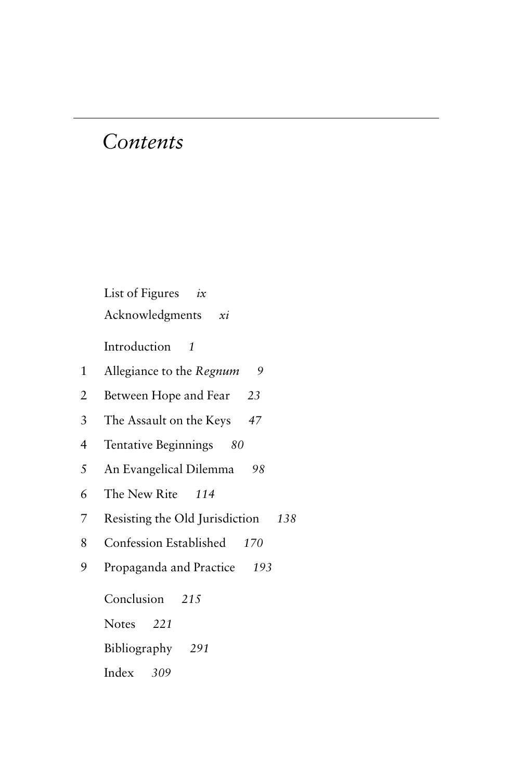### *Contents*

|                | List of Figures $ix$                  |
|----------------|---------------------------------------|
|                | Acknowledgments xi                    |
|                | Introduction 1                        |
| 1              | Allegiance to the Regnum<br>9         |
| $\overline{2}$ | Between Hope and Fear<br>23           |
| 3              | The Assault on the Keys<br>47         |
| $\overline{4}$ | Tentative Beginnings 80               |
| 5              | An Evangelical Dilemma<br>98          |
| 6              | The New Rite<br>114                   |
| 7              | Resisting the Old Jurisdiction<br>138 |
| 8              | Confession Established<br>170         |
| 9              | Propaganda and Practice 193           |
|                | Conclusion 215                        |
|                | Notes 221                             |
|                | Bibliography 291                      |
|                | Index<br>309                          |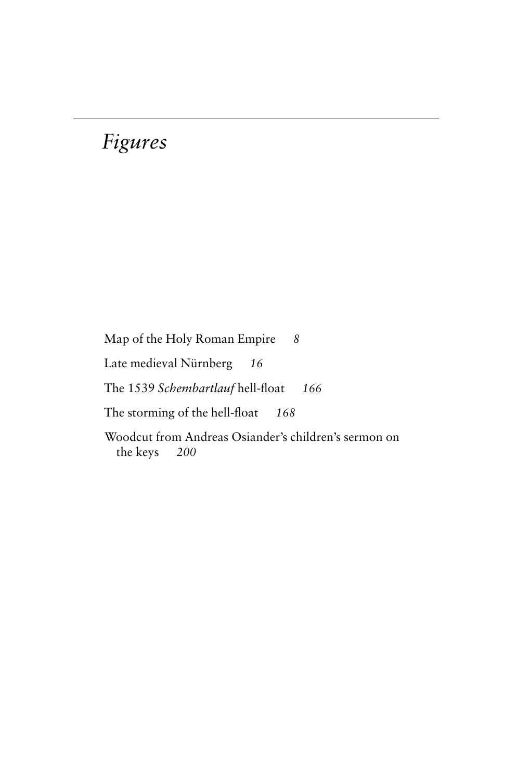### *Figures*

Map of the Holy Roman Empire *8* Late medieval Nürnberg *16* The 1539 *Schembartlauf* hell-float *166* The storming of the hell-float *168* Woodcut from Andreas Osiander's children's sermon on the keys *200*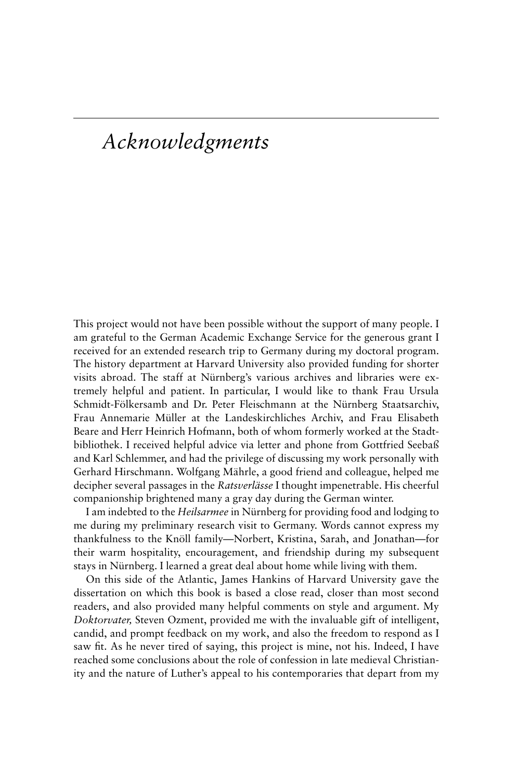### *Acknowledgments*

This project would not have been possible without the support of many people. I am grateful to the German Academic Exchange Service for the generous grant I received for an extended research trip to Germany during my doctoral program. The history department at Harvard University also provided funding for shorter visits abroad. The staff at Nürnberg's various archives and libraries were extremely helpful and patient. In particular, I would like to thank Frau Ursula Schmidt-Fölkersamb and Dr. Peter Fleischmann at the Nürnberg Staatsarchiv, Frau Annemarie Müller at the Landeskirchliches Archiv, and Frau Elisabeth Beare and Herr Heinrich Hofmann, both of whom formerly worked at the Stadtbibliothek. I received helpful advice via letter and phone from Gottfried Seebaß and Karl Schlemmer, and had the privilege of discussing my work personally with Gerhard Hirschmann. Wolfgang Mährle, a good friend and colleague, helped me decipher several passages in the *Ratsverlässe* I thought impenetrable. His cheerful companionship brightened many a gray day during the German winter.

I am indebted to the *Heilsarmee* in Nürnberg for providing food and lodging to me during my preliminary research visit to Germany. Words cannot express my thankfulness to the Knöll family—Norbert, Kristina, Sarah, and Jonathan—for their warm hospitality, encouragement, and friendship during my subsequent stays in Nürnberg. I learned a great deal about home while living with them.

On this side of the Atlantic, James Hankins of Harvard University gave the dissertation on which this book is based a close read, closer than most second readers, and also provided many helpful comments on style and argument. My *Doktorvater,* Steven Ozment, provided me with the invaluable gift of intelligent, candid, and prompt feedback on my work, and also the freedom to respond as I saw fit. As he never tired of saying, this project is mine, not his. Indeed, I have reached some conclusions about the role of confession in late medieval Christianity and the nature of Luther's appeal to his contemporaries that depart from my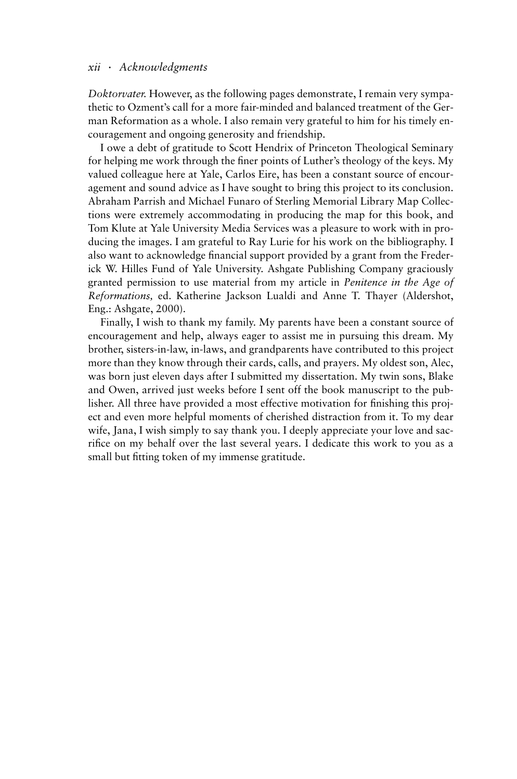#### *xii • Acknowledgments*

*Doktorvater.* However, as the following pages demonstrate, I remain very sympathetic to Ozment's call for a more fair-minded and balanced treatment of the German Reformation as a whole. I also remain very grateful to him for his timely encouragement and ongoing generosity and friendship.

I owe a debt of gratitude to Scott Hendrix of Princeton Theological Seminary for helping me work through the finer points of Luther's theology of the keys. My valued colleague here at Yale, Carlos Eire, has been a constant source of encouragement and sound advice as I have sought to bring this project to its conclusion. Abraham Parrish and Michael Funaro of Sterling Memorial Library Map Collections were extremely accommodating in producing the map for this book, and Tom Klute at Yale University Media Services was a pleasure to work with in producing the images. I am grateful to Ray Lurie for his work on the bibliography. I also want to acknowledge financial support provided by a grant from the Frederick W. Hilles Fund of Yale University. Ashgate Publishing Company graciously granted permission to use material from my article in *Penitence in the Age of Reformations,* ed. Katherine Jackson Lualdi and Anne T. Thayer (Aldershot, Eng.: Ashgate, 2000).

Finally, I wish to thank my family. My parents have been a constant source of encouragement and help, always eager to assist me in pursuing this dream. My brother, sisters-in-law, in-laws, and grandparents have contributed to this project more than they know through their cards, calls, and prayers. My oldest son, Alec, was born just eleven days after I submitted my dissertation. My twin sons, Blake and Owen, arrived just weeks before I sent off the book manuscript to the publisher. All three have provided a most effective motivation for finishing this project and even more helpful moments of cherished distraction from it. To my dear wife, Jana, I wish simply to say thank you. I deeply appreciate your love and sacrifice on my behalf over the last several years. I dedicate this work to you as a small but fitting token of my immense gratitude.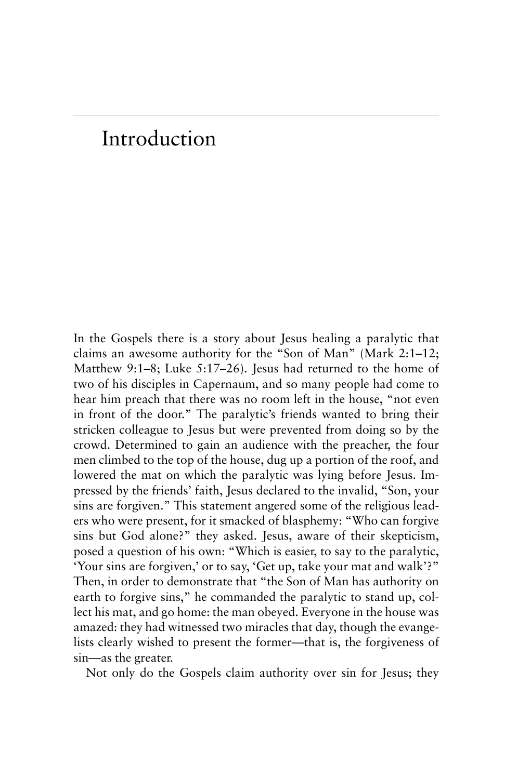### Introduction

In the Gospels there is a story about Jesus healing a paralytic that claims an awesome authority for the "Son of Man" (Mark 2:1–12; Matthew 9:1–8; Luke 5:17–26). Jesus had returned to the home of two of his disciples in Capernaum, and so many people had come to hear him preach that there was no room left in the house, "not even in front of the door." The paralytic's friends wanted to bring their stricken colleague to Jesus but were prevented from doing so by the crowd. Determined to gain an audience with the preacher, the four men climbed to the top of the house, dug up a portion of the roof, and lowered the mat on which the paralytic was lying before Jesus. Impressed by the friends' faith, Jesus declared to the invalid, "Son, your sins are forgiven." This statement angered some of the religious leaders who were present, for it smacked of blasphemy: "Who can forgive sins but God alone?" they asked. Jesus, aware of their skepticism, posed a question of his own: "Which is easier, to say to the paralytic, 'Your sins are forgiven,' or to say, 'Get up, take your mat and walk'?" Then, in order to demonstrate that "the Son of Man has authority on earth to forgive sins," he commanded the paralytic to stand up, collect his mat, and go home: the man obeyed. Everyone in the house was amazed: they had witnessed two miracles that day, though the evangelists clearly wished to present the former—that is, the forgiveness of sin—as the greater.

Not only do the Gospels claim authority over sin for Jesus; they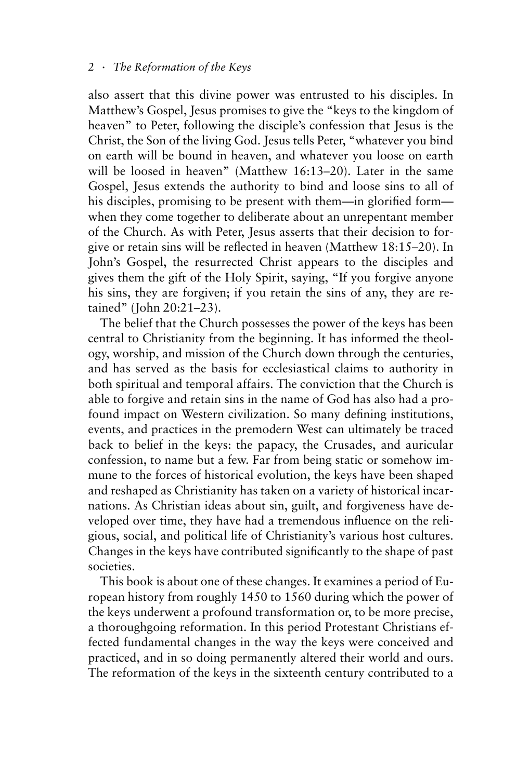also assert that this divine power was entrusted to his disciples. In Matthew's Gospel, Jesus promises to give the "keys to the kingdom of heaven" to Peter, following the disciple's confession that Jesus is the Christ, the Son of the living God. Jesus tells Peter, "whatever you bind on earth will be bound in heaven, and whatever you loose on earth will be loosed in heaven" (Matthew 16:13–20). Later in the same Gospel, Jesus extends the authority to bind and loose sins to all of his disciples, promising to be present with them—in glorified form when they come together to deliberate about an unrepentant member of the Church. As with Peter, Jesus asserts that their decision to forgive or retain sins will be reflected in heaven (Matthew 18:15–20). In John's Gospel, the resurrected Christ appears to the disciples and gives them the gift of the Holy Spirit, saying, "If you forgive anyone his sins, they are forgiven; if you retain the sins of any, they are retained" (John 20:21–23).

The belief that the Church possesses the power of the keys has been central to Christianity from the beginning. It has informed the theology, worship, and mission of the Church down through the centuries, and has served as the basis for ecclesiastical claims to authority in both spiritual and temporal affairs. The conviction that the Church is able to forgive and retain sins in the name of God has also had a profound impact on Western civilization. So many defining institutions, events, and practices in the premodern West can ultimately be traced back to belief in the keys: the papacy, the Crusades, and auricular confession, to name but a few. Far from being static or somehow immune to the forces of historical evolution, the keys have been shaped and reshaped as Christianity has taken on a variety of historical incarnations. As Christian ideas about sin, guilt, and forgiveness have developed over time, they have had a tremendous influence on the religious, social, and political life of Christianity's various host cultures. Changes in the keys have contributed significantly to the shape of past societies.

This book is about one of these changes. It examines a period of European history from roughly 1450 to 1560 during which the power of the keys underwent a profound transformation or, to be more precise, a thoroughgoing reformation. In this period Protestant Christians effected fundamental changes in the way the keys were conceived and practiced, and in so doing permanently altered their world and ours. The reformation of the keys in the sixteenth century contributed to a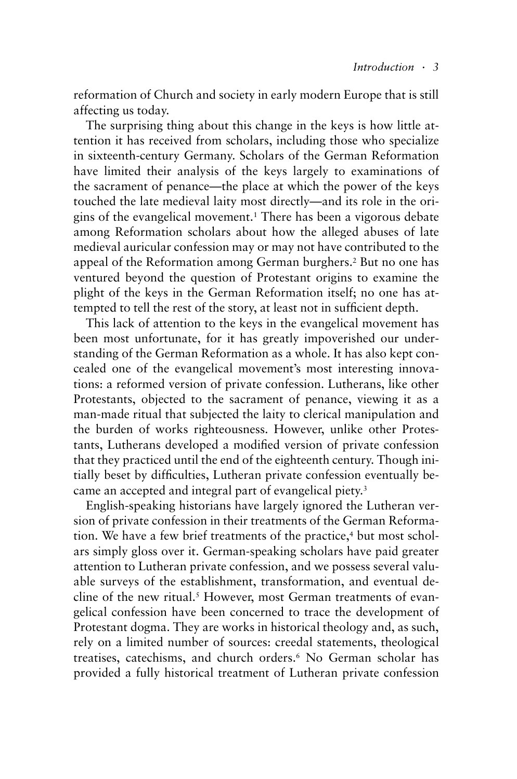reformation of Church and society in early modern Europe that is still affecting us today.

The surprising thing about this change in the keys is how little attention it has received from scholars, including those who specialize in sixteenth-century Germany. Scholars of the German Reformation have limited their analysis of the keys largely to examinations of the sacrament of penance—the place at which the power of the keys touched the late medieval laity most directly—and its role in the origins of the evangelical movement.1 There has been a vigorous debate among Reformation scholars about how the alleged abuses of late medieval auricular confession may or may not have contributed to the appeal of the Reformation among German burghers.2 But no one has ventured beyond the question of Protestant origins to examine the plight of the keys in the German Reformation itself; no one has attempted to tell the rest of the story, at least not in sufficient depth.

This lack of attention to the keys in the evangelical movement has been most unfortunate, for it has greatly impoverished our understanding of the German Reformation as a whole. It has also kept concealed one of the evangelical movement's most interesting innovations: a reformed version of private confession. Lutherans, like other Protestants, objected to the sacrament of penance, viewing it as a man-made ritual that subjected the laity to clerical manipulation and the burden of works righteousness. However, unlike other Protestants, Lutherans developed a modified version of private confession that they practiced until the end of the eighteenth century. Though initially beset by difficulties, Lutheran private confession eventually became an accepted and integral part of evangelical piety.3

English-speaking historians have largely ignored the Lutheran version of private confession in their treatments of the German Reformation. We have a few brief treatments of the practice,<sup>4</sup> but most scholars simply gloss over it. German-speaking scholars have paid greater attention to Lutheran private confession, and we possess several valuable surveys of the establishment, transformation, and eventual decline of the new ritual.<sup>5</sup> However, most German treatments of evangelical confession have been concerned to trace the development of Protestant dogma. They are works in historical theology and, as such, rely on a limited number of sources: creedal statements, theological treatises, catechisms, and church orders.6 No German scholar has provided a fully historical treatment of Lutheran private confession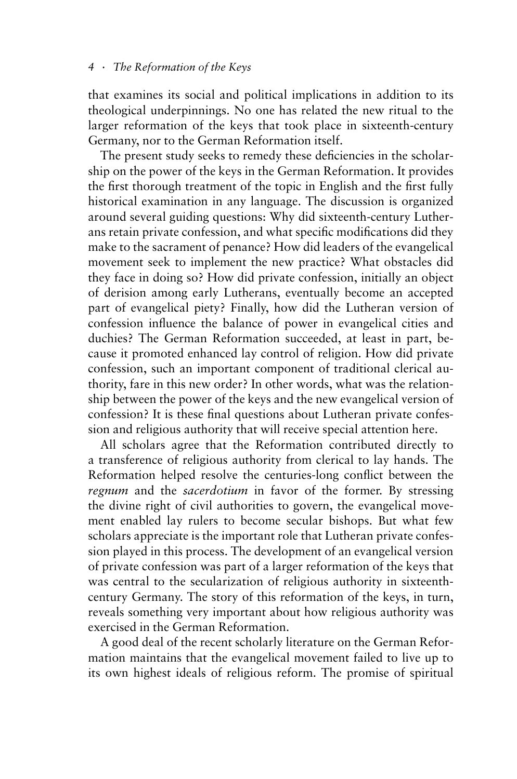#### *4 • The Reformation of the Keys*

that examines its social and political implications in addition to its theological underpinnings. No one has related the new ritual to the larger reformation of the keys that took place in sixteenth-century Germany, nor to the German Reformation itself.

The present study seeks to remedy these deficiencies in the scholarship on the power of the keys in the German Reformation. It provides the first thorough treatment of the topic in English and the first fully historical examination in any language. The discussion is organized around several guiding questions: Why did sixteenth-century Lutherans retain private confession, and what specific modifications did they make to the sacrament of penance? How did leaders of the evangelical movement seek to implement the new practice? What obstacles did they face in doing so? How did private confession, initially an object of derision among early Lutherans, eventually become an accepted part of evangelical piety? Finally, how did the Lutheran version of confession influence the balance of power in evangelical cities and duchies? The German Reformation succeeded, at least in part, because it promoted enhanced lay control of religion. How did private confession, such an important component of traditional clerical authority, fare in this new order? In other words, what was the relationship between the power of the keys and the new evangelical version of confession? It is these final questions about Lutheran private confession and religious authority that will receive special attention here.

All scholars agree that the Reformation contributed directly to a transference of religious authority from clerical to lay hands. The Reformation helped resolve the centuries-long conflict between the *regnum* and the *sacerdotium* in favor of the former. By stressing the divine right of civil authorities to govern, the evangelical movement enabled lay rulers to become secular bishops. But what few scholars appreciate is the important role that Lutheran private confession played in this process. The development of an evangelical version of private confession was part of a larger reformation of the keys that was central to the secularization of religious authority in sixteenthcentury Germany. The story of this reformation of the keys, in turn, reveals something very important about how religious authority was exercised in the German Reformation.

A good deal of the recent scholarly literature on the German Reformation maintains that the evangelical movement failed to live up to its own highest ideals of religious reform. The promise of spiritual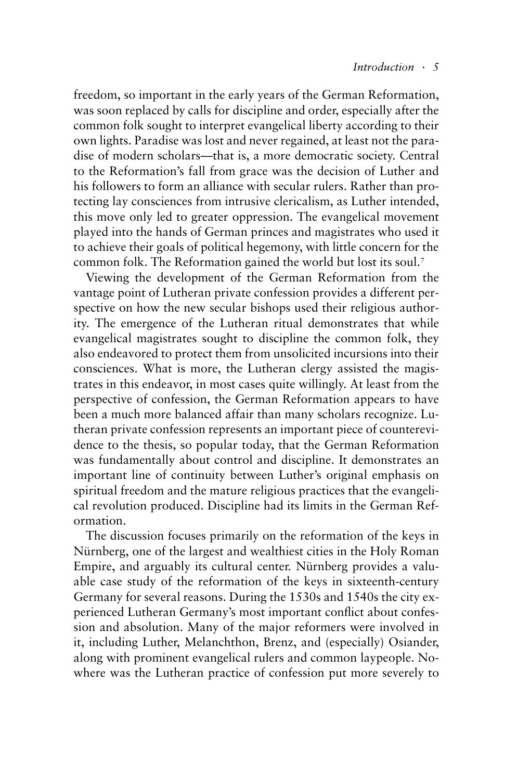freedom, so important in the early years of the German Reformation, was soon replaced by calls for discipline and order, especially after the common folk sought to interpret evangelical liberty according to their own lights. Paradise was lost and never regained, at least not the paradise of modern scholars—that is, a more democratic society. Central to the Reformation's fall from grace was the decision of Luther and his followers to form an alliance with secular rulers. Rather than protecting lay consciences from intrusive clericalism, as Luther intended, this move only led to greater oppression. The evangelical movement played into the hands of German princes and magistrates who used it to achieve their goals of political hegemony, with little concern for the common folk. The Reformation gained the world but lost its soul.7

Viewing the development of the German Reformation from the vantage point of Lutheran private confession provides a different perspective on how the new secular bishops used their religious authority. The emergence of the Lutheran ritual demonstrates that while evangelical magistrates sought to discipline the common folk, they also endeavored to protect them from unsolicited incursions into their consciences. What is more, the Lutheran clergy assisted the magistrates in this endeavor, in most cases quite willingly. At least from the perspective of confession, the German Reformation appears to have been a much more balanced affair than many scholars recognize. Lutheran private confession represents an important piece of counterevidence to the thesis, so popular today, that the German Reformation was fundamentally about control and discipline. It demonstrates an important line of continuity between Luther's original emphasis on spiritual freedom and the mature religious practices that the evangelical revolution produced. Discipline had its limits in the German Reformation.

The discussion focuses primarily on the reformation of the keys in Nürnberg, one of the largest and wealthiest cities in the Holy Roman Empire, and arguably its cultural center. Nürnberg provides a valuable case study of the reformation of the keys in sixteenth-century Germany for several reasons. During the 1530s and 1540s the city experienced Lutheran Germany's most important conflict about confession and absolution. Many of the major reformers were involved in it, including Luther, Melanchthon, Brenz, and (especially) Osiander, along with prominent evangelical rulers and common laypeople. Nowhere was the Lutheran practice of confession put more severely to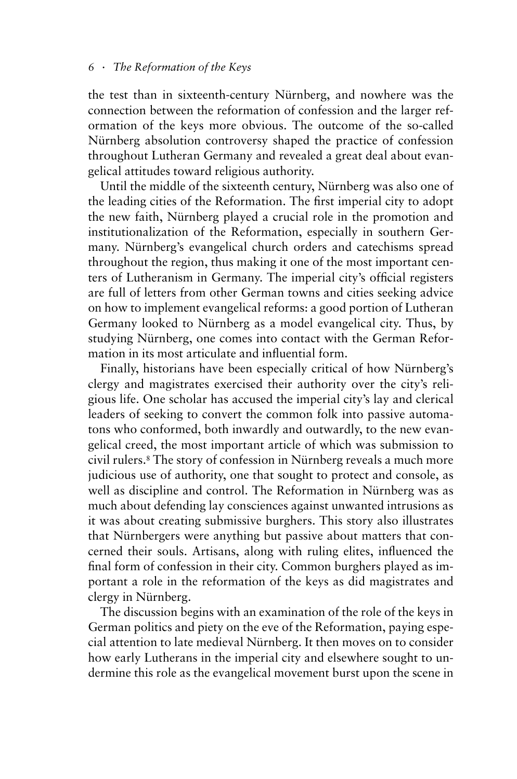#### *6 • The Reformation of the Keys*

the test than in sixteenth-century Nürnberg, and nowhere was the connection between the reformation of confession and the larger reformation of the keys more obvious. The outcome of the so-called Nürnberg absolution controversy shaped the practice of confession throughout Lutheran Germany and revealed a great deal about evangelical attitudes toward religious authority.

Until the middle of the sixteenth century, Nürnberg was also one of the leading cities of the Reformation. The first imperial city to adopt the new faith, Nürnberg played a crucial role in the promotion and institutionalization of the Reformation, especially in southern Germany. Nürnberg's evangelical church orders and catechisms spread throughout the region, thus making it one of the most important centers of Lutheranism in Germany. The imperial city's official registers are full of letters from other German towns and cities seeking advice on how to implement evangelical reforms: a good portion of Lutheran Germany looked to Nürnberg as a model evangelical city. Thus, by studying Nürnberg, one comes into contact with the German Reformation in its most articulate and influential form.

Finally, historians have been especially critical of how Nürnberg's clergy and magistrates exercised their authority over the city's religious life. One scholar has accused the imperial city's lay and clerical leaders of seeking to convert the common folk into passive automatons who conformed, both inwardly and outwardly, to the new evangelical creed, the most important article of which was submission to civil rulers.8 The story of confession in Nürnberg reveals a much more judicious use of authority, one that sought to protect and console, as well as discipline and control. The Reformation in Nürnberg was as much about defending lay consciences against unwanted intrusions as it was about creating submissive burghers. This story also illustrates that Nürnbergers were anything but passive about matters that concerned their souls. Artisans, along with ruling elites, influenced the final form of confession in their city. Common burghers played as important a role in the reformation of the keys as did magistrates and clergy in Nürnberg.

The discussion begins with an examination of the role of the keys in German politics and piety on the eve of the Reformation, paying especial attention to late medieval Nürnberg. It then moves on to consider how early Lutherans in the imperial city and elsewhere sought to undermine this role as the evangelical movement burst upon the scene in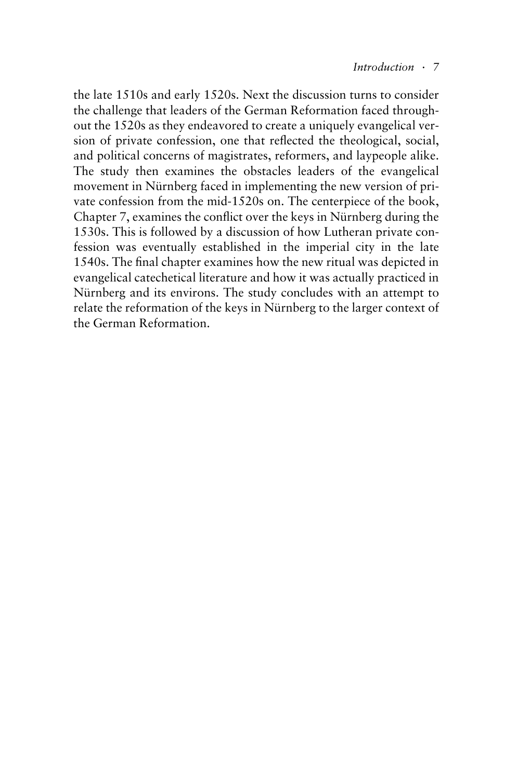the late 1510s and early 1520s. Next the discussion turns to consider the challenge that leaders of the German Reformation faced throughout the 1520s as they endeavored to create a uniquely evangelical version of private confession, one that reflected the theological, social, and political concerns of magistrates, reformers, and laypeople alike. The study then examines the obstacles leaders of the evangelical movement in Nürnberg faced in implementing the new version of private confession from the mid-1520s on. The centerpiece of the book, Chapter 7, examines the conflict over the keys in Nürnberg during the 1530s. This is followed by a discussion of how Lutheran private confession was eventually established in the imperial city in the late 1540s. The final chapter examines how the new ritual was depicted in evangelical catechetical literature and how it was actually practiced in Nürnberg and its environs. The study concludes with an attempt to relate the reformation of the keys in Nürnberg to the larger context of the German Reformation.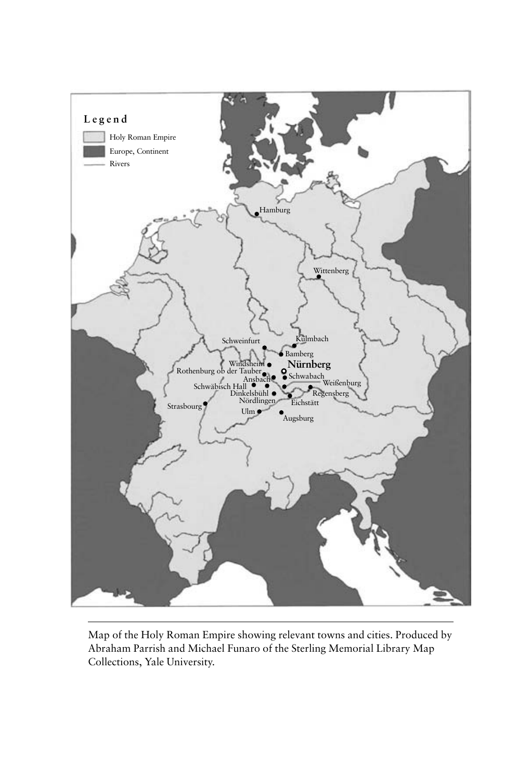

Map of the Holy Roman Empire showing relevant towns and cities. Produced by Abraham Parrish and Michael Funaro of the Sterling Memorial Library Map Collections, Yale University.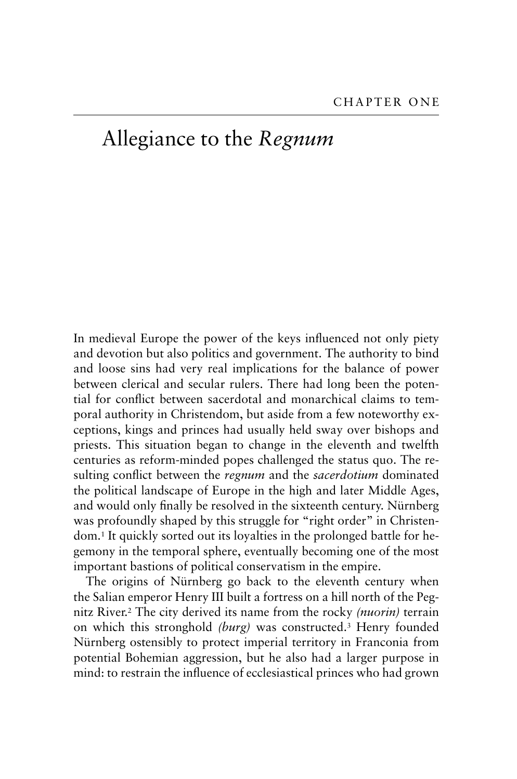### Allegiance to the *Regnum*

In medieval Europe the power of the keys influenced not only piety and devotion but also politics and government. The authority to bind and loose sins had very real implications for the balance of power between clerical and secular rulers. There had long been the potential for conflict between sacerdotal and monarchical claims to temporal authority in Christendom, but aside from a few noteworthy exceptions, kings and princes had usually held sway over bishops and priests. This situation began to change in the eleventh and twelfth centuries as reform-minded popes challenged the status quo. The resulting conflict between the *regnum* and the *sacerdotium* dominated the political landscape of Europe in the high and later Middle Ages, and would only finally be resolved in the sixteenth century. Nürnberg was profoundly shaped by this struggle for "right order" in Christendom.1 It quickly sorted out its loyalties in the prolonged battle for hegemony in the temporal sphere, eventually becoming one of the most important bastions of political conservatism in the empire.

The origins of Nürnberg go back to the eleventh century when the Salian emperor Henry III built a fortress on a hill north of the Pegnitz River.2 The city derived its name from the rocky *(nuorin)* terrain on which this stronghold *(burg)* was constructed.3 Henry founded Nürnberg ostensibly to protect imperial territory in Franconia from potential Bohemian aggression, but he also had a larger purpose in mind: to restrain the influence of ecclesiastical princes who had grown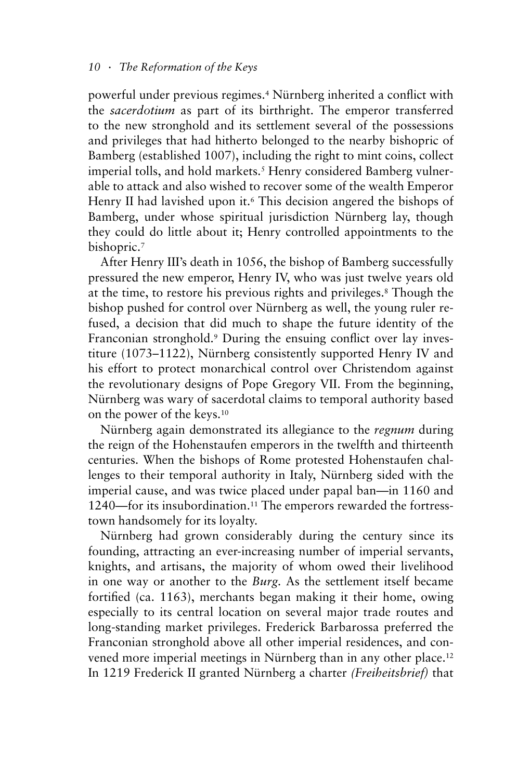#### *10 • The Reformation of the Keys*

powerful under previous regimes.4 Nürnberg inherited a conflict with the *sacerdotium* as part of its birthright. The emperor transferred to the new stronghold and its settlement several of the possessions and privileges that had hitherto belonged to the nearby bishopric of Bamberg (established 1007), including the right to mint coins, collect imperial tolls, and hold markets.<sup>5</sup> Henry considered Bamberg vulnerable to attack and also wished to recover some of the wealth Emperor Henry II had lavished upon it.<sup>6</sup> This decision angered the bishops of Bamberg, under whose spiritual jurisdiction Nürnberg lay, though they could do little about it; Henry controlled appointments to the bishopric.7

After Henry III's death in 1056, the bishop of Bamberg successfully pressured the new emperor, Henry IV, who was just twelve years old at the time, to restore his previous rights and privileges.8 Though the bishop pushed for control over Nürnberg as well, the young ruler refused, a decision that did much to shape the future identity of the Franconian stronghold.<sup>9</sup> During the ensuing conflict over lay investiture (1073–1122), Nürnberg consistently supported Henry IV and his effort to protect monarchical control over Christendom against the revolutionary designs of Pope Gregory VII. From the beginning, Nürnberg was wary of sacerdotal claims to temporal authority based on the power of the keys.10

Nürnberg again demonstrated its allegiance to the *regnum* during the reign of the Hohenstaufen emperors in the twelfth and thirteenth centuries. When the bishops of Rome protested Hohenstaufen challenges to their temporal authority in Italy, Nürnberg sided with the imperial cause, and was twice placed under papal ban—in 1160 and 1240—for its insubordination.11 The emperors rewarded the fortresstown handsomely for its loyalty.

Nürnberg had grown considerably during the century since its founding, attracting an ever-increasing number of imperial servants, knights, and artisans, the majority of whom owed their livelihood in one way or another to the *Burg.* As the settlement itself became fortified (ca. 1163), merchants began making it their home, owing especially to its central location on several major trade routes and long-standing market privileges. Frederick Barbarossa preferred the Franconian stronghold above all other imperial residences, and convened more imperial meetings in Nürnberg than in any other place.12 In 1219 Frederick II granted Nürnberg a charter *(Freiheitsbrief)* that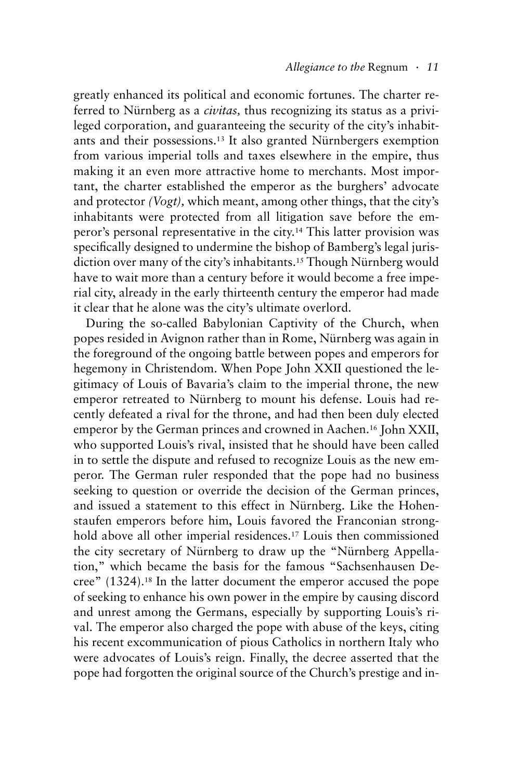greatly enhanced its political and economic fortunes. The charter referred to Nürnberg as a *civitas,* thus recognizing its status as a privileged corporation, and guaranteeing the security of the city's inhabitants and their possessions.13 It also granted Nürnbergers exemption from various imperial tolls and taxes elsewhere in the empire, thus making it an even more attractive home to merchants. Most important, the charter established the emperor as the burghers' advocate and protector *(Vogt),* which meant, among other things, that the city's inhabitants were protected from all litigation save before the emperor's personal representative in the city.14 This latter provision was specifically designed to undermine the bishop of Bamberg's legal jurisdiction over many of the city's inhabitants.15 Though Nürnberg would have to wait more than a century before it would become a free imperial city, already in the early thirteenth century the emperor had made it clear that he alone was the city's ultimate overlord.

During the so-called Babylonian Captivity of the Church, when popes resided in Avignon rather than in Rome, Nürnberg was again in the foreground of the ongoing battle between popes and emperors for hegemony in Christendom. When Pope John XXII questioned the legitimacy of Louis of Bavaria's claim to the imperial throne, the new emperor retreated to Nürnberg to mount his defense. Louis had recently defeated a rival for the throne, and had then been duly elected emperor by the German princes and crowned in Aachen.<sup>16</sup> John XXII, who supported Louis's rival, insisted that he should have been called in to settle the dispute and refused to recognize Louis as the new emperor. The German ruler responded that the pope had no business seeking to question or override the decision of the German princes, and issued a statement to this effect in Nürnberg. Like the Hohenstaufen emperors before him, Louis favored the Franconian stronghold above all other imperial residences.<sup>17</sup> Louis then commissioned the city secretary of Nürnberg to draw up the "Nürnberg Appellation," which became the basis for the famous "Sachsenhausen Decree" (1324).18 In the latter document the emperor accused the pope of seeking to enhance his own power in the empire by causing discord and unrest among the Germans, especially by supporting Louis's rival. The emperor also charged the pope with abuse of the keys, citing his recent excommunication of pious Catholics in northern Italy who were advocates of Louis's reign. Finally, the decree asserted that the pope had forgotten the original source of the Church's prestige and in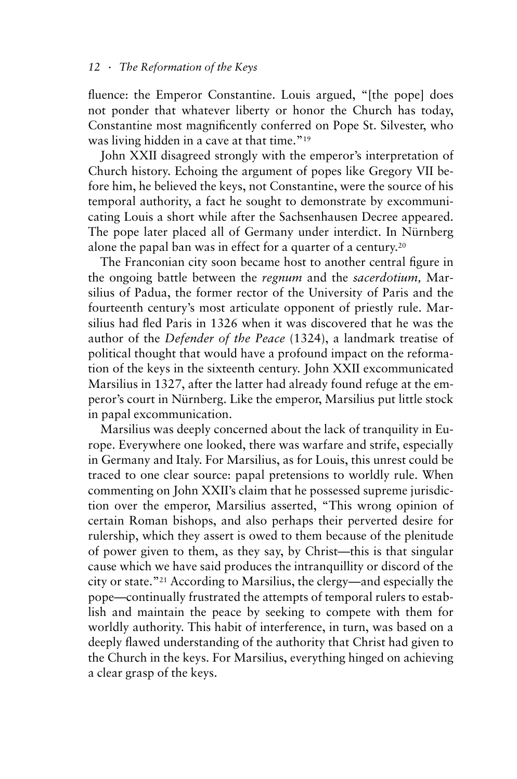fluence: the Emperor Constantine. Louis argued, "[the pope] does not ponder that whatever liberty or honor the Church has today, Constantine most magnificently conferred on Pope St. Silvester, who was living hidden in a cave at that time."<sup>19</sup>

John XXII disagreed strongly with the emperor's interpretation of Church history. Echoing the argument of popes like Gregory VII before him, he believed the keys, not Constantine, were the source of his temporal authority, a fact he sought to demonstrate by excommunicating Louis a short while after the Sachsenhausen Decree appeared. The pope later placed all of Germany under interdict. In Nürnberg alone the papal ban was in effect for a quarter of a century.20

The Franconian city soon became host to another central figure in the ongoing battle between the *regnum* and the *sacerdotium,* Marsilius of Padua, the former rector of the University of Paris and the fourteenth century's most articulate opponent of priestly rule. Marsilius had fled Paris in 1326 when it was discovered that he was the author of the *Defender of the Peace* (1324), a landmark treatise of political thought that would have a profound impact on the reformation of the keys in the sixteenth century. John XXII excommunicated Marsilius in 1327, after the latter had already found refuge at the emperor's court in Nürnberg. Like the emperor, Marsilius put little stock in papal excommunication.

Marsilius was deeply concerned about the lack of tranquility in Europe. Everywhere one looked, there was warfare and strife, especially in Germany and Italy. For Marsilius, as for Louis, this unrest could be traced to one clear source: papal pretensions to worldly rule. When commenting on John XXII's claim that he possessed supreme jurisdiction over the emperor, Marsilius asserted, "This wrong opinion of certain Roman bishops, and also perhaps their perverted desire for rulership, which they assert is owed to them because of the plenitude of power given to them, as they say, by Christ—this is that singular cause which we have said produces the intranquillity or discord of the city or state."21 According to Marsilius, the clergy—and especially the pope—continually frustrated the attempts of temporal rulers to establish and maintain the peace by seeking to compete with them for worldly authority. This habit of interference, in turn, was based on a deeply flawed understanding of the authority that Christ had given to the Church in the keys. For Marsilius, everything hinged on achieving a clear grasp of the keys.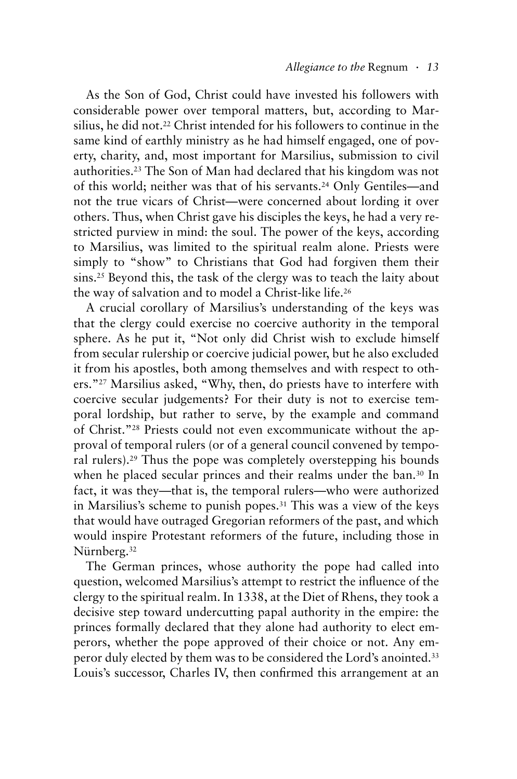As the Son of God, Christ could have invested his followers with considerable power over temporal matters, but, according to Marsilius, he did not.<sup>22</sup> Christ intended for his followers to continue in the same kind of earthly ministry as he had himself engaged, one of poverty, charity, and, most important for Marsilius, submission to civil authorities.23 The Son of Man had declared that his kingdom was not of this world; neither was that of his servants.24 Only Gentiles—and not the true vicars of Christ—were concerned about lording it over others. Thus, when Christ gave his disciples the keys, he had a very restricted purview in mind: the soul. The power of the keys, according to Marsilius, was limited to the spiritual realm alone. Priests were simply to "show" to Christians that God had forgiven them their sins.25 Beyond this, the task of the clergy was to teach the laity about the way of salvation and to model a Christ-like life.26

A crucial corollary of Marsilius's understanding of the keys was that the clergy could exercise no coercive authority in the temporal sphere. As he put it, "Not only did Christ wish to exclude himself from secular rulership or coercive judicial power, but he also excluded it from his apostles, both among themselves and with respect to others."27 Marsilius asked, "Why, then, do priests have to interfere with coercive secular judgements? For their duty is not to exercise temporal lordship, but rather to serve, by the example and command of Christ."28 Priests could not even excommunicate without the approval of temporal rulers (or of a general council convened by temporal rulers).29 Thus the pope was completely overstepping his bounds when he placed secular princes and their realms under the ban.<sup>30</sup> In fact, it was they—that is, the temporal rulers—who were authorized in Marsilius's scheme to punish popes.31 This was a view of the keys that would have outraged Gregorian reformers of the past, and which would inspire Protestant reformers of the future, including those in Nürnberg.32

The German princes, whose authority the pope had called into question, welcomed Marsilius's attempt to restrict the influence of the clergy to the spiritual realm. In 1338, at the Diet of Rhens, they took a decisive step toward undercutting papal authority in the empire: the princes formally declared that they alone had authority to elect emperors, whether the pope approved of their choice or not. Any emperor duly elected by them was to be considered the Lord's anointed.<sup>33</sup> Louis's successor, Charles IV, then confirmed this arrangement at an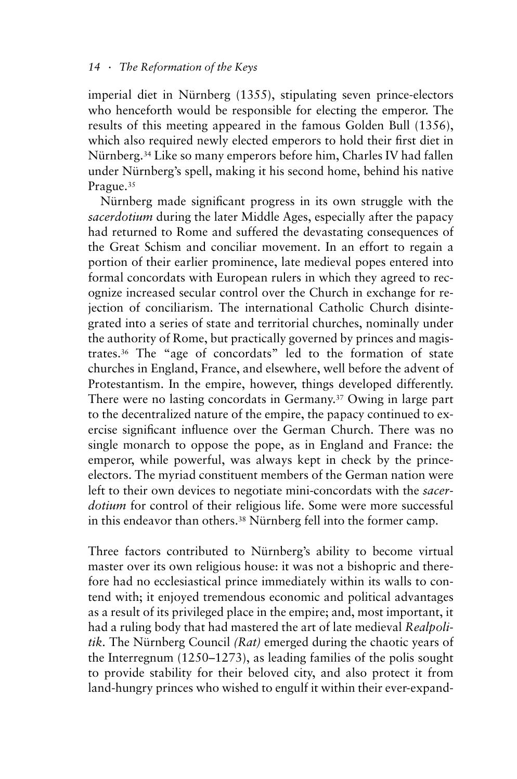imperial diet in Nürnberg (1355), stipulating seven prince-electors who henceforth would be responsible for electing the emperor. The results of this meeting appeared in the famous Golden Bull (1356), which also required newly elected emperors to hold their first diet in Nürnberg.34 Like so many emperors before him, Charles IV had fallen under Nürnberg's spell, making it his second home, behind his native Prague.<sup>35</sup>

Nürnberg made significant progress in its own struggle with the *sacerdotium* during the later Middle Ages, especially after the papacy had returned to Rome and suffered the devastating consequences of the Great Schism and conciliar movement. In an effort to regain a portion of their earlier prominence, late medieval popes entered into formal concordats with European rulers in which they agreed to recognize increased secular control over the Church in exchange for rejection of conciliarism. The international Catholic Church disintegrated into a series of state and territorial churches, nominally under the authority of Rome, but practically governed by princes and magistrates.36 The "age of concordats" led to the formation of state churches in England, France, and elsewhere, well before the advent of Protestantism. In the empire, however, things developed differently. There were no lasting concordats in Germany.37 Owing in large part to the decentralized nature of the empire, the papacy continued to exercise significant influence over the German Church. There was no single monarch to oppose the pope, as in England and France: the emperor, while powerful, was always kept in check by the princeelectors. The myriad constituent members of the German nation were left to their own devices to negotiate mini-concordats with the *sacerdotium* for control of their religious life. Some were more successful in this endeavor than others.<sup>38</sup> Nürnberg fell into the former camp.

Three factors contributed to Nürnberg's ability to become virtual master over its own religious house: it was not a bishopric and therefore had no ecclesiastical prince immediately within its walls to contend with; it enjoyed tremendous economic and political advantages as a result of its privileged place in the empire; and, most important, it had a ruling body that had mastered the art of late medieval *Realpolitik.* The Nürnberg Council *(Rat)* emerged during the chaotic years of the Interregnum (1250–1273), as leading families of the polis sought to provide stability for their beloved city, and also protect it from land-hungry princes who wished to engulf it within their ever-expand-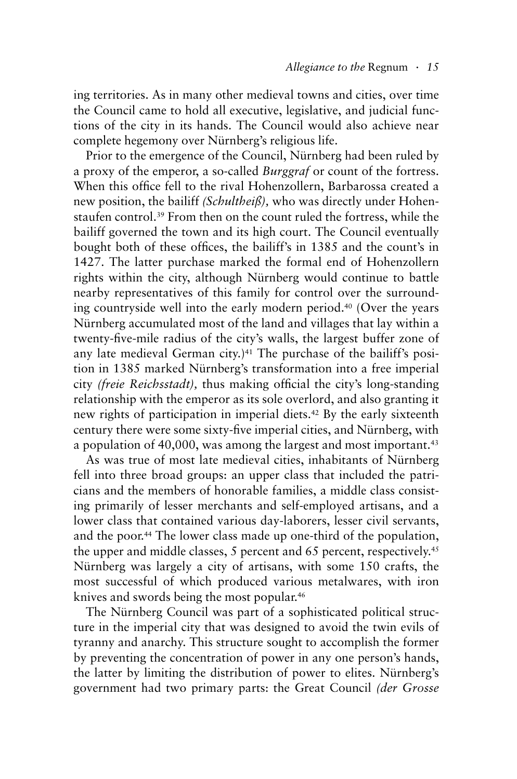ing territories. As in many other medieval towns and cities, over time the Council came to hold all executive, legislative, and judicial functions of the city in its hands. The Council would also achieve near complete hegemony over Nürnberg's religious life.

Prior to the emergence of the Council, Nürnberg had been ruled by a proxy of the emperor, a so-called *Burggraf* or count of the fortress. When this office fell to the rival Hohenzollern, Barbarossa created a new position, the bailiff *(Schultheiß),* who was directly under Hohenstaufen control.39 From then on the count ruled the fortress, while the bailiff governed the town and its high court. The Council eventually bought both of these offices, the bailiff's in 1385 and the count's in 1427. The latter purchase marked the formal end of Hohenzollern rights within the city, although Nürnberg would continue to battle nearby representatives of this family for control over the surrounding countryside well into the early modern period.40 (Over the years Nürnberg accumulated most of the land and villages that lay within a twenty-five-mile radius of the city's walls, the largest buffer zone of any late medieval German city.) $41$  The purchase of the bailiff's position in 1385 marked Nürnberg's transformation into a free imperial city *(freie Reichsstadt),* thus making official the city's long-standing relationship with the emperor as its sole overlord, and also granting it new rights of participation in imperial diets.42 By the early sixteenth century there were some sixty-five imperial cities, and Nürnberg, with a population of 40,000, was among the largest and most important.<sup>43</sup>

As was true of most late medieval cities, inhabitants of Nürnberg fell into three broad groups: an upper class that included the patricians and the members of honorable families, a middle class consisting primarily of lesser merchants and self-employed artisans, and a lower class that contained various day-laborers, lesser civil servants, and the poor.44 The lower class made up one-third of the population, the upper and middle classes, 5 percent and 65 percent, respectively.<sup>45</sup> Nürnberg was largely a city of artisans, with some 150 crafts, the most successful of which produced various metalwares, with iron knives and swords being the most popular.<sup>46</sup>

The Nürnberg Council was part of a sophisticated political structure in the imperial city that was designed to avoid the twin evils of tyranny and anarchy. This structure sought to accomplish the former by preventing the concentration of power in any one person's hands, the latter by limiting the distribution of power to elites. Nürnberg's government had two primary parts: the Great Council *(der Grosse*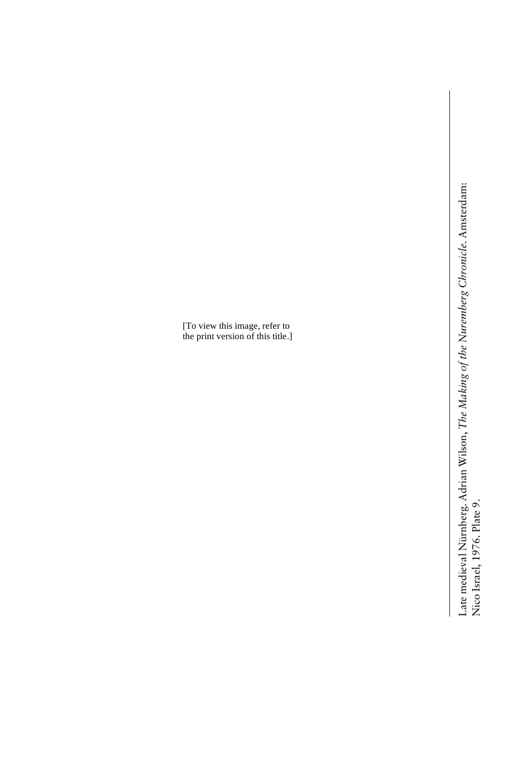[To view this image, refer to the print version of this title.]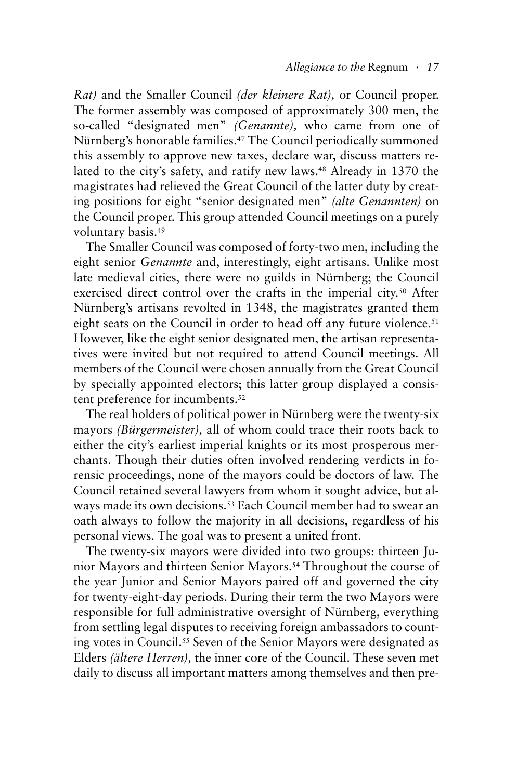*Rat)* and the Smaller Council *(der kleinere Rat),* or Council proper. The former assembly was composed of approximately 300 men, the so-called "designated men" *(Genannte),* who came from one of Nürnberg's honorable families.47 The Council periodically summoned this assembly to approve new taxes, declare war, discuss matters related to the city's safety, and ratify new laws.<sup>48</sup> Already in 1370 the magistrates had relieved the Great Council of the latter duty by creating positions for eight "senior designated men" *(alte Genannten)* on the Council proper. This group attended Council meetings on a purely voluntary basis.49

The Smaller Council was composed of forty-two men, including the eight senior *Genannte* and, interestingly, eight artisans. Unlike most late medieval cities, there were no guilds in Nürnberg; the Council exercised direct control over the crafts in the imperial city.<sup>50</sup> After Nürnberg's artisans revolted in 1348, the magistrates granted them eight seats on the Council in order to head off any future violence.<sup>51</sup> However, like the eight senior designated men, the artisan representatives were invited but not required to attend Council meetings. All members of the Council were chosen annually from the Great Council by specially appointed electors; this latter group displayed a consistent preference for incumbents.52

The real holders of political power in Nürnberg were the twenty-six mayors *(Bürgermeister),* all of whom could trace their roots back to either the city's earliest imperial knights or its most prosperous merchants. Though their duties often involved rendering verdicts in forensic proceedings, none of the mayors could be doctors of law. The Council retained several lawyers from whom it sought advice, but always made its own decisions.<sup>53</sup> Each Council member had to swear an oath always to follow the majority in all decisions, regardless of his personal views. The goal was to present a united front.

The twenty-six mayors were divided into two groups: thirteen Junior Mayors and thirteen Senior Mayors.<sup>54</sup> Throughout the course of the year Junior and Senior Mayors paired off and governed the city for twenty-eight-day periods. During their term the two Mayors were responsible for full administrative oversight of Nürnberg, everything from settling legal disputes to receiving foreign ambassadors to counting votes in Council.55 Seven of the Senior Mayors were designated as Elders *(ältere Herren),* the inner core of the Council. These seven met daily to discuss all important matters among themselves and then pre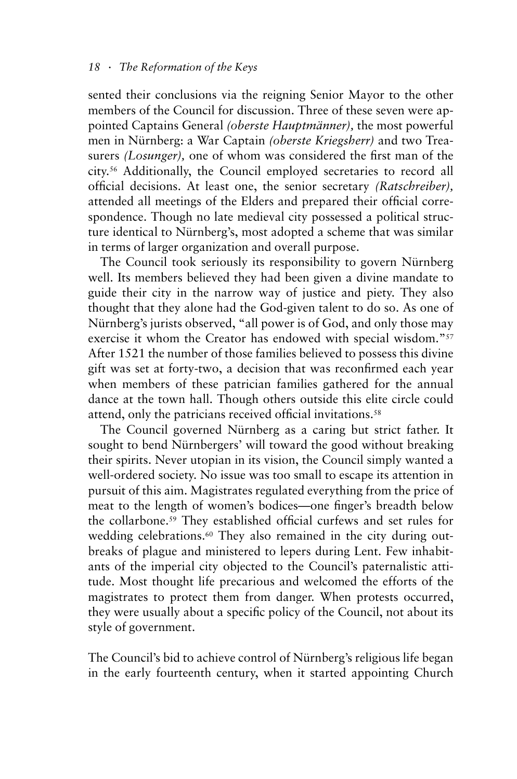sented their conclusions via the reigning Senior Mayor to the other members of the Council for discussion. Three of these seven were appointed Captains General *(oberste Hauptmänner),* the most powerful men in Nürnberg: a War Captain *(oberste Kriegsherr)* and two Treasurers *(Losunger),* one of whom was considered the first man of the city.56 Additionally, the Council employed secretaries to record all official decisions. At least one, the senior secretary *(Ratschreiber),* attended all meetings of the Elders and prepared their official correspondence. Though no late medieval city possessed a political structure identical to Nürnberg's, most adopted a scheme that was similar in terms of larger organization and overall purpose.

The Council took seriously its responsibility to govern Nürnberg well. Its members believed they had been given a divine mandate to guide their city in the narrow way of justice and piety. They also thought that they alone had the God-given talent to do so. As one of Nürnberg's jurists observed, "all power is of God, and only those may exercise it whom the Creator has endowed with special wisdom."57 After 1521 the number of those families believed to possess this divine gift was set at forty-two, a decision that was reconfirmed each year when members of these patrician families gathered for the annual dance at the town hall. Though others outside this elite circle could attend, only the patricians received official invitations.58

The Council governed Nürnberg as a caring but strict father. It sought to bend Nürnbergers' will toward the good without breaking their spirits. Never utopian in its vision, the Council simply wanted a well-ordered society. No issue was too small to escape its attention in pursuit of this aim. Magistrates regulated everything from the price of meat to the length of women's bodices—one finger's breadth below the collarbone.59 They established official curfews and set rules for wedding celebrations.<sup>60</sup> They also remained in the city during outbreaks of plague and ministered to lepers during Lent. Few inhabitants of the imperial city objected to the Council's paternalistic attitude. Most thought life precarious and welcomed the efforts of the magistrates to protect them from danger. When protests occurred, they were usually about a specific policy of the Council, not about its style of government.

The Council's bid to achieve control of Nürnberg's religious life began in the early fourteenth century, when it started appointing Church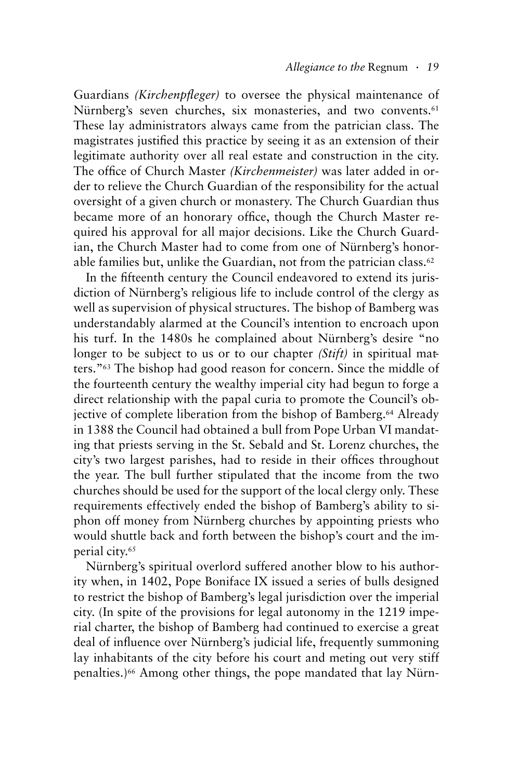Guardians *(Kirchenpfleger)* to oversee the physical maintenance of Nürnberg's seven churches, six monasteries, and two convents.<sup>61</sup> These lay administrators always came from the patrician class. The magistrates justified this practice by seeing it as an extension of their legitimate authority over all real estate and construction in the city. The office of Church Master *(Kirchenmeister)* was later added in order to relieve the Church Guardian of the responsibility for the actual oversight of a given church or monastery. The Church Guardian thus became more of an honorary office, though the Church Master required his approval for all major decisions. Like the Church Guardian, the Church Master had to come from one of Nürnberg's honorable families but, unlike the Guardian, not from the patrician class.<sup>62</sup>

In the fifteenth century the Council endeavored to extend its jurisdiction of Nürnberg's religious life to include control of the clergy as well as supervision of physical structures. The bishop of Bamberg was understandably alarmed at the Council's intention to encroach upon his turf. In the 1480s he complained about Nürnberg's desire "no longer to be subject to us or to our chapter *(Stift)* in spiritual matters."63 The bishop had good reason for concern. Since the middle of the fourteenth century the wealthy imperial city had begun to forge a direct relationship with the papal curia to promote the Council's objective of complete liberation from the bishop of Bamberg.<sup>64</sup> Already in 1388 the Council had obtained a bull from Pope Urban VI mandating that priests serving in the St. Sebald and St. Lorenz churches, the city's two largest parishes, had to reside in their offices throughout the year. The bull further stipulated that the income from the two churches should be used for the support of the local clergy only. These requirements effectively ended the bishop of Bamberg's ability to siphon off money from Nürnberg churches by appointing priests who would shuttle back and forth between the bishop's court and the imperial city.65

Nürnberg's spiritual overlord suffered another blow to his authority when, in 1402, Pope Boniface IX issued a series of bulls designed to restrict the bishop of Bamberg's legal jurisdiction over the imperial city. (In spite of the provisions for legal autonomy in the 1219 imperial charter, the bishop of Bamberg had continued to exercise a great deal of influence over Nürnberg's judicial life, frequently summoning lay inhabitants of the city before his court and meting out very stiff penalties.)<sup>66</sup> Among other things, the pope mandated that lay Nürn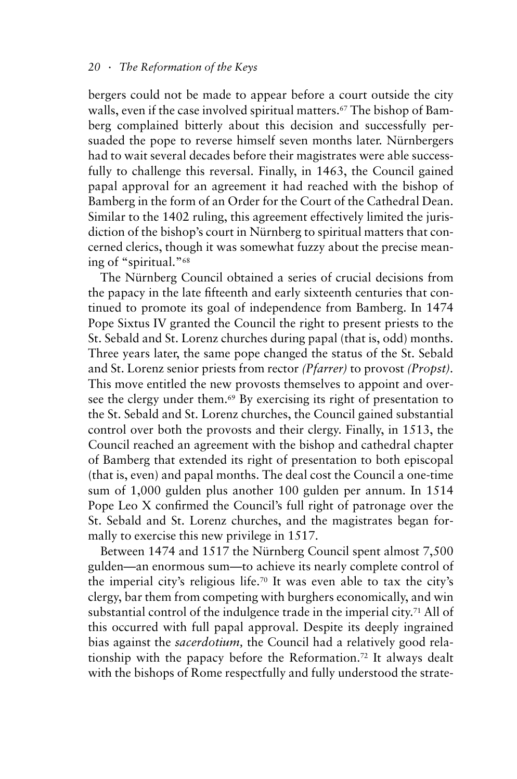bergers could not be made to appear before a court outside the city walls, even if the case involved spiritual matters.<sup>67</sup> The bishop of Bamberg complained bitterly about this decision and successfully persuaded the pope to reverse himself seven months later. Nürnbergers had to wait several decades before their magistrates were able successfully to challenge this reversal. Finally, in 1463, the Council gained papal approval for an agreement it had reached with the bishop of Bamberg in the form of an Order for the Court of the Cathedral Dean. Similar to the 1402 ruling, this agreement effectively limited the jurisdiction of the bishop's court in Nürnberg to spiritual matters that concerned clerics, though it was somewhat fuzzy about the precise meaning of "spiritual."68

The Nürnberg Council obtained a series of crucial decisions from the papacy in the late fifteenth and early sixteenth centuries that continued to promote its goal of independence from Bamberg. In 1474 Pope Sixtus IV granted the Council the right to present priests to the St. Sebald and St. Lorenz churches during papal (that is, odd) months. Three years later, the same pope changed the status of the St. Sebald and St. Lorenz senior priests from rector *(Pfarrer)* to provost *(Propst).* This move entitled the new provosts themselves to appoint and oversee the clergy under them.69 By exercising its right of presentation to the St. Sebald and St. Lorenz churches, the Council gained substantial control over both the provosts and their clergy. Finally, in 1513, the Council reached an agreement with the bishop and cathedral chapter of Bamberg that extended its right of presentation to both episcopal (that is, even) and papal months. The deal cost the Council a one-time sum of 1,000 gulden plus another 100 gulden per annum. In 1514 Pope Leo X confirmed the Council's full right of patronage over the St. Sebald and St. Lorenz churches, and the magistrates began formally to exercise this new privilege in 1517.

Between 1474 and 1517 the Nürnberg Council spent almost 7,500 gulden—an enormous sum—to achieve its nearly complete control of the imperial city's religious life.<sup>70</sup> It was even able to tax the city's clergy, bar them from competing with burghers economically, and win substantial control of the indulgence trade in the imperial city.<sup>71</sup> All of this occurred with full papal approval. Despite its deeply ingrained bias against the *sacerdotium,* the Council had a relatively good relationship with the papacy before the Reformation.72 It always dealt with the bishops of Rome respectfully and fully understood the strate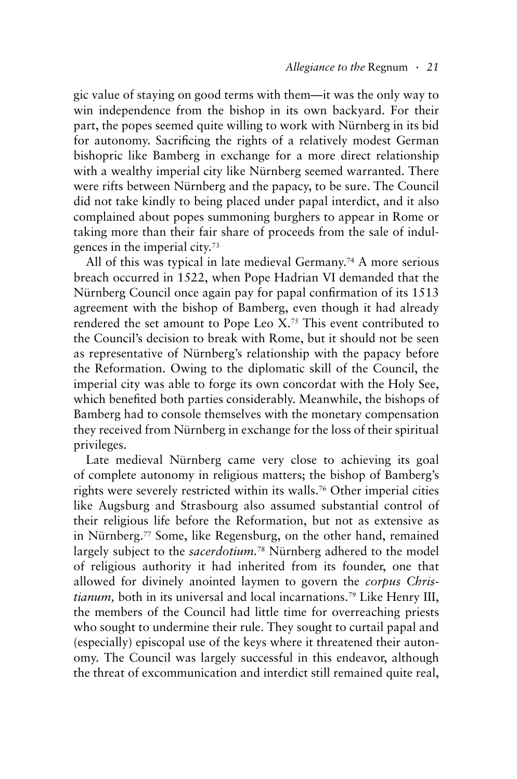gic value of staying on good terms with them—it was the only way to win independence from the bishop in its own backyard. For their part, the popes seemed quite willing to work with Nürnberg in its bid for autonomy. Sacrificing the rights of a relatively modest German bishopric like Bamberg in exchange for a more direct relationship with a wealthy imperial city like Nürnberg seemed warranted. There were rifts between Nürnberg and the papacy, to be sure. The Council did not take kindly to being placed under papal interdict, and it also complained about popes summoning burghers to appear in Rome or taking more than their fair share of proceeds from the sale of indulgences in the imperial city.73

All of this was typical in late medieval Germany.74 A more serious breach occurred in 1522, when Pope Hadrian VI demanded that the Nürnberg Council once again pay for papal confirmation of its 1513 agreement with the bishop of Bamberg, even though it had already rendered the set amount to Pope Leo X.75 This event contributed to the Council's decision to break with Rome, but it should not be seen as representative of Nürnberg's relationship with the papacy before the Reformation. Owing to the diplomatic skill of the Council, the imperial city was able to forge its own concordat with the Holy See, which benefited both parties considerably. Meanwhile, the bishops of Bamberg had to console themselves with the monetary compensation they received from Nürnberg in exchange for the loss of their spiritual privileges.

Late medieval Nürnberg came very close to achieving its goal of complete autonomy in religious matters; the bishop of Bamberg's rights were severely restricted within its walls.76 Other imperial cities like Augsburg and Strasbourg also assumed substantial control of their religious life before the Reformation, but not as extensive as in Nürnberg.77 Some, like Regensburg, on the other hand, remained largely subject to the *sacerdotium.*<sup>78</sup> Nürnberg adhered to the model of religious authority it had inherited from its founder, one that allowed for divinely anointed laymen to govern the *corpus Christianum,* both in its universal and local incarnations.79 Like Henry III, the members of the Council had little time for overreaching priests who sought to undermine their rule. They sought to curtail papal and (especially) episcopal use of the keys where it threatened their autonomy. The Council was largely successful in this endeavor, although the threat of excommunication and interdict still remained quite real,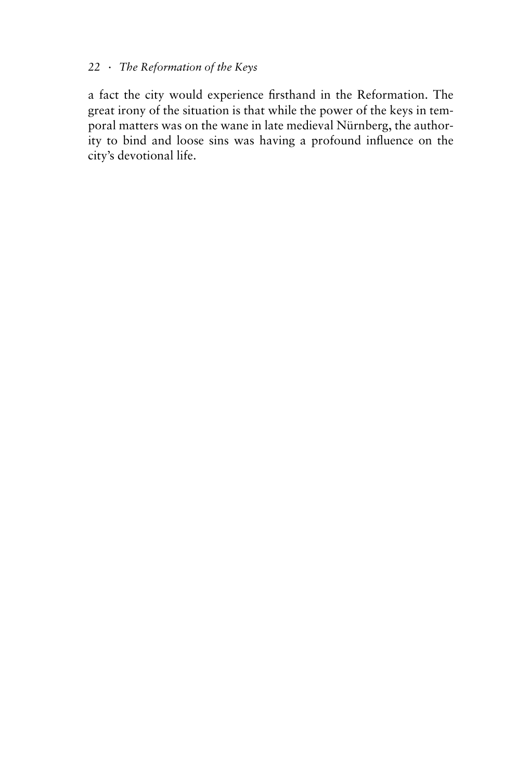#### *22 • The Reformation of the Keys*

a fact the city would experience firsthand in the Reformation. The great irony of the situation is that while the power of the keys in temporal matters was on the wane in late medieval Nürnberg, the authority to bind and loose sins was having a profound influence on the city's devotional life.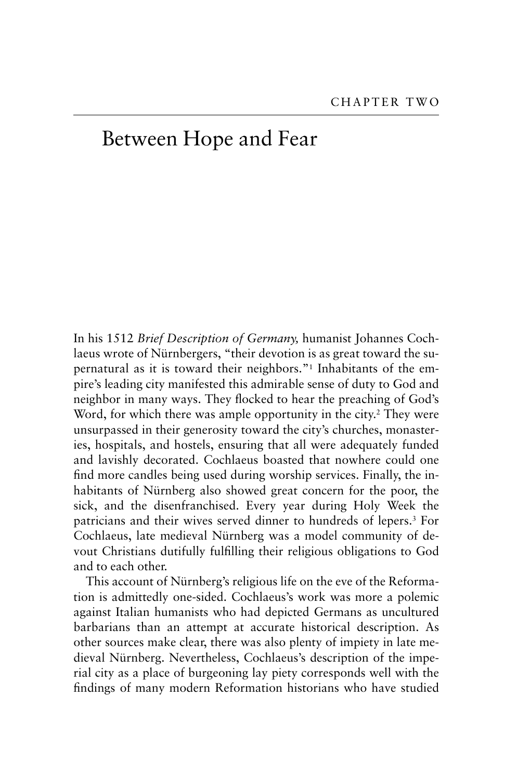### Between Hope and Fear

In his 1512 *Brief Description of Germany,* humanist Johannes Cochlaeus wrote of Nürnbergers, "their devotion is as great toward the supernatural as it is toward their neighbors."1 Inhabitants of the empire's leading city manifested this admirable sense of duty to God and neighbor in many ways. They flocked to hear the preaching of God's Word, for which there was ample opportunity in the city.<sup>2</sup> They were unsurpassed in their generosity toward the city's churches, monasteries, hospitals, and hostels, ensuring that all were adequately funded and lavishly decorated. Cochlaeus boasted that nowhere could one find more candles being used during worship services. Finally, the inhabitants of Nürnberg also showed great concern for the poor, the sick, and the disenfranchised. Every year during Holy Week the patricians and their wives served dinner to hundreds of lepers.3 For Cochlaeus, late medieval Nürnberg was a model community of devout Christians dutifully fulfilling their religious obligations to God and to each other.

This account of Nürnberg's religious life on the eve of the Reformation is admittedly one-sided. Cochlaeus's work was more a polemic against Italian humanists who had depicted Germans as uncultured barbarians than an attempt at accurate historical description. As other sources make clear, there was also plenty of impiety in late medieval Nürnberg. Nevertheless, Cochlaeus's description of the imperial city as a place of burgeoning lay piety corresponds well with the findings of many modern Reformation historians who have studied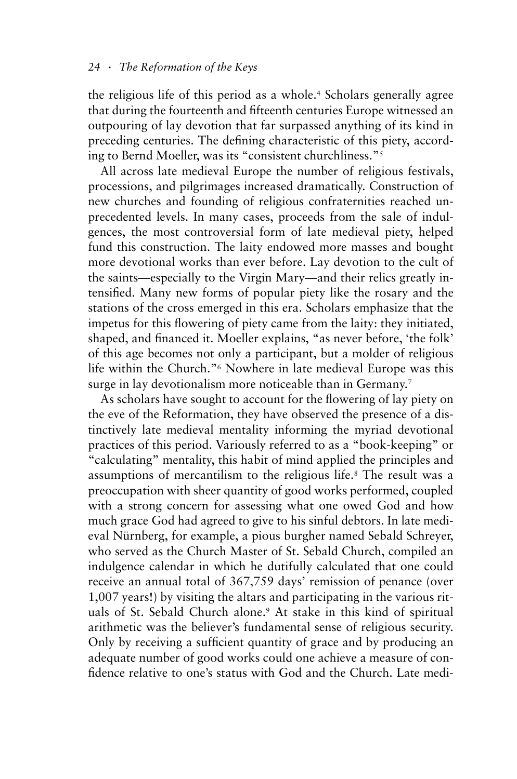the religious life of this period as a whole.<sup>4</sup> Scholars generally agree that during the fourteenth and fifteenth centuries Europe witnessed an outpouring of lay devotion that far surpassed anything of its kind in preceding centuries. The defining characteristic of this piety, according to Bernd Moeller, was its "consistent churchliness."5

All across late medieval Europe the number of religious festivals, processions, and pilgrimages increased dramatically. Construction of new churches and founding of religious confraternities reached unprecedented levels. In many cases, proceeds from the sale of indulgences, the most controversial form of late medieval piety, helped fund this construction. The laity endowed more masses and bought more devotional works than ever before. Lay devotion to the cult of the saints—especially to the Virgin Mary—and their relics greatly intensified. Many new forms of popular piety like the rosary and the stations of the cross emerged in this era. Scholars emphasize that the impetus for this flowering of piety came from the laity: they initiated, shaped, and financed it. Moeller explains, "as never before, 'the folk' of this age becomes not only a participant, but a molder of religious life within the Church."6 Nowhere in late medieval Europe was this surge in lay devotionalism more noticeable than in Germany.<sup>7</sup>

As scholars have sought to account for the flowering of lay piety on the eve of the Reformation, they have observed the presence of a distinctively late medieval mentality informing the myriad devotional practices of this period. Variously referred to as a "book-keeping" or "calculating" mentality, this habit of mind applied the principles and assumptions of mercantilism to the religious life.8 The result was a preoccupation with sheer quantity of good works performed, coupled with a strong concern for assessing what one owed God and how much grace God had agreed to give to his sinful debtors. In late medieval Nürnberg, for example, a pious burgher named Sebald Schreyer, who served as the Church Master of St. Sebald Church, compiled an indulgence calendar in which he dutifully calculated that one could receive an annual total of 367,759 days' remission of penance (over 1,007 years!) by visiting the altars and participating in the various rituals of St. Sebald Church alone.<sup>9</sup> At stake in this kind of spiritual arithmetic was the believer's fundamental sense of religious security. Only by receiving a sufficient quantity of grace and by producing an adequate number of good works could one achieve a measure of confidence relative to one's status with God and the Church. Late medi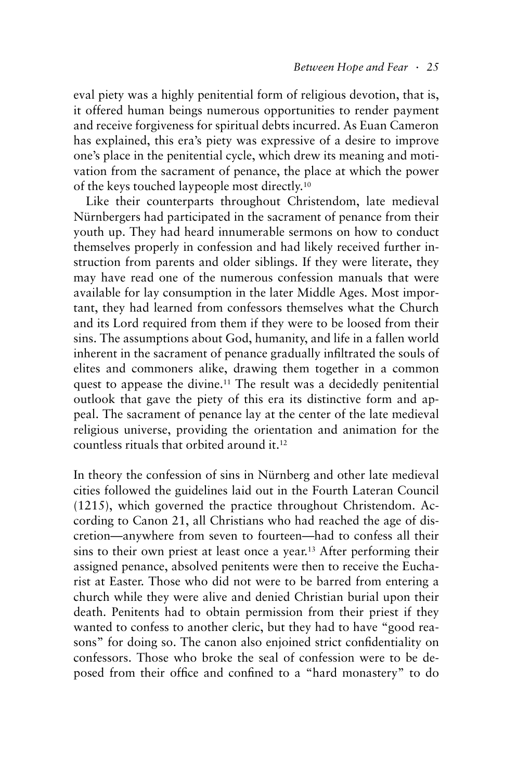eval piety was a highly penitential form of religious devotion, that is, it offered human beings numerous opportunities to render payment and receive forgiveness for spiritual debts incurred. As Euan Cameron has explained, this era's piety was expressive of a desire to improve one's place in the penitential cycle, which drew its meaning and motivation from the sacrament of penance, the place at which the power of the keys touched laypeople most directly.10

Like their counterparts throughout Christendom, late medieval Nürnbergers had participated in the sacrament of penance from their youth up. They had heard innumerable sermons on how to conduct themselves properly in confession and had likely received further instruction from parents and older siblings. If they were literate, they may have read one of the numerous confession manuals that were available for lay consumption in the later Middle Ages. Most important, they had learned from confessors themselves what the Church and its Lord required from them if they were to be loosed from their sins. The assumptions about God, humanity, and life in a fallen world inherent in the sacrament of penance gradually infiltrated the souls of elites and commoners alike, drawing them together in a common quest to appease the divine.11 The result was a decidedly penitential outlook that gave the piety of this era its distinctive form and appeal. The sacrament of penance lay at the center of the late medieval religious universe, providing the orientation and animation for the countless rituals that orbited around it.12

In theory the confession of sins in Nürnberg and other late medieval cities followed the guidelines laid out in the Fourth Lateran Council (1215), which governed the practice throughout Christendom. According to Canon 21, all Christians who had reached the age of discretion—anywhere from seven to fourteen—had to confess all their sins to their own priest at least once a year.13 After performing their assigned penance, absolved penitents were then to receive the Eucharist at Easter. Those who did not were to be barred from entering a church while they were alive and denied Christian burial upon their death. Penitents had to obtain permission from their priest if they wanted to confess to another cleric, but they had to have "good reasons" for doing so. The canon also enjoined strict confidentiality on confessors. Those who broke the seal of confession were to be deposed from their office and confined to a "hard monastery" to do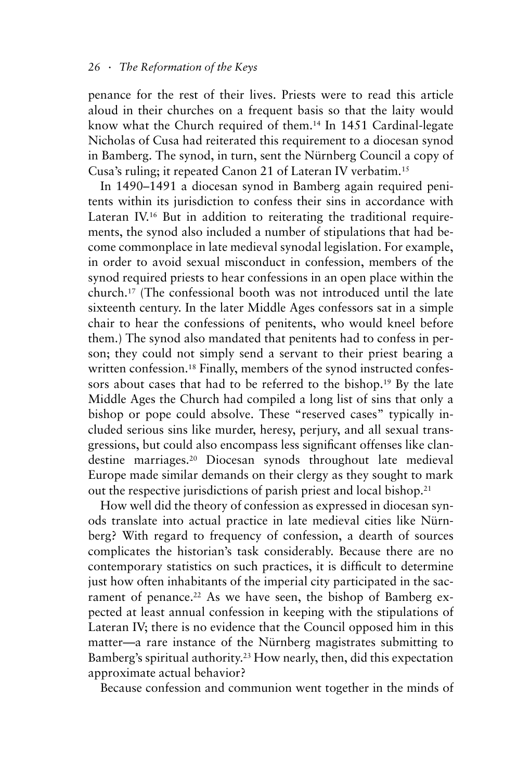penance for the rest of their lives. Priests were to read this article aloud in their churches on a frequent basis so that the laity would know what the Church required of them.14 In 1451 Cardinal-legate Nicholas of Cusa had reiterated this requirement to a diocesan synod in Bamberg. The synod, in turn, sent the Nürnberg Council a copy of Cusa's ruling; it repeated Canon 21 of Lateran IV verbatim.15

In 1490–1491 a diocesan synod in Bamberg again required penitents within its jurisdiction to confess their sins in accordance with Lateran IV.16 But in addition to reiterating the traditional requirements, the synod also included a number of stipulations that had become commonplace in late medieval synodal legislation. For example, in order to avoid sexual misconduct in confession, members of the synod required priests to hear confessions in an open place within the church.17 (The confessional booth was not introduced until the late sixteenth century. In the later Middle Ages confessors sat in a simple chair to hear the confessions of penitents, who would kneel before them.) The synod also mandated that penitents had to confess in person; they could not simply send a servant to their priest bearing a written confession.<sup>18</sup> Finally, members of the synod instructed confessors about cases that had to be referred to the bishop.<sup>19</sup> By the late Middle Ages the Church had compiled a long list of sins that only a bishop or pope could absolve. These "reserved cases" typically included serious sins like murder, heresy, perjury, and all sexual transgressions, but could also encompass less significant offenses like clandestine marriages.20 Diocesan synods throughout late medieval Europe made similar demands on their clergy as they sought to mark out the respective jurisdictions of parish priest and local bishop.21

How well did the theory of confession as expressed in diocesan synods translate into actual practice in late medieval cities like Nürnberg? With regard to frequency of confession, a dearth of sources complicates the historian's task considerably. Because there are no contemporary statistics on such practices, it is difficult to determine just how often inhabitants of the imperial city participated in the sacrament of penance.<sup>22</sup> As we have seen, the bishop of Bamberg expected at least annual confession in keeping with the stipulations of Lateran IV; there is no evidence that the Council opposed him in this matter—a rare instance of the Nürnberg magistrates submitting to Bamberg's spiritual authority.23 How nearly, then, did this expectation approximate actual behavior?

Because confession and communion went together in the minds of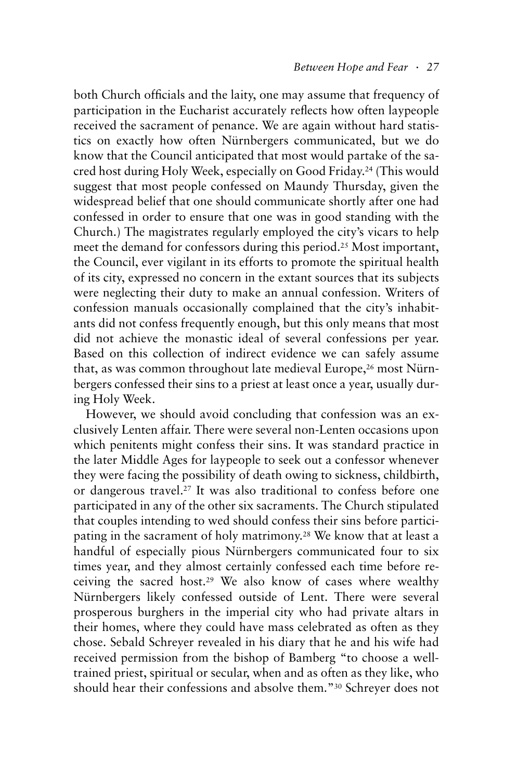both Church officials and the laity, one may assume that frequency of participation in the Eucharist accurately reflects how often laypeople received the sacrament of penance. We are again without hard statistics on exactly how often Nürnbergers communicated, but we do know that the Council anticipated that most would partake of the sacred host during Holy Week, especially on Good Friday.24 (This would suggest that most people confessed on Maundy Thursday, given the widespread belief that one should communicate shortly after one had confessed in order to ensure that one was in good standing with the Church.) The magistrates regularly employed the city's vicars to help meet the demand for confessors during this period.<sup>25</sup> Most important, the Council, ever vigilant in its efforts to promote the spiritual health of its city, expressed no concern in the extant sources that its subjects were neglecting their duty to make an annual confession. Writers of confession manuals occasionally complained that the city's inhabitants did not confess frequently enough, but this only means that most did not achieve the monastic ideal of several confessions per year. Based on this collection of indirect evidence we can safely assume that, as was common throughout late medieval Europe,<sup>26</sup> most Nürnbergers confessed their sins to a priest at least once a year, usually during Holy Week.

However, we should avoid concluding that confession was an exclusively Lenten affair. There were several non-Lenten occasions upon which penitents might confess their sins. It was standard practice in the later Middle Ages for laypeople to seek out a confessor whenever they were facing the possibility of death owing to sickness, childbirth, or dangerous travel.27 It was also traditional to confess before one participated in any of the other six sacraments. The Church stipulated that couples intending to wed should confess their sins before participating in the sacrament of holy matrimony.28 We know that at least a handful of especially pious Nürnbergers communicated four to six times year, and they almost certainly confessed each time before receiving the sacred host.29 We also know of cases where wealthy Nürnbergers likely confessed outside of Lent. There were several prosperous burghers in the imperial city who had private altars in their homes, where they could have mass celebrated as often as they chose. Sebald Schreyer revealed in his diary that he and his wife had received permission from the bishop of Bamberg "to choose a welltrained priest, spiritual or secular, when and as often as they like, who should hear their confessions and absolve them."30 Schreyer does not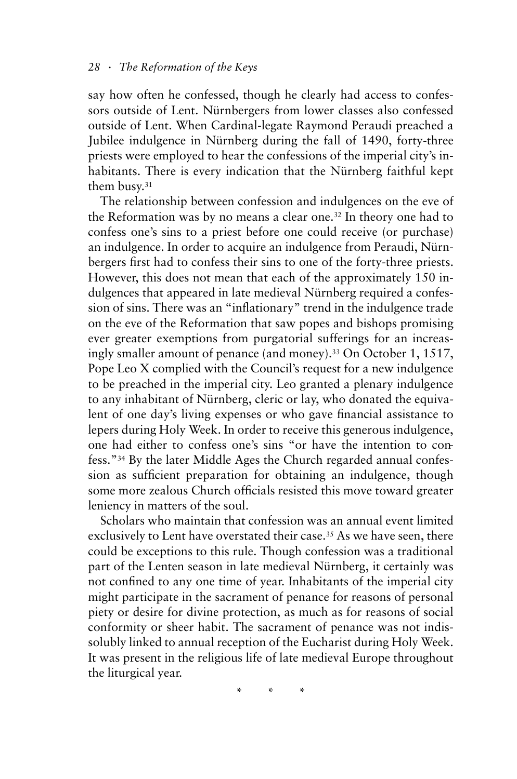say how often he confessed, though he clearly had access to confessors outside of Lent. Nürnbergers from lower classes also confessed outside of Lent. When Cardinal-legate Raymond Peraudi preached a Jubilee indulgence in Nürnberg during the fall of 1490, forty-three priests were employed to hear the confessions of the imperial city's inhabitants. There is every indication that the Nürnberg faithful kept them busy.31

The relationship between confession and indulgences on the eve of the Reformation was by no means a clear one.32 In theory one had to confess one's sins to a priest before one could receive (or purchase) an indulgence. In order to acquire an indulgence from Peraudi, Nürnbergers first had to confess their sins to one of the forty-three priests. However, this does not mean that each of the approximately 150 indulgences that appeared in late medieval Nürnberg required a confession of sins. There was an "inflationary" trend in the indulgence trade on the eve of the Reformation that saw popes and bishops promising ever greater exemptions from purgatorial sufferings for an increasingly smaller amount of penance (and money).33 On October 1, 1517, Pope Leo X complied with the Council's request for a new indulgence to be preached in the imperial city. Leo granted a plenary indulgence to any inhabitant of Nürnberg, cleric or lay, who donated the equivalent of one day's living expenses or who gave financial assistance to lepers during Holy Week. In order to receive this generous indulgence, one had either to confess one's sins "or have the intention to confess."34 By the later Middle Ages the Church regarded annual confession as sufficient preparation for obtaining an indulgence, though some more zealous Church officials resisted this move toward greater leniency in matters of the soul.

Scholars who maintain that confession was an annual event limited exclusively to Lent have overstated their case.<sup>35</sup> As we have seen, there could be exceptions to this rule. Though confession was a traditional part of the Lenten season in late medieval Nürnberg, it certainly was not confined to any one time of year. Inhabitants of the imperial city might participate in the sacrament of penance for reasons of personal piety or desire for divine protection, as much as for reasons of social conformity or sheer habit. The sacrament of penance was not indissolubly linked to annual reception of the Eucharist during Holy Week. It was present in the religious life of late medieval Europe throughout the liturgical year.

\* \* \*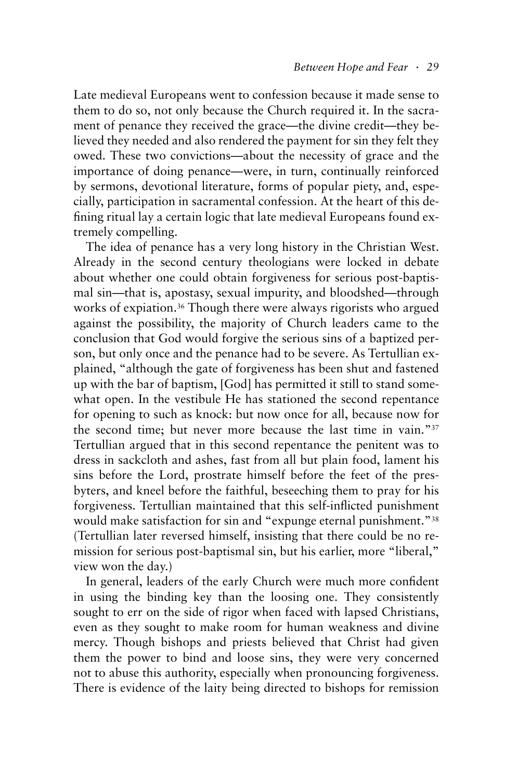Late medieval Europeans went to confession because it made sense to them to do so, not only because the Church required it. In the sacrament of penance they received the grace—the divine credit—they believed they needed and also rendered the payment for sin they felt they owed. These two convictions—about the necessity of grace and the importance of doing penance—were, in turn, continually reinforced by sermons, devotional literature, forms of popular piety, and, especially, participation in sacramental confession. At the heart of this defining ritual lay a certain logic that late medieval Europeans found extremely compelling.

The idea of penance has a very long history in the Christian West. Already in the second century theologians were locked in debate about whether one could obtain forgiveness for serious post-baptismal sin—that is, apostasy, sexual impurity, and bloodshed—through works of expiation.36 Though there were always rigorists who argued against the possibility, the majority of Church leaders came to the conclusion that God would forgive the serious sins of a baptized person, but only once and the penance had to be severe. As Tertullian explained, "although the gate of forgiveness has been shut and fastened up with the bar of baptism, [God] has permitted it still to stand somewhat open. In the vestibule He has stationed the second repentance for opening to such as knock: but now once for all, because now for the second time; but never more because the last time in vain."37 Tertullian argued that in this second repentance the penitent was to dress in sackcloth and ashes, fast from all but plain food, lament his sins before the Lord, prostrate himself before the feet of the presbyters, and kneel before the faithful, beseeching them to pray for his forgiveness. Tertullian maintained that this self-inflicted punishment would make satisfaction for sin and "expunge eternal punishment."<sup>38</sup> (Tertullian later reversed himself, insisting that there could be no remission for serious post-baptismal sin, but his earlier, more "liberal," view won the day.)

In general, leaders of the early Church were much more confident in using the binding key than the loosing one. They consistently sought to err on the side of rigor when faced with lapsed Christians, even as they sought to make room for human weakness and divine mercy. Though bishops and priests believed that Christ had given them the power to bind and loose sins, they were very concerned not to abuse this authority, especially when pronouncing forgiveness. There is evidence of the laity being directed to bishops for remission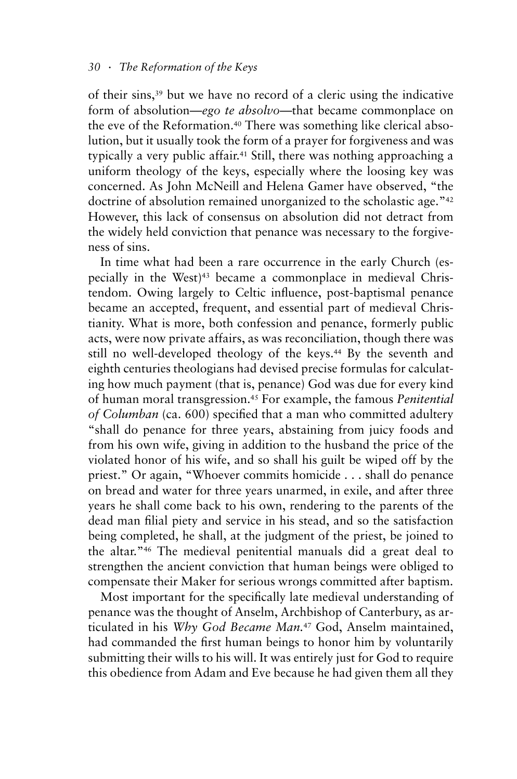of their sins,39 but we have no record of a cleric using the indicative form of absolution—*ego te absolvo*—that became commonplace on the eve of the Reformation.<sup>40</sup> There was something like clerical absolution, but it usually took the form of a prayer for forgiveness and was typically a very public affair.<sup>41</sup> Still, there was nothing approaching a uniform theology of the keys, especially where the loosing key was concerned. As John McNeill and Helena Gamer have observed, "the doctrine of absolution remained unorganized to the scholastic age."42 However, this lack of consensus on absolution did not detract from the widely held conviction that penance was necessary to the forgiveness of sins.

In time what had been a rare occurrence in the early Church (especially in the West)43 became a commonplace in medieval Christendom. Owing largely to Celtic influence, post-baptismal penance became an accepted, frequent, and essential part of medieval Christianity. What is more, both confession and penance, formerly public acts, were now private affairs, as was reconciliation, though there was still no well-developed theology of the keys.44 By the seventh and eighth centuries theologians had devised precise formulas for calculating how much payment (that is, penance) God was due for every kind of human moral transgression.45 For example, the famous *Penitential of Columban* (ca. 600) specified that a man who committed adultery "shall do penance for three years, abstaining from juicy foods and from his own wife, giving in addition to the husband the price of the violated honor of his wife, and so shall his guilt be wiped off by the priest." Or again, "Whoever commits homicide . . . shall do penance on bread and water for three years unarmed, in exile, and after three years he shall come back to his own, rendering to the parents of the dead man filial piety and service in his stead, and so the satisfaction being completed, he shall, at the judgment of the priest, be joined to the altar."46 The medieval penitential manuals did a great deal to strengthen the ancient conviction that human beings were obliged to compensate their Maker for serious wrongs committed after baptism.

Most important for the specifically late medieval understanding of penance was the thought of Anselm, Archbishop of Canterbury, as articulated in his *Why God Became Man.*<sup>47</sup> God, Anselm maintained, had commanded the first human beings to honor him by voluntarily submitting their wills to his will. It was entirely just for God to require this obedience from Adam and Eve because he had given them all they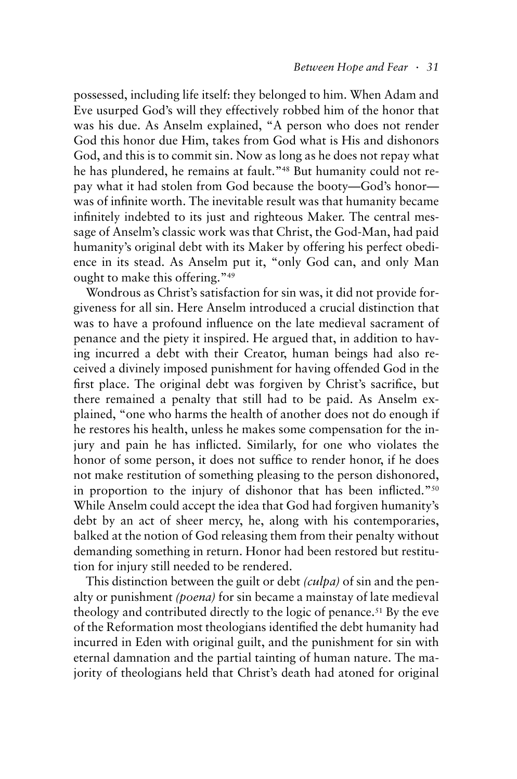possessed, including life itself: they belonged to him. When Adam and Eve usurped God's will they effectively robbed him of the honor that was his due. As Anselm explained, "A person who does not render God this honor due Him, takes from God what is His and dishonors God, and this is to commit sin. Now as long as he does not repay what he has plundered, he remains at fault."48 But humanity could not repay what it had stolen from God because the booty—God's honor was of infinite worth. The inevitable result was that humanity became infinitely indebted to its just and righteous Maker. The central message of Anselm's classic work was that Christ, the God-Man, had paid humanity's original debt with its Maker by offering his perfect obedience in its stead. As Anselm put it, "only God can, and only Man ought to make this offering."49

Wondrous as Christ's satisfaction for sin was, it did not provide forgiveness for all sin. Here Anselm introduced a crucial distinction that was to have a profound influence on the late medieval sacrament of penance and the piety it inspired. He argued that, in addition to having incurred a debt with their Creator, human beings had also received a divinely imposed punishment for having offended God in the first place. The original debt was forgiven by Christ's sacrifice, but there remained a penalty that still had to be paid. As Anselm explained, "one who harms the health of another does not do enough if he restores his health, unless he makes some compensation for the injury and pain he has inflicted. Similarly, for one who violates the honor of some person, it does not suffice to render honor, if he does not make restitution of something pleasing to the person dishonored, in proportion to the injury of dishonor that has been inflicted."50 While Anselm could accept the idea that God had forgiven humanity's debt by an act of sheer mercy, he, along with his contemporaries, balked at the notion of God releasing them from their penalty without demanding something in return. Honor had been restored but restitution for injury still needed to be rendered.

This distinction between the guilt or debt *(culpa)* of sin and the penalty or punishment *(poena)* for sin became a mainstay of late medieval theology and contributed directly to the logic of penance.51 By the eve of the Reformation most theologians identified the debt humanity had incurred in Eden with original guilt, and the punishment for sin with eternal damnation and the partial tainting of human nature. The majority of theologians held that Christ's death had atoned for original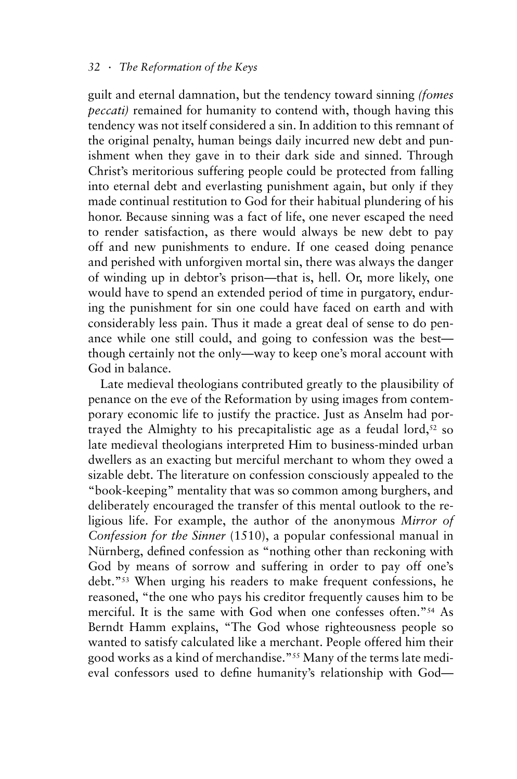## *32 • The Reformation of the Keys*

guilt and eternal damnation, but the tendency toward sinning *(fomes peccati)* remained for humanity to contend with, though having this tendency was not itself considered a sin. In addition to this remnant of the original penalty, human beings daily incurred new debt and punishment when they gave in to their dark side and sinned. Through Christ's meritorious suffering people could be protected from falling into eternal debt and everlasting punishment again, but only if they made continual restitution to God for their habitual plundering of his honor. Because sinning was a fact of life, one never escaped the need to render satisfaction, as there would always be new debt to pay off and new punishments to endure. If one ceased doing penance and perished with unforgiven mortal sin, there was always the danger of winding up in debtor's prison—that is, hell. Or, more likely, one would have to spend an extended period of time in purgatory, enduring the punishment for sin one could have faced on earth and with considerably less pain. Thus it made a great deal of sense to do penance while one still could, and going to confession was the best though certainly not the only—way to keep one's moral account with God in balance.

Late medieval theologians contributed greatly to the plausibility of penance on the eve of the Reformation by using images from contemporary economic life to justify the practice. Just as Anselm had portrayed the Almighty to his precapitalistic age as a feudal  $\text{Iord},^{52}$  so late medieval theologians interpreted Him to business-minded urban dwellers as an exacting but merciful merchant to whom they owed a sizable debt. The literature on confession consciously appealed to the "book-keeping" mentality that was so common among burghers, and deliberately encouraged the transfer of this mental outlook to the religious life. For example, the author of the anonymous *Mirror of Confession for the Sinner* (1510), a popular confessional manual in Nürnberg, defined confession as "nothing other than reckoning with God by means of sorrow and suffering in order to pay off one's debt."53 When urging his readers to make frequent confessions, he reasoned, "the one who pays his creditor frequently causes him to be merciful. It is the same with God when one confesses often."54 As Berndt Hamm explains, "The God whose righteousness people so wanted to satisfy calculated like a merchant. People offered him their good works as a kind of merchandise."55 Many of the terms late medieval confessors used to define humanity's relationship with God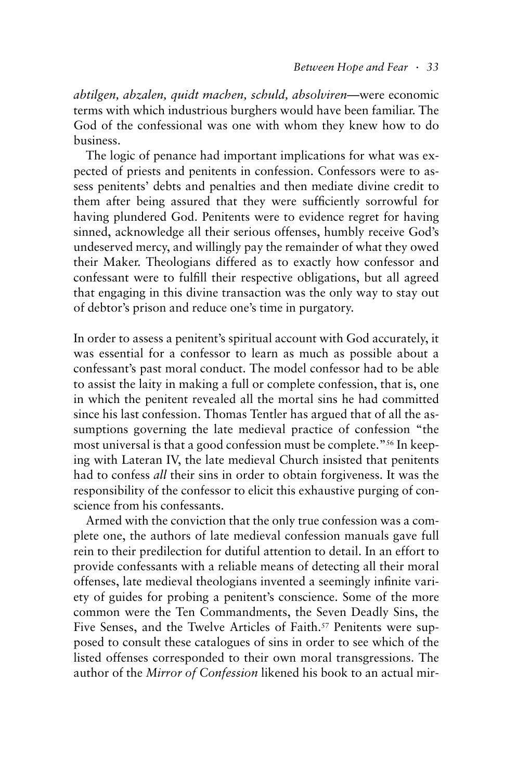*abtilgen, abzalen, quidt machen, schuld, absolviren*—were economic terms with which industrious burghers would have been familiar. The God of the confessional was one with whom they knew how to do business.

The logic of penance had important implications for what was expected of priests and penitents in confession. Confessors were to assess penitents' debts and penalties and then mediate divine credit to them after being assured that they were sufficiently sorrowful for having plundered God. Penitents were to evidence regret for having sinned, acknowledge all their serious offenses, humbly receive God's undeserved mercy, and willingly pay the remainder of what they owed their Maker. Theologians differed as to exactly how confessor and confessant were to fulfill their respective obligations, but all agreed that engaging in this divine transaction was the only way to stay out of debtor's prison and reduce one's time in purgatory.

In order to assess a penitent's spiritual account with God accurately, it was essential for a confessor to learn as much as possible about a confessant's past moral conduct. The model confessor had to be able to assist the laity in making a full or complete confession, that is, one in which the penitent revealed all the mortal sins he had committed since his last confession. Thomas Tentler has argued that of all the assumptions governing the late medieval practice of confession "the most universal is that a good confession must be complete."56 In keeping with Lateran IV, the late medieval Church insisted that penitents had to confess *all* their sins in order to obtain forgiveness. It was the responsibility of the confessor to elicit this exhaustive purging of conscience from his confessants.

Armed with the conviction that the only true confession was a complete one, the authors of late medieval confession manuals gave full rein to their predilection for dutiful attention to detail. In an effort to provide confessants with a reliable means of detecting all their moral offenses, late medieval theologians invented a seemingly infinite variety of guides for probing a penitent's conscience. Some of the more common were the Ten Commandments, the Seven Deadly Sins, the Five Senses, and the Twelve Articles of Faith.<sup>57</sup> Penitents were supposed to consult these catalogues of sins in order to see which of the listed offenses corresponded to their own moral transgressions. The author of the *Mirror of Confession* likened his book to an actual mir-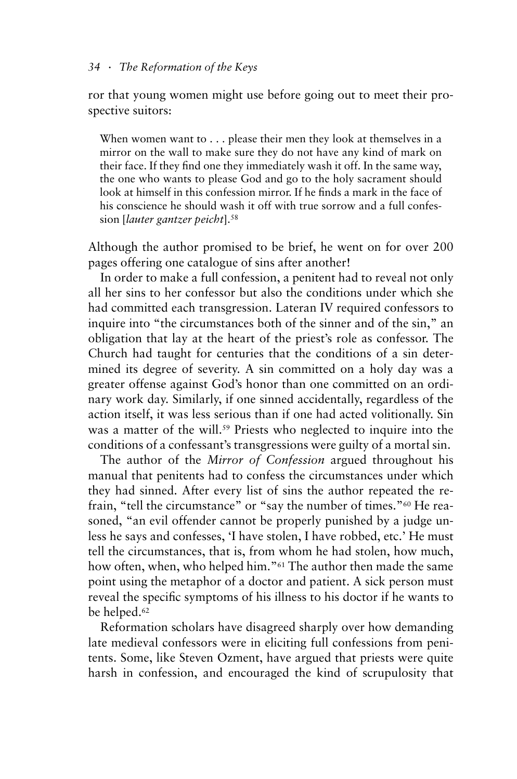#### *34 • The Reformation of the Keys*

ror that young women might use before going out to meet their prospective suitors:

When women want to . . . please their men they look at themselves in a mirror on the wall to make sure they do not have any kind of mark on their face. If they find one they immediately wash it off. In the same way, the one who wants to please God and go to the holy sacrament should look at himself in this confession mirror. If he finds a mark in the face of his conscience he should wash it off with true sorrow and a full confession [*lauter gantzer peicht*].58

Although the author promised to be brief, he went on for over 200 pages offering one catalogue of sins after another!

In order to make a full confession, a penitent had to reveal not only all her sins to her confessor but also the conditions under which she had committed each transgression. Lateran IV required confessors to inquire into "the circumstances both of the sinner and of the sin," an obligation that lay at the heart of the priest's role as confessor. The Church had taught for centuries that the conditions of a sin determined its degree of severity. A sin committed on a holy day was a greater offense against God's honor than one committed on an ordinary work day. Similarly, if one sinned accidentally, regardless of the action itself, it was less serious than if one had acted volitionally. Sin was a matter of the will.<sup>59</sup> Priests who neglected to inquire into the conditions of a confessant's transgressions were guilty of a mortal sin.

The author of the *Mirror of Confession* argued throughout his manual that penitents had to confess the circumstances under which they had sinned. After every list of sins the author repeated the refrain, "tell the circumstance" or "say the number of times."60 He reasoned, "an evil offender cannot be properly punished by a judge unless he says and confesses, 'I have stolen, I have robbed, etc.' He must tell the circumstances, that is, from whom he had stolen, how much, how often, when, who helped him."<sup>61</sup> The author then made the same point using the metaphor of a doctor and patient. A sick person must reveal the specific symptoms of his illness to his doctor if he wants to be helped.<sup>62</sup>

Reformation scholars have disagreed sharply over how demanding late medieval confessors were in eliciting full confessions from penitents. Some, like Steven Ozment, have argued that priests were quite harsh in confession, and encouraged the kind of scrupulosity that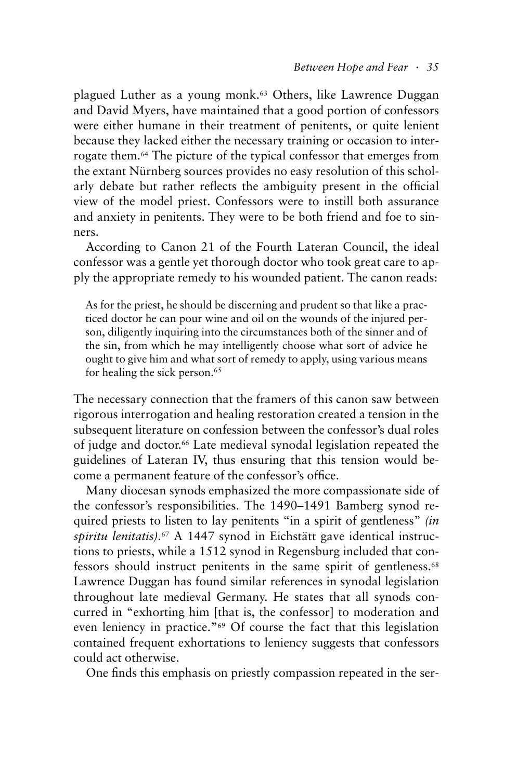plagued Luther as a young monk.63 Others, like Lawrence Duggan and David Myers, have maintained that a good portion of confessors were either humane in their treatment of penitents, or quite lenient because they lacked either the necessary training or occasion to interrogate them.64 The picture of the typical confessor that emerges from the extant Nürnberg sources provides no easy resolution of this scholarly debate but rather reflects the ambiguity present in the official view of the model priest. Confessors were to instill both assurance and anxiety in penitents. They were to be both friend and foe to sinners.

According to Canon 21 of the Fourth Lateran Council, the ideal confessor was a gentle yet thorough doctor who took great care to apply the appropriate remedy to his wounded patient. The canon reads:

As for the priest, he should be discerning and prudent so that like a practiced doctor he can pour wine and oil on the wounds of the injured person, diligently inquiring into the circumstances both of the sinner and of the sin, from which he may intelligently choose what sort of advice he ought to give him and what sort of remedy to apply, using various means for healing the sick person.<sup>65</sup>

The necessary connection that the framers of this canon saw between rigorous interrogation and healing restoration created a tension in the subsequent literature on confession between the confessor's dual roles of judge and doctor.66 Late medieval synodal legislation repeated the guidelines of Lateran IV, thus ensuring that this tension would become a permanent feature of the confessor's office.

Many diocesan synods emphasized the more compassionate side of the confessor's responsibilities. The 1490–1491 Bamberg synod required priests to listen to lay penitents "in a spirit of gentleness" *(in spiritu lenitatis).*<sup>67</sup> A 1447 synod in Eichstätt gave identical instructions to priests, while a 1512 synod in Regensburg included that confessors should instruct penitents in the same spirit of gentleness.<sup>68</sup> Lawrence Duggan has found similar references in synodal legislation throughout late medieval Germany. He states that all synods concurred in "exhorting him [that is, the confessor] to moderation and even leniency in practice."69 Of course the fact that this legislation contained frequent exhortations to leniency suggests that confessors could act otherwise.

One finds this emphasis on priestly compassion repeated in the ser-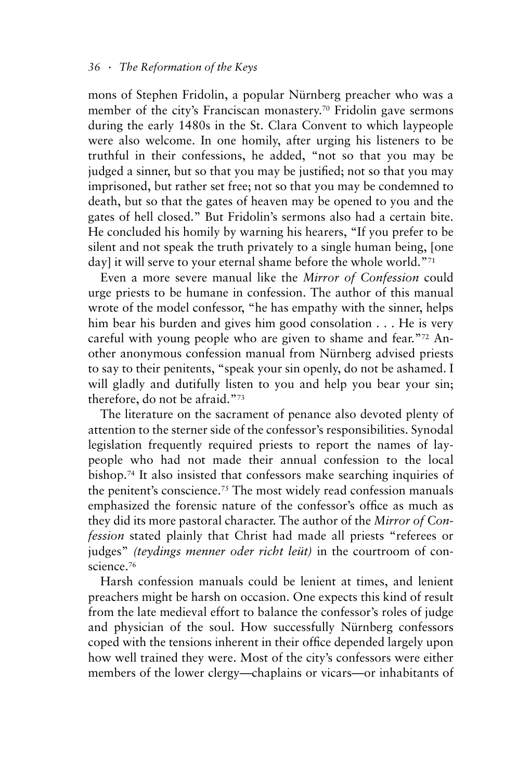mons of Stephen Fridolin, a popular Nürnberg preacher who was a member of the city's Franciscan monastery.<sup>70</sup> Fridolin gave sermons during the early 1480s in the St. Clara Convent to which laypeople were also welcome. In one homily, after urging his listeners to be truthful in their confessions, he added, "not so that you may be judged a sinner, but so that you may be justified; not so that you may imprisoned, but rather set free; not so that you may be condemned to death, but so that the gates of heaven may be opened to you and the gates of hell closed." But Fridolin's sermons also had a certain bite. He concluded his homily by warning his hearers, "If you prefer to be silent and not speak the truth privately to a single human being, [one day] it will serve to your eternal shame before the whole world."<sup>71</sup>

Even a more severe manual like the *Mirror of Confession* could urge priests to be humane in confession. The author of this manual wrote of the model confessor, "he has empathy with the sinner, helps him bear his burden and gives him good consolation . . . He is very careful with young people who are given to shame and fear."72 Another anonymous confession manual from Nürnberg advised priests to say to their penitents, "speak your sin openly, do not be ashamed. I will gladly and dutifully listen to you and help you bear your sin; therefore, do not be afraid."73

The literature on the sacrament of penance also devoted plenty of attention to the sterner side of the confessor's responsibilities. Synodal legislation frequently required priests to report the names of laypeople who had not made their annual confession to the local bishop.74 It also insisted that confessors make searching inquiries of the penitent's conscience.75 The most widely read confession manuals emphasized the forensic nature of the confessor's office as much as they did its more pastoral character. The author of the *Mirror of Confession* stated plainly that Christ had made all priests "referees or judges" *(teydings menner oder richt leüt)* in the courtroom of conscience.76

Harsh confession manuals could be lenient at times, and lenient preachers might be harsh on occasion. One expects this kind of result from the late medieval effort to balance the confessor's roles of judge and physician of the soul. How successfully Nürnberg confessors coped with the tensions inherent in their office depended largely upon how well trained they were. Most of the city's confessors were either members of the lower clergy—chaplains or vicars—or inhabitants of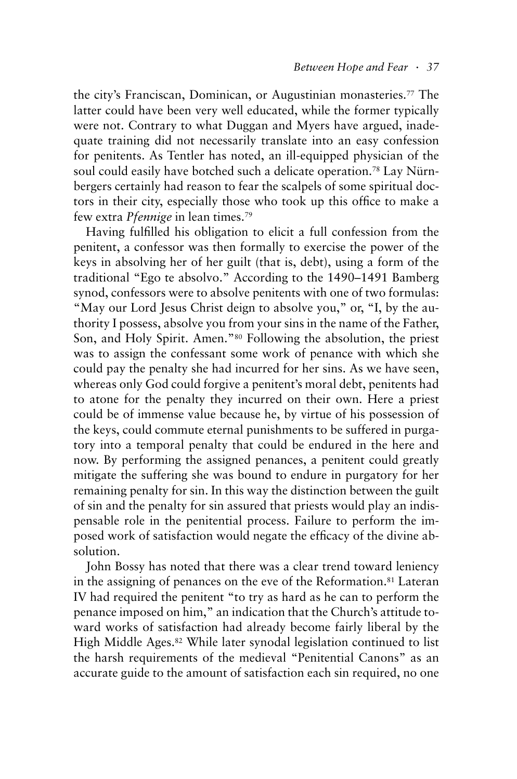the city's Franciscan, Dominican, or Augustinian monasteries.77 The latter could have been very well educated, while the former typically were not. Contrary to what Duggan and Myers have argued, inadequate training did not necessarily translate into an easy confession for penitents. As Tentler has noted, an ill-equipped physician of the soul could easily have botched such a delicate operation.<sup>78</sup> Lay Nürnbergers certainly had reason to fear the scalpels of some spiritual doctors in their city, especially those who took up this office to make a few extra *Pfennige* in lean times.79

Having fulfilled his obligation to elicit a full confession from the penitent, a confessor was then formally to exercise the power of the keys in absolving her of her guilt (that is, debt), using a form of the traditional "Ego te absolvo." According to the 1490–1491 Bamberg synod, confessors were to absolve penitents with one of two formulas: "May our Lord Jesus Christ deign to absolve you," or, "I, by the authority I possess, absolve you from your sins in the name of the Father, Son, and Holy Spirit. Amen."80 Following the absolution, the priest was to assign the confessant some work of penance with which she could pay the penalty she had incurred for her sins. As we have seen, whereas only God could forgive a penitent's moral debt, penitents had to atone for the penalty they incurred on their own. Here a priest could be of immense value because he, by virtue of his possession of the keys, could commute eternal punishments to be suffered in purgatory into a temporal penalty that could be endured in the here and now. By performing the assigned penances, a penitent could greatly mitigate the suffering she was bound to endure in purgatory for her remaining penalty for sin. In this way the distinction between the guilt of sin and the penalty for sin assured that priests would play an indispensable role in the penitential process. Failure to perform the imposed work of satisfaction would negate the efficacy of the divine absolution.

John Bossy has noted that there was a clear trend toward leniency in the assigning of penances on the eve of the Reformation.81 Lateran IV had required the penitent "to try as hard as he can to perform the penance imposed on him," an indication that the Church's attitude toward works of satisfaction had already become fairly liberal by the High Middle Ages.<sup>82</sup> While later synodal legislation continued to list the harsh requirements of the medieval "Penitential Canons" as an accurate guide to the amount of satisfaction each sin required, no one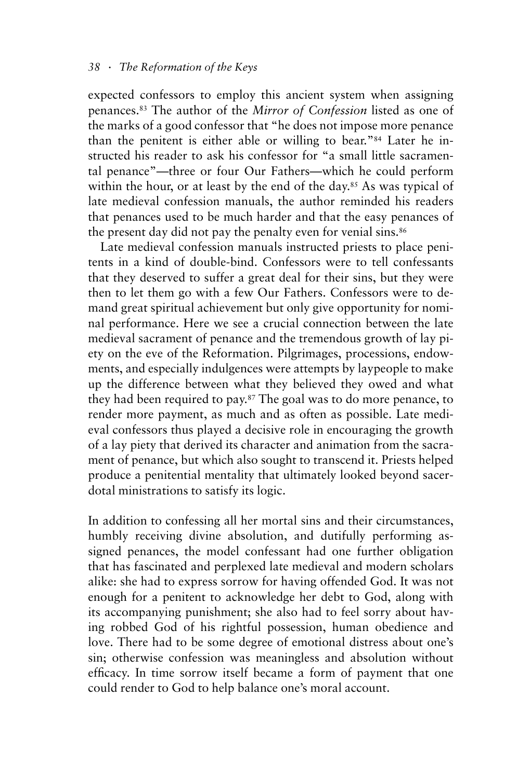expected confessors to employ this ancient system when assigning penances.83 The author of the *Mirror of Confession* listed as one of the marks of a good confessor that "he does not impose more penance than the penitent is either able or willing to bear."84 Later he instructed his reader to ask his confessor for "a small little sacramental penance"—three or four Our Fathers—which he could perform within the hour, or at least by the end of the day.<sup>85</sup> As was typical of late medieval confession manuals, the author reminded his readers that penances used to be much harder and that the easy penances of the present day did not pay the penalty even for venial sins.<sup>86</sup>

Late medieval confession manuals instructed priests to place penitents in a kind of double-bind. Confessors were to tell confessants that they deserved to suffer a great deal for their sins, but they were then to let them go with a few Our Fathers. Confessors were to demand great spiritual achievement but only give opportunity for nominal performance. Here we see a crucial connection between the late medieval sacrament of penance and the tremendous growth of lay piety on the eve of the Reformation. Pilgrimages, processions, endowments, and especially indulgences were attempts by laypeople to make up the difference between what they believed they owed and what they had been required to pay.87 The goal was to do more penance, to render more payment, as much and as often as possible. Late medieval confessors thus played a decisive role in encouraging the growth of a lay piety that derived its character and animation from the sacrament of penance, but which also sought to transcend it. Priests helped produce a penitential mentality that ultimately looked beyond sacerdotal ministrations to satisfy its logic.

In addition to confessing all her mortal sins and their circumstances, humbly receiving divine absolution, and dutifully performing assigned penances, the model confessant had one further obligation that has fascinated and perplexed late medieval and modern scholars alike: she had to express sorrow for having offended God. It was not enough for a penitent to acknowledge her debt to God, along with its accompanying punishment; she also had to feel sorry about having robbed God of his rightful possession, human obedience and love. There had to be some degree of emotional distress about one's sin; otherwise confession was meaningless and absolution without efficacy. In time sorrow itself became a form of payment that one could render to God to help balance one's moral account.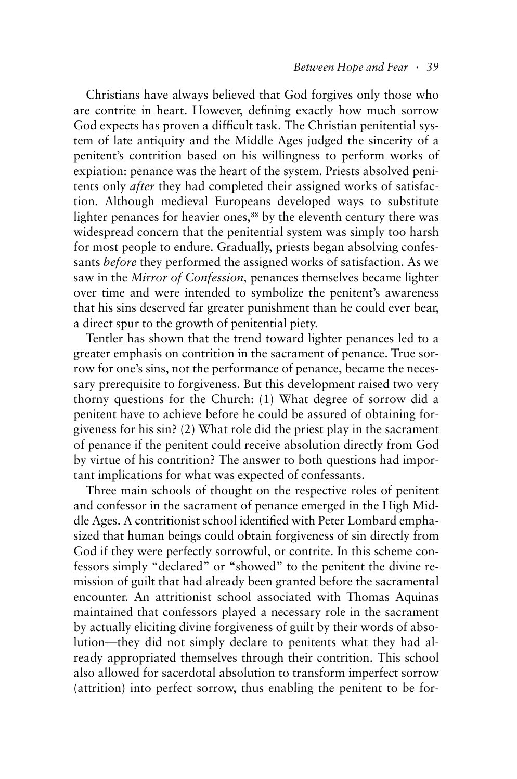Christians have always believed that God forgives only those who are contrite in heart. However, defining exactly how much sorrow God expects has proven a difficult task. The Christian penitential system of late antiquity and the Middle Ages judged the sincerity of a penitent's contrition based on his willingness to perform works of expiation: penance was the heart of the system. Priests absolved penitents only *after* they had completed their assigned works of satisfaction. Although medieval Europeans developed ways to substitute lighter penances for heavier ones,<sup>88</sup> by the eleventh century there was widespread concern that the penitential system was simply too harsh for most people to endure. Gradually, priests began absolving confessants *before* they performed the assigned works of satisfaction. As we saw in the *Mirror of Confession,* penances themselves became lighter over time and were intended to symbolize the penitent's awareness that his sins deserved far greater punishment than he could ever bear, a direct spur to the growth of penitential piety.

Tentler has shown that the trend toward lighter penances led to a greater emphasis on contrition in the sacrament of penance. True sorrow for one's sins, not the performance of penance, became the necessary prerequisite to forgiveness. But this development raised two very thorny questions for the Church: (1) What degree of sorrow did a penitent have to achieve before he could be assured of obtaining forgiveness for his sin? (2) What role did the priest play in the sacrament of penance if the penitent could receive absolution directly from God by virtue of his contrition? The answer to both questions had important implications for what was expected of confessants.

Three main schools of thought on the respective roles of penitent and confessor in the sacrament of penance emerged in the High Middle Ages. A contritionist school identified with Peter Lombard emphasized that human beings could obtain forgiveness of sin directly from God if they were perfectly sorrowful, or contrite. In this scheme confessors simply "declared" or "showed" to the penitent the divine remission of guilt that had already been granted before the sacramental encounter. An attritionist school associated with Thomas Aquinas maintained that confessors played a necessary role in the sacrament by actually eliciting divine forgiveness of guilt by their words of absolution—they did not simply declare to penitents what they had already appropriated themselves through their contrition. This school also allowed for sacerdotal absolution to transform imperfect sorrow (attrition) into perfect sorrow, thus enabling the penitent to be for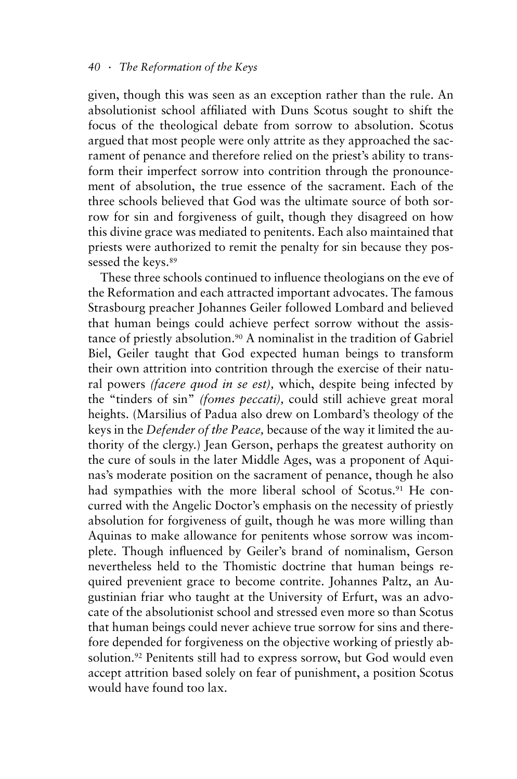given, though this was seen as an exception rather than the rule. An absolutionist school affiliated with Duns Scotus sought to shift the focus of the theological debate from sorrow to absolution. Scotus argued that most people were only attrite as they approached the sacrament of penance and therefore relied on the priest's ability to transform their imperfect sorrow into contrition through the pronouncement of absolution, the true essence of the sacrament. Each of the three schools believed that God was the ultimate source of both sorrow for sin and forgiveness of guilt, though they disagreed on how this divine grace was mediated to penitents. Each also maintained that priests were authorized to remit the penalty for sin because they possessed the keys.<sup>89</sup>

These three schools continued to influence theologians on the eve of the Reformation and each attracted important advocates. The famous Strasbourg preacher Johannes Geiler followed Lombard and believed that human beings could achieve perfect sorrow without the assistance of priestly absolution.90 A nominalist in the tradition of Gabriel Biel, Geiler taught that God expected human beings to transform their own attrition into contrition through the exercise of their natural powers *(facere quod in se est),* which, despite being infected by the "tinders of sin" *(fomes peccati),* could still achieve great moral heights. (Marsilius of Padua also drew on Lombard's theology of the keys in the *Defender of the Peace,* because of the way it limited the authority of the clergy.) Jean Gerson, perhaps the greatest authority on the cure of souls in the later Middle Ages, was a proponent of Aquinas's moderate position on the sacrament of penance, though he also had sympathies with the more liberal school of Scotus.<sup>91</sup> He concurred with the Angelic Doctor's emphasis on the necessity of priestly absolution for forgiveness of guilt, though he was more willing than Aquinas to make allowance for penitents whose sorrow was incomplete. Though influenced by Geiler's brand of nominalism, Gerson nevertheless held to the Thomistic doctrine that human beings required prevenient grace to become contrite. Johannes Paltz, an Augustinian friar who taught at the University of Erfurt, was an advocate of the absolutionist school and stressed even more so than Scotus that human beings could never achieve true sorrow for sins and therefore depended for forgiveness on the objective working of priestly absolution.<sup>92</sup> Penitents still had to express sorrow, but God would even accept attrition based solely on fear of punishment, a position Scotus would have found too lax.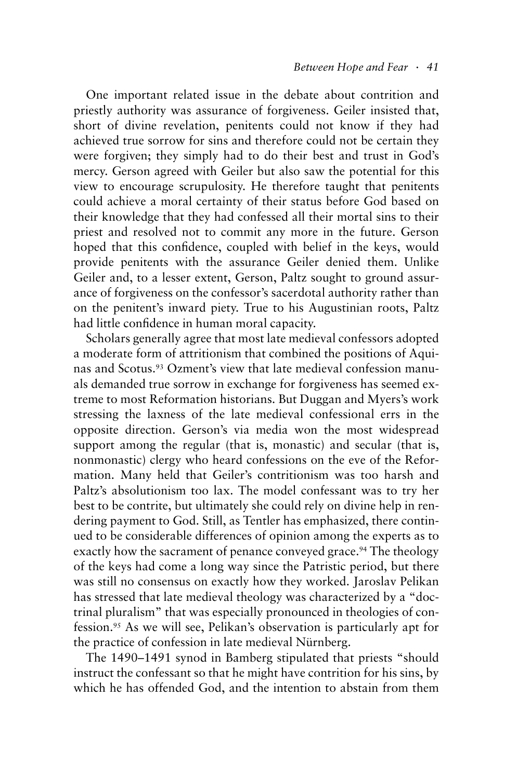One important related issue in the debate about contrition and priestly authority was assurance of forgiveness. Geiler insisted that, short of divine revelation, penitents could not know if they had achieved true sorrow for sins and therefore could not be certain they were forgiven; they simply had to do their best and trust in God's mercy. Gerson agreed with Geiler but also saw the potential for this view to encourage scrupulosity. He therefore taught that penitents could achieve a moral certainty of their status before God based on their knowledge that they had confessed all their mortal sins to their priest and resolved not to commit any more in the future. Gerson hoped that this confidence, coupled with belief in the keys, would provide penitents with the assurance Geiler denied them. Unlike Geiler and, to a lesser extent, Gerson, Paltz sought to ground assurance of forgiveness on the confessor's sacerdotal authority rather than on the penitent's inward piety. True to his Augustinian roots, Paltz had little confidence in human moral capacity.

Scholars generally agree that most late medieval confessors adopted a moderate form of attritionism that combined the positions of Aquinas and Scotus.93 Ozment's view that late medieval confession manuals demanded true sorrow in exchange for forgiveness has seemed extreme to most Reformation historians. But Duggan and Myers's work stressing the laxness of the late medieval confessional errs in the opposite direction. Gerson's via media won the most widespread support among the regular (that is, monastic) and secular (that is, nonmonastic) clergy who heard confessions on the eve of the Reformation. Many held that Geiler's contritionism was too harsh and Paltz's absolutionism too lax. The model confessant was to try her best to be contrite, but ultimately she could rely on divine help in rendering payment to God. Still, as Tentler has emphasized, there continued to be considerable differences of opinion among the experts as to exactly how the sacrament of penance conveyed grace.<sup>94</sup> The theology of the keys had come a long way since the Patristic period, but there was still no consensus on exactly how they worked. Jaroslav Pelikan has stressed that late medieval theology was characterized by a "doctrinal pluralism" that was especially pronounced in theologies of confession.95 As we will see, Pelikan's observation is particularly apt for the practice of confession in late medieval Nürnberg.

The 1490–1491 synod in Bamberg stipulated that priests "should instruct the confessant so that he might have contrition for his sins, by which he has offended God, and the intention to abstain from them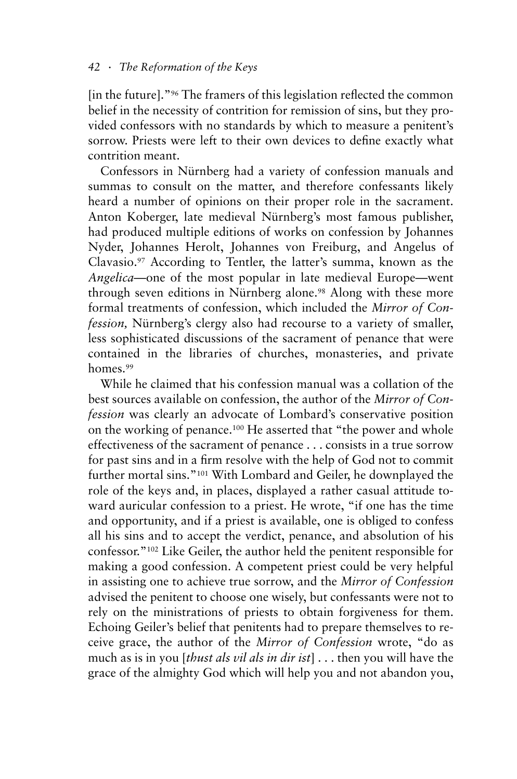[in the future]."96 The framers of this legislation reflected the common belief in the necessity of contrition for remission of sins, but they provided confessors with no standards by which to measure a penitent's sorrow. Priests were left to their own devices to define exactly what contrition meant.

Confessors in Nürnberg had a variety of confession manuals and summas to consult on the matter, and therefore confessants likely heard a number of opinions on their proper role in the sacrament. Anton Koberger, late medieval Nürnberg's most famous publisher, had produced multiple editions of works on confession by Johannes Nyder, Johannes Herolt, Johannes von Freiburg, and Angelus of Clavasio.97 According to Tentler, the latter's summa, known as the *Angelica*—one of the most popular in late medieval Europe—went through seven editions in Nürnberg alone.<sup>98</sup> Along with these more formal treatments of confession, which included the *Mirror of Confession,* Nürnberg's clergy also had recourse to a variety of smaller, less sophisticated discussions of the sacrament of penance that were contained in the libraries of churches, monasteries, and private homes.<sup>99</sup>

While he claimed that his confession manual was a collation of the best sources available on confession, the author of the *Mirror of Confession* was clearly an advocate of Lombard's conservative position on the working of penance.100 He asserted that "the power and whole effectiveness of the sacrament of penance... consists in a true sorrow for past sins and in a firm resolve with the help of God not to commit further mortal sins."101 With Lombard and Geiler, he downplayed the role of the keys and, in places, displayed a rather casual attitude toward auricular confession to a priest. He wrote, "if one has the time and opportunity, and if a priest is available, one is obliged to confess all his sins and to accept the verdict, penance, and absolution of his confessor."102 Like Geiler, the author held the penitent responsible for making a good confession. A competent priest could be very helpful in assisting one to achieve true sorrow, and the *Mirror of Confession* advised the penitent to choose one wisely, but confessants were not to rely on the ministrations of priests to obtain forgiveness for them. Echoing Geiler's belief that penitents had to prepare themselves to receive grace, the author of the *Mirror of Confession* wrote, "do as much as is in you [*thust als vil als in dir ist*]... then you will have the grace of the almighty God which will help you and not abandon you,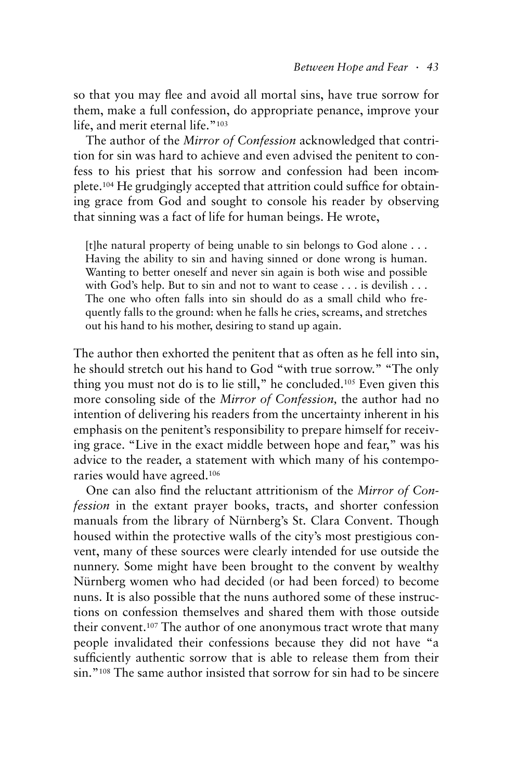so that you may flee and avoid all mortal sins, have true sorrow for them, make a full confession, do appropriate penance, improve your life, and merit eternal life."<sup>103</sup>

The author of the *Mirror of Confession* acknowledged that contrition for sin was hard to achieve and even advised the penitent to confess to his priest that his sorrow and confession had been incomplete.104 He grudgingly accepted that attrition could suffice for obtaining grace from God and sought to console his reader by observing that sinning was a fact of life for human beings. He wrote,

[t]he natural property of being unable to sin belongs to God alone . . . Having the ability to sin and having sinned or done wrong is human. Wanting to better oneself and never sin again is both wise and possible with God's help. But to sin and not to want to cease . . . is devilish . . . The one who often falls into sin should do as a small child who frequently falls to the ground: when he falls he cries, screams, and stretches out his hand to his mother, desiring to stand up again.

The author then exhorted the penitent that as often as he fell into sin, he should stretch out his hand to God "with true sorrow." "The only thing you must not do is to lie still," he concluded.105 Even given this more consoling side of the *Mirror of Confession,* the author had no intention of delivering his readers from the uncertainty inherent in his emphasis on the penitent's responsibility to prepare himself for receiving grace. "Live in the exact middle between hope and fear," was his advice to the reader, a statement with which many of his contemporaries would have agreed.106

One can also find the reluctant attritionism of the *Mirror of Confession* in the extant prayer books, tracts, and shorter confession manuals from the library of Nürnberg's St. Clara Convent. Though housed within the protective walls of the city's most prestigious convent, many of these sources were clearly intended for use outside the nunnery. Some might have been brought to the convent by wealthy Nürnberg women who had decided (or had been forced) to become nuns. It is also possible that the nuns authored some of these instructions on confession themselves and shared them with those outside their convent.107 The author of one anonymous tract wrote that many people invalidated their confessions because they did not have "a sufficiently authentic sorrow that is able to release them from their sin."108 The same author insisted that sorrow for sin had to be sincere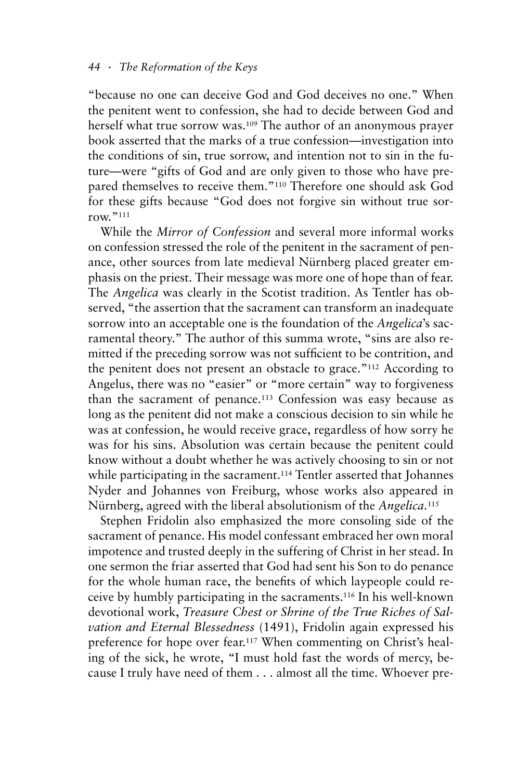"because no one can deceive God and God deceives no one." When the penitent went to confession, she had to decide between God and herself what true sorrow was.109 The author of an anonymous prayer book asserted that the marks of a true confession—investigation into the conditions of sin, true sorrow, and intention not to sin in the future—were "gifts of God and are only given to those who have prepared themselves to receive them."110 Therefore one should ask God for these gifts because "God does not forgive sin without true sorrow."111

While the *Mirror of Confession* and several more informal works on confession stressed the role of the penitent in the sacrament of penance, other sources from late medieval Nürnberg placed greater emphasis on the priest. Their message was more one of hope than of fear. The *Angelica* was clearly in the Scotist tradition. As Tentler has observed, "the assertion that the sacrament can transform an inadequate sorrow into an acceptable one is the foundation of the *Angelica*'s sacramental theory." The author of this summa wrote, "sins are also remitted if the preceding sorrow was not sufficient to be contrition, and the penitent does not present an obstacle to grace."112 According to Angelus, there was no "easier" or "more certain" way to forgiveness than the sacrament of penance.113 Confession was easy because as long as the penitent did not make a conscious decision to sin while he was at confession, he would receive grace, regardless of how sorry he was for his sins. Absolution was certain because the penitent could know without a doubt whether he was actively choosing to sin or not while participating in the sacrament.<sup>114</sup> Tentler asserted that Johannes Nyder and Johannes von Freiburg, whose works also appeared in Nürnberg, agreed with the liberal absolutionism of the *Angelica.*<sup>115</sup>

Stephen Fridolin also emphasized the more consoling side of the sacrament of penance. His model confessant embraced her own moral impotence and trusted deeply in the suffering of Christ in her stead. In one sermon the friar asserted that God had sent his Son to do penance for the whole human race, the benefits of which laypeople could receive by humbly participating in the sacraments.116 In his well-known devotional work, *Treasure Chest or Shrine of the True Riches of Salvation and Eternal Blessedness* (1491), Fridolin again expressed his preference for hope over fear.117 When commenting on Christ's healing of the sick, he wrote, "I must hold fast the words of mercy, because I truly have need of them . . . almost all the time. Whoever pre-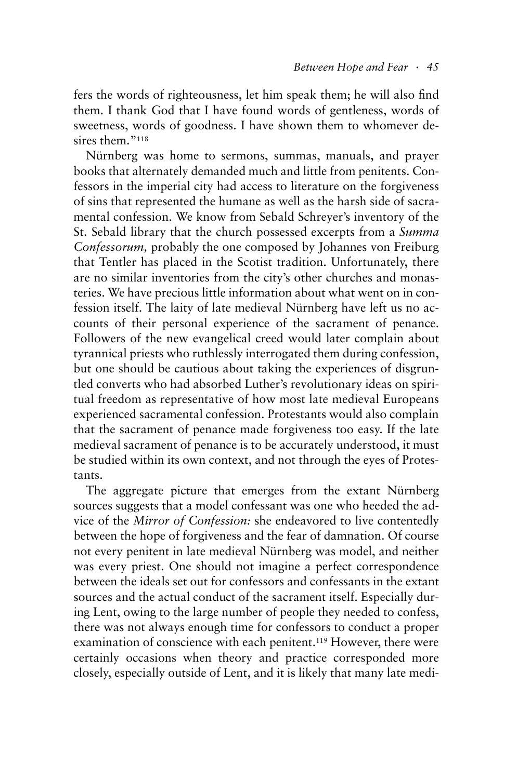fers the words of righteousness, let him speak them; he will also find them. I thank God that I have found words of gentleness, words of sweetness, words of goodness. I have shown them to whomever desires them."<sup>118</sup>

Nürnberg was home to sermons, summas, manuals, and prayer books that alternately demanded much and little from penitents. Confessors in the imperial city had access to literature on the forgiveness of sins that represented the humane as well as the harsh side of sacramental confession. We know from Sebald Schreyer's inventory of the St. Sebald library that the church possessed excerpts from a *Summa Confessorum,* probably the one composed by Johannes von Freiburg that Tentler has placed in the Scotist tradition. Unfortunately, there are no similar inventories from the city's other churches and monasteries. We have precious little information about what went on in confession itself. The laity of late medieval Nürnberg have left us no accounts of their personal experience of the sacrament of penance. Followers of the new evangelical creed would later complain about tyrannical priests who ruthlessly interrogated them during confession, but one should be cautious about taking the experiences of disgruntled converts who had absorbed Luther's revolutionary ideas on spiritual freedom as representative of how most late medieval Europeans experienced sacramental confession. Protestants would also complain that the sacrament of penance made forgiveness too easy. If the late medieval sacrament of penance is to be accurately understood, it must be studied within its own context, and not through the eyes of Protestants.

The aggregate picture that emerges from the extant Nürnberg sources suggests that a model confessant was one who heeded the advice of the *Mirror of Confession:* she endeavored to live contentedly between the hope of forgiveness and the fear of damnation. Of course not every penitent in late medieval Nürnberg was model, and neither was every priest. One should not imagine a perfect correspondence between the ideals set out for confessors and confessants in the extant sources and the actual conduct of the sacrament itself. Especially during Lent, owing to the large number of people they needed to confess, there was not always enough time for confessors to conduct a proper examination of conscience with each penitent.<sup>119</sup> However, there were certainly occasions when theory and practice corresponded more closely, especially outside of Lent, and it is likely that many late medi-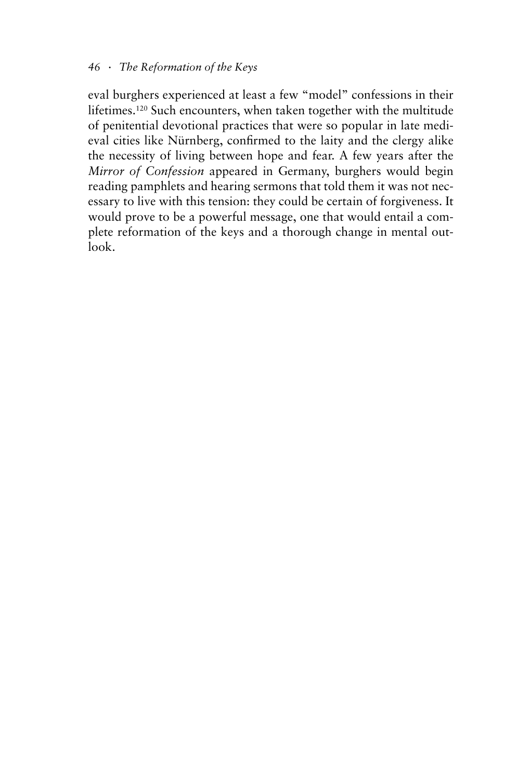# *46 • The Reformation of the Keys*

eval burghers experienced at least a few "model" confessions in their lifetimes.120 Such encounters, when taken together with the multitude of penitential devotional practices that were so popular in late medieval cities like Nürnberg, confirmed to the laity and the clergy alike the necessity of living between hope and fear. A few years after the *Mirror of Confession* appeared in Germany, burghers would begin reading pamphlets and hearing sermons that told them it was not necessary to live with this tension: they could be certain of forgiveness. It would prove to be a powerful message, one that would entail a complete reformation of the keys and a thorough change in mental outlook.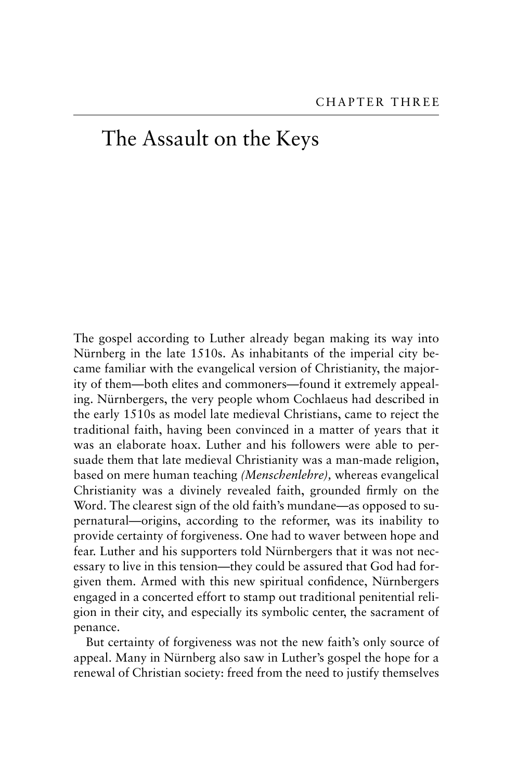# The Assault on the Keys

The gospel according to Luther already began making its way into Nürnberg in the late 1510s. As inhabitants of the imperial city became familiar with the evangelical version of Christianity, the majority of them—both elites and commoners—found it extremely appealing. Nürnbergers, the very people whom Cochlaeus had described in the early 1510s as model late medieval Christians, came to reject the traditional faith, having been convinced in a matter of years that it was an elaborate hoax. Luther and his followers were able to persuade them that late medieval Christianity was a man-made religion, based on mere human teaching *(Menschenlehre),* whereas evangelical Christianity was a divinely revealed faith, grounded firmly on the Word. The clearest sign of the old faith's mundane—as opposed to supernatural—origins, according to the reformer, was its inability to provide certainty of forgiveness. One had to waver between hope and fear. Luther and his supporters told Nürnbergers that it was not necessary to live in this tension—they could be assured that God had forgiven them. Armed with this new spiritual confidence, Nürnbergers engaged in a concerted effort to stamp out traditional penitential religion in their city, and especially its symbolic center, the sacrament of penance.

But certainty of forgiveness was not the new faith's only source of appeal. Many in Nürnberg also saw in Luther's gospel the hope for a renewal of Christian society: freed from the need to justify themselves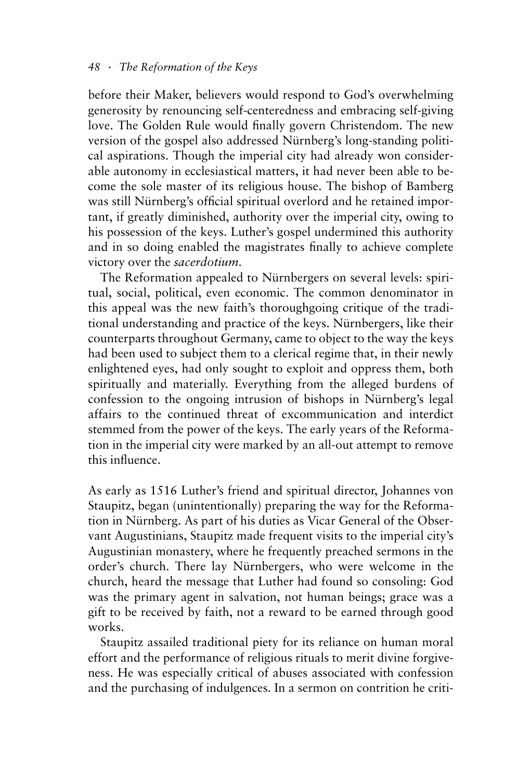## *48 • The Reformation of the Keys*

before their Maker, believers would respond to God's overwhelming generosity by renouncing self-centeredness and embracing self-giving love. The Golden Rule would finally govern Christendom. The new version of the gospel also addressed Nürnberg's long-standing political aspirations. Though the imperial city had already won considerable autonomy in ecclesiastical matters, it had never been able to become the sole master of its religious house. The bishop of Bamberg was still Nürnberg's official spiritual overlord and he retained important, if greatly diminished, authority over the imperial city, owing to his possession of the keys. Luther's gospel undermined this authority and in so doing enabled the magistrates finally to achieve complete victory over the *sacerdotium.*

The Reformation appealed to Nürnbergers on several levels: spiritual, social, political, even economic. The common denominator in this appeal was the new faith's thoroughgoing critique of the traditional understanding and practice of the keys. Nürnbergers, like their counterparts throughout Germany, came to object to the way the keys had been used to subject them to a clerical regime that, in their newly enlightened eyes, had only sought to exploit and oppress them, both spiritually and materially. Everything from the alleged burdens of confession to the ongoing intrusion of bishops in Nürnberg's legal affairs to the continued threat of excommunication and interdict stemmed from the power of the keys. The early years of the Reformation in the imperial city were marked by an all-out attempt to remove this influence.

As early as 1516 Luther's friend and spiritual director, Johannes von Staupitz, began (unintentionally) preparing the way for the Reformation in Nürnberg. As part of his duties as Vicar General of the Observant Augustinians, Staupitz made frequent visits to the imperial city's Augustinian monastery, where he frequently preached sermons in the order's church. There lay Nürnbergers, who were welcome in the church, heard the message that Luther had found so consoling: God was the primary agent in salvation, not human beings; grace was a gift to be received by faith, not a reward to be earned through good works.

Staupitz assailed traditional piety for its reliance on human moral effort and the performance of religious rituals to merit divine forgiveness. He was especially critical of abuses associated with confession and the purchasing of indulgences. In a sermon on contrition he criti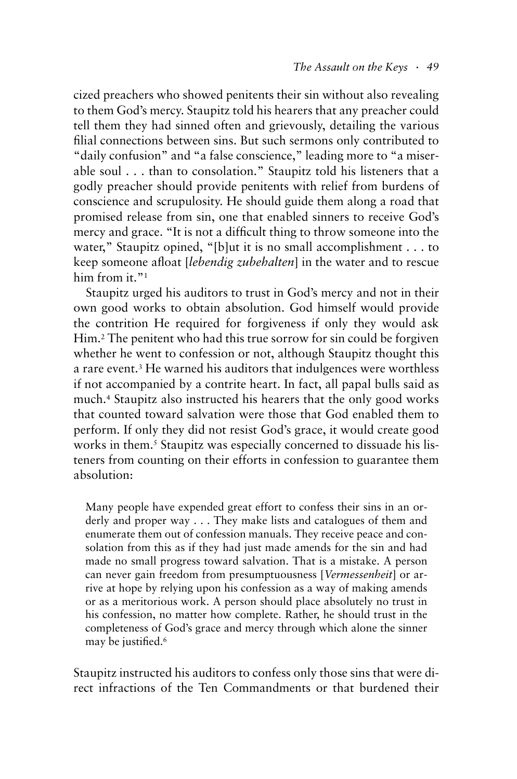cized preachers who showed penitents their sin without also revealing to them God's mercy. Staupitz told his hearers that any preacher could tell them they had sinned often and grievously, detailing the various filial connections between sins. But such sermons only contributed to "daily confusion" and "a false conscience," leading more to "a miserable soul... than to consolation." Staupitz told his listeners that a godly preacher should provide penitents with relief from burdens of conscience and scrupulosity. He should guide them along a road that promised release from sin, one that enabled sinners to receive God's mercy and grace. "It is not a difficult thing to throw someone into the water," Staupitz opined, "[b]ut it is no small accomplishment . . . to keep someone afloat [*lebendig zubehalten*] in the water and to rescue him from it."<sup>1</sup>

Staupitz urged his auditors to trust in God's mercy and not in their own good works to obtain absolution. God himself would provide the contrition He required for forgiveness if only they would ask Him.2 The penitent who had this true sorrow for sin could be forgiven whether he went to confession or not, although Staupitz thought this a rare event.<sup>3</sup> He warned his auditors that indulgences were worthless if not accompanied by a contrite heart. In fact, all papal bulls said as much.4 Staupitz also instructed his hearers that the only good works that counted toward salvation were those that God enabled them to perform. If only they did not resist God's grace, it would create good works in them.<sup>5</sup> Staupitz was especially concerned to dissuade his listeners from counting on their efforts in confession to guarantee them absolution:

Many people have expended great effort to confess their sins in an orderly and proper way... They make lists and catalogues of them and enumerate them out of confession manuals. They receive peace and consolation from this as if they had just made amends for the sin and had made no small progress toward salvation. That is a mistake. A person can never gain freedom from presumptuousness [*Vermessenheit*] or arrive at hope by relying upon his confession as a way of making amends or as a meritorious work. A person should place absolutely no trust in his confession, no matter how complete. Rather, he should trust in the completeness of God's grace and mercy through which alone the sinner may be justified.<sup>6</sup>

Staupitz instructed his auditors to confess only those sins that were direct infractions of the Ten Commandments or that burdened their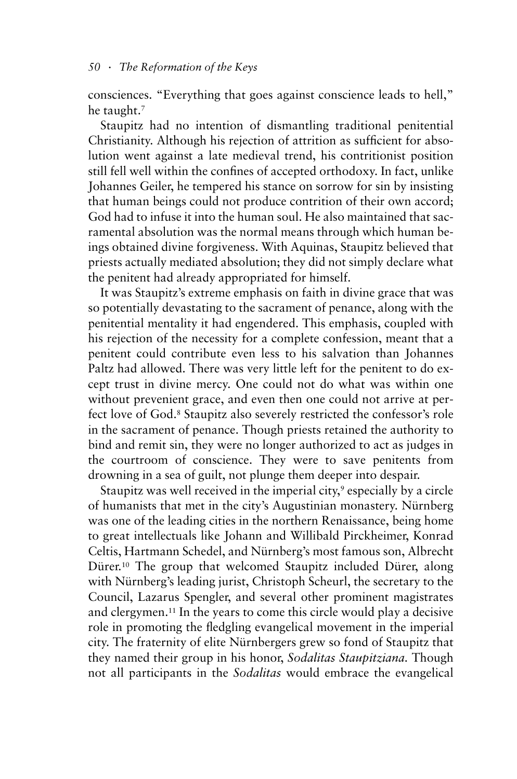consciences. "Everything that goes against conscience leads to hell," he taught.7

Staupitz had no intention of dismantling traditional penitential Christianity. Although his rejection of attrition as sufficient for absolution went against a late medieval trend, his contritionist position still fell well within the confines of accepted orthodoxy. In fact, unlike Johannes Geiler, he tempered his stance on sorrow for sin by insisting that human beings could not produce contrition of their own accord; God had to infuse it into the human soul. He also maintained that sacramental absolution was the normal means through which human beings obtained divine forgiveness. With Aquinas, Staupitz believed that priests actually mediated absolution; they did not simply declare what the penitent had already appropriated for himself.

It was Staupitz's extreme emphasis on faith in divine grace that was so potentially devastating to the sacrament of penance, along with the penitential mentality it had engendered. This emphasis, coupled with his rejection of the necessity for a complete confession, meant that a penitent could contribute even less to his salvation than Johannes Paltz had allowed. There was very little left for the penitent to do except trust in divine mercy. One could not do what was within one without prevenient grace, and even then one could not arrive at perfect love of God.8 Staupitz also severely restricted the confessor's role in the sacrament of penance. Though priests retained the authority to bind and remit sin, they were no longer authorized to act as judges in the courtroom of conscience. They were to save penitents from drowning in a sea of guilt, not plunge them deeper into despair.

Staupitz was well received in the imperial city,<sup>9</sup> especially by a circle of humanists that met in the city's Augustinian monastery. Nürnberg was one of the leading cities in the northern Renaissance, being home to great intellectuals like Johann and Willibald Pirckheimer, Konrad Celtis, Hartmann Schedel, and Nürnberg's most famous son, Albrecht Dürer.10 The group that welcomed Staupitz included Dürer, along with Nürnberg's leading jurist, Christoph Scheurl, the secretary to the Council, Lazarus Spengler, and several other prominent magistrates and clergymen.11 In the years to come this circle would play a decisive role in promoting the fledgling evangelical movement in the imperial city. The fraternity of elite Nürnbergers grew so fond of Staupitz that they named their group in his honor, *Sodalitas Staupitziana.* Though not all participants in the *Sodalitas* would embrace the evangelical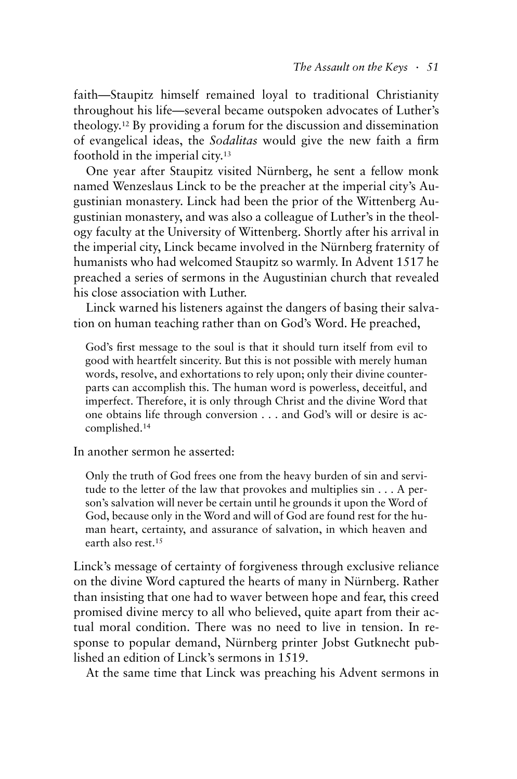faith—Staupitz himself remained loyal to traditional Christianity throughout his life—several became outspoken advocates of Luther's theology.12 By providing a forum for the discussion and dissemination of evangelical ideas, the *Sodalitas* would give the new faith a firm foothold in the imperial city.13

One year after Staupitz visited Nürnberg, he sent a fellow monk named Wenzeslaus Linck to be the preacher at the imperial city's Augustinian monastery. Linck had been the prior of the Wittenberg Augustinian monastery, and was also a colleague of Luther's in the theology faculty at the University of Wittenberg. Shortly after his arrival in the imperial city, Linck became involved in the Nürnberg fraternity of humanists who had welcomed Staupitz so warmly. In Advent 1517 he preached a series of sermons in the Augustinian church that revealed his close association with Luther.

Linck warned his listeners against the dangers of basing their salvation on human teaching rather than on God's Word. He preached,

God's first message to the soul is that it should turn itself from evil to good with heartfelt sincerity. But this is not possible with merely human words, resolve, and exhortations to rely upon; only their divine counterparts can accomplish this. The human word is powerless, deceitful, and imperfect. Therefore, it is only through Christ and the divine Word that one obtains life through conversion . . . and God's will or desire is accomplished.14

In another sermon he asserted:

Only the truth of God frees one from the heavy burden of sin and servitude to the letter of the law that provokes and multiplies sin . . . A person's salvation will never be certain until he grounds it upon the Word of God, because only in the Word and will of God are found rest for the human heart, certainty, and assurance of salvation, in which heaven and earth also rest.15

Linck's message of certainty of forgiveness through exclusive reliance on the divine Word captured the hearts of many in Nürnberg. Rather than insisting that one had to waver between hope and fear, this creed promised divine mercy to all who believed, quite apart from their actual moral condition. There was no need to live in tension. In response to popular demand, Nürnberg printer Jobst Gutknecht published an edition of Linck's sermons in 1519.

At the same time that Linck was preaching his Advent sermons in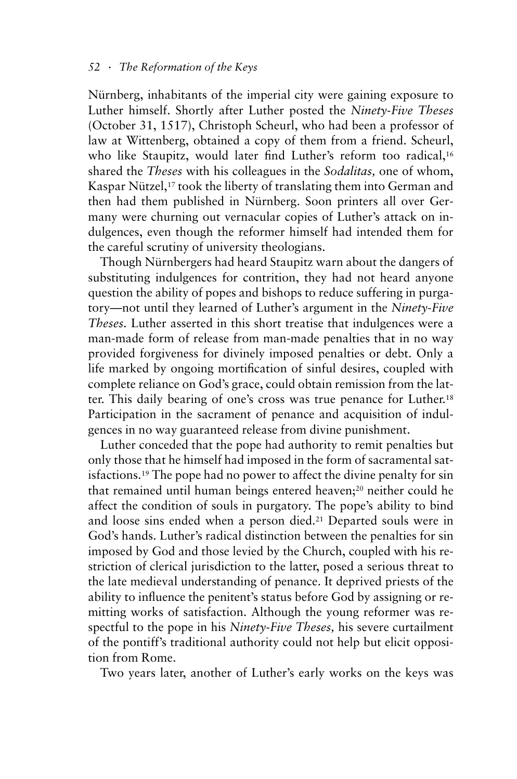Nürnberg, inhabitants of the imperial city were gaining exposure to Luther himself. Shortly after Luther posted the *Ninety-Five Theses* (October 31, 1517), Christoph Scheurl, who had been a professor of law at Wittenberg, obtained a copy of them from a friend. Scheurl, who like Staupitz, would later find Luther's reform too radical,<sup>16</sup> shared the *Theses* with his colleagues in the *Sodalitas,* one of whom, Kaspar Nützel,<sup>17</sup> took the liberty of translating them into German and then had them published in Nürnberg. Soon printers all over Germany were churning out vernacular copies of Luther's attack on indulgences, even though the reformer himself had intended them for the careful scrutiny of university theologians.

Though Nürnbergers had heard Staupitz warn about the dangers of substituting indulgences for contrition, they had not heard anyone question the ability of popes and bishops to reduce suffering in purgatory—not until they learned of Luther's argument in the *Ninety-Five Theses.* Luther asserted in this short treatise that indulgences were a man-made form of release from man-made penalties that in no way provided forgiveness for divinely imposed penalties or debt. Only a life marked by ongoing mortification of sinful desires, coupled with complete reliance on God's grace, could obtain remission from the latter. This daily bearing of one's cross was true penance for Luther.18 Participation in the sacrament of penance and acquisition of indulgences in no way guaranteed release from divine punishment.

Luther conceded that the pope had authority to remit penalties but only those that he himself had imposed in the form of sacramental satisfactions.19 The pope had no power to affect the divine penalty for sin that remained until human beings entered heaven;<sup>20</sup> neither could he affect the condition of souls in purgatory. The pope's ability to bind and loose sins ended when a person died.<sup>21</sup> Departed souls were in God's hands. Luther's radical distinction between the penalties for sin imposed by God and those levied by the Church, coupled with his restriction of clerical jurisdiction to the latter, posed a serious threat to the late medieval understanding of penance. It deprived priests of the ability to influence the penitent's status before God by assigning or remitting works of satisfaction. Although the young reformer was respectful to the pope in his *Ninety-Five Theses,* his severe curtailment of the pontiff's traditional authority could not help but elicit opposition from Rome.

Two years later, another of Luther's early works on the keys was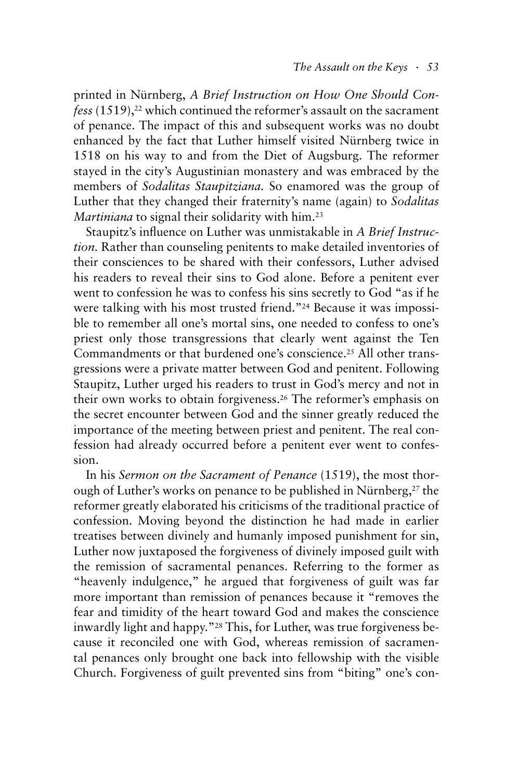printed in Nürnberg, *A Brief Instruction on How One Should Confess* (1519),<sup>22</sup> which continued the reformer's assault on the sacrament of penance. The impact of this and subsequent works was no doubt enhanced by the fact that Luther himself visited Nürnberg twice in 1518 on his way to and from the Diet of Augsburg. The reformer stayed in the city's Augustinian monastery and was embraced by the members of *Sodalitas Staupitziana.* So enamored was the group of Luther that they changed their fraternity's name (again) to *Sodalitas Martiniana* to signal their solidarity with him.<sup>23</sup>

Staupitz's influence on Luther was unmistakable in *A Brief Instruction.* Rather than counseling penitents to make detailed inventories of their consciences to be shared with their confessors, Luther advised his readers to reveal their sins to God alone. Before a penitent ever went to confession he was to confess his sins secretly to God "as if he were talking with his most trusted friend."24 Because it was impossible to remember all one's mortal sins, one needed to confess to one's priest only those transgressions that clearly went against the Ten Commandments or that burdened one's conscience.25 All other transgressions were a private matter between God and penitent. Following Staupitz, Luther urged his readers to trust in God's mercy and not in their own works to obtain forgiveness.26 The reformer's emphasis on the secret encounter between God and the sinner greatly reduced the importance of the meeting between priest and penitent. The real confession had already occurred before a penitent ever went to confession.

In his *Sermon on the Sacrament of Penance* (1519), the most thorough of Luther's works on penance to be published in Nürnberg,<sup>27</sup> the reformer greatly elaborated his criticisms of the traditional practice of confession. Moving beyond the distinction he had made in earlier treatises between divinely and humanly imposed punishment for sin, Luther now juxtaposed the forgiveness of divinely imposed guilt with the remission of sacramental penances. Referring to the former as "heavenly indulgence," he argued that forgiveness of guilt was far more important than remission of penances because it "removes the fear and timidity of the heart toward God and makes the conscience inwardly light and happy."28 This, for Luther, was true forgiveness because it reconciled one with God, whereas remission of sacramental penances only brought one back into fellowship with the visible Church. Forgiveness of guilt prevented sins from "biting" one's con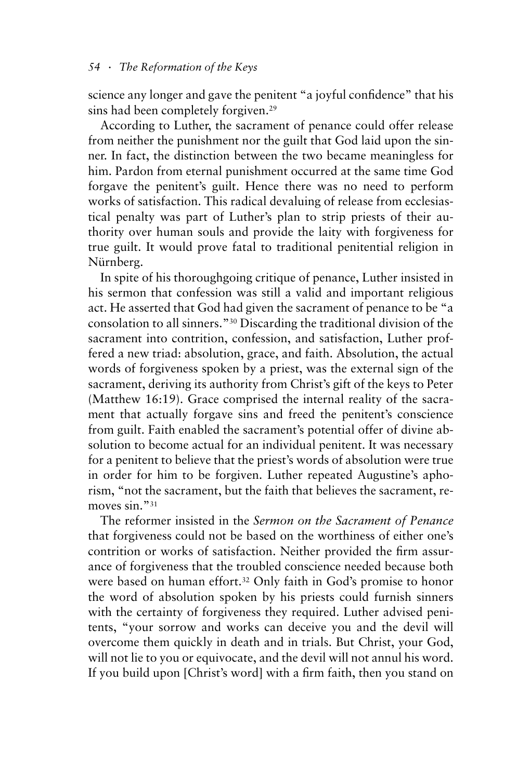science any longer and gave the penitent "a joyful confidence" that his sins had been completely forgiven.<sup>29</sup>

According to Luther, the sacrament of penance could offer release from neither the punishment nor the guilt that God laid upon the sinner. In fact, the distinction between the two became meaningless for him. Pardon from eternal punishment occurred at the same time God forgave the penitent's guilt. Hence there was no need to perform works of satisfaction. This radical devaluing of release from ecclesiastical penalty was part of Luther's plan to strip priests of their authority over human souls and provide the laity with forgiveness for true guilt. It would prove fatal to traditional penitential religion in Nürnberg.

In spite of his thoroughgoing critique of penance, Luther insisted in his sermon that confession was still a valid and important religious act. He asserted that God had given the sacrament of penance to be "a consolation to all sinners."30 Discarding the traditional division of the sacrament into contrition, confession, and satisfaction, Luther proffered a new triad: absolution, grace, and faith. Absolution, the actual words of forgiveness spoken by a priest, was the external sign of the sacrament, deriving its authority from Christ's gift of the keys to Peter (Matthew 16:19). Grace comprised the internal reality of the sacrament that actually forgave sins and freed the penitent's conscience from guilt. Faith enabled the sacrament's potential offer of divine absolution to become actual for an individual penitent. It was necessary for a penitent to believe that the priest's words of absolution were true in order for him to be forgiven. Luther repeated Augustine's aphorism, "not the sacrament, but the faith that believes the sacrament, removes sin."<sup>31</sup>

The reformer insisted in the *Sermon on the Sacrament of Penance* that forgiveness could not be based on the worthiness of either one's contrition or works of satisfaction. Neither provided the firm assurance of forgiveness that the troubled conscience needed because both were based on human effort.<sup>32</sup> Only faith in God's promise to honor the word of absolution spoken by his priests could furnish sinners with the certainty of forgiveness they required. Luther advised penitents, "your sorrow and works can deceive you and the devil will overcome them quickly in death and in trials. But Christ, your God, will not lie to you or equivocate, and the devil will not annul his word. If you build upon [Christ's word] with a firm faith, then you stand on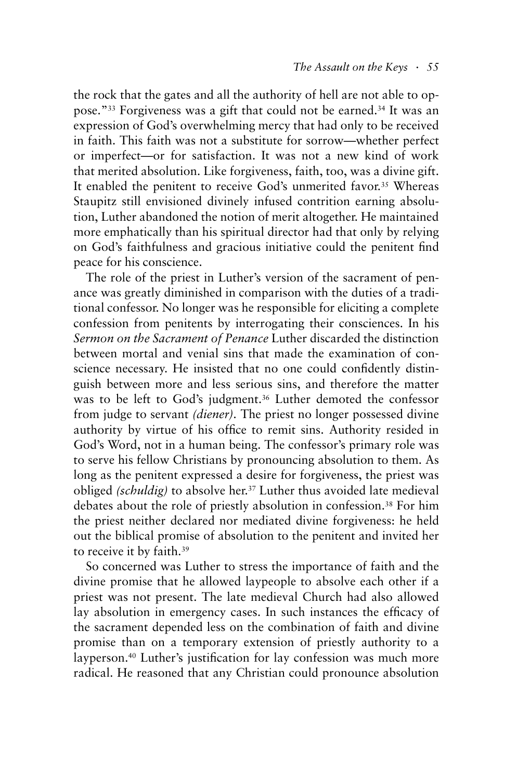the rock that the gates and all the authority of hell are not able to oppose."33 Forgiveness was a gift that could not be earned.34 It was an expression of God's overwhelming mercy that had only to be received in faith. This faith was not a substitute for sorrow—whether perfect or imperfect—or for satisfaction. It was not a new kind of work that merited absolution. Like forgiveness, faith, too, was a divine gift. It enabled the penitent to receive God's unmerited favor.<sup>35</sup> Whereas Staupitz still envisioned divinely infused contrition earning absolution, Luther abandoned the notion of merit altogether. He maintained more emphatically than his spiritual director had that only by relying on God's faithfulness and gracious initiative could the penitent find peace for his conscience.

The role of the priest in Luther's version of the sacrament of penance was greatly diminished in comparison with the duties of a traditional confessor. No longer was he responsible for eliciting a complete confession from penitents by interrogating their consciences. In his *Sermon on the Sacrament of Penance* Luther discarded the distinction between mortal and venial sins that made the examination of conscience necessary. He insisted that no one could confidently distinguish between more and less serious sins, and therefore the matter was to be left to God's judgment.<sup>36</sup> Luther demoted the confessor from judge to servant *(diener).* The priest no longer possessed divine authority by virtue of his office to remit sins. Authority resided in God's Word, not in a human being. The confessor's primary role was to serve his fellow Christians by pronouncing absolution to them. As long as the penitent expressed a desire for forgiveness, the priest was obliged *(schuldig)* to absolve her.37 Luther thus avoided late medieval debates about the role of priestly absolution in confession.38 For him the priest neither declared nor mediated divine forgiveness: he held out the biblical promise of absolution to the penitent and invited her to receive it by faith.39

So concerned was Luther to stress the importance of faith and the divine promise that he allowed laypeople to absolve each other if a priest was not present. The late medieval Church had also allowed lay absolution in emergency cases. In such instances the efficacy of the sacrament depended less on the combination of faith and divine promise than on a temporary extension of priestly authority to a layperson.40 Luther's justification for lay confession was much more radical. He reasoned that any Christian could pronounce absolution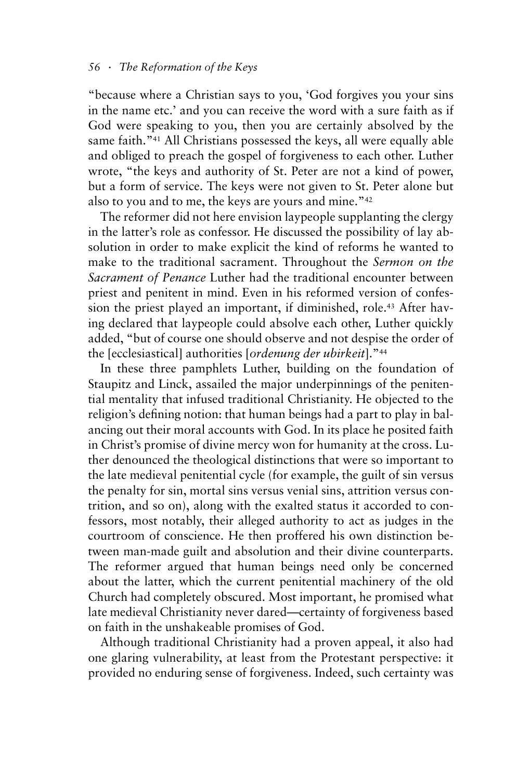"because where a Christian says to you, 'God forgives you your sins in the name etc.' and you can receive the word with a sure faith as if God were speaking to you, then you are certainly absolved by the same faith."<sup>41</sup> All Christians possessed the keys, all were equally able and obliged to preach the gospel of forgiveness to each other. Luther wrote, "the keys and authority of St. Peter are not a kind of power, but a form of service. The keys were not given to St. Peter alone but also to you and to me, the keys are yours and mine."42

The reformer did not here envision laypeople supplanting the clergy in the latter's role as confessor. He discussed the possibility of lay absolution in order to make explicit the kind of reforms he wanted to make to the traditional sacrament. Throughout the *Sermon on the Sacrament of Penance* Luther had the traditional encounter between priest and penitent in mind. Even in his reformed version of confession the priest played an important, if diminished, role.43 After having declared that laypeople could absolve each other, Luther quickly added, "but of course one should observe and not despise the order of the [ecclesiastical] authorities [*ordenung der ubirkeit*]."44

In these three pamphlets Luther, building on the foundation of Staupitz and Linck, assailed the major underpinnings of the penitential mentality that infused traditional Christianity. He objected to the religion's defining notion: that human beings had a part to play in balancing out their moral accounts with God. In its place he posited faith in Christ's promise of divine mercy won for humanity at the cross. Luther denounced the theological distinctions that were so important to the late medieval penitential cycle (for example, the guilt of sin versus the penalty for sin, mortal sins versus venial sins, attrition versus contrition, and so on), along with the exalted status it accorded to confessors, most notably, their alleged authority to act as judges in the courtroom of conscience. He then proffered his own distinction between man-made guilt and absolution and their divine counterparts. The reformer argued that human beings need only be concerned about the latter, which the current penitential machinery of the old Church had completely obscured. Most important, he promised what late medieval Christianity never dared—certainty of forgiveness based on faith in the unshakeable promises of God.

Although traditional Christianity had a proven appeal, it also had one glaring vulnerability, at least from the Protestant perspective: it provided no enduring sense of forgiveness. Indeed, such certainty was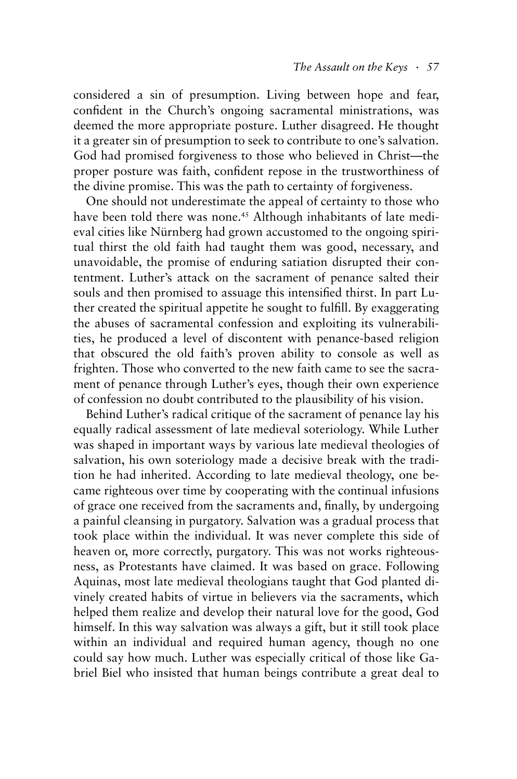considered a sin of presumption. Living between hope and fear, confident in the Church's ongoing sacramental ministrations, was deemed the more appropriate posture. Luther disagreed. He thought it a greater sin of presumption to seek to contribute to one's salvation. God had promised forgiveness to those who believed in Christ—the proper posture was faith, confident repose in the trustworthiness of the divine promise. This was the path to certainty of forgiveness.

One should not underestimate the appeal of certainty to those who have been told there was none.<sup>45</sup> Although inhabitants of late medieval cities like Nürnberg had grown accustomed to the ongoing spiritual thirst the old faith had taught them was good, necessary, and unavoidable, the promise of enduring satiation disrupted their contentment. Luther's attack on the sacrament of penance salted their souls and then promised to assuage this intensified thirst. In part Luther created the spiritual appetite he sought to fulfill. By exaggerating the abuses of sacramental confession and exploiting its vulnerabilities, he produced a level of discontent with penance-based religion that obscured the old faith's proven ability to console as well as frighten. Those who converted to the new faith came to see the sacrament of penance through Luther's eyes, though their own experience of confession no doubt contributed to the plausibility of his vision.

Behind Luther's radical critique of the sacrament of penance lay his equally radical assessment of late medieval soteriology. While Luther was shaped in important ways by various late medieval theologies of salvation, his own soteriology made a decisive break with the tradition he had inherited. According to late medieval theology, one became righteous over time by cooperating with the continual infusions of grace one received from the sacraments and, finally, by undergoing a painful cleansing in purgatory. Salvation was a gradual process that took place within the individual. It was never complete this side of heaven or, more correctly, purgatory. This was not works righteousness, as Protestants have claimed. It was based on grace. Following Aquinas, most late medieval theologians taught that God planted divinely created habits of virtue in believers via the sacraments, which helped them realize and develop their natural love for the good, God himself. In this way salvation was always a gift, but it still took place within an individual and required human agency, though no one could say how much. Luther was especially critical of those like Gabriel Biel who insisted that human beings contribute a great deal to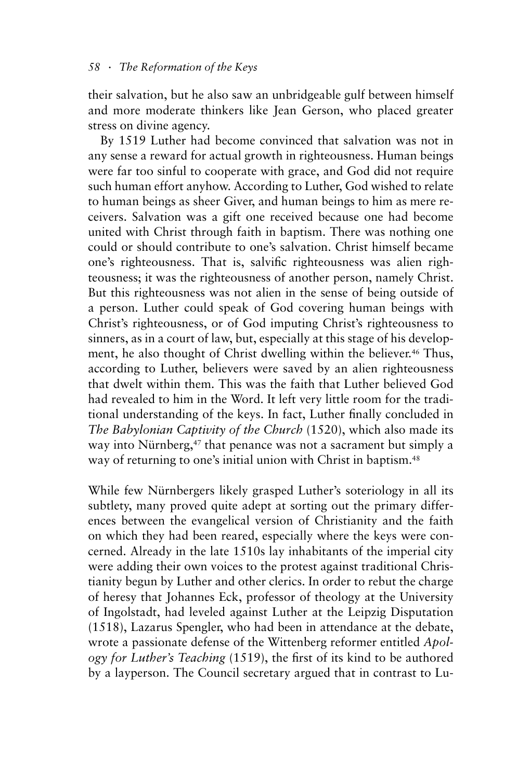their salvation, but he also saw an unbridgeable gulf between himself and more moderate thinkers like Jean Gerson, who placed greater stress on divine agency.

By 1519 Luther had become convinced that salvation was not in any sense a reward for actual growth in righteousness. Human beings were far too sinful to cooperate with grace, and God did not require such human effort anyhow. According to Luther, God wished to relate to human beings as sheer Giver, and human beings to him as mere receivers. Salvation was a gift one received because one had become united with Christ through faith in baptism. There was nothing one could or should contribute to one's salvation. Christ himself became one's righteousness. That is, salvific righteousness was alien righteousness; it was the righteousness of another person, namely Christ. But this righteousness was not alien in the sense of being outside of a person. Luther could speak of God covering human beings with Christ's righteousness, or of God imputing Christ's righteousness to sinners, as in a court of law, but, especially at this stage of his development, he also thought of Christ dwelling within the believer.<sup>46</sup> Thus, according to Luther, believers were saved by an alien righteousness that dwelt within them. This was the faith that Luther believed God had revealed to him in the Word. It left very little room for the traditional understanding of the keys. In fact, Luther finally concluded in *The Babylonian Captivity of the Church* (1520), which also made its way into Nürnberg,<sup>47</sup> that penance was not a sacrament but simply a way of returning to one's initial union with Christ in baptism.<sup>48</sup>

While few Nürnbergers likely grasped Luther's soteriology in all its subtlety, many proved quite adept at sorting out the primary differences between the evangelical version of Christianity and the faith on which they had been reared, especially where the keys were concerned. Already in the late 1510s lay inhabitants of the imperial city were adding their own voices to the protest against traditional Christianity begun by Luther and other clerics. In order to rebut the charge of heresy that Johannes Eck, professor of theology at the University of Ingolstadt, had leveled against Luther at the Leipzig Disputation (1518), Lazarus Spengler, who had been in attendance at the debate, wrote a passionate defense of the Wittenberg reformer entitled *Apology for Luther's Teaching* (1519), the first of its kind to be authored by a layperson. The Council secretary argued that in contrast to Lu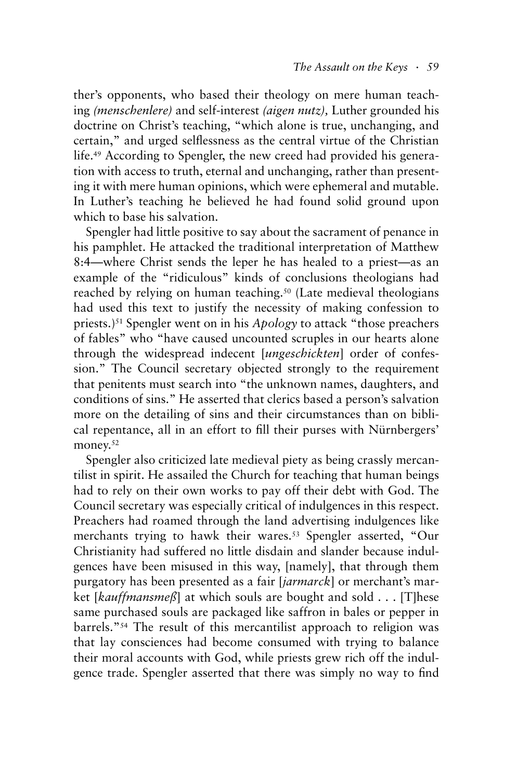ther's opponents, who based their theology on mere human teaching *(menschenlere)* and self-interest *(aigen nutz),* Luther grounded his doctrine on Christ's teaching, "which alone is true, unchanging, and certain," and urged selflessness as the central virtue of the Christian life.49 According to Spengler, the new creed had provided his generation with access to truth, eternal and unchanging, rather than presenting it with mere human opinions, which were ephemeral and mutable. In Luther's teaching he believed he had found solid ground upon which to base his salvation.

Spengler had little positive to say about the sacrament of penance in his pamphlet. He attacked the traditional interpretation of Matthew 8:4—where Christ sends the leper he has healed to a priest—as an example of the "ridiculous" kinds of conclusions theologians had reached by relying on human teaching.<sup>50</sup> (Late medieval theologians had used this text to justify the necessity of making confession to priests.)51 Spengler went on in his *Apology* to attack "those preachers of fables" who "have caused uncounted scruples in our hearts alone through the widespread indecent [*ungeschickten*] order of confession." The Council secretary objected strongly to the requirement that penitents must search into "the unknown names, daughters, and conditions of sins." He asserted that clerics based a person's salvation more on the detailing of sins and their circumstances than on biblical repentance, all in an effort to fill their purses with Nürnbergers' money.52

Spengler also criticized late medieval piety as being crassly mercantilist in spirit. He assailed the Church for teaching that human beings had to rely on their own works to pay off their debt with God. The Council secretary was especially critical of indulgences in this respect. Preachers had roamed through the land advertising indulgences like merchants trying to hawk their wares.<sup>53</sup> Spengler asserted, "Our Christianity had suffered no little disdain and slander because indulgences have been misused in this way, [namely], that through them purgatory has been presented as a fair [*jarmarck*] or merchant's market [*kauffmansmeß*] at which souls are bought and sold... [T]hese same purchased souls are packaged like saffron in bales or pepper in barrels."54 The result of this mercantilist approach to religion was that lay consciences had become consumed with trying to balance their moral accounts with God, while priests grew rich off the indulgence trade. Spengler asserted that there was simply no way to find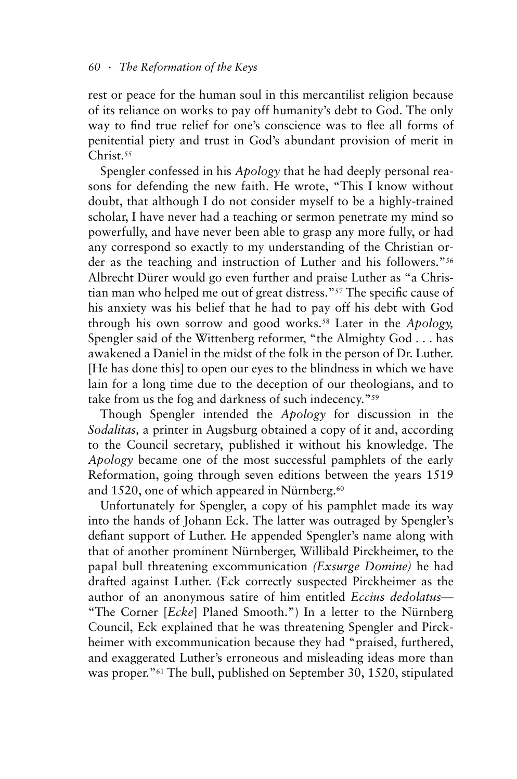rest or peace for the human soul in this mercantilist religion because of its reliance on works to pay off humanity's debt to God. The only way to find true relief for one's conscience was to flee all forms of penitential piety and trust in God's abundant provision of merit in Christ.<sup>55</sup>

Spengler confessed in his *Apology* that he had deeply personal reasons for defending the new faith. He wrote, "This I know without doubt, that although I do not consider myself to be a highly-trained scholar, I have never had a teaching or sermon penetrate my mind so powerfully, and have never been able to grasp any more fully, or had any correspond so exactly to my understanding of the Christian order as the teaching and instruction of Luther and his followers."56 Albrecht Dürer would go even further and praise Luther as "a Christian man who helped me out of great distress."57 The specific cause of his anxiety was his belief that he had to pay off his debt with God through his own sorrow and good works.58 Later in the *Apology,* Spengler said of the Wittenberg reformer, "the Almighty God . . . has awakened a Daniel in the midst of the folk in the person of Dr. Luther. [He has done this] to open our eyes to the blindness in which we have lain for a long time due to the deception of our theologians, and to take from us the fog and darkness of such indecency."59

Though Spengler intended the *Apology* for discussion in the *Sodalitas,* a printer in Augsburg obtained a copy of it and, according to the Council secretary, published it without his knowledge. The *Apology* became one of the most successful pamphlets of the early Reformation, going through seven editions between the years 1519 and 1520, one of which appeared in Nürnberg.<sup>60</sup>

Unfortunately for Spengler, a copy of his pamphlet made its way into the hands of Johann Eck. The latter was outraged by Spengler's defiant support of Luther. He appended Spengler's name along with that of another prominent Nürnberger, Willibald Pirckheimer, to the papal bull threatening excommunication *(Exsurge Domine)* he had drafted against Luther. (Eck correctly suspected Pirckheimer as the author of an anonymous satire of him entitled *Eccius dedolatus*— "The Corner [*Ecke*] Planed Smooth.") In a letter to the Nürnberg Council, Eck explained that he was threatening Spengler and Pirckheimer with excommunication because they had "praised, furthered, and exaggerated Luther's erroneous and misleading ideas more than was proper."61 The bull, published on September 30, 1520, stipulated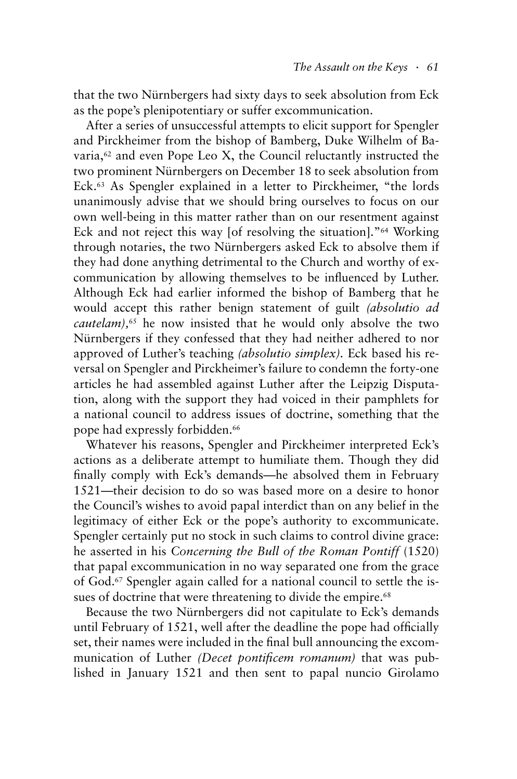that the two Nürnbergers had sixty days to seek absolution from Eck as the pope's plenipotentiary or suffer excommunication.

After a series of unsuccessful attempts to elicit support for Spengler and Pirckheimer from the bishop of Bamberg, Duke Wilhelm of Bavaria, $62$  and even Pope Leo X, the Council reluctantly instructed the two prominent Nürnbergers on December 18 to seek absolution from Eck.63 As Spengler explained in a letter to Pirckheimer, "the lords unanimously advise that we should bring ourselves to focus on our own well-being in this matter rather than on our resentment against Eck and not reject this way [of resolving the situation]."64 Working through notaries, the two Nürnbergers asked Eck to absolve them if they had done anything detrimental to the Church and worthy of excommunication by allowing themselves to be influenced by Luther. Although Eck had earlier informed the bishop of Bamberg that he would accept this rather benign statement of guilt *(absolutio ad cautelam),*<sup>65</sup> he now insisted that he would only absolve the two Nürnbergers if they confessed that they had neither adhered to nor approved of Luther's teaching *(absolutio simplex).* Eck based his reversal on Spengler and Pirckheimer's failure to condemn the forty-one articles he had assembled against Luther after the Leipzig Disputation, along with the support they had voiced in their pamphlets for a national council to address issues of doctrine, something that the pope had expressly forbidden.<sup>66</sup>

Whatever his reasons, Spengler and Pirckheimer interpreted Eck's actions as a deliberate attempt to humiliate them. Though they did finally comply with Eck's demands—he absolved them in February 1521—their decision to do so was based more on a desire to honor the Council's wishes to avoid papal interdict than on any belief in the legitimacy of either Eck or the pope's authority to excommunicate. Spengler certainly put no stock in such claims to control divine grace: he asserted in his *Concerning the Bull of the Roman Pontiff* (1520) that papal excommunication in no way separated one from the grace of God.67 Spengler again called for a national council to settle the issues of doctrine that were threatening to divide the empire.<sup>68</sup>

Because the two Nürnbergers did not capitulate to Eck's demands until February of 1521, well after the deadline the pope had officially set, their names were included in the final bull announcing the excommunication of Luther *(Decet pontificem romanum)* that was published in January 1521 and then sent to papal nuncio Girolamo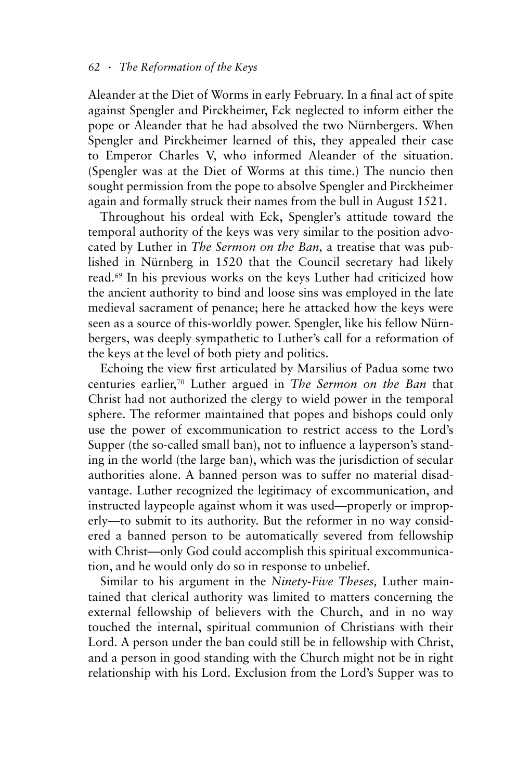Aleander at the Diet of Worms in early February. In a final act of spite against Spengler and Pirckheimer, Eck neglected to inform either the pope or Aleander that he had absolved the two Nürnbergers. When Spengler and Pirckheimer learned of this, they appealed their case to Emperor Charles V, who informed Aleander of the situation. (Spengler was at the Diet of Worms at this time.) The nuncio then sought permission from the pope to absolve Spengler and Pirckheimer again and formally struck their names from the bull in August 1521.

Throughout his ordeal with Eck, Spengler's attitude toward the temporal authority of the keys was very similar to the position advocated by Luther in *The Sermon on the Ban,* a treatise that was published in Nürnberg in 1520 that the Council secretary had likely read.69 In his previous works on the keys Luther had criticized how the ancient authority to bind and loose sins was employed in the late medieval sacrament of penance; here he attacked how the keys were seen as a source of this-worldly power. Spengler, like his fellow Nürnbergers, was deeply sympathetic to Luther's call for a reformation of the keys at the level of both piety and politics.

Echoing the view first articulated by Marsilius of Padua some two centuries earlier,70 Luther argued in *The Sermon on the Ban* that Christ had not authorized the clergy to wield power in the temporal sphere. The reformer maintained that popes and bishops could only use the power of excommunication to restrict access to the Lord's Supper (the so-called small ban), not to influence a layperson's standing in the world (the large ban), which was the jurisdiction of secular authorities alone. A banned person was to suffer no material disadvantage. Luther recognized the legitimacy of excommunication, and instructed laypeople against whom it was used—properly or improperly—to submit to its authority. But the reformer in no way considered a banned person to be automatically severed from fellowship with Christ—only God could accomplish this spiritual excommunication, and he would only do so in response to unbelief.

Similar to his argument in the *Ninety-Five Theses,* Luther maintained that clerical authority was limited to matters concerning the external fellowship of believers with the Church, and in no way touched the internal, spiritual communion of Christians with their Lord. A person under the ban could still be in fellowship with Christ, and a person in good standing with the Church might not be in right relationship with his Lord. Exclusion from the Lord's Supper was to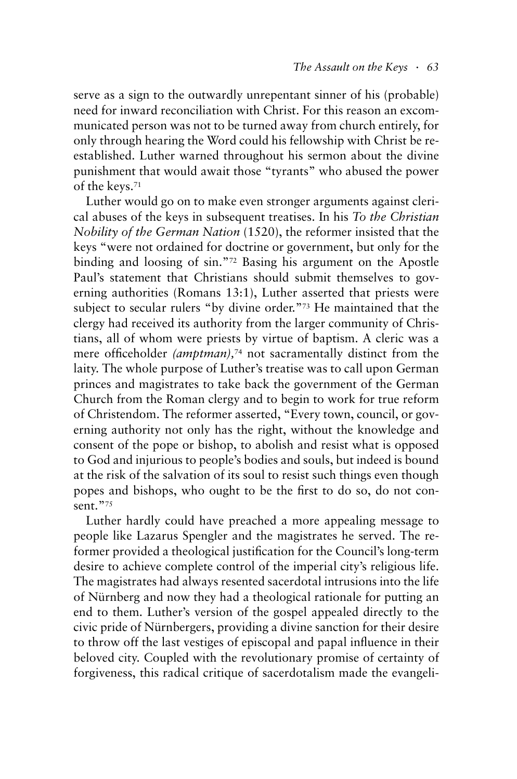serve as a sign to the outwardly unrepentant sinner of his (probable) need for inward reconciliation with Christ. For this reason an excommunicated person was not to be turned away from church entirely, for only through hearing the Word could his fellowship with Christ be reestablished. Luther warned throughout his sermon about the divine punishment that would await those "tyrants" who abused the power of the keys.71

Luther would go on to make even stronger arguments against clerical abuses of the keys in subsequent treatises. In his *To the Christian Nobility of the German Nation* (1520), the reformer insisted that the keys "were not ordained for doctrine or government, but only for the binding and loosing of sin."72 Basing his argument on the Apostle Paul's statement that Christians should submit themselves to governing authorities (Romans 13:1), Luther asserted that priests were subject to secular rulers "by divine order."<sup>73</sup> He maintained that the clergy had received its authority from the larger community of Christians, all of whom were priests by virtue of baptism. A cleric was a mere officeholder *(amptman),*<sup>74</sup> not sacramentally distinct from the laity. The whole purpose of Luther's treatise was to call upon German princes and magistrates to take back the government of the German Church from the Roman clergy and to begin to work for true reform of Christendom. The reformer asserted, "Every town, council, or governing authority not only has the right, without the knowledge and consent of the pope or bishop, to abolish and resist what is opposed to God and injurious to people's bodies and souls, but indeed is bound at the risk of the salvation of its soul to resist such things even though popes and bishops, who ought to be the first to do so, do not consent."75

Luther hardly could have preached a more appealing message to people like Lazarus Spengler and the magistrates he served. The reformer provided a theological justification for the Council's long-term desire to achieve complete control of the imperial city's religious life. The magistrates had always resented sacerdotal intrusions into the life of Nürnberg and now they had a theological rationale for putting an end to them. Luther's version of the gospel appealed directly to the civic pride of Nürnbergers, providing a divine sanction for their desire to throw off the last vestiges of episcopal and papal influence in their beloved city. Coupled with the revolutionary promise of certainty of forgiveness, this radical critique of sacerdotalism made the evangeli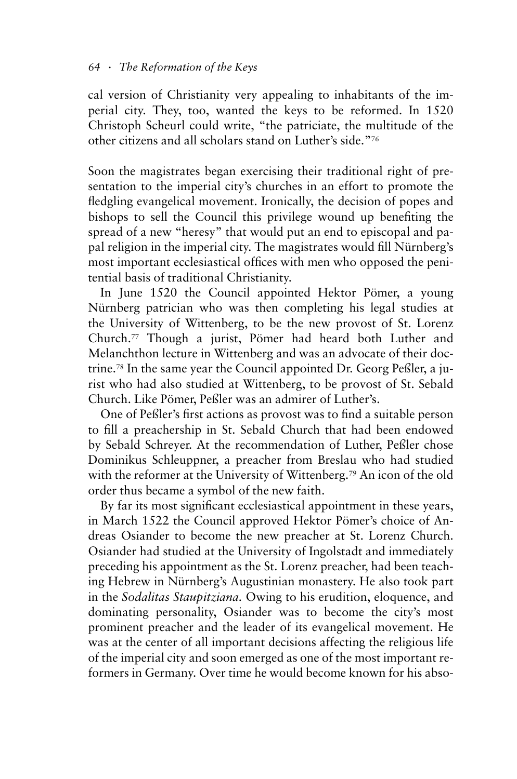cal version of Christianity very appealing to inhabitants of the imperial city. They, too, wanted the keys to be reformed. In 1520 Christoph Scheurl could write, "the patriciate, the multitude of the other citizens and all scholars stand on Luther's side."76

Soon the magistrates began exercising their traditional right of presentation to the imperial city's churches in an effort to promote the fledgling evangelical movement. Ironically, the decision of popes and bishops to sell the Council this privilege wound up benefiting the spread of a new "heresy" that would put an end to episcopal and papal religion in the imperial city. The magistrates would fill Nürnberg's most important ecclesiastical offices with men who opposed the penitential basis of traditional Christianity.

In June 1520 the Council appointed Hektor Pömer, a young Nürnberg patrician who was then completing his legal studies at the University of Wittenberg, to be the new provost of St. Lorenz Church.77 Though a jurist, Pömer had heard both Luther and Melanchthon lecture in Wittenberg and was an advocate of their doctrine.78 In the same year the Council appointed Dr. Georg Peßler, a jurist who had also studied at Wittenberg, to be provost of St. Sebald Church. Like Pömer, Peßler was an admirer of Luther's.

One of Peßler's first actions as provost was to find a suitable person to fill a preachership in St. Sebald Church that had been endowed by Sebald Schreyer. At the recommendation of Luther, Peßler chose Dominikus Schleuppner, a preacher from Breslau who had studied with the reformer at the University of Wittenberg.<sup>79</sup> An icon of the old order thus became a symbol of the new faith.

By far its most significant ecclesiastical appointment in these years, in March 1522 the Council approved Hektor Pömer's choice of Andreas Osiander to become the new preacher at St. Lorenz Church. Osiander had studied at the University of Ingolstadt and immediately preceding his appointment as the St. Lorenz preacher, had been teaching Hebrew in Nürnberg's Augustinian monastery. He also took part in the *Sodalitas Staupitziana.* Owing to his erudition, eloquence, and dominating personality, Osiander was to become the city's most prominent preacher and the leader of its evangelical movement. He was at the center of all important decisions affecting the religious life of the imperial city and soon emerged as one of the most important reformers in Germany. Over time he would become known for his abso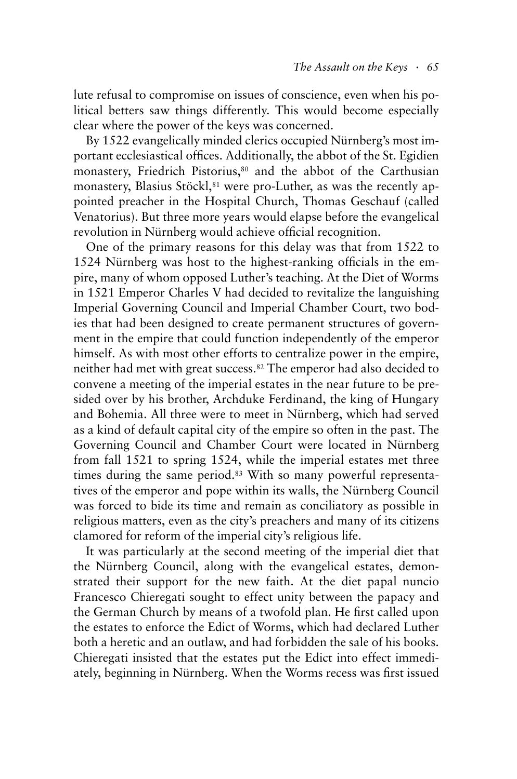lute refusal to compromise on issues of conscience, even when his political betters saw things differently. This would become especially clear where the power of the keys was concerned.

By 1522 evangelically minded clerics occupied Nürnberg's most important ecclesiastical offices. Additionally, the abbot of the St. Egidien monastery, Friedrich Pistorius,<sup>80</sup> and the abbot of the Carthusian monastery, Blasius Stöckl,<sup>81</sup> were pro-Luther, as was the recently appointed preacher in the Hospital Church, Thomas Geschauf (called Venatorius). But three more years would elapse before the evangelical revolution in Nürnberg would achieve official recognition.

One of the primary reasons for this delay was that from 1522 to 1524 Nürnberg was host to the highest-ranking officials in the empire, many of whom opposed Luther's teaching. At the Diet of Worms in 1521 Emperor Charles V had decided to revitalize the languishing Imperial Governing Council and Imperial Chamber Court, two bodies that had been designed to create permanent structures of government in the empire that could function independently of the emperor himself. As with most other efforts to centralize power in the empire, neither had met with great success.82 The emperor had also decided to convene a meeting of the imperial estates in the near future to be presided over by his brother, Archduke Ferdinand, the king of Hungary and Bohemia. All three were to meet in Nürnberg, which had served as a kind of default capital city of the empire so often in the past. The Governing Council and Chamber Court were located in Nürnberg from fall 1521 to spring 1524, while the imperial estates met three times during the same period.<sup>83</sup> With so many powerful representatives of the emperor and pope within its walls, the Nürnberg Council was forced to bide its time and remain as conciliatory as possible in religious matters, even as the city's preachers and many of its citizens clamored for reform of the imperial city's religious life.

It was particularly at the second meeting of the imperial diet that the Nürnberg Council, along with the evangelical estates, demonstrated their support for the new faith. At the diet papal nuncio Francesco Chieregati sought to effect unity between the papacy and the German Church by means of a twofold plan. He first called upon the estates to enforce the Edict of Worms, which had declared Luther both a heretic and an outlaw, and had forbidden the sale of his books. Chieregati insisted that the estates put the Edict into effect immediately, beginning in Nürnberg. When the Worms recess was first issued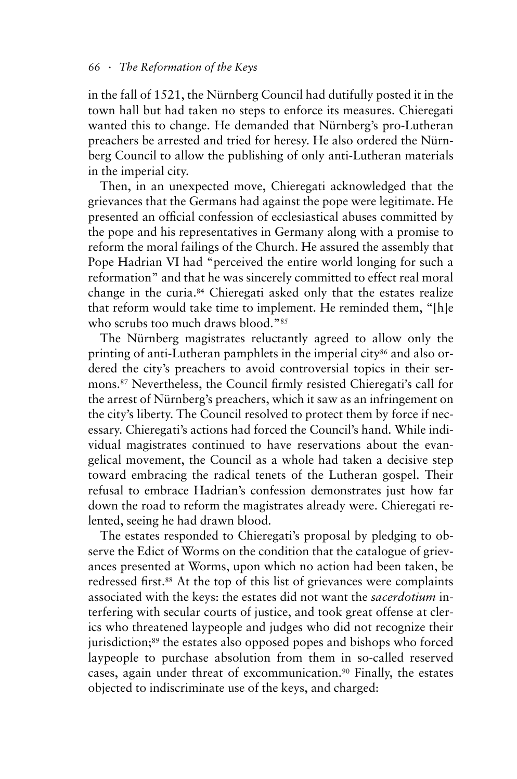in the fall of 1521, the Nürnberg Council had dutifully posted it in the town hall but had taken no steps to enforce its measures. Chieregati wanted this to change. He demanded that Nürnberg's pro-Lutheran preachers be arrested and tried for heresy. He also ordered the Nürnberg Council to allow the publishing of only anti-Lutheran materials in the imperial city.

Then, in an unexpected move, Chieregati acknowledged that the grievances that the Germans had against the pope were legitimate. He presented an official confession of ecclesiastical abuses committed by the pope and his representatives in Germany along with a promise to reform the moral failings of the Church. He assured the assembly that Pope Hadrian VI had "perceived the entire world longing for such a reformation" and that he was sincerely committed to effect real moral change in the curia.<sup>84</sup> Chieregati asked only that the estates realize that reform would take time to implement. He reminded them, "[h]e who scrubs too much draws blood."<sup>85</sup>

The Nürnberg magistrates reluctantly agreed to allow only the printing of anti-Lutheran pamphlets in the imperial city<sup>86</sup> and also ordered the city's preachers to avoid controversial topics in their sermons.87 Nevertheless, the Council firmly resisted Chieregati's call for the arrest of Nürnberg's preachers, which it saw as an infringement on the city's liberty. The Council resolved to protect them by force if necessary. Chieregati's actions had forced the Council's hand. While individual magistrates continued to have reservations about the evangelical movement, the Council as a whole had taken a decisive step toward embracing the radical tenets of the Lutheran gospel. Their refusal to embrace Hadrian's confession demonstrates just how far down the road to reform the magistrates already were. Chieregati relented, seeing he had drawn blood.

The estates responded to Chieregati's proposal by pledging to observe the Edict of Worms on the condition that the catalogue of grievances presented at Worms, upon which no action had been taken, be redressed first.88 At the top of this list of grievances were complaints associated with the keys: the estates did not want the *sacerdotium* interfering with secular courts of justice, and took great offense at clerics who threatened laypeople and judges who did not recognize their jurisdiction;89 the estates also opposed popes and bishops who forced laypeople to purchase absolution from them in so-called reserved cases, again under threat of excommunication.<sup>90</sup> Finally, the estates objected to indiscriminate use of the keys, and charged: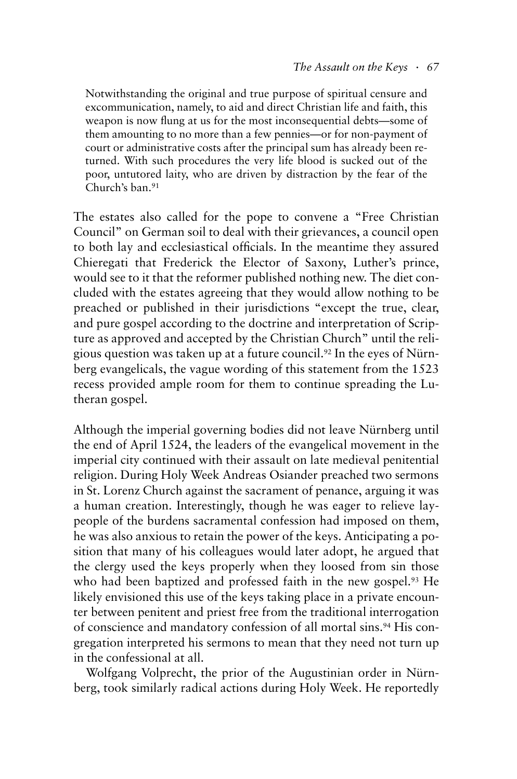Notwithstanding the original and true purpose of spiritual censure and excommunication, namely, to aid and direct Christian life and faith, this weapon is now flung at us for the most inconsequential debts—some of them amounting to no more than a few pennies—or for non-payment of court or administrative costs after the principal sum has already been returned. With such procedures the very life blood is sucked out of the poor, untutored laity, who are driven by distraction by the fear of the Church's ban.<sup>91</sup>

The estates also called for the pope to convene a "Free Christian Council" on German soil to deal with their grievances, a council open to both lay and ecclesiastical officials. In the meantime they assured Chieregati that Frederick the Elector of Saxony, Luther's prince, would see to it that the reformer published nothing new. The diet concluded with the estates agreeing that they would allow nothing to be preached or published in their jurisdictions "except the true, clear, and pure gospel according to the doctrine and interpretation of Scripture as approved and accepted by the Christian Church" until the religious question was taken up at a future council.92 In the eyes of Nürnberg evangelicals, the vague wording of this statement from the 1523 recess provided ample room for them to continue spreading the Lutheran gospel.

Although the imperial governing bodies did not leave Nürnberg until the end of April 1524, the leaders of the evangelical movement in the imperial city continued with their assault on late medieval penitential religion. During Holy Week Andreas Osiander preached two sermons in St. Lorenz Church against the sacrament of penance, arguing it was a human creation. Interestingly, though he was eager to relieve laypeople of the burdens sacramental confession had imposed on them, he was also anxious to retain the power of the keys. Anticipating a position that many of his colleagues would later adopt, he argued that the clergy used the keys properly when they loosed from sin those who had been baptized and professed faith in the new gospel.<sup>93</sup> He likely envisioned this use of the keys taking place in a private encounter between penitent and priest free from the traditional interrogation of conscience and mandatory confession of all mortal sins.<sup>94</sup> His congregation interpreted his sermons to mean that they need not turn up in the confessional at all.

Wolfgang Volprecht, the prior of the Augustinian order in Nürnberg, took similarly radical actions during Holy Week. He reportedly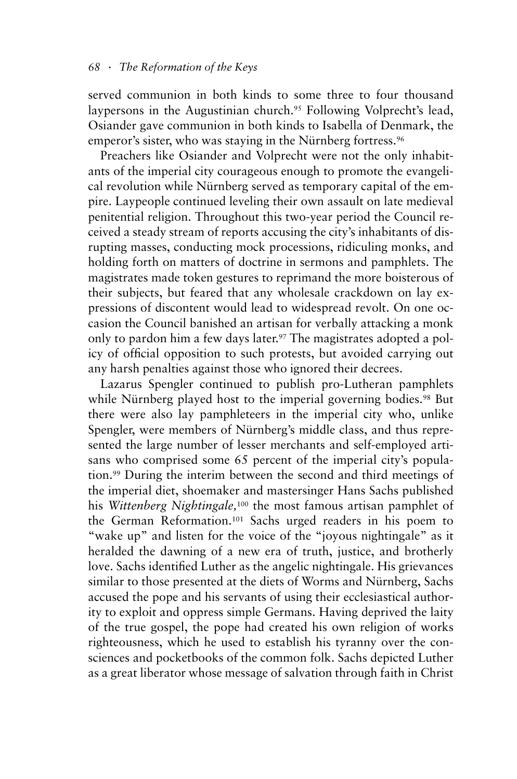served communion in both kinds to some three to four thousand laypersons in the Augustinian church.<sup>95</sup> Following Volprecht's lead, Osiander gave communion in both kinds to Isabella of Denmark, the emperor's sister, who was staying in the Nürnberg fortress.<sup>96</sup>

Preachers like Osiander and Volprecht were not the only inhabitants of the imperial city courageous enough to promote the evangelical revolution while Nürnberg served as temporary capital of the empire. Laypeople continued leveling their own assault on late medieval penitential religion. Throughout this two-year period the Council received a steady stream of reports accusing the city's inhabitants of disrupting masses, conducting mock processions, ridiculing monks, and holding forth on matters of doctrine in sermons and pamphlets. The magistrates made token gestures to reprimand the more boisterous of their subjects, but feared that any wholesale crackdown on lay expressions of discontent would lead to widespread revolt. On one occasion the Council banished an artisan for verbally attacking a monk only to pardon him a few days later.<sup>97</sup> The magistrates adopted a policy of official opposition to such protests, but avoided carrying out any harsh penalties against those who ignored their decrees.

Lazarus Spengler continued to publish pro-Lutheran pamphlets while Nürnberg played host to the imperial governing bodies.<sup>98</sup> But there were also lay pamphleteers in the imperial city who, unlike Spengler, were members of Nürnberg's middle class, and thus represented the large number of lesser merchants and self-employed artisans who comprised some 65 percent of the imperial city's population.99 During the interim between the second and third meetings of the imperial diet, shoemaker and mastersinger Hans Sachs published his *Wittenberg Nightingale,*<sup>100</sup> the most famous artisan pamphlet of the German Reformation.101 Sachs urged readers in his poem to "wake up" and listen for the voice of the "joyous nightingale" as it heralded the dawning of a new era of truth, justice, and brotherly love. Sachs identified Luther as the angelic nightingale. His grievances similar to those presented at the diets of Worms and Nürnberg, Sachs accused the pope and his servants of using their ecclesiastical authority to exploit and oppress simple Germans. Having deprived the laity of the true gospel, the pope had created his own religion of works righteousness, which he used to establish his tyranny over the consciences and pocketbooks of the common folk. Sachs depicted Luther as a great liberator whose message of salvation through faith in Christ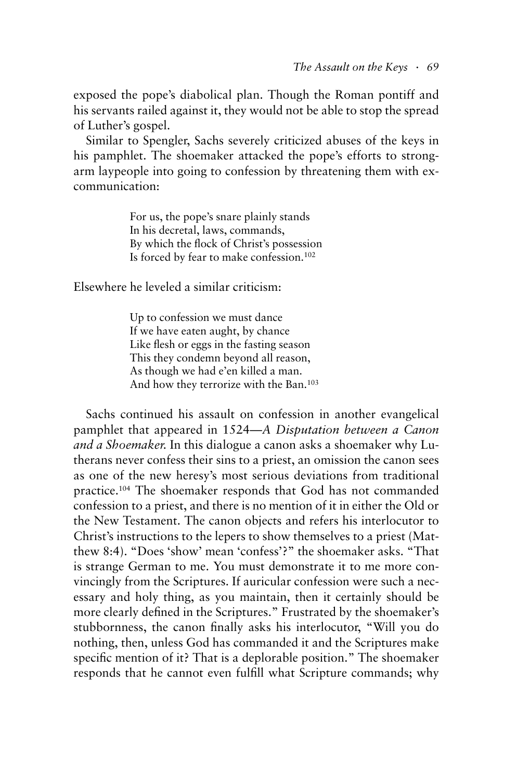exposed the pope's diabolical plan. Though the Roman pontiff and his servants railed against it, they would not be able to stop the spread of Luther's gospel.

Similar to Spengler, Sachs severely criticized abuses of the keys in his pamphlet. The shoemaker attacked the pope's efforts to strongarm laypeople into going to confession by threatening them with excommunication:

> For us, the pope's snare plainly stands In his decretal, laws, commands, By which the flock of Christ's possession Is forced by fear to make confession.102

Elsewhere he leveled a similar criticism:

Up to confession we must dance If we have eaten aught, by chance Like flesh or eggs in the fasting season This they condemn beyond all reason, As though we had e'en killed a man. And how they terrorize with the Ban.103

Sachs continued his assault on confession in another evangelical pamphlet that appeared in 1524—*A Disputation between a Canon and a Shoemaker.* In this dialogue a canon asks a shoemaker why Lutherans never confess their sins to a priest, an omission the canon sees as one of the new heresy's most serious deviations from traditional practice.104 The shoemaker responds that God has not commanded confession to a priest, and there is no mention of it in either the Old or the New Testament. The canon objects and refers his interlocutor to Christ's instructions to the lepers to show themselves to a priest (Matthew 8:4). "Does 'show' mean 'confess'?" the shoemaker asks. "That is strange German to me. You must demonstrate it to me more convincingly from the Scriptures. If auricular confession were such a necessary and holy thing, as you maintain, then it certainly should be more clearly defined in the Scriptures." Frustrated by the shoemaker's stubbornness, the canon finally asks his interlocutor, "Will you do nothing, then, unless God has commanded it and the Scriptures make specific mention of it? That is a deplorable position." The shoemaker responds that he cannot even fulfill what Scripture commands; why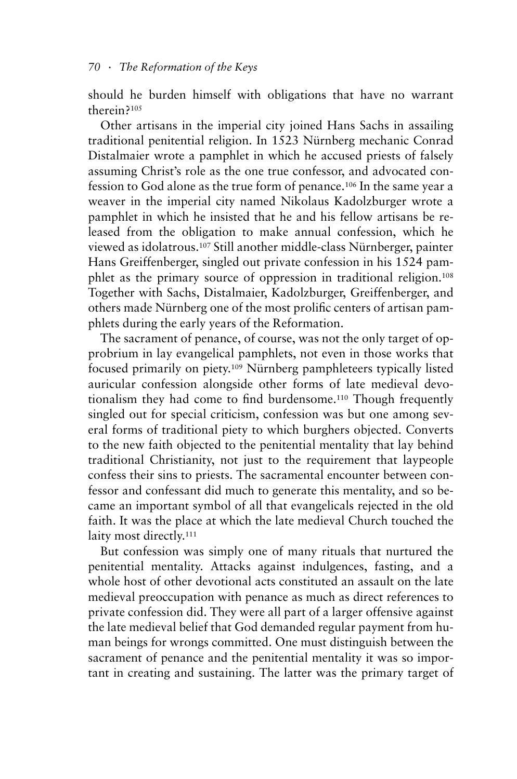should he burden himself with obligations that have no warrant therein?105

Other artisans in the imperial city joined Hans Sachs in assailing traditional penitential religion. In 1523 Nürnberg mechanic Conrad Distalmaier wrote a pamphlet in which he accused priests of falsely assuming Christ's role as the one true confessor, and advocated confession to God alone as the true form of penance.106 In the same year a weaver in the imperial city named Nikolaus Kadolzburger wrote a pamphlet in which he insisted that he and his fellow artisans be released from the obligation to make annual confession, which he viewed as idolatrous.107 Still another middle-class Nürnberger, painter Hans Greiffenberger, singled out private confession in his 1524 pamphlet as the primary source of oppression in traditional religion.108 Together with Sachs, Distalmaier, Kadolzburger, Greiffenberger, and others made Nürnberg one of the most prolific centers of artisan pamphlets during the early years of the Reformation.

The sacrament of penance, of course, was not the only target of opprobrium in lay evangelical pamphlets, not even in those works that focused primarily on piety.109 Nürnberg pamphleteers typically listed auricular confession alongside other forms of late medieval devotionalism they had come to find burdensome.110 Though frequently singled out for special criticism, confession was but one among several forms of traditional piety to which burghers objected. Converts to the new faith objected to the penitential mentality that lay behind traditional Christianity, not just to the requirement that laypeople confess their sins to priests. The sacramental encounter between confessor and confessant did much to generate this mentality, and so became an important symbol of all that evangelicals rejected in the old faith. It was the place at which the late medieval Church touched the laity most directly.<sup>111</sup>

But confession was simply one of many rituals that nurtured the penitential mentality. Attacks against indulgences, fasting, and a whole host of other devotional acts constituted an assault on the late medieval preoccupation with penance as much as direct references to private confession did. They were all part of a larger offensive against the late medieval belief that God demanded regular payment from human beings for wrongs committed. One must distinguish between the sacrament of penance and the penitential mentality it was so important in creating and sustaining. The latter was the primary target of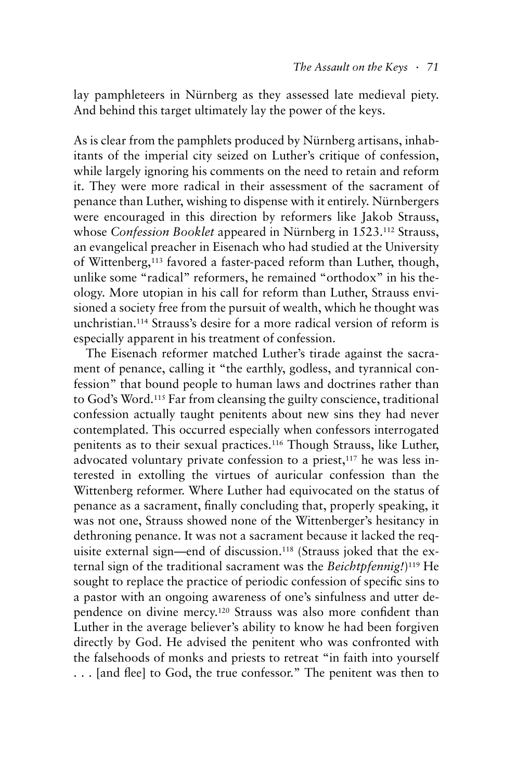lay pamphleteers in Nürnberg as they assessed late medieval piety. And behind this target ultimately lay the power of the keys.

As is clear from the pamphlets produced by Nürnberg artisans, inhabitants of the imperial city seized on Luther's critique of confession, while largely ignoring his comments on the need to retain and reform it. They were more radical in their assessment of the sacrament of penance than Luther, wishing to dispense with it entirely. Nürnbergers were encouraged in this direction by reformers like Jakob Strauss, whose *Confession Booklet* appeared in Nürnberg in 1523.112 Strauss, an evangelical preacher in Eisenach who had studied at the University of Wittenberg,113 favored a faster-paced reform than Luther, though, unlike some "radical" reformers, he remained "orthodox" in his theology. More utopian in his call for reform than Luther, Strauss envisioned a society free from the pursuit of wealth, which he thought was unchristian.114 Strauss's desire for a more radical version of reform is especially apparent in his treatment of confession.

The Eisenach reformer matched Luther's tirade against the sacrament of penance, calling it "the earthly, godless, and tyrannical confession" that bound people to human laws and doctrines rather than to God's Word.115 Far from cleansing the guilty conscience, traditional confession actually taught penitents about new sins they had never contemplated. This occurred especially when confessors interrogated penitents as to their sexual practices.116 Though Strauss, like Luther, advocated voluntary private confession to a priest,<sup>117</sup> he was less interested in extolling the virtues of auricular confession than the Wittenberg reformer. Where Luther had equivocated on the status of penance as a sacrament, finally concluding that, properly speaking, it was not one, Strauss showed none of the Wittenberger's hesitancy in dethroning penance. It was not a sacrament because it lacked the requisite external sign—end of discussion.118 (Strauss joked that the external sign of the traditional sacrament was the *Beichtpfennig!*)119 He sought to replace the practice of periodic confession of specific sins to a pastor with an ongoing awareness of one's sinfulness and utter dependence on divine mercy.120 Strauss was also more confident than Luther in the average believer's ability to know he had been forgiven directly by God. He advised the penitent who was confronted with the falsehoods of monks and priests to retreat "in faith into yourself . . . [and flee] to God, the true confessor." The penitent was then to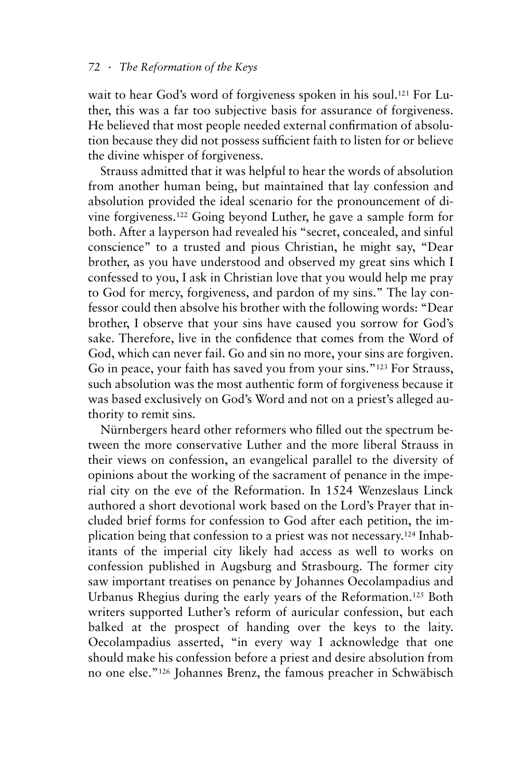## *72 • The Reformation of the Keys*

wait to hear God's word of forgiveness spoken in his soul.121 For Luther, this was a far too subjective basis for assurance of forgiveness. He believed that most people needed external confirmation of absolution because they did not possess sufficient faith to listen for or believe the divine whisper of forgiveness.

Strauss admitted that it was helpful to hear the words of absolution from another human being, but maintained that lay confession and absolution provided the ideal scenario for the pronouncement of divine forgiveness.122 Going beyond Luther, he gave a sample form for both. After a layperson had revealed his "secret, concealed, and sinful conscience" to a trusted and pious Christian, he might say, "Dear brother, as you have understood and observed my great sins which I confessed to you, I ask in Christian love that you would help me pray to God for mercy, forgiveness, and pardon of my sins." The lay confessor could then absolve his brother with the following words: "Dear brother, I observe that your sins have caused you sorrow for God's sake. Therefore, live in the confidence that comes from the Word of God, which can never fail. Go and sin no more, your sins are forgiven. Go in peace, your faith has saved you from your sins."123 For Strauss, such absolution was the most authentic form of forgiveness because it was based exclusively on God's Word and not on a priest's alleged authority to remit sins.

Nürnbergers heard other reformers who filled out the spectrum between the more conservative Luther and the more liberal Strauss in their views on confession, an evangelical parallel to the diversity of opinions about the working of the sacrament of penance in the imperial city on the eve of the Reformation. In 1524 Wenzeslaus Linck authored a short devotional work based on the Lord's Prayer that included brief forms for confession to God after each petition, the implication being that confession to a priest was not necessary.124 Inhabitants of the imperial city likely had access as well to works on confession published in Augsburg and Strasbourg. The former city saw important treatises on penance by Johannes Oecolampadius and Urbanus Rhegius during the early years of the Reformation.125 Both writers supported Luther's reform of auricular confession, but each balked at the prospect of handing over the keys to the laity. Oecolampadius asserted, "in every way I acknowledge that one should make his confession before a priest and desire absolution from no one else."126 Johannes Brenz, the famous preacher in Schwäbisch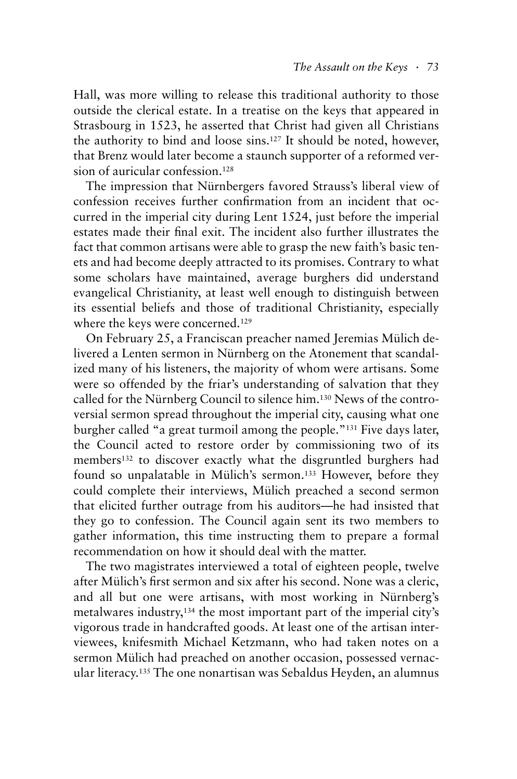Hall, was more willing to release this traditional authority to those outside the clerical estate. In a treatise on the keys that appeared in Strasbourg in 1523, he asserted that Christ had given all Christians the authority to bind and loose sins.127 It should be noted, however, that Brenz would later become a staunch supporter of a reformed version of auricular confession.128

The impression that Nürnbergers favored Strauss's liberal view of confession receives further confirmation from an incident that occurred in the imperial city during Lent 1524, just before the imperial estates made their final exit. The incident also further illustrates the fact that common artisans were able to grasp the new faith's basic tenets and had become deeply attracted to its promises. Contrary to what some scholars have maintained, average burghers did understand evangelical Christianity, at least well enough to distinguish between its essential beliefs and those of traditional Christianity, especially where the keys were concerned.129

On February 25, a Franciscan preacher named Jeremias Mülich delivered a Lenten sermon in Nürnberg on the Atonement that scandalized many of his listeners, the majority of whom were artisans. Some were so offended by the friar's understanding of salvation that they called for the Nürnberg Council to silence him.130 News of the controversial sermon spread throughout the imperial city, causing what one burgher called "a great turmoil among the people."131 Five days later, the Council acted to restore order by commissioning two of its members132 to discover exactly what the disgruntled burghers had found so unpalatable in Mülich's sermon.<sup>133</sup> However, before they could complete their interviews, Mülich preached a second sermon that elicited further outrage from his auditors—he had insisted that they go to confession. The Council again sent its two members to gather information, this time instructing them to prepare a formal recommendation on how it should deal with the matter.

The two magistrates interviewed a total of eighteen people, twelve after Mülich's first sermon and six after his second. None was a cleric, and all but one were artisans, with most working in Nürnberg's metalwares industry,134 the most important part of the imperial city's vigorous trade in handcrafted goods. At least one of the artisan interviewees, knifesmith Michael Ketzmann, who had taken notes on a sermon Mülich had preached on another occasion, possessed vernacular literacy.135 The one nonartisan was Sebaldus Heyden, an alumnus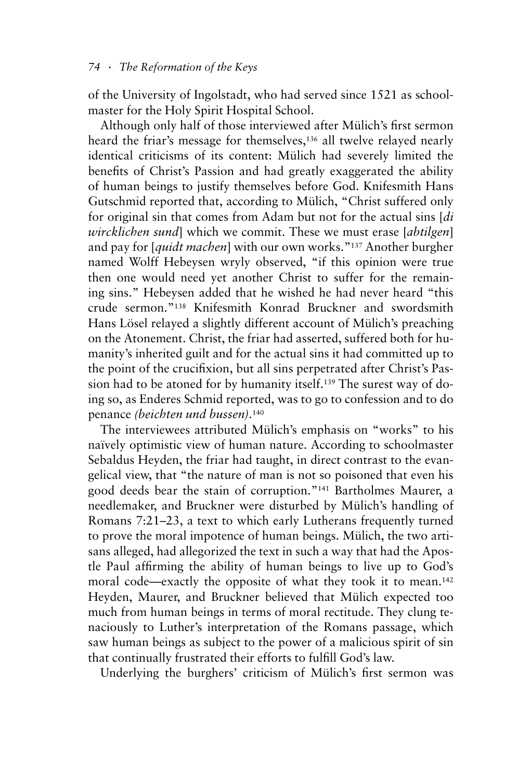of the University of Ingolstadt, who had served since 1521 as schoolmaster for the Holy Spirit Hospital School.

Although only half of those interviewed after Mülich's first sermon heard the friar's message for themselves,<sup>136</sup> all twelve relayed nearly identical criticisms of its content: Mülich had severely limited the benefits of Christ's Passion and had greatly exaggerated the ability of human beings to justify themselves before God. Knifesmith Hans Gutschmid reported that, according to Mülich, "Christ suffered only for original sin that comes from Adam but not for the actual sins [*di wircklichen sund*] which we commit. These we must erase [*abtilgen*] and pay for [*quidt machen*] with our own works."137 Another burgher named Wolff Hebeysen wryly observed, "if this opinion were true then one would need yet another Christ to suffer for the remaining sins." Hebeysen added that he wished he had never heard "this crude sermon."138 Knifesmith Konrad Bruckner and swordsmith Hans Lösel relayed a slightly different account of Mülich's preaching on the Atonement. Christ, the friar had asserted, suffered both for humanity's inherited guilt and for the actual sins it had committed up to the point of the crucifixion, but all sins perpetrated after Christ's Passion had to be atoned for by humanity itself.139 The surest way of doing so, as Enderes Schmid reported, was to go to confession and to do penance *(beichten und bussen).*<sup>140</sup>

The interviewees attributed Mülich's emphasis on "works" to his naïvely optimistic view of human nature. According to schoolmaster Sebaldus Heyden, the friar had taught, in direct contrast to the evangelical view, that "the nature of man is not so poisoned that even his good deeds bear the stain of corruption."141 Bartholmes Maurer, a needlemaker, and Bruckner were disturbed by Mülich's handling of Romans 7:21–23, a text to which early Lutherans frequently turned to prove the moral impotence of human beings. Mülich, the two artisans alleged, had allegorized the text in such a way that had the Apostle Paul affirming the ability of human beings to live up to God's moral code—exactly the opposite of what they took it to mean.<sup>142</sup> Heyden, Maurer, and Bruckner believed that Mülich expected too much from human beings in terms of moral rectitude. They clung tenaciously to Luther's interpretation of the Romans passage, which saw human beings as subject to the power of a malicious spirit of sin that continually frustrated their efforts to fulfill God's law.

Underlying the burghers' criticism of Mülich's first sermon was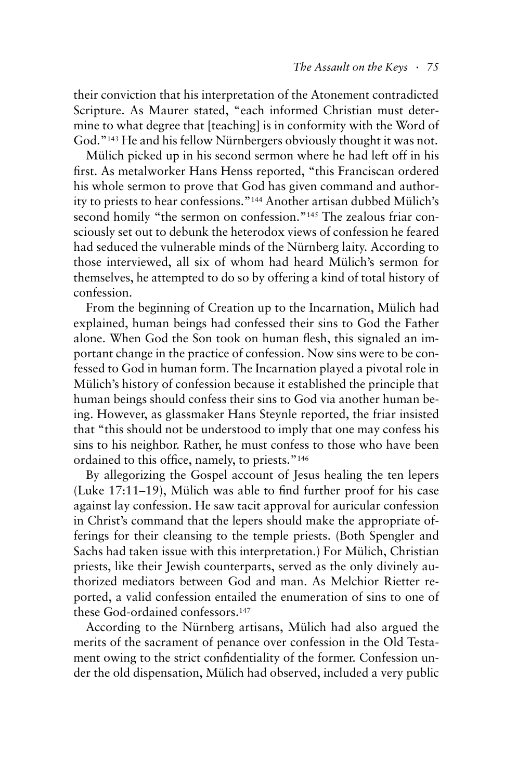their conviction that his interpretation of the Atonement contradicted Scripture. As Maurer stated, "each informed Christian must determine to what degree that [teaching] is in conformity with the Word of God."143 He and his fellow Nürnbergers obviously thought it was not.

Mülich picked up in his second sermon where he had left off in his first. As metalworker Hans Henss reported, "this Franciscan ordered his whole sermon to prove that God has given command and authority to priests to hear confessions."144 Another artisan dubbed Mülich's second homily "the sermon on confession."<sup>145</sup> The zealous friar consciously set out to debunk the heterodox views of confession he feared had seduced the vulnerable minds of the Nürnberg laity. According to those interviewed, all six of whom had heard Mülich's sermon for themselves, he attempted to do so by offering a kind of total history of confession.

From the beginning of Creation up to the Incarnation, Mülich had explained, human beings had confessed their sins to God the Father alone. When God the Son took on human flesh, this signaled an important change in the practice of confession. Now sins were to be confessed to God in human form. The Incarnation played a pivotal role in Mülich's history of confession because it established the principle that human beings should confess their sins to God via another human being. However, as glassmaker Hans Steynle reported, the friar insisted that "this should not be understood to imply that one may confess his sins to his neighbor. Rather, he must confess to those who have been ordained to this office, namely, to priests."146

By allegorizing the Gospel account of Jesus healing the ten lepers (Luke 17:11–19), Mülich was able to find further proof for his case against lay confession. He saw tacit approval for auricular confession in Christ's command that the lepers should make the appropriate offerings for their cleansing to the temple priests. (Both Spengler and Sachs had taken issue with this interpretation.) For Mülich, Christian priests, like their Jewish counterparts, served as the only divinely authorized mediators between God and man. As Melchior Rietter reported, a valid confession entailed the enumeration of sins to one of these God-ordained confessors.147

According to the Nürnberg artisans, Mülich had also argued the merits of the sacrament of penance over confession in the Old Testament owing to the strict confidentiality of the former. Confession under the old dispensation, Mülich had observed, included a very public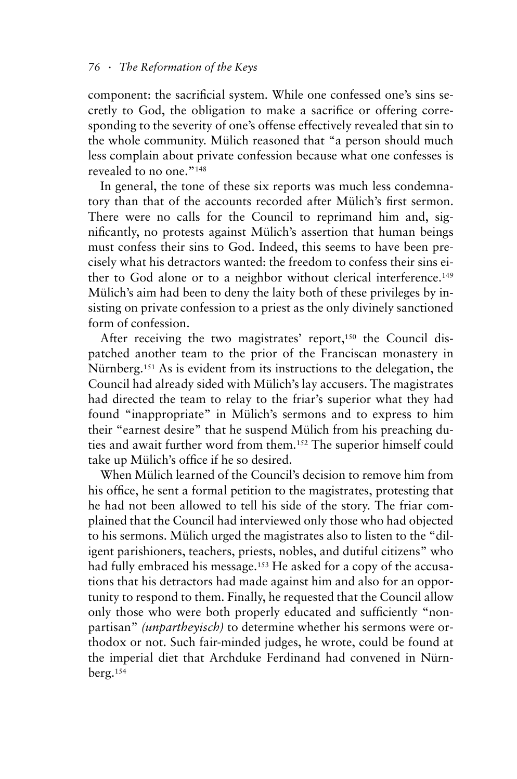component: the sacrificial system. While one confessed one's sins secretly to God, the obligation to make a sacrifice or offering corresponding to the severity of one's offense effectively revealed that sin to the whole community. Mülich reasoned that "a person should much less complain about private confession because what one confesses is revealed to no one."148

In general, the tone of these six reports was much less condemnatory than that of the accounts recorded after Mülich's first sermon. There were no calls for the Council to reprimand him and, significantly, no protests against Mülich's assertion that human beings must confess their sins to God. Indeed, this seems to have been precisely what his detractors wanted: the freedom to confess their sins either to God alone or to a neighbor without clerical interference.149 Mülich's aim had been to deny the laity both of these privileges by insisting on private confession to a priest as the only divinely sanctioned form of confession.

After receiving the two magistrates' report,<sup>150</sup> the Council dispatched another team to the prior of the Franciscan monastery in Nürnberg.151 As is evident from its instructions to the delegation, the Council had already sided with Mülich's lay accusers. The magistrates had directed the team to relay to the friar's superior what they had found "inappropriate" in Mülich's sermons and to express to him their "earnest desire" that he suspend Mülich from his preaching duties and await further word from them.152 The superior himself could take up Mülich's office if he so desired.

When Mülich learned of the Council's decision to remove him from his office, he sent a formal petition to the magistrates, protesting that he had not been allowed to tell his side of the story. The friar complained that the Council had interviewed only those who had objected to his sermons. Mülich urged the magistrates also to listen to the "diligent parishioners, teachers, priests, nobles, and dutiful citizens" who had fully embraced his message.<sup>153</sup> He asked for a copy of the accusations that his detractors had made against him and also for an opportunity to respond to them. Finally, he requested that the Council allow only those who were both properly educated and sufficiently "nonpartisan" *(unpartheyisch)* to determine whether his sermons were orthodox or not. Such fair-minded judges, he wrote, could be found at the imperial diet that Archduke Ferdinand had convened in Nürnberg.154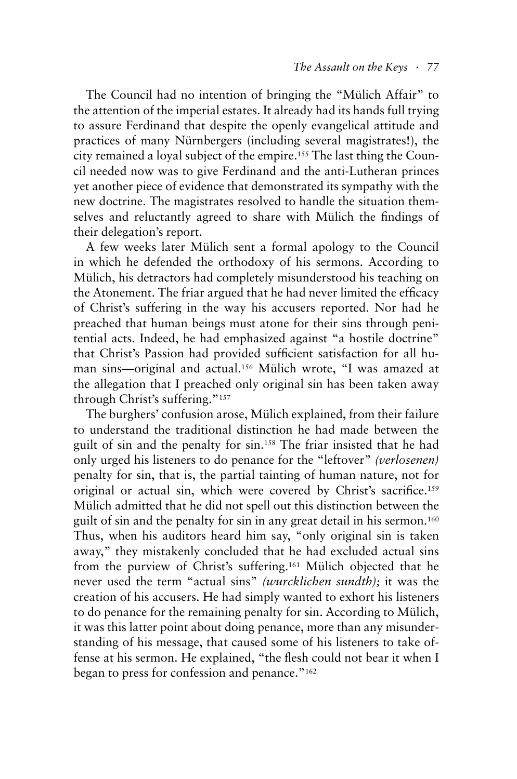The Council had no intention of bringing the "Mülich Affair" to the attention of the imperial estates. It already had its hands full trying to assure Ferdinand that despite the openly evangelical attitude and practices of many Nürnbergers (including several magistrates!), the city remained a loyal subject of the empire.155 The last thing the Council needed now was to give Ferdinand and the anti-Lutheran princes yet another piece of evidence that demonstrated its sympathy with the new doctrine. The magistrates resolved to handle the situation themselves and reluctantly agreed to share with Mülich the findings of their delegation's report.

A few weeks later Mülich sent a formal apology to the Council in which he defended the orthodoxy of his sermons. According to Mülich, his detractors had completely misunderstood his teaching on the Atonement. The friar argued that he had never limited the efficacy of Christ's suffering in the way his accusers reported. Nor had he preached that human beings must atone for their sins through penitential acts. Indeed, he had emphasized against "a hostile doctrine" that Christ's Passion had provided sufficient satisfaction for all human sins—original and actual.156 Mülich wrote, "I was amazed at the allegation that I preached only original sin has been taken away through Christ's suffering."157

The burghers' confusion arose, Mülich explained, from their failure to understand the traditional distinction he had made between the guilt of sin and the penalty for sin.158 The friar insisted that he had only urged his listeners to do penance for the "leftover" *(verlosenen)* penalty for sin, that is, the partial tainting of human nature, not for original or actual sin, which were covered by Christ's sacrifice.159 Mülich admitted that he did not spell out this distinction between the guilt of sin and the penalty for sin in any great detail in his sermon.160 Thus, when his auditors heard him say, "only original sin is taken away," they mistakenly concluded that he had excluded actual sins from the purview of Christ's suffering.161 Mülich objected that he never used the term "actual sins" *(wurcklichen sundth);* it was the creation of his accusers. He had simply wanted to exhort his listeners to do penance for the remaining penalty for sin. According to Mülich, it was this latter point about doing penance, more than any misunderstanding of his message, that caused some of his listeners to take offense at his sermon. He explained, "the flesh could not bear it when I began to press for confession and penance."162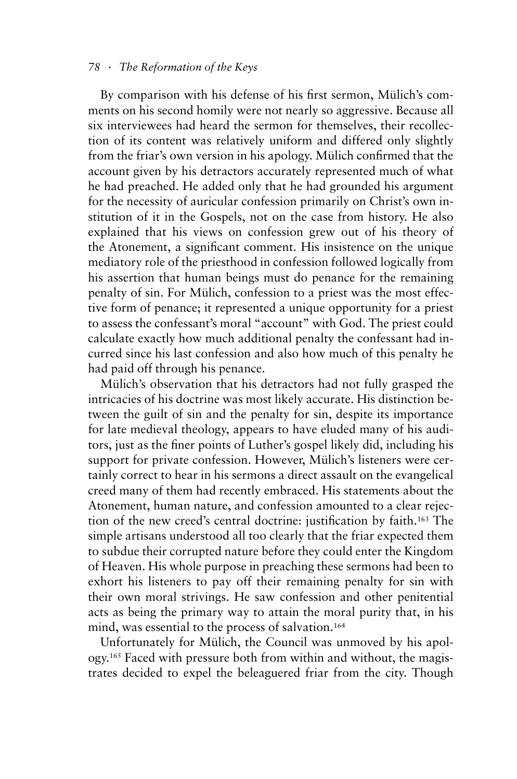## *78 • The Reformation of the Keys*

By comparison with his defense of his first sermon, Mülich's comments on his second homily were not nearly so aggressive. Because all six interviewees had heard the sermon for themselves, their recollection of its content was relatively uniform and differed only slightly from the friar's own version in his apology. Mülich confirmed that the account given by his detractors accurately represented much of what he had preached. He added only that he had grounded his argument for the necessity of auricular confession primarily on Christ's own institution of it in the Gospels, not on the case from history. He also explained that his views on confession grew out of his theory of the Atonement, a significant comment. His insistence on the unique mediatory role of the priesthood in confession followed logically from his assertion that human beings must do penance for the remaining penalty of sin. For Mülich, confession to a priest was the most effective form of penance; it represented a unique opportunity for a priest to assess the confessant's moral "account" with God. The priest could calculate exactly how much additional penalty the confessant had incurred since his last confession and also how much of this penalty he had paid off through his penance.

Mülich's observation that his detractors had not fully grasped the intricacies of his doctrine was most likely accurate. His distinction between the guilt of sin and the penalty for sin, despite its importance for late medieval theology, appears to have eluded many of his auditors, just as the finer points of Luther's gospel likely did, including his support for private confession. However, Mülich's listeners were certainly correct to hear in his sermons a direct assault on the evangelical creed many of them had recently embraced. His statements about the Atonement, human nature, and confession amounted to a clear rejection of the new creed's central doctrine: justification by faith.163 The simple artisans understood all too clearly that the friar expected them to subdue their corrupted nature before they could enter the Kingdom of Heaven. His whole purpose in preaching these sermons had been to exhort his listeners to pay off their remaining penalty for sin with their own moral strivings. He saw confession and other penitential acts as being the primary way to attain the moral purity that, in his mind, was essential to the process of salvation.<sup>164</sup>

Unfortunately for Mülich, the Council was unmoved by his apology.165 Faced with pressure both from within and without, the magistrates decided to expel the beleaguered friar from the city. Though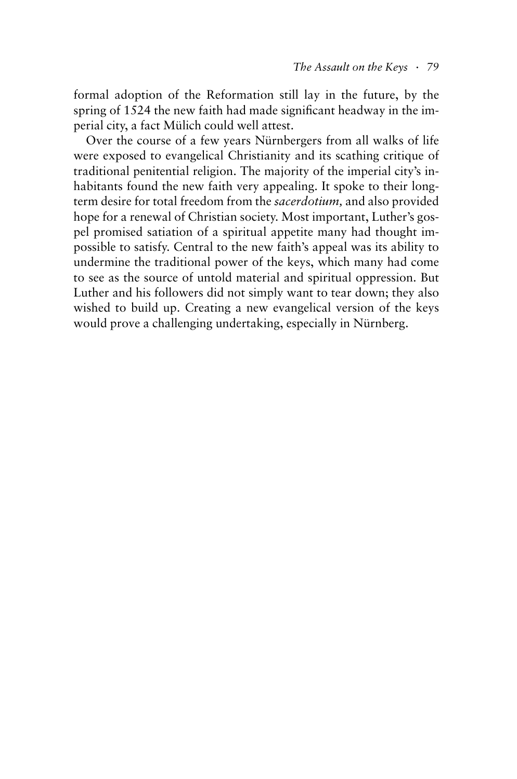formal adoption of the Reformation still lay in the future, by the spring of 1524 the new faith had made significant headway in the imperial city, a fact Mülich could well attest.

Over the course of a few years Nürnbergers from all walks of life were exposed to evangelical Christianity and its scathing critique of traditional penitential religion. The majority of the imperial city's inhabitants found the new faith very appealing. It spoke to their longterm desire for total freedom from the *sacerdotium,* and also provided hope for a renewal of Christian society. Most important, Luther's gospel promised satiation of a spiritual appetite many had thought impossible to satisfy. Central to the new faith's appeal was its ability to undermine the traditional power of the keys, which many had come to see as the source of untold material and spiritual oppression. But Luther and his followers did not simply want to tear down; they also wished to build up. Creating a new evangelical version of the keys would prove a challenging undertaking, especially in Nürnberg.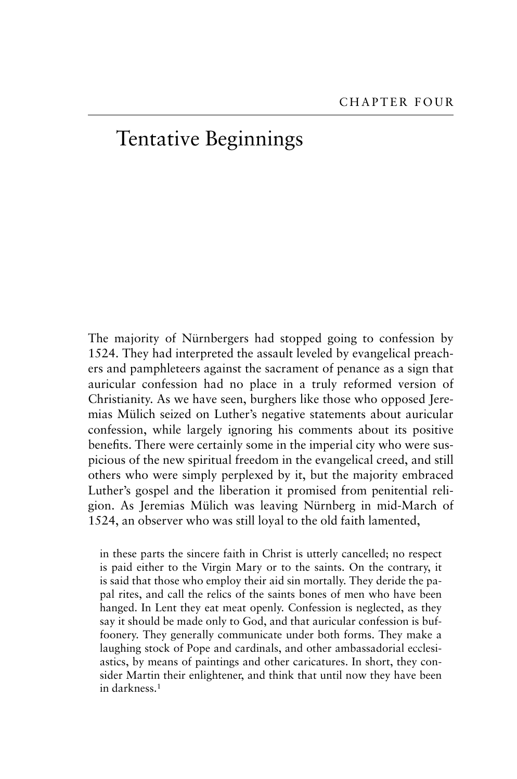# Tentative Beginnings

The majority of Nürnbergers had stopped going to confession by 1524. They had interpreted the assault leveled by evangelical preachers and pamphleteers against the sacrament of penance as a sign that auricular confession had no place in a truly reformed version of Christianity. As we have seen, burghers like those who opposed Jeremias Mülich seized on Luther's negative statements about auricular confession, while largely ignoring his comments about its positive benefits. There were certainly some in the imperial city who were suspicious of the new spiritual freedom in the evangelical creed, and still others who were simply perplexed by it, but the majority embraced Luther's gospel and the liberation it promised from penitential religion. As Jeremias Mülich was leaving Nürnberg in mid-March of 1524, an observer who was still loyal to the old faith lamented,

in these parts the sincere faith in Christ is utterly cancelled; no respect is paid either to the Virgin Mary or to the saints. On the contrary, it is said that those who employ their aid sin mortally. They deride the papal rites, and call the relics of the saints bones of men who have been hanged. In Lent they eat meat openly. Confession is neglected, as they say it should be made only to God, and that auricular confession is buffoonery. They generally communicate under both forms. They make a laughing stock of Pope and cardinals, and other ambassadorial ecclesiastics, by means of paintings and other caricatures. In short, they consider Martin their enlightener, and think that until now they have been in darkness.1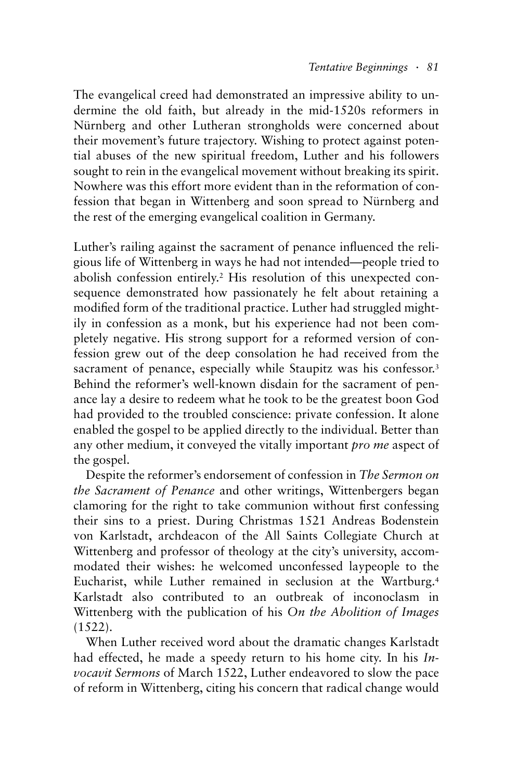The evangelical creed had demonstrated an impressive ability to undermine the old faith, but already in the mid-1520s reformers in Nürnberg and other Lutheran strongholds were concerned about their movement's future trajectory. Wishing to protect against potential abuses of the new spiritual freedom, Luther and his followers sought to rein in the evangelical movement without breaking its spirit. Nowhere was this effort more evident than in the reformation of confession that began in Wittenberg and soon spread to Nürnberg and the rest of the emerging evangelical coalition in Germany.

Luther's railing against the sacrament of penance influenced the religious life of Wittenberg in ways he had not intended—people tried to abolish confession entirely.2 His resolution of this unexpected consequence demonstrated how passionately he felt about retaining a modified form of the traditional practice. Luther had struggled mightily in confession as a monk, but his experience had not been completely negative. His strong support for a reformed version of confession grew out of the deep consolation he had received from the sacrament of penance, especially while Staupitz was his confessor.<sup>3</sup> Behind the reformer's well-known disdain for the sacrament of penance lay a desire to redeem what he took to be the greatest boon God had provided to the troubled conscience: private confession. It alone enabled the gospel to be applied directly to the individual. Better than any other medium, it conveyed the vitally important *pro me* aspect of the gospel.

Despite the reformer's endorsement of confession in *The Sermon on the Sacrament of Penance* and other writings, Wittenbergers began clamoring for the right to take communion without first confessing their sins to a priest. During Christmas 1521 Andreas Bodenstein von Karlstadt, archdeacon of the All Saints Collegiate Church at Wittenberg and professor of theology at the city's university, accommodated their wishes: he welcomed unconfessed laypeople to the Eucharist, while Luther remained in seclusion at the Wartburg.4 Karlstadt also contributed to an outbreak of inconoclasm in Wittenberg with the publication of his *On the Abolition of Images* (1522).

When Luther received word about the dramatic changes Karlstadt had effected, he made a speedy return to his home city. In his *Invocavit Sermons* of March 1522, Luther endeavored to slow the pace of reform in Wittenberg, citing his concern that radical change would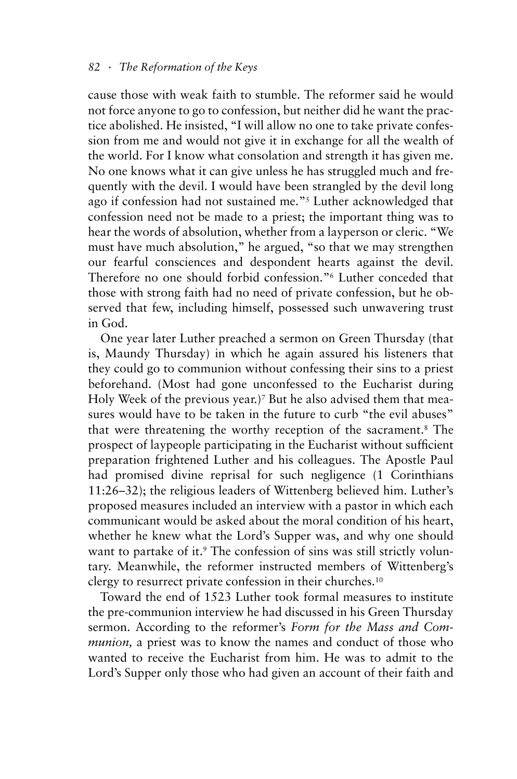# *82 • The Reformation of the Keys*

cause those with weak faith to stumble. The reformer said he would not force anyone to go to confession, but neither did he want the practice abolished. He insisted, "I will allow no one to take private confession from me and would not give it in exchange for all the wealth of the world. For I know what consolation and strength it has given me. No one knows what it can give unless he has struggled much and frequently with the devil. I would have been strangled by the devil long ago if confession had not sustained me."5 Luther acknowledged that confession need not be made to a priest; the important thing was to hear the words of absolution, whether from a layperson or cleric. "We must have much absolution," he argued, "so that we may strengthen our fearful consciences and despondent hearts against the devil. Therefore no one should forbid confession."6 Luther conceded that those with strong faith had no need of private confession, but he observed that few, including himself, possessed such unwavering trust in God.

One year later Luther preached a sermon on Green Thursday (that is, Maundy Thursday) in which he again assured his listeners that they could go to communion without confessing their sins to a priest beforehand. (Most had gone unconfessed to the Eucharist during Holy Week of the previous year.)7 But he also advised them that measures would have to be taken in the future to curb "the evil abuses" that were threatening the worthy reception of the sacrament.8 The prospect of laypeople participating in the Eucharist without sufficient preparation frightened Luther and his colleagues. The Apostle Paul had promised divine reprisal for such negligence (1 Corinthians 11:26–32); the religious leaders of Wittenberg believed him. Luther's proposed measures included an interview with a pastor in which each communicant would be asked about the moral condition of his heart, whether he knew what the Lord's Supper was, and why one should want to partake of it.<sup>9</sup> The confession of sins was still strictly voluntary. Meanwhile, the reformer instructed members of Wittenberg's clergy to resurrect private confession in their churches.10

Toward the end of 1523 Luther took formal measures to institute the pre-communion interview he had discussed in his Green Thursday sermon. According to the reformer's *Form for the Mass and Communion,* a priest was to know the names and conduct of those who wanted to receive the Eucharist from him. He was to admit to the Lord's Supper only those who had given an account of their faith and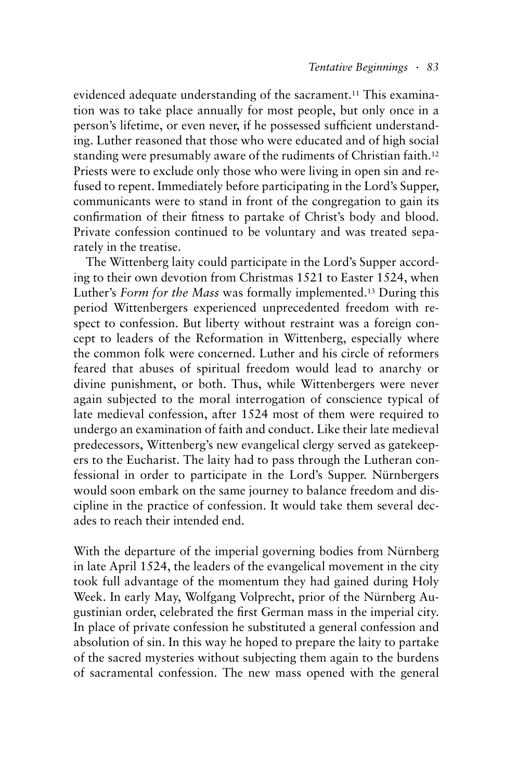evidenced adequate understanding of the sacrament.11 This examination was to take place annually for most people, but only once in a person's lifetime, or even never, if he possessed sufficient understanding. Luther reasoned that those who were educated and of high social standing were presumably aware of the rudiments of Christian faith.<sup>12</sup> Priests were to exclude only those who were living in open sin and refused to repent. Immediately before participating in the Lord's Supper, communicants were to stand in front of the congregation to gain its confirmation of their fitness to partake of Christ's body and blood. Private confession continued to be voluntary and was treated separately in the treatise.

The Wittenberg laity could participate in the Lord's Supper according to their own devotion from Christmas 1521 to Easter 1524, when Luther's *Form for the Mass* was formally implemented.13 During this period Wittenbergers experienced unprecedented freedom with respect to confession. But liberty without restraint was a foreign concept to leaders of the Reformation in Wittenberg, especially where the common folk were concerned. Luther and his circle of reformers feared that abuses of spiritual freedom would lead to anarchy or divine punishment, or both. Thus, while Wittenbergers were never again subjected to the moral interrogation of conscience typical of late medieval confession, after 1524 most of them were required to undergo an examination of faith and conduct. Like their late medieval predecessors, Wittenberg's new evangelical clergy served as gatekeepers to the Eucharist. The laity had to pass through the Lutheran confessional in order to participate in the Lord's Supper. Nürnbergers would soon embark on the same journey to balance freedom and discipline in the practice of confession. It would take them several decades to reach their intended end.

With the departure of the imperial governing bodies from Nürnberg in late April 1524, the leaders of the evangelical movement in the city took full advantage of the momentum they had gained during Holy Week. In early May, Wolfgang Volprecht, prior of the Nürnberg Augustinian order, celebrated the first German mass in the imperial city. In place of private confession he substituted a general confession and absolution of sin. In this way he hoped to prepare the laity to partake of the sacred mysteries without subjecting them again to the burdens of sacramental confession. The new mass opened with the general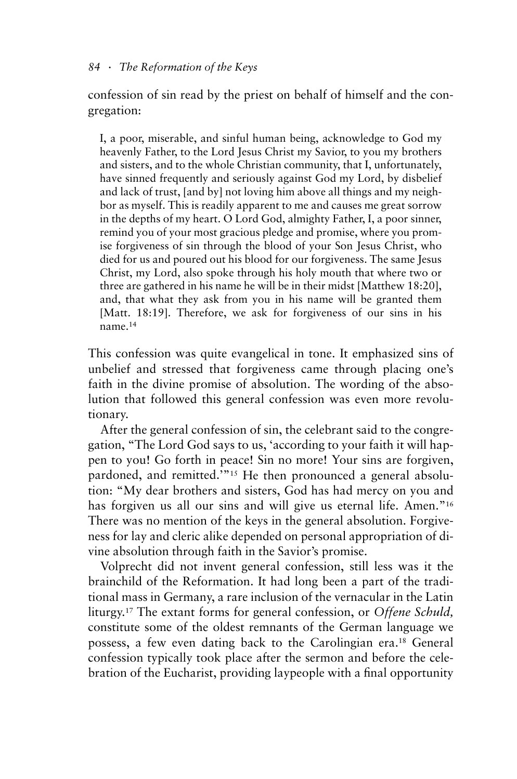confession of sin read by the priest on behalf of himself and the congregation:

I, a poor, miserable, and sinful human being, acknowledge to God my heavenly Father, to the Lord Jesus Christ my Savior, to you my brothers and sisters, and to the whole Christian community, that I, unfortunately, have sinned frequently and seriously against God my Lord, by disbelief and lack of trust, [and by] not loving him above all things and my neighbor as myself. This is readily apparent to me and causes me great sorrow in the depths of my heart. O Lord God, almighty Father, I, a poor sinner, remind you of your most gracious pledge and promise, where you promise forgiveness of sin through the blood of your Son Jesus Christ, who died for us and poured out his blood for our forgiveness. The same Jesus Christ, my Lord, also spoke through his holy mouth that where two or three are gathered in his name he will be in their midst [Matthew 18:20], and, that what they ask from you in his name will be granted them [Matt. 18:19]. Therefore, we ask for forgiveness of our sins in his name.14

This confession was quite evangelical in tone. It emphasized sins of unbelief and stressed that forgiveness came through placing one's faith in the divine promise of absolution. The wording of the absolution that followed this general confession was even more revolutionary.

After the general confession of sin, the celebrant said to the congregation, "The Lord God says to us, 'according to your faith it will happen to you! Go forth in peace! Sin no more! Your sins are forgiven, pardoned, and remitted.'"15 He then pronounced a general absolution: "My dear brothers and sisters, God has had mercy on you and has forgiven us all our sins and will give us eternal life. Amen."<sup>16</sup> There was no mention of the keys in the general absolution. Forgiveness for lay and cleric alike depended on personal appropriation of divine absolution through faith in the Savior's promise.

Volprecht did not invent general confession, still less was it the brainchild of the Reformation. It had long been a part of the traditional mass in Germany, a rare inclusion of the vernacular in the Latin liturgy.17 The extant forms for general confession, or *Offene Schuld,* constitute some of the oldest remnants of the German language we possess, a few even dating back to the Carolingian era.18 General confession typically took place after the sermon and before the celebration of the Eucharist, providing laypeople with a final opportunity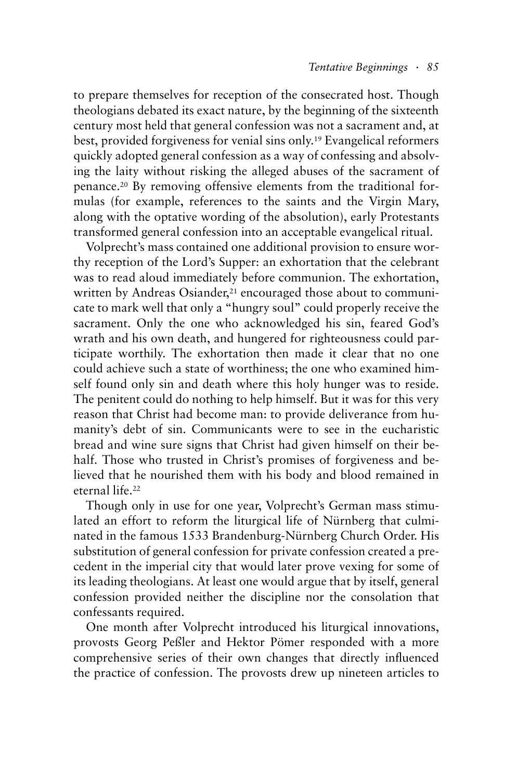to prepare themselves for reception of the consecrated host. Though theologians debated its exact nature, by the beginning of the sixteenth century most held that general confession was not a sacrament and, at best, provided forgiveness for venial sins only.19 Evangelical reformers quickly adopted general confession as a way of confessing and absolving the laity without risking the alleged abuses of the sacrament of penance.20 By removing offensive elements from the traditional formulas (for example, references to the saints and the Virgin Mary, along with the optative wording of the absolution), early Protestants transformed general confession into an acceptable evangelical ritual.

Volprecht's mass contained one additional provision to ensure worthy reception of the Lord's Supper: an exhortation that the celebrant was to read aloud immediately before communion. The exhortation, written by Andreas Osiander,<sup>21</sup> encouraged those about to communicate to mark well that only a "hungry soul" could properly receive the sacrament. Only the one who acknowledged his sin, feared God's wrath and his own death, and hungered for righteousness could participate worthily. The exhortation then made it clear that no one could achieve such a state of worthiness; the one who examined himself found only sin and death where this holy hunger was to reside. The penitent could do nothing to help himself. But it was for this very reason that Christ had become man: to provide deliverance from humanity's debt of sin. Communicants were to see in the eucharistic bread and wine sure signs that Christ had given himself on their behalf. Those who trusted in Christ's promises of forgiveness and believed that he nourished them with his body and blood remained in eternal life.22

Though only in use for one year, Volprecht's German mass stimulated an effort to reform the liturgical life of Nürnberg that culminated in the famous 1533 Brandenburg-Nürnberg Church Order. His substitution of general confession for private confession created a precedent in the imperial city that would later prove vexing for some of its leading theologians. At least one would argue that by itself, general confession provided neither the discipline nor the consolation that confessants required.

One month after Volprecht introduced his liturgical innovations, provosts Georg Peßler and Hektor Pömer responded with a more comprehensive series of their own changes that directly influenced the practice of confession. The provosts drew up nineteen articles to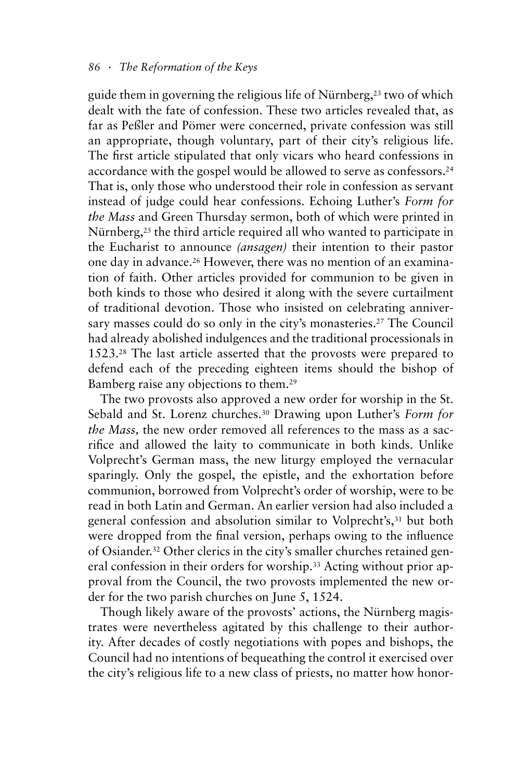## *86 • The Reformation of the Keys*

guide them in governing the religious life of Nürnberg,<sup>23</sup> two of which dealt with the fate of confession. These two articles revealed that, as far as Peßler and Pömer were concerned, private confession was still an appropriate, though voluntary, part of their city's religious life. The first article stipulated that only vicars who heard confessions in accordance with the gospel would be allowed to serve as confessors.24 That is, only those who understood their role in confession as servant instead of judge could hear confessions. Echoing Luther's *Form for the Mass* and Green Thursday sermon, both of which were printed in Nürnberg,<sup>25</sup> the third article required all who wanted to participate in the Eucharist to announce *(ansagen)* their intention to their pastor one day in advance.26 However, there was no mention of an examination of faith. Other articles provided for communion to be given in both kinds to those who desired it along with the severe curtailment of traditional devotion. Those who insisted on celebrating anniversary masses could do so only in the city's monasteries.<sup>27</sup> The Council had already abolished indulgences and the traditional processionals in 1523.28 The last article asserted that the provosts were prepared to defend each of the preceding eighteen items should the bishop of Bamberg raise any objections to them.29

The two provosts also approved a new order for worship in the St. Sebald and St. Lorenz churches.30 Drawing upon Luther's *Form for the Mass,* the new order removed all references to the mass as a sacrifice and allowed the laity to communicate in both kinds. Unlike Volprecht's German mass, the new liturgy employed the vernacular sparingly. Only the gospel, the epistle, and the exhortation before communion, borrowed from Volprecht's order of worship, were to be read in both Latin and German. An earlier version had also included a general confession and absolution similar to Volprecht's,<sup>31</sup> but both were dropped from the final version, perhaps owing to the influence of Osiander.32 Other clerics in the city's smaller churches retained general confession in their orders for worship.<sup>33</sup> Acting without prior approval from the Council, the two provosts implemented the new order for the two parish churches on June 5, 1524.

Though likely aware of the provosts' actions, the Nürnberg magistrates were nevertheless agitated by this challenge to their authority. After decades of costly negotiations with popes and bishops, the Council had no intentions of bequeathing the control it exercised over the city's religious life to a new class of priests, no matter how honor-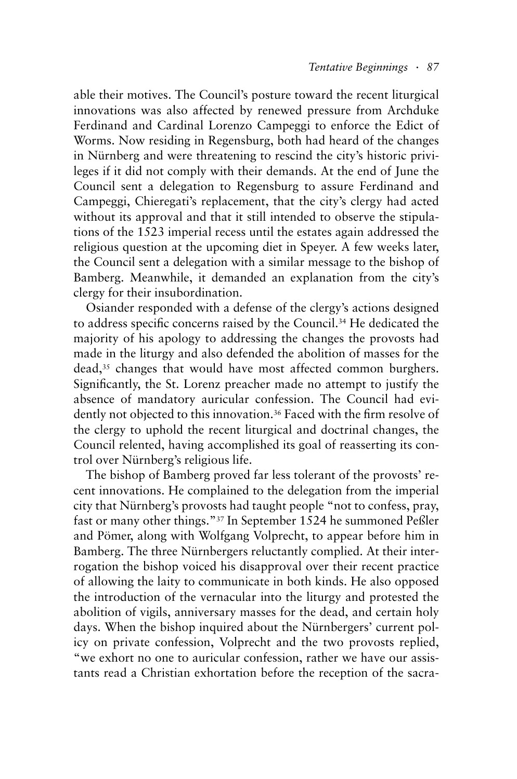able their motives. The Council's posture toward the recent liturgical innovations was also affected by renewed pressure from Archduke Ferdinand and Cardinal Lorenzo Campeggi to enforce the Edict of Worms. Now residing in Regensburg, both had heard of the changes in Nürnberg and were threatening to rescind the city's historic privileges if it did not comply with their demands. At the end of June the Council sent a delegation to Regensburg to assure Ferdinand and Campeggi, Chieregati's replacement, that the city's clergy had acted without its approval and that it still intended to observe the stipulations of the 1523 imperial recess until the estates again addressed the religious question at the upcoming diet in Speyer. A few weeks later, the Council sent a delegation with a similar message to the bishop of Bamberg. Meanwhile, it demanded an explanation from the city's clergy for their insubordination.

Osiander responded with a defense of the clergy's actions designed to address specific concerns raised by the Council.34 He dedicated the majority of his apology to addressing the changes the provosts had made in the liturgy and also defended the abolition of masses for the dead,<sup>35</sup> changes that would have most affected common burghers. Significantly, the St. Lorenz preacher made no attempt to justify the absence of mandatory auricular confession. The Council had evidently not objected to this innovation.36 Faced with the firm resolve of the clergy to uphold the recent liturgical and doctrinal changes, the Council relented, having accomplished its goal of reasserting its control over Nürnberg's religious life.

The bishop of Bamberg proved far less tolerant of the provosts' recent innovations. He complained to the delegation from the imperial city that Nürnberg's provosts had taught people "not to confess, pray, fast or many other things."37 In September 1524 he summoned Peßler and Pömer, along with Wolfgang Volprecht, to appear before him in Bamberg. The three Nürnbergers reluctantly complied. At their interrogation the bishop voiced his disapproval over their recent practice of allowing the laity to communicate in both kinds. He also opposed the introduction of the vernacular into the liturgy and protested the abolition of vigils, anniversary masses for the dead, and certain holy days. When the bishop inquired about the Nürnbergers' current policy on private confession, Volprecht and the two provosts replied, "we exhort no one to auricular confession, rather we have our assistants read a Christian exhortation before the reception of the sacra-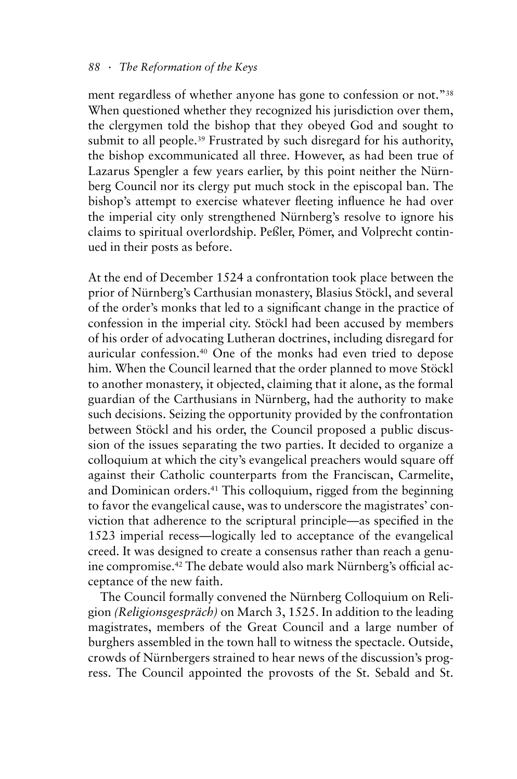## *88 • The Reformation of the Keys*

ment regardless of whether anyone has gone to confession or not."38 When questioned whether they recognized his jurisdiction over them, the clergymen told the bishop that they obeyed God and sought to submit to all people.39 Frustrated by such disregard for his authority, the bishop excommunicated all three. However, as had been true of Lazarus Spengler a few years earlier, by this point neither the Nürnberg Council nor its clergy put much stock in the episcopal ban. The bishop's attempt to exercise whatever fleeting influence he had over the imperial city only strengthened Nürnberg's resolve to ignore his claims to spiritual overlordship. Peßler, Pömer, and Volprecht continued in their posts as before.

At the end of December 1524 a confrontation took place between the prior of Nürnberg's Carthusian monastery, Blasius Stöckl, and several of the order's monks that led to a significant change in the practice of confession in the imperial city. Stöckl had been accused by members of his order of advocating Lutheran doctrines, including disregard for auricular confession.40 One of the monks had even tried to depose him. When the Council learned that the order planned to move Stöckl to another monastery, it objected, claiming that it alone, as the formal guardian of the Carthusians in Nürnberg, had the authority to make such decisions. Seizing the opportunity provided by the confrontation between Stöckl and his order, the Council proposed a public discussion of the issues separating the two parties. It decided to organize a colloquium at which the city's evangelical preachers would square off against their Catholic counterparts from the Franciscan, Carmelite, and Dominican orders.<sup>41</sup> This colloquium, rigged from the beginning to favor the evangelical cause, was to underscore the magistrates' conviction that adherence to the scriptural principle—as specified in the 1523 imperial recess—logically led to acceptance of the evangelical creed. It was designed to create a consensus rather than reach a genuine compromise.42 The debate would also mark Nürnberg's official acceptance of the new faith.

The Council formally convened the Nürnberg Colloquium on Religion *(Religionsgespräch)* on March 3, 1525. In addition to the leading magistrates, members of the Great Council and a large number of burghers assembled in the town hall to witness the spectacle. Outside, crowds of Nürnbergers strained to hear news of the discussion's progress. The Council appointed the provosts of the St. Sebald and St.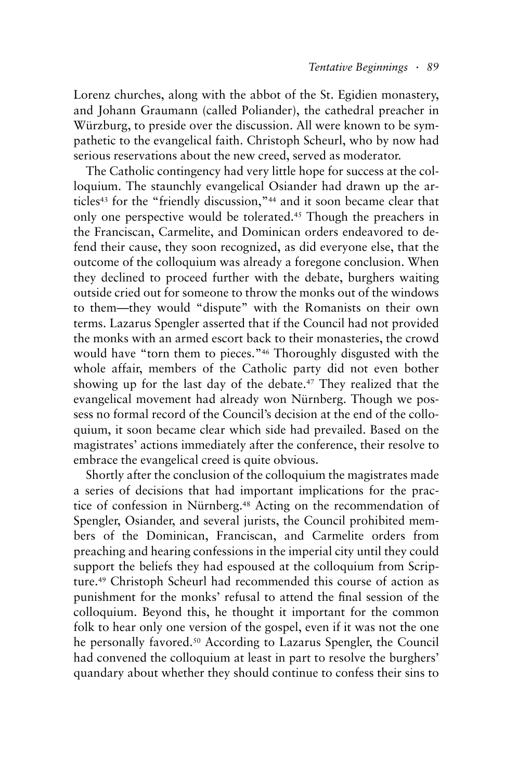Lorenz churches, along with the abbot of the St. Egidien monastery, and Johann Graumann (called Poliander), the cathedral preacher in Würzburg, to preside over the discussion. All were known to be sympathetic to the evangelical faith. Christoph Scheurl, who by now had serious reservations about the new creed, served as moderator.

The Catholic contingency had very little hope for success at the colloquium. The staunchly evangelical Osiander had drawn up the articles<sup>43</sup> for the "friendly discussion,"<sup>44</sup> and it soon became clear that only one perspective would be tolerated.45 Though the preachers in the Franciscan, Carmelite, and Dominican orders endeavored to defend their cause, they soon recognized, as did everyone else, that the outcome of the colloquium was already a foregone conclusion. When they declined to proceed further with the debate, burghers waiting outside cried out for someone to throw the monks out of the windows to them—they would "dispute" with the Romanists on their own terms. Lazarus Spengler asserted that if the Council had not provided the monks with an armed escort back to their monasteries, the crowd would have "torn them to pieces."46 Thoroughly disgusted with the whole affair, members of the Catholic party did not even bother showing up for the last day of the debate.47 They realized that the evangelical movement had already won Nürnberg. Though we possess no formal record of the Council's decision at the end of the colloquium, it soon became clear which side had prevailed. Based on the magistrates' actions immediately after the conference, their resolve to embrace the evangelical creed is quite obvious.

Shortly after the conclusion of the colloquium the magistrates made a series of decisions that had important implications for the practice of confession in Nürnberg.48 Acting on the recommendation of Spengler, Osiander, and several jurists, the Council prohibited members of the Dominican, Franciscan, and Carmelite orders from preaching and hearing confessions in the imperial city until they could support the beliefs they had espoused at the colloquium from Scripture.49 Christoph Scheurl had recommended this course of action as punishment for the monks' refusal to attend the final session of the colloquium. Beyond this, he thought it important for the common folk to hear only one version of the gospel, even if it was not the one he personally favored.50 According to Lazarus Spengler, the Council had convened the colloquium at least in part to resolve the burghers' quandary about whether they should continue to confess their sins to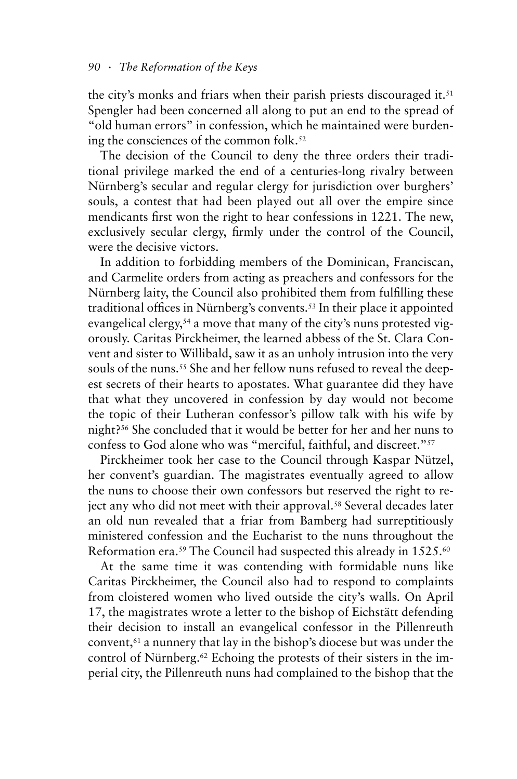the city's monks and friars when their parish priests discouraged it.51 Spengler had been concerned all along to put an end to the spread of "old human errors" in confession, which he maintained were burdening the consciences of the common folk.52

The decision of the Council to deny the three orders their traditional privilege marked the end of a centuries-long rivalry between Nürnberg's secular and regular clergy for jurisdiction over burghers' souls, a contest that had been played out all over the empire since mendicants first won the right to hear confessions in 1221. The new, exclusively secular clergy, firmly under the control of the Council, were the decisive victors.

In addition to forbidding members of the Dominican, Franciscan, and Carmelite orders from acting as preachers and confessors for the Nürnberg laity, the Council also prohibited them from fulfilling these traditional offices in Nürnberg's convents.53 In their place it appointed evangelical clergy,<sup>54</sup> a move that many of the city's nuns protested vigorously. Caritas Pirckheimer, the learned abbess of the St. Clara Convent and sister to Willibald, saw it as an unholy intrusion into the very souls of the nuns.<sup>55</sup> She and her fellow nuns refused to reveal the deepest secrets of their hearts to apostates. What guarantee did they have that what they uncovered in confession by day would not become the topic of their Lutheran confessor's pillow talk with his wife by night?56 She concluded that it would be better for her and her nuns to confess to God alone who was "merciful, faithful, and discreet."57

Pirckheimer took her case to the Council through Kaspar Nützel, her convent's guardian. The magistrates eventually agreed to allow the nuns to choose their own confessors but reserved the right to reject any who did not meet with their approval.58 Several decades later an old nun revealed that a friar from Bamberg had surreptitiously ministered confession and the Eucharist to the nuns throughout the Reformation era.59 The Council had suspected this already in 1525.60

At the same time it was contending with formidable nuns like Caritas Pirckheimer, the Council also had to respond to complaints from cloistered women who lived outside the city's walls. On April 17, the magistrates wrote a letter to the bishop of Eichstätt defending their decision to install an evangelical confessor in the Pillenreuth convent,61 a nunnery that lay in the bishop's diocese but was under the control of Nürnberg.<sup>62</sup> Echoing the protests of their sisters in the imperial city, the Pillenreuth nuns had complained to the bishop that the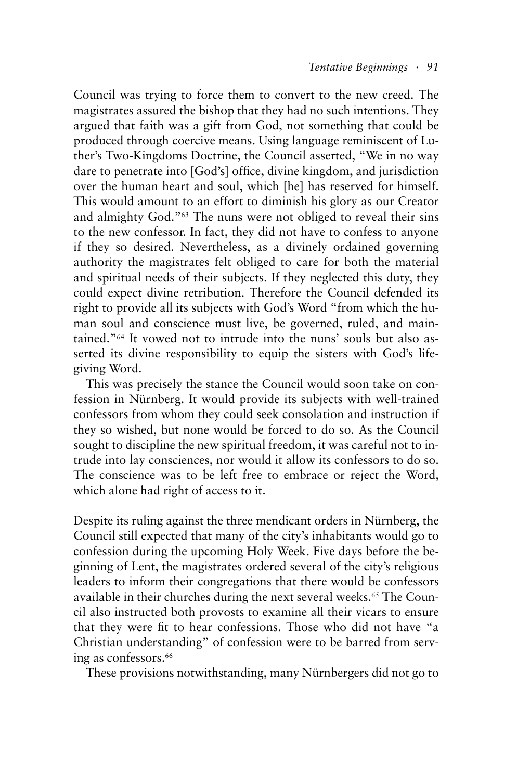Council was trying to force them to convert to the new creed. The magistrates assured the bishop that they had no such intentions. They argued that faith was a gift from God, not something that could be produced through coercive means. Using language reminiscent of Luther's Two-Kingdoms Doctrine, the Council asserted, "We in no way dare to penetrate into [God's] office, divine kingdom, and jurisdiction over the human heart and soul, which [he] has reserved for himself. This would amount to an effort to diminish his glory as our Creator and almighty God."63 The nuns were not obliged to reveal their sins to the new confessor. In fact, they did not have to confess to anyone if they so desired. Nevertheless, as a divinely ordained governing authority the magistrates felt obliged to care for both the material and spiritual needs of their subjects. If they neglected this duty, they could expect divine retribution. Therefore the Council defended its right to provide all its subjects with God's Word "from which the human soul and conscience must live, be governed, ruled, and maintained."64 It vowed not to intrude into the nuns' souls but also asserted its divine responsibility to equip the sisters with God's lifegiving Word.

This was precisely the stance the Council would soon take on confession in Nürnberg. It would provide its subjects with well-trained confessors from whom they could seek consolation and instruction if they so wished, but none would be forced to do so. As the Council sought to discipline the new spiritual freedom, it was careful not to intrude into lay consciences, nor would it allow its confessors to do so. The conscience was to be left free to embrace or reject the Word, which alone had right of access to it.

Despite its ruling against the three mendicant orders in Nürnberg, the Council still expected that many of the city's inhabitants would go to confession during the upcoming Holy Week. Five days before the beginning of Lent, the magistrates ordered several of the city's religious leaders to inform their congregations that there would be confessors available in their churches during the next several weeks.<sup>65</sup> The Council also instructed both provosts to examine all their vicars to ensure that they were fit to hear confessions. Those who did not have "a Christian understanding" of confession were to be barred from serving as confessors.<sup>66</sup>

These provisions notwithstanding, many Nürnbergers did not go to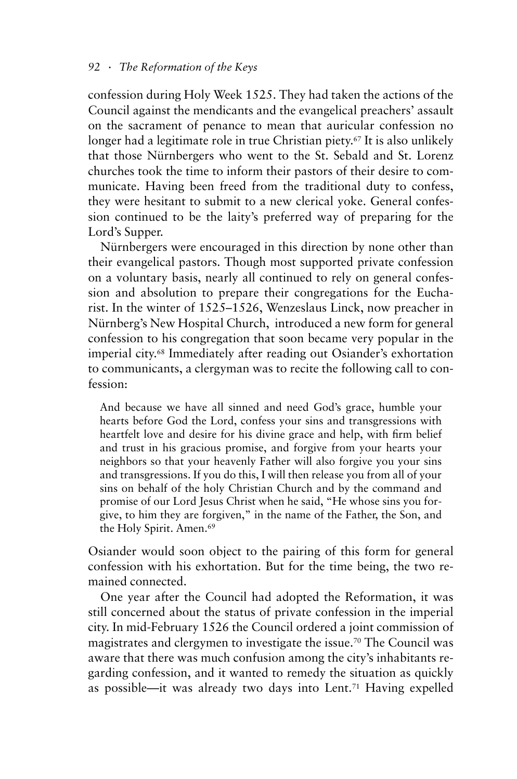# *92 • The Reformation of the Keys*

confession during Holy Week 1525. They had taken the actions of the Council against the mendicants and the evangelical preachers' assault on the sacrament of penance to mean that auricular confession no longer had a legitimate role in true Christian piety.67 It is also unlikely that those Nürnbergers who went to the St. Sebald and St. Lorenz churches took the time to inform their pastors of their desire to communicate. Having been freed from the traditional duty to confess, they were hesitant to submit to a new clerical yoke. General confession continued to be the laity's preferred way of preparing for the Lord's Supper.

Nürnbergers were encouraged in this direction by none other than their evangelical pastors. Though most supported private confession on a voluntary basis, nearly all continued to rely on general confession and absolution to prepare their congregations for the Eucharist. In the winter of 1525–1526, Wenzeslaus Linck, now preacher in Nürnberg's New Hospital Church, introduced a new form for general confession to his congregation that soon became very popular in the imperial city.68 Immediately after reading out Osiander's exhortation to communicants, a clergyman was to recite the following call to confession:

And because we have all sinned and need God's grace, humble your hearts before God the Lord, confess your sins and transgressions with heartfelt love and desire for his divine grace and help, with firm belief and trust in his gracious promise, and forgive from your hearts your neighbors so that your heavenly Father will also forgive you your sins and transgressions. If you do this, I will then release you from all of your sins on behalf of the holy Christian Church and by the command and promise of our Lord Jesus Christ when he said, "He whose sins you forgive, to him they are forgiven," in the name of the Father, the Son, and the Holy Spirit. Amen.69

Osiander would soon object to the pairing of this form for general confession with his exhortation. But for the time being, the two remained connected.

One year after the Council had adopted the Reformation, it was still concerned about the status of private confession in the imperial city. In mid-February 1526 the Council ordered a joint commission of magistrates and clergymen to investigate the issue.70 The Council was aware that there was much confusion among the city's inhabitants regarding confession, and it wanted to remedy the situation as quickly as possible—it was already two days into Lent.71 Having expelled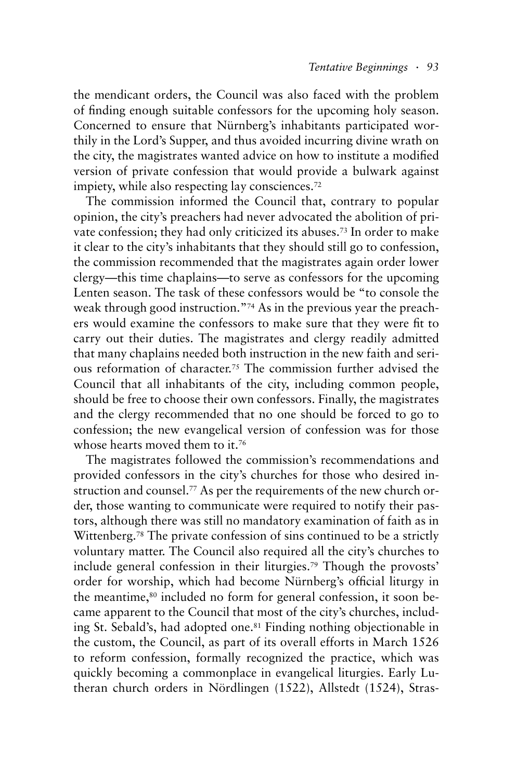the mendicant orders, the Council was also faced with the problem of finding enough suitable confessors for the upcoming holy season. Concerned to ensure that Nürnberg's inhabitants participated worthily in the Lord's Supper, and thus avoided incurring divine wrath on the city, the magistrates wanted advice on how to institute a modified version of private confession that would provide a bulwark against impiety, while also respecting lay consciences.72

The commission informed the Council that, contrary to popular opinion, the city's preachers had never advocated the abolition of private confession; they had only criticized its abuses.73 In order to make it clear to the city's inhabitants that they should still go to confession, the commission recommended that the magistrates again order lower clergy—this time chaplains—to serve as confessors for the upcoming Lenten season. The task of these confessors would be "to console the weak through good instruction."74 As in the previous year the preachers would examine the confessors to make sure that they were fit to carry out their duties. The magistrates and clergy readily admitted that many chaplains needed both instruction in the new faith and serious reformation of character.75 The commission further advised the Council that all inhabitants of the city, including common people, should be free to choose their own confessors. Finally, the magistrates and the clergy recommended that no one should be forced to go to confession; the new evangelical version of confession was for those whose hearts moved them to it.<sup>76</sup>

The magistrates followed the commission's recommendations and provided confessors in the city's churches for those who desired instruction and counsel.77 As per the requirements of the new church order, those wanting to communicate were required to notify their pastors, although there was still no mandatory examination of faith as in Wittenberg.78 The private confession of sins continued to be a strictly voluntary matter. The Council also required all the city's churches to include general confession in their liturgies.79 Though the provosts' order for worship, which had become Nürnberg's official liturgy in the meantime,<sup>80</sup> included no form for general confession, it soon became apparent to the Council that most of the city's churches, including St. Sebald's, had adopted one.81 Finding nothing objectionable in the custom, the Council, as part of its overall efforts in March 1526 to reform confession, formally recognized the practice, which was quickly becoming a commonplace in evangelical liturgies. Early Lutheran church orders in Nördlingen (1522), Allstedt (1524), Stras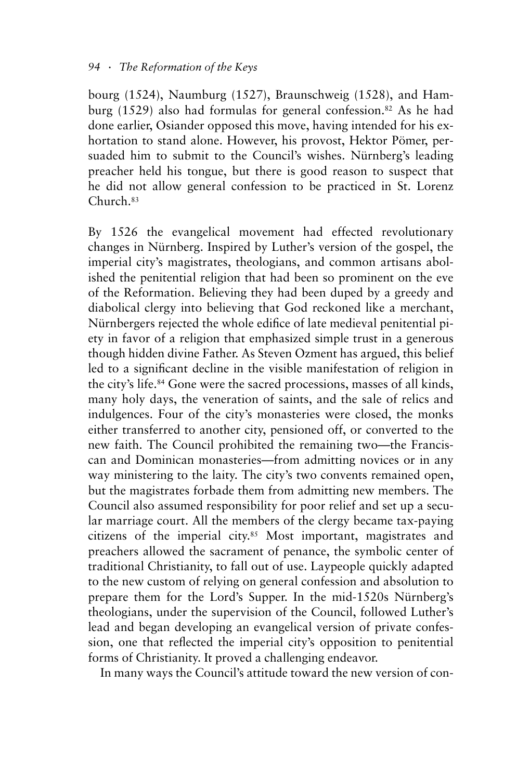bourg (1524), Naumburg (1527), Braunschweig (1528), and Hamburg (1529) also had formulas for general confession.82 As he had done earlier, Osiander opposed this move, having intended for his exhortation to stand alone. However, his provost, Hektor Pömer, persuaded him to submit to the Council's wishes. Nürnberg's leading preacher held his tongue, but there is good reason to suspect that he did not allow general confession to be practiced in St. Lorenz Church.83

By 1526 the evangelical movement had effected revolutionary changes in Nürnberg. Inspired by Luther's version of the gospel, the imperial city's magistrates, theologians, and common artisans abolished the penitential religion that had been so prominent on the eve of the Reformation. Believing they had been duped by a greedy and diabolical clergy into believing that God reckoned like a merchant, Nürnbergers rejected the whole edifice of late medieval penitential piety in favor of a religion that emphasized simple trust in a generous though hidden divine Father. As Steven Ozment has argued, this belief led to a significant decline in the visible manifestation of religion in the city's life.84 Gone were the sacred processions, masses of all kinds, many holy days, the veneration of saints, and the sale of relics and indulgences. Four of the city's monasteries were closed, the monks either transferred to another city, pensioned off, or converted to the new faith. The Council prohibited the remaining two—the Franciscan and Dominican monasteries—from admitting novices or in any way ministering to the laity. The city's two convents remained open, but the magistrates forbade them from admitting new members. The Council also assumed responsibility for poor relief and set up a secular marriage court. All the members of the clergy became tax-paying citizens of the imperial city.85 Most important, magistrates and preachers allowed the sacrament of penance, the symbolic center of traditional Christianity, to fall out of use. Laypeople quickly adapted to the new custom of relying on general confession and absolution to prepare them for the Lord's Supper. In the mid-1520s Nürnberg's theologians, under the supervision of the Council, followed Luther's lead and began developing an evangelical version of private confession, one that reflected the imperial city's opposition to penitential forms of Christianity. It proved a challenging endeavor.

In many ways the Council's attitude toward the new version of con-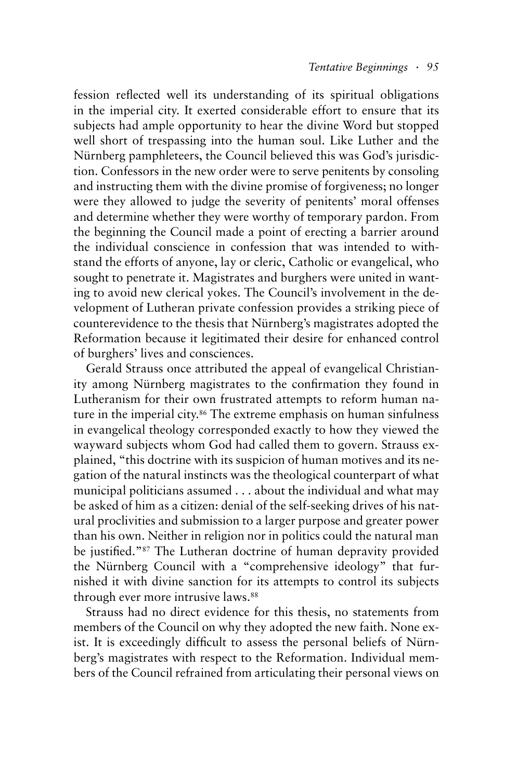fession reflected well its understanding of its spiritual obligations in the imperial city. It exerted considerable effort to ensure that its subjects had ample opportunity to hear the divine Word but stopped well short of trespassing into the human soul. Like Luther and the Nürnberg pamphleteers, the Council believed this was God's jurisdiction. Confessors in the new order were to serve penitents by consoling and instructing them with the divine promise of forgiveness; no longer were they allowed to judge the severity of penitents' moral offenses and determine whether they were worthy of temporary pardon. From the beginning the Council made a point of erecting a barrier around the individual conscience in confession that was intended to withstand the efforts of anyone, lay or cleric, Catholic or evangelical, who sought to penetrate it. Magistrates and burghers were united in wanting to avoid new clerical yokes. The Council's involvement in the development of Lutheran private confession provides a striking piece of counterevidence to the thesis that Nürnberg's magistrates adopted the Reformation because it legitimated their desire for enhanced control of burghers' lives and consciences.

Gerald Strauss once attributed the appeal of evangelical Christianity among Nürnberg magistrates to the confirmation they found in Lutheranism for their own frustrated attempts to reform human nature in the imperial city.86 The extreme emphasis on human sinfulness in evangelical theology corresponded exactly to how they viewed the wayward subjects whom God had called them to govern. Strauss explained, "this doctrine with its suspicion of human motives and its negation of the natural instincts was the theological counterpart of what municipal politicians assumed... about the individual and what may be asked of him as a citizen: denial of the self-seeking drives of his natural proclivities and submission to a larger purpose and greater power than his own. Neither in religion nor in politics could the natural man be justified."87 The Lutheran doctrine of human depravity provided the Nürnberg Council with a "comprehensive ideology" that furnished it with divine sanction for its attempts to control its subjects through ever more intrusive laws.<sup>88</sup>

Strauss had no direct evidence for this thesis, no statements from members of the Council on why they adopted the new faith. None exist. It is exceedingly difficult to assess the personal beliefs of Nürnberg's magistrates with respect to the Reformation. Individual members of the Council refrained from articulating their personal views on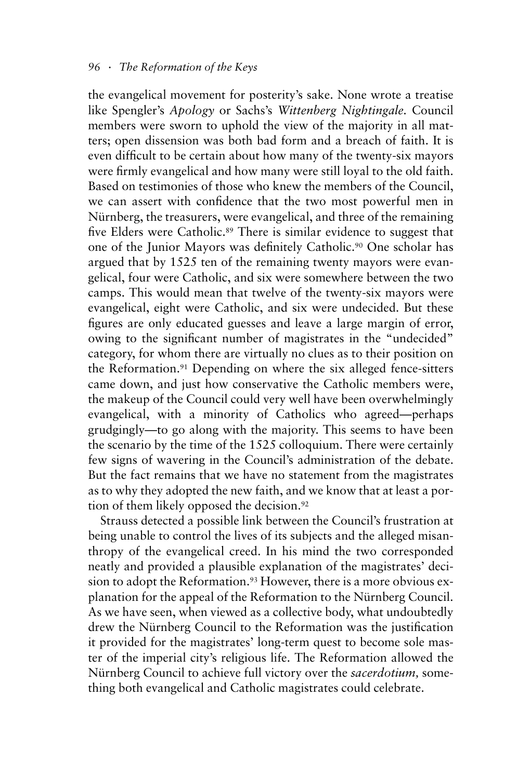the evangelical movement for posterity's sake. None wrote a treatise like Spengler's *Apology* or Sachs's *Wittenberg Nightingale.* Council members were sworn to uphold the view of the majority in all matters; open dissension was both bad form and a breach of faith. It is even difficult to be certain about how many of the twenty-six mayors were firmly evangelical and how many were still loyal to the old faith. Based on testimonies of those who knew the members of the Council, we can assert with confidence that the two most powerful men in Nürnberg, the treasurers, were evangelical, and three of the remaining five Elders were Catholic.89 There is similar evidence to suggest that one of the Junior Mayors was definitely Catholic.<sup>90</sup> One scholar has argued that by 1525 ten of the remaining twenty mayors were evangelical, four were Catholic, and six were somewhere between the two camps. This would mean that twelve of the twenty-six mayors were evangelical, eight were Catholic, and six were undecided. But these figures are only educated guesses and leave a large margin of error, owing to the significant number of magistrates in the "undecided" category, for whom there are virtually no clues as to their position on the Reformation.91 Depending on where the six alleged fence-sitters came down, and just how conservative the Catholic members were, the makeup of the Council could very well have been overwhelmingly evangelical, with a minority of Catholics who agreed—perhaps grudgingly—to go along with the majority. This seems to have been the scenario by the time of the 1525 colloquium. There were certainly few signs of wavering in the Council's administration of the debate. But the fact remains that we have no statement from the magistrates as to why they adopted the new faith, and we know that at least a portion of them likely opposed the decision.<sup>92</sup>

Strauss detected a possible link between the Council's frustration at being unable to control the lives of its subjects and the alleged misanthropy of the evangelical creed. In his mind the two corresponded neatly and provided a plausible explanation of the magistrates' decision to adopt the Reformation.<sup>93</sup> However, there is a more obvious explanation for the appeal of the Reformation to the Nürnberg Council. As we have seen, when viewed as a collective body, what undoubtedly drew the Nürnberg Council to the Reformation was the justification it provided for the magistrates' long-term quest to become sole master of the imperial city's religious life. The Reformation allowed the Nürnberg Council to achieve full victory over the *sacerdotium,* something both evangelical and Catholic magistrates could celebrate.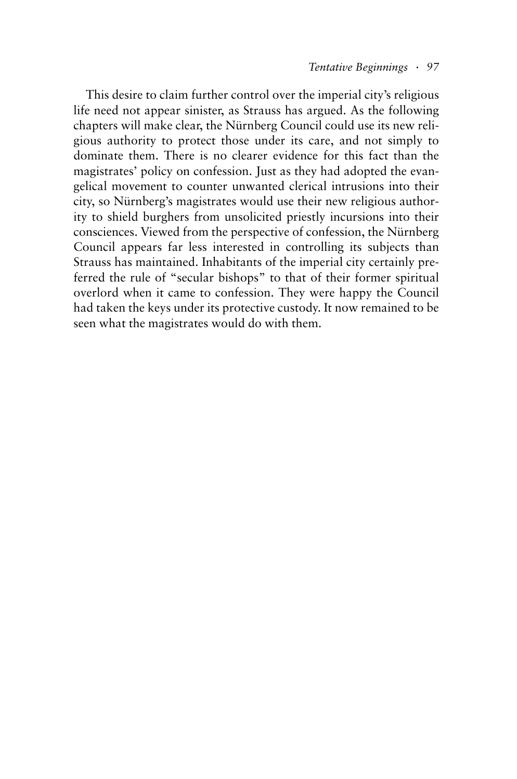This desire to claim further control over the imperial city's religious life need not appear sinister, as Strauss has argued. As the following chapters will make clear, the Nürnberg Council could use its new religious authority to protect those under its care, and not simply to dominate them. There is no clearer evidence for this fact than the magistrates' policy on confession. Just as they had adopted the evangelical movement to counter unwanted clerical intrusions into their city, so Nürnberg's magistrates would use their new religious authority to shield burghers from unsolicited priestly incursions into their consciences. Viewed from the perspective of confession, the Nürnberg Council appears far less interested in controlling its subjects than Strauss has maintained. Inhabitants of the imperial city certainly preferred the rule of "secular bishops" to that of their former spiritual overlord when it came to confession. They were happy the Council had taken the keys under its protective custody. It now remained to be seen what the magistrates would do with them.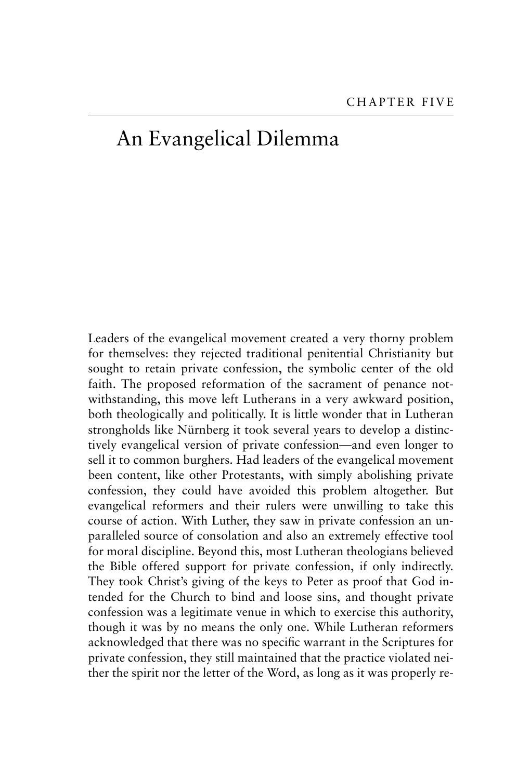## An Evangelical Dilemma

Leaders of the evangelical movement created a very thorny problem for themselves: they rejected traditional penitential Christianity but sought to retain private confession, the symbolic center of the old faith. The proposed reformation of the sacrament of penance notwithstanding, this move left Lutherans in a very awkward position, both theologically and politically. It is little wonder that in Lutheran strongholds like Nürnberg it took several years to develop a distinctively evangelical version of private confession—and even longer to sell it to common burghers. Had leaders of the evangelical movement been content, like other Protestants, with simply abolishing private confession, they could have avoided this problem altogether. But evangelical reformers and their rulers were unwilling to take this course of action. With Luther, they saw in private confession an unparalleled source of consolation and also an extremely effective tool for moral discipline. Beyond this, most Lutheran theologians believed the Bible offered support for private confession, if only indirectly. They took Christ's giving of the keys to Peter as proof that God intended for the Church to bind and loose sins, and thought private confession was a legitimate venue in which to exercise this authority, though it was by no means the only one. While Lutheran reformers acknowledged that there was no specific warrant in the Scriptures for private confession, they still maintained that the practice violated neither the spirit nor the letter of the Word, as long as it was properly re-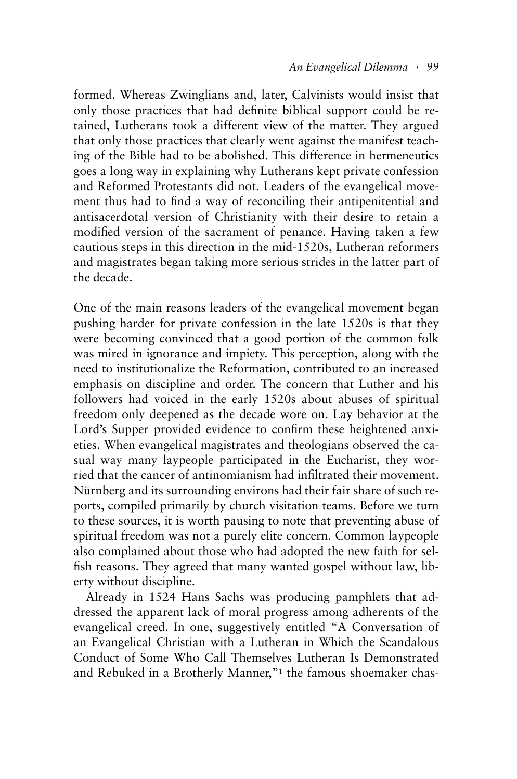formed. Whereas Zwinglians and, later, Calvinists would insist that only those practices that had definite biblical support could be retained, Lutherans took a different view of the matter. They argued that only those practices that clearly went against the manifest teaching of the Bible had to be abolished. This difference in hermeneutics goes a long way in explaining why Lutherans kept private confession and Reformed Protestants did not. Leaders of the evangelical movement thus had to find a way of reconciling their antipenitential and antisacerdotal version of Christianity with their desire to retain a modified version of the sacrament of penance. Having taken a few cautious steps in this direction in the mid-1520s, Lutheran reformers and magistrates began taking more serious strides in the latter part of the decade.

One of the main reasons leaders of the evangelical movement began pushing harder for private confession in the late 1520s is that they were becoming convinced that a good portion of the common folk was mired in ignorance and impiety. This perception, along with the need to institutionalize the Reformation, contributed to an increased emphasis on discipline and order. The concern that Luther and his followers had voiced in the early 1520s about abuses of spiritual freedom only deepened as the decade wore on. Lay behavior at the Lord's Supper provided evidence to confirm these heightened anxieties. When evangelical magistrates and theologians observed the casual way many laypeople participated in the Eucharist, they worried that the cancer of antinomianism had infiltrated their movement. Nürnberg and its surrounding environs had their fair share of such reports, compiled primarily by church visitation teams. Before we turn to these sources, it is worth pausing to note that preventing abuse of spiritual freedom was not a purely elite concern. Common laypeople also complained about those who had adopted the new faith for selfish reasons. They agreed that many wanted gospel without law, liberty without discipline.

Already in 1524 Hans Sachs was producing pamphlets that addressed the apparent lack of moral progress among adherents of the evangelical creed. In one, suggestively entitled "A Conversation of an Evangelical Christian with a Lutheran in Which the Scandalous Conduct of Some Who Call Themselves Lutheran Is Demonstrated and Rebuked in a Brotherly Manner,"<sup>1</sup> the famous shoemaker chas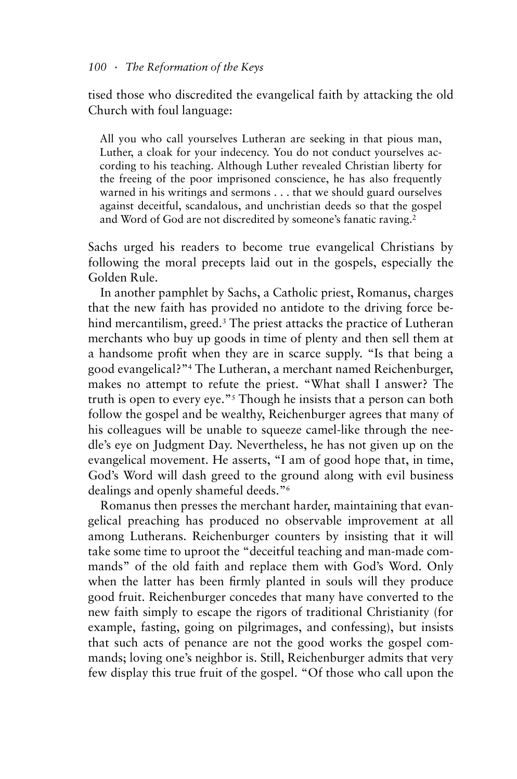tised those who discredited the evangelical faith by attacking the old Church with foul language:

All you who call yourselves Lutheran are seeking in that pious man, Luther, a cloak for your indecency. You do not conduct yourselves according to his teaching. Although Luther revealed Christian liberty for the freeing of the poor imprisoned conscience, he has also frequently warned in his writings and sermons... that we should guard ourselves against deceitful, scandalous, and unchristian deeds so that the gospel and Word of God are not discredited by someone's fanatic raving.<sup>2</sup>

Sachs urged his readers to become true evangelical Christians by following the moral precepts laid out in the gospels, especially the Golden Rule.

In another pamphlet by Sachs, a Catholic priest, Romanus, charges that the new faith has provided no antidote to the driving force behind mercantilism, greed.<sup>3</sup> The priest attacks the practice of Lutheran merchants who buy up goods in time of plenty and then sell them at a handsome profit when they are in scarce supply. "Is that being a good evangelical?"4 The Lutheran, a merchant named Reichenburger, makes no attempt to refute the priest. "What shall I answer? The truth is open to every eye."5 Though he insists that a person can both follow the gospel and be wealthy, Reichenburger agrees that many of his colleagues will be unable to squeeze camel-like through the needle's eye on Judgment Day. Nevertheless, he has not given up on the evangelical movement. He asserts, "I am of good hope that, in time, God's Word will dash greed to the ground along with evil business dealings and openly shameful deeds."6

Romanus then presses the merchant harder, maintaining that evangelical preaching has produced no observable improvement at all among Lutherans. Reichenburger counters by insisting that it will take some time to uproot the "deceitful teaching and man-made commands" of the old faith and replace them with God's Word. Only when the latter has been firmly planted in souls will they produce good fruit. Reichenburger concedes that many have converted to the new faith simply to escape the rigors of traditional Christianity (for example, fasting, going on pilgrimages, and confessing), but insists that such acts of penance are not the good works the gospel commands; loving one's neighbor is. Still, Reichenburger admits that very few display this true fruit of the gospel. "Of those who call upon the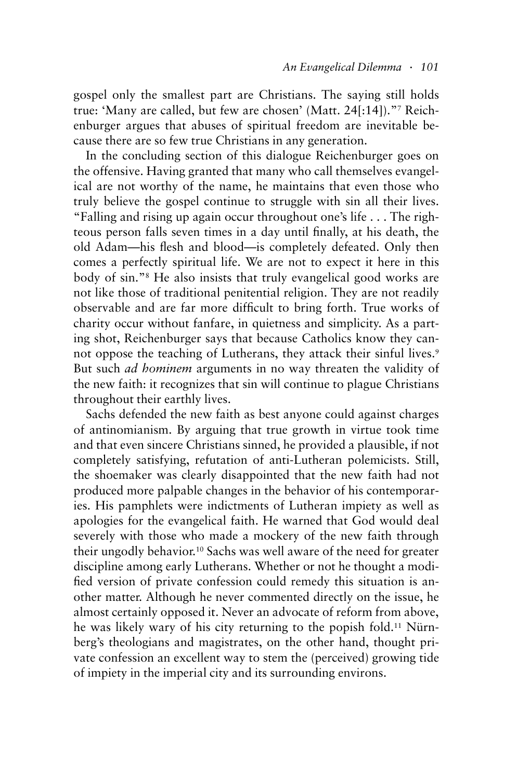gospel only the smallest part are Christians. The saying still holds true: 'Many are called, but few are chosen' (Matt. 24[:14])."7 Reichenburger argues that abuses of spiritual freedom are inevitable because there are so few true Christians in any generation.

In the concluding section of this dialogue Reichenburger goes on the offensive. Having granted that many who call themselves evangelical are not worthy of the name, he maintains that even those who truly believe the gospel continue to struggle with sin all their lives. "Falling and rising up again occur throughout one's life . . . The righteous person falls seven times in a day until finally, at his death, the old Adam—his flesh and blood—is completely defeated. Only then comes a perfectly spiritual life. We are not to expect it here in this body of sin."8 He also insists that truly evangelical good works are not like those of traditional penitential religion. They are not readily observable and are far more difficult to bring forth. True works of charity occur without fanfare, in quietness and simplicity. As a parting shot, Reichenburger says that because Catholics know they cannot oppose the teaching of Lutherans, they attack their sinful lives.<sup>9</sup> But such *ad hominem* arguments in no way threaten the validity of the new faith: it recognizes that sin will continue to plague Christians throughout their earthly lives.

Sachs defended the new faith as best anyone could against charges of antinomianism. By arguing that true growth in virtue took time and that even sincere Christians sinned, he provided a plausible, if not completely satisfying, refutation of anti-Lutheran polemicists. Still, the shoemaker was clearly disappointed that the new faith had not produced more palpable changes in the behavior of his contemporaries. His pamphlets were indictments of Lutheran impiety as well as apologies for the evangelical faith. He warned that God would deal severely with those who made a mockery of the new faith through their ungodly behavior.10 Sachs was well aware of the need for greater discipline among early Lutherans. Whether or not he thought a modified version of private confession could remedy this situation is another matter. Although he never commented directly on the issue, he almost certainly opposed it. Never an advocate of reform from above, he was likely wary of his city returning to the popish fold.11 Nürnberg's theologians and magistrates, on the other hand, thought private confession an excellent way to stem the (perceived) growing tide of impiety in the imperial city and its surrounding environs.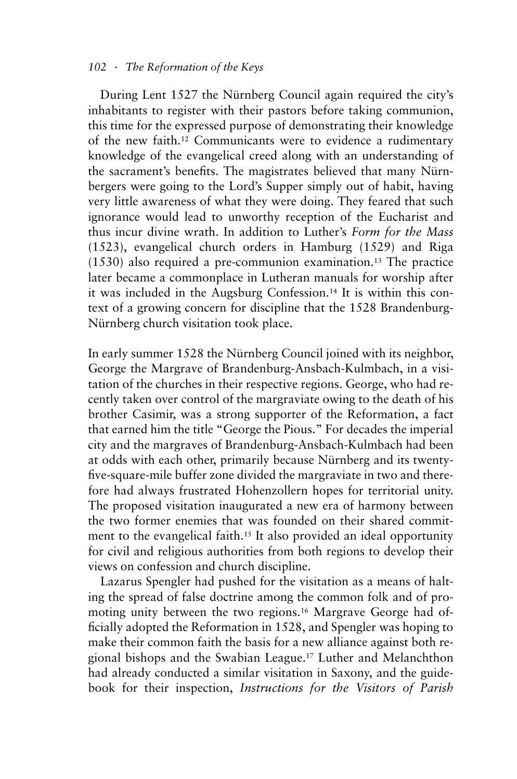## *102 • The Reformation of the Keys*

During Lent 1527 the Nürnberg Council again required the city's inhabitants to register with their pastors before taking communion, this time for the expressed purpose of demonstrating their knowledge of the new faith.12 Communicants were to evidence a rudimentary knowledge of the evangelical creed along with an understanding of the sacrament's benefits. The magistrates believed that many Nürnbergers were going to the Lord's Supper simply out of habit, having very little awareness of what they were doing. They feared that such ignorance would lead to unworthy reception of the Eucharist and thus incur divine wrath. In addition to Luther's *Form for the Mass* (1523), evangelical church orders in Hamburg (1529) and Riga (1530) also required a pre-communion examination.13 The practice later became a commonplace in Lutheran manuals for worship after it was included in the Augsburg Confession.14 It is within this context of a growing concern for discipline that the 1528 Brandenburg-Nürnberg church visitation took place.

In early summer 1528 the Nürnberg Council joined with its neighbor, George the Margrave of Brandenburg-Ansbach-Kulmbach, in a visitation of the churches in their respective regions. George, who had recently taken over control of the margraviate owing to the death of his brother Casimir, was a strong supporter of the Reformation, a fact that earned him the title "George the Pious." For decades the imperial city and the margraves of Brandenburg-Ansbach-Kulmbach had been at odds with each other, primarily because Nürnberg and its twentyfive-square-mile buffer zone divided the margraviate in two and therefore had always frustrated Hohenzollern hopes for territorial unity. The proposed visitation inaugurated a new era of harmony between the two former enemies that was founded on their shared commitment to the evangelical faith.<sup>15</sup> It also provided an ideal opportunity for civil and religious authorities from both regions to develop their views on confession and church discipline.

Lazarus Spengler had pushed for the visitation as a means of halting the spread of false doctrine among the common folk and of promoting unity between the two regions.<sup>16</sup> Margrave George had officially adopted the Reformation in 1528, and Spengler was hoping to make their common faith the basis for a new alliance against both regional bishops and the Swabian League.17 Luther and Melanchthon had already conducted a similar visitation in Saxony, and the guidebook for their inspection, *Instructions for the Visitors of Parish*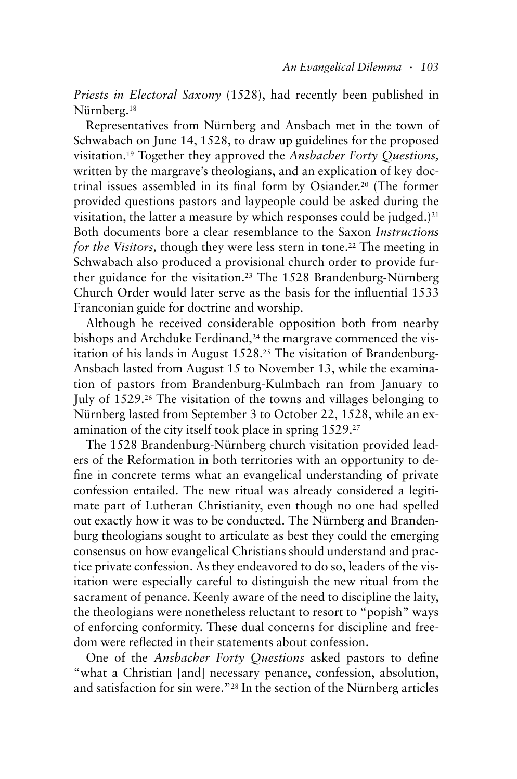*Priests in Electoral Saxony* (1528), had recently been published in Nürnberg.18

Representatives from Nürnberg and Ansbach met in the town of Schwabach on June 14, 1528, to draw up guidelines for the proposed visitation.19 Together they approved the *Ansbacher Forty Questions,* written by the margrave's theologians, and an explication of key doctrinal issues assembled in its final form by Osiander.20 (The former provided questions pastors and laypeople could be asked during the visitation, the latter a measure by which responses could be judged.)<sup>21</sup> Both documents bore a clear resemblance to the Saxon *Instructions for the Visitors, though they were less stern in tone.*<sup>22</sup> The meeting in Schwabach also produced a provisional church order to provide further guidance for the visitation.23 The 1528 Brandenburg-Nürnberg Church Order would later serve as the basis for the influential 1533 Franconian guide for doctrine and worship.

Although he received considerable opposition both from nearby bishops and Archduke Ferdinand,<sup>24</sup> the margrave commenced the visitation of his lands in August 1528.25 The visitation of Brandenburg-Ansbach lasted from August 15 to November 13, while the examination of pastors from Brandenburg-Kulmbach ran from January to July of 1529.26 The visitation of the towns and villages belonging to Nürnberg lasted from September 3 to October 22, 1528, while an examination of the city itself took place in spring 1529.27

The 1528 Brandenburg-Nürnberg church visitation provided leaders of the Reformation in both territories with an opportunity to define in concrete terms what an evangelical understanding of private confession entailed. The new ritual was already considered a legitimate part of Lutheran Christianity, even though no one had spelled out exactly how it was to be conducted. The Nürnberg and Brandenburg theologians sought to articulate as best they could the emerging consensus on how evangelical Christians should understand and practice private confession. As they endeavored to do so, leaders of the visitation were especially careful to distinguish the new ritual from the sacrament of penance. Keenly aware of the need to discipline the laity, the theologians were nonetheless reluctant to resort to "popish" ways of enforcing conformity. These dual concerns for discipline and freedom were reflected in their statements about confession.

One of the *Ansbacher Forty Questions* asked pastors to define "what a Christian [and] necessary penance, confession, absolution, and satisfaction for sin were."28 In the section of the Nürnberg articles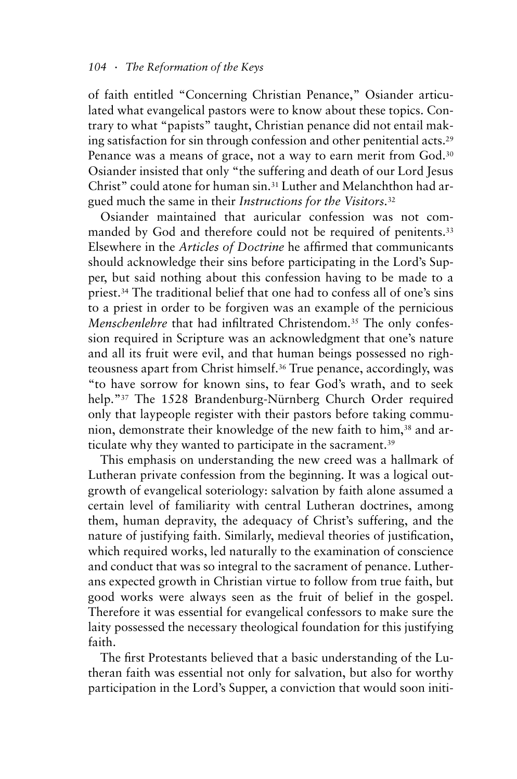of faith entitled "Concerning Christian Penance," Osiander articulated what evangelical pastors were to know about these topics. Contrary to what "papists" taught, Christian penance did not entail making satisfaction for sin through confession and other penitential acts.29 Penance was a means of grace, not a way to earn merit from God.<sup>30</sup> Osiander insisted that only "the suffering and death of our Lord Jesus Christ" could atone for human sin.31 Luther and Melanchthon had argued much the same in their *Instructions for the Visitors.*<sup>32</sup>

Osiander maintained that auricular confession was not commanded by God and therefore could not be required of penitents.<sup>33</sup> Elsewhere in the *Articles of Doctrine* he affirmed that communicants should acknowledge their sins before participating in the Lord's Supper, but said nothing about this confession having to be made to a priest.<sup>34</sup> The traditional belief that one had to confess all of one's sins to a priest in order to be forgiven was an example of the pernicious *Menschenlehre* that had infiltrated Christendom.35 The only confession required in Scripture was an acknowledgment that one's nature and all its fruit were evil, and that human beings possessed no righteousness apart from Christ himself.36 True penance, accordingly, was "to have sorrow for known sins, to fear God's wrath, and to seek help."37 The 1528 Brandenburg-Nürnberg Church Order required only that laypeople register with their pastors before taking communion, demonstrate their knowledge of the new faith to him,<sup>38</sup> and articulate why they wanted to participate in the sacrament.<sup>39</sup>

This emphasis on understanding the new creed was a hallmark of Lutheran private confession from the beginning. It was a logical outgrowth of evangelical soteriology: salvation by faith alone assumed a certain level of familiarity with central Lutheran doctrines, among them, human depravity, the adequacy of Christ's suffering, and the nature of justifying faith. Similarly, medieval theories of justification, which required works, led naturally to the examination of conscience and conduct that was so integral to the sacrament of penance. Lutherans expected growth in Christian virtue to follow from true faith, but good works were always seen as the fruit of belief in the gospel. Therefore it was essential for evangelical confessors to make sure the laity possessed the necessary theological foundation for this justifying faith.

The first Protestants believed that a basic understanding of the Lutheran faith was essential not only for salvation, but also for worthy participation in the Lord's Supper, a conviction that would soon initi-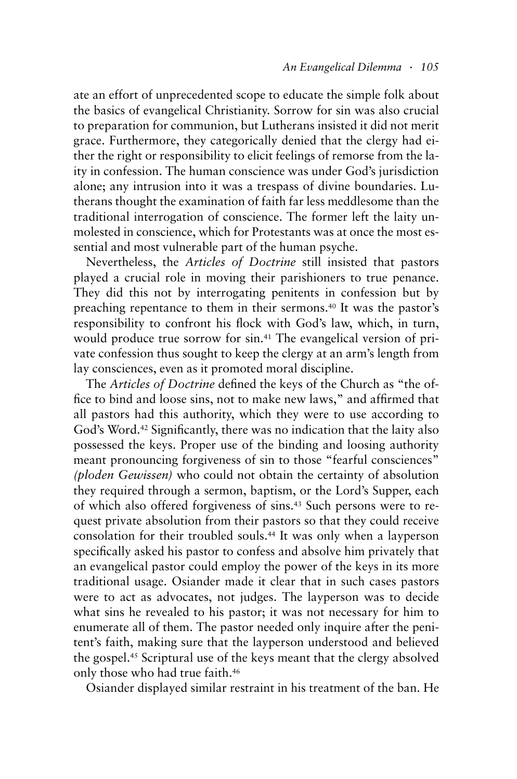ate an effort of unprecedented scope to educate the simple folk about the basics of evangelical Christianity. Sorrow for sin was also crucial to preparation for communion, but Lutherans insisted it did not merit grace. Furthermore, they categorically denied that the clergy had either the right or responsibility to elicit feelings of remorse from the laity in confession. The human conscience was under God's jurisdiction alone; any intrusion into it was a trespass of divine boundaries. Lutherans thought the examination of faith far less meddlesome than the traditional interrogation of conscience. The former left the laity unmolested in conscience, which for Protestants was at once the most essential and most vulnerable part of the human psyche.

Nevertheless, the *Articles of Doctrine* still insisted that pastors played a crucial role in moving their parishioners to true penance. They did this not by interrogating penitents in confession but by preaching repentance to them in their sermons.40 It was the pastor's responsibility to confront his flock with God's law, which, in turn, would produce true sorrow for sin.<sup>41</sup> The evangelical version of private confession thus sought to keep the clergy at an arm's length from lay consciences, even as it promoted moral discipline.

The *Articles of Doctrine* defined the keys of the Church as "the office to bind and loose sins, not to make new laws," and affirmed that all pastors had this authority, which they were to use according to God's Word.42 Significantly, there was no indication that the laity also possessed the keys. Proper use of the binding and loosing authority meant pronouncing forgiveness of sin to those "fearful consciences" *(ploden Gewissen)* who could not obtain the certainty of absolution they required through a sermon, baptism, or the Lord's Supper, each of which also offered forgiveness of sins.43 Such persons were to request private absolution from their pastors so that they could receive consolation for their troubled souls.44 It was only when a layperson specifically asked his pastor to confess and absolve him privately that an evangelical pastor could employ the power of the keys in its more traditional usage. Osiander made it clear that in such cases pastors were to act as advocates, not judges. The layperson was to decide what sins he revealed to his pastor; it was not necessary for him to enumerate all of them. The pastor needed only inquire after the penitent's faith, making sure that the layperson understood and believed the gospel.45 Scriptural use of the keys meant that the clergy absolved only those who had true faith.46

Osiander displayed similar restraint in his treatment of the ban. He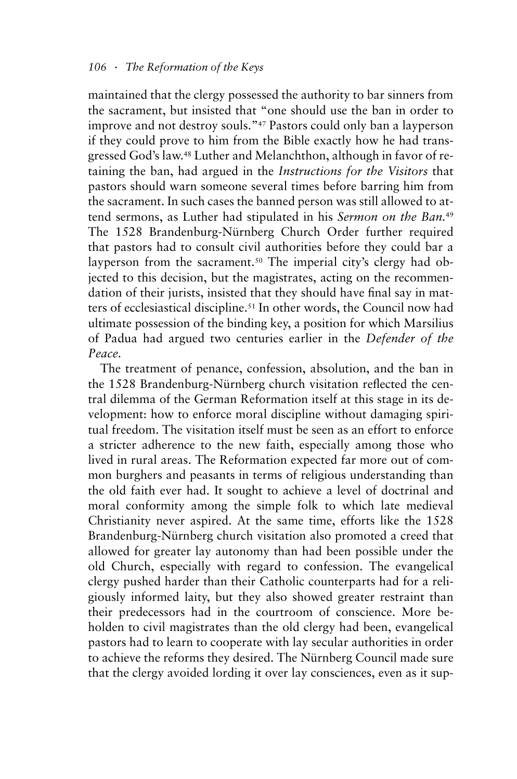maintained that the clergy possessed the authority to bar sinners from the sacrament, but insisted that "one should use the ban in order to improve and not destroy souls."47 Pastors could only ban a layperson if they could prove to him from the Bible exactly how he had transgressed God's law.48 Luther and Melanchthon, although in favor of retaining the ban, had argued in the *Instructions for the Visitors* that pastors should warn someone several times before barring him from the sacrament. In such cases the banned person was still allowed to attend sermons, as Luther had stipulated in his *Sermon on the Ban.*<sup>49</sup> The 1528 Brandenburg-Nürnberg Church Order further required that pastors had to consult civil authorities before they could bar a layperson from the sacrament.<sup>50</sup> The imperial city's clergy had objected to this decision, but the magistrates, acting on the recommendation of their jurists, insisted that they should have final say in matters of ecclesiastical discipline.51 In other words, the Council now had ultimate possession of the binding key, a position for which Marsilius of Padua had argued two centuries earlier in the *Defender of the Peace.*

The treatment of penance, confession, absolution, and the ban in the 1528 Brandenburg-Nürnberg church visitation reflected the central dilemma of the German Reformation itself at this stage in its development: how to enforce moral discipline without damaging spiritual freedom. The visitation itself must be seen as an effort to enforce a stricter adherence to the new faith, especially among those who lived in rural areas. The Reformation expected far more out of common burghers and peasants in terms of religious understanding than the old faith ever had. It sought to achieve a level of doctrinal and moral conformity among the simple folk to which late medieval Christianity never aspired. At the same time, efforts like the 1528 Brandenburg-Nürnberg church visitation also promoted a creed that allowed for greater lay autonomy than had been possible under the old Church, especially with regard to confession. The evangelical clergy pushed harder than their Catholic counterparts had for a religiously informed laity, but they also showed greater restraint than their predecessors had in the courtroom of conscience. More beholden to civil magistrates than the old clergy had been, evangelical pastors had to learn to cooperate with lay secular authorities in order to achieve the reforms they desired. The Nürnberg Council made sure that the clergy avoided lording it over lay consciences, even as it sup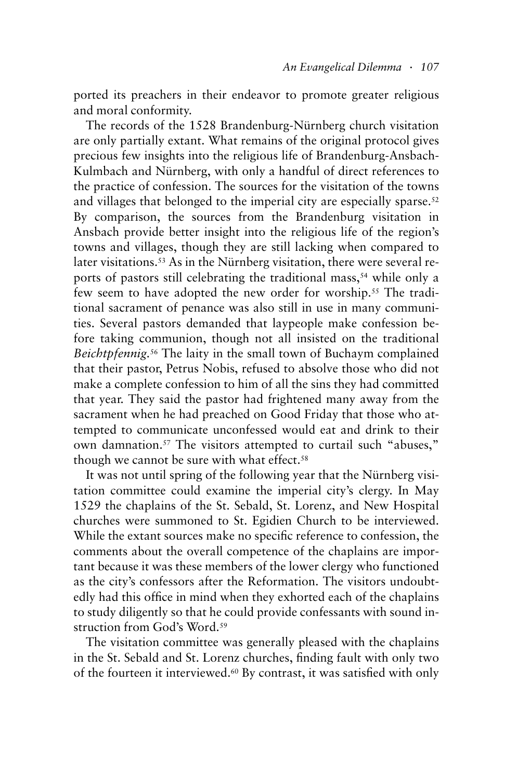ported its preachers in their endeavor to promote greater religious and moral conformity.

The records of the 1528 Brandenburg-Nürnberg church visitation are only partially extant. What remains of the original protocol gives precious few insights into the religious life of Brandenburg-Ansbach-Kulmbach and Nürnberg, with only a handful of direct references to the practice of confession. The sources for the visitation of the towns and villages that belonged to the imperial city are especially sparse.<sup>52</sup> By comparison, the sources from the Brandenburg visitation in Ansbach provide better insight into the religious life of the region's towns and villages, though they are still lacking when compared to later visitations.<sup>53</sup> As in the Nürnberg visitation, there were several reports of pastors still celebrating the traditional mass,<sup>54</sup> while only a few seem to have adopted the new order for worship.55 The traditional sacrament of penance was also still in use in many communities. Several pastors demanded that laypeople make confession before taking communion, though not all insisted on the traditional *Beichtpfennig.*<sup>56</sup> The laity in the small town of Buchaym complained that their pastor, Petrus Nobis, refused to absolve those who did not make a complete confession to him of all the sins they had committed that year. They said the pastor had frightened many away from the sacrament when he had preached on Good Friday that those who attempted to communicate unconfessed would eat and drink to their own damnation.57 The visitors attempted to curtail such "abuses," though we cannot be sure with what effect.58

It was not until spring of the following year that the Nürnberg visitation committee could examine the imperial city's clergy. In May 1529 the chaplains of the St. Sebald, St. Lorenz, and New Hospital churches were summoned to St. Egidien Church to be interviewed. While the extant sources make no specific reference to confession, the comments about the overall competence of the chaplains are important because it was these members of the lower clergy who functioned as the city's confessors after the Reformation. The visitors undoubtedly had this office in mind when they exhorted each of the chaplains to study diligently so that he could provide confessants with sound instruction from God's Word.59

The visitation committee was generally pleased with the chaplains in the St. Sebald and St. Lorenz churches, finding fault with only two of the fourteen it interviewed.60 By contrast, it was satisfied with only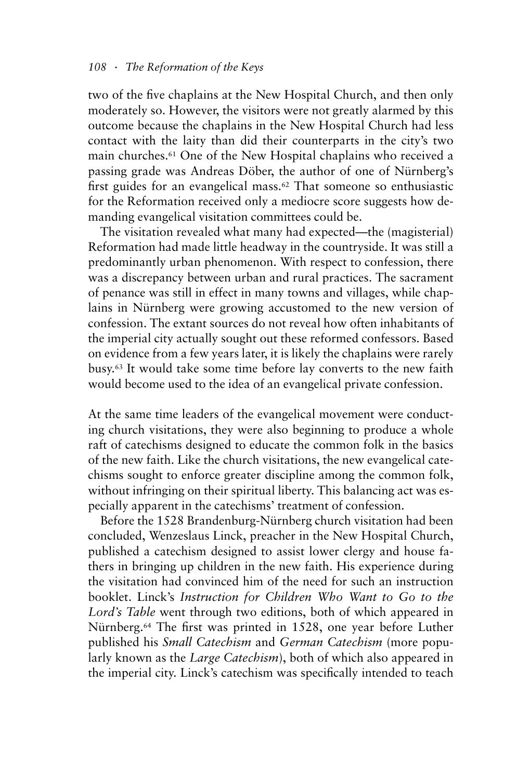two of the five chaplains at the New Hospital Church, and then only moderately so. However, the visitors were not greatly alarmed by this outcome because the chaplains in the New Hospital Church had less contact with the laity than did their counterparts in the city's two main churches.61 One of the New Hospital chaplains who received a passing grade was Andreas Döber, the author of one of Nürnberg's first guides for an evangelical mass.<sup>62</sup> That someone so enthusiastic for the Reformation received only a mediocre score suggests how demanding evangelical visitation committees could be.

The visitation revealed what many had expected—the (magisterial) Reformation had made little headway in the countryside. It was still a predominantly urban phenomenon. With respect to confession, there was a discrepancy between urban and rural practices. The sacrament of penance was still in effect in many towns and villages, while chaplains in Nürnberg were growing accustomed to the new version of confession. The extant sources do not reveal how often inhabitants of the imperial city actually sought out these reformed confessors. Based on evidence from a few years later, it is likely the chaplains were rarely busy.63 It would take some time before lay converts to the new faith would become used to the idea of an evangelical private confession.

At the same time leaders of the evangelical movement were conducting church visitations, they were also beginning to produce a whole raft of catechisms designed to educate the common folk in the basics of the new faith. Like the church visitations, the new evangelical catechisms sought to enforce greater discipline among the common folk, without infringing on their spiritual liberty. This balancing act was especially apparent in the catechisms' treatment of confession.

Before the 1528 Brandenburg-Nürnberg church visitation had been concluded, Wenzeslaus Linck, preacher in the New Hospital Church, published a catechism designed to assist lower clergy and house fathers in bringing up children in the new faith. His experience during the visitation had convinced him of the need for such an instruction booklet. Linck's *Instruction for Children Who Want to Go to the Lord's Table* went through two editions, both of which appeared in Nürnberg.64 The first was printed in 1528, one year before Luther published his *Small Catechism* and *German Catechism* (more popularly known as the *Large Catechism*), both of which also appeared in the imperial city. Linck's catechism was specifically intended to teach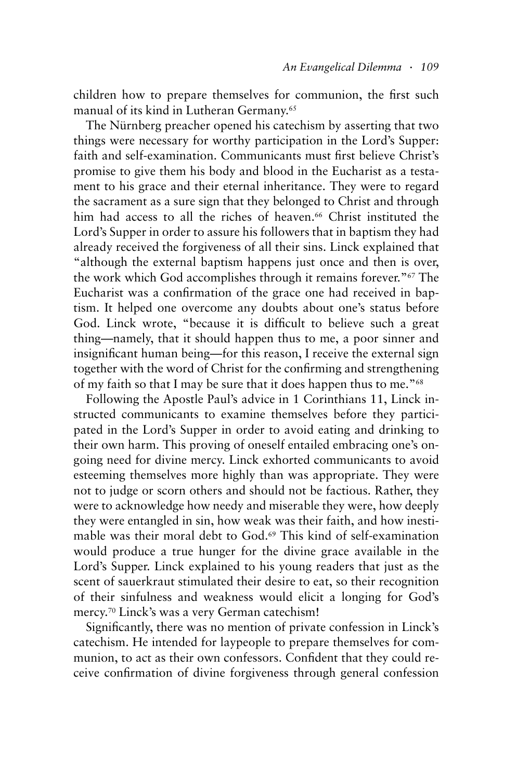children how to prepare themselves for communion, the first such manual of its kind in Lutheran Germany.65

The Nürnberg preacher opened his catechism by asserting that two things were necessary for worthy participation in the Lord's Supper: faith and self-examination. Communicants must first believe Christ's promise to give them his body and blood in the Eucharist as a testament to his grace and their eternal inheritance. They were to regard the sacrament as a sure sign that they belonged to Christ and through him had access to all the riches of heaven.<sup>66</sup> Christ instituted the Lord's Supper in order to assure his followers that in baptism they had already received the forgiveness of all their sins. Linck explained that "although the external baptism happens just once and then is over, the work which God accomplishes through it remains forever."67 The Eucharist was a confirmation of the grace one had received in baptism. It helped one overcome any doubts about one's status before God. Linck wrote, "because it is difficult to believe such a great thing—namely, that it should happen thus to me, a poor sinner and insignificant human being—for this reason, I receive the external sign together with the word of Christ for the confirming and strengthening of my faith so that I may be sure that it does happen thus to me."68

Following the Apostle Paul's advice in 1 Corinthians 11, Linck instructed communicants to examine themselves before they participated in the Lord's Supper in order to avoid eating and drinking to their own harm. This proving of oneself entailed embracing one's ongoing need for divine mercy. Linck exhorted communicants to avoid esteeming themselves more highly than was appropriate. They were not to judge or scorn others and should not be factious. Rather, they were to acknowledge how needy and miserable they were, how deeply they were entangled in sin, how weak was their faith, and how inestimable was their moral debt to God.<sup>69</sup> This kind of self-examination would produce a true hunger for the divine grace available in the Lord's Supper. Linck explained to his young readers that just as the scent of sauerkraut stimulated their desire to eat, so their recognition of their sinfulness and weakness would elicit a longing for God's mercy.70 Linck's was a very German catechism!

Significantly, there was no mention of private confession in Linck's catechism. He intended for laypeople to prepare themselves for communion, to act as their own confessors. Confident that they could receive confirmation of divine forgiveness through general confession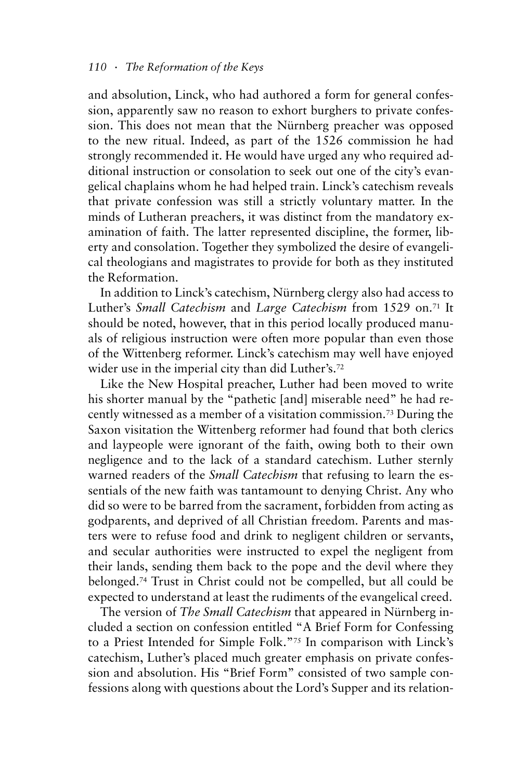and absolution, Linck, who had authored a form for general confession, apparently saw no reason to exhort burghers to private confession. This does not mean that the Nürnberg preacher was opposed to the new ritual. Indeed, as part of the 1526 commission he had strongly recommended it. He would have urged any who required additional instruction or consolation to seek out one of the city's evangelical chaplains whom he had helped train. Linck's catechism reveals that private confession was still a strictly voluntary matter. In the minds of Lutheran preachers, it was distinct from the mandatory examination of faith. The latter represented discipline, the former, liberty and consolation. Together they symbolized the desire of evangelical theologians and magistrates to provide for both as they instituted the Reformation.

In addition to Linck's catechism, Nürnberg clergy also had access to Luther's *Small Catechism* and *Large Catechism* from 1529 on.71 It should be noted, however, that in this period locally produced manuals of religious instruction were often more popular than even those of the Wittenberg reformer. Linck's catechism may well have enjoyed wider use in the imperial city than did Luther's.<sup>72</sup>

Like the New Hospital preacher, Luther had been moved to write his shorter manual by the "pathetic [and] miserable need" he had recently witnessed as a member of a visitation commission.73 During the Saxon visitation the Wittenberg reformer had found that both clerics and laypeople were ignorant of the faith, owing both to their own negligence and to the lack of a standard catechism. Luther sternly warned readers of the *Small Catechism* that refusing to learn the essentials of the new faith was tantamount to denying Christ. Any who did so were to be barred from the sacrament, forbidden from acting as godparents, and deprived of all Christian freedom. Parents and masters were to refuse food and drink to negligent children or servants, and secular authorities were instructed to expel the negligent from their lands, sending them back to the pope and the devil where they belonged.74 Trust in Christ could not be compelled, but all could be expected to understand at least the rudiments of the evangelical creed.

The version of *The Small Catechism* that appeared in Nürnberg included a section on confession entitled "A Brief Form for Confessing to a Priest Intended for Simple Folk."75 In comparison with Linck's catechism, Luther's placed much greater emphasis on private confession and absolution. His "Brief Form" consisted of two sample confessions along with questions about the Lord's Supper and its relation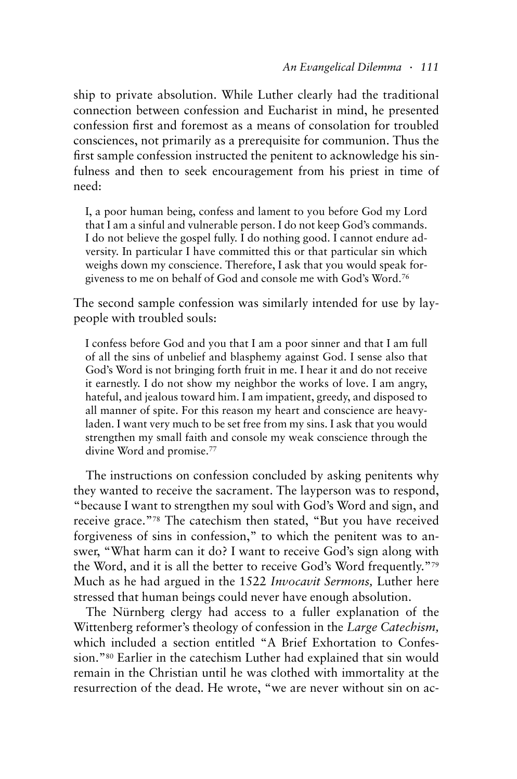ship to private absolution. While Luther clearly had the traditional connection between confession and Eucharist in mind, he presented confession first and foremost as a means of consolation for troubled consciences, not primarily as a prerequisite for communion. Thus the first sample confession instructed the penitent to acknowledge his sinfulness and then to seek encouragement from his priest in time of need:

I, a poor human being, confess and lament to you before God my Lord that I am a sinful and vulnerable person. I do not keep God's commands. I do not believe the gospel fully. I do nothing good. I cannot endure adversity. In particular I have committed this or that particular sin which weighs down my conscience. Therefore, I ask that you would speak forgiveness to me on behalf of God and console me with God's Word.76

The second sample confession was similarly intended for use by laypeople with troubled souls:

I confess before God and you that I am a poor sinner and that I am full of all the sins of unbelief and blasphemy against God. I sense also that God's Word is not bringing forth fruit in me. I hear it and do not receive it earnestly. I do not show my neighbor the works of love. I am angry, hateful, and jealous toward him. I am impatient, greedy, and disposed to all manner of spite. For this reason my heart and conscience are heavyladen. I want very much to be set free from my sins. I ask that you would strengthen my small faith and console my weak conscience through the divine Word and promise.77

The instructions on confession concluded by asking penitents why they wanted to receive the sacrament. The layperson was to respond, "because I want to strengthen my soul with God's Word and sign, and receive grace."78 The catechism then stated, "But you have received forgiveness of sins in confession," to which the penitent was to answer, "What harm can it do? I want to receive God's sign along with the Word, and it is all the better to receive God's Word frequently."79 Much as he had argued in the 1522 *Invocavit Sermons,* Luther here stressed that human beings could never have enough absolution.

The Nürnberg clergy had access to a fuller explanation of the Wittenberg reformer's theology of confession in the *Large Catechism,* which included a section entitled "A Brief Exhortation to Confession."80 Earlier in the catechism Luther had explained that sin would remain in the Christian until he was clothed with immortality at the resurrection of the dead. He wrote, "we are never without sin on ac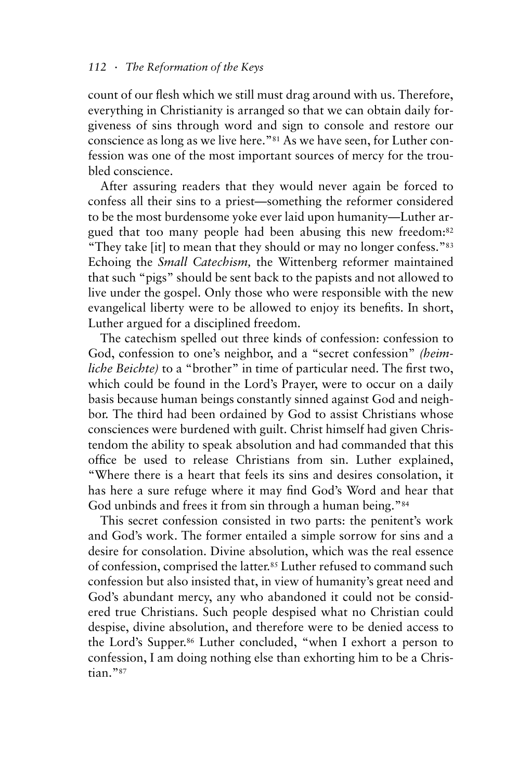count of our flesh which we still must drag around with us. Therefore, everything in Christianity is arranged so that we can obtain daily forgiveness of sins through word and sign to console and restore our conscience as long as we live here."81 As we have seen, for Luther confession was one of the most important sources of mercy for the troubled conscience.

After assuring readers that they would never again be forced to confess all their sins to a priest—something the reformer considered to be the most burdensome yoke ever laid upon humanity—Luther argued that too many people had been abusing this new freedom:<sup>82</sup> "They take [it] to mean that they should or may no longer confess."83 Echoing the *Small Catechism,* the Wittenberg reformer maintained that such "pigs" should be sent back to the papists and not allowed to live under the gospel. Only those who were responsible with the new evangelical liberty were to be allowed to enjoy its benefits. In short, Luther argued for a disciplined freedom.

The catechism spelled out three kinds of confession: confession to God, confession to one's neighbor, and a "secret confession" *(heimliche Beichte*) to a "brother" in time of particular need. The first two, which could be found in the Lord's Prayer, were to occur on a daily basis because human beings constantly sinned against God and neighbor. The third had been ordained by God to assist Christians whose consciences were burdened with guilt. Christ himself had given Christendom the ability to speak absolution and had commanded that this office be used to release Christians from sin. Luther explained, "Where there is a heart that feels its sins and desires consolation, it has here a sure refuge where it may find God's Word and hear that God unbinds and frees it from sin through a human being."84

This secret confession consisted in two parts: the penitent's work and God's work. The former entailed a simple sorrow for sins and a desire for consolation. Divine absolution, which was the real essence of confession, comprised the latter.<sup>85</sup> Luther refused to command such confession but also insisted that, in view of humanity's great need and God's abundant mercy, any who abandoned it could not be considered true Christians. Such people despised what no Christian could despise, divine absolution, and therefore were to be denied access to the Lord's Supper.86 Luther concluded, "when I exhort a person to confession, I am doing nothing else than exhorting him to be a Christian."87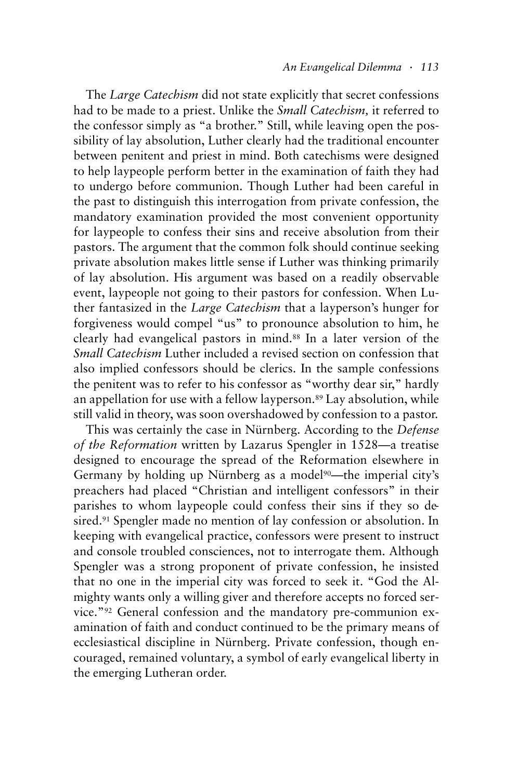The *Large Catechism* did not state explicitly that secret confessions had to be made to a priest. Unlike the *Small Catechism,* it referred to the confessor simply as "a brother." Still, while leaving open the possibility of lay absolution, Luther clearly had the traditional encounter between penitent and priest in mind. Both catechisms were designed to help laypeople perform better in the examination of faith they had to undergo before communion. Though Luther had been careful in the past to distinguish this interrogation from private confession, the mandatory examination provided the most convenient opportunity for laypeople to confess their sins and receive absolution from their pastors. The argument that the common folk should continue seeking private absolution makes little sense if Luther was thinking primarily of lay absolution. His argument was based on a readily observable event, laypeople not going to their pastors for confession. When Luther fantasized in the *Large Catechism* that a layperson's hunger for forgiveness would compel "us" to pronounce absolution to him, he clearly had evangelical pastors in mind.<sup>88</sup> In a later version of the *Small Catechism* Luther included a revised section on confession that also implied confessors should be clerics. In the sample confessions the penitent was to refer to his confessor as "worthy dear sir," hardly an appellation for use with a fellow layperson.<sup>89</sup> Lay absolution, while still valid in theory, was soon overshadowed by confession to a pastor.

This was certainly the case in Nürnberg. According to the *Defense of the Reformation* written by Lazarus Spengler in 1528—a treatise designed to encourage the spread of the Reformation elsewhere in Germany by holding up Nürnberg as a model<sup>90</sup>—the imperial city's preachers had placed "Christian and intelligent confessors" in their parishes to whom laypeople could confess their sins if they so desired.<sup>91</sup> Spengler made no mention of lay confession or absolution. In keeping with evangelical practice, confessors were present to instruct and console troubled consciences, not to interrogate them. Although Spengler was a strong proponent of private confession, he insisted that no one in the imperial city was forced to seek it. "God the Almighty wants only a willing giver and therefore accepts no forced service."92 General confession and the mandatory pre-communion examination of faith and conduct continued to be the primary means of ecclesiastical discipline in Nürnberg. Private confession, though encouraged, remained voluntary, a symbol of early evangelical liberty in the emerging Lutheran order.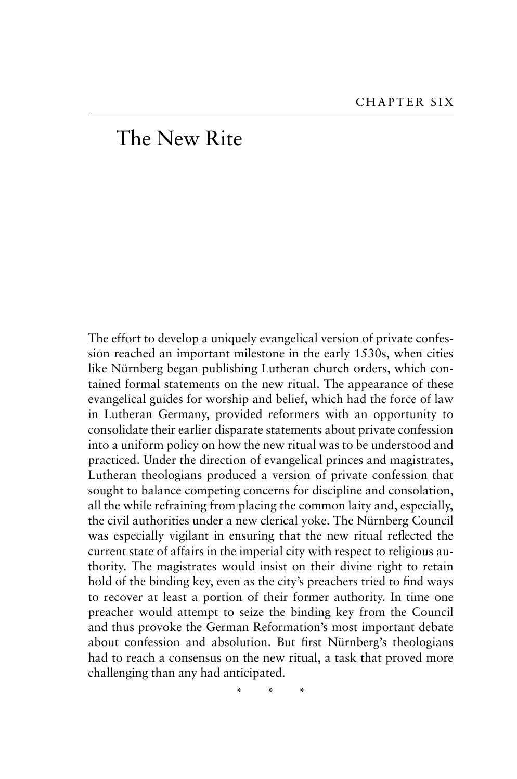## The New Rite

The effort to develop a uniquely evangelical version of private confession reached an important milestone in the early 1530s, when cities like Nürnberg began publishing Lutheran church orders, which contained formal statements on the new ritual. The appearance of these evangelical guides for worship and belief, which had the force of law in Lutheran Germany, provided reformers with an opportunity to consolidate their earlier disparate statements about private confession into a uniform policy on how the new ritual was to be understood and practiced. Under the direction of evangelical princes and magistrates, Lutheran theologians produced a version of private confession that sought to balance competing concerns for discipline and consolation, all the while refraining from placing the common laity and, especially, the civil authorities under a new clerical yoke. The Nürnberg Council was especially vigilant in ensuring that the new ritual reflected the current state of affairs in the imperial city with respect to religious authority. The magistrates would insist on their divine right to retain hold of the binding key, even as the city's preachers tried to find ways to recover at least a portion of their former authority. In time one preacher would attempt to seize the binding key from the Council and thus provoke the German Reformation's most important debate about confession and absolution. But first Nürnberg's theologians had to reach a consensus on the new ritual, a task that proved more challenging than any had anticipated.

\* \* \*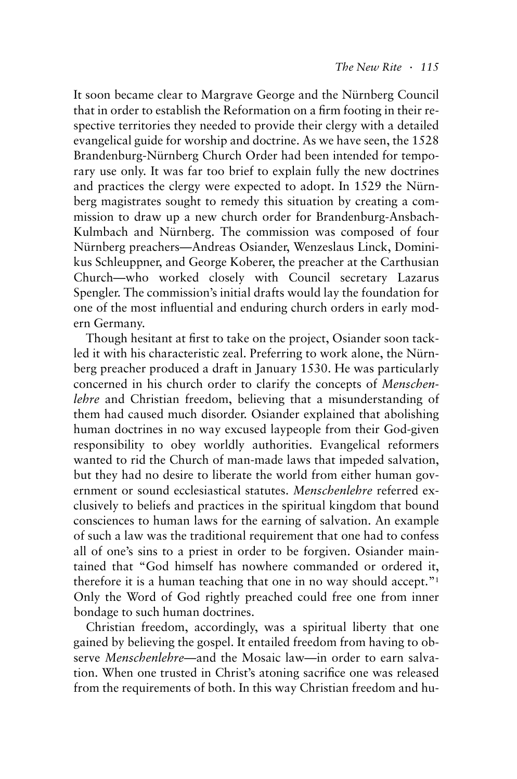It soon became clear to Margrave George and the Nürnberg Council that in order to establish the Reformation on a firm footing in their respective territories they needed to provide their clergy with a detailed evangelical guide for worship and doctrine. As we have seen, the 1528 Brandenburg-Nürnberg Church Order had been intended for temporary use only. It was far too brief to explain fully the new doctrines and practices the clergy were expected to adopt. In 1529 the Nürnberg magistrates sought to remedy this situation by creating a commission to draw up a new church order for Brandenburg-Ansbach-Kulmbach and Nürnberg. The commission was composed of four Nürnberg preachers—Andreas Osiander, Wenzeslaus Linck, Dominikus Schleuppner, and George Koberer, the preacher at the Carthusian Church—who worked closely with Council secretary Lazarus Spengler. The commission's initial drafts would lay the foundation for one of the most influential and enduring church orders in early modern Germany.

Though hesitant at first to take on the project, Osiander soon tackled it with his characteristic zeal. Preferring to work alone, the Nürnberg preacher produced a draft in January 1530. He was particularly concerned in his church order to clarify the concepts of *Menschenlehre* and Christian freedom, believing that a misunderstanding of them had caused much disorder. Osiander explained that abolishing human doctrines in no way excused laypeople from their God-given responsibility to obey worldly authorities. Evangelical reformers wanted to rid the Church of man-made laws that impeded salvation, but they had no desire to liberate the world from either human government or sound ecclesiastical statutes. *Menschenlehre* referred exclusively to beliefs and practices in the spiritual kingdom that bound consciences to human laws for the earning of salvation. An example of such a law was the traditional requirement that one had to confess all of one's sins to a priest in order to be forgiven. Osiander maintained that "God himself has nowhere commanded or ordered it, therefore it is a human teaching that one in no way should accept."1 Only the Word of God rightly preached could free one from inner bondage to such human doctrines.

Christian freedom, accordingly, was a spiritual liberty that one gained by believing the gospel. It entailed freedom from having to observe *Menschenlehre*—and the Mosaic law—in order to earn salvation. When one trusted in Christ's atoning sacrifice one was released from the requirements of both. In this way Christian freedom and hu-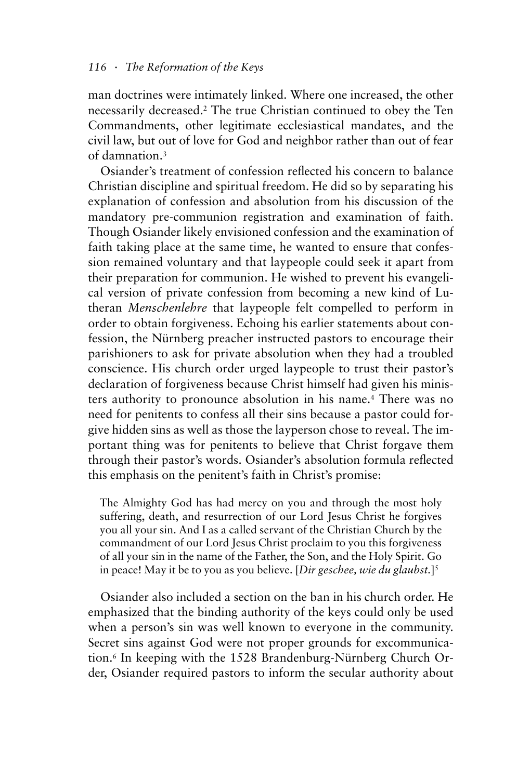man doctrines were intimately linked. Where one increased, the other necessarily decreased.2 The true Christian continued to obey the Ten Commandments, other legitimate ecclesiastical mandates, and the civil law, but out of love for God and neighbor rather than out of fear of damnation.3

Osiander's treatment of confession reflected his concern to balance Christian discipline and spiritual freedom. He did so by separating his explanation of confession and absolution from his discussion of the mandatory pre-communion registration and examination of faith. Though Osiander likely envisioned confession and the examination of faith taking place at the same time, he wanted to ensure that confession remained voluntary and that laypeople could seek it apart from their preparation for communion. He wished to prevent his evangelical version of private confession from becoming a new kind of Lutheran *Menschenlehre* that laypeople felt compelled to perform in order to obtain forgiveness. Echoing his earlier statements about confession, the Nürnberg preacher instructed pastors to encourage their parishioners to ask for private absolution when they had a troubled conscience. His church order urged laypeople to trust their pastor's declaration of forgiveness because Christ himself had given his ministers authority to pronounce absolution in his name.4 There was no need for penitents to confess all their sins because a pastor could forgive hidden sins as well as those the layperson chose to reveal. The important thing was for penitents to believe that Christ forgave them through their pastor's words. Osiander's absolution formula reflected this emphasis on the penitent's faith in Christ's promise:

The Almighty God has had mercy on you and through the most holy suffering, death, and resurrection of our Lord Jesus Christ he forgives you all your sin. And I as a called servant of the Christian Church by the commandment of our Lord Jesus Christ proclaim to you this forgiveness of all your sin in the name of the Father, the Son, and the Holy Spirit. Go in peace! May it be to you as you believe. [*Dir geschee, wie du glaubst.*]5

Osiander also included a section on the ban in his church order. He emphasized that the binding authority of the keys could only be used when a person's sin was well known to everyone in the community. Secret sins against God were not proper grounds for excommunication.6 In keeping with the 1528 Brandenburg-Nürnberg Church Order, Osiander required pastors to inform the secular authority about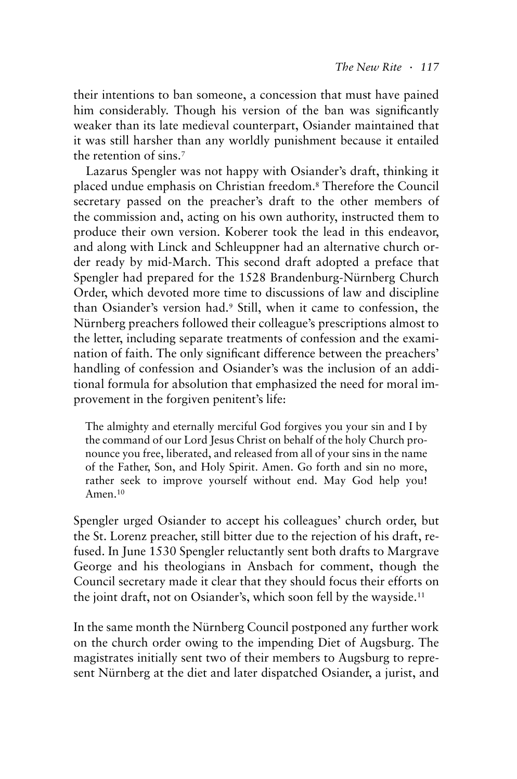their intentions to ban someone, a concession that must have pained him considerably. Though his version of the ban was significantly weaker than its late medieval counterpart, Osiander maintained that it was still harsher than any worldly punishment because it entailed the retention of sins.7

Lazarus Spengler was not happy with Osiander's draft, thinking it placed undue emphasis on Christian freedom.8 Therefore the Council secretary passed on the preacher's draft to the other members of the commission and, acting on his own authority, instructed them to produce their own version. Koberer took the lead in this endeavor, and along with Linck and Schleuppner had an alternative church order ready by mid-March. This second draft adopted a preface that Spengler had prepared for the 1528 Brandenburg-Nürnberg Church Order, which devoted more time to discussions of law and discipline than Osiander's version had.9 Still, when it came to confession, the Nürnberg preachers followed their colleague's prescriptions almost to the letter, including separate treatments of confession and the examination of faith. The only significant difference between the preachers' handling of confession and Osiander's was the inclusion of an additional formula for absolution that emphasized the need for moral improvement in the forgiven penitent's life:

The almighty and eternally merciful God forgives you your sin and I by the command of our Lord Jesus Christ on behalf of the holy Church pronounce you free, liberated, and released from all of your sins in the name of the Father, Son, and Holy Spirit. Amen. Go forth and sin no more, rather seek to improve yourself without end. May God help you! Amen $10$ 

Spengler urged Osiander to accept his colleagues' church order, but the St. Lorenz preacher, still bitter due to the rejection of his draft, refused. In June 1530 Spengler reluctantly sent both drafts to Margrave George and his theologians in Ansbach for comment, though the Council secretary made it clear that they should focus their efforts on the joint draft, not on Osiander's, which soon fell by the wayside.11

In the same month the Nürnberg Council postponed any further work on the church order owing to the impending Diet of Augsburg. The magistrates initially sent two of their members to Augsburg to represent Nürnberg at the diet and later dispatched Osiander, a jurist, and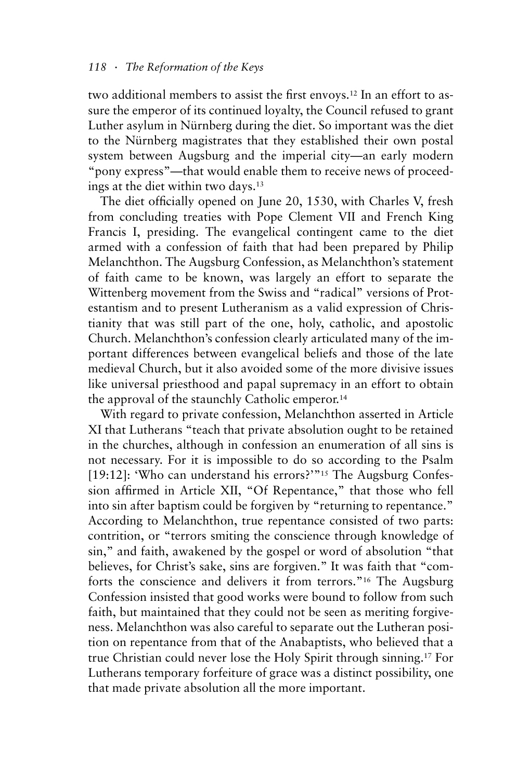two additional members to assist the first envoys.12 In an effort to assure the emperor of its continued loyalty, the Council refused to grant Luther asylum in Nürnberg during the diet. So important was the diet to the Nürnberg magistrates that they established their own postal system between Augsburg and the imperial city—an early modern "pony express"—that would enable them to receive news of proceedings at the diet within two days.13

The diet officially opened on June 20, 1530, with Charles V, fresh from concluding treaties with Pope Clement VII and French King Francis I, presiding. The evangelical contingent came to the diet armed with a confession of faith that had been prepared by Philip Melanchthon. The Augsburg Confession, as Melanchthon's statement of faith came to be known, was largely an effort to separate the Wittenberg movement from the Swiss and "radical" versions of Protestantism and to present Lutheranism as a valid expression of Christianity that was still part of the one, holy, catholic, and apostolic Church. Melanchthon's confession clearly articulated many of the important differences between evangelical beliefs and those of the late medieval Church, but it also avoided some of the more divisive issues like universal priesthood and papal supremacy in an effort to obtain the approval of the staunchly Catholic emperor.14

With regard to private confession, Melanchthon asserted in Article XI that Lutherans "teach that private absolution ought to be retained in the churches, although in confession an enumeration of all sins is not necessary. For it is impossible to do so according to the Psalm [19:12]: 'Who can understand his errors?'"<sup>15</sup> The Augsburg Confession affirmed in Article XII, "Of Repentance," that those who fell into sin after baptism could be forgiven by "returning to repentance." According to Melanchthon, true repentance consisted of two parts: contrition, or "terrors smiting the conscience through knowledge of sin," and faith, awakened by the gospel or word of absolution "that believes, for Christ's sake, sins are forgiven." It was faith that "comforts the conscience and delivers it from terrors."16 The Augsburg Confession insisted that good works were bound to follow from such faith, but maintained that they could not be seen as meriting forgiveness. Melanchthon was also careful to separate out the Lutheran position on repentance from that of the Anabaptists, who believed that a true Christian could never lose the Holy Spirit through sinning.17 For Lutherans temporary forfeiture of grace was a distinct possibility, one that made private absolution all the more important.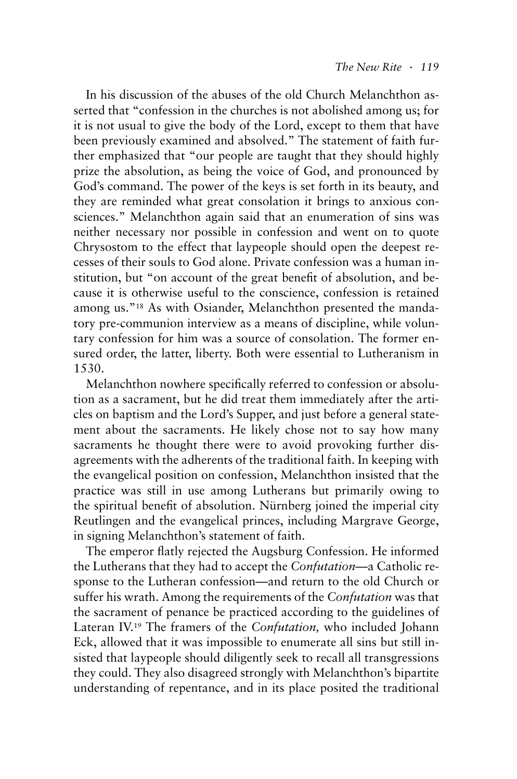In his discussion of the abuses of the old Church Melanchthon asserted that "confession in the churches is not abolished among us; for it is not usual to give the body of the Lord, except to them that have been previously examined and absolved." The statement of faith further emphasized that "our people are taught that they should highly prize the absolution, as being the voice of God, and pronounced by God's command. The power of the keys is set forth in its beauty, and they are reminded what great consolation it brings to anxious consciences." Melanchthon again said that an enumeration of sins was neither necessary nor possible in confession and went on to quote Chrysostom to the effect that laypeople should open the deepest recesses of their souls to God alone. Private confession was a human institution, but "on account of the great benefit of absolution, and because it is otherwise useful to the conscience, confession is retained among us."18 As with Osiander, Melanchthon presented the mandatory pre-communion interview as a means of discipline, while voluntary confession for him was a source of consolation. The former ensured order, the latter, liberty. Both were essential to Lutheranism in 1530.

Melanchthon nowhere specifically referred to confession or absolution as a sacrament, but he did treat them immediately after the articles on baptism and the Lord's Supper, and just before a general statement about the sacraments. He likely chose not to say how many sacraments he thought there were to avoid provoking further disagreements with the adherents of the traditional faith. In keeping with the evangelical position on confession, Melanchthon insisted that the practice was still in use among Lutherans but primarily owing to the spiritual benefit of absolution. Nürnberg joined the imperial city Reutlingen and the evangelical princes, including Margrave George, in signing Melanchthon's statement of faith.

The emperor flatly rejected the Augsburg Confession. He informed the Lutherans that they had to accept the *Confutation*—a Catholic response to the Lutheran confession—and return to the old Church or suffer his wrath. Among the requirements of the *Confutation* was that the sacrament of penance be practiced according to the guidelines of Lateran IV.19 The framers of the *Confutation,* who included Johann Eck, allowed that it was impossible to enumerate all sins but still insisted that laypeople should diligently seek to recall all transgressions they could. They also disagreed strongly with Melanchthon's bipartite understanding of repentance, and in its place posited the traditional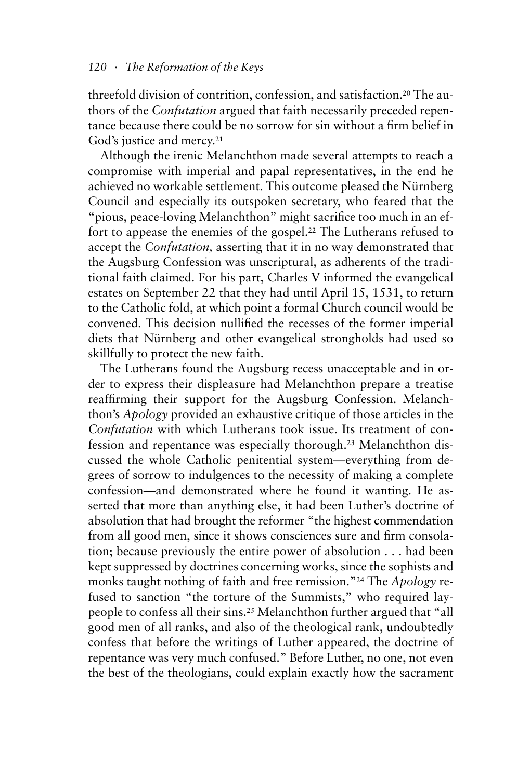threefold division of contrition, confession, and satisfaction.20 The authors of the *Confutation* argued that faith necessarily preceded repentance because there could be no sorrow for sin without a firm belief in God's justice and mercy.<sup>21</sup>

Although the irenic Melanchthon made several attempts to reach a compromise with imperial and papal representatives, in the end he achieved no workable settlement. This outcome pleased the Nürnberg Council and especially its outspoken secretary, who feared that the "pious, peace-loving Melanchthon" might sacrifice too much in an effort to appease the enemies of the gospel.22 The Lutherans refused to accept the *Confutation,* asserting that it in no way demonstrated that the Augsburg Confession was unscriptural, as adherents of the traditional faith claimed. For his part, Charles V informed the evangelical estates on September 22 that they had until April 15, 1531, to return to the Catholic fold, at which point a formal Church council would be convened. This decision nullified the recesses of the former imperial diets that Nürnberg and other evangelical strongholds had used so skillfully to protect the new faith.

The Lutherans found the Augsburg recess unacceptable and in order to express their displeasure had Melanchthon prepare a treatise reaffirming their support for the Augsburg Confession. Melanchthon's *Apology* provided an exhaustive critique of those articles in the *Confutation* with which Lutherans took issue. Its treatment of confession and repentance was especially thorough.23 Melanchthon discussed the whole Catholic penitential system—everything from degrees of sorrow to indulgences to the necessity of making a complete confession—and demonstrated where he found it wanting. He asserted that more than anything else, it had been Luther's doctrine of absolution that had brought the reformer "the highest commendation from all good men, since it shows consciences sure and firm consolation; because previously the entire power of absolution . . . had been kept suppressed by doctrines concerning works, since the sophists and monks taught nothing of faith and free remission."24 The *Apology* refused to sanction "the torture of the Summists," who required laypeople to confess all their sins.25 Melanchthon further argued that "all good men of all ranks, and also of the theological rank, undoubtedly confess that before the writings of Luther appeared, the doctrine of repentance was very much confused." Before Luther, no one, not even the best of the theologians, could explain exactly how the sacrament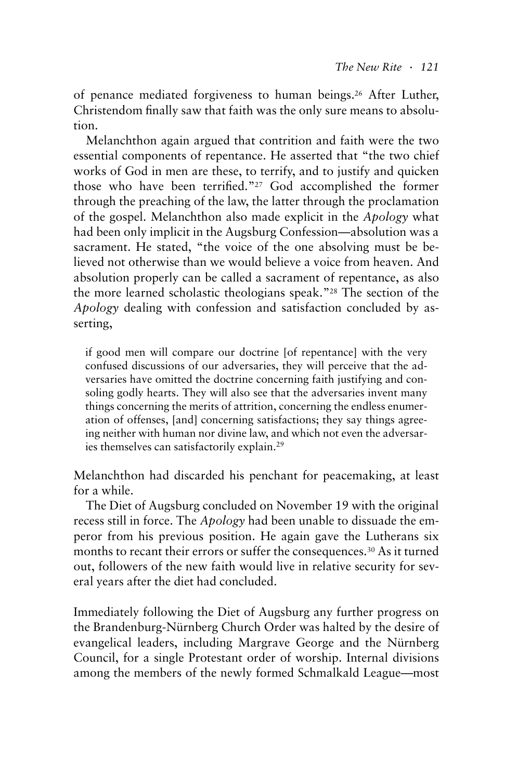of penance mediated forgiveness to human beings.26 After Luther, Christendom finally saw that faith was the only sure means to absolution.

Melanchthon again argued that contrition and faith were the two essential components of repentance. He asserted that "the two chief works of God in men are these, to terrify, and to justify and quicken those who have been terrified."27 God accomplished the former through the preaching of the law, the latter through the proclamation of the gospel. Melanchthon also made explicit in the *Apology* what had been only implicit in the Augsburg Confession—absolution was a sacrament. He stated, "the voice of the one absolving must be believed not otherwise than we would believe a voice from heaven. And absolution properly can be called a sacrament of repentance, as also the more learned scholastic theologians speak."28 The section of the *Apology* dealing with confession and satisfaction concluded by asserting,

if good men will compare our doctrine [of repentance] with the very confused discussions of our adversaries, they will perceive that the adversaries have omitted the doctrine concerning faith justifying and consoling godly hearts. They will also see that the adversaries invent many things concerning the merits of attrition, concerning the endless enumeration of offenses, [and] concerning satisfactions; they say things agreeing neither with human nor divine law, and which not even the adversaries themselves can satisfactorily explain.29

Melanchthon had discarded his penchant for peacemaking, at least for a while.

The Diet of Augsburg concluded on November 19 with the original recess still in force. The *Apology* had been unable to dissuade the emperor from his previous position. He again gave the Lutherans six months to recant their errors or suffer the consequences.<sup>30</sup> As it turned out, followers of the new faith would live in relative security for several years after the diet had concluded.

Immediately following the Diet of Augsburg any further progress on the Brandenburg-Nürnberg Church Order was halted by the desire of evangelical leaders, including Margrave George and the Nürnberg Council, for a single Protestant order of worship. Internal divisions among the members of the newly formed Schmalkald League—most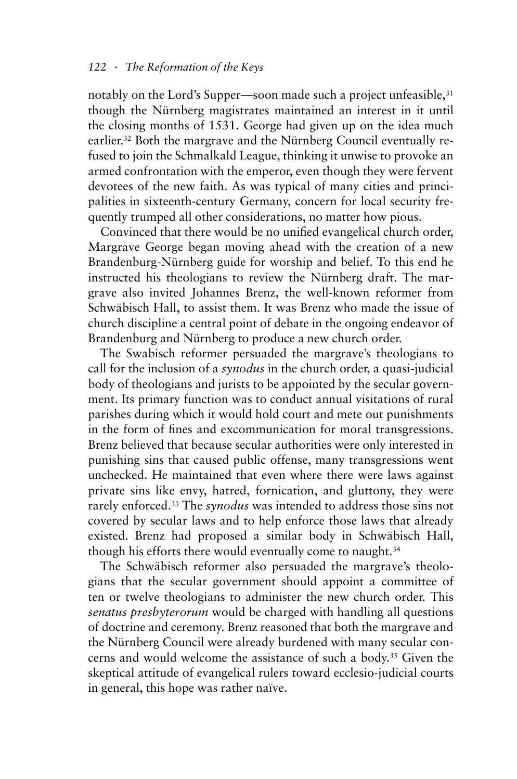notably on the Lord's Supper—soon made such a project unfeasible,<sup>31</sup> though the Nürnberg magistrates maintained an interest in it until the closing months of 1531. George had given up on the idea much earlier.32 Both the margrave and the Nürnberg Council eventually refused to join the Schmalkald League, thinking it unwise to provoke an armed confrontation with the emperor, even though they were fervent devotees of the new faith. As was typical of many cities and principalities in sixteenth-century Germany, concern for local security frequently trumped all other considerations, no matter how pious.

Convinced that there would be no unified evangelical church order, Margrave George began moving ahead with the creation of a new Brandenburg-Nürnberg guide for worship and belief. To this end he instructed his theologians to review the Nürnberg draft. The margrave also invited Johannes Brenz, the well-known reformer from Schwäbisch Hall, to assist them. It was Brenz who made the issue of church discipline a central point of debate in the ongoing endeavor of Brandenburg and Nürnberg to produce a new church order.

The Swabisch reformer persuaded the margrave's theologians to call for the inclusion of a *synodus* in the church order, a quasi-judicial body of theologians and jurists to be appointed by the secular government. Its primary function was to conduct annual visitations of rural parishes during which it would hold court and mete out punishments in the form of fines and excommunication for moral transgressions. Brenz believed that because secular authorities were only interested in punishing sins that caused public offense, many transgressions went unchecked. He maintained that even where there were laws against private sins like envy, hatred, fornication, and gluttony, they were rarely enforced.33 The *synodus* was intended to address those sins not covered by secular laws and to help enforce those laws that already existed. Brenz had proposed a similar body in Schwäbisch Hall, though his efforts there would eventually come to naught.34

The Schwäbisch reformer also persuaded the margrave's theologians that the secular government should appoint a committee of ten or twelve theologians to administer the new church order. This *senatus presbyterorum* would be charged with handling all questions of doctrine and ceremony. Brenz reasoned that both the margrave and the Nürnberg Council were already burdened with many secular concerns and would welcome the assistance of such a body.35 Given the skeptical attitude of evangelical rulers toward ecclesio-judicial courts in general, this hope was rather naïve.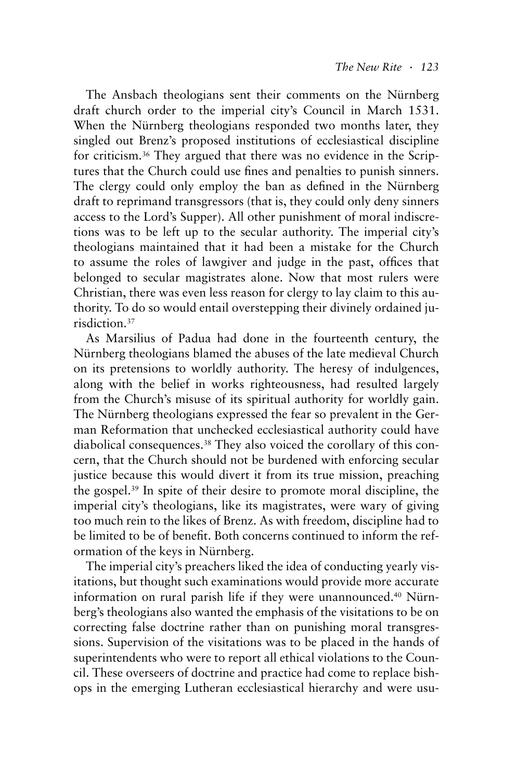The Ansbach theologians sent their comments on the Nürnberg draft church order to the imperial city's Council in March 1531. When the Nürnberg theologians responded two months later, they singled out Brenz's proposed institutions of ecclesiastical discipline for criticism.36 They argued that there was no evidence in the Scriptures that the Church could use fines and penalties to punish sinners. The clergy could only employ the ban as defined in the Nürnberg draft to reprimand transgressors (that is, they could only deny sinners access to the Lord's Supper). All other punishment of moral indiscretions was to be left up to the secular authority. The imperial city's theologians maintained that it had been a mistake for the Church to assume the roles of lawgiver and judge in the past, offices that belonged to secular magistrates alone. Now that most rulers were Christian, there was even less reason for clergy to lay claim to this authority. To do so would entail overstepping their divinely ordained jurisdiction.37

As Marsilius of Padua had done in the fourteenth century, the Nürnberg theologians blamed the abuses of the late medieval Church on its pretensions to worldly authority. The heresy of indulgences, along with the belief in works righteousness, had resulted largely from the Church's misuse of its spiritual authority for worldly gain. The Nürnberg theologians expressed the fear so prevalent in the German Reformation that unchecked ecclesiastical authority could have diabolical consequences.38 They also voiced the corollary of this concern, that the Church should not be burdened with enforcing secular justice because this would divert it from its true mission, preaching the gospel.39 In spite of their desire to promote moral discipline, the imperial city's theologians, like its magistrates, were wary of giving too much rein to the likes of Brenz. As with freedom, discipline had to be limited to be of benefit. Both concerns continued to inform the reformation of the keys in Nürnberg.

The imperial city's preachers liked the idea of conducting yearly visitations, but thought such examinations would provide more accurate information on rural parish life if they were unannounced.40 Nürnberg's theologians also wanted the emphasis of the visitations to be on correcting false doctrine rather than on punishing moral transgressions. Supervision of the visitations was to be placed in the hands of superintendents who were to report all ethical violations to the Council. These overseers of doctrine and practice had come to replace bishops in the emerging Lutheran ecclesiastical hierarchy and were usu-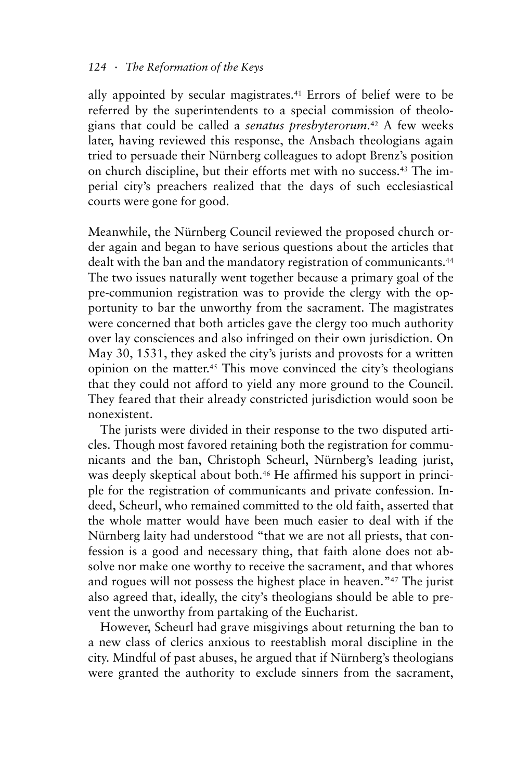## *124 • The Reformation of the Keys*

ally appointed by secular magistrates.<sup>41</sup> Errors of belief were to be referred by the superintendents to a special commission of theologians that could be called a *senatus presbyterorum.*<sup>42</sup> A few weeks later, having reviewed this response, the Ansbach theologians again tried to persuade their Nürnberg colleagues to adopt Brenz's position on church discipline, but their efforts met with no success.43 The imperial city's preachers realized that the days of such ecclesiastical courts were gone for good.

Meanwhile, the Nürnberg Council reviewed the proposed church order again and began to have serious questions about the articles that dealt with the ban and the mandatory registration of communicants.<sup>44</sup> The two issues naturally went together because a primary goal of the pre-communion registration was to provide the clergy with the opportunity to bar the unworthy from the sacrament. The magistrates were concerned that both articles gave the clergy too much authority over lay consciences and also infringed on their own jurisdiction. On May 30, 1531, they asked the city's jurists and provosts for a written opinion on the matter.45 This move convinced the city's theologians that they could not afford to yield any more ground to the Council. They feared that their already constricted jurisdiction would soon be nonexistent.

The jurists were divided in their response to the two disputed articles. Though most favored retaining both the registration for communicants and the ban, Christoph Scheurl, Nürnberg's leading jurist, was deeply skeptical about both.<sup>46</sup> He affirmed his support in principle for the registration of communicants and private confession. Indeed, Scheurl, who remained committed to the old faith, asserted that the whole matter would have been much easier to deal with if the Nürnberg laity had understood "that we are not all priests, that confession is a good and necessary thing, that faith alone does not absolve nor make one worthy to receive the sacrament, and that whores and rogues will not possess the highest place in heaven."47 The jurist also agreed that, ideally, the city's theologians should be able to prevent the unworthy from partaking of the Eucharist.

However, Scheurl had grave misgivings about returning the ban to a new class of clerics anxious to reestablish moral discipline in the city. Mindful of past abuses, he argued that if Nürnberg's theologians were granted the authority to exclude sinners from the sacrament,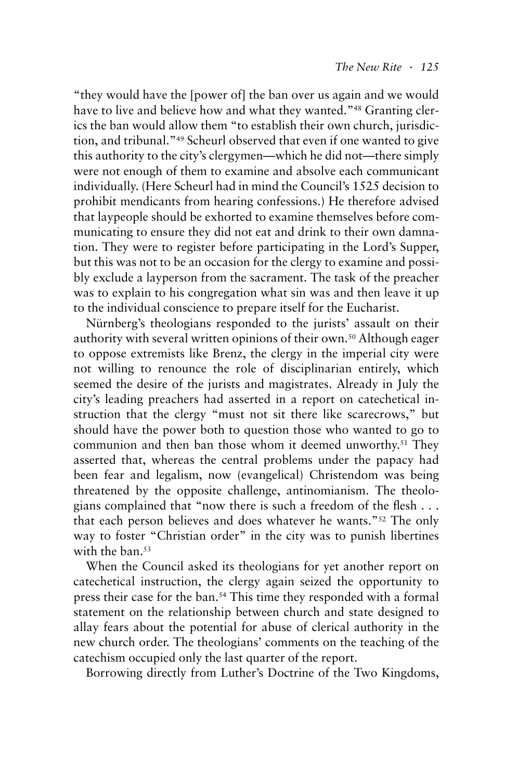"they would have the [power of] the ban over us again and we would have to live and believe how and what they wanted."<sup>48</sup> Granting clerics the ban would allow them "to establish their own church, jurisdiction, and tribunal."49 Scheurl observed that even if one wanted to give this authority to the city's clergymen—which he did not—there simply were not enough of them to examine and absolve each communicant individually. (Here Scheurl had in mind the Council's 1525 decision to prohibit mendicants from hearing confessions.) He therefore advised that laypeople should be exhorted to examine themselves before communicating to ensure they did not eat and drink to their own damnation. They were to register before participating in the Lord's Supper, but this was not to be an occasion for the clergy to examine and possibly exclude a layperson from the sacrament. The task of the preacher was to explain to his congregation what sin was and then leave it up to the individual conscience to prepare itself for the Eucharist.

Nürnberg's theologians responded to the jurists' assault on their authority with several written opinions of their own.<sup>50</sup> Although eager to oppose extremists like Brenz, the clergy in the imperial city were not willing to renounce the role of disciplinarian entirely, which seemed the desire of the jurists and magistrates. Already in July the city's leading preachers had asserted in a report on catechetical instruction that the clergy "must not sit there like scarecrows," but should have the power both to question those who wanted to go to communion and then ban those whom it deemed unworthy.51 They asserted that, whereas the central problems under the papacy had been fear and legalism, now (evangelical) Christendom was being threatened by the opposite challenge, antinomianism. The theologians complained that "now there is such a freedom of the flesh... that each person believes and does whatever he wants."52 The only way to foster "Christian order" in the city was to punish libertines with the ban.<sup>53</sup>

When the Council asked its theologians for yet another report on catechetical instruction, the clergy again seized the opportunity to press their case for the ban.54 This time they responded with a formal statement on the relationship between church and state designed to allay fears about the potential for abuse of clerical authority in the new church order. The theologians' comments on the teaching of the catechism occupied only the last quarter of the report.

Borrowing directly from Luther's Doctrine of the Two Kingdoms,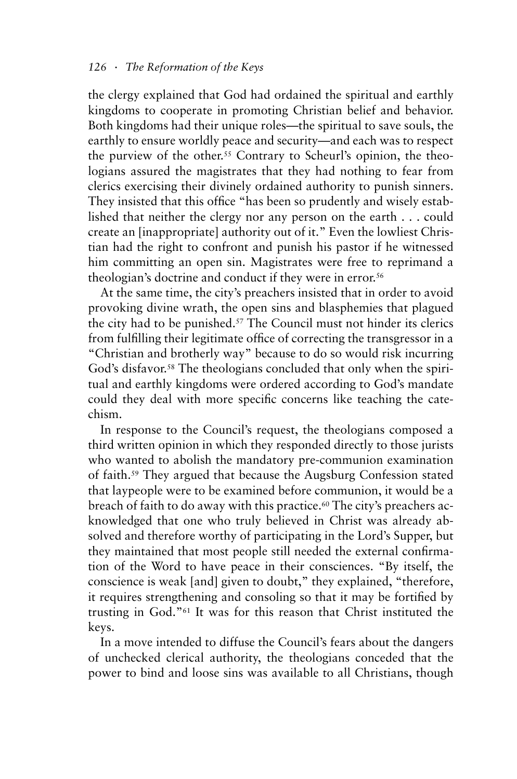the clergy explained that God had ordained the spiritual and earthly kingdoms to cooperate in promoting Christian belief and behavior. Both kingdoms had their unique roles—the spiritual to save souls, the earthly to ensure worldly peace and security—and each was to respect the purview of the other.<sup>55</sup> Contrary to Scheurl's opinion, the theologians assured the magistrates that they had nothing to fear from clerics exercising their divinely ordained authority to punish sinners. They insisted that this office "has been so prudently and wisely established that neither the clergy nor any person on the earth... could create an [inappropriate] authority out of it." Even the lowliest Christian had the right to confront and punish his pastor if he witnessed him committing an open sin. Magistrates were free to reprimand a theologian's doctrine and conduct if they were in error.56

At the same time, the city's preachers insisted that in order to avoid provoking divine wrath, the open sins and blasphemies that plagued the city had to be punished.57 The Council must not hinder its clerics from fulfilling their legitimate office of correcting the transgressor in a "Christian and brotherly way" because to do so would risk incurring God's disfavor.<sup>58</sup> The theologians concluded that only when the spiritual and earthly kingdoms were ordered according to God's mandate could they deal with more specific concerns like teaching the catechism.

In response to the Council's request, the theologians composed a third written opinion in which they responded directly to those jurists who wanted to abolish the mandatory pre-communion examination of faith.59 They argued that because the Augsburg Confession stated that laypeople were to be examined before communion, it would be a breach of faith to do away with this practice.<sup>60</sup> The city's preachers acknowledged that one who truly believed in Christ was already absolved and therefore worthy of participating in the Lord's Supper, but they maintained that most people still needed the external confirmation of the Word to have peace in their consciences. "By itself, the conscience is weak [and] given to doubt," they explained, "therefore, it requires strengthening and consoling so that it may be fortified by trusting in God."61 It was for this reason that Christ instituted the keys.

In a move intended to diffuse the Council's fears about the dangers of unchecked clerical authority, the theologians conceded that the power to bind and loose sins was available to all Christians, though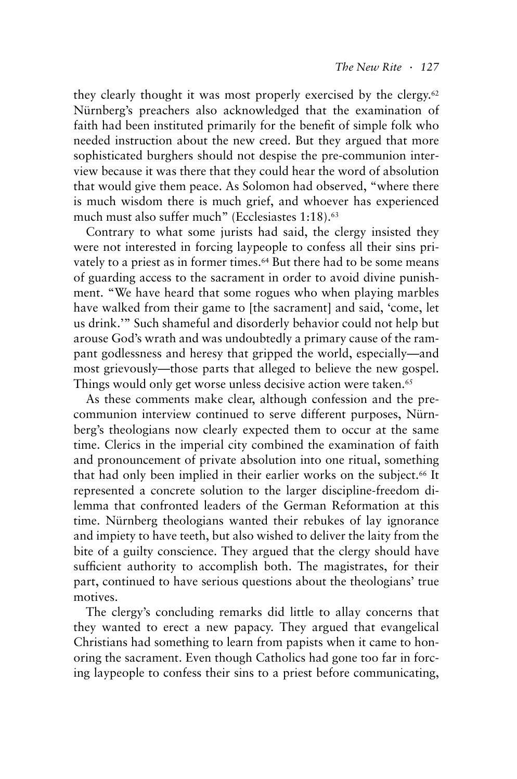they clearly thought it was most properly exercised by the clergy.62 Nürnberg's preachers also acknowledged that the examination of faith had been instituted primarily for the benefit of simple folk who needed instruction about the new creed. But they argued that more sophisticated burghers should not despise the pre-communion interview because it was there that they could hear the word of absolution that would give them peace. As Solomon had observed, "where there is much wisdom there is much grief, and whoever has experienced much must also suffer much" (Ecclesiastes 1:18).63

Contrary to what some jurists had said, the clergy insisted they were not interested in forcing laypeople to confess all their sins privately to a priest as in former times.<sup>64</sup> But there had to be some means of guarding access to the sacrament in order to avoid divine punishment. "We have heard that some rogues who when playing marbles have walked from their game to [the sacrament] and said, 'come, let us drink.'" Such shameful and disorderly behavior could not help but arouse God's wrath and was undoubtedly a primary cause of the rampant godlessness and heresy that gripped the world, especially—and most grievously—those parts that alleged to believe the new gospel. Things would only get worse unless decisive action were taken.<sup>65</sup>

As these comments make clear, although confession and the precommunion interview continued to serve different purposes, Nürnberg's theologians now clearly expected them to occur at the same time. Clerics in the imperial city combined the examination of faith and pronouncement of private absolution into one ritual, something that had only been implied in their earlier works on the subject.<sup>66</sup> It represented a concrete solution to the larger discipline-freedom dilemma that confronted leaders of the German Reformation at this time. Nürnberg theologians wanted their rebukes of lay ignorance and impiety to have teeth, but also wished to deliver the laity from the bite of a guilty conscience. They argued that the clergy should have sufficient authority to accomplish both. The magistrates, for their part, continued to have serious questions about the theologians' true motives.

The clergy's concluding remarks did little to allay concerns that they wanted to erect a new papacy. They argued that evangelical Christians had something to learn from papists when it came to honoring the sacrament. Even though Catholics had gone too far in forcing laypeople to confess their sins to a priest before communicating,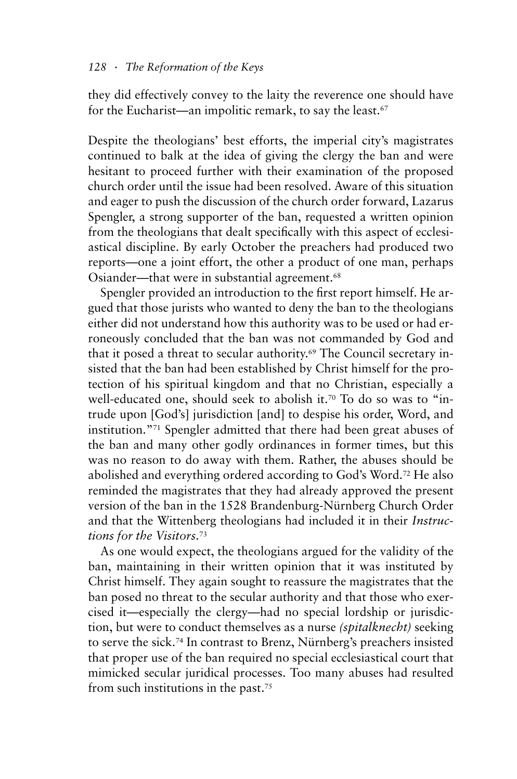they did effectively convey to the laity the reverence one should have for the Eucharist—an impolitic remark, to say the least.<sup>67</sup>

Despite the theologians' best efforts, the imperial city's magistrates continued to balk at the idea of giving the clergy the ban and were hesitant to proceed further with their examination of the proposed church order until the issue had been resolved. Aware of this situation and eager to push the discussion of the church order forward, Lazarus Spengler, a strong supporter of the ban, requested a written opinion from the theologians that dealt specifically with this aspect of ecclesiastical discipline. By early October the preachers had produced two reports—one a joint effort, the other a product of one man, perhaps Osiander—that were in substantial agreement.68

Spengler provided an introduction to the first report himself. He argued that those jurists who wanted to deny the ban to the theologians either did not understand how this authority was to be used or had erroneously concluded that the ban was not commanded by God and that it posed a threat to secular authority.<sup>69</sup> The Council secretary insisted that the ban had been established by Christ himself for the protection of his spiritual kingdom and that no Christian, especially a well-educated one, should seek to abolish it.70 To do so was to "intrude upon [God's] jurisdiction [and] to despise his order, Word, and institution."71 Spengler admitted that there had been great abuses of the ban and many other godly ordinances in former times, but this was no reason to do away with them. Rather, the abuses should be abolished and everything ordered according to God's Word.72 He also reminded the magistrates that they had already approved the present version of the ban in the 1528 Brandenburg-Nürnberg Church Order and that the Wittenberg theologians had included it in their *Instructions for the Visitors.*<sup>73</sup>

As one would expect, the theologians argued for the validity of the ban, maintaining in their written opinion that it was instituted by Christ himself. They again sought to reassure the magistrates that the ban posed no threat to the secular authority and that those who exercised it—especially the clergy—had no special lordship or jurisdiction, but were to conduct themselves as a nurse *(spitalknecht)* seeking to serve the sick.74 In contrast to Brenz, Nürnberg's preachers insisted that proper use of the ban required no special ecclesiastical court that mimicked secular juridical processes. Too many abuses had resulted from such institutions in the past.75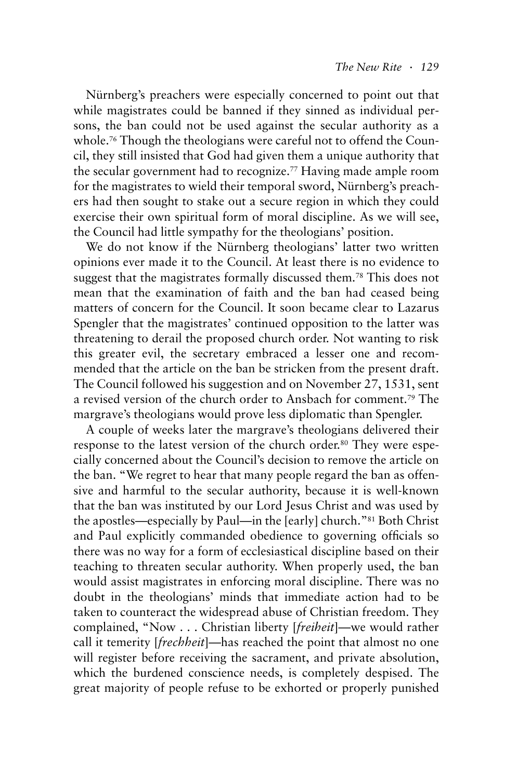Nürnberg's preachers were especially concerned to point out that while magistrates could be banned if they sinned as individual persons, the ban could not be used against the secular authority as a whole.76 Though the theologians were careful not to offend the Council, they still insisted that God had given them a unique authority that the secular government had to recognize.77 Having made ample room for the magistrates to wield their temporal sword, Nürnberg's preachers had then sought to stake out a secure region in which they could exercise their own spiritual form of moral discipline. As we will see, the Council had little sympathy for the theologians' position.

We do not know if the Nürnberg theologians' latter two written opinions ever made it to the Council. At least there is no evidence to suggest that the magistrates formally discussed them.78 This does not mean that the examination of faith and the ban had ceased being matters of concern for the Council. It soon became clear to Lazarus Spengler that the magistrates' continued opposition to the latter was threatening to derail the proposed church order. Not wanting to risk this greater evil, the secretary embraced a lesser one and recommended that the article on the ban be stricken from the present draft. The Council followed his suggestion and on November 27, 1531, sent a revised version of the church order to Ansbach for comment.79 The margrave's theologians would prove less diplomatic than Spengler.

A couple of weeks later the margrave's theologians delivered their response to the latest version of the church order.<sup>80</sup> They were especially concerned about the Council's decision to remove the article on the ban. "We regret to hear that many people regard the ban as offensive and harmful to the secular authority, because it is well-known that the ban was instituted by our Lord Jesus Christ and was used by the apostles—especially by Paul—in the [early] church."81 Both Christ and Paul explicitly commanded obedience to governing officials so there was no way for a form of ecclesiastical discipline based on their teaching to threaten secular authority. When properly used, the ban would assist magistrates in enforcing moral discipline. There was no doubt in the theologians' minds that immediate action had to be taken to counteract the widespread abuse of Christian freedom. They complained, "Now . . . Christian liberty [*freiheit*]—we would rather call it temerity [*frechheit*]—has reached the point that almost no one will register before receiving the sacrament, and private absolution, which the burdened conscience needs, is completely despised. The great majority of people refuse to be exhorted or properly punished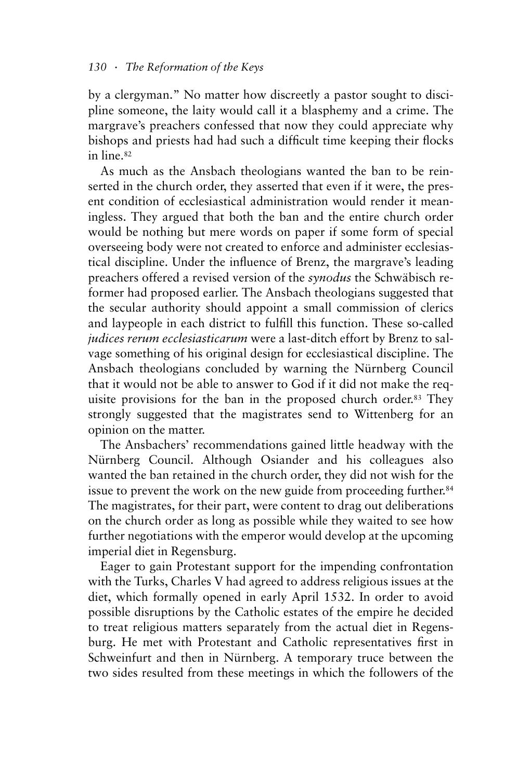by a clergyman." No matter how discreetly a pastor sought to discipline someone, the laity would call it a blasphemy and a crime. The margrave's preachers confessed that now they could appreciate why bishops and priests had had such a difficult time keeping their flocks in line.82

As much as the Ansbach theologians wanted the ban to be reinserted in the church order, they asserted that even if it were, the present condition of ecclesiastical administration would render it meaningless. They argued that both the ban and the entire church order would be nothing but mere words on paper if some form of special overseeing body were not created to enforce and administer ecclesiastical discipline. Under the influence of Brenz, the margrave's leading preachers offered a revised version of the *synodus* the Schwäbisch reformer had proposed earlier. The Ansbach theologians suggested that the secular authority should appoint a small commission of clerics and laypeople in each district to fulfill this function. These so-called *judices rerum ecclesiasticarum* were a last-ditch effort by Brenz to salvage something of his original design for ecclesiastical discipline. The Ansbach theologians concluded by warning the Nürnberg Council that it would not be able to answer to God if it did not make the requisite provisions for the ban in the proposed church order.83 They strongly suggested that the magistrates send to Wittenberg for an opinion on the matter.

The Ansbachers' recommendations gained little headway with the Nürnberg Council. Although Osiander and his colleagues also wanted the ban retained in the church order, they did not wish for the issue to prevent the work on the new guide from proceeding further.<sup>84</sup> The magistrates, for their part, were content to drag out deliberations on the church order as long as possible while they waited to see how further negotiations with the emperor would develop at the upcoming imperial diet in Regensburg.

Eager to gain Protestant support for the impending confrontation with the Turks, Charles V had agreed to address religious issues at the diet, which formally opened in early April 1532. In order to avoid possible disruptions by the Catholic estates of the empire he decided to treat religious matters separately from the actual diet in Regensburg. He met with Protestant and Catholic representatives first in Schweinfurt and then in Nürnberg. A temporary truce between the two sides resulted from these meetings in which the followers of the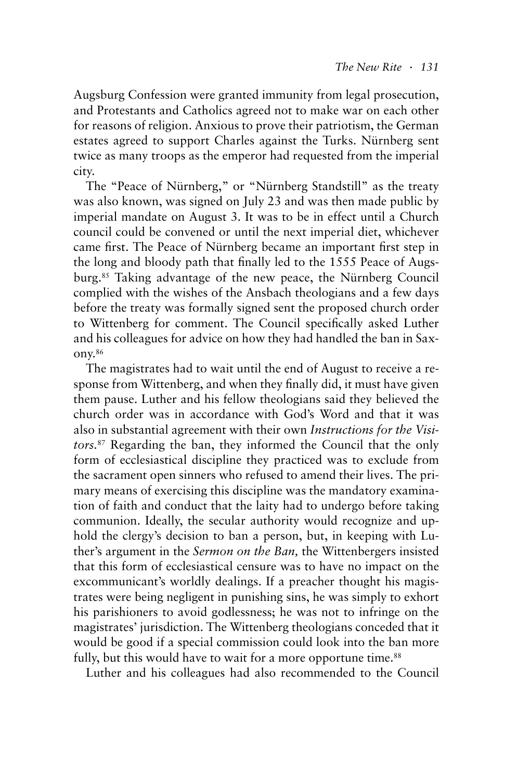Augsburg Confession were granted immunity from legal prosecution, and Protestants and Catholics agreed not to make war on each other for reasons of religion. Anxious to prove their patriotism, the German estates agreed to support Charles against the Turks. Nürnberg sent twice as many troops as the emperor had requested from the imperial city.

The "Peace of Nürnberg," or "Nürnberg Standstill" as the treaty was also known, was signed on July 23 and was then made public by imperial mandate on August 3. It was to be in effect until a Church council could be convened or until the next imperial diet, whichever came first. The Peace of Nürnberg became an important first step in the long and bloody path that finally led to the 1555 Peace of Augsburg.85 Taking advantage of the new peace, the Nürnberg Council complied with the wishes of the Ansbach theologians and a few days before the treaty was formally signed sent the proposed church order to Wittenberg for comment. The Council specifically asked Luther and his colleagues for advice on how they had handled the ban in Saxony.86

The magistrates had to wait until the end of August to receive a response from Wittenberg, and when they finally did, it must have given them pause. Luther and his fellow theologians said they believed the church order was in accordance with God's Word and that it was also in substantial agreement with their own *Instructions for the Visitors.*<sup>87</sup> Regarding the ban, they informed the Council that the only form of ecclesiastical discipline they practiced was to exclude from the sacrament open sinners who refused to amend their lives. The primary means of exercising this discipline was the mandatory examination of faith and conduct that the laity had to undergo before taking communion. Ideally, the secular authority would recognize and uphold the clergy's decision to ban a person, but, in keeping with Luther's argument in the *Sermon on the Ban,* the Wittenbergers insisted that this form of ecclesiastical censure was to have no impact on the excommunicant's worldly dealings. If a preacher thought his magistrates were being negligent in punishing sins, he was simply to exhort his parishioners to avoid godlessness; he was not to infringe on the magistrates' jurisdiction. The Wittenberg theologians conceded that it would be good if a special commission could look into the ban more fully, but this would have to wait for a more opportune time.<sup>88</sup>

Luther and his colleagues had also recommended to the Council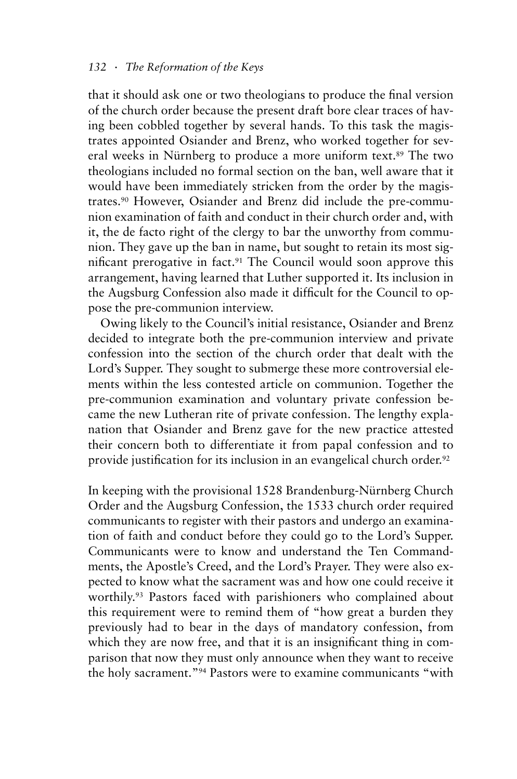# *132 • The Reformation of the Keys*

that it should ask one or two theologians to produce the final version of the church order because the present draft bore clear traces of having been cobbled together by several hands. To this task the magistrates appointed Osiander and Brenz, who worked together for several weeks in Nürnberg to produce a more uniform text.<sup>89</sup> The two theologians included no formal section on the ban, well aware that it would have been immediately stricken from the order by the magistrates.90 However, Osiander and Brenz did include the pre-communion examination of faith and conduct in their church order and, with it, the de facto right of the clergy to bar the unworthy from communion. They gave up the ban in name, but sought to retain its most significant prerogative in fact.<sup>91</sup> The Council would soon approve this arrangement, having learned that Luther supported it. Its inclusion in the Augsburg Confession also made it difficult for the Council to oppose the pre-communion interview.

Owing likely to the Council's initial resistance, Osiander and Brenz decided to integrate both the pre-communion interview and private confession into the section of the church order that dealt with the Lord's Supper. They sought to submerge these more controversial elements within the less contested article on communion. Together the pre-communion examination and voluntary private confession became the new Lutheran rite of private confession. The lengthy explanation that Osiander and Brenz gave for the new practice attested their concern both to differentiate it from papal confession and to provide justification for its inclusion in an evangelical church order.<sup>92</sup>

In keeping with the provisional 1528 Brandenburg-Nürnberg Church Order and the Augsburg Confession, the 1533 church order required communicants to register with their pastors and undergo an examination of faith and conduct before they could go to the Lord's Supper. Communicants were to know and understand the Ten Commandments, the Apostle's Creed, and the Lord's Prayer. They were also expected to know what the sacrament was and how one could receive it worthily.<sup>93</sup> Pastors faced with parishioners who complained about this requirement were to remind them of "how great a burden they previously had to bear in the days of mandatory confession, from which they are now free, and that it is an insignificant thing in comparison that now they must only announce when they want to receive the holy sacrament."94 Pastors were to examine communicants "with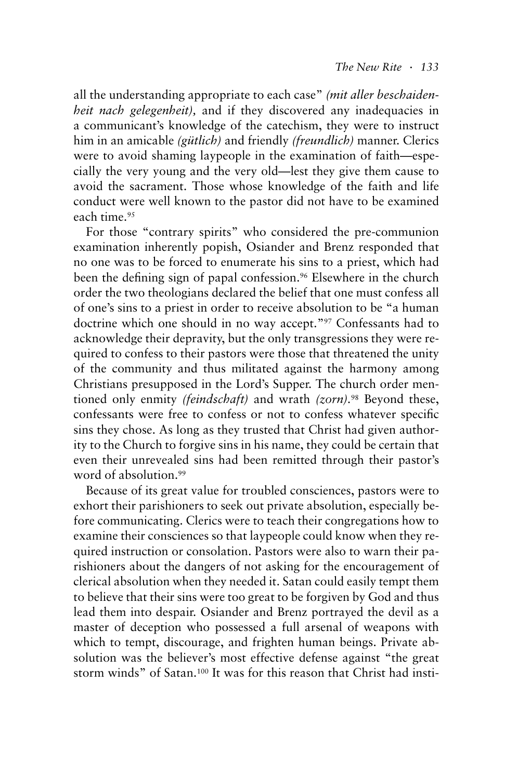all the understanding appropriate to each case" *(mit aller beschaidenheit nach gelegenheit),* and if they discovered any inadequacies in a communicant's knowledge of the catechism, they were to instruct him in an amicable *(gütlich)* and friendly *(freundlich)* manner. Clerics were to avoid shaming laypeople in the examination of faith—especially the very young and the very old—lest they give them cause to avoid the sacrament. Those whose knowledge of the faith and life conduct were well known to the pastor did not have to be examined each time.95

For those "contrary spirits" who considered the pre-communion examination inherently popish, Osiander and Brenz responded that no one was to be forced to enumerate his sins to a priest, which had been the defining sign of papal confession.<sup>96</sup> Elsewhere in the church order the two theologians declared the belief that one must confess all of one's sins to a priest in order to receive absolution to be "a human doctrine which one should in no way accept."97 Confessants had to acknowledge their depravity, but the only transgressions they were required to confess to their pastors were those that threatened the unity of the community and thus militated against the harmony among Christians presupposed in the Lord's Supper. The church order mentioned only enmity *(feindschaft)* and wrath *(zorn).*<sup>98</sup> Beyond these, confessants were free to confess or not to confess whatever specific sins they chose. As long as they trusted that Christ had given authority to the Church to forgive sins in his name, they could be certain that even their unrevealed sins had been remitted through their pastor's word of absolution.99

Because of its great value for troubled consciences, pastors were to exhort their parishioners to seek out private absolution, especially before communicating. Clerics were to teach their congregations how to examine their consciences so that laypeople could know when they required instruction or consolation. Pastors were also to warn their parishioners about the dangers of not asking for the encouragement of clerical absolution when they needed it. Satan could easily tempt them to believe that their sins were too great to be forgiven by God and thus lead them into despair. Osiander and Brenz portrayed the devil as a master of deception who possessed a full arsenal of weapons with which to tempt, discourage, and frighten human beings. Private absolution was the believer's most effective defense against "the great storm winds" of Satan.100 It was for this reason that Christ had insti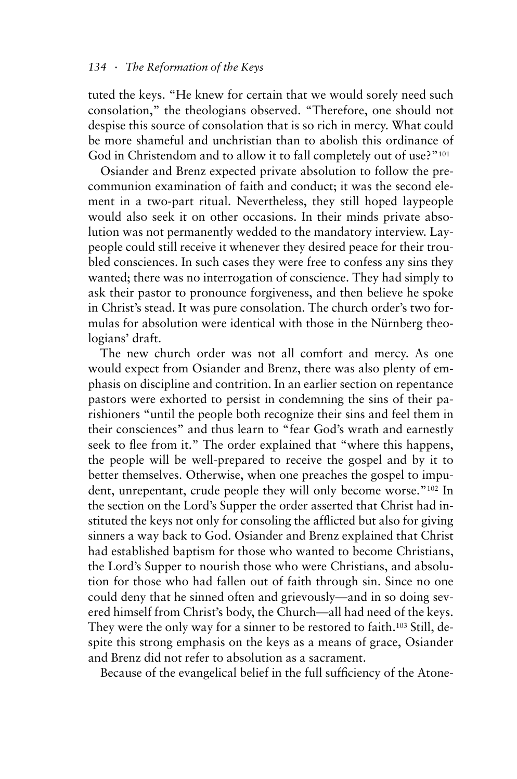tuted the keys. "He knew for certain that we would sorely need such consolation," the theologians observed. "Therefore, one should not despise this source of consolation that is so rich in mercy. What could be more shameful and unchristian than to abolish this ordinance of God in Christendom and to allow it to fall completely out of use?"<sup>101</sup>

Osiander and Brenz expected private absolution to follow the precommunion examination of faith and conduct; it was the second element in a two-part ritual. Nevertheless, they still hoped laypeople would also seek it on other occasions. In their minds private absolution was not permanently wedded to the mandatory interview. Laypeople could still receive it whenever they desired peace for their troubled consciences. In such cases they were free to confess any sins they wanted; there was no interrogation of conscience. They had simply to ask their pastor to pronounce forgiveness, and then believe he spoke in Christ's stead. It was pure consolation. The church order's two formulas for absolution were identical with those in the Nürnberg theologians' draft.

The new church order was not all comfort and mercy. As one would expect from Osiander and Brenz, there was also plenty of emphasis on discipline and contrition. In an earlier section on repentance pastors were exhorted to persist in condemning the sins of their parishioners "until the people both recognize their sins and feel them in their consciences" and thus learn to "fear God's wrath and earnestly seek to flee from it." The order explained that "where this happens, the people will be well-prepared to receive the gospel and by it to better themselves. Otherwise, when one preaches the gospel to impudent, unrepentant, crude people they will only become worse."102 In the section on the Lord's Supper the order asserted that Christ had instituted the keys not only for consoling the afflicted but also for giving sinners a way back to God. Osiander and Brenz explained that Christ had established baptism for those who wanted to become Christians, the Lord's Supper to nourish those who were Christians, and absolution for those who had fallen out of faith through sin. Since no one could deny that he sinned often and grievously—and in so doing severed himself from Christ's body, the Church—all had need of the keys. They were the only way for a sinner to be restored to faith.<sup>103</sup> Still, despite this strong emphasis on the keys as a means of grace, Osiander and Brenz did not refer to absolution as a sacrament.

Because of the evangelical belief in the full sufficiency of the Atone-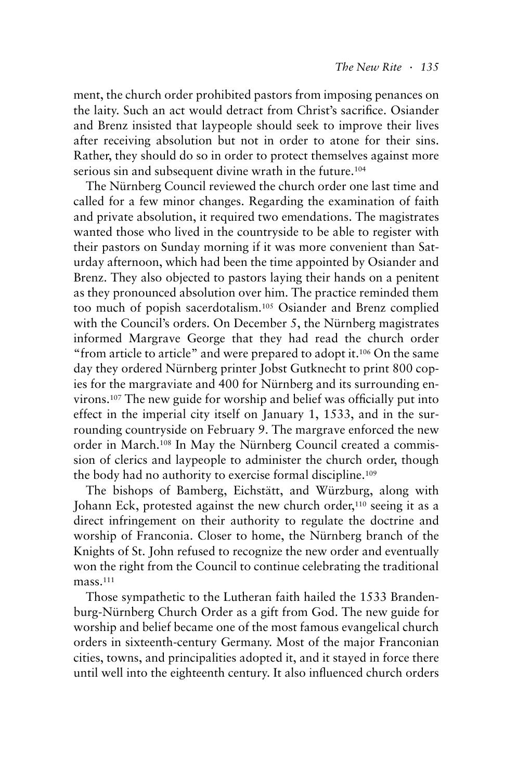ment, the church order prohibited pastors from imposing penances on the laity. Such an act would detract from Christ's sacrifice. Osiander and Brenz insisted that laypeople should seek to improve their lives after receiving absolution but not in order to atone for their sins. Rather, they should do so in order to protect themselves against more serious sin and subsequent divine wrath in the future.<sup>104</sup>

The Nürnberg Council reviewed the church order one last time and called for a few minor changes. Regarding the examination of faith and private absolution, it required two emendations. The magistrates wanted those who lived in the countryside to be able to register with their pastors on Sunday morning if it was more convenient than Saturday afternoon, which had been the time appointed by Osiander and Brenz. They also objected to pastors laying their hands on a penitent as they pronounced absolution over him. The practice reminded them too much of popish sacerdotalism.105 Osiander and Brenz complied with the Council's orders. On December 5, the Nürnberg magistrates informed Margrave George that they had read the church order "from article to article" and were prepared to adopt it.106 On the same day they ordered Nürnberg printer Jobst Gutknecht to print 800 copies for the margraviate and 400 for Nürnberg and its surrounding environs.107 The new guide for worship and belief was officially put into effect in the imperial city itself on January 1, 1533, and in the surrounding countryside on February 9. The margrave enforced the new order in March.108 In May the Nürnberg Council created a commission of clerics and laypeople to administer the church order, though the body had no authority to exercise formal discipline.<sup>109</sup>

The bishops of Bamberg, Eichstätt, and Würzburg, along with Johann Eck, protested against the new church order,<sup>110</sup> seeing it as a direct infringement on their authority to regulate the doctrine and worship of Franconia. Closer to home, the Nürnberg branch of the Knights of St. John refused to recognize the new order and eventually won the right from the Council to continue celebrating the traditional mass.111

Those sympathetic to the Lutheran faith hailed the 1533 Brandenburg-Nürnberg Church Order as a gift from God. The new guide for worship and belief became one of the most famous evangelical church orders in sixteenth-century Germany. Most of the major Franconian cities, towns, and principalities adopted it, and it stayed in force there until well into the eighteenth century. It also influenced church orders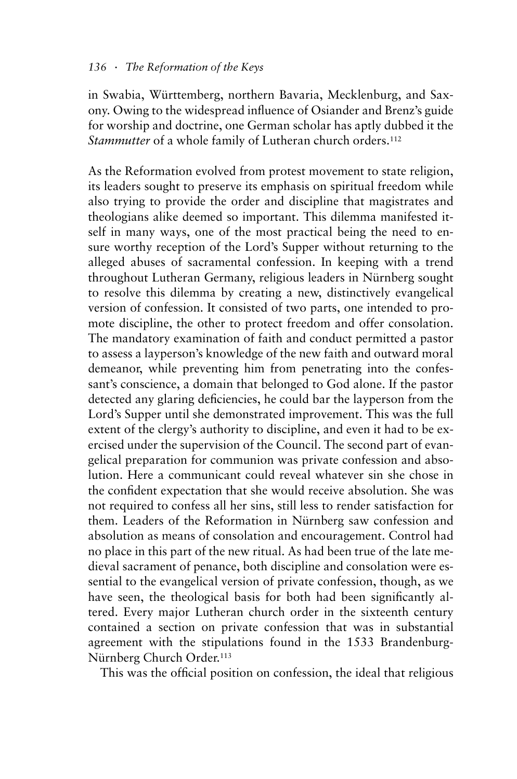in Swabia, Württemberg, northern Bavaria, Mecklenburg, and Saxony. Owing to the widespread influence of Osiander and Brenz's guide for worship and doctrine, one German scholar has aptly dubbed it the *Stammutter* of a whole family of Lutheran church orders.<sup>112</sup>

As the Reformation evolved from protest movement to state religion, its leaders sought to preserve its emphasis on spiritual freedom while also trying to provide the order and discipline that magistrates and theologians alike deemed so important. This dilemma manifested itself in many ways, one of the most practical being the need to ensure worthy reception of the Lord's Supper without returning to the alleged abuses of sacramental confession. In keeping with a trend throughout Lutheran Germany, religious leaders in Nürnberg sought to resolve this dilemma by creating a new, distinctively evangelical version of confession. It consisted of two parts, one intended to promote discipline, the other to protect freedom and offer consolation. The mandatory examination of faith and conduct permitted a pastor to assess a layperson's knowledge of the new faith and outward moral demeanor, while preventing him from penetrating into the confessant's conscience, a domain that belonged to God alone. If the pastor detected any glaring deficiencies, he could bar the layperson from the Lord's Supper until she demonstrated improvement. This was the full extent of the clergy's authority to discipline, and even it had to be exercised under the supervision of the Council. The second part of evangelical preparation for communion was private confession and absolution. Here a communicant could reveal whatever sin she chose in the confident expectation that she would receive absolution. She was not required to confess all her sins, still less to render satisfaction for them. Leaders of the Reformation in Nürnberg saw confession and absolution as means of consolation and encouragement. Control had no place in this part of the new ritual. As had been true of the late medieval sacrament of penance, both discipline and consolation were essential to the evangelical version of private confession, though, as we have seen, the theological basis for both had been significantly altered. Every major Lutheran church order in the sixteenth century contained a section on private confession that was in substantial agreement with the stipulations found in the 1533 Brandenburg-Nürnberg Church Order.113

This was the official position on confession, the ideal that religious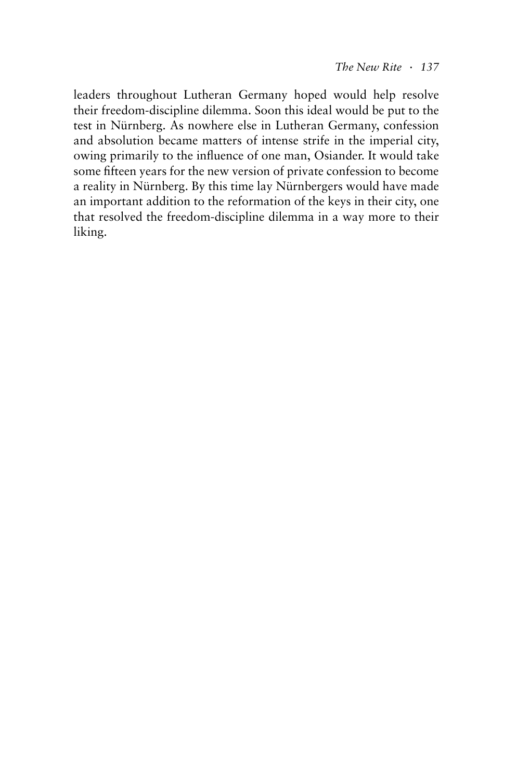leaders throughout Lutheran Germany hoped would help resolve their freedom-discipline dilemma. Soon this ideal would be put to the test in Nürnberg. As nowhere else in Lutheran Germany, confession and absolution became matters of intense strife in the imperial city, owing primarily to the influence of one man, Osiander. It would take some fifteen years for the new version of private confession to become a reality in Nürnberg. By this time lay Nürnbergers would have made an important addition to the reformation of the keys in their city, one that resolved the freedom-discipline dilemma in a way more to their liking.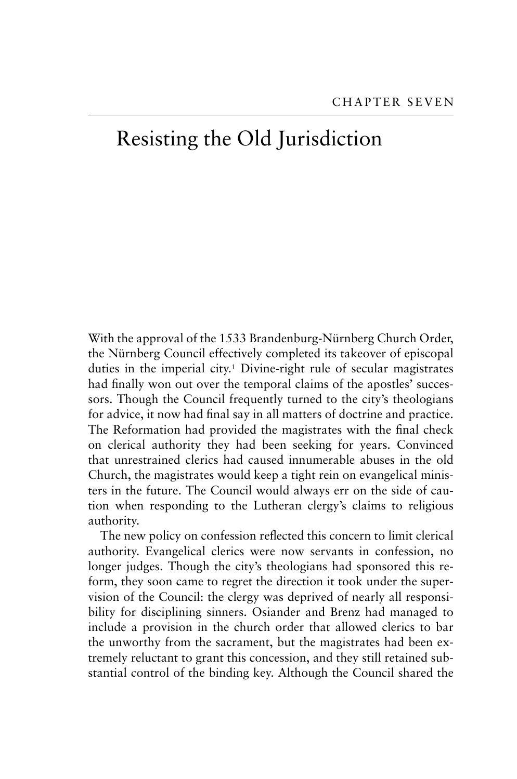# Resisting the Old Jurisdiction

With the approval of the 1533 Brandenburg-Nürnberg Church Order, the Nürnberg Council effectively completed its takeover of episcopal duties in the imperial city.<sup>1</sup> Divine-right rule of secular magistrates had finally won out over the temporal claims of the apostles' successors. Though the Council frequently turned to the city's theologians for advice, it now had final say in all matters of doctrine and practice. The Reformation had provided the magistrates with the final check on clerical authority they had been seeking for years. Convinced that unrestrained clerics had caused innumerable abuses in the old Church, the magistrates would keep a tight rein on evangelical ministers in the future. The Council would always err on the side of caution when responding to the Lutheran clergy's claims to religious authority.

The new policy on confession reflected this concern to limit clerical authority. Evangelical clerics were now servants in confession, no longer judges. Though the city's theologians had sponsored this reform, they soon came to regret the direction it took under the supervision of the Council: the clergy was deprived of nearly all responsibility for disciplining sinners. Osiander and Brenz had managed to include a provision in the church order that allowed clerics to bar the unworthy from the sacrament, but the magistrates had been extremely reluctant to grant this concession, and they still retained substantial control of the binding key. Although the Council shared the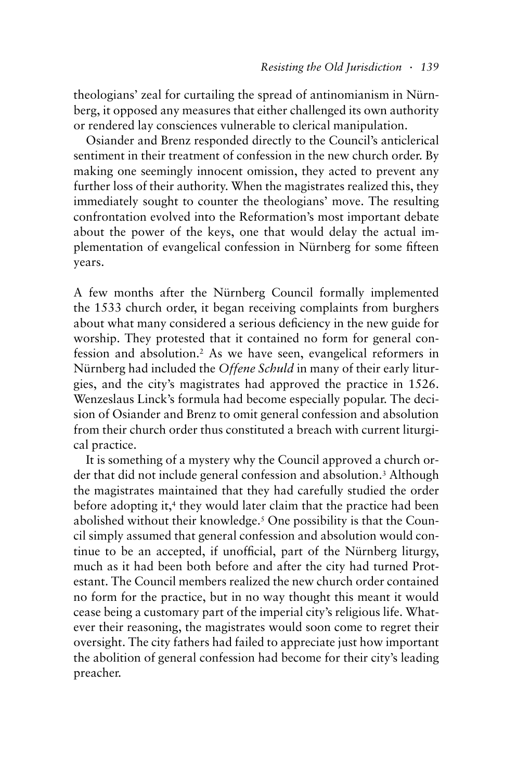theologians' zeal for curtailing the spread of antinomianism in Nürnberg, it opposed any measures that either challenged its own authority or rendered lay consciences vulnerable to clerical manipulation.

Osiander and Brenz responded directly to the Council's anticlerical sentiment in their treatment of confession in the new church order. By making one seemingly innocent omission, they acted to prevent any further loss of their authority. When the magistrates realized this, they immediately sought to counter the theologians' move. The resulting confrontation evolved into the Reformation's most important debate about the power of the keys, one that would delay the actual implementation of evangelical confession in Nürnberg for some fifteen years.

A few months after the Nürnberg Council formally implemented the 1533 church order, it began receiving complaints from burghers about what many considered a serious deficiency in the new guide for worship. They protested that it contained no form for general confession and absolution.2 As we have seen, evangelical reformers in Nürnberg had included the *Offene Schuld* in many of their early liturgies, and the city's magistrates had approved the practice in 1526. Wenzeslaus Linck's formula had become especially popular. The decision of Osiander and Brenz to omit general confession and absolution from their church order thus constituted a breach with current liturgical practice.

It is something of a mystery why the Council approved a church order that did not include general confession and absolution.<sup>3</sup> Although the magistrates maintained that they had carefully studied the order before adopting it,<sup>4</sup> they would later claim that the practice had been abolished without their knowledge.<sup>5</sup> One possibility is that the Council simply assumed that general confession and absolution would continue to be an accepted, if unofficial, part of the Nürnberg liturgy, much as it had been both before and after the city had turned Protestant. The Council members realized the new church order contained no form for the practice, but in no way thought this meant it would cease being a customary part of the imperial city's religious life. Whatever their reasoning, the magistrates would soon come to regret their oversight. The city fathers had failed to appreciate just how important the abolition of general confession had become for their city's leading preacher.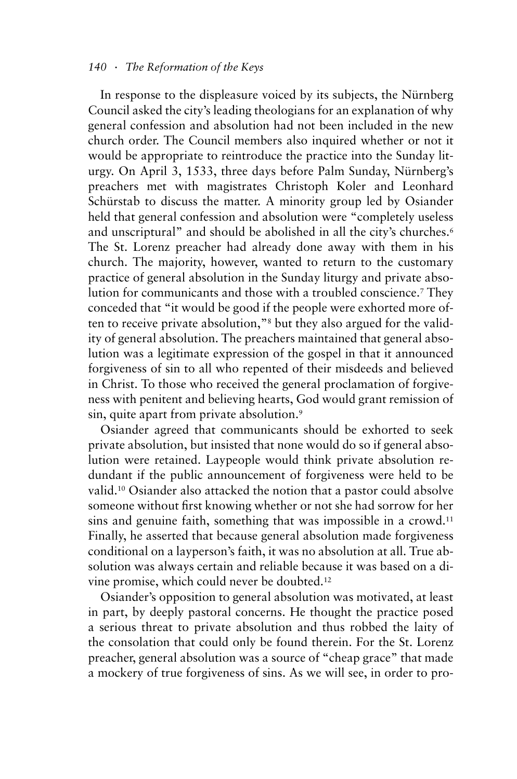#### *140 • The Reformation of the Keys*

In response to the displeasure voiced by its subjects, the Nürnberg Council asked the city's leading theologians for an explanation of why general confession and absolution had not been included in the new church order. The Council members also inquired whether or not it would be appropriate to reintroduce the practice into the Sunday liturgy. On April 3, 1533, three days before Palm Sunday, Nürnberg's preachers met with magistrates Christoph Koler and Leonhard Schürstab to discuss the matter. A minority group led by Osiander held that general confession and absolution were "completely useless and unscriptural" and should be abolished in all the city's churches.<sup>6</sup> The St. Lorenz preacher had already done away with them in his church. The majority, however, wanted to return to the customary practice of general absolution in the Sunday liturgy and private absolution for communicants and those with a troubled conscience.7 They conceded that "it would be good if the people were exhorted more often to receive private absolution,"8 but they also argued for the validity of general absolution. The preachers maintained that general absolution was a legitimate expression of the gospel in that it announced forgiveness of sin to all who repented of their misdeeds and believed in Christ. To those who received the general proclamation of forgiveness with penitent and believing hearts, God would grant remission of sin, quite apart from private absolution.<sup>9</sup>

Osiander agreed that communicants should be exhorted to seek private absolution, but insisted that none would do so if general absolution were retained. Laypeople would think private absolution redundant if the public announcement of forgiveness were held to be valid.10 Osiander also attacked the notion that a pastor could absolve someone without first knowing whether or not she had sorrow for her sins and genuine faith, something that was impossible in a crowd.<sup>11</sup> Finally, he asserted that because general absolution made forgiveness conditional on a layperson's faith, it was no absolution at all. True absolution was always certain and reliable because it was based on a divine promise, which could never be doubted.12

Osiander's opposition to general absolution was motivated, at least in part, by deeply pastoral concerns. He thought the practice posed a serious threat to private absolution and thus robbed the laity of the consolation that could only be found therein. For the St. Lorenz preacher, general absolution was a source of "cheap grace" that made a mockery of true forgiveness of sins. As we will see, in order to pro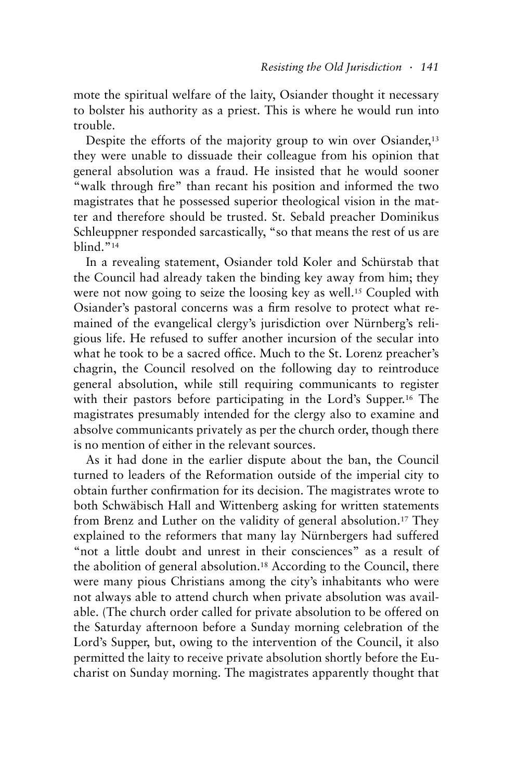mote the spiritual welfare of the laity, Osiander thought it necessary to bolster his authority as a priest. This is where he would run into trouble.

Despite the efforts of the majority group to win over Osiander,<sup>13</sup> they were unable to dissuade their colleague from his opinion that general absolution was a fraud. He insisted that he would sooner "walk through fire" than recant his position and informed the two magistrates that he possessed superior theological vision in the matter and therefore should be trusted. St. Sebald preacher Dominikus Schleuppner responded sarcastically, "so that means the rest of us are blind."14

In a revealing statement, Osiander told Koler and Schürstab that the Council had already taken the binding key away from him; they were not now going to seize the loosing key as well.<sup>15</sup> Coupled with Osiander's pastoral concerns was a firm resolve to protect what remained of the evangelical clergy's jurisdiction over Nürnberg's religious life. He refused to suffer another incursion of the secular into what he took to be a sacred office. Much to the St. Lorenz preacher's chagrin, the Council resolved on the following day to reintroduce general absolution, while still requiring communicants to register with their pastors before participating in the Lord's Supper.16 The magistrates presumably intended for the clergy also to examine and absolve communicants privately as per the church order, though there is no mention of either in the relevant sources.

As it had done in the earlier dispute about the ban, the Council turned to leaders of the Reformation outside of the imperial city to obtain further confirmation for its decision. The magistrates wrote to both Schwäbisch Hall and Wittenberg asking for written statements from Brenz and Luther on the validity of general absolution.17 They explained to the reformers that many lay Nürnbergers had suffered "not a little doubt and unrest in their consciences" as a result of the abolition of general absolution.18 According to the Council, there were many pious Christians among the city's inhabitants who were not always able to attend church when private absolution was available. (The church order called for private absolution to be offered on the Saturday afternoon before a Sunday morning celebration of the Lord's Supper, but, owing to the intervention of the Council, it also permitted the laity to receive private absolution shortly before the Eucharist on Sunday morning. The magistrates apparently thought that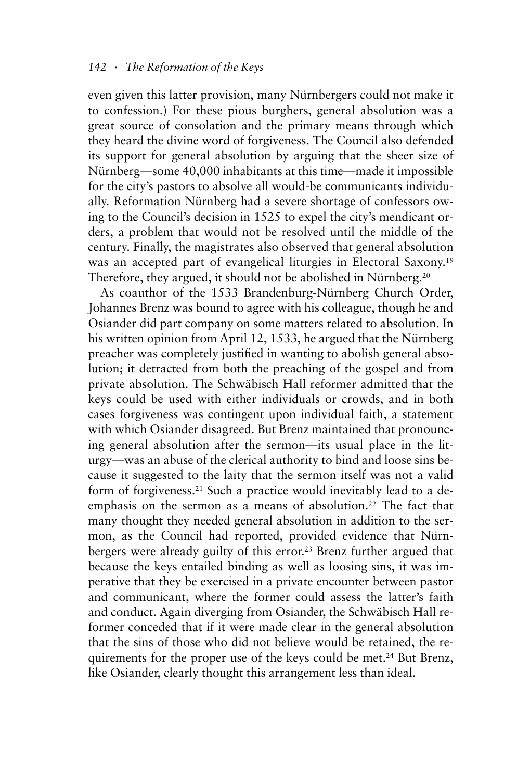even given this latter provision, many Nürnbergers could not make it to confession.) For these pious burghers, general absolution was a great source of consolation and the primary means through which they heard the divine word of forgiveness. The Council also defended its support for general absolution by arguing that the sheer size of Nürnberg—some 40,000 inhabitants at this time—made it impossible for the city's pastors to absolve all would-be communicants individually. Reformation Nürnberg had a severe shortage of confessors owing to the Council's decision in 1525 to expel the city's mendicant orders, a problem that would not be resolved until the middle of the century. Finally, the magistrates also observed that general absolution was an accepted part of evangelical liturgies in Electoral Saxony.<sup>19</sup> Therefore, they argued, it should not be abolished in Nürnberg.20

As coauthor of the 1533 Brandenburg-Nürnberg Church Order, Johannes Brenz was bound to agree with his colleague, though he and Osiander did part company on some matters related to absolution. In his written opinion from April 12, 1533, he argued that the Nürnberg preacher was completely justified in wanting to abolish general absolution; it detracted from both the preaching of the gospel and from private absolution. The Schwäbisch Hall reformer admitted that the keys could be used with either individuals or crowds, and in both cases forgiveness was contingent upon individual faith, a statement with which Osiander disagreed. But Brenz maintained that pronouncing general absolution after the sermon—its usual place in the liturgy—was an abuse of the clerical authority to bind and loose sins because it suggested to the laity that the sermon itself was not a valid form of forgiveness.21 Such a practice would inevitably lead to a deemphasis on the sermon as a means of absolution.<sup>22</sup> The fact that many thought they needed general absolution in addition to the sermon, as the Council had reported, provided evidence that Nürnbergers were already guilty of this error.23 Brenz further argued that because the keys entailed binding as well as loosing sins, it was imperative that they be exercised in a private encounter between pastor and communicant, where the former could assess the latter's faith and conduct. Again diverging from Osiander, the Schwäbisch Hall reformer conceded that if it were made clear in the general absolution that the sins of those who did not believe would be retained, the requirements for the proper use of the keys could be met.24 But Brenz, like Osiander, clearly thought this arrangement less than ideal.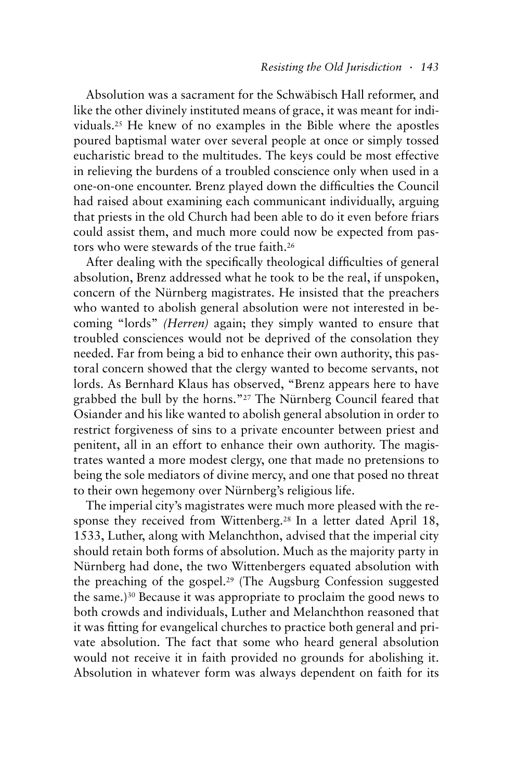Absolution was a sacrament for the Schwäbisch Hall reformer, and like the other divinely instituted means of grace, it was meant for individuals.25 He knew of no examples in the Bible where the apostles poured baptismal water over several people at once or simply tossed eucharistic bread to the multitudes. The keys could be most effective in relieving the burdens of a troubled conscience only when used in a one-on-one encounter. Brenz played down the difficulties the Council had raised about examining each communicant individually, arguing that priests in the old Church had been able to do it even before friars could assist them, and much more could now be expected from pastors who were stewards of the true faith.26

After dealing with the specifically theological difficulties of general absolution, Brenz addressed what he took to be the real, if unspoken, concern of the Nürnberg magistrates. He insisted that the preachers who wanted to abolish general absolution were not interested in becoming "lords" *(Herren)* again; they simply wanted to ensure that troubled consciences would not be deprived of the consolation they needed. Far from being a bid to enhance their own authority, this pastoral concern showed that the clergy wanted to become servants, not lords. As Bernhard Klaus has observed, "Brenz appears here to have grabbed the bull by the horns."27 The Nürnberg Council feared that Osiander and his like wanted to abolish general absolution in order to restrict forgiveness of sins to a private encounter between priest and penitent, all in an effort to enhance their own authority. The magistrates wanted a more modest clergy, one that made no pretensions to being the sole mediators of divine mercy, and one that posed no threat to their own hegemony over Nürnberg's religious life.

The imperial city's magistrates were much more pleased with the response they received from Wittenberg.<sup>28</sup> In a letter dated April 18, 1533, Luther, along with Melanchthon, advised that the imperial city should retain both forms of absolution. Much as the majority party in Nürnberg had done, the two Wittenbergers equated absolution with the preaching of the gospel.29 (The Augsburg Confession suggested the same.)30 Because it was appropriate to proclaim the good news to both crowds and individuals, Luther and Melanchthon reasoned that it was fitting for evangelical churches to practice both general and private absolution. The fact that some who heard general absolution would not receive it in faith provided no grounds for abolishing it. Absolution in whatever form was always dependent on faith for its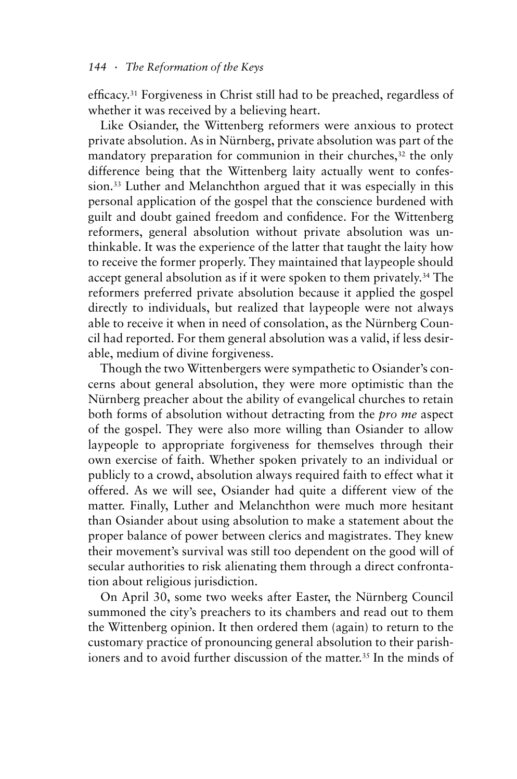efficacy.31 Forgiveness in Christ still had to be preached, regardless of whether it was received by a believing heart.

Like Osiander, the Wittenberg reformers were anxious to protect private absolution. As in Nürnberg, private absolution was part of the mandatory preparation for communion in their churches,<sup>32</sup> the only difference being that the Wittenberg laity actually went to confession.33 Luther and Melanchthon argued that it was especially in this personal application of the gospel that the conscience burdened with guilt and doubt gained freedom and confidence. For the Wittenberg reformers, general absolution without private absolution was unthinkable. It was the experience of the latter that taught the laity how to receive the former properly. They maintained that laypeople should accept general absolution as if it were spoken to them privately.34 The reformers preferred private absolution because it applied the gospel directly to individuals, but realized that laypeople were not always able to receive it when in need of consolation, as the Nürnberg Council had reported. For them general absolution was a valid, if less desirable, medium of divine forgiveness.

Though the two Wittenbergers were sympathetic to Osiander's concerns about general absolution, they were more optimistic than the Nürnberg preacher about the ability of evangelical churches to retain both forms of absolution without detracting from the *pro me* aspect of the gospel. They were also more willing than Osiander to allow laypeople to appropriate forgiveness for themselves through their own exercise of faith. Whether spoken privately to an individual or publicly to a crowd, absolution always required faith to effect what it offered. As we will see, Osiander had quite a different view of the matter. Finally, Luther and Melanchthon were much more hesitant than Osiander about using absolution to make a statement about the proper balance of power between clerics and magistrates. They knew their movement's survival was still too dependent on the good will of secular authorities to risk alienating them through a direct confrontation about religious jurisdiction.

On April 30, some two weeks after Easter, the Nürnberg Council summoned the city's preachers to its chambers and read out to them the Wittenberg opinion. It then ordered them (again) to return to the customary practice of pronouncing general absolution to their parishioners and to avoid further discussion of the matter.<sup>35</sup> In the minds of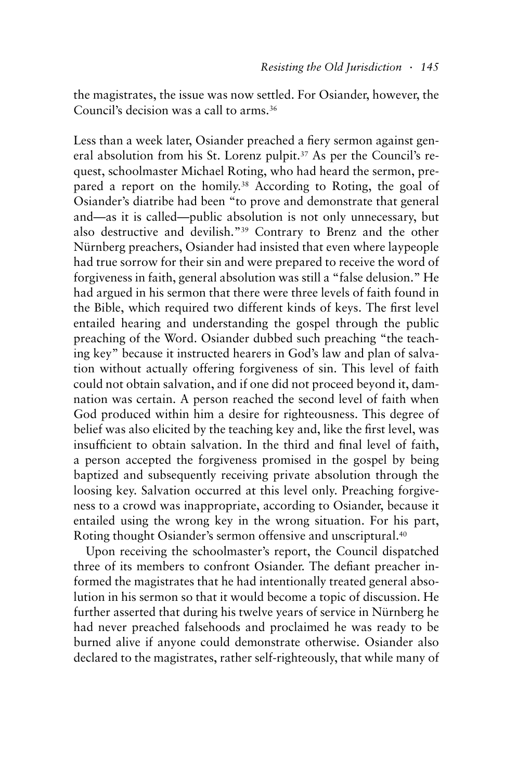the magistrates, the issue was now settled. For Osiander, however, the Council's decision was a call to arms.36

Less than a week later, Osiander preached a fiery sermon against general absolution from his St. Lorenz pulpit.37 As per the Council's request, schoolmaster Michael Roting, who had heard the sermon, prepared a report on the homily.<sup>38</sup> According to Roting, the goal of Osiander's diatribe had been "to prove and demonstrate that general and—as it is called—public absolution is not only unnecessary, but also destructive and devilish."39 Contrary to Brenz and the other Nürnberg preachers, Osiander had insisted that even where laypeople had true sorrow for their sin and were prepared to receive the word of forgiveness in faith, general absolution was still a "false delusion." He had argued in his sermon that there were three levels of faith found in the Bible, which required two different kinds of keys. The first level entailed hearing and understanding the gospel through the public preaching of the Word. Osiander dubbed such preaching "the teaching key" because it instructed hearers in God's law and plan of salvation without actually offering forgiveness of sin. This level of faith could not obtain salvation, and if one did not proceed beyond it, damnation was certain. A person reached the second level of faith when God produced within him a desire for righteousness. This degree of belief was also elicited by the teaching key and, like the first level, was insufficient to obtain salvation. In the third and final level of faith, a person accepted the forgiveness promised in the gospel by being baptized and subsequently receiving private absolution through the loosing key. Salvation occurred at this level only. Preaching forgiveness to a crowd was inappropriate, according to Osiander, because it entailed using the wrong key in the wrong situation. For his part, Roting thought Osiander's sermon offensive and unscriptural.40

Upon receiving the schoolmaster's report, the Council dispatched three of its members to confront Osiander. The defiant preacher informed the magistrates that he had intentionally treated general absolution in his sermon so that it would become a topic of discussion. He further asserted that during his twelve years of service in Nürnberg he had never preached falsehoods and proclaimed he was ready to be burned alive if anyone could demonstrate otherwise. Osiander also declared to the magistrates, rather self-righteously, that while many of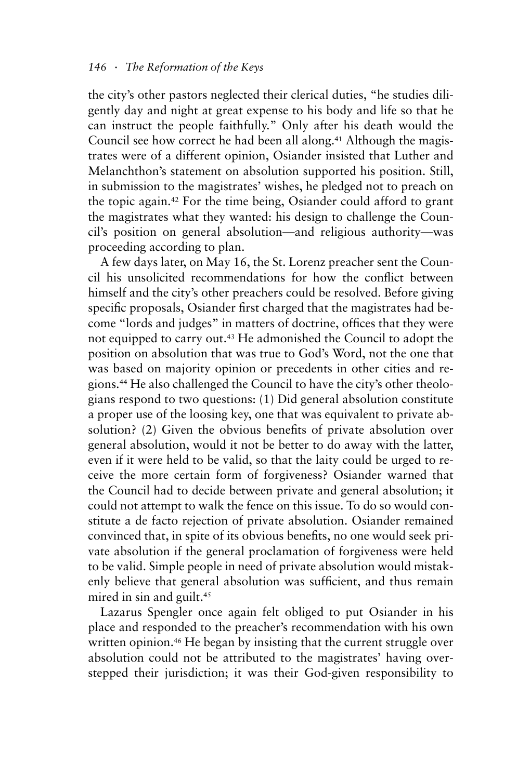the city's other pastors neglected their clerical duties, "he studies diligently day and night at great expense to his body and life so that he can instruct the people faithfully." Only after his death would the Council see how correct he had been all along.<sup>41</sup> Although the magistrates were of a different opinion, Osiander insisted that Luther and Melanchthon's statement on absolution supported his position. Still, in submission to the magistrates' wishes, he pledged not to preach on the topic again.42 For the time being, Osiander could afford to grant the magistrates what they wanted: his design to challenge the Council's position on general absolution—and religious authority—was proceeding according to plan.

A few days later, on May 16, the St. Lorenz preacher sent the Council his unsolicited recommendations for how the conflict between himself and the city's other preachers could be resolved. Before giving specific proposals, Osiander first charged that the magistrates had become "lords and judges" in matters of doctrine, offices that they were not equipped to carry out.<sup>43</sup> He admonished the Council to adopt the position on absolution that was true to God's Word, not the one that was based on majority opinion or precedents in other cities and regions.44 He also challenged the Council to have the city's other theologians respond to two questions: (1) Did general absolution constitute a proper use of the loosing key, one that was equivalent to private absolution? (2) Given the obvious benefits of private absolution over general absolution, would it not be better to do away with the latter, even if it were held to be valid, so that the laity could be urged to receive the more certain form of forgiveness? Osiander warned that the Council had to decide between private and general absolution; it could not attempt to walk the fence on this issue. To do so would constitute a de facto rejection of private absolution. Osiander remained convinced that, in spite of its obvious benefits, no one would seek private absolution if the general proclamation of forgiveness were held to be valid. Simple people in need of private absolution would mistakenly believe that general absolution was sufficient, and thus remain mired in sin and guilt.45

Lazarus Spengler once again felt obliged to put Osiander in his place and responded to the preacher's recommendation with his own written opinion.<sup>46</sup> He began by insisting that the current struggle over absolution could not be attributed to the magistrates' having overstepped their jurisdiction; it was their God-given responsibility to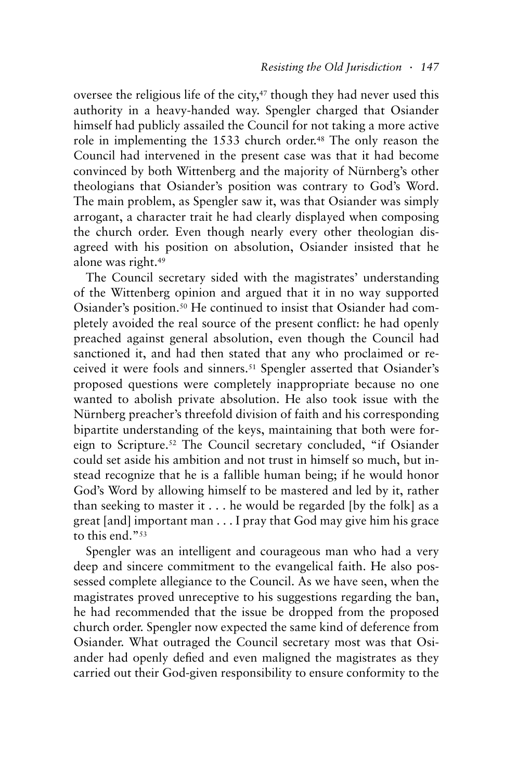oversee the religious life of the city, $47$  though they had never used this authority in a heavy-handed way. Spengler charged that Osiander himself had publicly assailed the Council for not taking a more active role in implementing the 1533 church order.<sup>48</sup> The only reason the Council had intervened in the present case was that it had become convinced by both Wittenberg and the majority of Nürnberg's other theologians that Osiander's position was contrary to God's Word. The main problem, as Spengler saw it, was that Osiander was simply arrogant, a character trait he had clearly displayed when composing the church order. Even though nearly every other theologian disagreed with his position on absolution, Osiander insisted that he alone was right.49

The Council secretary sided with the magistrates' understanding of the Wittenberg opinion and argued that it in no way supported Osiander's position.50 He continued to insist that Osiander had completely avoided the real source of the present conflict: he had openly preached against general absolution, even though the Council had sanctioned it, and had then stated that any who proclaimed or received it were fools and sinners.<sup>51</sup> Spengler asserted that Osiander's proposed questions were completely inappropriate because no one wanted to abolish private absolution. He also took issue with the Nürnberg preacher's threefold division of faith and his corresponding bipartite understanding of the keys, maintaining that both were foreign to Scripture.52 The Council secretary concluded, "if Osiander could set aside his ambition and not trust in himself so much, but instead recognize that he is a fallible human being; if he would honor God's Word by allowing himself to be mastered and led by it, rather than seeking to master it  $\dots$  he would be regarded [by the folk] as a great [and] important man...I pray that God may give him his grace to this end."53

Spengler was an intelligent and courageous man who had a very deep and sincere commitment to the evangelical faith. He also possessed complete allegiance to the Council. As we have seen, when the magistrates proved unreceptive to his suggestions regarding the ban, he had recommended that the issue be dropped from the proposed church order. Spengler now expected the same kind of deference from Osiander. What outraged the Council secretary most was that Osiander had openly defied and even maligned the magistrates as they carried out their God-given responsibility to ensure conformity to the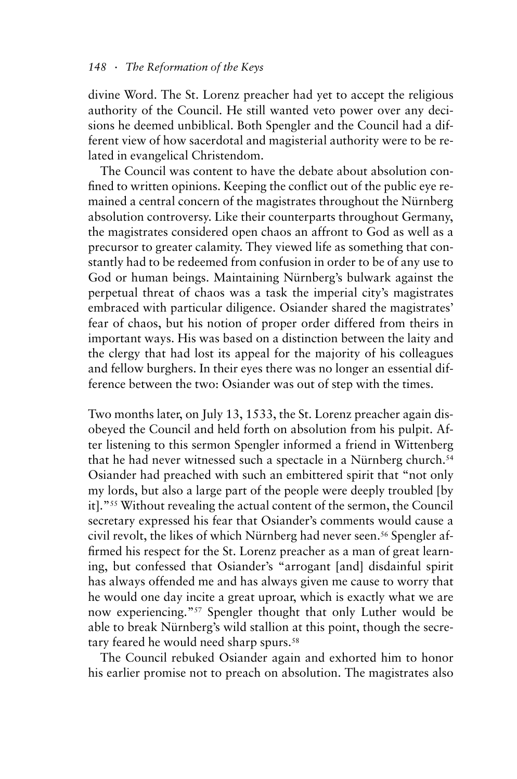divine Word. The St. Lorenz preacher had yet to accept the religious authority of the Council. He still wanted veto power over any decisions he deemed unbiblical. Both Spengler and the Council had a different view of how sacerdotal and magisterial authority were to be related in evangelical Christendom.

The Council was content to have the debate about absolution confined to written opinions. Keeping the conflict out of the public eye remained a central concern of the magistrates throughout the Nürnberg absolution controversy. Like their counterparts throughout Germany, the magistrates considered open chaos an affront to God as well as a precursor to greater calamity. They viewed life as something that constantly had to be redeemed from confusion in order to be of any use to God or human beings. Maintaining Nürnberg's bulwark against the perpetual threat of chaos was a task the imperial city's magistrates embraced with particular diligence. Osiander shared the magistrates' fear of chaos, but his notion of proper order differed from theirs in important ways. His was based on a distinction between the laity and the clergy that had lost its appeal for the majority of his colleagues and fellow burghers. In their eyes there was no longer an essential difference between the two: Osiander was out of step with the times.

Two months later, on July 13, 1533, the St. Lorenz preacher again disobeyed the Council and held forth on absolution from his pulpit. After listening to this sermon Spengler informed a friend in Wittenberg that he had never witnessed such a spectacle in a Nürnberg church.<sup>54</sup> Osiander had preached with such an embittered spirit that "not only my lords, but also a large part of the people were deeply troubled [by it]."55 Without revealing the actual content of the sermon, the Council secretary expressed his fear that Osiander's comments would cause a civil revolt, the likes of which Nürnberg had never seen.56 Spengler affirmed his respect for the St. Lorenz preacher as a man of great learning, but confessed that Osiander's "arrogant [and] disdainful spirit has always offended me and has always given me cause to worry that he would one day incite a great uproar, which is exactly what we are now experiencing."57 Spengler thought that only Luther would be able to break Nürnberg's wild stallion at this point, though the secretary feared he would need sharp spurs.<sup>58</sup>

The Council rebuked Osiander again and exhorted him to honor his earlier promise not to preach on absolution. The magistrates also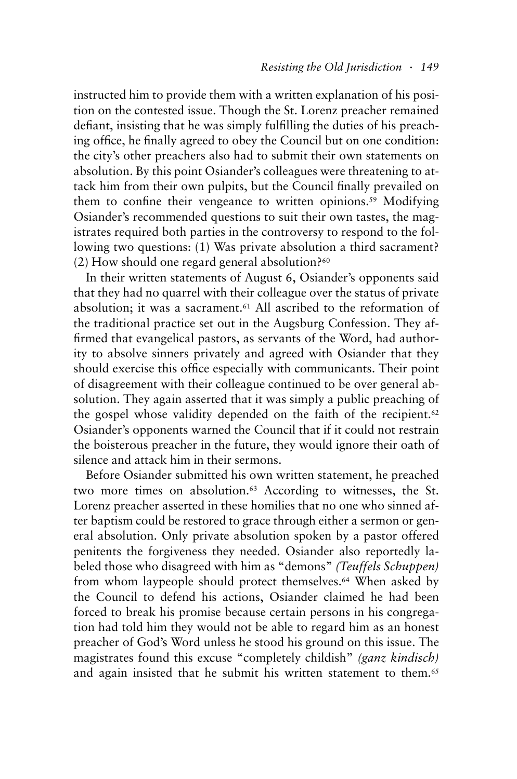instructed him to provide them with a written explanation of his position on the contested issue. Though the St. Lorenz preacher remained defiant, insisting that he was simply fulfilling the duties of his preaching office, he finally agreed to obey the Council but on one condition: the city's other preachers also had to submit their own statements on absolution. By this point Osiander's colleagues were threatening to attack him from their own pulpits, but the Council finally prevailed on them to confine their vengeance to written opinions.<sup>59</sup> Modifying Osiander's recommended questions to suit their own tastes, the magistrates required both parties in the controversy to respond to the following two questions: (1) Was private absolution a third sacrament?  $(2)$  How should one regard general absolution?<sup>60</sup>

In their written statements of August 6, Osiander's opponents said that they had no quarrel with their colleague over the status of private absolution; it was a sacrament.<sup>61</sup> All ascribed to the reformation of the traditional practice set out in the Augsburg Confession. They affirmed that evangelical pastors, as servants of the Word, had authority to absolve sinners privately and agreed with Osiander that they should exercise this office especially with communicants. Their point of disagreement with their colleague continued to be over general absolution. They again asserted that it was simply a public preaching of the gospel whose validity depended on the faith of the recipient.<sup>62</sup> Osiander's opponents warned the Council that if it could not restrain the boisterous preacher in the future, they would ignore their oath of silence and attack him in their sermons.

Before Osiander submitted his own written statement, he preached two more times on absolution.63 According to witnesses, the St. Lorenz preacher asserted in these homilies that no one who sinned after baptism could be restored to grace through either a sermon or general absolution. Only private absolution spoken by a pastor offered penitents the forgiveness they needed. Osiander also reportedly labeled those who disagreed with him as "demons" *(Teuffels Schuppen)* from whom laypeople should protect themselves.<sup>64</sup> When asked by the Council to defend his actions, Osiander claimed he had been forced to break his promise because certain persons in his congregation had told him they would not be able to regard him as an honest preacher of God's Word unless he stood his ground on this issue. The magistrates found this excuse "completely childish" *(ganz kindisch)* and again insisted that he submit his written statement to them.<sup>65</sup>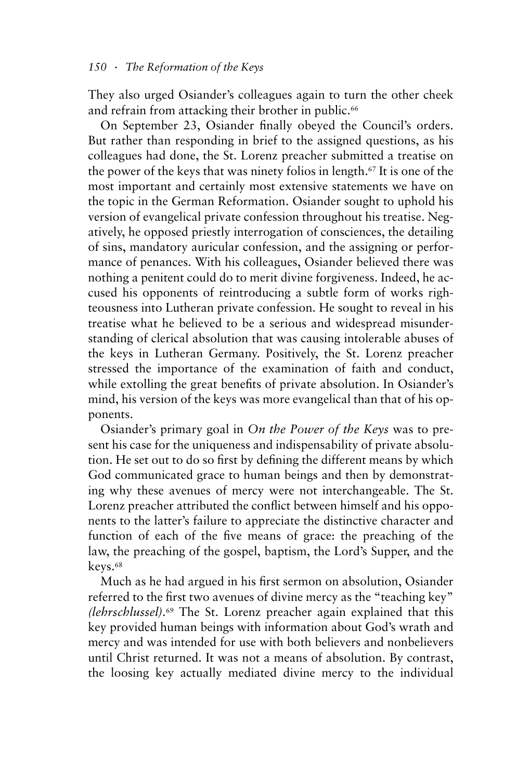They also urged Osiander's colleagues again to turn the other cheek and refrain from attacking their brother in public.<sup>66</sup>

On September 23, Osiander finally obeyed the Council's orders. But rather than responding in brief to the assigned questions, as his colleagues had done, the St. Lorenz preacher submitted a treatise on the power of the keys that was ninety folios in length.<sup>67</sup> It is one of the most important and certainly most extensive statements we have on the topic in the German Reformation. Osiander sought to uphold his version of evangelical private confession throughout his treatise. Negatively, he opposed priestly interrogation of consciences, the detailing of sins, mandatory auricular confession, and the assigning or performance of penances. With his colleagues, Osiander believed there was nothing a penitent could do to merit divine forgiveness. Indeed, he accused his opponents of reintroducing a subtle form of works righteousness into Lutheran private confession. He sought to reveal in his treatise what he believed to be a serious and widespread misunderstanding of clerical absolution that was causing intolerable abuses of the keys in Lutheran Germany. Positively, the St. Lorenz preacher stressed the importance of the examination of faith and conduct, while extolling the great benefits of private absolution. In Osiander's mind, his version of the keys was more evangelical than that of his opponents.

Osiander's primary goal in *On the Power of the Keys* was to present his case for the uniqueness and indispensability of private absolution. He set out to do so first by defining the different means by which God communicated grace to human beings and then by demonstrating why these avenues of mercy were not interchangeable. The St. Lorenz preacher attributed the conflict between himself and his opponents to the latter's failure to appreciate the distinctive character and function of each of the five means of grace: the preaching of the law, the preaching of the gospel, baptism, the Lord's Supper, and the keys.68

Much as he had argued in his first sermon on absolution, Osiander referred to the first two avenues of divine mercy as the "teaching key" *(lehrschlussel).*<sup>69</sup> The St. Lorenz preacher again explained that this key provided human beings with information about God's wrath and mercy and was intended for use with both believers and nonbelievers until Christ returned. It was not a means of absolution. By contrast, the loosing key actually mediated divine mercy to the individual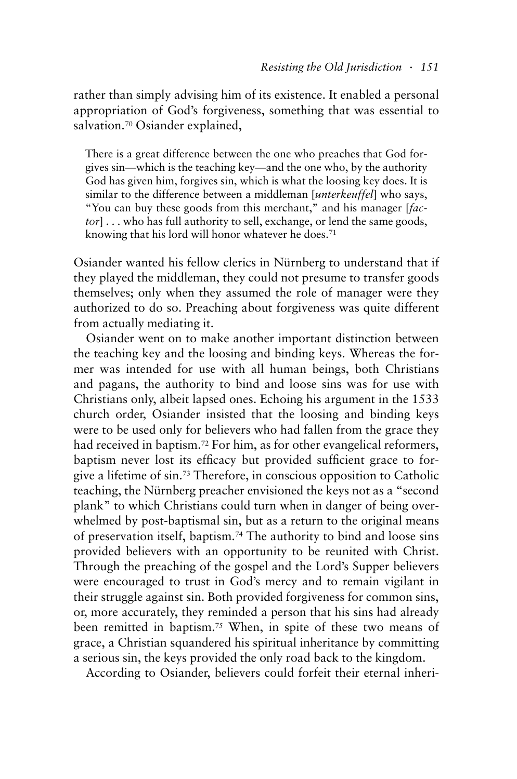rather than simply advising him of its existence. It enabled a personal appropriation of God's forgiveness, something that was essential to salvation.<sup>70</sup> Osiander explained,

There is a great difference between the one who preaches that God forgives sin—which is the teaching key—and the one who, by the authority God has given him, forgives sin, which is what the loosing key does. It is similar to the difference between a middleman [*unterkeuffel*] who says, "You can buy these goods from this merchant," and his manager [*factor*] . . . who has full authority to sell, exchange, or lend the same goods, knowing that his lord will honor whatever he does.<sup>71</sup>

Osiander wanted his fellow clerics in Nürnberg to understand that if they played the middleman, they could not presume to transfer goods themselves; only when they assumed the role of manager were they authorized to do so. Preaching about forgiveness was quite different from actually mediating it.

Osiander went on to make another important distinction between the teaching key and the loosing and binding keys. Whereas the former was intended for use with all human beings, both Christians and pagans, the authority to bind and loose sins was for use with Christians only, albeit lapsed ones. Echoing his argument in the 1533 church order, Osiander insisted that the loosing and binding keys were to be used only for believers who had fallen from the grace they had received in baptism.<sup>72</sup> For him, as for other evangelical reformers, baptism never lost its efficacy but provided sufficient grace to forgive a lifetime of sin.73 Therefore, in conscious opposition to Catholic teaching, the Nürnberg preacher envisioned the keys not as a "second plank" to which Christians could turn when in danger of being overwhelmed by post-baptismal sin, but as a return to the original means of preservation itself, baptism.74 The authority to bind and loose sins provided believers with an opportunity to be reunited with Christ. Through the preaching of the gospel and the Lord's Supper believers were encouraged to trust in God's mercy and to remain vigilant in their struggle against sin. Both provided forgiveness for common sins, or, more accurately, they reminded a person that his sins had already been remitted in baptism.75 When, in spite of these two means of grace, a Christian squandered his spiritual inheritance by committing a serious sin, the keys provided the only road back to the kingdom.

According to Osiander, believers could forfeit their eternal inheri-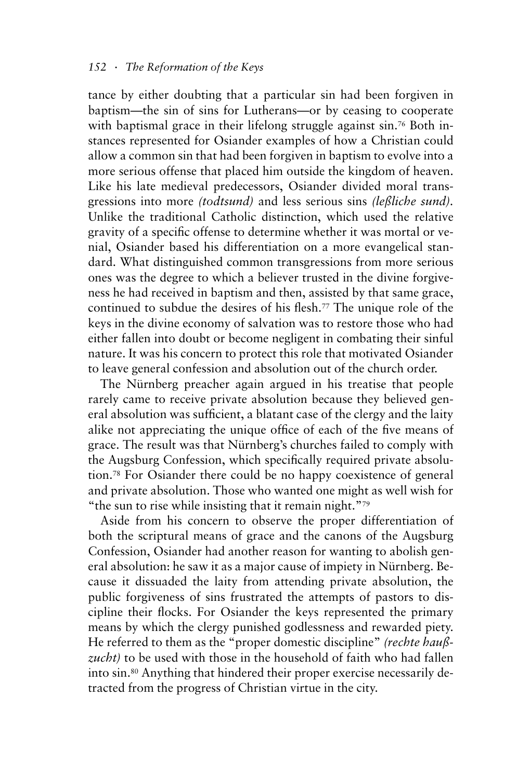tance by either doubting that a particular sin had been forgiven in baptism—the sin of sins for Lutherans—or by ceasing to cooperate with baptismal grace in their lifelong struggle against sin.<sup>76</sup> Both instances represented for Osiander examples of how a Christian could allow a common sin that had been forgiven in baptism to evolve into a more serious offense that placed him outside the kingdom of heaven. Like his late medieval predecessors, Osiander divided moral transgressions into more *(todtsund)* and less serious sins *(leßliche sund).* Unlike the traditional Catholic distinction, which used the relative gravity of a specific offense to determine whether it was mortal or venial, Osiander based his differentiation on a more evangelical standard. What distinguished common transgressions from more serious ones was the degree to which a believer trusted in the divine forgiveness he had received in baptism and then, assisted by that same grace, continued to subdue the desires of his flesh.<sup>77</sup> The unique role of the keys in the divine economy of salvation was to restore those who had either fallen into doubt or become negligent in combating their sinful nature. It was his concern to protect this role that motivated Osiander to leave general confession and absolution out of the church order.

The Nürnberg preacher again argued in his treatise that people rarely came to receive private absolution because they believed general absolution was sufficient, a blatant case of the clergy and the laity alike not appreciating the unique office of each of the five means of grace. The result was that Nürnberg's churches failed to comply with the Augsburg Confession, which specifically required private absolution.78 For Osiander there could be no happy coexistence of general and private absolution. Those who wanted one might as well wish for "the sun to rise while insisting that it remain night."79

Aside from his concern to observe the proper differentiation of both the scriptural means of grace and the canons of the Augsburg Confession, Osiander had another reason for wanting to abolish general absolution: he saw it as a major cause of impiety in Nürnberg. Because it dissuaded the laity from attending private absolution, the public forgiveness of sins frustrated the attempts of pastors to discipline their flocks. For Osiander the keys represented the primary means by which the clergy punished godlessness and rewarded piety. He referred to them as the "proper domestic discipline" *(rechte haußzucht)* to be used with those in the household of faith who had fallen into sin.80 Anything that hindered their proper exercise necessarily detracted from the progress of Christian virtue in the city.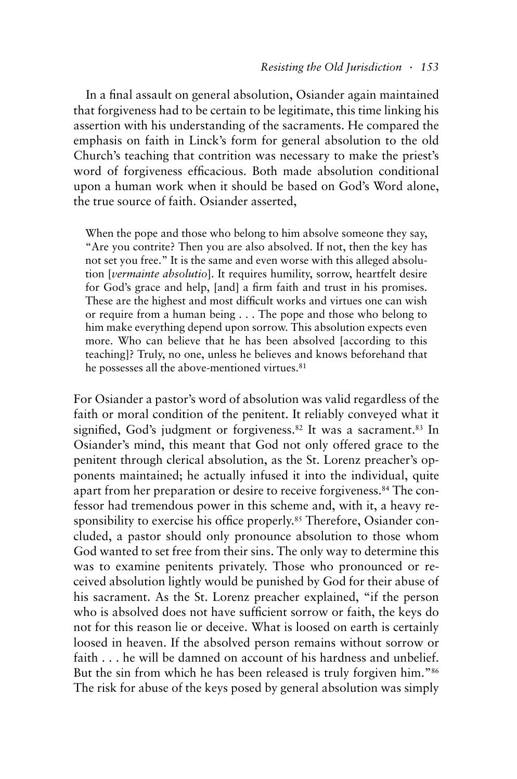In a final assault on general absolution, Osiander again maintained that forgiveness had to be certain to be legitimate, this time linking his assertion with his understanding of the sacraments. He compared the emphasis on faith in Linck's form for general absolution to the old Church's teaching that contrition was necessary to make the priest's word of forgiveness efficacious. Both made absolution conditional upon a human work when it should be based on God's Word alone, the true source of faith. Osiander asserted,

When the pope and those who belong to him absolve someone they say, "Are you contrite? Then you are also absolved. If not, then the key has not set you free." It is the same and even worse with this alleged absolution [*vermainte absolutio*]. It requires humility, sorrow, heartfelt desire for God's grace and help, [and] a firm faith and trust in his promises. These are the highest and most difficult works and virtues one can wish or require from a human being . . . The pope and those who belong to him make everything depend upon sorrow. This absolution expects even more. Who can believe that he has been absolved [according to this teaching]? Truly, no one, unless he believes and knows beforehand that he possesses all the above-mentioned virtues.<sup>81</sup>

For Osiander a pastor's word of absolution was valid regardless of the faith or moral condition of the penitent. It reliably conveyed what it signified, God's judgment or forgiveness.<sup>82</sup> It was a sacrament.<sup>83</sup> In Osiander's mind, this meant that God not only offered grace to the penitent through clerical absolution, as the St. Lorenz preacher's opponents maintained; he actually infused it into the individual, quite apart from her preparation or desire to receive forgiveness.<sup>84</sup> The confessor had tremendous power in this scheme and, with it, a heavy responsibility to exercise his office properly.<sup>85</sup> Therefore, Osiander concluded, a pastor should only pronounce absolution to those whom God wanted to set free from their sins. The only way to determine this was to examine penitents privately. Those who pronounced or received absolution lightly would be punished by God for their abuse of his sacrament. As the St. Lorenz preacher explained, "if the person who is absolved does not have sufficient sorrow or faith, the keys do not for this reason lie or deceive. What is loosed on earth is certainly loosed in heaven. If the absolved person remains without sorrow or faith . . . he will be damned on account of his hardness and unbelief. But the sin from which he has been released is truly forgiven him."86 The risk for abuse of the keys posed by general absolution was simply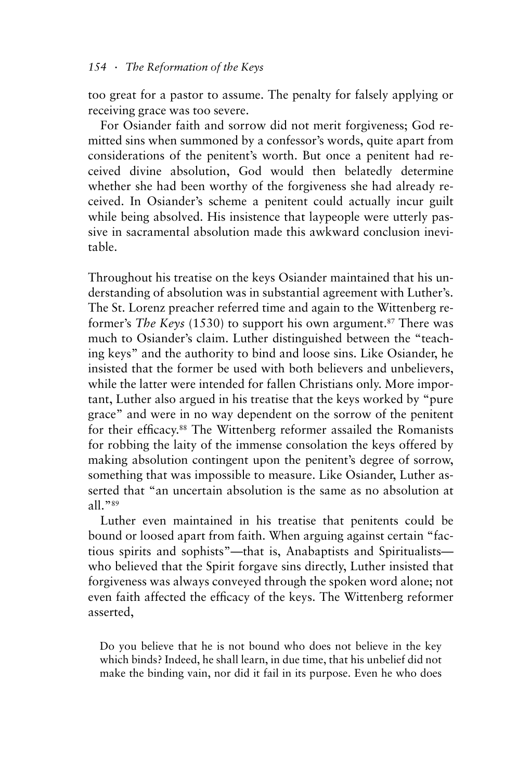too great for a pastor to assume. The penalty for falsely applying or receiving grace was too severe.

For Osiander faith and sorrow did not merit forgiveness; God remitted sins when summoned by a confessor's words, quite apart from considerations of the penitent's worth. But once a penitent had received divine absolution, God would then belatedly determine whether she had been worthy of the forgiveness she had already received. In Osiander's scheme a penitent could actually incur guilt while being absolved. His insistence that laypeople were utterly passive in sacramental absolution made this awkward conclusion inevitable.

Throughout his treatise on the keys Osiander maintained that his understanding of absolution was in substantial agreement with Luther's. The St. Lorenz preacher referred time and again to the Wittenberg reformer's *The Keys* (1530) to support his own argument.<sup>87</sup> There was much to Osiander's claim. Luther distinguished between the "teaching keys" and the authority to bind and loose sins. Like Osiander, he insisted that the former be used with both believers and unbelievers, while the latter were intended for fallen Christians only. More important, Luther also argued in his treatise that the keys worked by "pure grace" and were in no way dependent on the sorrow of the penitent for their efficacy.88 The Wittenberg reformer assailed the Romanists for robbing the laity of the immense consolation the keys offered by making absolution contingent upon the penitent's degree of sorrow, something that was impossible to measure. Like Osiander, Luther asserted that "an uncertain absolution is the same as no absolution at all."89

Luther even maintained in his treatise that penitents could be bound or loosed apart from faith. When arguing against certain "factious spirits and sophists"—that is, Anabaptists and Spiritualists who believed that the Spirit forgave sins directly, Luther insisted that forgiveness was always conveyed through the spoken word alone; not even faith affected the efficacy of the keys. The Wittenberg reformer asserted,

Do you believe that he is not bound who does not believe in the key which binds? Indeed, he shall learn, in due time, that his unbelief did not make the binding vain, nor did it fail in its purpose. Even he who does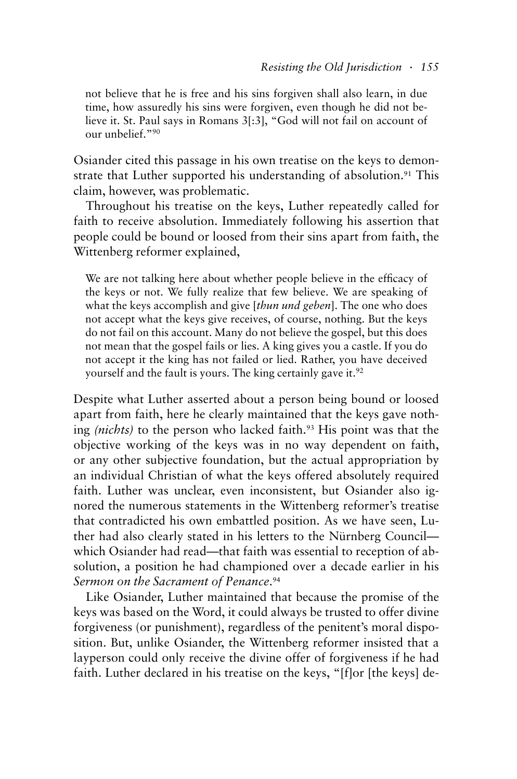not believe that he is free and his sins forgiven shall also learn, in due time, how assuredly his sins were forgiven, even though he did not believe it. St. Paul says in Romans 3[:3], "God will not fail on account of our unbelief."90

Osiander cited this passage in his own treatise on the keys to demonstrate that Luther supported his understanding of absolution.<sup>91</sup> This claim, however, was problematic.

Throughout his treatise on the keys, Luther repeatedly called for faith to receive absolution. Immediately following his assertion that people could be bound or loosed from their sins apart from faith, the Wittenberg reformer explained,

We are not talking here about whether people believe in the efficacy of the keys or not. We fully realize that few believe. We are speaking of what the keys accomplish and give [*thun und geben*]. The one who does not accept what the keys give receives, of course, nothing. But the keys do not fail on this account. Many do not believe the gospel, but this does not mean that the gospel fails or lies. A king gives you a castle. If you do not accept it the king has not failed or lied. Rather, you have deceived yourself and the fault is yours. The king certainly gave it.92

Despite what Luther asserted about a person being bound or loosed apart from faith, here he clearly maintained that the keys gave nothing *(nichts)* to the person who lacked faith.<sup>93</sup> His point was that the objective working of the keys was in no way dependent on faith, or any other subjective foundation, but the actual appropriation by an individual Christian of what the keys offered absolutely required faith. Luther was unclear, even inconsistent, but Osiander also ignored the numerous statements in the Wittenberg reformer's treatise that contradicted his own embattled position. As we have seen, Luther had also clearly stated in his letters to the Nürnberg Council which Osiander had read—that faith was essential to reception of absolution, a position he had championed over a decade earlier in his *Sermon on the Sacrament of Penance*. 94

Like Osiander, Luther maintained that because the promise of the keys was based on the Word, it could always be trusted to offer divine forgiveness (or punishment), regardless of the penitent's moral disposition. But, unlike Osiander, the Wittenberg reformer insisted that a layperson could only receive the divine offer of forgiveness if he had faith. Luther declared in his treatise on the keys, "[f]or [the keys] de-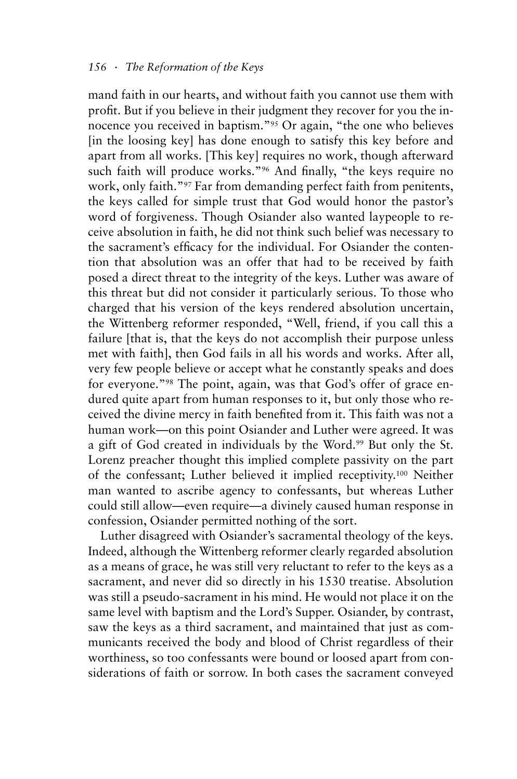mand faith in our hearts, and without faith you cannot use them with profit. But if you believe in their judgment they recover for you the innocence you received in baptism."95 Or again, "the one who believes [in the loosing key] has done enough to satisfy this key before and apart from all works. [This key] requires no work, though afterward such faith will produce works."96 And finally, "the keys require no work, only faith."97 Far from demanding perfect faith from penitents, the keys called for simple trust that God would honor the pastor's word of forgiveness. Though Osiander also wanted laypeople to receive absolution in faith, he did not think such belief was necessary to the sacrament's efficacy for the individual. For Osiander the contention that absolution was an offer that had to be received by faith posed a direct threat to the integrity of the keys. Luther was aware of this threat but did not consider it particularly serious. To those who charged that his version of the keys rendered absolution uncertain, the Wittenberg reformer responded, "Well, friend, if you call this a failure [that is, that the keys do not accomplish their purpose unless met with faith], then God fails in all his words and works. After all, very few people believe or accept what he constantly speaks and does for everyone."<sup>98</sup> The point, again, was that God's offer of grace endured quite apart from human responses to it, but only those who received the divine mercy in faith benefited from it. This faith was not a human work—on this point Osiander and Luther were agreed. It was a gift of God created in individuals by the Word.99 But only the St. Lorenz preacher thought this implied complete passivity on the part of the confessant; Luther believed it implied receptivity.100 Neither man wanted to ascribe agency to confessants, but whereas Luther could still allow—even require—a divinely caused human response in confession, Osiander permitted nothing of the sort.

Luther disagreed with Osiander's sacramental theology of the keys. Indeed, although the Wittenberg reformer clearly regarded absolution as a means of grace, he was still very reluctant to refer to the keys as a sacrament, and never did so directly in his 1530 treatise. Absolution was still a pseudo-sacrament in his mind. He would not place it on the same level with baptism and the Lord's Supper. Osiander, by contrast, saw the keys as a third sacrament, and maintained that just as communicants received the body and blood of Christ regardless of their worthiness, so too confessants were bound or loosed apart from considerations of faith or sorrow. In both cases the sacrament conveyed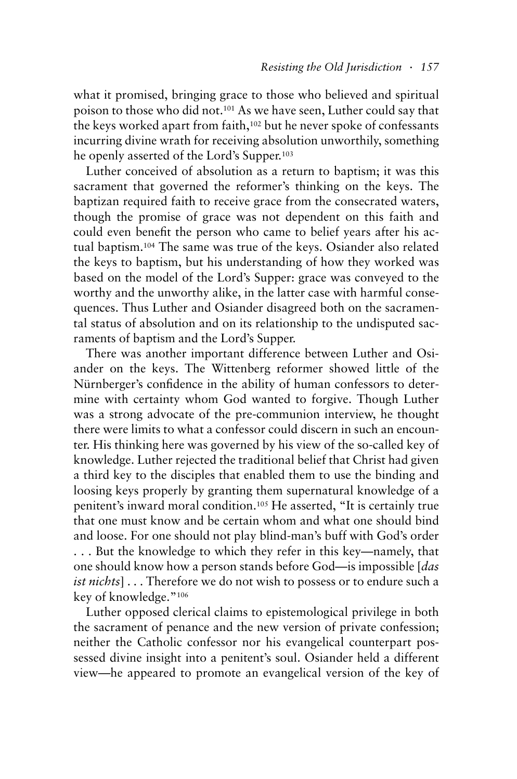what it promised, bringing grace to those who believed and spiritual poison to those who did not.101 As we have seen, Luther could say that the keys worked apart from faith,102 but he never spoke of confessants incurring divine wrath for receiving absolution unworthily, something he openly asserted of the Lord's Supper.<sup>103</sup>

Luther conceived of absolution as a return to baptism; it was this sacrament that governed the reformer's thinking on the keys. The baptizan required faith to receive grace from the consecrated waters, though the promise of grace was not dependent on this faith and could even benefit the person who came to belief years after his actual baptism.104 The same was true of the keys. Osiander also related the keys to baptism, but his understanding of how they worked was based on the model of the Lord's Supper: grace was conveyed to the worthy and the unworthy alike, in the latter case with harmful consequences. Thus Luther and Osiander disagreed both on the sacramental status of absolution and on its relationship to the undisputed sacraments of baptism and the Lord's Supper.

There was another important difference between Luther and Osiander on the keys. The Wittenberg reformer showed little of the Nürnberger's confidence in the ability of human confessors to determine with certainty whom God wanted to forgive. Though Luther was a strong advocate of the pre-communion interview, he thought there were limits to what a confessor could discern in such an encounter. His thinking here was governed by his view of the so-called key of knowledge. Luther rejected the traditional belief that Christ had given a third key to the disciples that enabled them to use the binding and loosing keys properly by granting them supernatural knowledge of a penitent's inward moral condition.105 He asserted, "It is certainly true that one must know and be certain whom and what one should bind and loose. For one should not play blind-man's buff with God's order . . . But the knowledge to which they refer in this key—namely, that one should know how a person stands before God—is impossible [*das ist nichts*]... Therefore we do not wish to possess or to endure such a key of knowledge."106

Luther opposed clerical claims to epistemological privilege in both the sacrament of penance and the new version of private confession; neither the Catholic confessor nor his evangelical counterpart possessed divine insight into a penitent's soul. Osiander held a different view—he appeared to promote an evangelical version of the key of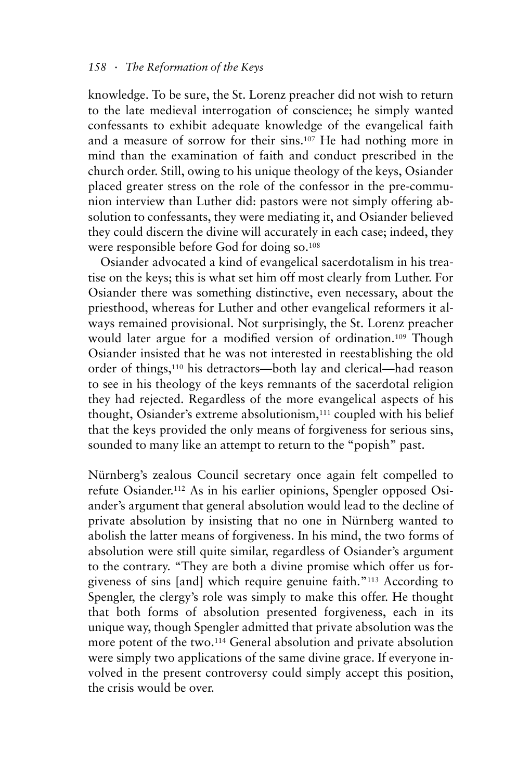knowledge. To be sure, the St. Lorenz preacher did not wish to return to the late medieval interrogation of conscience; he simply wanted confessants to exhibit adequate knowledge of the evangelical faith and a measure of sorrow for their sins.107 He had nothing more in mind than the examination of faith and conduct prescribed in the church order. Still, owing to his unique theology of the keys, Osiander placed greater stress on the role of the confessor in the pre-communion interview than Luther did: pastors were not simply offering absolution to confessants, they were mediating it, and Osiander believed they could discern the divine will accurately in each case; indeed, they were responsible before God for doing so.<sup>108</sup>

Osiander advocated a kind of evangelical sacerdotalism in his treatise on the keys; this is what set him off most clearly from Luther. For Osiander there was something distinctive, even necessary, about the priesthood, whereas for Luther and other evangelical reformers it always remained provisional. Not surprisingly, the St. Lorenz preacher would later argue for a modified version of ordination.109 Though Osiander insisted that he was not interested in reestablishing the old order of things,110 his detractors—both lay and clerical—had reason to see in his theology of the keys remnants of the sacerdotal religion they had rejected. Regardless of the more evangelical aspects of his thought, Osiander's extreme absolutionism,<sup>111</sup> coupled with his belief that the keys provided the only means of forgiveness for serious sins, sounded to many like an attempt to return to the "popish" past.

Nürnberg's zealous Council secretary once again felt compelled to refute Osiander.112 As in his earlier opinions, Spengler opposed Osiander's argument that general absolution would lead to the decline of private absolution by insisting that no one in Nürnberg wanted to abolish the latter means of forgiveness. In his mind, the two forms of absolution were still quite similar, regardless of Osiander's argument to the contrary. "They are both a divine promise which offer us forgiveness of sins [and] which require genuine faith."113 According to Spengler, the clergy's role was simply to make this offer. He thought that both forms of absolution presented forgiveness, each in its unique way, though Spengler admitted that private absolution was the more potent of the two.<sup>114</sup> General absolution and private absolution were simply two applications of the same divine grace. If everyone involved in the present controversy could simply accept this position, the crisis would be over.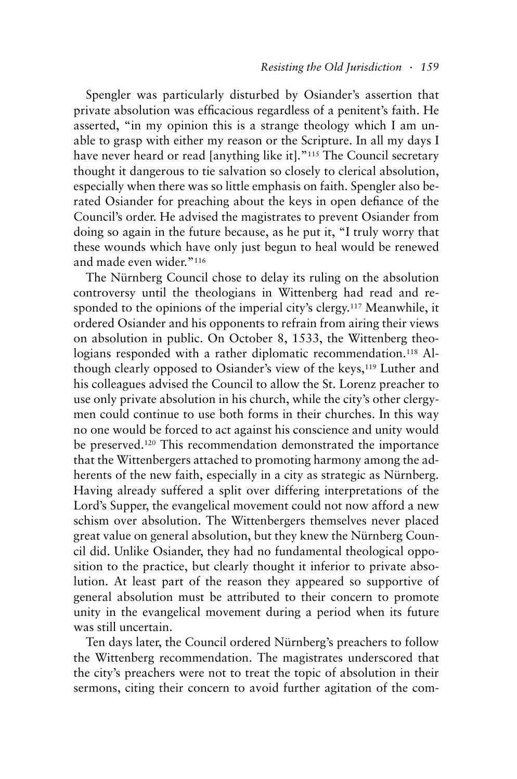Spengler was particularly disturbed by Osiander's assertion that private absolution was efficacious regardless of a penitent's faith. He asserted, "in my opinion this is a strange theology which I am unable to grasp with either my reason or the Scripture. In all my days I have never heard or read [anything like it]."<sup>115</sup> The Council secretary thought it dangerous to tie salvation so closely to clerical absolution, especially when there was so little emphasis on faith. Spengler also berated Osiander for preaching about the keys in open defiance of the Council's order. He advised the magistrates to prevent Osiander from doing so again in the future because, as he put it, "I truly worry that these wounds which have only just begun to heal would be renewed and made even wider."116

The Nürnberg Council chose to delay its ruling on the absolution controversy until the theologians in Wittenberg had read and responded to the opinions of the imperial city's clergy.<sup>117</sup> Meanwhile, it ordered Osiander and his opponents to refrain from airing their views on absolution in public. On October 8, 1533, the Wittenberg theologians responded with a rather diplomatic recommendation.<sup>118</sup> Although clearly opposed to Osiander's view of the keys,<sup>119</sup> Luther and his colleagues advised the Council to allow the St. Lorenz preacher to use only private absolution in his church, while the city's other clergymen could continue to use both forms in their churches. In this way no one would be forced to act against his conscience and unity would be preserved.120 This recommendation demonstrated the importance that the Wittenbergers attached to promoting harmony among the adherents of the new faith, especially in a city as strategic as Nürnberg. Having already suffered a split over differing interpretations of the Lord's Supper, the evangelical movement could not now afford a new schism over absolution. The Wittenbergers themselves never placed great value on general absolution, but they knew the Nürnberg Council did. Unlike Osiander, they had no fundamental theological opposition to the practice, but clearly thought it inferior to private absolution. At least part of the reason they appeared so supportive of general absolution must be attributed to their concern to promote unity in the evangelical movement during a period when its future was still uncertain.

Ten days later, the Council ordered Nürnberg's preachers to follow the Wittenberg recommendation. The magistrates underscored that the city's preachers were not to treat the topic of absolution in their sermons, citing their concern to avoid further agitation of the com-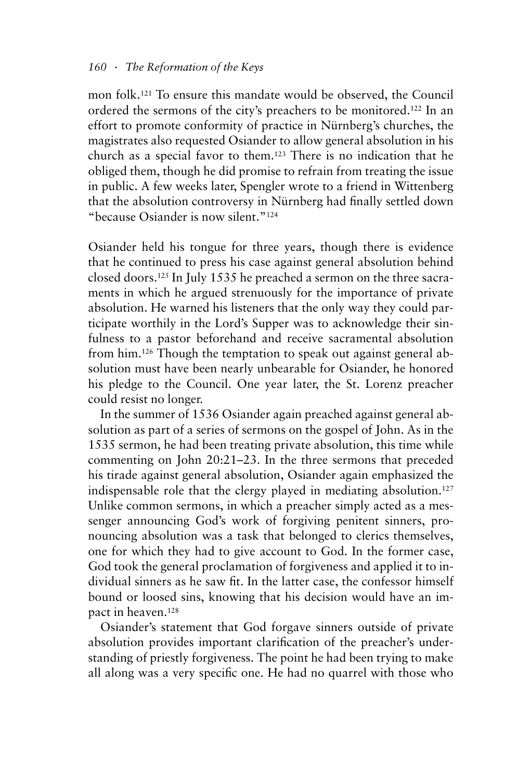## *160 • The Reformation of the Keys*

mon folk.121 To ensure this mandate would be observed, the Council ordered the sermons of the city's preachers to be monitored.122 In an effort to promote conformity of practice in Nürnberg's churches, the magistrates also requested Osiander to allow general absolution in his church as a special favor to them.123 There is no indication that he obliged them, though he did promise to refrain from treating the issue in public. A few weeks later, Spengler wrote to a friend in Wittenberg that the absolution controversy in Nürnberg had finally settled down "because Osiander is now silent."124

Osiander held his tongue for three years, though there is evidence that he continued to press his case against general absolution behind closed doors.125 In July 1535 he preached a sermon on the three sacraments in which he argued strenuously for the importance of private absolution. He warned his listeners that the only way they could participate worthily in the Lord's Supper was to acknowledge their sinfulness to a pastor beforehand and receive sacramental absolution from him.126 Though the temptation to speak out against general absolution must have been nearly unbearable for Osiander, he honored his pledge to the Council. One year later, the St. Lorenz preacher could resist no longer.

In the summer of 1536 Osiander again preached against general absolution as part of a series of sermons on the gospel of John. As in the 1535 sermon, he had been treating private absolution, this time while commenting on John 20:21–23. In the three sermons that preceded his tirade against general absolution, Osiander again emphasized the indispensable role that the clergy played in mediating absolution.127 Unlike common sermons, in which a preacher simply acted as a messenger announcing God's work of forgiving penitent sinners, pronouncing absolution was a task that belonged to clerics themselves, one for which they had to give account to God. In the former case, God took the general proclamation of forgiveness and applied it to individual sinners as he saw fit. In the latter case, the confessor himself bound or loosed sins, knowing that his decision would have an impact in heaven.128

Osiander's statement that God forgave sinners outside of private absolution provides important clarification of the preacher's understanding of priestly forgiveness. The point he had been trying to make all along was a very specific one. He had no quarrel with those who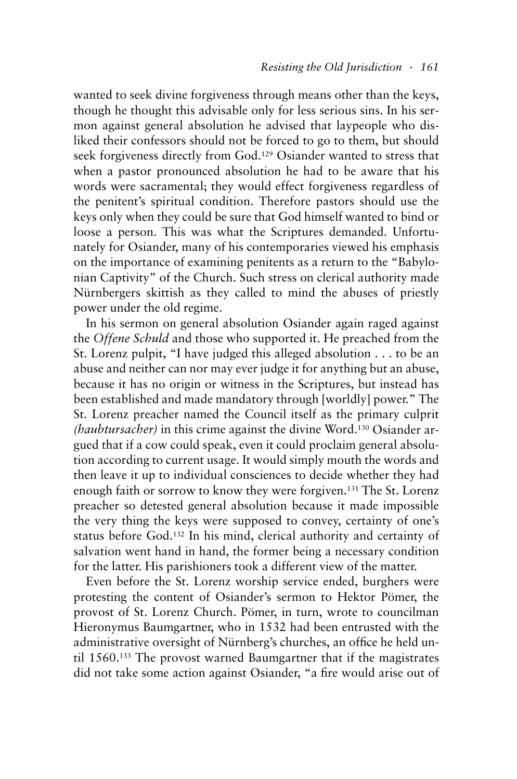wanted to seek divine forgiveness through means other than the keys, though he thought this advisable only for less serious sins. In his sermon against general absolution he advised that laypeople who disliked their confessors should not be forced to go to them, but should seek forgiveness directly from God.<sup>129</sup> Osiander wanted to stress that when a pastor pronounced absolution he had to be aware that his words were sacramental; they would effect forgiveness regardless of the penitent's spiritual condition. Therefore pastors should use the keys only when they could be sure that God himself wanted to bind or loose a person. This was what the Scriptures demanded. Unfortunately for Osiander, many of his contemporaries viewed his emphasis on the importance of examining penitents as a return to the "Babylonian Captivity" of the Church. Such stress on clerical authority made Nürnbergers skittish as they called to mind the abuses of priestly power under the old regime.

In his sermon on general absolution Osiander again raged against the *Offene Schuld* and those who supported it. He preached from the St. Lorenz pulpit, "I have judged this alleged absolution . . . to be an abuse and neither can nor may ever judge it for anything but an abuse, because it has no origin or witness in the Scriptures, but instead has been established and made mandatory through [worldly] power." The St. Lorenz preacher named the Council itself as the primary culprit *(haubtursacher)* in this crime against the divine Word.130 Osiander argued that if a cow could speak, even it could proclaim general absolution according to current usage. It would simply mouth the words and then leave it up to individual consciences to decide whether they had enough faith or sorrow to know they were forgiven.131 The St. Lorenz preacher so detested general absolution because it made impossible the very thing the keys were supposed to convey, certainty of one's status before God.132 In his mind, clerical authority and certainty of salvation went hand in hand, the former being a necessary condition for the latter. His parishioners took a different view of the matter.

Even before the St. Lorenz worship service ended, burghers were protesting the content of Osiander's sermon to Hektor Pömer, the provost of St. Lorenz Church. Pömer, in turn, wrote to councilman Hieronymus Baumgartner, who in 1532 had been entrusted with the administrative oversight of Nürnberg's churches, an office he held until 1560.133 The provost warned Baumgartner that if the magistrates did not take some action against Osiander, "a fire would arise out of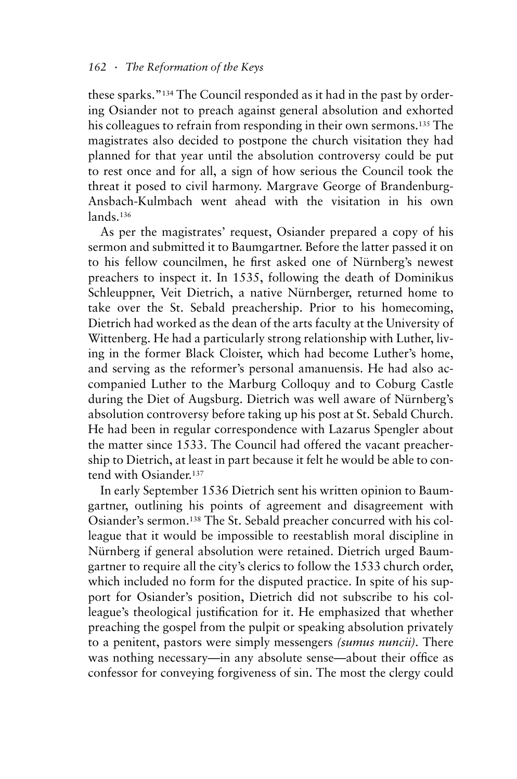these sparks."134 The Council responded as it had in the past by ordering Osiander not to preach against general absolution and exhorted his colleagues to refrain from responding in their own sermons.135 The magistrates also decided to postpone the church visitation they had planned for that year until the absolution controversy could be put to rest once and for all, a sign of how serious the Council took the threat it posed to civil harmony. Margrave George of Brandenburg-Ansbach-Kulmbach went ahead with the visitation in his own lands.136

As per the magistrates' request, Osiander prepared a copy of his sermon and submitted it to Baumgartner. Before the latter passed it on to his fellow councilmen, he first asked one of Nürnberg's newest preachers to inspect it. In 1535, following the death of Dominikus Schleuppner, Veit Dietrich, a native Nürnberger, returned home to take over the St. Sebald preachership. Prior to his homecoming, Dietrich had worked as the dean of the arts faculty at the University of Wittenberg. He had a particularly strong relationship with Luther, living in the former Black Cloister, which had become Luther's home, and serving as the reformer's personal amanuensis. He had also accompanied Luther to the Marburg Colloquy and to Coburg Castle during the Diet of Augsburg. Dietrich was well aware of Nürnberg's absolution controversy before taking up his post at St. Sebald Church. He had been in regular correspondence with Lazarus Spengler about the matter since 1533. The Council had offered the vacant preachership to Dietrich, at least in part because it felt he would be able to contend with Osiander.<sup>137</sup>

In early September 1536 Dietrich sent his written opinion to Baumgartner, outlining his points of agreement and disagreement with Osiander's sermon.138 The St. Sebald preacher concurred with his colleague that it would be impossible to reestablish moral discipline in Nürnberg if general absolution were retained. Dietrich urged Baumgartner to require all the city's clerics to follow the 1533 church order, which included no form for the disputed practice. In spite of his support for Osiander's position, Dietrich did not subscribe to his colleague's theological justification for it. He emphasized that whether preaching the gospel from the pulpit or speaking absolution privately to a penitent, pastors were simply messengers *(sumus nuncii).* There was nothing necessary—in any absolute sense—about their office as confessor for conveying forgiveness of sin. The most the clergy could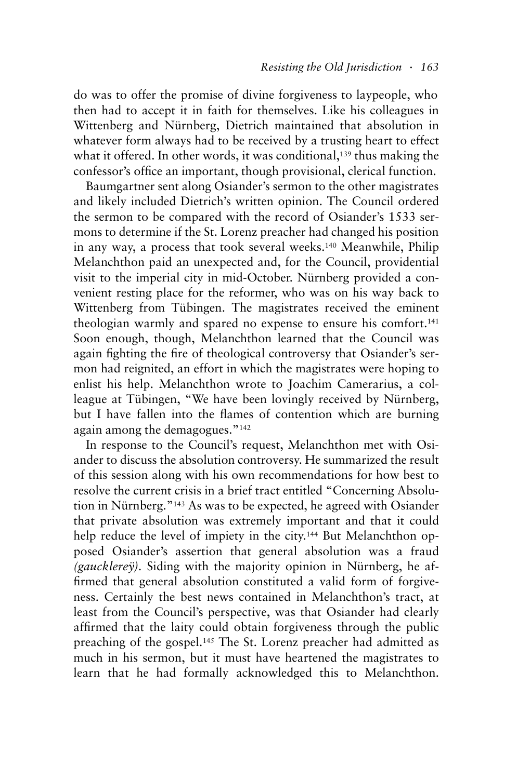do was to offer the promise of divine forgiveness to laypeople, who then had to accept it in faith for themselves. Like his colleagues in Wittenberg and Nürnberg, Dietrich maintained that absolution in whatever form always had to be received by a trusting heart to effect what it offered. In other words, it was conditional,<sup>139</sup> thus making the confessor's office an important, though provisional, clerical function.

Baumgartner sent along Osiander's sermon to the other magistrates and likely included Dietrich's written opinion. The Council ordered the sermon to be compared with the record of Osiander's 1533 sermons to determine if the St. Lorenz preacher had changed his position in any way, a process that took several weeks.140 Meanwhile, Philip Melanchthon paid an unexpected and, for the Council, providential visit to the imperial city in mid-October. Nürnberg provided a convenient resting place for the reformer, who was on his way back to Wittenberg from Tübingen. The magistrates received the eminent theologian warmly and spared no expense to ensure his comfort.141 Soon enough, though, Melanchthon learned that the Council was again fighting the fire of theological controversy that Osiander's sermon had reignited, an effort in which the magistrates were hoping to enlist his help. Melanchthon wrote to Joachim Camerarius, a colleague at Tübingen, "We have been lovingly received by Nürnberg, but I have fallen into the flames of contention which are burning again among the demagogues."142

In response to the Council's request, Melanchthon met with Osiander to discuss the absolution controversy. He summarized the result of this session along with his own recommendations for how best to resolve the current crisis in a brief tract entitled "Concerning Absolution in Nürnberg."143 As was to be expected, he agreed with Osiander that private absolution was extremely important and that it could help reduce the level of impiety in the city.<sup>144</sup> But Melanchthon opposed Osiander's assertion that general absolution was a fraud *(gaucklereÿ).* Siding with the majority opinion in Nürnberg, he affirmed that general absolution constituted a valid form of forgiveness. Certainly the best news contained in Melanchthon's tract, at least from the Council's perspective, was that Osiander had clearly affirmed that the laity could obtain forgiveness through the public preaching of the gospel.145 The St. Lorenz preacher had admitted as much in his sermon, but it must have heartened the magistrates to learn that he had formally acknowledged this to Melanchthon.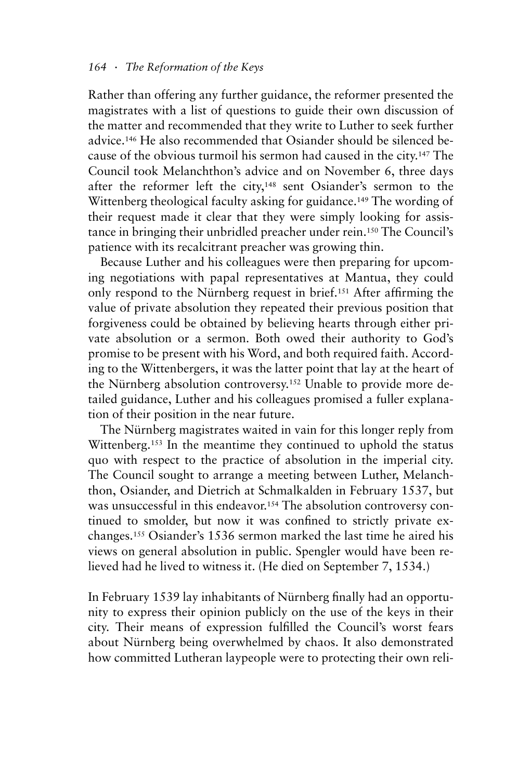## *164 • The Reformation of the Keys*

Rather than offering any further guidance, the reformer presented the magistrates with a list of questions to guide their own discussion of the matter and recommended that they write to Luther to seek further advice.146 He also recommended that Osiander should be silenced because of the obvious turmoil his sermon had caused in the city.147 The Council took Melanchthon's advice and on November 6, three days after the reformer left the city,148 sent Osiander's sermon to the Wittenberg theological faculty asking for guidance.<sup>149</sup> The wording of their request made it clear that they were simply looking for assistance in bringing their unbridled preacher under rein.150 The Council's patience with its recalcitrant preacher was growing thin.

Because Luther and his colleagues were then preparing for upcoming negotiations with papal representatives at Mantua, they could only respond to the Nürnberg request in brief.151 After affirming the value of private absolution they repeated their previous position that forgiveness could be obtained by believing hearts through either private absolution or a sermon. Both owed their authority to God's promise to be present with his Word, and both required faith. According to the Wittenbergers, it was the latter point that lay at the heart of the Nürnberg absolution controversy.152 Unable to provide more detailed guidance, Luther and his colleagues promised a fuller explanation of their position in the near future.

The Nürnberg magistrates waited in vain for this longer reply from Wittenberg.153 In the meantime they continued to uphold the status quo with respect to the practice of absolution in the imperial city. The Council sought to arrange a meeting between Luther, Melanchthon, Osiander, and Dietrich at Schmalkalden in February 1537, but was unsuccessful in this endeavor.<sup>154</sup> The absolution controversy continued to smolder, but now it was confined to strictly private exchanges.155 Osiander's 1536 sermon marked the last time he aired his views on general absolution in public. Spengler would have been relieved had he lived to witness it. (He died on September 7, 1534.)

In February 1539 lay inhabitants of Nürnberg finally had an opportunity to express their opinion publicly on the use of the keys in their city. Their means of expression fulfilled the Council's worst fears about Nürnberg being overwhelmed by chaos. It also demonstrated how committed Lutheran laypeople were to protecting their own reli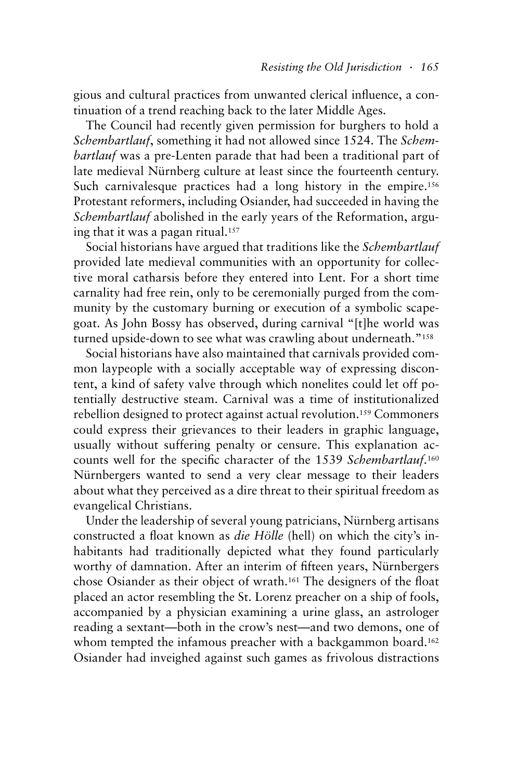gious and cultural practices from unwanted clerical influence, a continuation of a trend reaching back to the later Middle Ages.

The Council had recently given permission for burghers to hold a *Schembartlauf*, something it had not allowed since 1524. The *Schembartlauf* was a pre-Lenten parade that had been a traditional part of late medieval Nürnberg culture at least since the fourteenth century. Such carnivalesque practices had a long history in the empire.<sup>156</sup> Protestant reformers, including Osiander, had succeeded in having the *Schembartlauf* abolished in the early years of the Reformation, arguing that it was a pagan ritual.157

Social historians have argued that traditions like the *Schembartlauf* provided late medieval communities with an opportunity for collective moral catharsis before they entered into Lent. For a short time carnality had free rein, only to be ceremonially purged from the community by the customary burning or execution of a symbolic scapegoat. As John Bossy has observed, during carnival "[t]he world was turned upside-down to see what was crawling about underneath."<sup>158</sup>

Social historians have also maintained that carnivals provided common laypeople with a socially acceptable way of expressing discontent, a kind of safety valve through which nonelites could let off potentially destructive steam. Carnival was a time of institutionalized rebellion designed to protect against actual revolution.159 Commoners could express their grievances to their leaders in graphic language, usually without suffering penalty or censure. This explanation accounts well for the specific character of the 1539 *Schembartlauf.*<sup>160</sup> Nürnbergers wanted to send a very clear message to their leaders about what they perceived as a dire threat to their spiritual freedom as evangelical Christians.

Under the leadership of several young patricians, Nürnberg artisans constructed a float known as *die Hölle* (hell) on which the city's inhabitants had traditionally depicted what they found particularly worthy of damnation. After an interim of fifteen years, Nürnbergers chose Osiander as their object of wrath.161 The designers of the float placed an actor resembling the St. Lorenz preacher on a ship of fools, accompanied by a physician examining a urine glass, an astrologer reading a sextant—both in the crow's nest—and two demons, one of whom tempted the infamous preacher with a backgammon board.<sup>162</sup> Osiander had inveighed against such games as frivolous distractions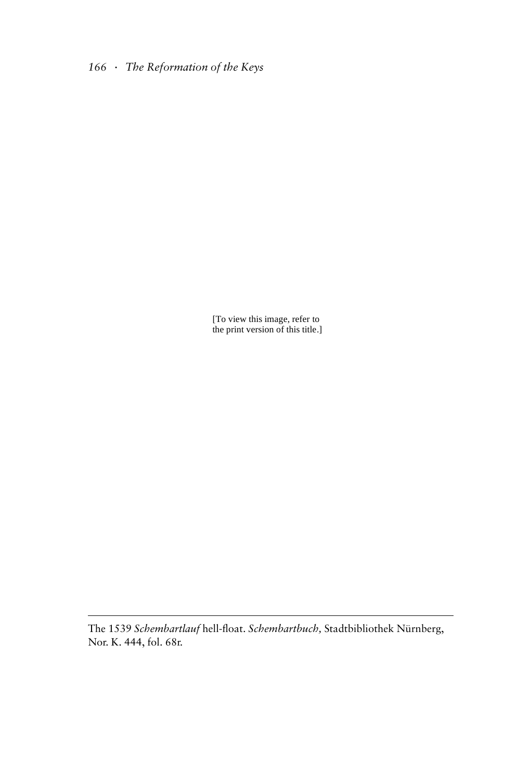*166 • The Reformation of the Keys*

[To view this image, refer to the print version of this title.]

The 1539 *Schembartlauf* hell-float. *Schembartbuch,* Stadtbibliothek Nürnberg, Nor. K. 444, fol. 68r.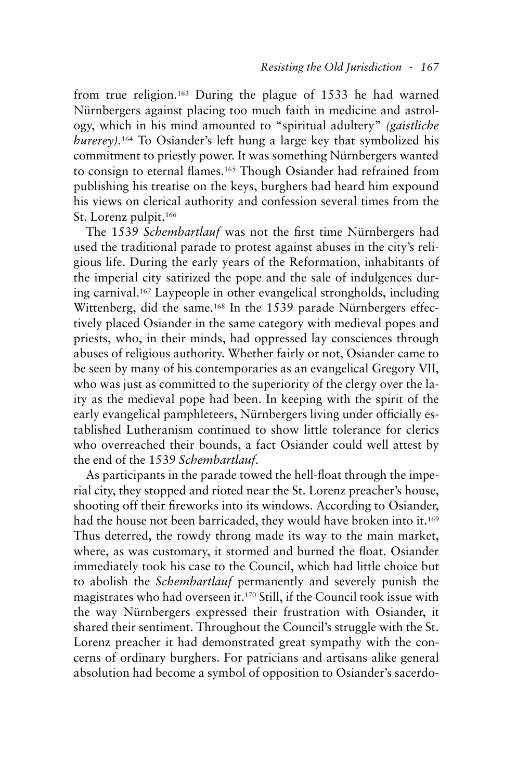from true religion.163 During the plague of 1533 he had warned Nürnbergers against placing too much faith in medicine and astrology, which in his mind amounted to "spiritual adultery" *(gaistliche hurerey).*<sup>164</sup> To Osiander's left hung a large key that symbolized his commitment to priestly power. It was something Nürnbergers wanted to consign to eternal flames.<sup>165</sup> Though Osiander had refrained from publishing his treatise on the keys, burghers had heard him expound his views on clerical authority and confession several times from the St. Lorenz pulpit.166

The 1539 *Schembartlauf* was not the first time Nürnbergers had used the traditional parade to protest against abuses in the city's religious life. During the early years of the Reformation, inhabitants of the imperial city satirized the pope and the sale of indulgences during carnival.167 Laypeople in other evangelical strongholds, including Wittenberg, did the same.168 In the 1539 parade Nürnbergers effectively placed Osiander in the same category with medieval popes and priests, who, in their minds, had oppressed lay consciences through abuses of religious authority. Whether fairly or not, Osiander came to be seen by many of his contemporaries as an evangelical Gregory VII, who was just as committed to the superiority of the clergy over the laity as the medieval pope had been. In keeping with the spirit of the early evangelical pamphleteers, Nürnbergers living under officially established Lutheranism continued to show little tolerance for clerics who overreached their bounds, a fact Osiander could well attest by the end of the 1539 *Schembartlauf.*

As participants in the parade towed the hell-float through the imperial city, they stopped and rioted near the St. Lorenz preacher's house, shooting off their fireworks into its windows. According to Osiander, had the house not been barricaded, they would have broken into it.<sup>169</sup> Thus deterred, the rowdy throng made its way to the main market, where, as was customary, it stormed and burned the float. Osiander immediately took his case to the Council, which had little choice but to abolish the *Schembartlauf* permanently and severely punish the magistrates who had overseen it.170 Still, if the Council took issue with the way Nürnbergers expressed their frustration with Osiander, it shared their sentiment. Throughout the Council's struggle with the St. Lorenz preacher it had demonstrated great sympathy with the concerns of ordinary burghers. For patricians and artisans alike general absolution had become a symbol of opposition to Osiander's sacerdo-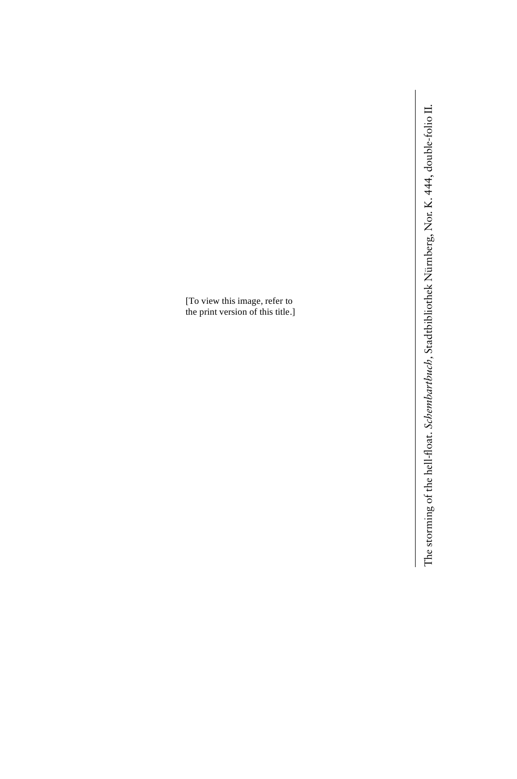[To view this image, refer to the print version of this title.]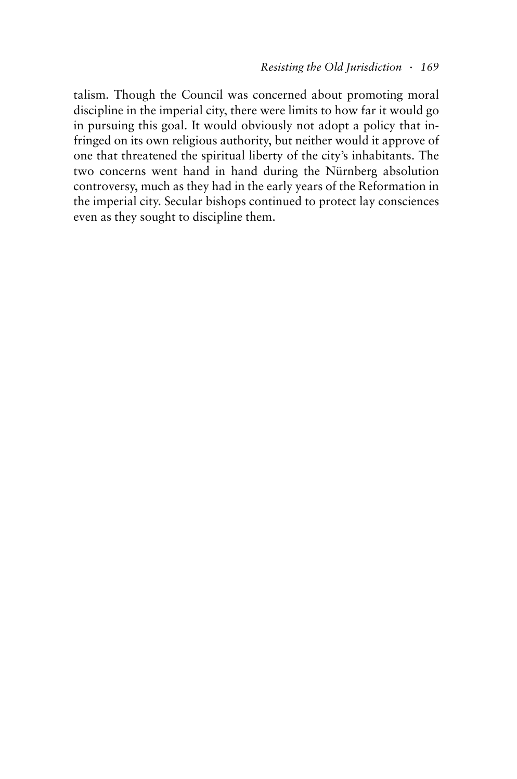talism. Though the Council was concerned about promoting moral discipline in the imperial city, there were limits to how far it would go in pursuing this goal. It would obviously not adopt a policy that infringed on its own religious authority, but neither would it approve of one that threatened the spiritual liberty of the city's inhabitants. The two concerns went hand in hand during the Nürnberg absolution controversy, much as they had in the early years of the Reformation in the imperial city. Secular bishops continued to protect lay consciences even as they sought to discipline them.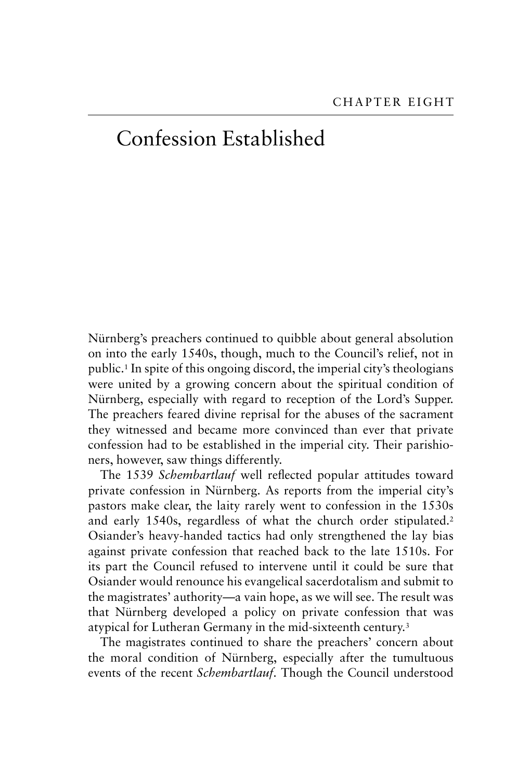## Confession Established

Nürnberg's preachers continued to quibble about general absolution on into the early 1540s, though, much to the Council's relief, not in public.1 In spite of this ongoing discord, the imperial city's theologians were united by a growing concern about the spiritual condition of Nürnberg, especially with regard to reception of the Lord's Supper. The preachers feared divine reprisal for the abuses of the sacrament they witnessed and became more convinced than ever that private confession had to be established in the imperial city. Their parishioners, however, saw things differently.

The 1539 *Schembartlauf* well reflected popular attitudes toward private confession in Nürnberg. As reports from the imperial city's pastors make clear, the laity rarely went to confession in the 1530s and early 1540s, regardless of what the church order stipulated.<sup>2</sup> Osiander's heavy-handed tactics had only strengthened the lay bias against private confession that reached back to the late 1510s. For its part the Council refused to intervene until it could be sure that Osiander would renounce his evangelical sacerdotalism and submit to the magistrates' authority—a vain hope, as we will see. The result was that Nürnberg developed a policy on private confession that was atypical for Lutheran Germany in the mid-sixteenth century.3

The magistrates continued to share the preachers' concern about the moral condition of Nürnberg, especially after the tumultuous events of the recent *Schembartlauf.* Though the Council understood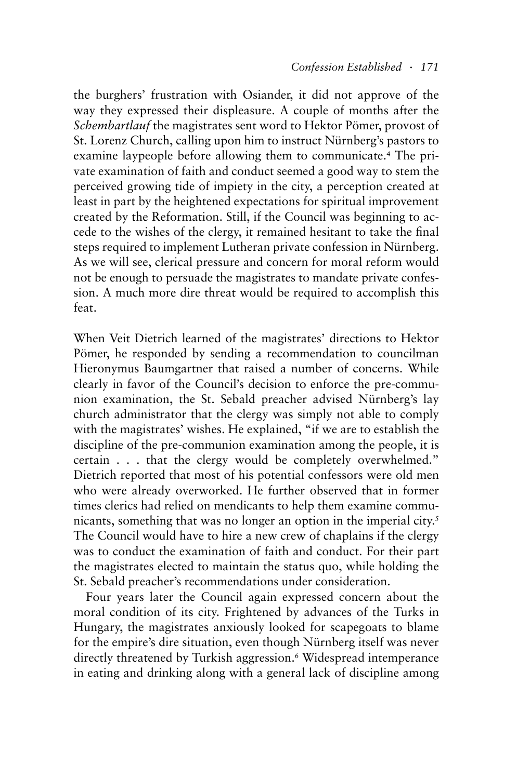the burghers' frustration with Osiander, it did not approve of the way they expressed their displeasure. A couple of months after the *Schembartlauf* the magistrates sent word to Hektor Pömer, provost of St. Lorenz Church, calling upon him to instruct Nürnberg's pastors to examine laypeople before allowing them to communicate.4 The private examination of faith and conduct seemed a good way to stem the perceived growing tide of impiety in the city, a perception created at least in part by the heightened expectations for spiritual improvement created by the Reformation. Still, if the Council was beginning to accede to the wishes of the clergy, it remained hesitant to take the final steps required to implement Lutheran private confession in Nürnberg. As we will see, clerical pressure and concern for moral reform would not be enough to persuade the magistrates to mandate private confession. A much more dire threat would be required to accomplish this feat.

When Veit Dietrich learned of the magistrates' directions to Hektor Pömer, he responded by sending a recommendation to councilman Hieronymus Baumgartner that raised a number of concerns. While clearly in favor of the Council's decision to enforce the pre-communion examination, the St. Sebald preacher advised Nürnberg's lay church administrator that the clergy was simply not able to comply with the magistrates' wishes. He explained, "if we are to establish the discipline of the pre-communion examination among the people, it is certain... that the clergy would be completely overwhelmed." Dietrich reported that most of his potential confessors were old men who were already overworked. He further observed that in former times clerics had relied on mendicants to help them examine communicants, something that was no longer an option in the imperial city.<sup>5</sup> The Council would have to hire a new crew of chaplains if the clergy was to conduct the examination of faith and conduct. For their part the magistrates elected to maintain the status quo, while holding the St. Sebald preacher's recommendations under consideration.

Four years later the Council again expressed concern about the moral condition of its city. Frightened by advances of the Turks in Hungary, the magistrates anxiously looked for scapegoats to blame for the empire's dire situation, even though Nürnberg itself was never directly threatened by Turkish aggression.<sup>6</sup> Widespread intemperance in eating and drinking along with a general lack of discipline among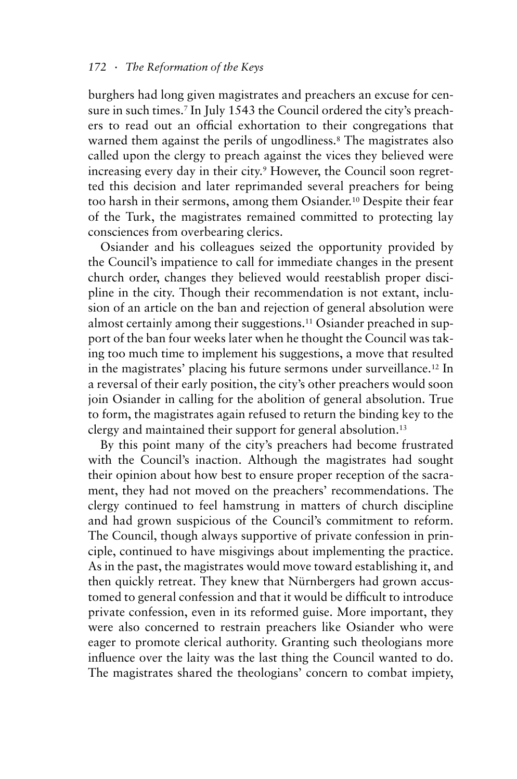### *172 • The Reformation of the Keys*

burghers had long given magistrates and preachers an excuse for censure in such times.<sup>7</sup> In July 1543 the Council ordered the city's preachers to read out an official exhortation to their congregations that warned them against the perils of ungodliness.<sup>8</sup> The magistrates also called upon the clergy to preach against the vices they believed were increasing every day in their city.9 However, the Council soon regretted this decision and later reprimanded several preachers for being too harsh in their sermons, among them Osiander.10 Despite their fear of the Turk, the magistrates remained committed to protecting lay consciences from overbearing clerics.

Osiander and his colleagues seized the opportunity provided by the Council's impatience to call for immediate changes in the present church order, changes they believed would reestablish proper discipline in the city. Though their recommendation is not extant, inclusion of an article on the ban and rejection of general absolution were almost certainly among their suggestions.11 Osiander preached in support of the ban four weeks later when he thought the Council was taking too much time to implement his suggestions, a move that resulted in the magistrates' placing his future sermons under surveillance.12 In a reversal of their early position, the city's other preachers would soon join Osiander in calling for the abolition of general absolution. True to form, the magistrates again refused to return the binding key to the clergy and maintained their support for general absolution.13

By this point many of the city's preachers had become frustrated with the Council's inaction. Although the magistrates had sought their opinion about how best to ensure proper reception of the sacrament, they had not moved on the preachers' recommendations. The clergy continued to feel hamstrung in matters of church discipline and had grown suspicious of the Council's commitment to reform. The Council, though always supportive of private confession in principle, continued to have misgivings about implementing the practice. As in the past, the magistrates would move toward establishing it, and then quickly retreat. They knew that Nürnbergers had grown accustomed to general confession and that it would be difficult to introduce private confession, even in its reformed guise. More important, they were also concerned to restrain preachers like Osiander who were eager to promote clerical authority. Granting such theologians more influence over the laity was the last thing the Council wanted to do. The magistrates shared the theologians' concern to combat impiety,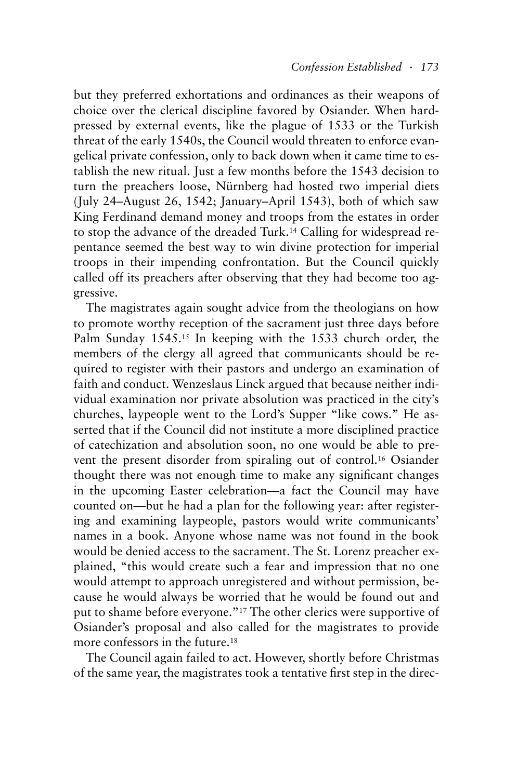but they preferred exhortations and ordinances as their weapons of choice over the clerical discipline favored by Osiander. When hardpressed by external events, like the plague of 1533 or the Turkish threat of the early 1540s, the Council would threaten to enforce evangelical private confession, only to back down when it came time to establish the new ritual. Just a few months before the 1543 decision to turn the preachers loose, Nürnberg had hosted two imperial diets (July 24–August 26, 1542; January–April 1543), both of which saw King Ferdinand demand money and troops from the estates in order to stop the advance of the dreaded Turk.14 Calling for widespread repentance seemed the best way to win divine protection for imperial troops in their impending confrontation. But the Council quickly called off its preachers after observing that they had become too aggressive.

The magistrates again sought advice from the theologians on how to promote worthy reception of the sacrament just three days before Palm Sunday 1545.15 In keeping with the 1533 church order, the members of the clergy all agreed that communicants should be required to register with their pastors and undergo an examination of faith and conduct. Wenzeslaus Linck argued that because neither individual examination nor private absolution was practiced in the city's churches, laypeople went to the Lord's Supper "like cows." He asserted that if the Council did not institute a more disciplined practice of catechization and absolution soon, no one would be able to prevent the present disorder from spiraling out of control.16 Osiander thought there was not enough time to make any significant changes in the upcoming Easter celebration—a fact the Council may have counted on—but he had a plan for the following year: after registering and examining laypeople, pastors would write communicants' names in a book. Anyone whose name was not found in the book would be denied access to the sacrament. The St. Lorenz preacher explained, "this would create such a fear and impression that no one would attempt to approach unregistered and without permission, because he would always be worried that he would be found out and put to shame before everyone."17 The other clerics were supportive of Osiander's proposal and also called for the magistrates to provide more confessors in the future.18

The Council again failed to act. However, shortly before Christmas of the same year, the magistrates took a tentative first step in the direc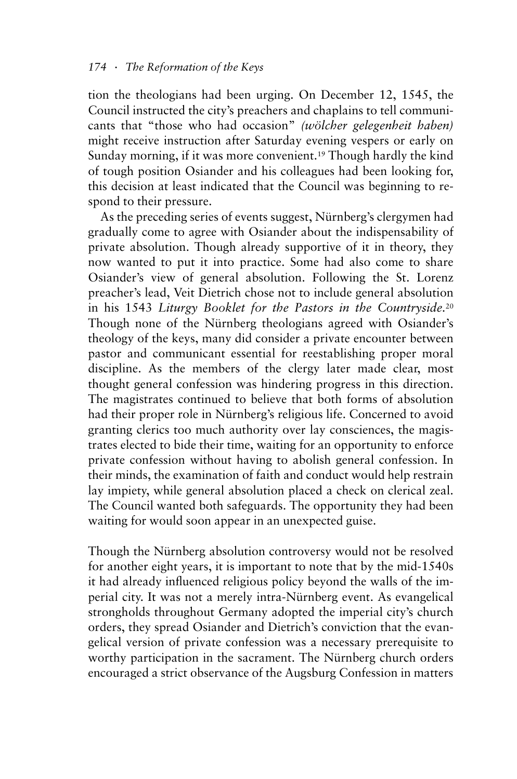tion the theologians had been urging. On December 12, 1545, the Council instructed the city's preachers and chaplains to tell communicants that "those who had occasion" *(wölcher gelegenheit haben)* might receive instruction after Saturday evening vespers or early on Sunday morning, if it was more convenient.<sup>19</sup> Though hardly the kind of tough position Osiander and his colleagues had been looking for, this decision at least indicated that the Council was beginning to respond to their pressure.

As the preceding series of events suggest, Nürnberg's clergymen had gradually come to agree with Osiander about the indispensability of private absolution. Though already supportive of it in theory, they now wanted to put it into practice. Some had also come to share Osiander's view of general absolution. Following the St. Lorenz preacher's lead, Veit Dietrich chose not to include general absolution in his 1543 *Liturgy Booklet for the Pastors in the Countryside.*<sup>20</sup> Though none of the Nürnberg theologians agreed with Osiander's theology of the keys, many did consider a private encounter between pastor and communicant essential for reestablishing proper moral discipline. As the members of the clergy later made clear, most thought general confession was hindering progress in this direction. The magistrates continued to believe that both forms of absolution had their proper role in Nürnberg's religious life. Concerned to avoid granting clerics too much authority over lay consciences, the magistrates elected to bide their time, waiting for an opportunity to enforce private confession without having to abolish general confession. In their minds, the examination of faith and conduct would help restrain lay impiety, while general absolution placed a check on clerical zeal. The Council wanted both safeguards. The opportunity they had been waiting for would soon appear in an unexpected guise.

Though the Nürnberg absolution controversy would not be resolved for another eight years, it is important to note that by the mid-1540s it had already influenced religious policy beyond the walls of the imperial city. It was not a merely intra-Nürnberg event. As evangelical strongholds throughout Germany adopted the imperial city's church orders, they spread Osiander and Dietrich's conviction that the evangelical version of private confession was a necessary prerequisite to worthy participation in the sacrament. The Nürnberg church orders encouraged a strict observance of the Augsburg Confession in matters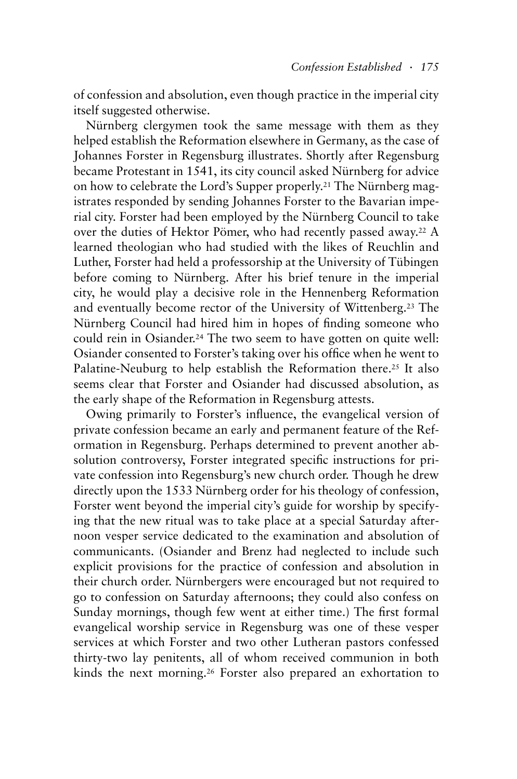of confession and absolution, even though practice in the imperial city itself suggested otherwise.

Nürnberg clergymen took the same message with them as they helped establish the Reformation elsewhere in Germany, as the case of Johannes Forster in Regensburg illustrates. Shortly after Regensburg became Protestant in 1541, its city council asked Nürnberg for advice on how to celebrate the Lord's Supper properly.21 The Nürnberg magistrates responded by sending Johannes Forster to the Bavarian imperial city. Forster had been employed by the Nürnberg Council to take over the duties of Hektor Pömer, who had recently passed away.22 A learned theologian who had studied with the likes of Reuchlin and Luther, Forster had held a professorship at the University of Tübingen before coming to Nürnberg. After his brief tenure in the imperial city, he would play a decisive role in the Hennenberg Reformation and eventually become rector of the University of Wittenberg.23 The Nürnberg Council had hired him in hopes of finding someone who could rein in Osiander.<sup>24</sup> The two seem to have gotten on quite well: Osiander consented to Forster's taking over his office when he went to Palatine-Neuburg to help establish the Reformation there.25 It also seems clear that Forster and Osiander had discussed absolution, as the early shape of the Reformation in Regensburg attests.

Owing primarily to Forster's influence, the evangelical version of private confession became an early and permanent feature of the Reformation in Regensburg. Perhaps determined to prevent another absolution controversy, Forster integrated specific instructions for private confession into Regensburg's new church order. Though he drew directly upon the 1533 Nürnberg order for his theology of confession, Forster went beyond the imperial city's guide for worship by specifying that the new ritual was to take place at a special Saturday afternoon vesper service dedicated to the examination and absolution of communicants. (Osiander and Brenz had neglected to include such explicit provisions for the practice of confession and absolution in their church order. Nürnbergers were encouraged but not required to go to confession on Saturday afternoons; they could also confess on Sunday mornings, though few went at either time.) The first formal evangelical worship service in Regensburg was one of these vesper services at which Forster and two other Lutheran pastors confessed thirty-two lay penitents, all of whom received communion in both kinds the next morning.<sup>26</sup> Forster also prepared an exhortation to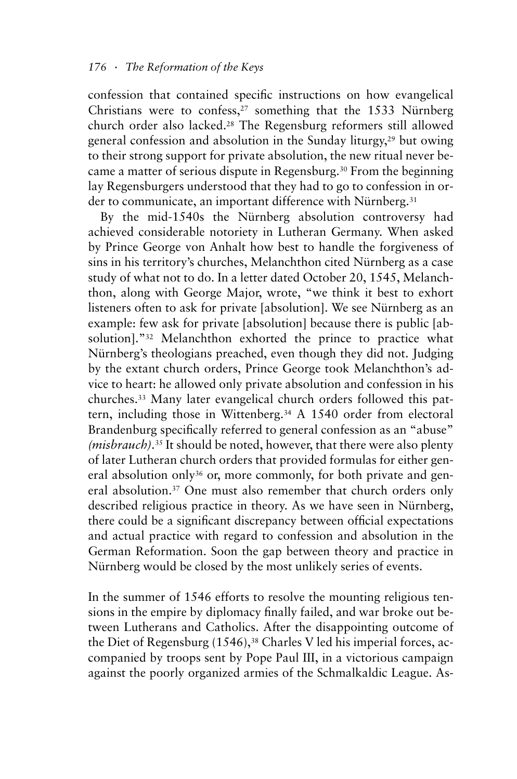confession that contained specific instructions on how evangelical Christians were to confess, $27$  something that the 1533 Nürnberg church order also lacked.28 The Regensburg reformers still allowed general confession and absolution in the Sunday liturgy,29 but owing to their strong support for private absolution, the new ritual never became a matter of serious dispute in Regensburg.30 From the beginning lay Regensburgers understood that they had to go to confession in order to communicate, an important difference with Nürnberg.<sup>31</sup>

By the mid-1540s the Nürnberg absolution controversy had achieved considerable notoriety in Lutheran Germany. When asked by Prince George von Anhalt how best to handle the forgiveness of sins in his territory's churches, Melanchthon cited Nürnberg as a case study of what not to do. In a letter dated October 20, 1545, Melanchthon, along with George Major, wrote, "we think it best to exhort listeners often to ask for private [absolution]. We see Nürnberg as an example: few ask for private [absolution] because there is public [absolution]."<sup>32</sup> Melanchthon exhorted the prince to practice what Nürnberg's theologians preached, even though they did not. Judging by the extant church orders, Prince George took Melanchthon's advice to heart: he allowed only private absolution and confession in his churches.33 Many later evangelical church orders followed this pattern, including those in Wittenberg.34 A 1540 order from electoral Brandenburg specifically referred to general confession as an "abuse" *(misbrauch).*<sup>35</sup> It should be noted, however, that there were also plenty of later Lutheran church orders that provided formulas for either general absolution only<sup>36</sup> or, more commonly, for both private and general absolution.37 One must also remember that church orders only described religious practice in theory. As we have seen in Nürnberg, there could be a significant discrepancy between official expectations and actual practice with regard to confession and absolution in the German Reformation. Soon the gap between theory and practice in Nürnberg would be closed by the most unlikely series of events.

In the summer of 1546 efforts to resolve the mounting religious tensions in the empire by diplomacy finally failed, and war broke out between Lutherans and Catholics. After the disappointing outcome of the Diet of Regensburg (1546),<sup>38</sup> Charles V led his imperial forces, accompanied by troops sent by Pope Paul III, in a victorious campaign against the poorly organized armies of the Schmalkaldic League. As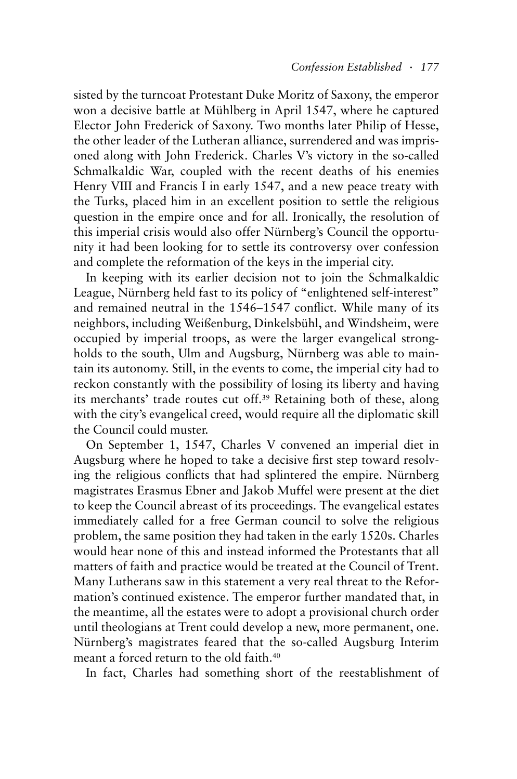sisted by the turncoat Protestant Duke Moritz of Saxony, the emperor won a decisive battle at Mühlberg in April 1547, where he captured Elector John Frederick of Saxony. Two months later Philip of Hesse, the other leader of the Lutheran alliance, surrendered and was imprisoned along with John Frederick. Charles V's victory in the so-called Schmalkaldic War, coupled with the recent deaths of his enemies Henry VIII and Francis I in early 1547, and a new peace treaty with the Turks, placed him in an excellent position to settle the religious question in the empire once and for all. Ironically, the resolution of this imperial crisis would also offer Nürnberg's Council the opportunity it had been looking for to settle its controversy over confession and complete the reformation of the keys in the imperial city.

In keeping with its earlier decision not to join the Schmalkaldic League, Nürnberg held fast to its policy of "enlightened self-interest" and remained neutral in the 1546–1547 conflict. While many of its neighbors, including Weißenburg, Dinkelsbühl, and Windsheim, were occupied by imperial troops, as were the larger evangelical strongholds to the south, Ulm and Augsburg, Nürnberg was able to maintain its autonomy. Still, in the events to come, the imperial city had to reckon constantly with the possibility of losing its liberty and having its merchants' trade routes cut off.39 Retaining both of these, along with the city's evangelical creed, would require all the diplomatic skill the Council could muster.

On September 1, 1547, Charles V convened an imperial diet in Augsburg where he hoped to take a decisive first step toward resolving the religious conflicts that had splintered the empire. Nürnberg magistrates Erasmus Ebner and Jakob Muffel were present at the diet to keep the Council abreast of its proceedings. The evangelical estates immediately called for a free German council to solve the religious problem, the same position they had taken in the early 1520s. Charles would hear none of this and instead informed the Protestants that all matters of faith and practice would be treated at the Council of Trent. Many Lutherans saw in this statement a very real threat to the Reformation's continued existence. The emperor further mandated that, in the meantime, all the estates were to adopt a provisional church order until theologians at Trent could develop a new, more permanent, one. Nürnberg's magistrates feared that the so-called Augsburg Interim meant a forced return to the old faith.40

In fact, Charles had something short of the reestablishment of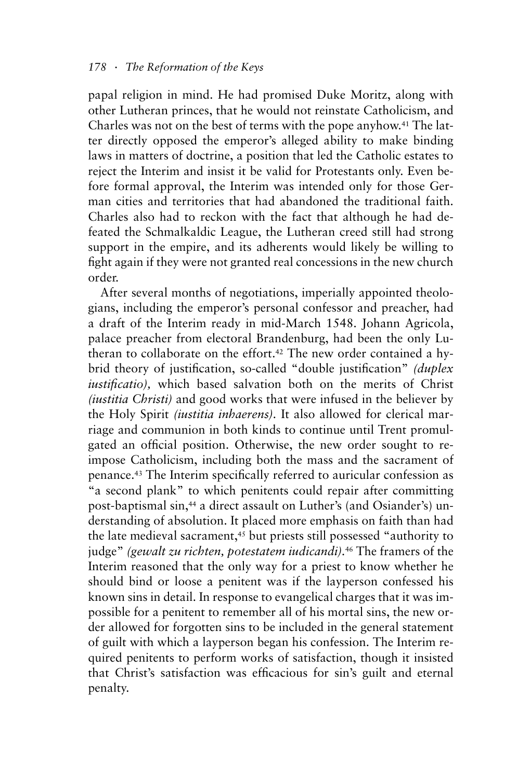papal religion in mind. He had promised Duke Moritz, along with other Lutheran princes, that he would not reinstate Catholicism, and Charles was not on the best of terms with the pope anyhow.41 The latter directly opposed the emperor's alleged ability to make binding laws in matters of doctrine, a position that led the Catholic estates to reject the Interim and insist it be valid for Protestants only. Even before formal approval, the Interim was intended only for those German cities and territories that had abandoned the traditional faith. Charles also had to reckon with the fact that although he had defeated the Schmalkaldic League, the Lutheran creed still had strong support in the empire, and its adherents would likely be willing to fight again if they were not granted real concessions in the new church order.

After several months of negotiations, imperially appointed theologians, including the emperor's personal confessor and preacher, had a draft of the Interim ready in mid-March 1548. Johann Agricola, palace preacher from electoral Brandenburg, had been the only Lutheran to collaborate on the effort.<sup>42</sup> The new order contained a hybrid theory of justification, so-called "double justification" *(duplex iustificatio),* which based salvation both on the merits of Christ *(iustitia Christi)* and good works that were infused in the believer by the Holy Spirit *(iustitia inhaerens).* It also allowed for clerical marriage and communion in both kinds to continue until Trent promulgated an official position. Otherwise, the new order sought to reimpose Catholicism, including both the mass and the sacrament of penance.43 The Interim specifically referred to auricular confession as "a second plank" to which penitents could repair after committing post-baptismal sin,44 a direct assault on Luther's (and Osiander's) understanding of absolution. It placed more emphasis on faith than had the late medieval sacrament,<sup>45</sup> but priests still possessed "authority to judge" *(gewalt zu richten, potestatem iudicandi).*<sup>46</sup> The framers of the Interim reasoned that the only way for a priest to know whether he should bind or loose a penitent was if the layperson confessed his known sins in detail. In response to evangelical charges that it was impossible for a penitent to remember all of his mortal sins, the new order allowed for forgotten sins to be included in the general statement of guilt with which a layperson began his confession. The Interim required penitents to perform works of satisfaction, though it insisted that Christ's satisfaction was efficacious for sin's guilt and eternal penalty.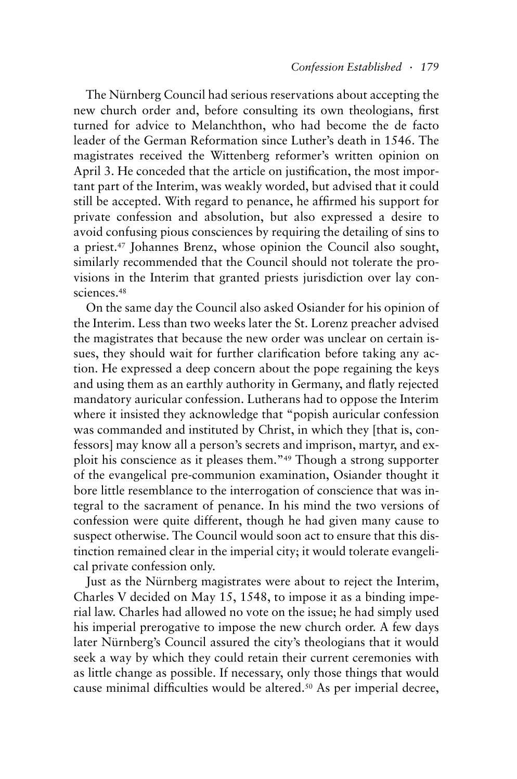The Nürnberg Council had serious reservations about accepting the new church order and, before consulting its own theologians, first turned for advice to Melanchthon, who had become the de facto leader of the German Reformation since Luther's death in 1546. The magistrates received the Wittenberg reformer's written opinion on April 3. He conceded that the article on justification, the most important part of the Interim, was weakly worded, but advised that it could still be accepted. With regard to penance, he affirmed his support for private confession and absolution, but also expressed a desire to avoid confusing pious consciences by requiring the detailing of sins to a priest.47 Johannes Brenz, whose opinion the Council also sought, similarly recommended that the Council should not tolerate the provisions in the Interim that granted priests jurisdiction over lay consciences.48

On the same day the Council also asked Osiander for his opinion of the Interim. Less than two weeks later the St. Lorenz preacher advised the magistrates that because the new order was unclear on certain issues, they should wait for further clarification before taking any action. He expressed a deep concern about the pope regaining the keys and using them as an earthly authority in Germany, and flatly rejected mandatory auricular confession. Lutherans had to oppose the Interim where it insisted they acknowledge that "popish auricular confession was commanded and instituted by Christ, in which they [that is, confessors] may know all a person's secrets and imprison, martyr, and exploit his conscience as it pleases them."49 Though a strong supporter of the evangelical pre-communion examination, Osiander thought it bore little resemblance to the interrogation of conscience that was integral to the sacrament of penance. In his mind the two versions of confession were quite different, though he had given many cause to suspect otherwise. The Council would soon act to ensure that this distinction remained clear in the imperial city; it would tolerate evangelical private confession only.

Just as the Nürnberg magistrates were about to reject the Interim, Charles V decided on May 15, 1548, to impose it as a binding imperial law. Charles had allowed no vote on the issue; he had simply used his imperial prerogative to impose the new church order. A few days later Nürnberg's Council assured the city's theologians that it would seek a way by which they could retain their current ceremonies with as little change as possible. If necessary, only those things that would cause minimal difficulties would be altered.50 As per imperial decree,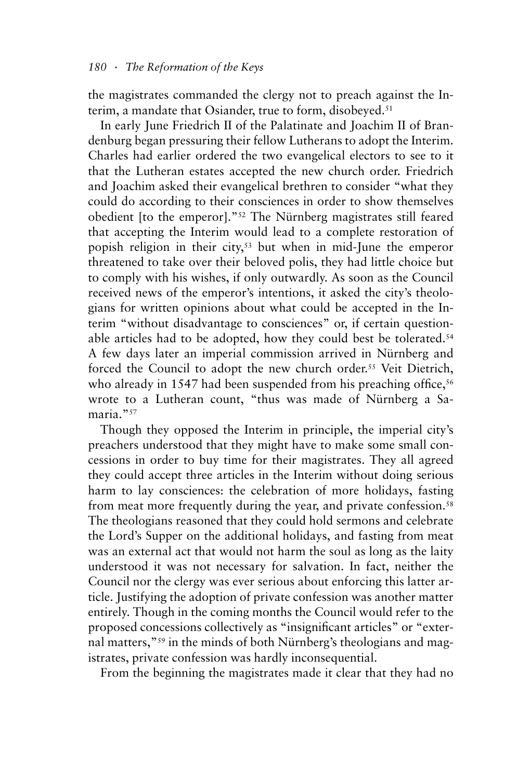the magistrates commanded the clergy not to preach against the Interim, a mandate that Osiander, true to form, disobeyed.<sup>51</sup>

In early June Friedrich II of the Palatinate and Joachim II of Brandenburg began pressuring their fellow Lutherans to adopt the Interim. Charles had earlier ordered the two evangelical electors to see to it that the Lutheran estates accepted the new church order. Friedrich and Joachim asked their evangelical brethren to consider "what they could do according to their consciences in order to show themselves obedient [to the emperor]."52 The Nürnberg magistrates still feared that accepting the Interim would lead to a complete restoration of popish religion in their city,53 but when in mid-June the emperor threatened to take over their beloved polis, they had little choice but to comply with his wishes, if only outwardly. As soon as the Council received news of the emperor's intentions, it asked the city's theologians for written opinions about what could be accepted in the Interim "without disadvantage to consciences" or, if certain questionable articles had to be adopted, how they could best be tolerated.<sup>54</sup> A few days later an imperial commission arrived in Nürnberg and forced the Council to adopt the new church order.<sup>55</sup> Veit Dietrich, who already in 1547 had been suspended from his preaching office,<sup>56</sup> wrote to a Lutheran count, "thus was made of Nürnberg a Samaria."<sup>57</sup>

Though they opposed the Interim in principle, the imperial city's preachers understood that they might have to make some small concessions in order to buy time for their magistrates. They all agreed they could accept three articles in the Interim without doing serious harm to lay consciences: the celebration of more holidays, fasting from meat more frequently during the year, and private confession.58 The theologians reasoned that they could hold sermons and celebrate the Lord's Supper on the additional holidays, and fasting from meat was an external act that would not harm the soul as long as the laity understood it was not necessary for salvation. In fact, neither the Council nor the clergy was ever serious about enforcing this latter article. Justifying the adoption of private confession was another matter entirely. Though in the coming months the Council would refer to the proposed concessions collectively as "insignificant articles" or "external matters,"59 in the minds of both Nürnberg's theologians and magistrates, private confession was hardly inconsequential.

From the beginning the magistrates made it clear that they had no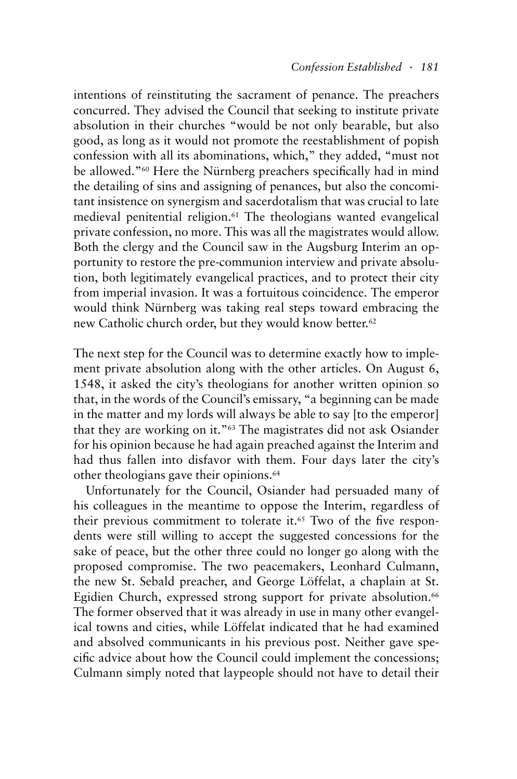intentions of reinstituting the sacrament of penance. The preachers concurred. They advised the Council that seeking to institute private absolution in their churches "would be not only bearable, but also good, as long as it would not promote the reestablishment of popish confession with all its abominations, which," they added, "must not be allowed."60 Here the Nürnberg preachers specifically had in mind the detailing of sins and assigning of penances, but also the concomitant insistence on synergism and sacerdotalism that was crucial to late medieval penitential religion.61 The theologians wanted evangelical private confession, no more. This was all the magistrates would allow. Both the clergy and the Council saw in the Augsburg Interim an opportunity to restore the pre-communion interview and private absolution, both legitimately evangelical practices, and to protect their city from imperial invasion. It was a fortuitous coincidence. The emperor would think Nürnberg was taking real steps toward embracing the new Catholic church order, but they would know better.<sup>62</sup>

The next step for the Council was to determine exactly how to implement private absolution along with the other articles. On August 6, 1548, it asked the city's theologians for another written opinion so that, in the words of the Council's emissary, "a beginning can be made in the matter and my lords will always be able to say [to the emperor] that they are working on it."63 The magistrates did not ask Osiander for his opinion because he had again preached against the Interim and had thus fallen into disfavor with them. Four days later the city's other theologians gave their opinions.64

Unfortunately for the Council, Osiander had persuaded many of his colleagues in the meantime to oppose the Interim, regardless of their previous commitment to tolerate it.<sup>65</sup> Two of the five respondents were still willing to accept the suggested concessions for the sake of peace, but the other three could no longer go along with the proposed compromise. The two peacemakers, Leonhard Culmann, the new St. Sebald preacher, and George Löffelat, a chaplain at St. Egidien Church, expressed strong support for private absolution.<sup>66</sup> The former observed that it was already in use in many other evangelical towns and cities, while Löffelat indicated that he had examined and absolved communicants in his previous post. Neither gave specific advice about how the Council could implement the concessions; Culmann simply noted that laypeople should not have to detail their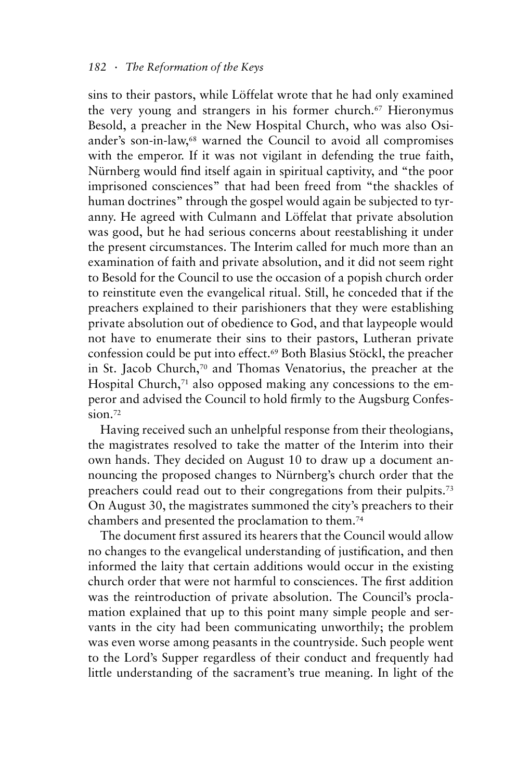sins to their pastors, while Löffelat wrote that he had only examined the very young and strangers in his former church.<sup>67</sup> Hieronymus Besold, a preacher in the New Hospital Church, who was also Osiander's son-in-law,<sup>68</sup> warned the Council to avoid all compromises with the emperor. If it was not vigilant in defending the true faith, Nürnberg would find itself again in spiritual captivity, and "the poor imprisoned consciences" that had been freed from "the shackles of human doctrines" through the gospel would again be subjected to tyranny. He agreed with Culmann and Löffelat that private absolution was good, but he had serious concerns about reestablishing it under the present circumstances. The Interim called for much more than an examination of faith and private absolution, and it did not seem right to Besold for the Council to use the occasion of a popish church order to reinstitute even the evangelical ritual. Still, he conceded that if the preachers explained to their parishioners that they were establishing private absolution out of obedience to God, and that laypeople would not have to enumerate their sins to their pastors, Lutheran private confession could be put into effect.69 Both Blasius Stöckl, the preacher in St. Jacob Church,70 and Thomas Venatorius, the preacher at the Hospital Church,<sup>71</sup> also opposed making any concessions to the emperor and advised the Council to hold firmly to the Augsburg Confession.<sup>72</sup>

Having received such an unhelpful response from their theologians, the magistrates resolved to take the matter of the Interim into their own hands. They decided on August 10 to draw up a document announcing the proposed changes to Nürnberg's church order that the preachers could read out to their congregations from their pulpits.73 On August 30, the magistrates summoned the city's preachers to their chambers and presented the proclamation to them.74

The document first assured its hearers that the Council would allow no changes to the evangelical understanding of justification, and then informed the laity that certain additions would occur in the existing church order that were not harmful to consciences. The first addition was the reintroduction of private absolution. The Council's proclamation explained that up to this point many simple people and servants in the city had been communicating unworthily; the problem was even worse among peasants in the countryside. Such people went to the Lord's Supper regardless of their conduct and frequently had little understanding of the sacrament's true meaning. In light of the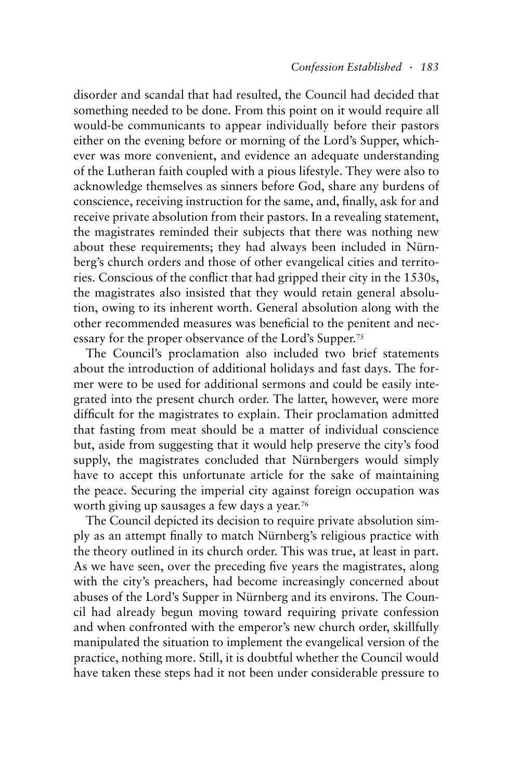disorder and scandal that had resulted, the Council had decided that something needed to be done. From this point on it would require all would-be communicants to appear individually before their pastors either on the evening before or morning of the Lord's Supper, whichever was more convenient, and evidence an adequate understanding of the Lutheran faith coupled with a pious lifestyle. They were also to acknowledge themselves as sinners before God, share any burdens of conscience, receiving instruction for the same, and, finally, ask for and receive private absolution from their pastors. In a revealing statement, the magistrates reminded their subjects that there was nothing new about these requirements; they had always been included in Nürnberg's church orders and those of other evangelical cities and territories. Conscious of the conflict that had gripped their city in the 1530s, the magistrates also insisted that they would retain general absolution, owing to its inherent worth. General absolution along with the other recommended measures was beneficial to the penitent and necessary for the proper observance of the Lord's Supper.<sup>75</sup>

The Council's proclamation also included two brief statements about the introduction of additional holidays and fast days. The former were to be used for additional sermons and could be easily integrated into the present church order. The latter, however, were more difficult for the magistrates to explain. Their proclamation admitted that fasting from meat should be a matter of individual conscience but, aside from suggesting that it would help preserve the city's food supply, the magistrates concluded that Nürnbergers would simply have to accept this unfortunate article for the sake of maintaining the peace. Securing the imperial city against foreign occupation was worth giving up sausages a few days a year.76

The Council depicted its decision to require private absolution simply as an attempt finally to match Nürnberg's religious practice with the theory outlined in its church order. This was true, at least in part. As we have seen, over the preceding five years the magistrates, along with the city's preachers, had become increasingly concerned about abuses of the Lord's Supper in Nürnberg and its environs. The Council had already begun moving toward requiring private confession and when confronted with the emperor's new church order, skillfully manipulated the situation to implement the evangelical version of the practice, nothing more. Still, it is doubtful whether the Council would have taken these steps had it not been under considerable pressure to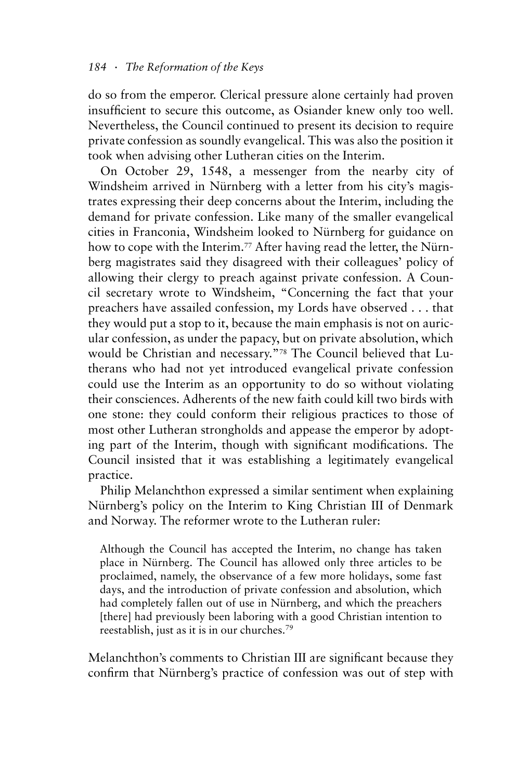do so from the emperor. Clerical pressure alone certainly had proven insufficient to secure this outcome, as Osiander knew only too well. Nevertheless, the Council continued to present its decision to require private confession as soundly evangelical. This was also the position it took when advising other Lutheran cities on the Interim.

On October 29, 1548, a messenger from the nearby city of Windsheim arrived in Nürnberg with a letter from his city's magistrates expressing their deep concerns about the Interim, including the demand for private confession. Like many of the smaller evangelical cities in Franconia, Windsheim looked to Nürnberg for guidance on how to cope with the Interim.<sup>77</sup> After having read the letter, the Nürnberg magistrates said they disagreed with their colleagues' policy of allowing their clergy to preach against private confession. A Council secretary wrote to Windsheim, "Concerning the fact that your preachers have assailed confession, my Lords have observed... that they would put a stop to it, because the main emphasis is not on auricular confession, as under the papacy, but on private absolution, which would be Christian and necessary."78 The Council believed that Lutherans who had not yet introduced evangelical private confession could use the Interim as an opportunity to do so without violating their consciences. Adherents of the new faith could kill two birds with one stone: they could conform their religious practices to those of most other Lutheran strongholds and appease the emperor by adopting part of the Interim, though with significant modifications. The Council insisted that it was establishing a legitimately evangelical practice.

Philip Melanchthon expressed a similar sentiment when explaining Nürnberg's policy on the Interim to King Christian III of Denmark and Norway. The reformer wrote to the Lutheran ruler:

Although the Council has accepted the Interim, no change has taken place in Nürnberg. The Council has allowed only three articles to be proclaimed, namely, the observance of a few more holidays, some fast days, and the introduction of private confession and absolution, which had completely fallen out of use in Nürnberg, and which the preachers [there] had previously been laboring with a good Christian intention to reestablish, just as it is in our churches.79

Melanchthon's comments to Christian III are significant because they confirm that Nürnberg's practice of confession was out of step with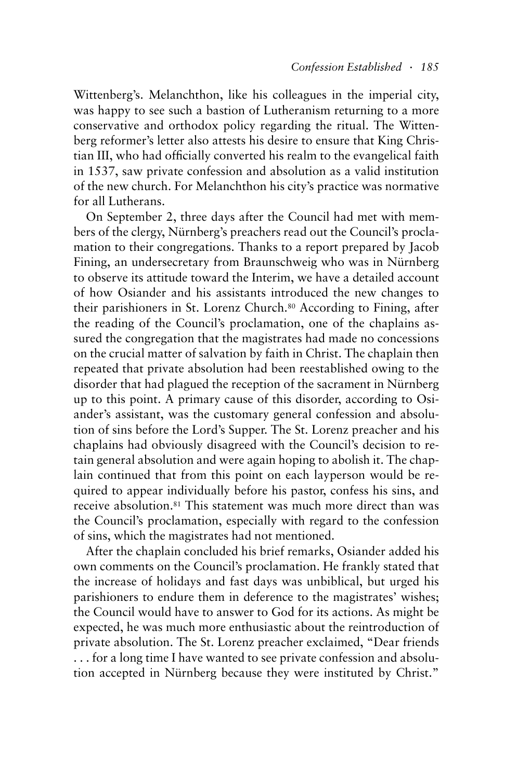Wittenberg's. Melanchthon, like his colleagues in the imperial city, was happy to see such a bastion of Lutheranism returning to a more conservative and orthodox policy regarding the ritual. The Wittenberg reformer's letter also attests his desire to ensure that King Christian III, who had officially converted his realm to the evangelical faith in 1537, saw private confession and absolution as a valid institution of the new church. For Melanchthon his city's practice was normative for all Lutherans.

On September 2, three days after the Council had met with members of the clergy, Nürnberg's preachers read out the Council's proclamation to their congregations. Thanks to a report prepared by Jacob Fining, an undersecretary from Braunschweig who was in Nürnberg to observe its attitude toward the Interim, we have a detailed account of how Osiander and his assistants introduced the new changes to their parishioners in St. Lorenz Church.<sup>80</sup> According to Fining, after the reading of the Council's proclamation, one of the chaplains assured the congregation that the magistrates had made no concessions on the crucial matter of salvation by faith in Christ. The chaplain then repeated that private absolution had been reestablished owing to the disorder that had plagued the reception of the sacrament in Nürnberg up to this point. A primary cause of this disorder, according to Osiander's assistant, was the customary general confession and absolution of sins before the Lord's Supper. The St. Lorenz preacher and his chaplains had obviously disagreed with the Council's decision to retain general absolution and were again hoping to abolish it. The chaplain continued that from this point on each layperson would be required to appear individually before his pastor, confess his sins, and receive absolution.81 This statement was much more direct than was the Council's proclamation, especially with regard to the confession of sins, which the magistrates had not mentioned.

After the chaplain concluded his brief remarks, Osiander added his own comments on the Council's proclamation. He frankly stated that the increase of holidays and fast days was unbiblical, but urged his parishioners to endure them in deference to the magistrates' wishes; the Council would have to answer to God for its actions. As might be expected, he was much more enthusiastic about the reintroduction of private absolution. The St. Lorenz preacher exclaimed, "Dear friends . . . for a long time I have wanted to see private confession and absolution accepted in Nürnberg because they were instituted by Christ."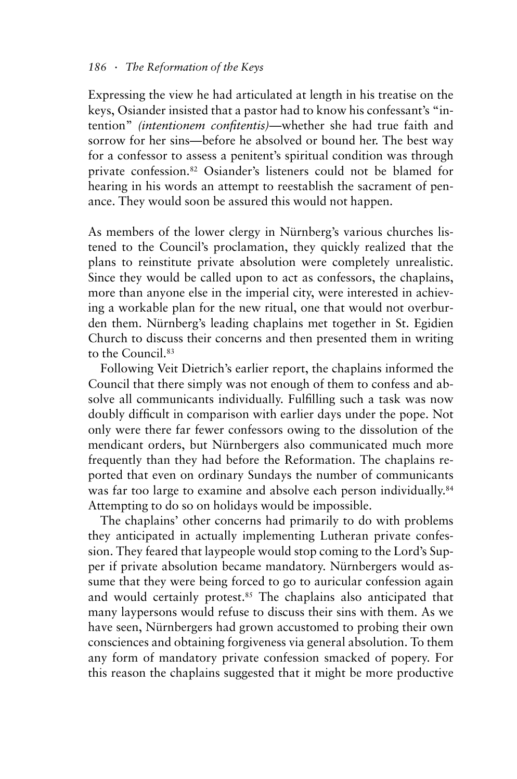Expressing the view he had articulated at length in his treatise on the keys, Osiander insisted that a pastor had to know his confessant's "intention" *(intentionem confitentis)*—whether she had true faith and sorrow for her sins—before he absolved or bound her. The best way for a confessor to assess a penitent's spiritual condition was through private confession.82 Osiander's listeners could not be blamed for hearing in his words an attempt to reestablish the sacrament of penance. They would soon be assured this would not happen.

As members of the lower clergy in Nürnberg's various churches listened to the Council's proclamation, they quickly realized that the plans to reinstitute private absolution were completely unrealistic. Since they would be called upon to act as confessors, the chaplains, more than anyone else in the imperial city, were interested in achieving a workable plan for the new ritual, one that would not overburden them. Nürnberg's leading chaplains met together in St. Egidien Church to discuss their concerns and then presented them in writing to the Council.83

Following Veit Dietrich's earlier report, the chaplains informed the Council that there simply was not enough of them to confess and absolve all communicants individually. Fulfilling such a task was now doubly difficult in comparison with earlier days under the pope. Not only were there far fewer confessors owing to the dissolution of the mendicant orders, but Nürnbergers also communicated much more frequently than they had before the Reformation. The chaplains reported that even on ordinary Sundays the number of communicants was far too large to examine and absolve each person individually.<sup>84</sup> Attempting to do so on holidays would be impossible.

The chaplains' other concerns had primarily to do with problems they anticipated in actually implementing Lutheran private confession. They feared that laypeople would stop coming to the Lord's Supper if private absolution became mandatory. Nürnbergers would assume that they were being forced to go to auricular confession again and would certainly protest.85 The chaplains also anticipated that many laypersons would refuse to discuss their sins with them. As we have seen, Nürnbergers had grown accustomed to probing their own consciences and obtaining forgiveness via general absolution. To them any form of mandatory private confession smacked of popery. For this reason the chaplains suggested that it might be more productive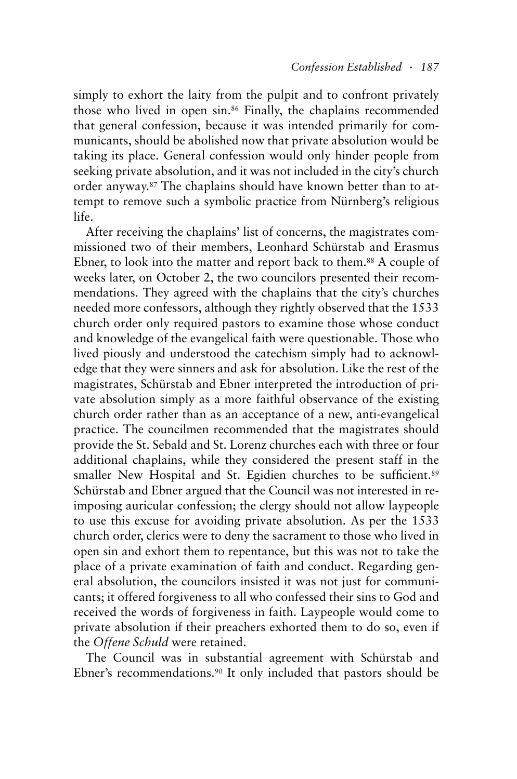simply to exhort the laity from the pulpit and to confront privately those who lived in open sin.86 Finally, the chaplains recommended that general confession, because it was intended primarily for communicants, should be abolished now that private absolution would be taking its place. General confession would only hinder people from seeking private absolution, and it was not included in the city's church order anyway.87 The chaplains should have known better than to attempt to remove such a symbolic practice from Nürnberg's religious life.

After receiving the chaplains' list of concerns, the magistrates commissioned two of their members, Leonhard Schürstab and Erasmus Ebner, to look into the matter and report back to them.<sup>88</sup> A couple of weeks later, on October 2, the two councilors presented their recommendations. They agreed with the chaplains that the city's churches needed more confessors, although they rightly observed that the 1533 church order only required pastors to examine those whose conduct and knowledge of the evangelical faith were questionable. Those who lived piously and understood the catechism simply had to acknowledge that they were sinners and ask for absolution. Like the rest of the magistrates, Schürstab and Ebner interpreted the introduction of private absolution simply as a more faithful observance of the existing church order rather than as an acceptance of a new, anti-evangelical practice. The councilmen recommended that the magistrates should provide the St. Sebald and St. Lorenz churches each with three or four additional chaplains, while they considered the present staff in the smaller New Hospital and St. Egidien churches to be sufficient.<sup>89</sup> Schürstab and Ebner argued that the Council was not interested in reimposing auricular confession; the clergy should not allow laypeople to use this excuse for avoiding private absolution. As per the 1533 church order, clerics were to deny the sacrament to those who lived in open sin and exhort them to repentance, but this was not to take the place of a private examination of faith and conduct. Regarding general absolution, the councilors insisted it was not just for communicants; it offered forgiveness to all who confessed their sins to God and received the words of forgiveness in faith. Laypeople would come to private absolution if their preachers exhorted them to do so, even if the *Offene Schuld* were retained.

The Council was in substantial agreement with Schürstab and Ebner's recommendations.90 It only included that pastors should be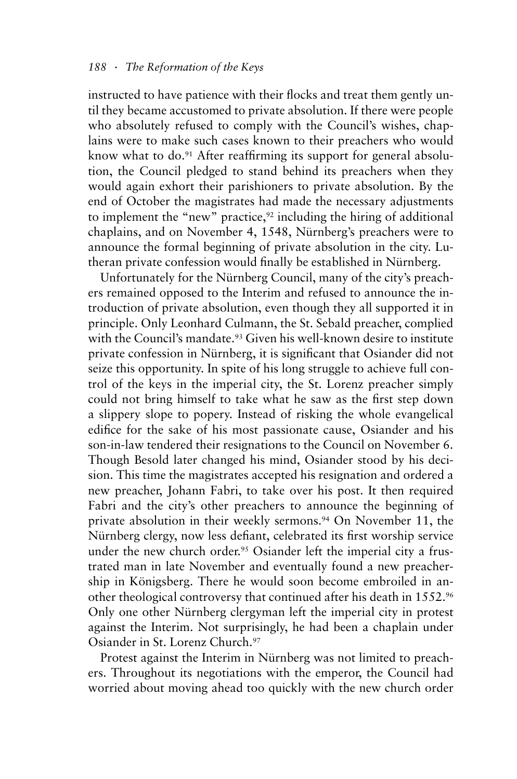instructed to have patience with their flocks and treat them gently until they became accustomed to private absolution. If there were people who absolutely refused to comply with the Council's wishes, chaplains were to make such cases known to their preachers who would know what to do.<sup>91</sup> After reaffirming its support for general absolution, the Council pledged to stand behind its preachers when they would again exhort their parishioners to private absolution. By the end of October the magistrates had made the necessary adjustments to implement the "new" practice,<sup>92</sup> including the hiring of additional chaplains, and on November 4, 1548, Nürnberg's preachers were to announce the formal beginning of private absolution in the city. Lutheran private confession would finally be established in Nürnberg.

Unfortunately for the Nürnberg Council, many of the city's preachers remained opposed to the Interim and refused to announce the introduction of private absolution, even though they all supported it in principle. Only Leonhard Culmann, the St. Sebald preacher, complied with the Council's mandate.<sup>93</sup> Given his well-known desire to institute private confession in Nürnberg, it is significant that Osiander did not seize this opportunity. In spite of his long struggle to achieve full control of the keys in the imperial city, the St. Lorenz preacher simply could not bring himself to take what he saw as the first step down a slippery slope to popery. Instead of risking the whole evangelical edifice for the sake of his most passionate cause, Osiander and his son-in-law tendered their resignations to the Council on November 6. Though Besold later changed his mind, Osiander stood by his decision. This time the magistrates accepted his resignation and ordered a new preacher, Johann Fabri, to take over his post. It then required Fabri and the city's other preachers to announce the beginning of private absolution in their weekly sermons.<sup>94</sup> On November 11, the Nürnberg clergy, now less defiant, celebrated its first worship service under the new church order.<sup>95</sup> Osiander left the imperial city a frustrated man in late November and eventually found a new preachership in Königsberg. There he would soon become embroiled in another theological controversy that continued after his death in 1552.96 Only one other Nürnberg clergyman left the imperial city in protest against the Interim. Not surprisingly, he had been a chaplain under Osiander in St. Lorenz Church.97

Protest against the Interim in Nürnberg was not limited to preachers. Throughout its negotiations with the emperor, the Council had worried about moving ahead too quickly with the new church order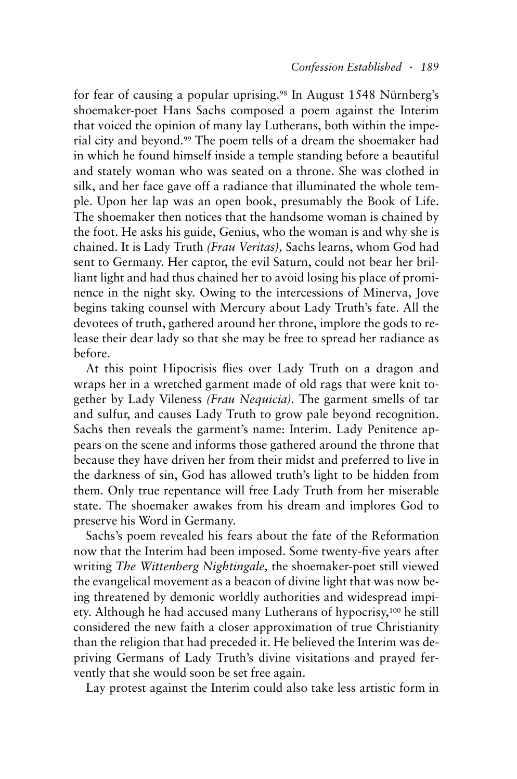for fear of causing a popular uprising.<sup>98</sup> In August 1548 Nürnberg's shoemaker-poet Hans Sachs composed a poem against the Interim that voiced the opinion of many lay Lutherans, both within the imperial city and beyond.99 The poem tells of a dream the shoemaker had in which he found himself inside a temple standing before a beautiful and stately woman who was seated on a throne. She was clothed in silk, and her face gave off a radiance that illuminated the whole temple. Upon her lap was an open book, presumably the Book of Life. The shoemaker then notices that the handsome woman is chained by the foot. He asks his guide, Genius, who the woman is and why she is chained. It is Lady Truth *(Frau Veritas),* Sachs learns, whom God had sent to Germany. Her captor, the evil Saturn, could not bear her brilliant light and had thus chained her to avoid losing his place of prominence in the night sky. Owing to the intercessions of Minerva, Jove begins taking counsel with Mercury about Lady Truth's fate. All the devotees of truth, gathered around her throne, implore the gods to release their dear lady so that she may be free to spread her radiance as before.

At this point Hipocrisis flies over Lady Truth on a dragon and wraps her in a wretched garment made of old rags that were knit together by Lady Vileness *(Frau Nequicia).* The garment smells of tar and sulfur, and causes Lady Truth to grow pale beyond recognition. Sachs then reveals the garment's name: Interim. Lady Penitence appears on the scene and informs those gathered around the throne that because they have driven her from their midst and preferred to live in the darkness of sin, God has allowed truth's light to be hidden from them. Only true repentance will free Lady Truth from her miserable state. The shoemaker awakes from his dream and implores God to preserve his Word in Germany.

Sachs's poem revealed his fears about the fate of the Reformation now that the Interim had been imposed. Some twenty-five years after writing *The Wittenberg Nightingale,* the shoemaker-poet still viewed the evangelical movement as a beacon of divine light that was now being threatened by demonic worldly authorities and widespread impiety. Although he had accused many Lutherans of hypocrisy,100 he still considered the new faith a closer approximation of true Christianity than the religion that had preceded it. He believed the Interim was depriving Germans of Lady Truth's divine visitations and prayed fervently that she would soon be set free again.

Lay protest against the Interim could also take less artistic form in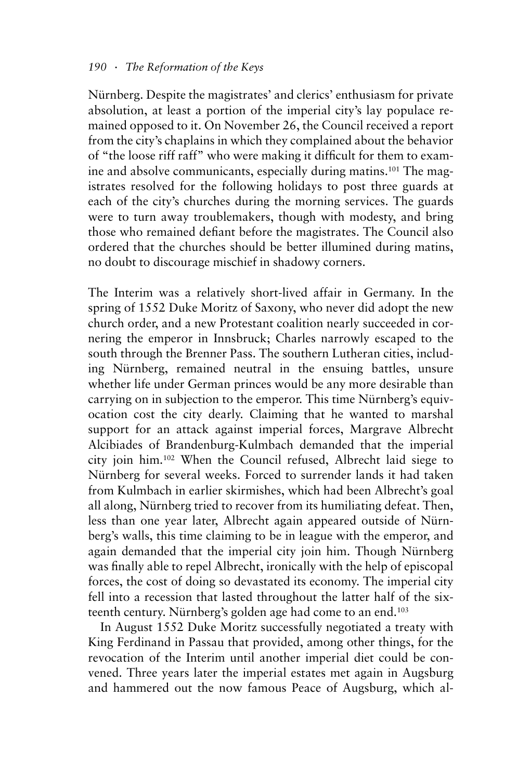Nürnberg. Despite the magistrates' and clerics' enthusiasm for private absolution, at least a portion of the imperial city's lay populace remained opposed to it. On November 26, the Council received a report from the city's chaplains in which they complained about the behavior of "the loose riff raff" who were making it difficult for them to examine and absolve communicants, especially during matins.101 The magistrates resolved for the following holidays to post three guards at each of the city's churches during the morning services. The guards were to turn away troublemakers, though with modesty, and bring those who remained defiant before the magistrates. The Council also ordered that the churches should be better illumined during matins, no doubt to discourage mischief in shadowy corners.

The Interim was a relatively short-lived affair in Germany. In the spring of 1552 Duke Moritz of Saxony, who never did adopt the new church order, and a new Protestant coalition nearly succeeded in cornering the emperor in Innsbruck; Charles narrowly escaped to the south through the Brenner Pass. The southern Lutheran cities, including Nürnberg, remained neutral in the ensuing battles, unsure whether life under German princes would be any more desirable than carrying on in subjection to the emperor. This time Nürnberg's equivocation cost the city dearly. Claiming that he wanted to marshal support for an attack against imperial forces, Margrave Albrecht Alcibiades of Brandenburg-Kulmbach demanded that the imperial city join him.102 When the Council refused, Albrecht laid siege to Nürnberg for several weeks. Forced to surrender lands it had taken from Kulmbach in earlier skirmishes, which had been Albrecht's goal all along, Nürnberg tried to recover from its humiliating defeat. Then, less than one year later, Albrecht again appeared outside of Nürnberg's walls, this time claiming to be in league with the emperor, and again demanded that the imperial city join him. Though Nürnberg was finally able to repel Albrecht, ironically with the help of episcopal forces, the cost of doing so devastated its economy. The imperial city fell into a recession that lasted throughout the latter half of the sixteenth century. Nürnberg's golden age had come to an end.103

In August 1552 Duke Moritz successfully negotiated a treaty with King Ferdinand in Passau that provided, among other things, for the revocation of the Interim until another imperial diet could be convened. Three years later the imperial estates met again in Augsburg and hammered out the now famous Peace of Augsburg, which al-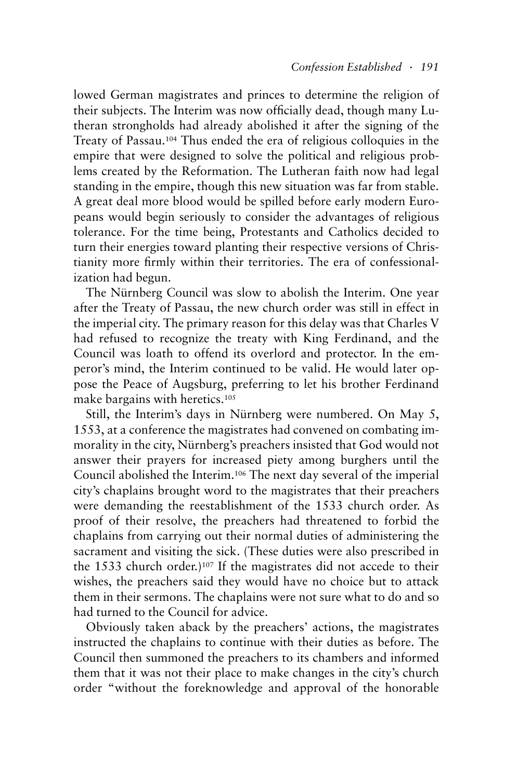lowed German magistrates and princes to determine the religion of their subjects. The Interim was now officially dead, though many Lutheran strongholds had already abolished it after the signing of the Treaty of Passau.104 Thus ended the era of religious colloquies in the empire that were designed to solve the political and religious problems created by the Reformation. The Lutheran faith now had legal standing in the empire, though this new situation was far from stable. A great deal more blood would be spilled before early modern Europeans would begin seriously to consider the advantages of religious tolerance. For the time being, Protestants and Catholics decided to turn their energies toward planting their respective versions of Christianity more firmly within their territories. The era of confessionalization had begun.

The Nürnberg Council was slow to abolish the Interim. One year after the Treaty of Passau, the new church order was still in effect in the imperial city. The primary reason for this delay was that Charles V had refused to recognize the treaty with King Ferdinand, and the Council was loath to offend its overlord and protector. In the emperor's mind, the Interim continued to be valid. He would later oppose the Peace of Augsburg, preferring to let his brother Ferdinand make bargains with heretics.105

Still, the Interim's days in Nürnberg were numbered. On May 5, 1553, at a conference the magistrates had convened on combating immorality in the city, Nürnberg's preachers insisted that God would not answer their prayers for increased piety among burghers until the Council abolished the Interim.106 The next day several of the imperial city's chaplains brought word to the magistrates that their preachers were demanding the reestablishment of the 1533 church order. As proof of their resolve, the preachers had threatened to forbid the chaplains from carrying out their normal duties of administering the sacrament and visiting the sick. (These duties were also prescribed in the 1533 church order.)107 If the magistrates did not accede to their wishes, the preachers said they would have no choice but to attack them in their sermons. The chaplains were not sure what to do and so had turned to the Council for advice.

Obviously taken aback by the preachers' actions, the magistrates instructed the chaplains to continue with their duties as before. The Council then summoned the preachers to its chambers and informed them that it was not their place to make changes in the city's church order "without the foreknowledge and approval of the honorable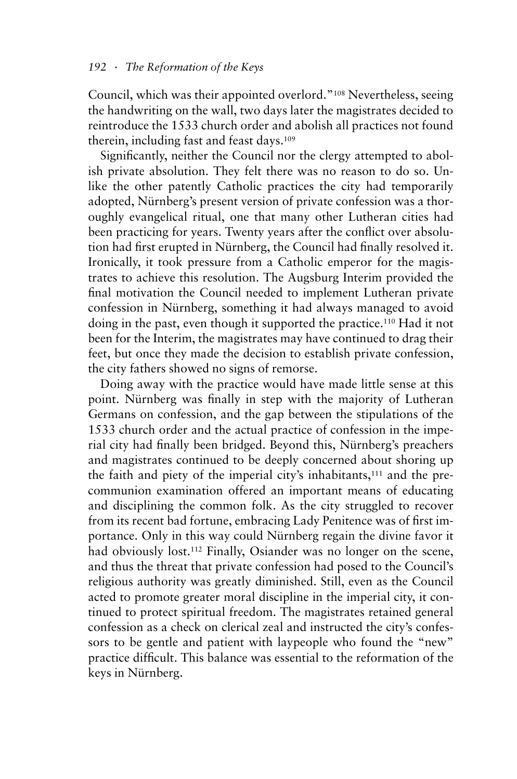Council, which was their appointed overlord."108 Nevertheless, seeing the handwriting on the wall, two days later the magistrates decided to reintroduce the 1533 church order and abolish all practices not found therein, including fast and feast days.109

Significantly, neither the Council nor the clergy attempted to abolish private absolution. They felt there was no reason to do so. Unlike the other patently Catholic practices the city had temporarily adopted, Nürnberg's present version of private confession was a thoroughly evangelical ritual, one that many other Lutheran cities had been practicing for years. Twenty years after the conflict over absolution had first erupted in Nürnberg, the Council had finally resolved it. Ironically, it took pressure from a Catholic emperor for the magistrates to achieve this resolution. The Augsburg Interim provided the final motivation the Council needed to implement Lutheran private confession in Nürnberg, something it had always managed to avoid doing in the past, even though it supported the practice.110 Had it not been for the Interim, the magistrates may have continued to drag their feet, but once they made the decision to establish private confession, the city fathers showed no signs of remorse.

Doing away with the practice would have made little sense at this point. Nürnberg was finally in step with the majority of Lutheran Germans on confession, and the gap between the stipulations of the 1533 church order and the actual practice of confession in the imperial city had finally been bridged. Beyond this, Nürnberg's preachers and magistrates continued to be deeply concerned about shoring up the faith and piety of the imperial city's inhabitants,<sup>111</sup> and the precommunion examination offered an important means of educating and disciplining the common folk. As the city struggled to recover from its recent bad fortune, embracing Lady Penitence was of first importance. Only in this way could Nürnberg regain the divine favor it had obviously lost.<sup>112</sup> Finally, Osiander was no longer on the scene, and thus the threat that private confession had posed to the Council's religious authority was greatly diminished. Still, even as the Council acted to promote greater moral discipline in the imperial city, it continued to protect spiritual freedom. The magistrates retained general confession as a check on clerical zeal and instructed the city's confessors to be gentle and patient with laypeople who found the "new" practice difficult. This balance was essential to the reformation of the keys in Nürnberg.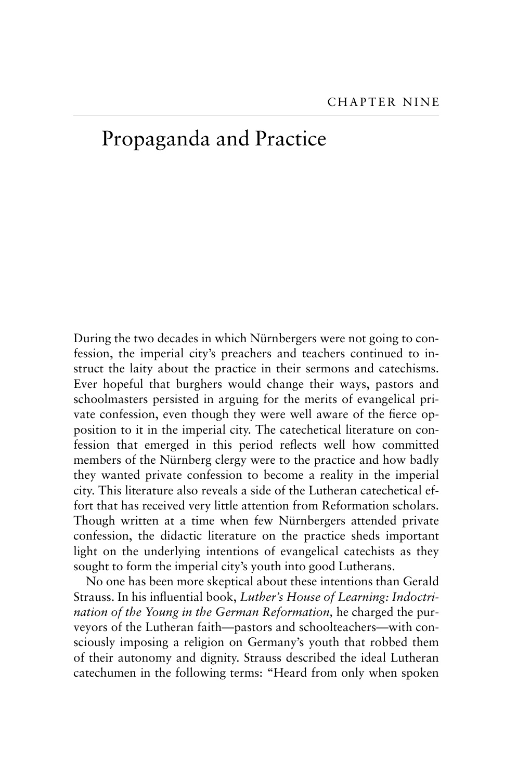# Propaganda and Practice

During the two decades in which Nürnbergers were not going to confession, the imperial city's preachers and teachers continued to instruct the laity about the practice in their sermons and catechisms. Ever hopeful that burghers would change their ways, pastors and schoolmasters persisted in arguing for the merits of evangelical private confession, even though they were well aware of the fierce opposition to it in the imperial city. The catechetical literature on confession that emerged in this period reflects well how committed members of the Nürnberg clergy were to the practice and how badly they wanted private confession to become a reality in the imperial city. This literature also reveals a side of the Lutheran catechetical effort that has received very little attention from Reformation scholars. Though written at a time when few Nürnbergers attended private confession, the didactic literature on the practice sheds important light on the underlying intentions of evangelical catechists as they sought to form the imperial city's youth into good Lutherans.

No one has been more skeptical about these intentions than Gerald Strauss. In his influential book, *Luther's House of Learning: Indoctrination of the Young in the German Reformation,* he charged the purveyors of the Lutheran faith—pastors and schoolteachers—with consciously imposing a religion on Germany's youth that robbed them of their autonomy and dignity. Strauss described the ideal Lutheran catechumen in the following terms: "Heard from only when spoken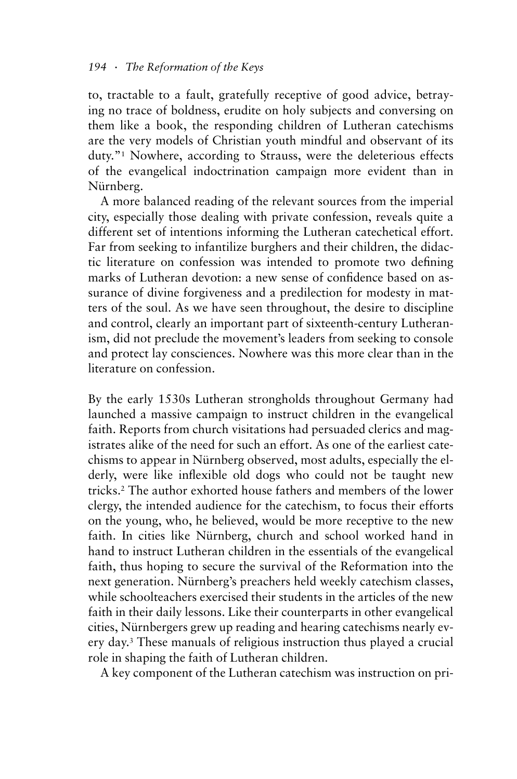#### *194 • The Reformation of the Keys*

to, tractable to a fault, gratefully receptive of good advice, betraying no trace of boldness, erudite on holy subjects and conversing on them like a book, the responding children of Lutheran catechisms are the very models of Christian youth mindful and observant of its duty."1 Nowhere, according to Strauss, were the deleterious effects of the evangelical indoctrination campaign more evident than in Nürnberg.

A more balanced reading of the relevant sources from the imperial city, especially those dealing with private confession, reveals quite a different set of intentions informing the Lutheran catechetical effort. Far from seeking to infantilize burghers and their children, the didactic literature on confession was intended to promote two defining marks of Lutheran devotion: a new sense of confidence based on assurance of divine forgiveness and a predilection for modesty in matters of the soul. As we have seen throughout, the desire to discipline and control, clearly an important part of sixteenth-century Lutheranism, did not preclude the movement's leaders from seeking to console and protect lay consciences. Nowhere was this more clear than in the literature on confession.

By the early 1530s Lutheran strongholds throughout Germany had launched a massive campaign to instruct children in the evangelical faith. Reports from church visitations had persuaded clerics and magistrates alike of the need for such an effort. As one of the earliest catechisms to appear in Nürnberg observed, most adults, especially the elderly, were like inflexible old dogs who could not be taught new tricks.2 The author exhorted house fathers and members of the lower clergy, the intended audience for the catechism, to focus their efforts on the young, who, he believed, would be more receptive to the new faith. In cities like Nürnberg, church and school worked hand in hand to instruct Lutheran children in the essentials of the evangelical faith, thus hoping to secure the survival of the Reformation into the next generation. Nürnberg's preachers held weekly catechism classes, while schoolteachers exercised their students in the articles of the new faith in their daily lessons. Like their counterparts in other evangelical cities, Nürnbergers grew up reading and hearing catechisms nearly every day.3 These manuals of religious instruction thus played a crucial role in shaping the faith of Lutheran children.

A key component of the Lutheran catechism was instruction on pri-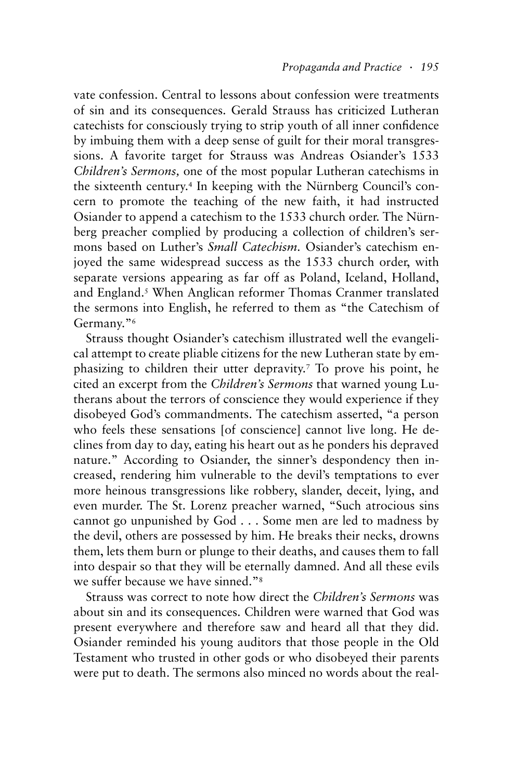vate confession. Central to lessons about confession were treatments of sin and its consequences. Gerald Strauss has criticized Lutheran catechists for consciously trying to strip youth of all inner confidence by imbuing them with a deep sense of guilt for their moral transgressions. A favorite target for Strauss was Andreas Osiander's 1533 *Children's Sermons,* one of the most popular Lutheran catechisms in the sixteenth century.4 In keeping with the Nürnberg Council's concern to promote the teaching of the new faith, it had instructed Osiander to append a catechism to the 1533 church order. The Nürnberg preacher complied by producing a collection of children's sermons based on Luther's *Small Catechism.* Osiander's catechism enjoyed the same widespread success as the 1533 church order, with separate versions appearing as far off as Poland, Iceland, Holland, and England.5 When Anglican reformer Thomas Cranmer translated the sermons into English, he referred to them as "the Catechism of Germany."6

Strauss thought Osiander's catechism illustrated well the evangelical attempt to create pliable citizens for the new Lutheran state by emphasizing to children their utter depravity.7 To prove his point, he cited an excerpt from the *Children's Sermons* that warned young Lutherans about the terrors of conscience they would experience if they disobeyed God's commandments. The catechism asserted, "a person who feels these sensations [of conscience] cannot live long. He declines from day to day, eating his heart out as he ponders his depraved nature." According to Osiander, the sinner's despondency then increased, rendering him vulnerable to the devil's temptations to ever more heinous transgressions like robbery, slander, deceit, lying, and even murder. The St. Lorenz preacher warned, "Such atrocious sins cannot go unpunished by God... Some men are led to madness by the devil, others are possessed by him. He breaks their necks, drowns them, lets them burn or plunge to their deaths, and causes them to fall into despair so that they will be eternally damned. And all these evils we suffer because we have sinned."8

Strauss was correct to note how direct the *Children's Sermons* was about sin and its consequences. Children were warned that God was present everywhere and therefore saw and heard all that they did. Osiander reminded his young auditors that those people in the Old Testament who trusted in other gods or who disobeyed their parents were put to death. The sermons also minced no words about the real-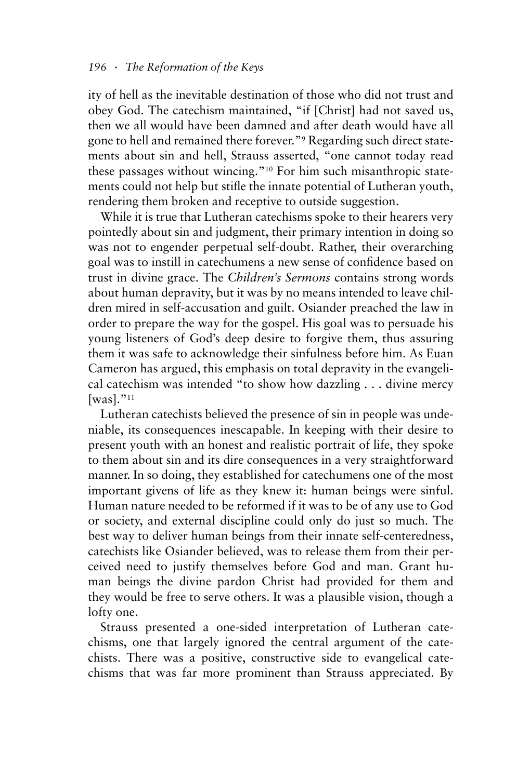ity of hell as the inevitable destination of those who did not trust and obey God. The catechism maintained, "if [Christ] had not saved us, then we all would have been damned and after death would have all gone to hell and remained there forever."9 Regarding such direct statements about sin and hell, Strauss asserted, "one cannot today read these passages without wincing."10 For him such misanthropic statements could not help but stifle the innate potential of Lutheran youth, rendering them broken and receptive to outside suggestion.

While it is true that Lutheran catechisms spoke to their hearers very pointedly about sin and judgment, their primary intention in doing so was not to engender perpetual self-doubt. Rather, their overarching goal was to instill in catechumens a new sense of confidence based on trust in divine grace. The *Children's Sermons* contains strong words about human depravity, but it was by no means intended to leave children mired in self-accusation and guilt. Osiander preached the law in order to prepare the way for the gospel. His goal was to persuade his young listeners of God's deep desire to forgive them, thus assuring them it was safe to acknowledge their sinfulness before him. As Euan Cameron has argued, this emphasis on total depravity in the evangelical catechism was intended "to show how dazzling . . . divine mercy  $[was]."^{11}$ 

Lutheran catechists believed the presence of sin in people was undeniable, its consequences inescapable. In keeping with their desire to present youth with an honest and realistic portrait of life, they spoke to them about sin and its dire consequences in a very straightforward manner. In so doing, they established for catechumens one of the most important givens of life as they knew it: human beings were sinful. Human nature needed to be reformed if it was to be of any use to God or society, and external discipline could only do just so much. The best way to deliver human beings from their innate self-centeredness, catechists like Osiander believed, was to release them from their perceived need to justify themselves before God and man. Grant human beings the divine pardon Christ had provided for them and they would be free to serve others. It was a plausible vision, though a lofty one.

Strauss presented a one-sided interpretation of Lutheran catechisms, one that largely ignored the central argument of the catechists. There was a positive, constructive side to evangelical catechisms that was far more prominent than Strauss appreciated. By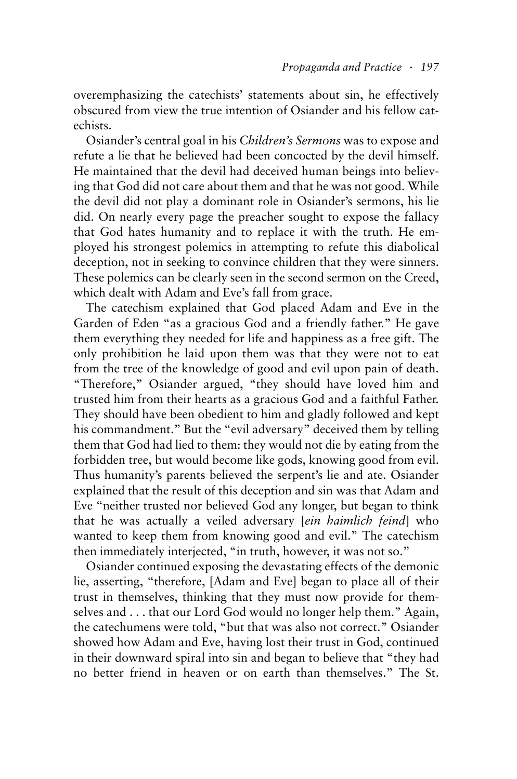overemphasizing the catechists' statements about sin, he effectively obscured from view the true intention of Osiander and his fellow catechists.

Osiander's central goal in his *Children's Sermons* was to expose and refute a lie that he believed had been concocted by the devil himself. He maintained that the devil had deceived human beings into believing that God did not care about them and that he was not good. While the devil did not play a dominant role in Osiander's sermons, his lie did. On nearly every page the preacher sought to expose the fallacy that God hates humanity and to replace it with the truth. He employed his strongest polemics in attempting to refute this diabolical deception, not in seeking to convince children that they were sinners. These polemics can be clearly seen in the second sermon on the Creed, which dealt with Adam and Eve's fall from grace.

The catechism explained that God placed Adam and Eve in the Garden of Eden "as a gracious God and a friendly father." He gave them everything they needed for life and happiness as a free gift. The only prohibition he laid upon them was that they were not to eat from the tree of the knowledge of good and evil upon pain of death. "Therefore," Osiander argued, "they should have loved him and trusted him from their hearts as a gracious God and a faithful Father. They should have been obedient to him and gladly followed and kept his commandment." But the "evil adversary" deceived them by telling them that God had lied to them: they would not die by eating from the forbidden tree, but would become like gods, knowing good from evil. Thus humanity's parents believed the serpent's lie and ate. Osiander explained that the result of this deception and sin was that Adam and Eve "neither trusted nor believed God any longer, but began to think that he was actually a veiled adversary [*ein haimlich feind*] who wanted to keep them from knowing good and evil." The catechism then immediately interjected, "in truth, however, it was not so."

Osiander continued exposing the devastating effects of the demonic lie, asserting, "therefore, [Adam and Eve] began to place all of their trust in themselves, thinking that they must now provide for themselves and... that our Lord God would no longer help them." Again, the catechumens were told, "but that was also not correct." Osiander showed how Adam and Eve, having lost their trust in God, continued in their downward spiral into sin and began to believe that "they had no better friend in heaven or on earth than themselves." The St.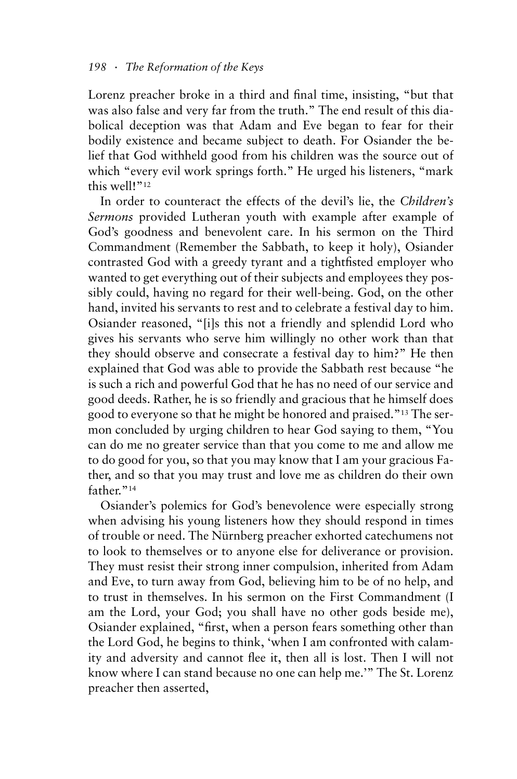Lorenz preacher broke in a third and final time, insisting, "but that was also false and very far from the truth." The end result of this diabolical deception was that Adam and Eve began to fear for their bodily existence and became subject to death. For Osiander the belief that God withheld good from his children was the source out of which "every evil work springs forth." He urged his listeners, "mark this well!"<sup>12</sup>

In order to counteract the effects of the devil's lie, the *Children's Sermons* provided Lutheran youth with example after example of God's goodness and benevolent care. In his sermon on the Third Commandment (Remember the Sabbath, to keep it holy), Osiander contrasted God with a greedy tyrant and a tightfisted employer who wanted to get everything out of their subjects and employees they possibly could, having no regard for their well-being. God, on the other hand, invited his servants to rest and to celebrate a festival day to him. Osiander reasoned, "[i]s this not a friendly and splendid Lord who gives his servants who serve him willingly no other work than that they should observe and consecrate a festival day to him?" He then explained that God was able to provide the Sabbath rest because "he is such a rich and powerful God that he has no need of our service and good deeds. Rather, he is so friendly and gracious that he himself does good to everyone so that he might be honored and praised."13 The sermon concluded by urging children to hear God saying to them, "You can do me no greater service than that you come to me and allow me to do good for you, so that you may know that I am your gracious Father, and so that you may trust and love me as children do their own father."<sup>14</sup>

Osiander's polemics for God's benevolence were especially strong when advising his young listeners how they should respond in times of trouble or need. The Nürnberg preacher exhorted catechumens not to look to themselves or to anyone else for deliverance or provision. They must resist their strong inner compulsion, inherited from Adam and Eve, to turn away from God, believing him to be of no help, and to trust in themselves. In his sermon on the First Commandment (I am the Lord, your God; you shall have no other gods beside me), Osiander explained, "first, when a person fears something other than the Lord God, he begins to think, 'when I am confronted with calamity and adversity and cannot flee it, then all is lost. Then I will not know where I can stand because no one can help me.'" The St. Lorenz preacher then asserted,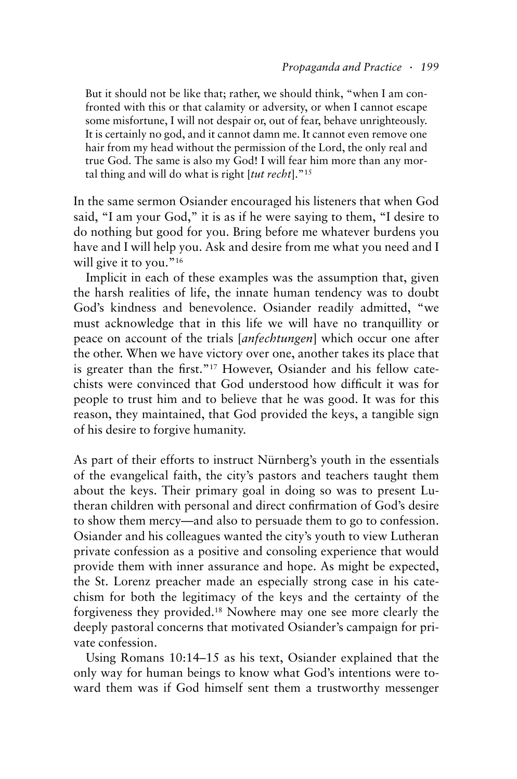But it should not be like that; rather, we should think, "when I am confronted with this or that calamity or adversity, or when I cannot escape some misfortune, I will not despair or, out of fear, behave unrighteously. It is certainly no god, and it cannot damn me. It cannot even remove one hair from my head without the permission of the Lord, the only real and true God. The same is also my God! I will fear him more than any mortal thing and will do what is right [*tut recht*]."15

In the same sermon Osiander encouraged his listeners that when God said, "I am your God," it is as if he were saying to them, "I desire to do nothing but good for you. Bring before me whatever burdens you have and I will help you. Ask and desire from me what you need and I will give it to you."<sup>16</sup>

Implicit in each of these examples was the assumption that, given the harsh realities of life, the innate human tendency was to doubt God's kindness and benevolence. Osiander readily admitted, "we must acknowledge that in this life we will have no tranquillity or peace on account of the trials [*anfechtungen*] which occur one after the other. When we have victory over one, another takes its place that is greater than the first."17 However, Osiander and his fellow catechists were convinced that God understood how difficult it was for people to trust him and to believe that he was good. It was for this reason, they maintained, that God provided the keys, a tangible sign of his desire to forgive humanity.

As part of their efforts to instruct Nürnberg's youth in the essentials of the evangelical faith, the city's pastors and teachers taught them about the keys. Their primary goal in doing so was to present Lutheran children with personal and direct confirmation of God's desire to show them mercy—and also to persuade them to go to confession. Osiander and his colleagues wanted the city's youth to view Lutheran private confession as a positive and consoling experience that would provide them with inner assurance and hope. As might be expected, the St. Lorenz preacher made an especially strong case in his catechism for both the legitimacy of the keys and the certainty of the forgiveness they provided.18 Nowhere may one see more clearly the deeply pastoral concerns that motivated Osiander's campaign for private confession.

Using Romans 10:14–15 as his text, Osiander explained that the only way for human beings to know what God's intentions were toward them was if God himself sent them a trustworthy messenger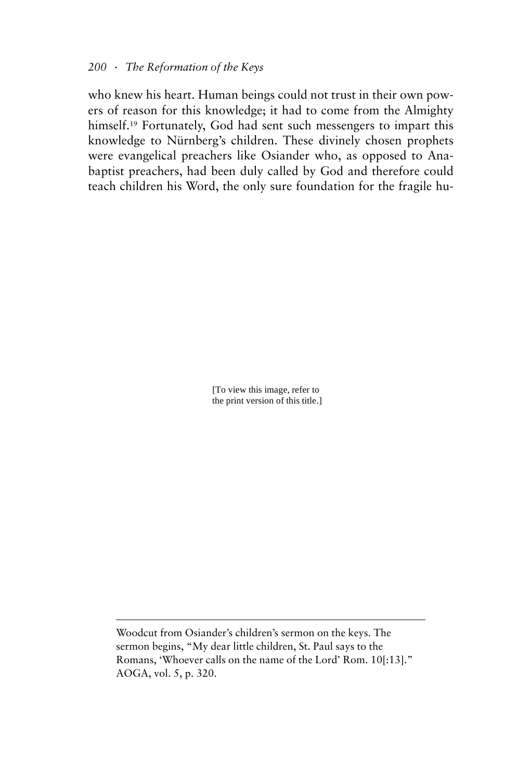### *200 • The Reformation of the Keys*

who knew his heart. Human beings could not trust in their own powers of reason for this knowledge; it had to come from the Almighty himself.19 Fortunately, God had sent such messengers to impart this knowledge to Nürnberg's children. These divinely chosen prophets were evangelical preachers like Osiander who, as opposed to Anabaptist preachers, had been duly called by God and therefore could teach children his Word, the only sure foundation for the fragile hu-

> [To view this image, refer to the print version of this title.]

Woodcut from Osiander's children's sermon on the keys. The sermon begins, "My dear little children, St. Paul says to the Romans, 'Whoever calls on the name of the Lord' Rom. 10[:13]." AOGA, vol. 5, p. 320.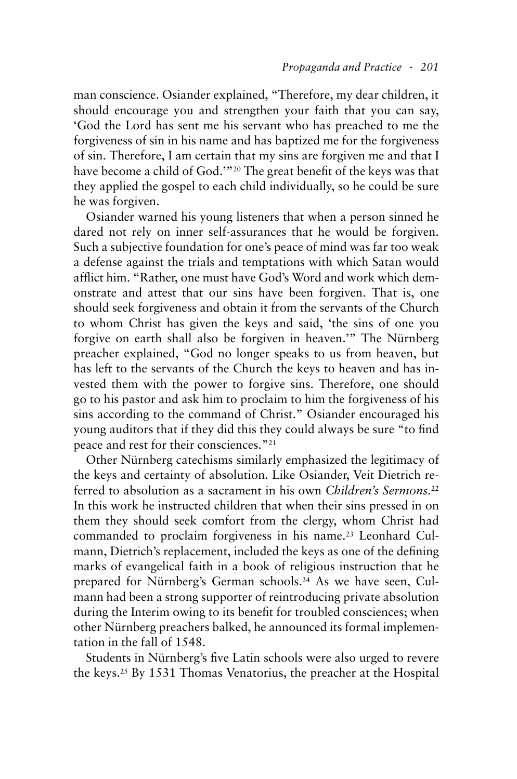man conscience. Osiander explained, "Therefore, my dear children, it should encourage you and strengthen your faith that you can say, 'God the Lord has sent me his servant who has preached to me the forgiveness of sin in his name and has baptized me for the forgiveness of sin. Therefore, I am certain that my sins are forgiven me and that I have become a child of God.'"20 The great benefit of the keys was that they applied the gospel to each child individually, so he could be sure he was forgiven.

Osiander warned his young listeners that when a person sinned he dared not rely on inner self-assurances that he would be forgiven. Such a subjective foundation for one's peace of mind was far too weak a defense against the trials and temptations with which Satan would afflict him. "Rather, one must have God's Word and work which demonstrate and attest that our sins have been forgiven. That is, one should seek forgiveness and obtain it from the servants of the Church to whom Christ has given the keys and said, 'the sins of one you forgive on earth shall also be forgiven in heaven.'" The Nürnberg preacher explained, "God no longer speaks to us from heaven, but has left to the servants of the Church the keys to heaven and has invested them with the power to forgive sins. Therefore, one should go to his pastor and ask him to proclaim to him the forgiveness of his sins according to the command of Christ." Osiander encouraged his young auditors that if they did this they could always be sure "to find peace and rest for their consciences."21

Other Nürnberg catechisms similarly emphasized the legitimacy of the keys and certainty of absolution. Like Osiander, Veit Dietrich referred to absolution as a sacrament in his own *Children's Sermons.*<sup>22</sup> In this work he instructed children that when their sins pressed in on them they should seek comfort from the clergy, whom Christ had commanded to proclaim forgiveness in his name.23 Leonhard Culmann, Dietrich's replacement, included the keys as one of the defining marks of evangelical faith in a book of religious instruction that he prepared for Nürnberg's German schools.24 As we have seen, Culmann had been a strong supporter of reintroducing private absolution during the Interim owing to its benefit for troubled consciences; when other Nürnberg preachers balked, he announced its formal implementation in the fall of 1548.

Students in Nürnberg's five Latin schools were also urged to revere the keys.25 By 1531 Thomas Venatorius, the preacher at the Hospital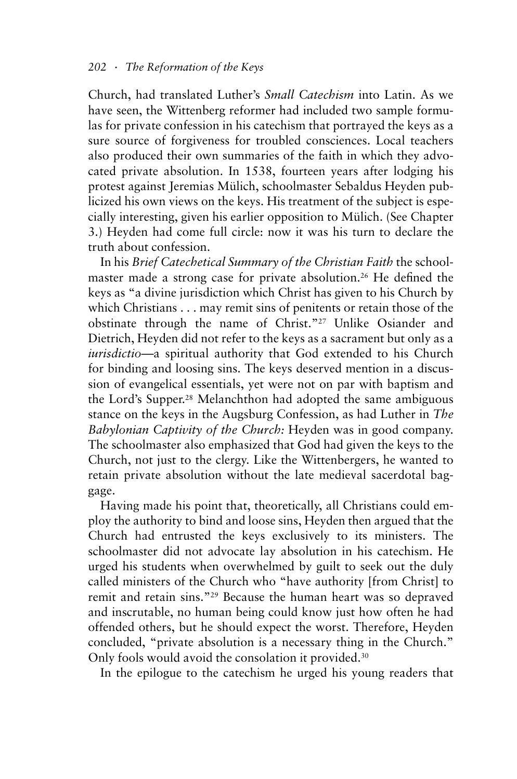Church, had translated Luther's *Small Catechism* into Latin. As we have seen, the Wittenberg reformer had included two sample formulas for private confession in his catechism that portrayed the keys as a sure source of forgiveness for troubled consciences. Local teachers also produced their own summaries of the faith in which they advocated private absolution. In 1538, fourteen years after lodging his protest against Jeremias Mülich, schoolmaster Sebaldus Heyden publicized his own views on the keys. His treatment of the subject is especially interesting, given his earlier opposition to Mülich. (See Chapter 3.) Heyden had come full circle: now it was his turn to declare the truth about confession.

In his *Brief Catechetical Summary of the Christian Faith* the schoolmaster made a strong case for private absolution.26 He defined the keys as "a divine jurisdiction which Christ has given to his Church by which Christians . . . may remit sins of penitents or retain those of the obstinate through the name of Christ."27 Unlike Osiander and Dietrich, Heyden did not refer to the keys as a sacrament but only as a *iurisdictio*—a spiritual authority that God extended to his Church for binding and loosing sins. The keys deserved mention in a discussion of evangelical essentials, yet were not on par with baptism and the Lord's Supper.28 Melanchthon had adopted the same ambiguous stance on the keys in the Augsburg Confession, as had Luther in *The Babylonian Captivity of the Church:* Heyden was in good company. The schoolmaster also emphasized that God had given the keys to the Church, not just to the clergy. Like the Wittenbergers, he wanted to retain private absolution without the late medieval sacerdotal baggage.

Having made his point that, theoretically, all Christians could employ the authority to bind and loose sins, Heyden then argued that the Church had entrusted the keys exclusively to its ministers. The schoolmaster did not advocate lay absolution in his catechism. He urged his students when overwhelmed by guilt to seek out the duly called ministers of the Church who "have authority [from Christ] to remit and retain sins."29 Because the human heart was so depraved and inscrutable, no human being could know just how often he had offended others, but he should expect the worst. Therefore, Heyden concluded, "private absolution is a necessary thing in the Church." Only fools would avoid the consolation it provided.30

In the epilogue to the catechism he urged his young readers that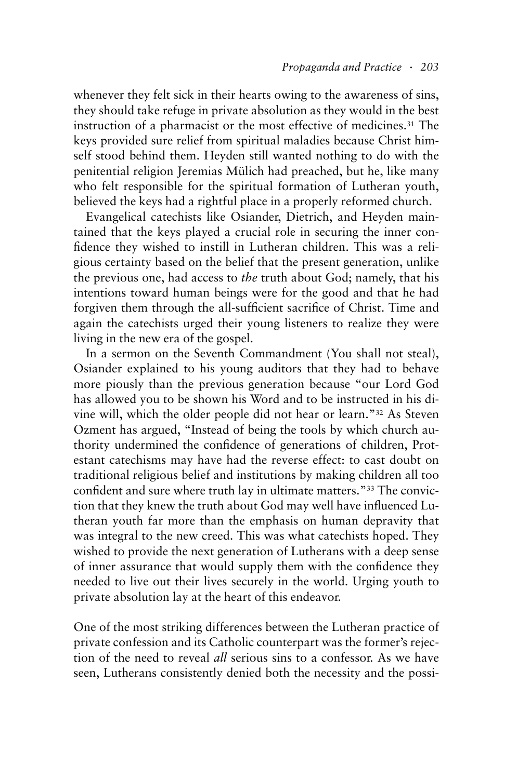whenever they felt sick in their hearts owing to the awareness of sins, they should take refuge in private absolution as they would in the best instruction of a pharmacist or the most effective of medicines.31 The keys provided sure relief from spiritual maladies because Christ himself stood behind them. Heyden still wanted nothing to do with the penitential religion Jeremias Mülich had preached, but he, like many who felt responsible for the spiritual formation of Lutheran youth, believed the keys had a rightful place in a properly reformed church.

Evangelical catechists like Osiander, Dietrich, and Heyden maintained that the keys played a crucial role in securing the inner confidence they wished to instill in Lutheran children. This was a religious certainty based on the belief that the present generation, unlike the previous one, had access to *the* truth about God; namely, that his intentions toward human beings were for the good and that he had forgiven them through the all-sufficient sacrifice of Christ. Time and again the catechists urged their young listeners to realize they were living in the new era of the gospel.

In a sermon on the Seventh Commandment (You shall not steal), Osiander explained to his young auditors that they had to behave more piously than the previous generation because "our Lord God has allowed you to be shown his Word and to be instructed in his divine will, which the older people did not hear or learn."32 As Steven Ozment has argued, "Instead of being the tools by which church authority undermined the confidence of generations of children, Protestant catechisms may have had the reverse effect: to cast doubt on traditional religious belief and institutions by making children all too confident and sure where truth lay in ultimate matters."33 The conviction that they knew the truth about God may well have influenced Lutheran youth far more than the emphasis on human depravity that was integral to the new creed. This was what catechists hoped. They wished to provide the next generation of Lutherans with a deep sense of inner assurance that would supply them with the confidence they needed to live out their lives securely in the world. Urging youth to private absolution lay at the heart of this endeavor.

One of the most striking differences between the Lutheran practice of private confession and its Catholic counterpart was the former's rejection of the need to reveal *all* serious sins to a confessor. As we have seen, Lutherans consistently denied both the necessity and the possi-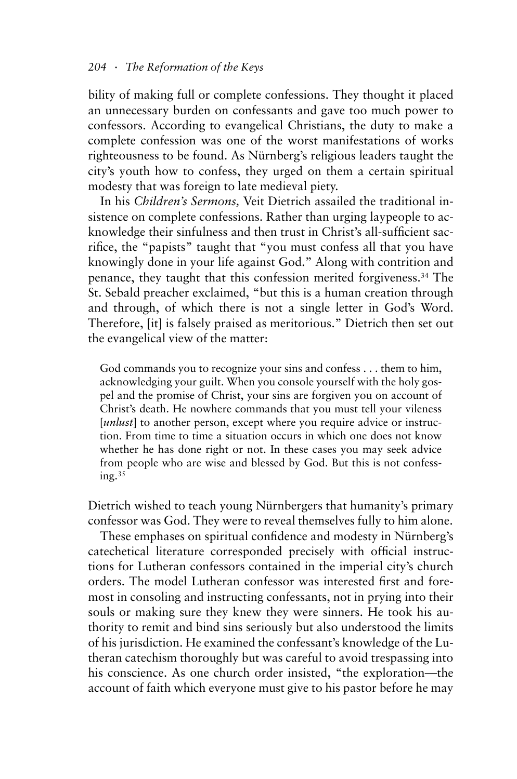bility of making full or complete confessions. They thought it placed an unnecessary burden on confessants and gave too much power to confessors. According to evangelical Christians, the duty to make a complete confession was one of the worst manifestations of works righteousness to be found. As Nürnberg's religious leaders taught the city's youth how to confess, they urged on them a certain spiritual modesty that was foreign to late medieval piety.

In his *Children's Sermons,* Veit Dietrich assailed the traditional insistence on complete confessions. Rather than urging laypeople to acknowledge their sinfulness and then trust in Christ's all-sufficient sacrifice, the "papists" taught that "you must confess all that you have knowingly done in your life against God." Along with contrition and penance, they taught that this confession merited forgiveness.34 The St. Sebald preacher exclaimed, "but this is a human creation through and through, of which there is not a single letter in God's Word. Therefore, [it] is falsely praised as meritorious." Dietrich then set out the evangelical view of the matter:

God commands you to recognize your sins and confess . . . them to him, acknowledging your guilt. When you console yourself with the holy gospel and the promise of Christ, your sins are forgiven you on account of Christ's death. He nowhere commands that you must tell your vileness [*unlust*] to another person, except where you require advice or instruction. From time to time a situation occurs in which one does not know whether he has done right or not. In these cases you may seek advice from people who are wise and blessed by God. But this is not confess $ine.^{35}$ 

Dietrich wished to teach young Nürnbergers that humanity's primary confessor was God. They were to reveal themselves fully to him alone.

These emphases on spiritual confidence and modesty in Nürnberg's catechetical literature corresponded precisely with official instructions for Lutheran confessors contained in the imperial city's church orders. The model Lutheran confessor was interested first and foremost in consoling and instructing confessants, not in prying into their souls or making sure they knew they were sinners. He took his authority to remit and bind sins seriously but also understood the limits of his jurisdiction. He examined the confessant's knowledge of the Lutheran catechism thoroughly but was careful to avoid trespassing into his conscience. As one church order insisted, "the exploration—the account of faith which everyone must give to his pastor before he may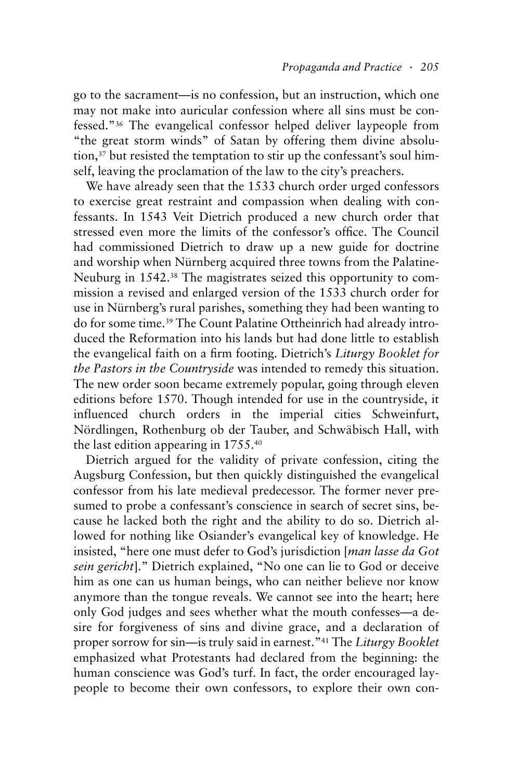go to the sacrament—is no confession, but an instruction, which one may not make into auricular confession where all sins must be confessed."36 The evangelical confessor helped deliver laypeople from "the great storm winds" of Satan by offering them divine absolution,37 but resisted the temptation to stir up the confessant's soul himself, leaving the proclamation of the law to the city's preachers.

We have already seen that the 1533 church order urged confessors to exercise great restraint and compassion when dealing with confessants. In 1543 Veit Dietrich produced a new church order that stressed even more the limits of the confessor's office. The Council had commissioned Dietrich to draw up a new guide for doctrine and worship when Nürnberg acquired three towns from the Palatine-Neuburg in 1542.38 The magistrates seized this opportunity to commission a revised and enlarged version of the 1533 church order for use in Nürnberg's rural parishes, something they had been wanting to do for some time.39 The Count Palatine Ottheinrich had already introduced the Reformation into his lands but had done little to establish the evangelical faith on a firm footing. Dietrich's *Liturgy Booklet for the Pastors in the Countryside* was intended to remedy this situation. The new order soon became extremely popular, going through eleven editions before 1570. Though intended for use in the countryside, it influenced church orders in the imperial cities Schweinfurt, Nördlingen, Rothenburg ob der Tauber, and Schwäbisch Hall, with the last edition appearing in 1755.40

Dietrich argued for the validity of private confession, citing the Augsburg Confession, but then quickly distinguished the evangelical confessor from his late medieval predecessor. The former never presumed to probe a confessant's conscience in search of secret sins, because he lacked both the right and the ability to do so. Dietrich allowed for nothing like Osiander's evangelical key of knowledge. He insisted, "here one must defer to God's jurisdiction [*man lasse da Got sein gericht*]." Dietrich explained, "No one can lie to God or deceive him as one can us human beings, who can neither believe nor know anymore than the tongue reveals. We cannot see into the heart; here only God judges and sees whether what the mouth confesses—a desire for forgiveness of sins and divine grace, and a declaration of proper sorrow for sin—is truly said in earnest."41 The *Liturgy Booklet* emphasized what Protestants had declared from the beginning: the human conscience was God's turf. In fact, the order encouraged laypeople to become their own confessors, to explore their own con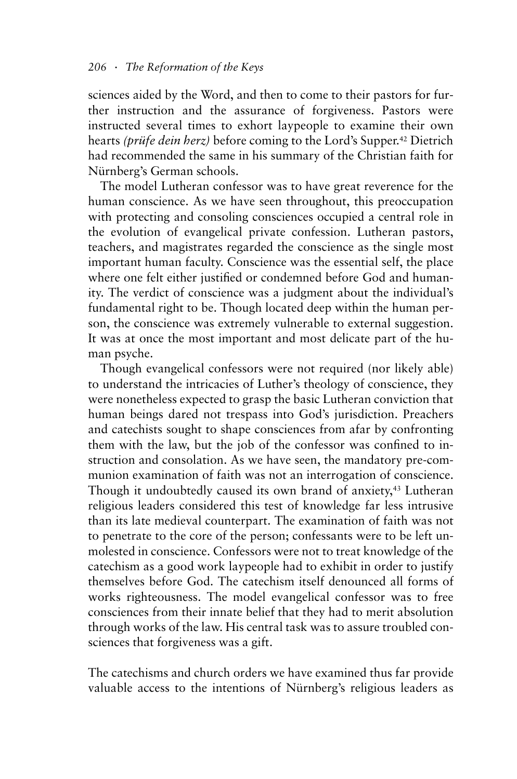sciences aided by the Word, and then to come to their pastors for further instruction and the assurance of forgiveness. Pastors were instructed several times to exhort laypeople to examine their own hearts *(prüfe dein herz)* before coming to the Lord's Supper.42 Dietrich had recommended the same in his summary of the Christian faith for Nürnberg's German schools.

The model Lutheran confessor was to have great reverence for the human conscience. As we have seen throughout, this preoccupation with protecting and consoling consciences occupied a central role in the evolution of evangelical private confession. Lutheran pastors, teachers, and magistrates regarded the conscience as the single most important human faculty. Conscience was the essential self, the place where one felt either justified or condemned before God and humanity. The verdict of conscience was a judgment about the individual's fundamental right to be. Though located deep within the human person, the conscience was extremely vulnerable to external suggestion. It was at once the most important and most delicate part of the human psyche.

Though evangelical confessors were not required (nor likely able) to understand the intricacies of Luther's theology of conscience, they were nonetheless expected to grasp the basic Lutheran conviction that human beings dared not trespass into God's jurisdiction. Preachers and catechists sought to shape consciences from afar by confronting them with the law, but the job of the confessor was confined to instruction and consolation. As we have seen, the mandatory pre-communion examination of faith was not an interrogation of conscience. Though it undoubtedly caused its own brand of anxiety,<sup>43</sup> Lutheran religious leaders considered this test of knowledge far less intrusive than its late medieval counterpart. The examination of faith was not to penetrate to the core of the person; confessants were to be left unmolested in conscience. Confessors were not to treat knowledge of the catechism as a good work laypeople had to exhibit in order to justify themselves before God. The catechism itself denounced all forms of works righteousness. The model evangelical confessor was to free consciences from their innate belief that they had to merit absolution through works of the law. His central task was to assure troubled consciences that forgiveness was a gift.

The catechisms and church orders we have examined thus far provide valuable access to the intentions of Nürnberg's religious leaders as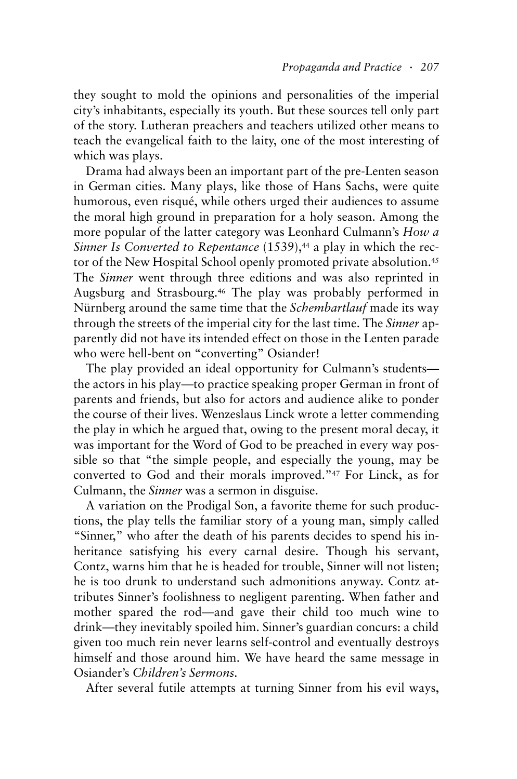they sought to mold the opinions and personalities of the imperial city's inhabitants, especially its youth. But these sources tell only part of the story. Lutheran preachers and teachers utilized other means to teach the evangelical faith to the laity, one of the most interesting of which was plays.

Drama had always been an important part of the pre-Lenten season in German cities. Many plays, like those of Hans Sachs, were quite humorous, even risqué, while others urged their audiences to assume the moral high ground in preparation for a holy season. Among the more popular of the latter category was Leonhard Culmann's *How a Sinner Is Converted to Repentance* (1539),<sup>44</sup> a play in which the rector of the New Hospital School openly promoted private absolution.<sup>45</sup> The *Sinner* went through three editions and was also reprinted in Augsburg and Strasbourg.46 The play was probably performed in Nürnberg around the same time that the *Schembartlauf* made its way through the streets of the imperial city for the last time. The *Sinner* apparently did not have its intended effect on those in the Lenten parade who were hell-bent on "converting" Osiander!

The play provided an ideal opportunity for Culmann's students the actors in his play—to practice speaking proper German in front of parents and friends, but also for actors and audience alike to ponder the course of their lives. Wenzeslaus Linck wrote a letter commending the play in which he argued that, owing to the present moral decay, it was important for the Word of God to be preached in every way possible so that "the simple people, and especially the young, may be converted to God and their morals improved."47 For Linck, as for Culmann, the *Sinner* was a sermon in disguise.

A variation on the Prodigal Son, a favorite theme for such productions, the play tells the familiar story of a young man, simply called "Sinner," who after the death of his parents decides to spend his inheritance satisfying his every carnal desire. Though his servant, Contz, warns him that he is headed for trouble, Sinner will not listen; he is too drunk to understand such admonitions anyway. Contz attributes Sinner's foolishness to negligent parenting. When father and mother spared the rod—and gave their child too much wine to drink—they inevitably spoiled him. Sinner's guardian concurs: a child given too much rein never learns self-control and eventually destroys himself and those around him. We have heard the same message in Osiander's *Children's Sermons.*

After several futile attempts at turning Sinner from his evil ways,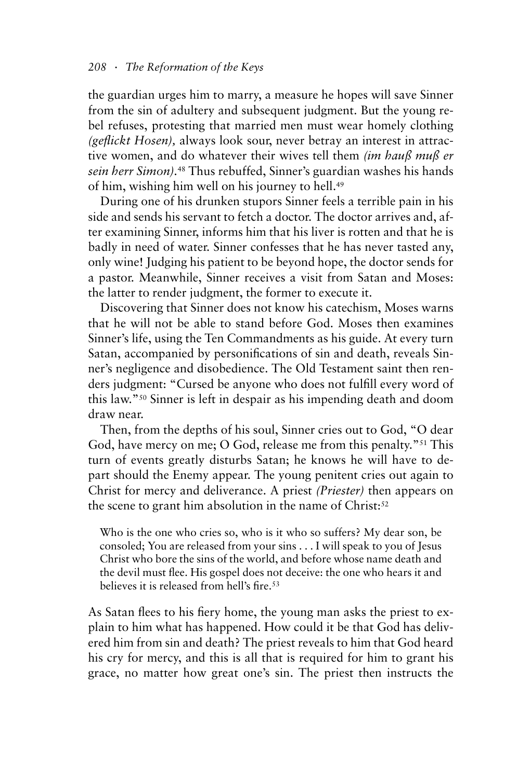the guardian urges him to marry, a measure he hopes will save Sinner from the sin of adultery and subsequent judgment. But the young rebel refuses, protesting that married men must wear homely clothing *(geflickt Hosen),* always look sour, never betray an interest in attractive women, and do whatever their wives tell them *(im hauß muß er sein herr Simon).*<sup>48</sup> Thus rebuffed, Sinner's guardian washes his hands of him, wishing him well on his journey to hell.49

During one of his drunken stupors Sinner feels a terrible pain in his side and sends his servant to fetch a doctor. The doctor arrives and, after examining Sinner, informs him that his liver is rotten and that he is badly in need of water. Sinner confesses that he has never tasted any, only wine! Judging his patient to be beyond hope, the doctor sends for a pastor. Meanwhile, Sinner receives a visit from Satan and Moses: the latter to render judgment, the former to execute it.

Discovering that Sinner does not know his catechism, Moses warns that he will not be able to stand before God. Moses then examines Sinner's life, using the Ten Commandments as his guide. At every turn Satan, accompanied by personifications of sin and death, reveals Sinner's negligence and disobedience. The Old Testament saint then renders judgment: "Cursed be anyone who does not fulfill every word of this law."50 Sinner is left in despair as his impending death and doom draw near.

Then, from the depths of his soul, Sinner cries out to God, "O dear God, have mercy on me; O God, release me from this penalty."<sup>51</sup> This turn of events greatly disturbs Satan; he knows he will have to depart should the Enemy appear. The young penitent cries out again to Christ for mercy and deliverance. A priest *(Priester)* then appears on the scene to grant him absolution in the name of Christ:<sup>52</sup>

Who is the one who cries so, who is it who so suffers? My dear son, be consoled; You are released from your sins...I will speak to you of Jesus Christ who bore the sins of the world, and before whose name death and the devil must flee. His gospel does not deceive: the one who hears it and believes it is released from hell's fire.<sup>53</sup>

As Satan flees to his fiery home, the young man asks the priest to explain to him what has happened. How could it be that God has delivered him from sin and death? The priest reveals to him that God heard his cry for mercy, and this is all that is required for him to grant his grace, no matter how great one's sin. The priest then instructs the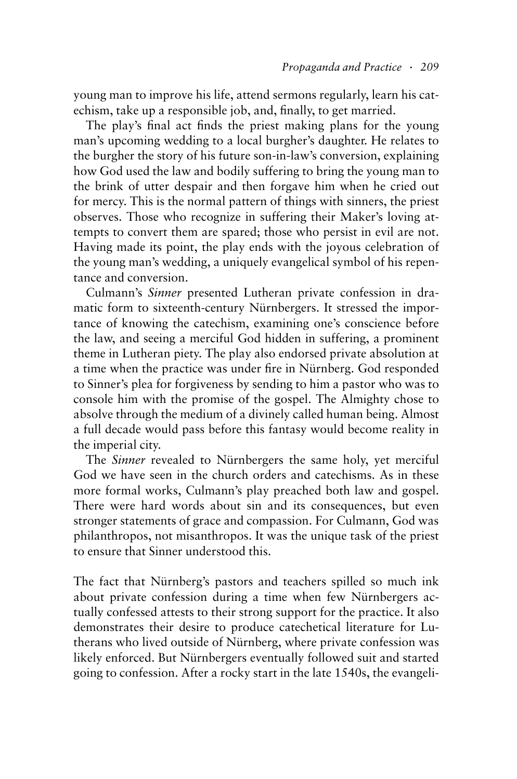young man to improve his life, attend sermons regularly, learn his catechism, take up a responsible job, and, finally, to get married.

The play's final act finds the priest making plans for the young man's upcoming wedding to a local burgher's daughter. He relates to the burgher the story of his future son-in-law's conversion, explaining how God used the law and bodily suffering to bring the young man to the brink of utter despair and then forgave him when he cried out for mercy. This is the normal pattern of things with sinners, the priest observes. Those who recognize in suffering their Maker's loving attempts to convert them are spared; those who persist in evil are not. Having made its point, the play ends with the joyous celebration of the young man's wedding, a uniquely evangelical symbol of his repentance and conversion.

Culmann's *Sinner* presented Lutheran private confession in dramatic form to sixteenth-century Nürnbergers. It stressed the importance of knowing the catechism, examining one's conscience before the law, and seeing a merciful God hidden in suffering, a prominent theme in Lutheran piety. The play also endorsed private absolution at a time when the practice was under fire in Nürnberg. God responded to Sinner's plea for forgiveness by sending to him a pastor who was to console him with the promise of the gospel. The Almighty chose to absolve through the medium of a divinely called human being. Almost a full decade would pass before this fantasy would become reality in the imperial city.

The *Sinner* revealed to Nürnbergers the same holy, yet merciful God we have seen in the church orders and catechisms. As in these more formal works, Culmann's play preached both law and gospel. There were hard words about sin and its consequences, but even stronger statements of grace and compassion. For Culmann, God was philanthropos, not misanthropos. It was the unique task of the priest to ensure that Sinner understood this.

The fact that Nürnberg's pastors and teachers spilled so much ink about private confession during a time when few Nürnbergers actually confessed attests to their strong support for the practice. It also demonstrates their desire to produce catechetical literature for Lutherans who lived outside of Nürnberg, where private confession was likely enforced. But Nürnbergers eventually followed suit and started going to confession. After a rocky start in the late 1540s, the evangeli-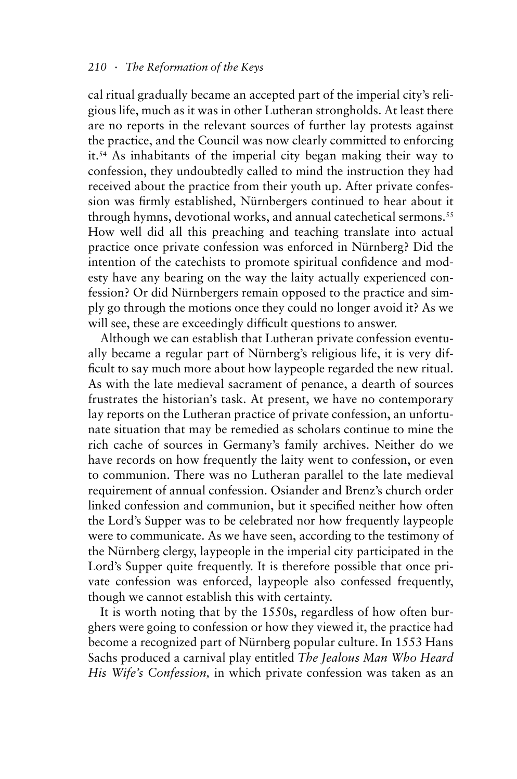## *210 • The Reformation of the Keys*

cal ritual gradually became an accepted part of the imperial city's religious life, much as it was in other Lutheran strongholds. At least there are no reports in the relevant sources of further lay protests against the practice, and the Council was now clearly committed to enforcing it.54 As inhabitants of the imperial city began making their way to confession, they undoubtedly called to mind the instruction they had received about the practice from their youth up. After private confession was firmly established, Nürnbergers continued to hear about it through hymns, devotional works, and annual catechetical sermons.<sup>55</sup> How well did all this preaching and teaching translate into actual practice once private confession was enforced in Nürnberg? Did the intention of the catechists to promote spiritual confidence and modesty have any bearing on the way the laity actually experienced confession? Or did Nürnbergers remain opposed to the practice and simply go through the motions once they could no longer avoid it? As we will see, these are exceedingly difficult questions to answer.

Although we can establish that Lutheran private confession eventually became a regular part of Nürnberg's religious life, it is very difficult to say much more about how laypeople regarded the new ritual. As with the late medieval sacrament of penance, a dearth of sources frustrates the historian's task. At present, we have no contemporary lay reports on the Lutheran practice of private confession, an unfortunate situation that may be remedied as scholars continue to mine the rich cache of sources in Germany's family archives. Neither do we have records on how frequently the laity went to confession, or even to communion. There was no Lutheran parallel to the late medieval requirement of annual confession. Osiander and Brenz's church order linked confession and communion, but it specified neither how often the Lord's Supper was to be celebrated nor how frequently laypeople were to communicate. As we have seen, according to the testimony of the Nürnberg clergy, laypeople in the imperial city participated in the Lord's Supper quite frequently. It is therefore possible that once private confession was enforced, laypeople also confessed frequently, though we cannot establish this with certainty.

It is worth noting that by the 1550s, regardless of how often burghers were going to confession or how they viewed it, the practice had become a recognized part of Nürnberg popular culture. In 1553 Hans Sachs produced a carnival play entitled *The Jealous Man Who Heard His Wife's Confession,* in which private confession was taken as an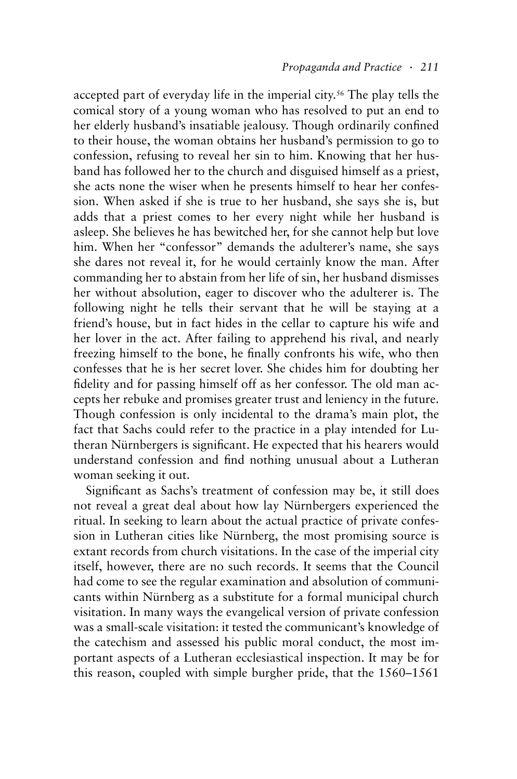accepted part of everyday life in the imperial city.<sup>56</sup> The play tells the comical story of a young woman who has resolved to put an end to her elderly husband's insatiable jealousy. Though ordinarily confined to their house, the woman obtains her husband's permission to go to confession, refusing to reveal her sin to him. Knowing that her husband has followed her to the church and disguised himself as a priest, she acts none the wiser when he presents himself to hear her confession. When asked if she is true to her husband, she says she is, but adds that a priest comes to her every night while her husband is asleep. She believes he has bewitched her, for she cannot help but love him. When her "confessor" demands the adulterer's name, she says she dares not reveal it, for he would certainly know the man. After commanding her to abstain from her life of sin, her husband dismisses her without absolution, eager to discover who the adulterer is. The following night he tells their servant that he will be staying at a friend's house, but in fact hides in the cellar to capture his wife and her lover in the act. After failing to apprehend his rival, and nearly freezing himself to the bone, he finally confronts his wife, who then confesses that he is her secret lover. She chides him for doubting her fidelity and for passing himself off as her confessor. The old man accepts her rebuke and promises greater trust and leniency in the future. Though confession is only incidental to the drama's main plot, the fact that Sachs could refer to the practice in a play intended for Lutheran Nürnbergers is significant. He expected that his hearers would understand confession and find nothing unusual about a Lutheran woman seeking it out.

Significant as Sachs's treatment of confession may be, it still does not reveal a great deal about how lay Nürnbergers experienced the ritual. In seeking to learn about the actual practice of private confession in Lutheran cities like Nürnberg, the most promising source is extant records from church visitations. In the case of the imperial city itself, however, there are no such records. It seems that the Council had come to see the regular examination and absolution of communicants within Nürnberg as a substitute for a formal municipal church visitation. In many ways the evangelical version of private confession was a small-scale visitation: it tested the communicant's knowledge of the catechism and assessed his public moral conduct, the most important aspects of a Lutheran ecclesiastical inspection. It may be for this reason, coupled with simple burgher pride, that the 1560–1561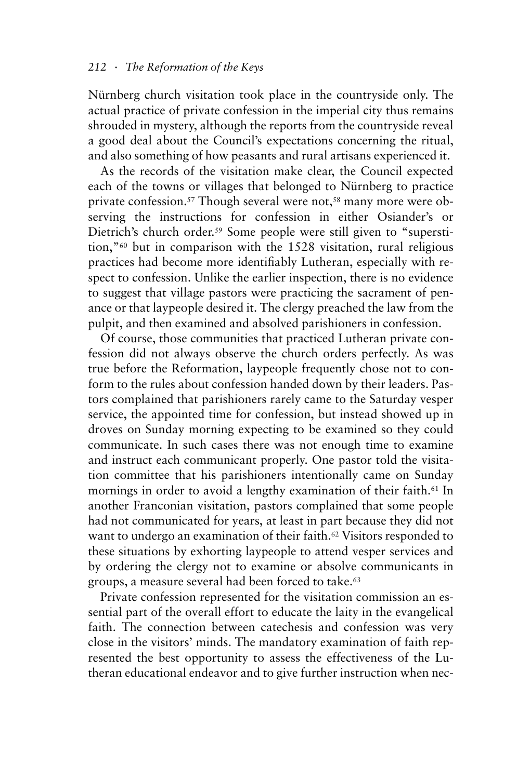Nürnberg church visitation took place in the countryside only. The actual practice of private confession in the imperial city thus remains shrouded in mystery, although the reports from the countryside reveal a good deal about the Council's expectations concerning the ritual, and also something of how peasants and rural artisans experienced it.

As the records of the visitation make clear, the Council expected each of the towns or villages that belonged to Nürnberg to practice private confession.<sup>57</sup> Though several were not,<sup>58</sup> many more were observing the instructions for confession in either Osiander's or Dietrich's church order.59 Some people were still given to "superstition,"60 but in comparison with the 1528 visitation, rural religious practices had become more identifiably Lutheran, especially with respect to confession. Unlike the earlier inspection, there is no evidence to suggest that village pastors were practicing the sacrament of penance or that laypeople desired it. The clergy preached the law from the pulpit, and then examined and absolved parishioners in confession.

Of course, those communities that practiced Lutheran private confession did not always observe the church orders perfectly. As was true before the Reformation, laypeople frequently chose not to conform to the rules about confession handed down by their leaders. Pastors complained that parishioners rarely came to the Saturday vesper service, the appointed time for confession, but instead showed up in droves on Sunday morning expecting to be examined so they could communicate. In such cases there was not enough time to examine and instruct each communicant properly. One pastor told the visitation committee that his parishioners intentionally came on Sunday mornings in order to avoid a lengthy examination of their faith.<sup>61</sup> In another Franconian visitation, pastors complained that some people had not communicated for years, at least in part because they did not want to undergo an examination of their faith.<sup>62</sup> Visitors responded to these situations by exhorting laypeople to attend vesper services and by ordering the clergy not to examine or absolve communicants in groups, a measure several had been forced to take.63

Private confession represented for the visitation commission an essential part of the overall effort to educate the laity in the evangelical faith. The connection between catechesis and confession was very close in the visitors' minds. The mandatory examination of faith represented the best opportunity to assess the effectiveness of the Lutheran educational endeavor and to give further instruction when nec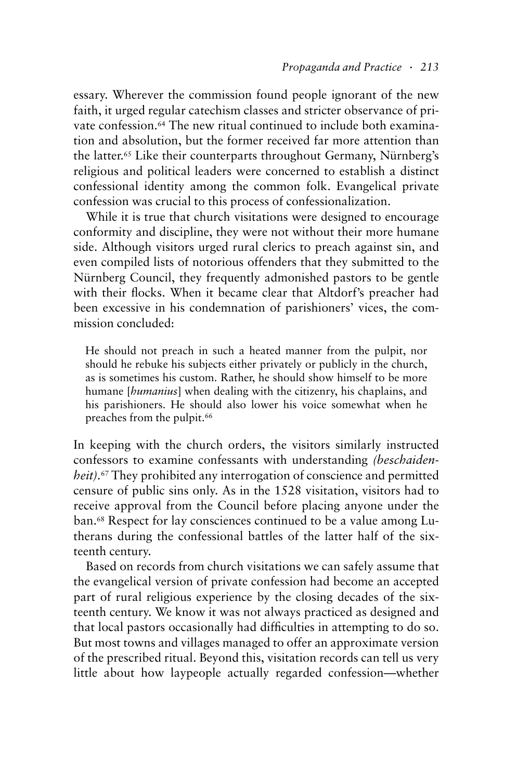essary. Wherever the commission found people ignorant of the new faith, it urged regular catechism classes and stricter observance of private confession.64 The new ritual continued to include both examination and absolution, but the former received far more attention than the latter.65 Like their counterparts throughout Germany, Nürnberg's religious and political leaders were concerned to establish a distinct confessional identity among the common folk. Evangelical private confession was crucial to this process of confessionalization.

While it is true that church visitations were designed to encourage conformity and discipline, they were not without their more humane side. Although visitors urged rural clerics to preach against sin, and even compiled lists of notorious offenders that they submitted to the Nürnberg Council, they frequently admonished pastors to be gentle with their flocks. When it became clear that Altdorf's preacher had been excessive in his condemnation of parishioners' vices, the commission concluded:

He should not preach in such a heated manner from the pulpit, nor should he rebuke his subjects either privately or publicly in the church, as is sometimes his custom. Rather, he should show himself to be more humane [*humanius*] when dealing with the citizenry, his chaplains, and his parishioners. He should also lower his voice somewhat when he preaches from the pulpit.66

In keeping with the church orders, the visitors similarly instructed confessors to examine confessants with understanding *(beschaidenheit).*<sup>67</sup> They prohibited any interrogation of conscience and permitted censure of public sins only. As in the 1528 visitation, visitors had to receive approval from the Council before placing anyone under the ban.68 Respect for lay consciences continued to be a value among Lutherans during the confessional battles of the latter half of the sixteenth century.

Based on records from church visitations we can safely assume that the evangelical version of private confession had become an accepted part of rural religious experience by the closing decades of the sixteenth century. We know it was not always practiced as designed and that local pastors occasionally had difficulties in attempting to do so. But most towns and villages managed to offer an approximate version of the prescribed ritual. Beyond this, visitation records can tell us very little about how laypeople actually regarded confession—whether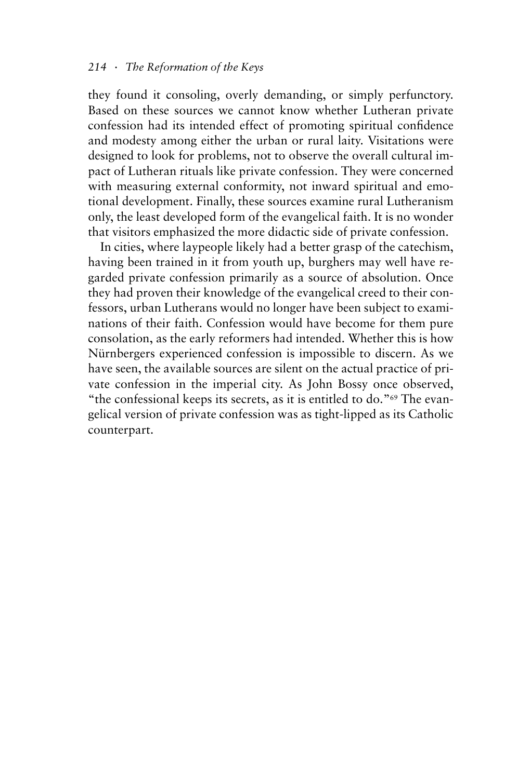### *214 • The Reformation of the Keys*

they found it consoling, overly demanding, or simply perfunctory. Based on these sources we cannot know whether Lutheran private confession had its intended effect of promoting spiritual confidence and modesty among either the urban or rural laity. Visitations were designed to look for problems, not to observe the overall cultural impact of Lutheran rituals like private confession. They were concerned with measuring external conformity, not inward spiritual and emotional development. Finally, these sources examine rural Lutheranism only, the least developed form of the evangelical faith. It is no wonder that visitors emphasized the more didactic side of private confession.

In cities, where laypeople likely had a better grasp of the catechism, having been trained in it from youth up, burghers may well have regarded private confession primarily as a source of absolution. Once they had proven their knowledge of the evangelical creed to their confessors, urban Lutherans would no longer have been subject to examinations of their faith. Confession would have become for them pure consolation, as the early reformers had intended. Whether this is how Nürnbergers experienced confession is impossible to discern. As we have seen, the available sources are silent on the actual practice of private confession in the imperial city. As John Bossy once observed, "the confessional keeps its secrets, as it is entitled to do."69 The evangelical version of private confession was as tight-lipped as its Catholic counterpart.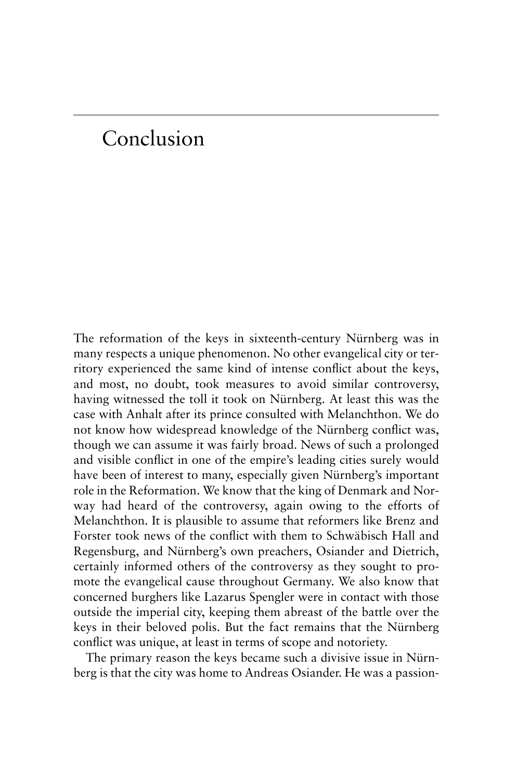# Conclusion

The reformation of the keys in sixteenth-century Nürnberg was in many respects a unique phenomenon. No other evangelical city or territory experienced the same kind of intense conflict about the keys, and most, no doubt, took measures to avoid similar controversy, having witnessed the toll it took on Nürnberg. At least this was the case with Anhalt after its prince consulted with Melanchthon. We do not know how widespread knowledge of the Nürnberg conflict was, though we can assume it was fairly broad. News of such a prolonged and visible conflict in one of the empire's leading cities surely would have been of interest to many, especially given Nürnberg's important role in the Reformation. We know that the king of Denmark and Norway had heard of the controversy, again owing to the efforts of Melanchthon. It is plausible to assume that reformers like Brenz and Forster took news of the conflict with them to Schwäbisch Hall and Regensburg, and Nürnberg's own preachers, Osiander and Dietrich, certainly informed others of the controversy as they sought to promote the evangelical cause throughout Germany. We also know that concerned burghers like Lazarus Spengler were in contact with those outside the imperial city, keeping them abreast of the battle over the keys in their beloved polis. But the fact remains that the Nürnberg conflict was unique, at least in terms of scope and notoriety.

The primary reason the keys became such a divisive issue in Nürnberg is that the city was home to Andreas Osiander. He was a passion-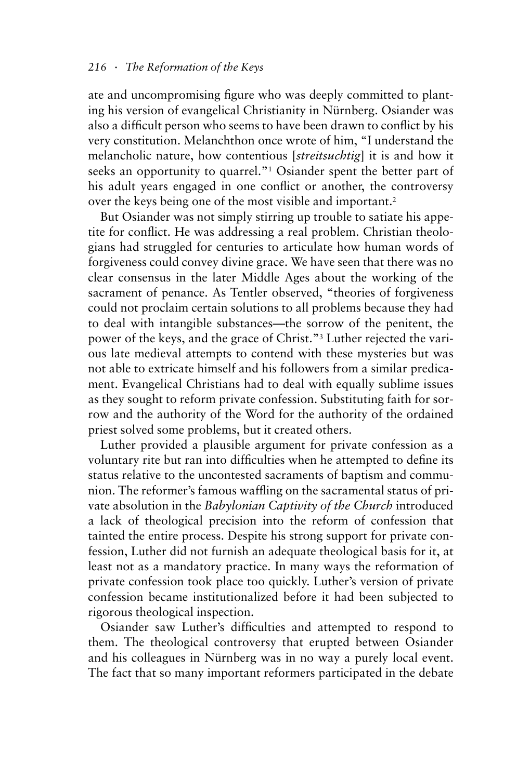ate and uncompromising figure who was deeply committed to planting his version of evangelical Christianity in Nürnberg. Osiander was also a difficult person who seems to have been drawn to conflict by his very constitution. Melanchthon once wrote of him, "I understand the melancholic nature, how contentious [*streitsuchtig*] it is and how it seeks an opportunity to quarrel."<sup>1</sup> Osiander spent the better part of his adult years engaged in one conflict or another, the controversy over the keys being one of the most visible and important.2

But Osiander was not simply stirring up trouble to satiate his appetite for conflict. He was addressing a real problem. Christian theologians had struggled for centuries to articulate how human words of forgiveness could convey divine grace. We have seen that there was no clear consensus in the later Middle Ages about the working of the sacrament of penance. As Tentler observed, "theories of forgiveness could not proclaim certain solutions to all problems because they had to deal with intangible substances—the sorrow of the penitent, the power of the keys, and the grace of Christ."3 Luther rejected the various late medieval attempts to contend with these mysteries but was not able to extricate himself and his followers from a similar predicament. Evangelical Christians had to deal with equally sublime issues as they sought to reform private confession. Substituting faith for sorrow and the authority of the Word for the authority of the ordained priest solved some problems, but it created others.

Luther provided a plausible argument for private confession as a voluntary rite but ran into difficulties when he attempted to define its status relative to the uncontested sacraments of baptism and communion. The reformer's famous waffling on the sacramental status of private absolution in the *Babylonian Captivity of the Church* introduced a lack of theological precision into the reform of confession that tainted the entire process. Despite his strong support for private confession, Luther did not furnish an adequate theological basis for it, at least not as a mandatory practice. In many ways the reformation of private confession took place too quickly. Luther's version of private confession became institutionalized before it had been subjected to rigorous theological inspection.

Osiander saw Luther's difficulties and attempted to respond to them. The theological controversy that erupted between Osiander and his colleagues in Nürnberg was in no way a purely local event. The fact that so many important reformers participated in the debate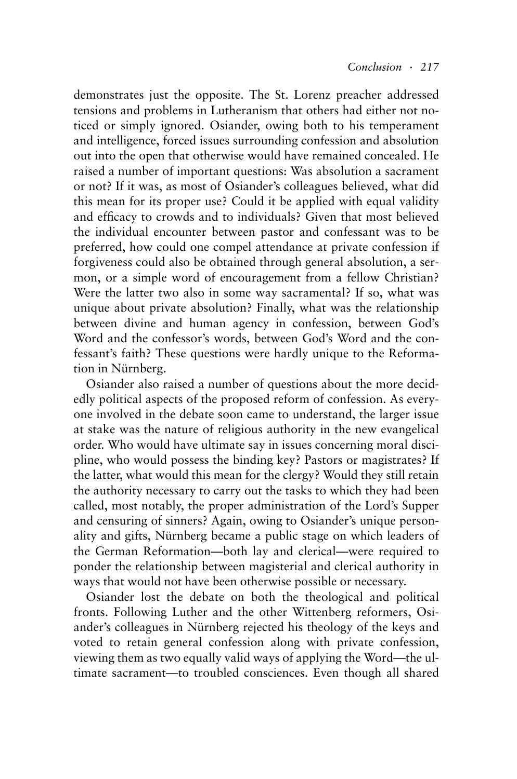demonstrates just the opposite. The St. Lorenz preacher addressed tensions and problems in Lutheranism that others had either not noticed or simply ignored. Osiander, owing both to his temperament and intelligence, forced issues surrounding confession and absolution out into the open that otherwise would have remained concealed. He raised a number of important questions: Was absolution a sacrament or not? If it was, as most of Osiander's colleagues believed, what did this mean for its proper use? Could it be applied with equal validity and efficacy to crowds and to individuals? Given that most believed the individual encounter between pastor and confessant was to be preferred, how could one compel attendance at private confession if forgiveness could also be obtained through general absolution, a sermon, or a simple word of encouragement from a fellow Christian? Were the latter two also in some way sacramental? If so, what was unique about private absolution? Finally, what was the relationship between divine and human agency in confession, between God's Word and the confessor's words, between God's Word and the confessant's faith? These questions were hardly unique to the Reformation in Nürnberg.

Osiander also raised a number of questions about the more decidedly political aspects of the proposed reform of confession. As everyone involved in the debate soon came to understand, the larger issue at stake was the nature of religious authority in the new evangelical order. Who would have ultimate say in issues concerning moral discipline, who would possess the binding key? Pastors or magistrates? If the latter, what would this mean for the clergy? Would they still retain the authority necessary to carry out the tasks to which they had been called, most notably, the proper administration of the Lord's Supper and censuring of sinners? Again, owing to Osiander's unique personality and gifts, Nürnberg became a public stage on which leaders of the German Reformation—both lay and clerical—were required to ponder the relationship between magisterial and clerical authority in ways that would not have been otherwise possible or necessary.

Osiander lost the debate on both the theological and political fronts. Following Luther and the other Wittenberg reformers, Osiander's colleagues in Nürnberg rejected his theology of the keys and voted to retain general confession along with private confession, viewing them as two equally valid ways of applying the Word—the ultimate sacrament—to troubled consciences. Even though all shared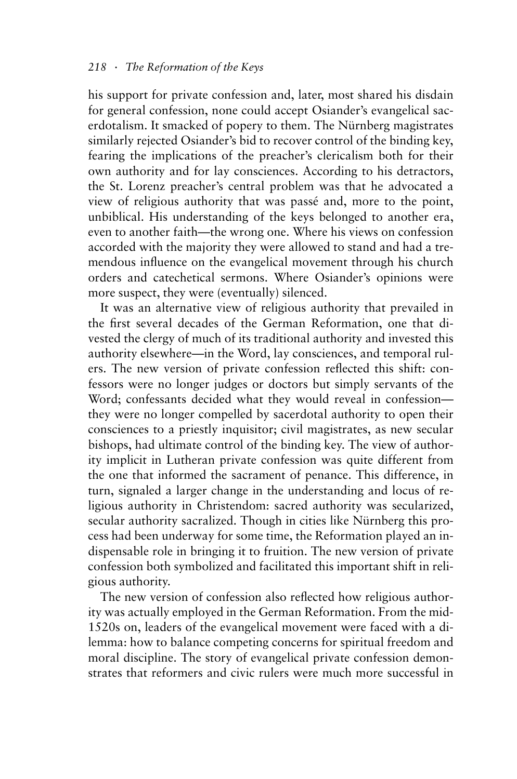his support for private confession and, later, most shared his disdain for general confession, none could accept Osiander's evangelical sacerdotalism. It smacked of popery to them. The Nürnberg magistrates similarly rejected Osiander's bid to recover control of the binding key, fearing the implications of the preacher's clericalism both for their own authority and for lay consciences. According to his detractors, the St. Lorenz preacher's central problem was that he advocated a view of religious authority that was passé and, more to the point, unbiblical. His understanding of the keys belonged to another era, even to another faith—the wrong one. Where his views on confession accorded with the majority they were allowed to stand and had a tremendous influence on the evangelical movement through his church orders and catechetical sermons. Where Osiander's opinions were more suspect, they were (eventually) silenced.

It was an alternative view of religious authority that prevailed in the first several decades of the German Reformation, one that divested the clergy of much of its traditional authority and invested this authority elsewhere—in the Word, lay consciences, and temporal rulers. The new version of private confession reflected this shift: confessors were no longer judges or doctors but simply servants of the Word; confessants decided what they would reveal in confession they were no longer compelled by sacerdotal authority to open their consciences to a priestly inquisitor; civil magistrates, as new secular bishops, had ultimate control of the binding key. The view of authority implicit in Lutheran private confession was quite different from the one that informed the sacrament of penance. This difference, in turn, signaled a larger change in the understanding and locus of religious authority in Christendom: sacred authority was secularized, secular authority sacralized. Though in cities like Nürnberg this process had been underway for some time, the Reformation played an indispensable role in bringing it to fruition. The new version of private confession both symbolized and facilitated this important shift in religious authority.

The new version of confession also reflected how religious authority was actually employed in the German Reformation. From the mid-1520s on, leaders of the evangelical movement were faced with a dilemma: how to balance competing concerns for spiritual freedom and moral discipline. The story of evangelical private confession demonstrates that reformers and civic rulers were much more successful in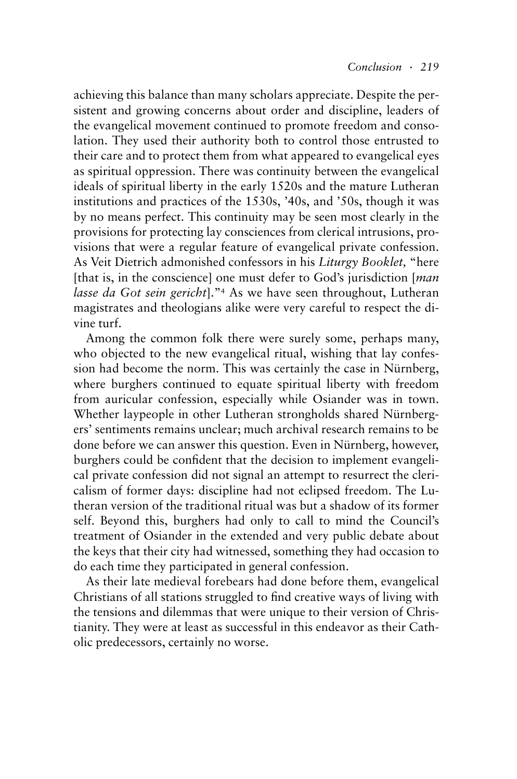achieving this balance than many scholars appreciate. Despite the persistent and growing concerns about order and discipline, leaders of the evangelical movement continued to promote freedom and consolation. They used their authority both to control those entrusted to their care and to protect them from what appeared to evangelical eyes as spiritual oppression. There was continuity between the evangelical ideals of spiritual liberty in the early 1520s and the mature Lutheran institutions and practices of the 1530s, '40s, and '50s, though it was by no means perfect. This continuity may be seen most clearly in the provisions for protecting lay consciences from clerical intrusions, provisions that were a regular feature of evangelical private confession. As Veit Dietrich admonished confessors in his *Liturgy Booklet,* "here [that is, in the conscience] one must defer to God's jurisdiction [*man lasse da Got sein gericht*]."4 As we have seen throughout, Lutheran magistrates and theologians alike were very careful to respect the divine turf.

Among the common folk there were surely some, perhaps many, who objected to the new evangelical ritual, wishing that lay confession had become the norm. This was certainly the case in Nürnberg, where burghers continued to equate spiritual liberty with freedom from auricular confession, especially while Osiander was in town. Whether laypeople in other Lutheran strongholds shared Nürnbergers' sentiments remains unclear; much archival research remains to be done before we can answer this question. Even in Nürnberg, however, burghers could be confident that the decision to implement evangelical private confession did not signal an attempt to resurrect the clericalism of former days: discipline had not eclipsed freedom. The Lutheran version of the traditional ritual was but a shadow of its former self. Beyond this, burghers had only to call to mind the Council's treatment of Osiander in the extended and very public debate about the keys that their city had witnessed, something they had occasion to do each time they participated in general confession.

As their late medieval forebears had done before them, evangelical Christians of all stations struggled to find creative ways of living with the tensions and dilemmas that were unique to their version of Christianity. They were at least as successful in this endeavor as their Catholic predecessors, certainly no worse.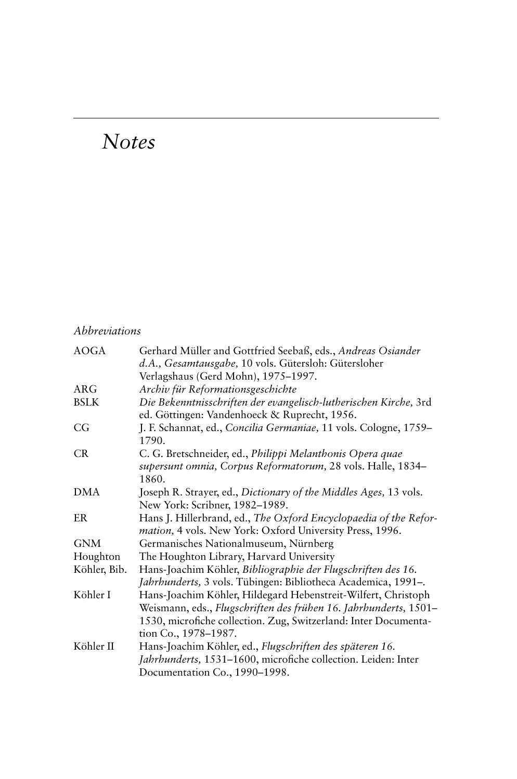# *Notes*

# *Abbreviations*

| AOGA         | Gerhard Müller and Gottfried Seebaß, eds., Andreas Osiander               |
|--------------|---------------------------------------------------------------------------|
|              | d.A., Gesamtausgabe, 10 vols. Gütersloh: Gütersloher                      |
|              | Verlagshaus (Gerd Mohn), 1975-1997.                                       |
| ARG          | Archiv für Reformationsgeschichte                                         |
| <b>BSLK</b>  | Die Bekenntnisschriften der evangelisch-lutherischen Kirche, 3rd          |
|              | ed. Göttingen: Vandenhoeck & Ruprecht, 1956.                              |
| CG           | J. F. Schannat, ed., Concilia Germaniae, 11 vols. Cologne, 1759-<br>1790. |
| <b>CR</b>    | C. G. Bretschneider, ed., Philippi Melanthonis Opera quae                 |
|              | supersunt omnia, Corpus Reformatorum, 28 vols. Halle, 1834-               |
|              | 1860.                                                                     |
| DMA          | Joseph R. Strayer, ed., Dictionary of the Middles Ages, 13 vols.          |
|              | New York: Scribner, 1982–1989.                                            |
| ER           | Hans J. Hillerbrand, ed., The Oxford Encyclopaedia of the Refor-          |
|              | mation, 4 vols. New York: Oxford University Press, 1996.                  |
| <b>GNM</b>   | Germanisches Nationalmuseum, Nürnberg                                     |
| Houghton     | The Houghton Library, Harvard University                                  |
| Köhler, Bib. | Hans-Joachim Köhler, Bibliographie der Flugschriften des 16.              |
|              | Jahrhunderts, 3 vols. Tübingen: Bibliotheca Academica, 1991-.             |
| Köhler I     | Hans-Joachim Köhler, Hildegard Hebenstreit-Wilfert, Christoph             |
|              | Weismann, eds., Flugschriften des frühen 16. Jahrhunderts, 1501-          |
|              | 1530, microfiche collection. Zug, Switzerland: Inter Documenta-           |
|              | tion Co., 1978-1987.                                                      |
| Köhler II    | Hans-Joachim Köhler, ed., Flugschriften des späteren 16.                  |
|              | Jahrhunderts, 1531-1600, microfiche collection. Leiden: Inter             |
|              | Documentation Co., 1990-1998.                                             |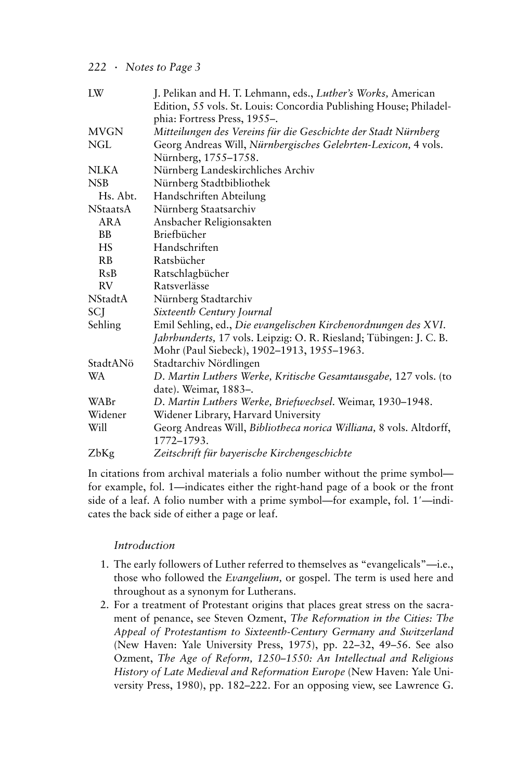## *222 • Notes to Page 3*

| LW              | J. Pelikan and H. T. Lehmann, eds., Luther's Works, American<br>Edition, 55 vols. St. Louis: Concordia Publishing House; Philadel- |
|-----------------|------------------------------------------------------------------------------------------------------------------------------------|
|                 | phia: Fortress Press, 1955-.                                                                                                       |
| <b>MVGN</b>     | Mitteilungen des Vereins für die Geschichte der Stadt Nürnberg                                                                     |
| <b>NGL</b>      | Georg Andreas Will, Nürnbergisches Gelehrten-Lexicon, 4 vols.<br>Nürnberg, 1755–1758.                                              |
| <b>NLKA</b>     | Nürnberg Landeskirchliches Archiv                                                                                                  |
| <b>NSB</b>      | Nürnberg Stadtbibliothek                                                                                                           |
| Hs. Abt.        | Handschriften Abteilung                                                                                                            |
| <b>NStaatsA</b> | Nürnberg Staatsarchiv                                                                                                              |
| ARA             | Ansbacher Religionsakten                                                                                                           |
| <b>BB</b>       | Briefbücher                                                                                                                        |
| HS.             | Handschriften                                                                                                                      |
| RB              | Ratsbücher                                                                                                                         |
| RsB             | Ratschlagbücher                                                                                                                    |
| <b>RV</b>       | Ratsverlässe                                                                                                                       |
| <b>NStadtA</b>  | Nürnberg Stadtarchiv                                                                                                               |
| SCI             | Sixteenth Century Journal                                                                                                          |
| Sehling         | Emil Sehling, ed., Die evangelischen Kirchenordnungen des XVI.                                                                     |
|                 | Jahrhunderts, 17 vols. Leipzig: O. R. Riesland; Tübingen: J. C. B.                                                                 |
|                 | Mohr (Paul Siebeck), 1902-1913, 1955-1963.                                                                                         |
| StadtANö        | Stadtarchiv Nördlingen                                                                                                             |
| WA              | D. Martin Luthers Werke, Kritische Gesamtausgabe, 127 vols. (to                                                                    |
|                 | date). Weimar, 1883-.                                                                                                              |
| WABr            | D. Martin Luthers Werke, Briefwechsel. Weimar, 1930-1948.                                                                          |
| Widener         | Widener Library, Harvard University                                                                                                |
| Will            | Georg Andreas Will, Bibliotheca norica Williana, 8 vols. Altdorff,<br>1772-1793.                                                   |
| ZbKg            | Zeitschrift für bayerische Kirchengeschichte                                                                                       |
|                 |                                                                                                                                    |

In citations from archival materials a folio number without the prime symbol for example, fol. 1—indicates either the right-hand page of a book or the front side of a leaf. A folio number with a prime symbol—for example, fol. 1′—indicates the back side of either a page or leaf.

#### *Introduction*

- 1. The early followers of Luther referred to themselves as "evangelicals"—i.e., those who followed the *Evangelium,* or gospel. The term is used here and throughout as a synonym for Lutherans.
- 2. For a treatment of Protestant origins that places great stress on the sacrament of penance, see Steven Ozment, *The Reformation in the Cities: The Appeal of Protestantism to Sixteenth-Century Germany and Switzerland* (New Haven: Yale University Press, 1975), pp. 22–32, 49–56. See also Ozment, *The Age of Reform, 1250–1550: An Intellectual and Religious History of Late Medieval and Reformation Europe* (New Haven: Yale University Press, 1980), pp. 182–222. For an opposing view, see Lawrence G.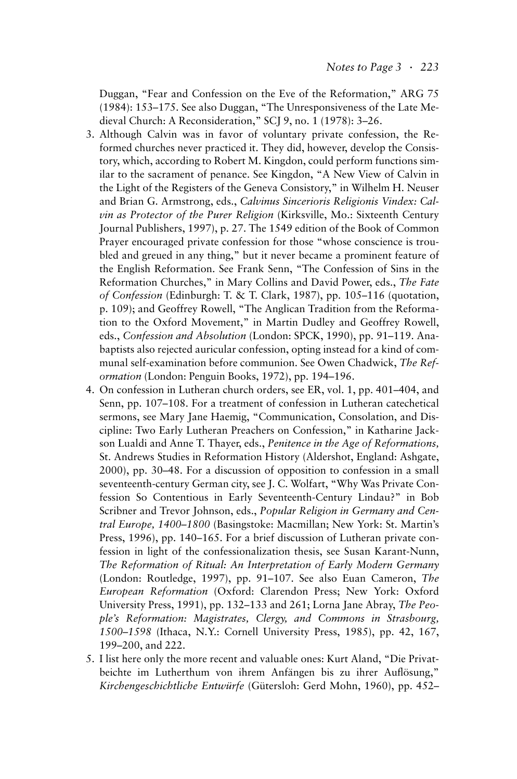Duggan, "Fear and Confession on the Eve of the Reformation," ARG 75 (1984): 153–175. See also Duggan, "The Unresponsiveness of the Late Medieval Church: A Reconsideration," SCJ 9, no. 1 (1978): 3–26.

- 3. Although Calvin was in favor of voluntary private confession, the Reformed churches never practiced it. They did, however, develop the Consistory, which, according to Robert M. Kingdon, could perform functions similar to the sacrament of penance. See Kingdon, "A New View of Calvin in the Light of the Registers of the Geneva Consistory," in Wilhelm H. Neuser and Brian G. Armstrong, eds., *Calvinus Sincerioris Religionis Vindex: Calvin as Protector of the Purer Religion* (Kirksville, Mo.: Sixteenth Century Journal Publishers, 1997), p. 27. The 1549 edition of the Book of Common Prayer encouraged private confession for those "whose conscience is troubled and greued in any thing," but it never became a prominent feature of the English Reformation. See Frank Senn, "The Confession of Sins in the Reformation Churches," in Mary Collins and David Power, eds., *The Fate of Confession* (Edinburgh: T. & T. Clark, 1987), pp. 105–116 (quotation, p. 109); and Geoffrey Rowell, "The Anglican Tradition from the Reformation to the Oxford Movement," in Martin Dudley and Geoffrey Rowell, eds., *Confession and Absolution* (London: SPCK, 1990), pp. 91–119. Anabaptists also rejected auricular confession, opting instead for a kind of communal self-examination before communion. See Owen Chadwick, *The Reformation* (London: Penguin Books, 1972), pp. 194–196.
- 4. On confession in Lutheran church orders, see ER, vol. 1, pp. 401–404, and Senn, pp. 107–108. For a treatment of confession in Lutheran catechetical sermons, see Mary Jane Haemig, "Communication, Consolation, and Discipline: Two Early Lutheran Preachers on Confession," in Katharine Jackson Lualdi and Anne T. Thayer, eds., *Penitence in the Age of Reformations,* St. Andrews Studies in Reformation History (Aldershot, England: Ashgate, 2000), pp. 30–48. For a discussion of opposition to confession in a small seventeenth-century German city, see J. C. Wolfart, "Why Was Private Confession So Contentious in Early Seventeenth-Century Lindau?" in Bob Scribner and Trevor Johnson, eds., *Popular Religion in Germany and Central Europe, 1400–1800* (Basingstoke: Macmillan; New York: St. Martin's Press, 1996), pp. 140–165. For a brief discussion of Lutheran private confession in light of the confessionalization thesis, see Susan Karant-Nunn, *The Reformation of Ritual: An Interpretation of Early Modern Germany* (London: Routledge, 1997), pp. 91–107. See also Euan Cameron, *The European Reformation* (Oxford: Clarendon Press; New York: Oxford University Press, 1991), pp. 132–133 and 261; Lorna Jane Abray, *The People's Reformation: Magistrates, Clergy, and Commons in Strasbourg, 1500–1598* (Ithaca, N.Y.: Cornell University Press, 1985), pp. 42, 167, 199–200, and 222.
- 5. I list here only the more recent and valuable ones: Kurt Aland, "Die Privatbeichte im Lutherthum von ihrem Anfängen bis zu ihrer Auflösung," *Kirchengeschichtliche Entwürfe* (Gütersloh: Gerd Mohn, 1960), pp. 452–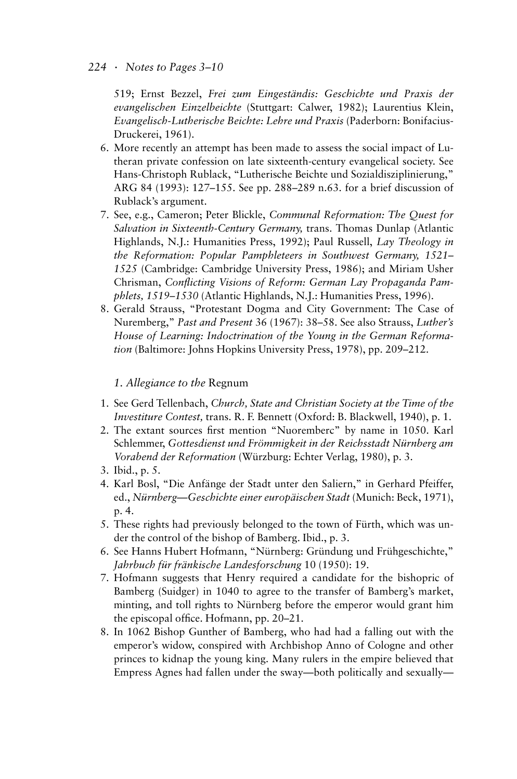*224 • Notes to Pages 3–10*

519; Ernst Bezzel, *Frei zum Eingeständis: Geschichte und Praxis der evangelischen Einzelbeichte* (Stuttgart: Calwer, 1982); Laurentius Klein, *Evangelisch-Lutherische Beichte: Lehre und Praxis* (Paderborn: Bonifacius-Druckerei, 1961).

- 6. More recently an attempt has been made to assess the social impact of Lutheran private confession on late sixteenth-century evangelical society. See Hans-Christoph Rublack, "Lutherische Beichte und Sozialdisziplinierung," ARG 84 (1993): 127–155. See pp. 288–289 n.63. for a brief discussion of Rublack's argument.
- 7. See, e.g., Cameron; Peter Blickle, *Communal Reformation: The Quest for Salvation in Sixteenth-Century Germany,* trans. Thomas Dunlap (Atlantic Highlands, N.J.: Humanities Press, 1992); Paul Russell, *Lay Theology in the Reformation: Popular Pamphleteers in Southwest Germany, 1521– 1525* (Cambridge: Cambridge University Press, 1986); and Miriam Usher Chrisman, *Conflicting Visions of Reform: German Lay Propaganda Pamphlets, 1519–1530* (Atlantic Highlands, N.J.: Humanities Press, 1996).
- 8. Gerald Strauss, "Protestant Dogma and City Government: The Case of Nuremberg," *Past and Present* 36 (1967): 38–58. See also Strauss, *Luther's House of Learning: Indoctrination of the Young in the German Reformation* (Baltimore: Johns Hopkins University Press, 1978), pp. 209–212.

#### *1. Allegiance to the* Regnum

- 1. See Gerd Tellenbach, *Church, State and Christian Society at the Time of the Investiture Contest,* trans. R. F. Bennett (Oxford: B. Blackwell, 1940), p. 1.
- 2. The extant sources first mention "Nuoremberc" by name in 1050. Karl Schlemmer, *Gottesdienst und Frömmigkeit in der Reichsstadt Nürnberg am Vorabend der Reformation* (Würzburg: Echter Verlag, 1980), p. 3.
- 3. Ibid., p. 5.
- 4. Karl Bosl, "Die Anfänge der Stadt unter den Saliern," in Gerhard Pfeiffer, ed., *Nürnberg—Geschichte einer europäischen Stadt* (Munich: Beck, 1971), p. 4.
- 5. These rights had previously belonged to the town of Fürth, which was under the control of the bishop of Bamberg. Ibid., p. 3.
- 6. See Hanns Hubert Hofmann, "Nürnberg: Gründung und Frühgeschichte," *Jahrbuch für fränkische Landesforschung* 10 (1950): 19.
- 7. Hofmann suggests that Henry required a candidate for the bishopric of Bamberg (Suidger) in 1040 to agree to the transfer of Bamberg's market, minting, and toll rights to Nürnberg before the emperor would grant him the episcopal office. Hofmann, pp. 20–21.
- 8. In 1062 Bishop Gunther of Bamberg, who had had a falling out with the emperor's widow, conspired with Archbishop Anno of Cologne and other princes to kidnap the young king. Many rulers in the empire believed that Empress Agnes had fallen under the sway—both politically and sexually—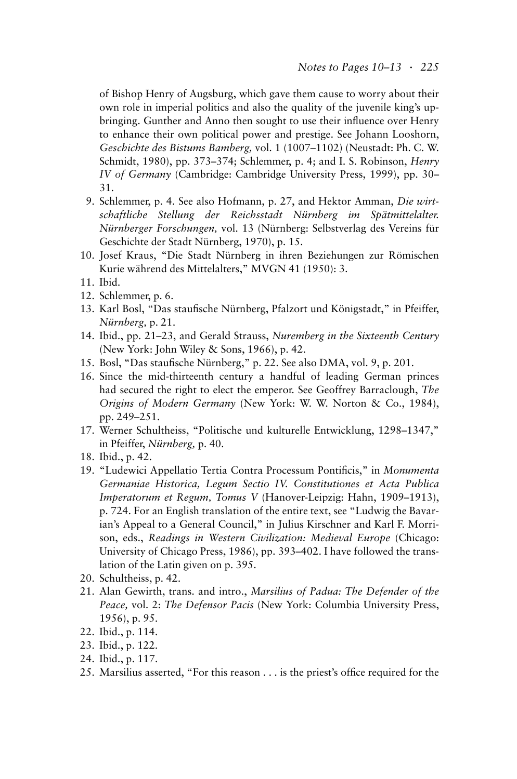of Bishop Henry of Augsburg, which gave them cause to worry about their own role in imperial politics and also the quality of the juvenile king's upbringing. Gunther and Anno then sought to use their influence over Henry to enhance their own political power and prestige. See Johann Looshorn, *Geschichte des Bistums Bamberg,* vol. 1 (1007–1102) (Neustadt: Ph. C. W. Schmidt, 1980), pp. 373–374; Schlemmer, p. 4; and I. S. Robinson, *Henry IV of Germany* (Cambridge: Cambridge University Press, 1999), pp. 30– 31.

- 9. Schlemmer, p. 4. See also Hofmann, p. 27, and Hektor Amman, *Die wirtschaftliche Stellung der Reichsstadt Nürnberg im Spätmittelalter. Nürnberger Forschungen,* vol. 13 (Nürnberg: Selbstverlag des Vereins für Geschichte der Stadt Nürnberg, 1970), p. 15.
- 10. Josef Kraus, "Die Stadt Nürnberg in ihren Beziehungen zur Römischen Kurie während des Mittelalters," MVGN 41 (1950): 3.
- 11. Ibid.
- 12. Schlemmer, p. 6.
- 13. Karl Bosl, "Das staufische Nürnberg, Pfalzort und Königstadt," in Pfeiffer, *Nürnberg,* p. 21.
- 14. Ibid., pp. 21–23, and Gerald Strauss, *Nuremberg in the Sixteenth Century* (New York: John Wiley & Sons, 1966), p. 42.
- 15. Bosl, "Das staufische Nürnberg," p. 22. See also DMA, vol. 9, p. 201.
- 16. Since the mid-thirteenth century a handful of leading German princes had secured the right to elect the emperor. See Geoffrey Barraclough, *The Origins of Modern Germany* (New York: W. W. Norton & Co., 1984), pp. 249–251.
- 17. Werner Schultheiss, "Politische und kulturelle Entwicklung, 1298–1347," in Pfeiffer, *Nürnberg,* p. 40.
- 18. Ibid., p. 42.
- 19. "Ludewici Appellatio Tertia Contra Processum Pontificis," in *Monumenta Germaniae Historica, Legum Sectio IV. Constitutiones et Acta Publica Imperatorum et Regum, Tomus V* (Hanover-Leipzig: Hahn, 1909–1913), p. 724. For an English translation of the entire text, see "Ludwig the Bavarian's Appeal to a General Council," in Julius Kirschner and Karl F. Morrison, eds., *Readings in Western Civilization: Medieval Europe* (Chicago: University of Chicago Press, 1986), pp. 393–402. I have followed the translation of the Latin given on p. 395.
- 20. Schultheiss, p. 42.
- 21. Alan Gewirth, trans. and intro., *Marsilius of Padua: The Defender of the Peace,* vol. 2: *The Defensor Pacis* (New York: Columbia University Press, 1956), p. 95.
- 22. Ibid., p. 114.
- 23. Ibid., p. 122.
- 24. Ibid., p. 117.
- 25. Marsilius asserted, "For this reason . . . is the priest's office required for the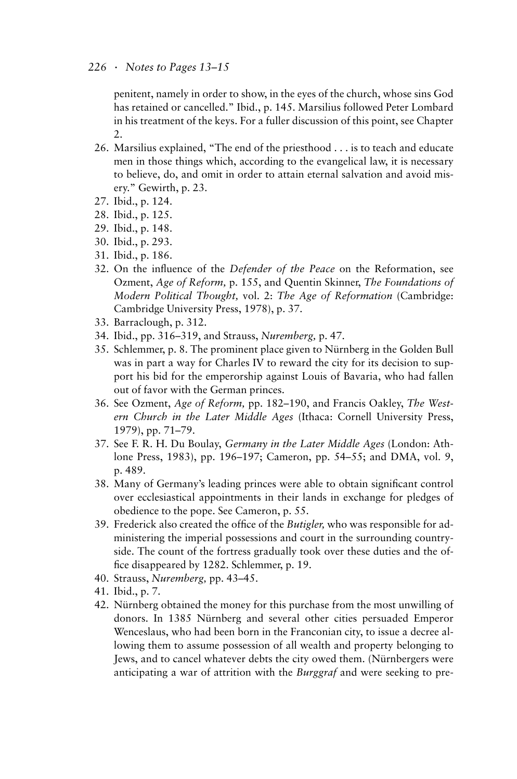penitent, namely in order to show, in the eyes of the church, whose sins God has retained or cancelled." Ibid., p. 145. Marsilius followed Peter Lombard in his treatment of the keys. For a fuller discussion of this point, see Chapter 2.

- 26. Marsilius explained, "The end of the priesthood . . . is to teach and educate men in those things which, according to the evangelical law, it is necessary to believe, do, and omit in order to attain eternal salvation and avoid misery." Gewirth, p. 23.
- 27. Ibid., p. 124.
- 28. Ibid., p. 125.
- 29. Ibid., p. 148.
- 30. Ibid., p. 293.
- 31. Ibid., p. 186.
- 32. On the influence of the *Defender of the Peace* on the Reformation, see Ozment, *Age of Reform,* p. 155, and Quentin Skinner, *The Foundations of Modern Political Thought,* vol. 2: *The Age of Reformation* (Cambridge: Cambridge University Press, 1978), p. 37.
- 33. Barraclough, p. 312.
- 34. Ibid., pp. 316–319, and Strauss, *Nuremberg,* p. 47.
- 35. Schlemmer, p. 8. The prominent place given to Nürnberg in the Golden Bull was in part a way for Charles IV to reward the city for its decision to support his bid for the emperorship against Louis of Bavaria, who had fallen out of favor with the German princes.
- 36. See Ozment, *Age of Reform,* pp. 182–190, and Francis Oakley, *The Western Church in the Later Middle Ages* (Ithaca: Cornell University Press, 1979), pp. 71–79.
- 37. See F. R. H. Du Boulay, *Germany in the Later Middle Ages* (London: Athlone Press, 1983), pp. 196–197; Cameron, pp. 54–55; and DMA, vol. 9, p. 489.
- 38. Many of Germany's leading princes were able to obtain significant control over ecclesiastical appointments in their lands in exchange for pledges of obedience to the pope. See Cameron, p. 55.
- 39. Frederick also created the office of the *Butigler,* who was responsible for administering the imperial possessions and court in the surrounding countryside. The count of the fortress gradually took over these duties and the office disappeared by 1282. Schlemmer, p. 19.
- 40. Strauss, *Nuremberg,* pp. 43–45.
- 41. Ibid., p. 7.
- 42. Nürnberg obtained the money for this purchase from the most unwilling of donors. In 1385 Nürnberg and several other cities persuaded Emperor Wenceslaus, who had been born in the Franconian city, to issue a decree allowing them to assume possession of all wealth and property belonging to Jews, and to cancel whatever debts the city owed them. (Nürnbergers were anticipating a war of attrition with the *Burggraf* and were seeking to pre-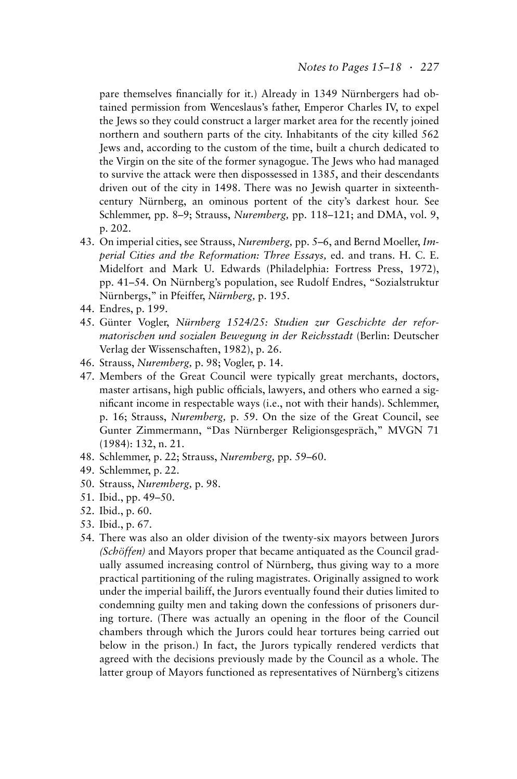pare themselves financially for it.) Already in 1349 Nürnbergers had obtained permission from Wenceslaus's father, Emperor Charles IV, to expel the Jews so they could construct a larger market area for the recently joined northern and southern parts of the city. Inhabitants of the city killed 562 Jews and, according to the custom of the time, built a church dedicated to the Virgin on the site of the former synagogue. The Jews who had managed to survive the attack were then dispossessed in 1385, and their descendants driven out of the city in 1498. There was no Jewish quarter in sixteenthcentury Nürnberg, an ominous portent of the city's darkest hour. See Schlemmer, pp. 8–9; Strauss, *Nuremberg,* pp. 118–121; and DMA, vol. 9, p. 202.

- 43. On imperial cities, see Strauss, *Nuremberg,* pp. 5–6, and Bernd Moeller, *Imperial Cities and the Reformation: Three Essays,* ed. and trans. H. C. E. Midelfort and Mark U. Edwards (Philadelphia: Fortress Press, 1972), pp. 41–54. On Nürnberg's population, see Rudolf Endres, "Sozialstruktur Nürnbergs," in Pfeiffer, *Nürnberg,* p. 195.
- 44. Endres, p. 199.
- 45. Günter Vogler, *Nürnberg 1524/25: Studien zur Geschichte der reformatorischen und sozialen Bewegung in der Reichsstadt* (Berlin: Deutscher Verlag der Wissenschaften, 1982), p. 26.
- 46. Strauss, *Nuremberg,* p. 98; Vogler, p. 14.
- 47. Members of the Great Council were typically great merchants, doctors, master artisans, high public officials, lawyers, and others who earned a significant income in respectable ways (i.e., not with their hands). Schlemmer, p. 16; Strauss, *Nuremberg,* p. 59. On the size of the Great Council, see Gunter Zimmermann, "Das Nürnberger Religionsgespräch," MVGN 71 (1984): 132, n. 21.
- 48. Schlemmer, p. 22; Strauss, *Nuremberg,* pp. 59–60.
- 49. Schlemmer, p. 22.
- 50. Strauss, *Nuremberg,* p. 98.
- 51. Ibid., pp. 49–50.
- 52. Ibid., p. 60.
- 53. Ibid., p. 67.
- 54. There was also an older division of the twenty-six mayors between Jurors *(Schöffen)* and Mayors proper that became antiquated as the Council gradually assumed increasing control of Nürnberg, thus giving way to a more practical partitioning of the ruling magistrates. Originally assigned to work under the imperial bailiff, the Jurors eventually found their duties limited to condemning guilty men and taking down the confessions of prisoners during torture. (There was actually an opening in the floor of the Council chambers through which the Jurors could hear tortures being carried out below in the prison.) In fact, the Jurors typically rendered verdicts that agreed with the decisions previously made by the Council as a whole. The latter group of Mayors functioned as representatives of Nürnberg's citizens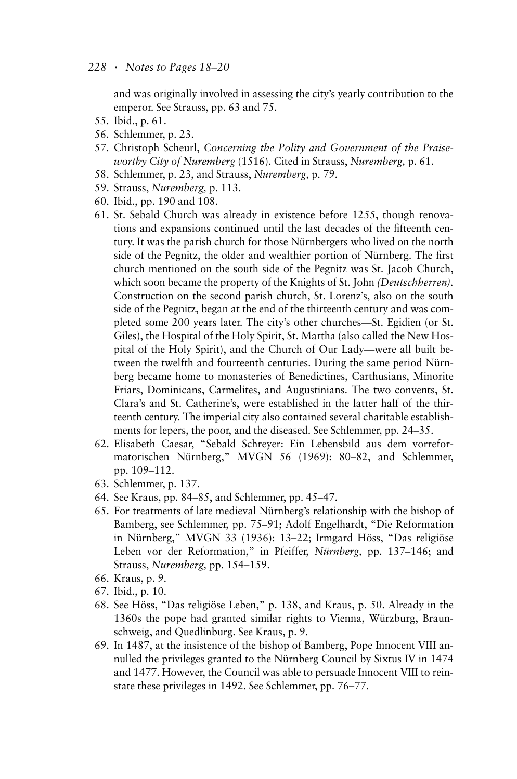*228 • Notes to Pages 18–20*

and was originally involved in assessing the city's yearly contribution to the emperor. See Strauss, pp. 63 and 75.

- 55. Ibid., p. 61.
- 56. Schlemmer, p. 23.
- 57. Christoph Scheurl, *Concerning the Polity and Government of the Praiseworthy City of Nuremberg* (1516). Cited in Strauss, *Nuremberg,* p. 61.
- 58. Schlemmer, p. 23, and Strauss, *Nuremberg,* p. 79.
- 59. Strauss, *Nuremberg,* p. 113.
- 60. Ibid., pp. 190 and 108.
- 61. St. Sebald Church was already in existence before 1255, though renovations and expansions continued until the last decades of the fifteenth century. It was the parish church for those Nürnbergers who lived on the north side of the Pegnitz, the older and wealthier portion of Nürnberg. The first church mentioned on the south side of the Pegnitz was St. Jacob Church, which soon became the property of the Knights of St. John *(Deutschherren).* Construction on the second parish church, St. Lorenz's, also on the south side of the Pegnitz, began at the end of the thirteenth century and was completed some 200 years later. The city's other churches—St. Egidien (or St. Giles), the Hospital of the Holy Spirit, St. Martha (also called the New Hospital of the Holy Spirit), and the Church of Our Lady—were all built between the twelfth and fourteenth centuries. During the same period Nürnberg became home to monasteries of Benedictines, Carthusians, Minorite Friars, Dominicans, Carmelites, and Augustinians. The two convents, St. Clara's and St. Catherine's, were established in the latter half of the thirteenth century. The imperial city also contained several charitable establishments for lepers, the poor, and the diseased. See Schlemmer, pp. 24–35.
- 62. Elisabeth Caesar, "Sebald Schreyer: Ein Lebensbild aus dem vorreformatorischen Nürnberg," MVGN 56 (1969): 80–82, and Schlemmer, pp. 109–112.
- 63. Schlemmer, p. 137.
- 64. See Kraus, pp. 84–85, and Schlemmer, pp. 45–47.
- 65. For treatments of late medieval Nürnberg's relationship with the bishop of Bamberg, see Schlemmer, pp. 75–91; Adolf Engelhardt, "Die Reformation in Nürnberg," MVGN 33 (1936): 13–22; Irmgard Höss, "Das religiöse Leben vor der Reformation," in Pfeiffer, *Nürnberg,* pp. 137–146; and Strauss, *Nuremberg,* pp. 154–159.
- 66. Kraus, p. 9.
- 67. Ibid., p. 10.
- 68. See Höss, "Das religiöse Leben," p. 138, and Kraus, p. 50. Already in the 1360s the pope had granted similar rights to Vienna, Würzburg, Braunschweig, and Quedlinburg. See Kraus, p. 9.
- 69. In 1487, at the insistence of the bishop of Bamberg, Pope Innocent VIII annulled the privileges granted to the Nürnberg Council by Sixtus IV in 1474 and 1477. However, the Council was able to persuade Innocent VIII to reinstate these privileges in 1492. See Schlemmer, pp. 76–77.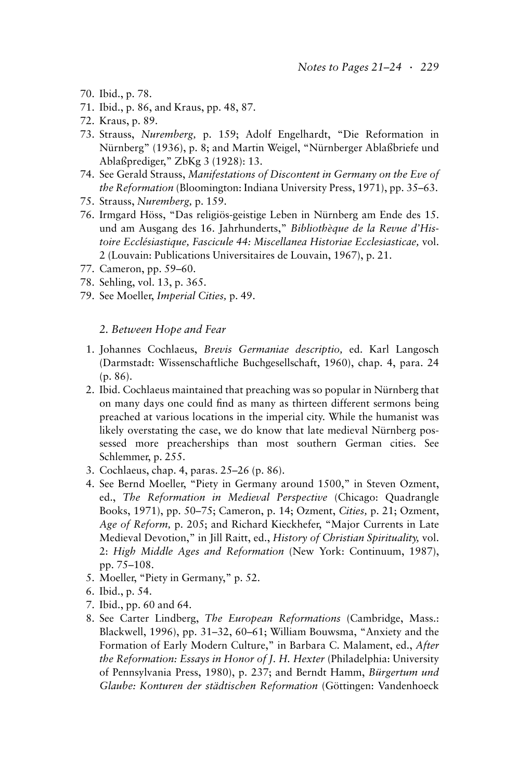- 70. Ibid., p. 78.
- 71. Ibid., p. 86, and Kraus, pp. 48, 87.
- 72. Kraus, p. 89.
- 73. Strauss, *Nuremberg,* p. 159; Adolf Engelhardt, "Die Reformation in Nürnberg" (1936), p. 8; and Martin Weigel, "Nürnberger Ablaßbriefe und Ablaßprediger," ZbKg 3 (1928): 13.
- 74. See Gerald Strauss, *Manifestations of Discontent in Germany on the Eve of the Reformation* (Bloomington: Indiana University Press, 1971), pp. 35–63.
- 75. Strauss, *Nuremberg,* p. 159.
- 76. Irmgard Höss, "Das religiös-geistige Leben in Nürnberg am Ende des 15. und am Ausgang des 16. Jahrhunderts," *Bibliothèque de la Revue d'Histoire Ecclésiastique, Fascicule 44: Miscellanea Historiae Ecclesiasticae,* vol. 2 (Louvain: Publications Universitaires de Louvain, 1967), p. 21.
- 77. Cameron, pp. 59–60.
- 78. Sehling, vol. 13, p. 365.
- 79. See Moeller, *Imperial Cities,* p. 49.

#### *2. Between Hope and Fear*

- 1. Johannes Cochlaeus, *Brevis Germaniae descriptio,* ed. Karl Langosch (Darmstadt: Wissenschaftliche Buchgesellschaft, 1960), chap. 4, para. 24 (p. 86).
- 2. Ibid. Cochlaeus maintained that preaching was so popular in Nürnberg that on many days one could find as many as thirteen different sermons being preached at various locations in the imperial city. While the humanist was likely overstating the case, we do know that late medieval Nürnberg possessed more preacherships than most southern German cities. See Schlemmer, p. 255.
- 3. Cochlaeus, chap. 4, paras. 25–26 (p. 86).
- 4. See Bernd Moeller, "Piety in Germany around 1500," in Steven Ozment, ed., *The Reformation in Medieval Perspective* (Chicago: Quadrangle Books, 1971), pp. 50–75; Cameron, p. 14; Ozment, *Cities,* p. 21; Ozment, *Age of Reform,* p. 205; and Richard Kieckhefer, "Major Currents in Late Medieval Devotion," in Jill Raitt, ed., *History of Christian Spirituality,* vol. 2: *High Middle Ages and Reformation* (New York: Continuum, 1987), pp. 75–108.
- 5. Moeller, "Piety in Germany," p. 52.
- 6. Ibid., p. 54.
- 7. Ibid., pp. 60 and 64.
- 8. See Carter Lindberg, *The European Reformations* (Cambridge, Mass.: Blackwell, 1996), pp. 31–32, 60–61; William Bouwsma, "Anxiety and the Formation of Early Modern Culture," in Barbara C. Malament, ed., *After the Reformation: Essays in Honor of J. H. Hexter* (Philadelphia: University of Pennsylvania Press, 1980), p. 237; and Berndt Hamm, *Bürgertum und Glaube: Konturen der städtischen Reformation* (Göttingen: Vandenhoeck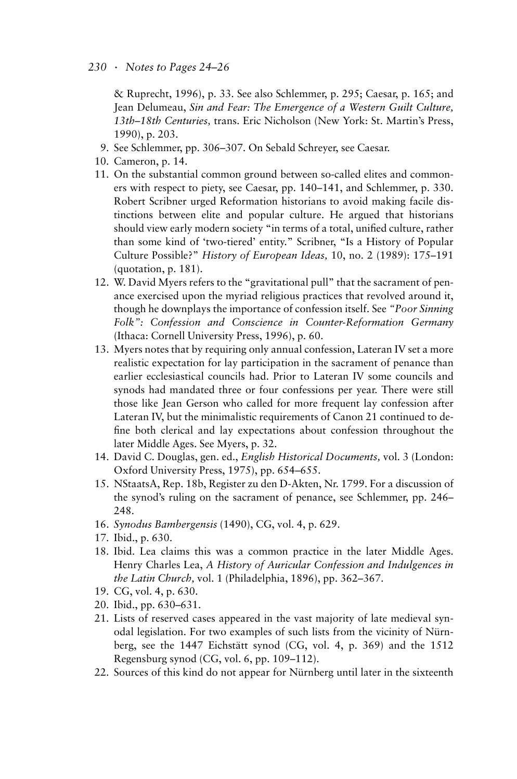*230 • Notes to Pages 24–26*

& Ruprecht, 1996), p. 33. See also Schlemmer, p. 295; Caesar, p. 165; and Jean Delumeau, *Sin and Fear: The Emergence of a Western Guilt Culture, 13th–18th Centuries,* trans. Eric Nicholson (New York: St. Martin's Press, 1990), p. 203.

- 9. See Schlemmer, pp. 306–307. On Sebald Schreyer, see Caesar.
- 10. Cameron, p. 14.
- 11. On the substantial common ground between so-called elites and commoners with respect to piety, see Caesar, pp. 140–141, and Schlemmer, p. 330. Robert Scribner urged Reformation historians to avoid making facile distinctions between elite and popular culture. He argued that historians should view early modern society "in terms of a total, unified culture, rather than some kind of 'two-tiered' entity." Scribner, "Is a History of Popular Culture Possible?" *History of European Ideas,* 10, no. 2 (1989): 175–191 (quotation, p. 181).
- 12. W. David Myers refers to the "gravitational pull" that the sacrament of penance exercised upon the myriad religious practices that revolved around it, though he downplays the importance of confession itself. See *"Poor Sinning Folk": Confession and Conscience in Counter-Reformation Germany* (Ithaca: Cornell University Press, 1996), p. 60.
- 13. Myers notes that by requiring only annual confession, Lateran IV set a more realistic expectation for lay participation in the sacrament of penance than earlier ecclesiastical councils had. Prior to Lateran IV some councils and synods had mandated three or four confessions per year. There were still those like Jean Gerson who called for more frequent lay confession after Lateran IV, but the minimalistic requirements of Canon 21 continued to define both clerical and lay expectations about confession throughout the later Middle Ages. See Myers, p. 32.
- 14. David C. Douglas, gen. ed., *English Historical Documents,* vol. 3 (London: Oxford University Press, 1975), pp. 654–655.
- 15. NStaatsA, Rep. 18b, Register zu den D-Akten, Nr. 1799. For a discussion of the synod's ruling on the sacrament of penance, see Schlemmer, pp. 246– 248.
- 16. *Synodus Bambergensis* (1490), CG, vol. 4, p. 629.
- 17. Ibid., p. 630.
- 18. Ibid. Lea claims this was a common practice in the later Middle Ages. Henry Charles Lea, *A History of Auricular Confession and Indulgences in the Latin Church,* vol. 1 (Philadelphia, 1896), pp. 362–367.
- 19. CG, vol. 4, p. 630.
- 20. Ibid., pp. 630–631.
- 21. Lists of reserved cases appeared in the vast majority of late medieval synodal legislation. For two examples of such lists from the vicinity of Nürnberg, see the 1447 Eichstätt synod (CG, vol. 4, p. 369) and the 1512 Regensburg synod (CG, vol. 6, pp. 109–112).
- 22. Sources of this kind do not appear for Nürnberg until later in the sixteenth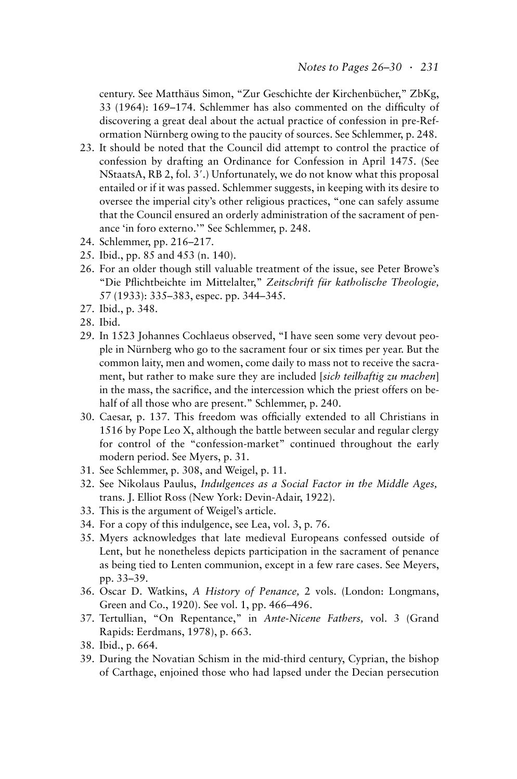century. See Matthäus Simon, "Zur Geschichte der Kirchenbücher," ZbKg, 33 (1964): 169–174. Schlemmer has also commented on the difficulty of discovering a great deal about the actual practice of confession in pre-Reformation Nürnberg owing to the paucity of sources. See Schlemmer, p. 248.

- 23. It should be noted that the Council did attempt to control the practice of confession by drafting an Ordinance for Confession in April 1475. (See NStaatsA, RB 2, fol. 3′.) Unfortunately, we do not know what this proposal entailed or if it was passed. Schlemmer suggests, in keeping with its desire to oversee the imperial city's other religious practices, "one can safely assume that the Council ensured an orderly administration of the sacrament of penance 'in foro externo.'" See Schlemmer, p. 248.
- 24. Schlemmer, pp. 216–217.
- 25. Ibid., pp. 85 and 453 (n. 140).
- 26. For an older though still valuable treatment of the issue, see Peter Browe's "Die Pflichtbeichte im Mittelalter," *Zeitschrift für katholische Theologie,* 57 (1933): 335–383, espec. pp. 344–345.
- 27. Ibid., p. 348.
- 28. Ibid.
- 29. In 1523 Johannes Cochlaeus observed, "I have seen some very devout people in Nürnberg who go to the sacrament four or six times per year. But the common laity, men and women, come daily to mass not to receive the sacrament, but rather to make sure they are included [*sich teilhaftig zu machen*] in the mass, the sacrifice, and the intercession which the priest offers on behalf of all those who are present." Schlemmer, p. 240.
- 30. Caesar, p. 137. This freedom was officially extended to all Christians in 1516 by Pope Leo X, although the battle between secular and regular clergy for control of the "confession-market" continued throughout the early modern period. See Myers, p. 31.
- 31. See Schlemmer, p. 308, and Weigel, p. 11.
- 32. See Nikolaus Paulus, *Indulgences as a Social Factor in the Middle Ages,* trans. J. Elliot Ross (New York: Devin-Adair, 1922).
- 33. This is the argument of Weigel's article.
- 34. For a copy of this indulgence, see Lea, vol. 3, p. 76.
- 35. Myers acknowledges that late medieval Europeans confessed outside of Lent, but he nonetheless depicts participation in the sacrament of penance as being tied to Lenten communion, except in a few rare cases. See Meyers, pp. 33–39.
- 36. Oscar D. Watkins, *A History of Penance,* 2 vols. (London: Longmans, Green and Co., 1920). See vol. 1, pp. 466–496.
- 37. Tertullian, "On Repentance," in *Ante-Nicene Fathers,* vol. 3 (Grand Rapids: Eerdmans, 1978), p. 663.
- 38. Ibid., p. 664.
- 39. During the Novatian Schism in the mid-third century, Cyprian, the bishop of Carthage, enjoined those who had lapsed under the Decian persecution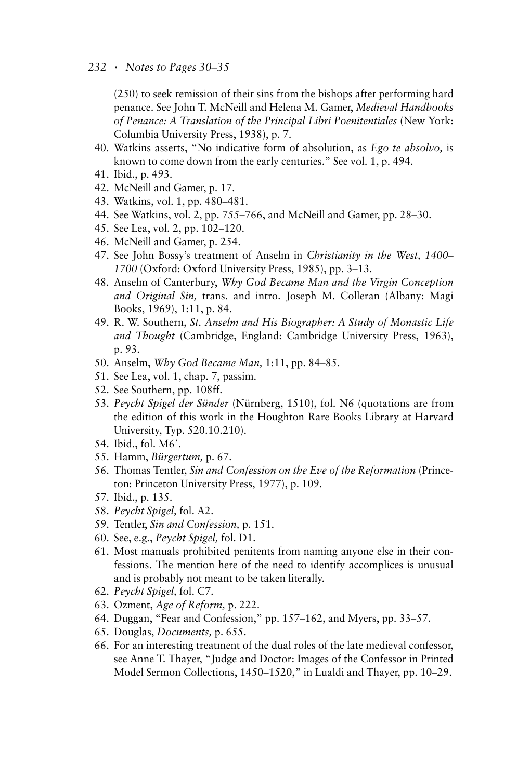*232 • Notes to Pages 30–35*

(250) to seek remission of their sins from the bishops after performing hard penance. See John T. McNeill and Helena M. Gamer, *Medieval Handbooks of Penance: A Translation of the Principal Libri Poenitentiales* (New York: Columbia University Press, 1938), p. 7.

- 40. Watkins asserts, "No indicative form of absolution, as *Ego te absolvo,* is known to come down from the early centuries." See vol. 1, p. 494.
- 41. Ibid., p. 493.
- 42. McNeill and Gamer, p. 17.
- 43. Watkins, vol. 1, pp. 480–481.
- 44. See Watkins, vol. 2, pp. 755–766, and McNeill and Gamer, pp. 28–30.
- 45. See Lea, vol. 2, pp. 102–120.
- 46. McNeill and Gamer, p. 254.
- 47. See John Bossy's treatment of Anselm in *Christianity in the West, 1400– 1700* (Oxford: Oxford University Press, 1985), pp. 3–13.
- 48. Anselm of Canterbury, *Why God Became Man and the Virgin Conception and Original Sin,* trans. and intro. Joseph M. Colleran (Albany: Magi Books, 1969), 1:11, p. 84.
- 49. R. W. Southern, *St. Anselm and His Biographer: A Study of Monastic Life and Thought* (Cambridge, England: Cambridge University Press, 1963), p. 93.
- 50. Anselm, *Why God Became Man,* 1:11, pp. 84–85.
- 51. See Lea, vol. 1, chap. 7, passim.
- 52. See Southern, pp. 108ff.
- 53. *Peycht Spigel der Sünder* (Nürnberg, 1510), fol. N6 (quotations are from the edition of this work in the Houghton Rare Books Library at Harvard University, Typ. 520.10.210).
- 54. Ibid., fol. M6′.
- 55. Hamm, *Bürgertum,* p. 67.
- 56. Thomas Tentler, *Sin and Confession on the Eve of the Reformation* (Princeton: Princeton University Press, 1977), p. 109.
- 57. Ibid., p. 135.
- 58. *Peycht Spigel,* fol. A2.
- 59. Tentler, *Sin and Confession,* p. 151.
- 60. See, e.g., *Peycht Spigel,* fol. D1.
- 61. Most manuals prohibited penitents from naming anyone else in their confessions. The mention here of the need to identify accomplices is unusual and is probably not meant to be taken literally.
- 62. *Peycht Spigel,* fol. C7.
- 63. Ozment, *Age of Reform,* p. 222.
- 64. Duggan, "Fear and Confession," pp. 157–162, and Myers, pp. 33–57.
- 65. Douglas, *Documents,* p. 655.
- 66. For an interesting treatment of the dual roles of the late medieval confessor, see Anne T. Thayer, "Judge and Doctor: Images of the Confessor in Printed Model Sermon Collections, 1450–1520," in Lualdi and Thayer, pp. 10–29.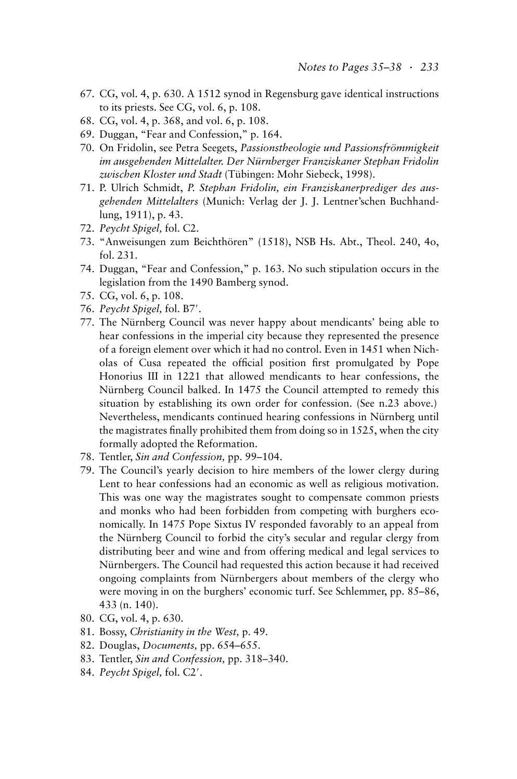- 67. CG, vol. 4, p. 630. A 1512 synod in Regensburg gave identical instructions to its priests. See CG, vol. 6, p. 108.
- 68. CG, vol. 4, p. 368, and vol. 6, p. 108.
- 69. Duggan, "Fear and Confession," p. 164.
- 70. On Fridolin, see Petra Seegets, *Passionstheologie und Passionsfrömmigkeit im ausgehenden Mittelalter. Der Nürnberger Franziskaner Stephan Fridolin zwischen Kloster und Stadt* (Tübingen: Mohr Siebeck, 1998).
- 71. P. Ulrich Schmidt, *P. Stephan Fridolin, ein Franziskanerprediger des ausgehenden Mittelalters* (Munich: Verlag der J. J. Lentner'schen Buchhandlung, 1911), p. 43.
- 72. *Peycht Spigel,* fol. C2.
- 73. "Anweisungen zum Beichthören" (1518), NSB Hs. Abt., Theol. 240, 4o, fol. 231.
- 74. Duggan, "Fear and Confession," p. 163. No such stipulation occurs in the legislation from the 1490 Bamberg synod.
- 75. CG, vol. 6, p. 108.
- 76. *Peycht Spigel,* fol. B7′.
- 77. The Nürnberg Council was never happy about mendicants' being able to hear confessions in the imperial city because they represented the presence of a foreign element over which it had no control. Even in 1451 when Nicholas of Cusa repeated the official position first promulgated by Pope Honorius III in 1221 that allowed mendicants to hear confessions, the Nürnberg Council balked. In 1475 the Council attempted to remedy this situation by establishing its own order for confession. (See n.23 above.) Nevertheless, mendicants continued hearing confessions in Nürnberg until the magistrates finally prohibited them from doing so in 1525, when the city formally adopted the Reformation.
- 78. Tentler, *Sin and Confession,* pp. 99–104.
- 79. The Council's yearly decision to hire members of the lower clergy during Lent to hear confessions had an economic as well as religious motivation. This was one way the magistrates sought to compensate common priests and monks who had been forbidden from competing with burghers economically. In 1475 Pope Sixtus IV responded favorably to an appeal from the Nürnberg Council to forbid the city's secular and regular clergy from distributing beer and wine and from offering medical and legal services to Nürnbergers. The Council had requested this action because it had received ongoing complaints from Nürnbergers about members of the clergy who were moving in on the burghers' economic turf. See Schlemmer, pp. 85–86, 433 (n. 140).
- 80. CG, vol. 4, p. 630.
- 81. Bossy, *Christianity in the West,* p. 49.
- 82. Douglas, *Documents,* pp. 654–655.
- 83. Tentler, *Sin and Confession,* pp. 318–340.
- 84. *Peycht Spigel,* fol. C2′.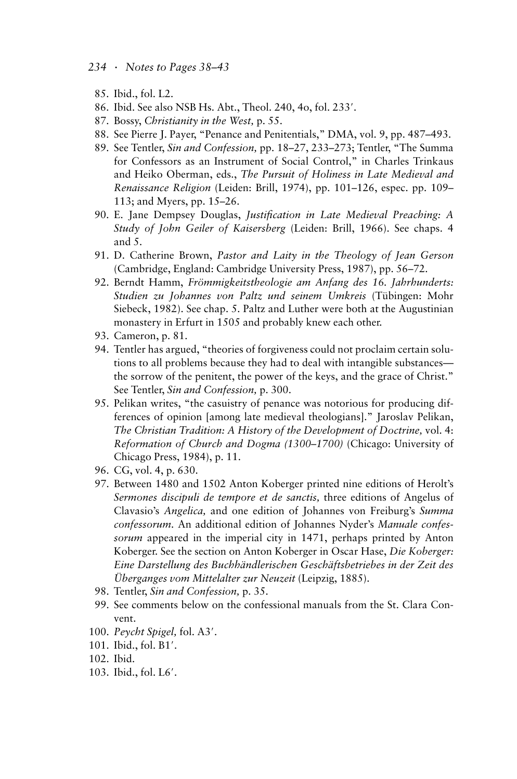- 85. Ibid., fol. L2.
- 86. Ibid. See also NSB Hs. Abt., Theol. 240, 4o, fol. 233′.
- 87. Bossy, *Christianity in the West,* p. 55.
- 88. See Pierre J. Payer, "Penance and Penitentials," DMA, vol. 9, pp. 487–493.
- 89. See Tentler, *Sin and Confession,* pp. 18–27, 233–273; Tentler, "The Summa for Confessors as an Instrument of Social Control," in Charles Trinkaus and Heiko Oberman, eds., *The Pursuit of Holiness in Late Medieval and Renaissance Religion* (Leiden: Brill, 1974), pp. 101–126, espec. pp. 109– 113; and Myers, pp. 15–26.
- 90. E. Jane Dempsey Douglas, *Justification in Late Medieval Preaching: A Study of John Geiler of Kaisersberg* (Leiden: Brill, 1966). See chaps. 4 and 5.
- 91. D. Catherine Brown, *Pastor and Laity in the Theology of Jean Gerson* (Cambridge, England: Cambridge University Press, 1987), pp. 56–72.
- 92. Berndt Hamm, *Frömmigkeitstheologie am Anfang des 16. Jahrhunderts: Studien zu Johannes von Paltz und seinem Umkreis* (Tübingen: Mohr Siebeck, 1982). See chap. 5. Paltz and Luther were both at the Augustinian monastery in Erfurt in 1505 and probably knew each other.
- 93. Cameron, p. 81.
- 94. Tentler has argued, "theories of forgiveness could not proclaim certain solutions to all problems because they had to deal with intangible substances the sorrow of the penitent, the power of the keys, and the grace of Christ." See Tentler, *Sin and Confession,* p. 300.
- 95. Pelikan writes, "the casuistry of penance was notorious for producing differences of opinion [among late medieval theologians]." Jaroslav Pelikan, *The Christian Tradition: A History of the Development of Doctrine,* vol. 4: *Reformation of Church and Dogma (1300–1700)* (Chicago: University of Chicago Press, 1984), p. 11.
- 96. CG, vol. 4, p. 630.
- 97. Between 1480 and 1502 Anton Koberger printed nine editions of Herolt's *Sermones discipuli de tempore et de sanctis,* three editions of Angelus of Clavasio's *Angelica,* and one edition of Johannes von Freiburg's *Summa confessorum.* An additional edition of Johannes Nyder's *Manuale confessorum* appeared in the imperial city in 1471, perhaps printed by Anton Koberger. See the section on Anton Koberger in Oscar Hase, *Die Koberger: Eine Darstellung des Buchhändlerischen Geschäftsbetriebes in der Zeit des Überganges vom Mittelalter zur Neuzeit* (Leipzig, 1885).
- 98. Tentler, *Sin and Confession,* p. 35.
- 99. See comments below on the confessional manuals from the St. Clara Convent.
- 100. *Peycht Spigel,* fol. A3′.
- 101. Ibid., fol. B1′.
- 102. Ibid.
- 103. Ibid., fol. L6′.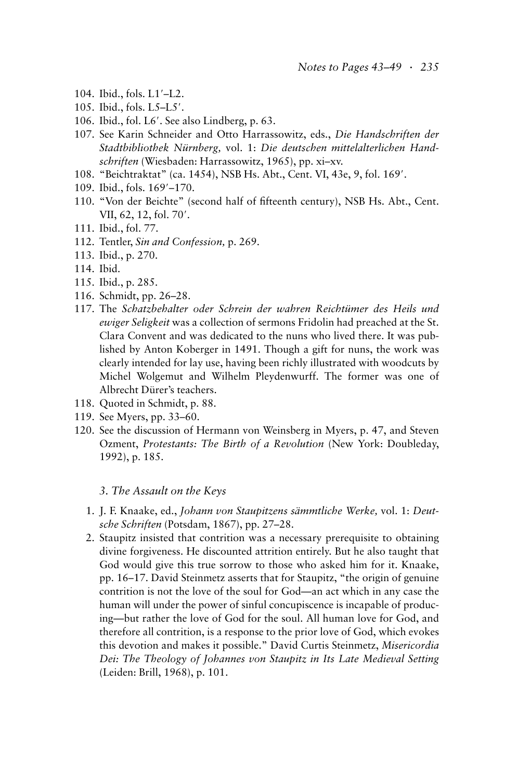- 104. Ibid., fols. L1′–L2.
- 105. Ibid., fols. L5–L5′.
- 106. Ibid., fol. L6′. See also Lindberg, p. 63.
- 107. See Karin Schneider and Otto Harrassowitz, eds., *Die Handschriften der Stadtbibliothek Nürnberg,* vol. 1: *Die deutschen mittelalterlichen Handschriften* (Wiesbaden: Harrassowitz, 1965), pp. xi–xv.
- 108. "Beichtraktat" (ca. 1454), NSB Hs. Abt., Cent. VI, 43e, 9, fol. 169′.
- 109. Ibid., fols. 169′–170.
- 110. "Von der Beichte" (second half of fifteenth century), NSB Hs. Abt., Cent. VII, 62, 12, fol. 70′.
- 111. Ibid., fol. 77.
- 112. Tentler, *Sin and Confession,* p. 269.
- 113. Ibid., p. 270.
- 114. Ibid.
- 115. Ibid., p. 285.
- 116. Schmidt, pp. 26–28.
- 117. The *Schatzbehalter oder Schrein der wahren Reichtümer des Heils und ewiger Seligkeit* was a collection of sermons Fridolin had preached at the St. Clara Convent and was dedicated to the nuns who lived there. It was published by Anton Koberger in 1491. Though a gift for nuns, the work was clearly intended for lay use, having been richly illustrated with woodcuts by Michel Wolgemut and Wilhelm Pleydenwurff. The former was one of Albrecht Dürer's teachers.
- 118. Quoted in Schmidt, p. 88.
- 119. See Myers, pp. 33–60.
- 120. See the discussion of Hermann von Weinsberg in Myers, p. 47, and Steven Ozment, *Protestants: The Birth of a Revolution* (New York: Doubleday, 1992), p. 185.

#### *3. The Assault on the Keys*

- 1. J. F. Knaake, ed., *Johann von Staupitzens sämmtliche Werke,* vol. 1: *Deutsche Schriften* (Potsdam, 1867), pp. 27–28.
- 2. Staupitz insisted that contrition was a necessary prerequisite to obtaining divine forgiveness. He discounted attrition entirely. But he also taught that God would give this true sorrow to those who asked him for it. Knaake, pp. 16–17. David Steinmetz asserts that for Staupitz, "the origin of genuine contrition is not the love of the soul for God—an act which in any case the human will under the power of sinful concupiscence is incapable of producing—but rather the love of God for the soul. All human love for God, and therefore all contrition, is a response to the prior love of God, which evokes this devotion and makes it possible." David Curtis Steinmetz, *Misericordia Dei: The Theology of Johannes von Staupitz in Its Late Medieval Setting* (Leiden: Brill, 1968), p. 101.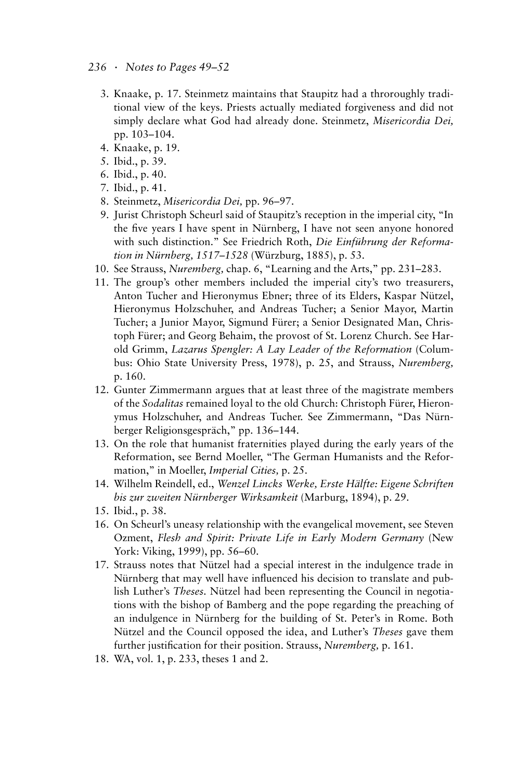- *236 • Notes to Pages 49–52*
	- 3. Knaake, p. 17. Steinmetz maintains that Staupitz had a throroughly traditional view of the keys. Priests actually mediated forgiveness and did not simply declare what God had already done. Steinmetz, *Misericordia Dei,* pp. 103–104.
	- 4. Knaake, p. 19.
	- 5. Ibid., p. 39.
	- 6. Ibid., p. 40.
	- 7. Ibid., p. 41.
	- 8. Steinmetz, *Misericordia Dei,* pp. 96–97.
	- 9. Jurist Christoph Scheurl said of Staupitz's reception in the imperial city, "In the five years I have spent in Nürnberg, I have not seen anyone honored with such distinction." See Friedrich Roth, *Die Einführung der Reformation in Nürnberg, 1517–1528* (Würzburg, 1885), p. 53.
	- 10. See Strauss, *Nuremberg,* chap. 6, "Learning and the Arts," pp. 231–283.
	- 11. The group's other members included the imperial city's two treasurers, Anton Tucher and Hieronymus Ebner; three of its Elders, Kaspar Nützel, Hieronymus Holzschuher, and Andreas Tucher; a Senior Mayor, Martin Tucher; a Junior Mayor, Sigmund Fürer; a Senior Designated Man, Christoph Fürer; and Georg Behaim, the provost of St. Lorenz Church. See Harold Grimm, *Lazarus Spengler: A Lay Leader of the Reformation* (Columbus: Ohio State University Press, 1978), p. 25, and Strauss, *Nuremberg,* p. 160.
	- 12. Gunter Zimmermann argues that at least three of the magistrate members of the *Sodalitas* remained loyal to the old Church: Christoph Fürer, Hieronymus Holzschuher, and Andreas Tucher. See Zimmermann, "Das Nürnberger Religionsgespräch," pp. 136–144.
	- 13. On the role that humanist fraternities played during the early years of the Reformation, see Bernd Moeller, "The German Humanists and the Reformation," in Moeller, *Imperial Cities,* p. 25.
	- 14. Wilhelm Reindell, ed., *Wenzel Lincks Werke, Erste Hälfte: Eigene Schriften bis zur zweiten Nürnberger Wirksamkeit* (Marburg, 1894), p. 29.
	- 15. Ibid., p. 38.
	- 16. On Scheurl's uneasy relationship with the evangelical movement, see Steven Ozment, *Flesh and Spirit: Private Life in Early Modern Germany* (New York: Viking, 1999), pp. 56–60.
	- 17. Strauss notes that Nützel had a special interest in the indulgence trade in Nürnberg that may well have influenced his decision to translate and publish Luther's *Theses.* Nützel had been representing the Council in negotiations with the bishop of Bamberg and the pope regarding the preaching of an indulgence in Nürnberg for the building of St. Peter's in Rome. Both Nützel and the Council opposed the idea, and Luther's *Theses* gave them further justification for their position. Strauss, *Nuremberg,* p. 161.
	- 18. WA, vol. 1, p. 233, theses 1 and 2.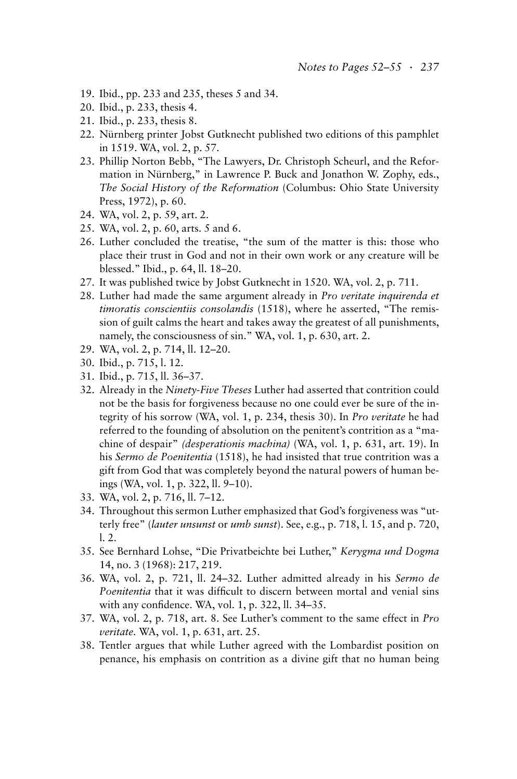- 19. Ibid., pp. 233 and 235, theses 5 and 34.
- 20. Ibid., p. 233, thesis 4.
- 21. Ibid., p. 233, thesis 8.
- 22. Nürnberg printer Jobst Gutknecht published two editions of this pamphlet in 1519. WA, vol. 2, p. 57.
- 23. Phillip Norton Bebb, "The Lawyers, Dr. Christoph Scheurl, and the Reformation in Nürnberg," in Lawrence P. Buck and Jonathon W. Zophy, eds., *The Social History of the Reformation* (Columbus: Ohio State University Press, 1972), p. 60.
- 24. WA, vol. 2, p. 59, art. 2.
- 25. WA, vol. 2, p. 60, arts. 5 and 6.
- 26. Luther concluded the treatise, "the sum of the matter is this: those who place their trust in God and not in their own work or any creature will be blessed." Ibid., p. 64, ll. 18–20.
- 27. It was published twice by Jobst Gutknecht in 1520. WA, vol. 2, p. 711.
- 28. Luther had made the same argument already in *Pro veritate inquirenda et timoratis conscientiis consolandis* (1518), where he asserted, "The remission of guilt calms the heart and takes away the greatest of all punishments, namely, the consciousness of sin." WA, vol. 1, p. 630, art. 2.
- 29. WA, vol. 2, p. 714, ll. 12–20.
- 30. Ibid., p. 715, l. 12.
- 31. Ibid., p. 715, ll. 36–37.
- 32. Already in the *Ninety-Five Theses* Luther had asserted that contrition could not be the basis for forgiveness because no one could ever be sure of the integrity of his sorrow (WA, vol. 1, p. 234, thesis 30). In *Pro veritate* he had referred to the founding of absolution on the penitent's contrition as a "machine of despair" *(desperationis machina)* (WA, vol. 1, p. 631, art. 19). In his *Sermo de Poenitentia* (1518), he had insisted that true contrition was a gift from God that was completely beyond the natural powers of human beings (WA, vol. 1, p. 322, ll. 9–10).
- 33. WA, vol. 2, p. 716, ll. 7–12.
- 34. Throughout this sermon Luther emphasized that God's forgiveness was "utterly free" (*lauter unsunst* or *umb sunst*). See, e.g., p. 718, l. 15, and p. 720, l. 2.
- 35. See Bernhard Lohse, "Die Privatbeichte bei Luther," *Kerygma und Dogma* 14, no. 3 (1968): 217, 219.
- 36. WA, vol. 2, p. 721, ll. 24–32. Luther admitted already in his *Sermo de Poenitentia* that it was difficult to discern between mortal and venial sins with any confidence. WA, vol. 1, p. 322, ll. 34–35.
- 37. WA, vol. 2, p. 718, art. 8. See Luther's comment to the same effect in *Pro veritate.* WA, vol. 1, p. 631, art. 25.
- 38. Tentler argues that while Luther agreed with the Lombardist position on penance, his emphasis on contrition as a divine gift that no human being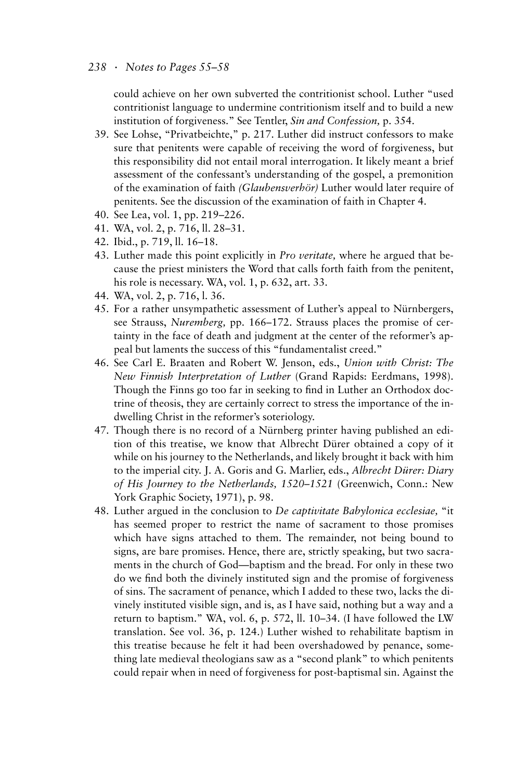*238 • Notes to Pages 55–58*

could achieve on her own subverted the contritionist school. Luther "used contritionist language to undermine contritionism itself and to build a new institution of forgiveness." See Tentler, *Sin and Confession,* p. 354.

- 39. See Lohse, "Privatbeichte," p. 217. Luther did instruct confessors to make sure that penitents were capable of receiving the word of forgiveness, but this responsibility did not entail moral interrogation. It likely meant a brief assessment of the confessant's understanding of the gospel, a premonition of the examination of faith *(Glaubensverhör)* Luther would later require of penitents. See the discussion of the examination of faith in Chapter 4.
- 40. See Lea, vol. 1, pp. 219–226.
- 41. WA, vol. 2, p. 716, ll. 28–31.
- 42. Ibid., p. 719, ll. 16–18.
- 43. Luther made this point explicitly in *Pro veritate,* where he argued that because the priest ministers the Word that calls forth faith from the penitent, his role is necessary. WA, vol. 1, p. 632, art. 33.
- 44. WA, vol. 2, p. 716, l. 36.
- 45. For a rather unsympathetic assessment of Luther's appeal to Nürnbergers, see Strauss, *Nuremberg,* pp. 166–172. Strauss places the promise of certainty in the face of death and judgment at the center of the reformer's appeal but laments the success of this "fundamentalist creed."
- 46. See Carl E. Braaten and Robert W. Jenson, eds., *Union with Christ: The New Finnish Interpretation of Luther* (Grand Rapids: Eerdmans, 1998). Though the Finns go too far in seeking to find in Luther an Orthodox doctrine of theosis, they are certainly correct to stress the importance of the indwelling Christ in the reformer's soteriology.
- 47. Though there is no record of a Nürnberg printer having published an edition of this treatise, we know that Albrecht Dürer obtained a copy of it while on his journey to the Netherlands, and likely brought it back with him to the imperial city. J. A. Goris and G. Marlier, eds., *Albrecht Dürer: Diary of His Journey to the Netherlands, 1520–1521* (Greenwich, Conn.: New York Graphic Society, 1971), p. 98.
- 48. Luther argued in the conclusion to *De captivitate Babylonica ecclesiae,* "it has seemed proper to restrict the name of sacrament to those promises which have signs attached to them. The remainder, not being bound to signs, are bare promises. Hence, there are, strictly speaking, but two sacraments in the church of God—baptism and the bread. For only in these two do we find both the divinely instituted sign and the promise of forgiveness of sins. The sacrament of penance, which I added to these two, lacks the divinely instituted visible sign, and is, as I have said, nothing but a way and a return to baptism." WA, vol. 6, p. 572, ll. 10–34. (I have followed the LW translation. See vol. 36, p. 124.) Luther wished to rehabilitate baptism in this treatise because he felt it had been overshadowed by penance, something late medieval theologians saw as a "second plank" to which penitents could repair when in need of forgiveness for post-baptismal sin. Against the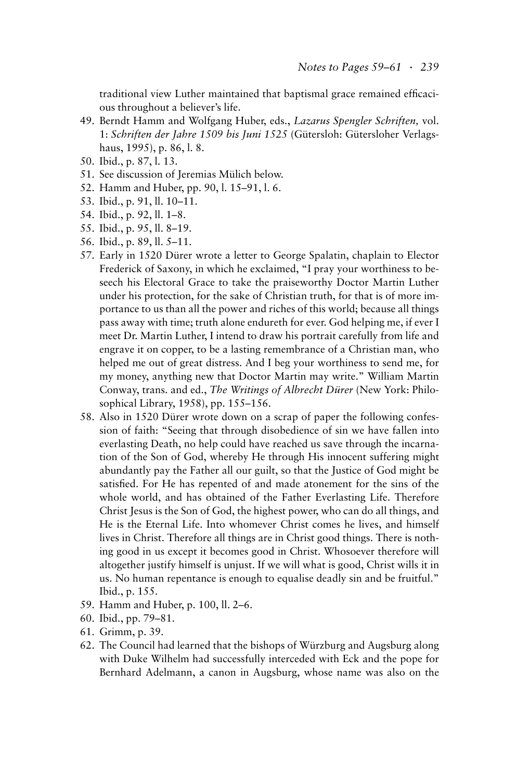traditional view Luther maintained that baptismal grace remained efficacious throughout a believer's life.

- 49. Berndt Hamm and Wolfgang Huber, eds., *Lazarus Spengler Schriften,* vol. 1: *Schriften der Jahre 1509 bis Juni 1525* (Gütersloh: Gütersloher Verlagshaus, 1995), p. 86, l. 8.
- 50. Ibid., p. 87, l. 13.
- 51. See discussion of Jeremias Mülich below.
- 52. Hamm and Huber, pp. 90, l. 15–91, l. 6.
- 53. Ibid., p. 91, ll. 10–11.
- 54. Ibid., p. 92, ll. 1–8.
- 55. Ibid., p. 95, ll. 8–19.
- 56. Ibid., p. 89, ll. 5–11.
- 57. Early in 1520 Dürer wrote a letter to George Spalatin, chaplain to Elector Frederick of Saxony, in which he exclaimed, "I pray your worthiness to beseech his Electoral Grace to take the praiseworthy Doctor Martin Luther under his protection, for the sake of Christian truth, for that is of more importance to us than all the power and riches of this world; because all things pass away with time; truth alone endureth for ever. God helping me, if ever I meet Dr. Martin Luther, I intend to draw his portrait carefully from life and engrave it on copper, to be a lasting remembrance of a Christian man, who helped me out of great distress. And I beg your worthiness to send me, for my money, anything new that Doctor Martin may write." William Martin Conway, trans. and ed., *The Writings of Albrecht Dürer* (New York: Philosophical Library, 1958), pp. 155–156.
- 58. Also in 1520 Dürer wrote down on a scrap of paper the following confession of faith: "Seeing that through disobedience of sin we have fallen into everlasting Death, no help could have reached us save through the incarnation of the Son of God, whereby He through His innocent suffering might abundantly pay the Father all our guilt, so that the Justice of God might be satisfied. For He has repented of and made atonement for the sins of the whole world, and has obtained of the Father Everlasting Life. Therefore Christ Jesus is the Son of God, the highest power, who can do all things, and He is the Eternal Life. Into whomever Christ comes he lives, and himself lives in Christ. Therefore all things are in Christ good things. There is nothing good in us except it becomes good in Christ. Whosoever therefore will altogether justify himself is unjust. If we will what is good, Christ wills it in us. No human repentance is enough to equalise deadly sin and be fruitful." Ibid., p. 155.
- 59. Hamm and Huber, p. 100, ll. 2–6.
- 60. Ibid., pp. 79–81.
- 61. Grimm, p. 39.
- 62. The Council had learned that the bishops of Würzburg and Augsburg along with Duke Wilhelm had successfully interceded with Eck and the pope for Bernhard Adelmann, a canon in Augsburg, whose name was also on the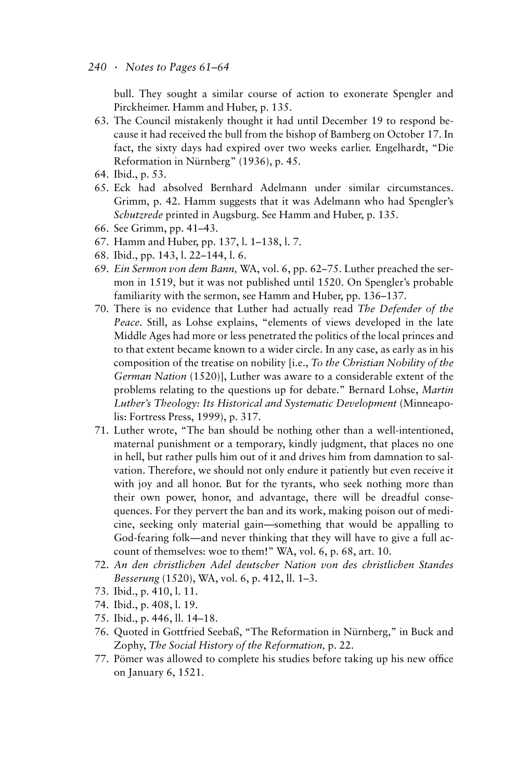*240 • Notes to Pages 61–64*

bull. They sought a similar course of action to exonerate Spengler and Pirckheimer. Hamm and Huber, p. 135.

- 63. The Council mistakenly thought it had until December 19 to respond because it had received the bull from the bishop of Bamberg on October 17. In fact, the sixty days had expired over two weeks earlier. Engelhardt, "Die Reformation in Nürnberg" (1936), p. 45.
- 64. Ibid., p. 53.
- 65. Eck had absolved Bernhard Adelmann under similar circumstances. Grimm, p. 42. Hamm suggests that it was Adelmann who had Spengler's *Schutzrede* printed in Augsburg. See Hamm and Huber, p. 135.
- 66. See Grimm, pp. 41–43.
- 67. Hamm and Huber, pp. 137, l. 1–138, l. 7.
- 68. Ibid., pp. 143, l. 22–144, l. 6.
- 69. *Ein Sermon von dem Bann,* WA, vol. 6, pp. 62–75. Luther preached the sermon in 1519, but it was not published until 1520. On Spengler's probable familiarity with the sermon, see Hamm and Huber, pp. 136–137.
- 70. There is no evidence that Luther had actually read *The Defender of the Peace.* Still, as Lohse explains, "elements of views developed in the late Middle Ages had more or less penetrated the politics of the local princes and to that extent became known to a wider circle. In any case, as early as in his composition of the treatise on nobility [i.e., *To the Christian Nobility of the German Nation* (1520)], Luther was aware to a considerable extent of the problems relating to the questions up for debate." Bernard Lohse, *Martin Luther's Theology: Its Historical and Systematic Development* (Minneapolis: Fortress Press, 1999), p. 317.
- 71. Luther wrote, "The ban should be nothing other than a well-intentioned, maternal punishment or a temporary, kindly judgment, that places no one in hell, but rather pulls him out of it and drives him from damnation to salvation. Therefore, we should not only endure it patiently but even receive it with joy and all honor. But for the tyrants, who seek nothing more than their own power, honor, and advantage, there will be dreadful consequences. For they pervert the ban and its work, making poison out of medicine, seeking only material gain—something that would be appalling to God-fearing folk—and never thinking that they will have to give a full account of themselves: woe to them!" WA, vol. 6, p. 68, art. 10.
- 72. *An den christlichen Adel deutscher Nation von des christlichen Standes Besserung* (1520), WA, vol. 6, p. 412, ll. 1–3.
- 73. Ibid., p. 410, l. 11.
- 74. Ibid., p. 408, l. 19.
- 75. Ibid., p. 446, ll. 14–18.
- 76. Quoted in Gottfried Seebaß, "The Reformation in Nürnberg," in Buck and Zophy, *The Social History of the Reformation,* p. 22.
- 77. Pömer was allowed to complete his studies before taking up his new office on January 6, 1521.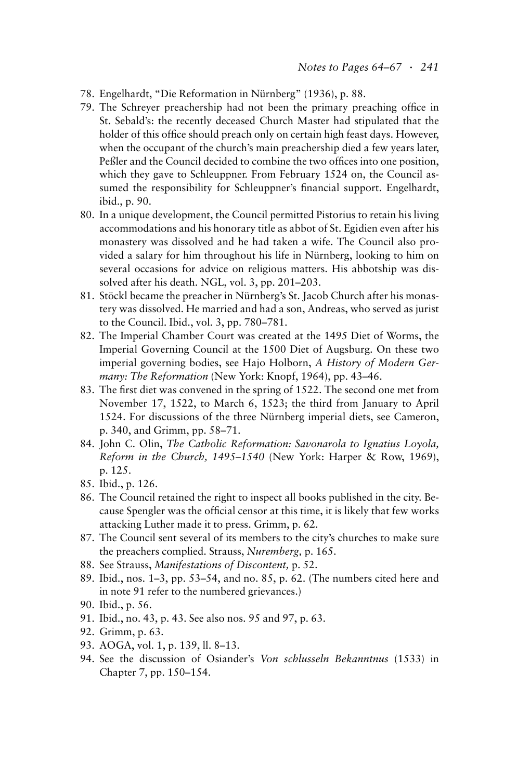- 78. Engelhardt, "Die Reformation in Nürnberg" (1936), p. 88.
- 79. The Schreyer preachership had not been the primary preaching office in St. Sebald's: the recently deceased Church Master had stipulated that the holder of this office should preach only on certain high feast days. However, when the occupant of the church's main preachership died a few years later, Peßler and the Council decided to combine the two offices into one position, which they gave to Schleuppner. From February 1524 on, the Council assumed the responsibility for Schleuppner's financial support. Engelhardt, ibid., p. 90.
- 80. In a unique development, the Council permitted Pistorius to retain his living accommodations and his honorary title as abbot of St. Egidien even after his monastery was dissolved and he had taken a wife. The Council also provided a salary for him throughout his life in Nürnberg, looking to him on several occasions for advice on religious matters. His abbotship was dissolved after his death. NGL, vol. 3, pp. 201–203.
- 81. Stöckl became the preacher in Nürnberg's St. Jacob Church after his monastery was dissolved. He married and had a son, Andreas, who served as jurist to the Council. Ibid., vol. 3, pp. 780–781.
- 82. The Imperial Chamber Court was created at the 1495 Diet of Worms, the Imperial Governing Council at the 1500 Diet of Augsburg. On these two imperial governing bodies, see Hajo Holborn, *A History of Modern Germany: The Reformation* (New York: Knopf, 1964), pp. 43–46.
- 83. The first diet was convened in the spring of 1522. The second one met from November 17, 1522, to March 6, 1523; the third from January to April 1524. For discussions of the three Nürnberg imperial diets, see Cameron, p. 340, and Grimm, pp. 58–71.
- 84. John C. Olin, *The Catholic Reformation: Savonarola to Ignatius Loyola, Reform in the Church, 1495–1540* (New York: Harper & Row, 1969), p. 125.
- 85. Ibid., p. 126.
- 86. The Council retained the right to inspect all books published in the city. Because Spengler was the official censor at this time, it is likely that few works attacking Luther made it to press. Grimm, p. 62.
- 87. The Council sent several of its members to the city's churches to make sure the preachers complied. Strauss, *Nuremberg,* p. 165.
- 88. See Strauss, *Manifestations of Discontent,* p. 52.
- 89. Ibid., nos. 1–3, pp. 53–54, and no. 85, p. 62. (The numbers cited here and in note 91 refer to the numbered grievances.)
- 90. Ibid., p. 56.
- 91. Ibid., no. 43, p. 43. See also nos. 95 and 97, p. 63.
- 92. Grimm, p. 63.
- 93. AOGA, vol. 1, p. 139, ll. 8–13.
- 94. See the discussion of Osiander's *Von schlusseln Bekanntnus* (1533) in Chapter 7, pp. 150–154.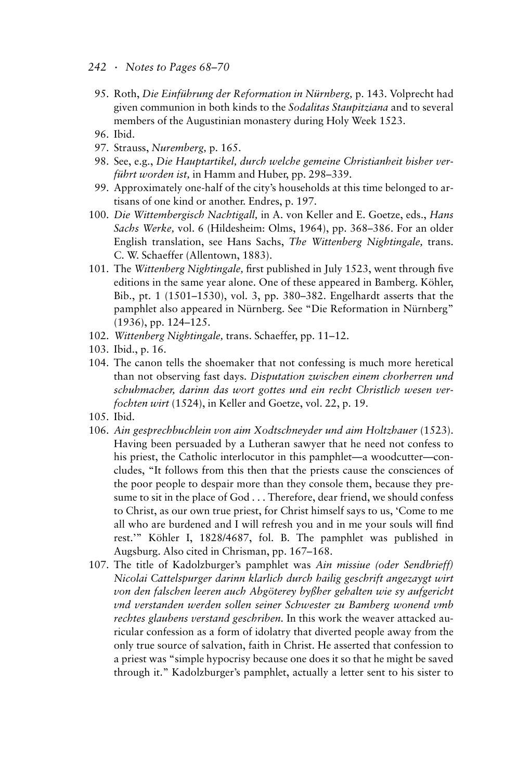- *242 • Notes to Pages 68–70*
	- 95. Roth, *Die Einführung der Reformation in Nürnberg,* p. 143. Volprecht had given communion in both kinds to the *Sodalitas Staupitziana* and to several members of the Augustinian monastery during Holy Week 1523.
	- 96. Ibid.
	- 97. Strauss, *Nuremberg,* p. 165.
	- 98. See, e.g., *Die Hauptartikel, durch welche gemeine Christianheit bisher verführt worden ist,* in Hamm and Huber, pp. 298–339.
- 99. Approximately one-half of the city's households at this time belonged to artisans of one kind or another. Endres, p. 197.
- 100. *Die Wittembergisch Nachtigall,* in A. von Keller and E. Goetze, eds., *Hans Sachs Werke,* vol. 6 (Hildesheim: Olms, 1964), pp. 368–386. For an older English translation, see Hans Sachs, *The Wittenberg Nightingale,* trans. C. W. Schaeffer (Allentown, 1883).
- 101. The *Wittenberg Nightingale,* first published in July 1523, went through five editions in the same year alone. One of these appeared in Bamberg. Köhler, Bib., pt. 1 (1501–1530), vol. 3, pp. 380–382. Engelhardt asserts that the pamphlet also appeared in Nürnberg. See "Die Reformation in Nürnberg" (1936), pp. 124–125.
- 102. *Wittenberg Nightingale,* trans. Schaeffer, pp. 11–12.
- 103. Ibid., p. 16.
- 104. The canon tells the shoemaker that not confessing is much more heretical than not observing fast days. *Disputation zwischen einem chorherren und schuhmacher, darinn das wort gottes und ein recht Christlich wesen verfochten wirt* (1524), in Keller and Goetze, vol. 22, p. 19.
- 105. Ibid.
- 106. *Ain gesprechbuchlein von aim Xodtschneyder und aim Holtzhauer* (1523). Having been persuaded by a Lutheran sawyer that he need not confess to his priest, the Catholic interlocutor in this pamphlet—a woodcutter—concludes, "It follows from this then that the priests cause the consciences of the poor people to despair more than they console them, because they presume to sit in the place of God... Therefore, dear friend, we should confess to Christ, as our own true priest, for Christ himself says to us, 'Come to me all who are burdened and I will refresh you and in me your souls will find rest.'" Köhler I, 1828/4687, fol. B. The pamphlet was published in Augsburg. Also cited in Chrisman, pp. 167–168.
- 107. The title of Kadolzburger's pamphlet was *Ain missiue (oder Sendbrieff) Nicolai Cattelspurger darinn klarlich durch hailig geschrift angezaygt wirt von den falschen leeren auch Abgöterey byßher gehalten wie sy aufgericht vnd verstanden werden sollen seiner Schwester zu Bamberg wonend vmb rechtes glaubens verstand geschriben.* In this work the weaver attacked auricular confession as a form of idolatry that diverted people away from the only true source of salvation, faith in Christ. He asserted that confession to a priest was "simple hypocrisy because one does it so that he might be saved through it." Kadolzburger's pamphlet, actually a letter sent to his sister to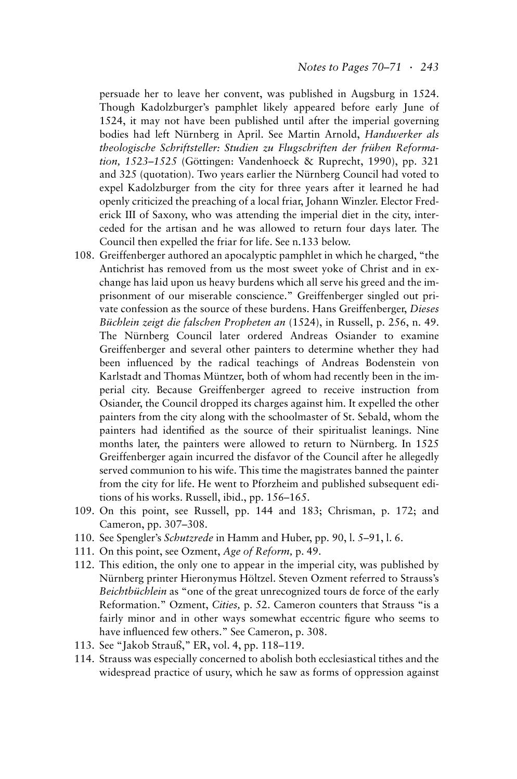persuade her to leave her convent, was published in Augsburg in 1524. Though Kadolzburger's pamphlet likely appeared before early June of 1524, it may not have been published until after the imperial governing bodies had left Nürnberg in April. See Martin Arnold, *Handwerker als theologische Schriftsteller: Studien zu Flugschriften der frühen Reformation, 1523–1525* (Göttingen: Vandenhoeck & Ruprecht, 1990), pp. 321 and 325 (quotation). Two years earlier the Nürnberg Council had voted to expel Kadolzburger from the city for three years after it learned he had openly criticized the preaching of a local friar, Johann Winzler. Elector Frederick III of Saxony, who was attending the imperial diet in the city, interceded for the artisan and he was allowed to return four days later. The Council then expelled the friar for life. See n.133 below.

- 108. Greiffenberger authored an apocalyptic pamphlet in which he charged, "the Antichrist has removed from us the most sweet yoke of Christ and in exchange has laid upon us heavy burdens which all serve his greed and the imprisonment of our miserable conscience." Greiffenberger singled out private confession as the source of these burdens. Hans Greiffenberger, *Dieses Büchlein zeigt die falschen Propheten an* (1524), in Russell, p. 256, n. 49. The Nürnberg Council later ordered Andreas Osiander to examine Greiffenberger and several other painters to determine whether they had been influenced by the radical teachings of Andreas Bodenstein von Karlstadt and Thomas Müntzer, both of whom had recently been in the imperial city. Because Greiffenberger agreed to receive instruction from Osiander, the Council dropped its charges against him. It expelled the other painters from the city along with the schoolmaster of St. Sebald, whom the painters had identified as the source of their spiritualist leanings. Nine months later, the painters were allowed to return to Nürnberg. In 1525 Greiffenberger again incurred the disfavor of the Council after he allegedly served communion to his wife. This time the magistrates banned the painter from the city for life. He went to Pforzheim and published subsequent editions of his works. Russell, ibid., pp. 156–165.
- 109. On this point, see Russell, pp. 144 and 183; Chrisman, p. 172; and Cameron, pp. 307–308.
- 110. See Spengler's *Schutzrede* in Hamm and Huber, pp. 90, l. 5–91, l. 6.
- 111. On this point, see Ozment, *Age of Reform,* p. 49.
- 112. This edition, the only one to appear in the imperial city, was published by Nürnberg printer Hieronymus Höltzel. Steven Ozment referred to Strauss's *Beichtbüchlein* as "one of the great unrecognized tours de force of the early Reformation." Ozment, *Cities,* p. 52. Cameron counters that Strauss "is a fairly minor and in other ways somewhat eccentric figure who seems to have influenced few others." See Cameron, p. 308.
- 113. See "Jakob Strauß," ER, vol. 4, pp. 118–119.
- 114. Strauss was especially concerned to abolish both ecclesiastical tithes and the widespread practice of usury, which he saw as forms of oppression against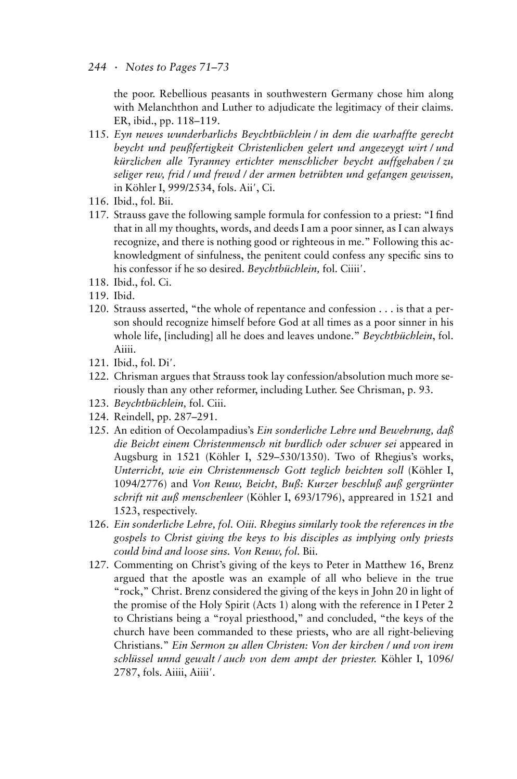*244 • Notes to Pages 71–73*

the poor. Rebellious peasants in southwestern Germany chose him along with Melanchthon and Luther to adjudicate the legitimacy of their claims. ER, ibid., pp. 118–119.

- 115. *Eyn newes wunderbarlichs Beychtbüchlein / in dem die warhaffte gerecht beycht und peußfertigkeit Christenlichen gelert und angezeygt wirt / und kürzlichen alle Tyranney ertichter menschlicher beycht auffgehaben / zu seliger rew, frid / und frewd / der armen betrübten und gefangen gewissen,* in Köhler I, 999/2534, fols. Aii′, Ci.
- 116. Ibid., fol. Bii.
- 117. Strauss gave the following sample formula for confession to a priest: "I find that in all my thoughts, words, and deeds I am a poor sinner, as I can always recognize, and there is nothing good or righteous in me." Following this acknowledgment of sinfulness, the penitent could confess any specific sins to his confessor if he so desired. *Beychtbüchlein,* fol. Ciiii′.
- 118. Ibid., fol. Ci.
- 119. Ibid.
- 120. Strauss asserted, "the whole of repentance and confession . . . is that a person should recognize himself before God at all times as a poor sinner in his whole life, [including] all he does and leaves undone." *Beychtbüchlein*, fol. Aiiii.
- 121. Ibid., fol. Di′.
- 122. Chrisman argues that Strauss took lay confession/absolution much more seriously than any other reformer, including Luther. See Chrisman, p. 93.
- 123. *Beychtbüchlein,* fol. Ciii.
- 124. Reindell, pp. 287–291.
- 125. An edition of Oecolampadius's *Ein sonderliche Lehre und Bewehrung, daß die Beicht einem Christenmensch nit burdlich oder schwer sei* appeared in Augsburg in 1521 (Köhler I, 529–530/1350). Two of Rhegius's works, *Unterricht, wie ein Christenmensch Gott teglich beichten soll* (Köhler I, 1094/2776) and *Von Reuw, Beicht, Buß: Kurzer beschluß auß gergrünter schrift nit auß menschenleer* (Köhler I, 693/1796), appreared in 1521 and 1523, respectively.
- 126. *Ein sonderliche Lehre, fol. Oiii. Rhegius similarly took the references in the gospels to Christ giving the keys to his disciples as implying only priests could bind and loose sins. Von Reuw, fol.* Bii.
- 127. Commenting on Christ's giving of the keys to Peter in Matthew 16, Brenz argued that the apostle was an example of all who believe in the true "rock," Christ. Brenz considered the giving of the keys in John 20 in light of the promise of the Holy Spirit (Acts 1) along with the reference in I Peter 2 to Christians being a "royal priesthood," and concluded, "the keys of the church have been commanded to these priests, who are all right-believing Christians." *Ein Sermon zu allen Christen: Von der kirchen / und von irem schlüssel unnd gewalt / auch von dem ampt der priester.* Köhler I, 1096/ 2787, fols. Aiiii, Aiiii′.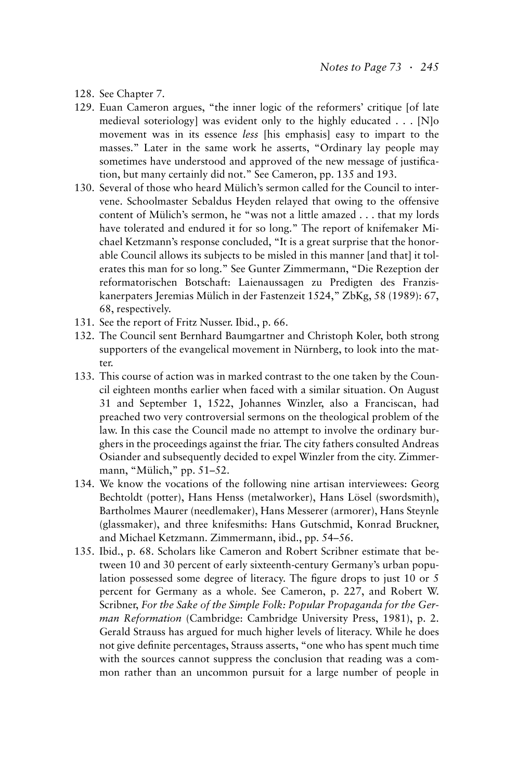- 128. See Chapter 7.
- 129. Euan Cameron argues, "the inner logic of the reformers' critique [of late medieval soteriology] was evident only to the highly educated . . . [N]o movement was in its essence *less* [his emphasis] easy to impart to the masses." Later in the same work he asserts, "Ordinary lay people may sometimes have understood and approved of the new message of justification, but many certainly did not." See Cameron, pp. 135 and 193.
- 130. Several of those who heard Mülich's sermon called for the Council to intervene. Schoolmaster Sebaldus Heyden relayed that owing to the offensive content of Mülich's sermon, he "was not a little amazed . . . that my lords have tolerated and endured it for so long." The report of knifemaker Michael Ketzmann's response concluded, "It is a great surprise that the honorable Council allows its subjects to be misled in this manner [and that] it tolerates this man for so long." See Gunter Zimmermann, "Die Rezeption der reformatorischen Botschaft: Laienaussagen zu Predigten des Franziskanerpaters Jeremias Mülich in der Fastenzeit 1524," ZbKg, 58 (1989): 67, 68, respectively.
- 131. See the report of Fritz Nusser. Ibid., p. 66.
- 132. The Council sent Bernhard Baumgartner and Christoph Koler, both strong supporters of the evangelical movement in Nürnberg, to look into the matter.
- 133. This course of action was in marked contrast to the one taken by the Council eighteen months earlier when faced with a similar situation. On August 31 and September 1, 1522, Johannes Winzler, also a Franciscan, had preached two very controversial sermons on the theological problem of the law. In this case the Council made no attempt to involve the ordinary burghers in the proceedings against the friar. The city fathers consulted Andreas Osiander and subsequently decided to expel Winzler from the city. Zimmermann, "Mülich," pp. 51–52.
- 134. We know the vocations of the following nine artisan interviewees: Georg Bechtoldt (potter), Hans Henss (metalworker), Hans Lösel (swordsmith), Bartholmes Maurer (needlemaker), Hans Messerer (armorer), Hans Steynle (glassmaker), and three knifesmiths: Hans Gutschmid, Konrad Bruckner, and Michael Ketzmann. Zimmermann, ibid., pp. 54–56.
- 135. Ibid., p. 68. Scholars like Cameron and Robert Scribner estimate that between 10 and 30 percent of early sixteenth-century Germany's urban population possessed some degree of literacy. The figure drops to just 10 or 5 percent for Germany as a whole. See Cameron, p. 227, and Robert W. Scribner, *For the Sake of the Simple Folk: Popular Propaganda for the German Reformation* (Cambridge: Cambridge University Press, 1981), p. 2. Gerald Strauss has argued for much higher levels of literacy. While he does not give definite percentages, Strauss asserts, "one who has spent much time with the sources cannot suppress the conclusion that reading was a common rather than an uncommon pursuit for a large number of people in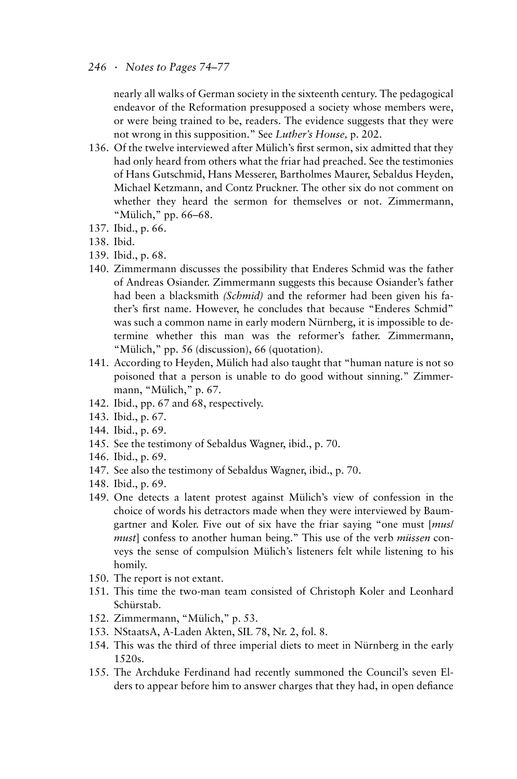*246 • Notes to Pages 74–77*

nearly all walks of German society in the sixteenth century. The pedagogical endeavor of the Reformation presupposed a society whose members were, or were being trained to be, readers. The evidence suggests that they were not wrong in this supposition." See *Luther's House,* p. 202.

- 136. Of the twelve interviewed after Mülich's first sermon, six admitted that they had only heard from others what the friar had preached. See the testimonies of Hans Gutschmid, Hans Messerer, Bartholmes Maurer, Sebaldus Heyden, Michael Ketzmann, and Contz Pruckner. The other six do not comment on whether they heard the sermon for themselves or not. Zimmermann, "Mülich," pp. 66–68.
- 137. Ibid., p. 66.
- 138. Ibid.
- 139. Ibid., p. 68.
- 140. Zimmermann discusses the possibility that Enderes Schmid was the father of Andreas Osiander. Zimmermann suggests this because Osiander's father had been a blacksmith *(Schmid)* and the reformer had been given his father's first name. However, he concludes that because "Enderes Schmid" was such a common name in early modern Nürnberg, it is impossible to determine whether this man was the reformer's father. Zimmermann, "Mülich," pp. 56 (discussion), 66 (quotation).
- 141. According to Heyden, Mülich had also taught that "human nature is not so poisoned that a person is unable to do good without sinning." Zimmermann, "Mülich," p. 67.
- 142. Ibid., pp. 67 and 68, respectively.
- 143. Ibid., p. 67.
- 144. Ibid., p. 69.
- 145. See the testimony of Sebaldus Wagner, ibid., p. 70.
- 146. Ibid., p. 69.
- 147. See also the testimony of Sebaldus Wagner, ibid., p. 70.
- 148. Ibid., p. 69.
- 149. One detects a latent protest against Mülich's view of confession in the choice of words his detractors made when they were interviewed by Baumgartner and Koler. Five out of six have the friar saying "one must [*mus*/ *must*] confess to another human being." This use of the verb *müssen* conveys the sense of compulsion Mülich's listeners felt while listening to his homily.
- 150. The report is not extant.
- 151. This time the two-man team consisted of Christoph Koler and Leonhard Schürstab.
- 152. Zimmermann, "Mülich," p. 53.
- 153. NStaatsA, A-Laden Akten, SIL 78, Nr. 2, fol. 8.
- 154. This was the third of three imperial diets to meet in Nürnberg in the early 1520s.
- 155. The Archduke Ferdinand had recently summoned the Council's seven Elders to appear before him to answer charges that they had, in open defiance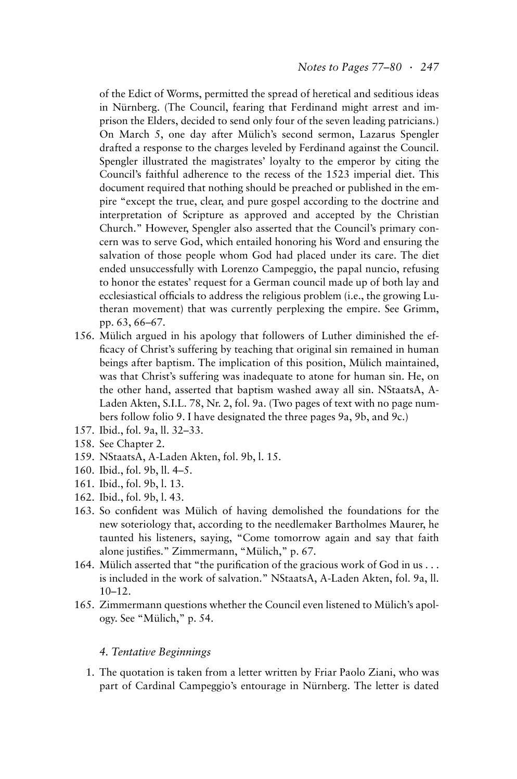of the Edict of Worms, permitted the spread of heretical and seditious ideas in Nürnberg. (The Council, fearing that Ferdinand might arrest and imprison the Elders, decided to send only four of the seven leading patricians.) On March 5, one day after Mülich's second sermon, Lazarus Spengler drafted a response to the charges leveled by Ferdinand against the Council. Spengler illustrated the magistrates' loyalty to the emperor by citing the Council's faithful adherence to the recess of the 1523 imperial diet. This document required that nothing should be preached or published in the empire "except the true, clear, and pure gospel according to the doctrine and interpretation of Scripture as approved and accepted by the Christian Church." However, Spengler also asserted that the Council's primary concern was to serve God, which entailed honoring his Word and ensuring the salvation of those people whom God had placed under its care. The diet ended unsuccessfully with Lorenzo Campeggio, the papal nuncio, refusing to honor the estates' request for a German council made up of both lay and ecclesiastical officials to address the religious problem (i.e., the growing Lutheran movement) that was currently perplexing the empire. See Grimm, pp. 63, 66–67.

- 156. Mülich argued in his apology that followers of Luther diminished the efficacy of Christ's suffering by teaching that original sin remained in human beings after baptism. The implication of this position, Mülich maintained, was that Christ's suffering was inadequate to atone for human sin. He, on the other hand, asserted that baptism washed away all sin. NStaatsA, A-Laden Akten, S.I.L. 78, Nr. 2, fol. 9a. (Two pages of text with no page numbers follow folio 9. I have designated the three pages 9a, 9b, and 9c.)
- 157. Ibid., fol. 9a, ll. 32–33.
- 158. See Chapter 2.
- 159. NStaatsA, A-Laden Akten, fol. 9b, l. 15.
- 160. Ibid., fol. 9b, ll. 4–5.
- 161. Ibid., fol. 9b, l. 13.
- 162. Ibid., fol. 9b, l. 43.
- 163. So confident was Mülich of having demolished the foundations for the new soteriology that, according to the needlemaker Bartholmes Maurer, he taunted his listeners, saying, "Come tomorrow again and say that faith alone justifies." Zimmermann, "Mülich," p. 67.
- 164. Mülich asserted that "the purification of the gracious work of God in us... is included in the work of salvation." NStaatsA, A-Laden Akten, fol. 9a, ll.  $10-12.$
- 165. Zimmermann questions whether the Council even listened to Mülich's apology. See "Mülich," p. 54.

## *4. Tentative Beginnings*

1. The quotation is taken from a letter written by Friar Paolo Ziani, who was part of Cardinal Campeggio's entourage in Nürnberg. The letter is dated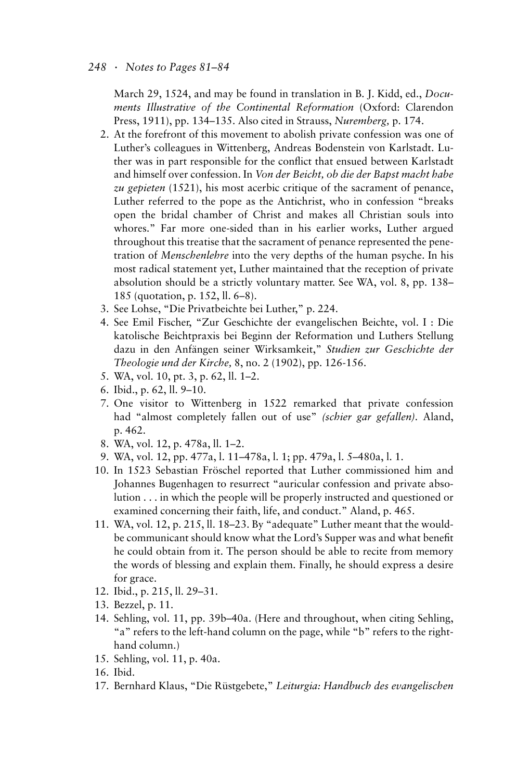*248 • Notes to Pages 81–84*

March 29, 1524, and may be found in translation in B. J. Kidd, ed., *Documents Illustrative of the Continental Reformation* (Oxford: Clarendon Press, 1911), pp. 134–135. Also cited in Strauss, *Nuremberg,* p. 174.

- 2. At the forefront of this movement to abolish private confession was one of Luther's colleagues in Wittenberg, Andreas Bodenstein von Karlstadt. Luther was in part responsible for the conflict that ensued between Karlstadt and himself over confession. In *Von der Beicht, ob die der Bapst macht habe zu gepieten* (1521), his most acerbic critique of the sacrament of penance, Luther referred to the pope as the Antichrist, who in confession "breaks open the bridal chamber of Christ and makes all Christian souls into whores." Far more one-sided than in his earlier works, Luther argued throughout this treatise that the sacrament of penance represented the penetration of *Menschenlehre* into the very depths of the human psyche. In his most radical statement yet, Luther maintained that the reception of private absolution should be a strictly voluntary matter. See WA, vol. 8, pp. 138– 185 (quotation, p. 152, ll. 6–8).
- 3. See Lohse, "Die Privatbeichte bei Luther," p. 224.
- 4. See Emil Fischer, "Zur Geschichte der evangelischen Beichte, vol. I : Die katolische Beichtpraxis bei Beginn der Reformation und Luthers Stellung dazu in den Anfängen seiner Wirksamkeit," *Studien zur Geschichte der Theologie und der Kirche,* 8, no. 2 (1902), pp. 126-156.
- 5. WA, vol. 10, pt. 3, p. 62, ll. 1–2.
- 6. Ibid., p. 62, ll. 9–10.
- 7. One visitor to Wittenberg in 1522 remarked that private confession had "almost completely fallen out of use" *(schier gar gefallen).* Aland, p. 462.
- 8. WA, vol. 12, p. 478a, ll. 1–2.
- 9. WA, vol. 12, pp. 477a, l. 11–478a, l. 1; pp. 479a, l. 5–480a, l. 1.
- 10. In 1523 Sebastian Fröschel reported that Luther commissioned him and Johannes Bugenhagen to resurrect "auricular confession and private absolution . . . in which the people will be properly instructed and questioned or examined concerning their faith, life, and conduct." Aland, p. 465.
- 11. WA, vol. 12, p. 215, ll. 18–23. By "adequate" Luther meant that the wouldbe communicant should know what the Lord's Supper was and what benefit he could obtain from it. The person should be able to recite from memory the words of blessing and explain them. Finally, he should express a desire for grace.
- 12. Ibid., p. 215, ll. 29–31.
- 13. Bezzel, p. 11.
- 14. Sehling, vol. 11, pp. 39b–40a. (Here and throughout, when citing Sehling, "a" refers to the left-hand column on the page, while "b" refers to the righthand column.)
- 15. Sehling, vol. 11, p. 40a.
- 16. Ibid.
- 17. Bernhard Klaus, "Die Rüstgebete," *Leiturgia: Handbuch des evangelischen*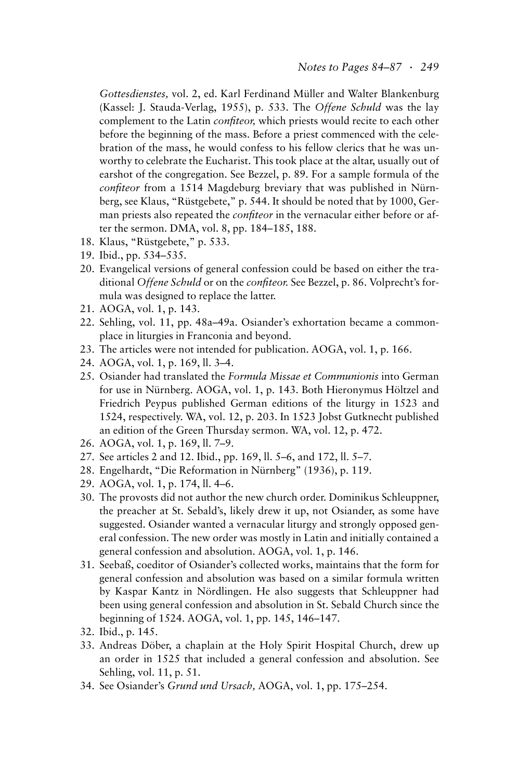*Gottesdienstes,* vol. 2, ed. Karl Ferdinand Müller and Walter Blankenburg (Kassel: J. Stauda-Verlag, 1955), p. 533. The *Offene Schuld* was the lay complement to the Latin *confiteor,* which priests would recite to each other before the beginning of the mass. Before a priest commenced with the celebration of the mass, he would confess to his fellow clerics that he was unworthy to celebrate the Eucharist. This took place at the altar, usually out of earshot of the congregation. See Bezzel, p. 89. For a sample formula of the *confiteor* from a 1514 Magdeburg breviary that was published in Nürnberg, see Klaus, "Rüstgebete," p. 544. It should be noted that by 1000, German priests also repeated the *confiteor* in the vernacular either before or after the sermon. DMA, vol. 8, pp. 184–185, 188.

- 18. Klaus, "Rüstgebete," p. 533.
- 19. Ibid., pp. 534–535.
- 20. Evangelical versions of general confession could be based on either the traditional *Offene Schuld* or on the *confiteor.* See Bezzel, p. 86. Volprecht's formula was designed to replace the latter.
- 21. AOGA, vol. 1, p. 143.
- 22. Sehling, vol. 11, pp. 48a–49a. Osiander's exhortation became a commonplace in liturgies in Franconia and beyond.
- 23. The articles were not intended for publication. AOGA, vol. 1, p. 166.
- 24. AOGA, vol. 1, p. 169, ll. 3–4.
- 25. Osiander had translated the *Formula Missae et Communionis* into German for use in Nürnberg. AOGA, vol. 1, p. 143. Both Hieronymus Höltzel and Friedrich Peypus published German editions of the liturgy in 1523 and 1524, respectively. WA, vol. 12, p. 203. In 1523 Jobst Gutknecht published an edition of the Green Thursday sermon. WA, vol. 12, p. 472.
- 26. AOGA, vol. 1, p. 169, ll. 7–9.
- 27. See articles 2 and 12. Ibid., pp. 169, ll. 5–6, and 172, ll. 5–7.
- 28. Engelhardt, "Die Reformation in Nürnberg" (1936), p. 119.
- 29. AOGA, vol. 1, p. 174, ll. 4–6.
- 30. The provosts did not author the new church order. Dominikus Schleuppner, the preacher at St. Sebald's, likely drew it up, not Osiander, as some have suggested. Osiander wanted a vernacular liturgy and strongly opposed general confession. The new order was mostly in Latin and initially contained a general confession and absolution. AOGA, vol. 1, p. 146.
- 31. Seebaß, coeditor of Osiander's collected works, maintains that the form for general confession and absolution was based on a similar formula written by Kaspar Kantz in Nördlingen. He also suggests that Schleuppner had been using general confession and absolution in St. Sebald Church since the beginning of 1524. AOGA, vol. 1, pp. 145, 146–147.
- 32. Ibid., p. 145.
- 33. Andreas Döber, a chaplain at the Holy Spirit Hospital Church, drew up an order in 1525 that included a general confession and absolution. See Sehling, vol. 11, p. 51.
- 34. See Osiander's *Grund und Ursach,* AOGA, vol. 1, pp. 175–254.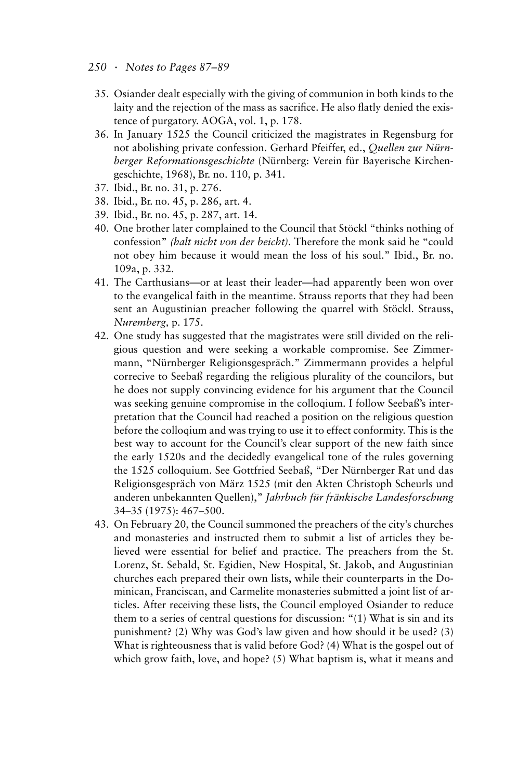- *250 • Notes to Pages 87–89*
	- 35. Osiander dealt especially with the giving of communion in both kinds to the laity and the rejection of the mass as sacrifice. He also flatly denied the existence of purgatory. AOGA, vol. 1, p. 178.
	- 36. In January 1525 the Council criticized the magistrates in Regensburg for not abolishing private confession. Gerhard Pfeiffer, ed., *Quellen zur Nürnberger Reformationsgeschichte* (Nürnberg: Verein für Bayerische Kirchengeschichte, 1968), Br. no. 110, p. 341.
	- 37. Ibid., Br. no. 31, p. 276.
	- 38. Ibid., Br. no. 45, p. 286, art. 4.
	- 39. Ibid., Br. no. 45, p. 287, art. 14.
	- 40. One brother later complained to the Council that Stöckl "thinks nothing of confession" *(halt nicht von der beicht).* Therefore the monk said he "could not obey him because it would mean the loss of his soul." Ibid., Br. no. 109a, p. 332.
	- 41. The Carthusians—or at least their leader—had apparently been won over to the evangelical faith in the meantime. Strauss reports that they had been sent an Augustinian preacher following the quarrel with Stöckl. Strauss, *Nuremberg,* p. 175.
	- 42. One study has suggested that the magistrates were still divided on the religious question and were seeking a workable compromise. See Zimmermann, "Nürnberger Religionsgespräch." Zimmermann provides a helpful correcive to Seebaß regarding the religious plurality of the councilors, but he does not supply convincing evidence for his argument that the Council was seeking genuine compromise in the colloqium. I follow Seebaß's interpretation that the Council had reached a position on the religious question before the colloqium and was trying to use it to effect conformity. This is the best way to account for the Council's clear support of the new faith since the early 1520s and the decidedly evangelical tone of the rules governing the 1525 colloquium. See Gottfried Seebaß, "Der Nürnberger Rat und das Religionsgespräch von März 1525 (mit den Akten Christoph Scheurls und anderen unbekannten Quellen)," *Jahrbuch für fränkische Landesforschung* 34–35 (1975): 467–500.
	- 43. On February 20, the Council summoned the preachers of the city's churches and monasteries and instructed them to submit a list of articles they believed were essential for belief and practice. The preachers from the St. Lorenz, St. Sebald, St. Egidien, New Hospital, St. Jakob, and Augustinian churches each prepared their own lists, while their counterparts in the Dominican, Franciscan, and Carmelite monasteries submitted a joint list of articles. After receiving these lists, the Council employed Osiander to reduce them to a series of central questions for discussion: "(1) What is sin and its punishment? (2) Why was God's law given and how should it be used? (3) What is righteousness that is valid before God? (4) What is the gospel out of which grow faith, love, and hope? (5) What baptism is, what it means and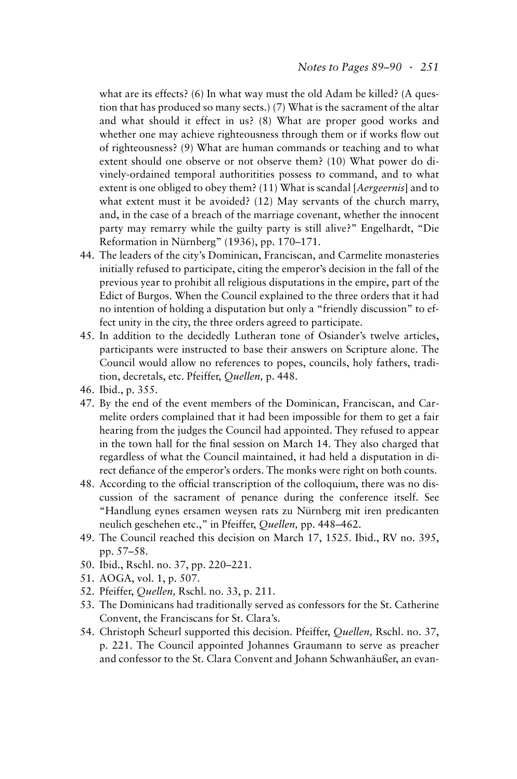what are its effects? (6) In what way must the old Adam be killed? (A question that has produced so many sects.) (7) What is the sacrament of the altar and what should it effect in us? (8) What are proper good works and whether one may achieve righteousness through them or if works flow out of righteousness? (9) What are human commands or teaching and to what extent should one observe or not observe them? (10) What power do divinely-ordained temporal authoritities possess to command, and to what extent is one obliged to obey them? (11) What is scandal [*Aergeernis*] and to what extent must it be avoided? (12) May servants of the church marry, and, in the case of a breach of the marriage covenant, whether the innocent party may remarry while the guilty party is still alive?" Engelhardt, "Die Reformation in Nürnberg" (1936), pp. 170–171.

- 44. The leaders of the city's Dominican, Franciscan, and Carmelite monasteries initially refused to participate, citing the emperor's decision in the fall of the previous year to prohibit all religious disputations in the empire, part of the Edict of Burgos. When the Council explained to the three orders that it had no intention of holding a disputation but only a "friendly discussion" to effect unity in the city, the three orders agreed to participate.
- 45. In addition to the decidedly Lutheran tone of Osiander's twelve articles, participants were instructed to base their answers on Scripture alone. The Council would allow no references to popes, councils, holy fathers, tradition, decretals, etc. Pfeiffer, *Quellen,* p. 448.
- 46. Ibid., p. 355.
- 47. By the end of the event members of the Dominican, Franciscan, and Carmelite orders complained that it had been impossible for them to get a fair hearing from the judges the Council had appointed. They refused to appear in the town hall for the final session on March 14. They also charged that regardless of what the Council maintained, it had held a disputation in direct defiance of the emperor's orders. The monks were right on both counts.
- 48. According to the official transcription of the colloquium, there was no discussion of the sacrament of penance during the conference itself. See "Handlung eynes ersamen weysen rats zu Nürnberg mit iren predicanten neulich geschehen etc.," in Pfeiffer, *Quellen,* pp. 448–462.
- 49. The Council reached this decision on March 17, 1525. Ibid., RV no. 395, pp. 57–58.
- 50. Ibid., Rschl. no. 37, pp. 220–221.
- 51. AOGA, vol. 1, p. 507.
- 52. Pfeiffer, *Quellen,* Rschl. no. 33, p. 211.
- 53. The Dominicans had traditionally served as confessors for the St. Catherine Convent, the Franciscans for St. Clara's.
- 54. Christoph Scheurl supported this decision. Pfeiffer, *Quellen,* Rschl. no. 37, p. 221. The Council appointed Johannes Graumann to serve as preacher and confessor to the St. Clara Convent and Johann Schwanhäußer, an evan-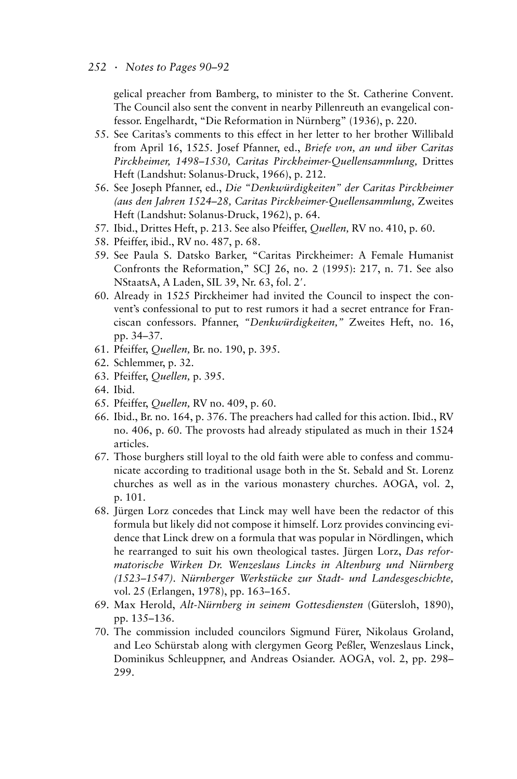*252 • Notes to Pages 90–92*

gelical preacher from Bamberg, to minister to the St. Catherine Convent. The Council also sent the convent in nearby Pillenreuth an evangelical confessor. Engelhardt, "Die Reformation in Nürnberg" (1936), p. 220.

- 55. See Caritas's comments to this effect in her letter to her brother Willibald from April 16, 1525. Josef Pfanner, ed., *Briefe von, an und über Caritas Pirckheimer, 1498–1530, Caritas Pirckheimer-Quellensammlung,* Drittes Heft (Landshut: Solanus-Druck, 1966), p. 212.
- 56. See Joseph Pfanner, ed., *Die "Denkwürdigkeiten" der Caritas Pirckheimer (aus den Jahren 1524–28, Caritas Pirckheimer-Quellensammlung,* Zweites Heft (Landshut: Solanus-Druck, 1962), p. 64.
- 57. Ibid., Drittes Heft, p. 213. See also Pfeiffer, *Quellen,* RV no. 410, p. 60.
- 58. Pfeiffer, ibid., RV no. 487, p. 68.
- 59. See Paula S. Datsko Barker, "Caritas Pirckheimer: A Female Humanist Confronts the Reformation," SCJ 26, no. 2 (1995): 217, n. 71. See also NStaatsA, A Laden, SIL 39, Nr. 63, fol. 2′.
- 60. Already in 1525 Pirckheimer had invited the Council to inspect the convent's confessional to put to rest rumors it had a secret entrance for Franciscan confessors. Pfanner, *"Denkwürdigkeiten,"* Zweites Heft, no. 16, pp. 34–37.
- 61. Pfeiffer, *Quellen,* Br. no. 190, p. 395.
- 62. Schlemmer, p. 32.
- 63. Pfeiffer, *Quellen,* p. 395.
- 64. Ibid.
- 65. Pfeiffer, *Quellen,* RV no. 409, p. 60.
- 66. Ibid., Br. no. 164, p. 376. The preachers had called for this action. Ibid., RV no. 406, p. 60. The provosts had already stipulated as much in their 1524 articles.
- 67. Those burghers still loyal to the old faith were able to confess and communicate according to traditional usage both in the St. Sebald and St. Lorenz churches as well as in the various monastery churches. AOGA, vol. 2, p. 101.
- 68. Jürgen Lorz concedes that Linck may well have been the redactor of this formula but likely did not compose it himself. Lorz provides convincing evidence that Linck drew on a formula that was popular in Nördlingen, which he rearranged to suit his own theological tastes. Jürgen Lorz, *Das reformatorische Wirken Dr. Wenzeslaus Lincks in Altenburg und Nürnberg (1523–1547). Nürnberger Werkstücke zur Stadt- und Landesgeschichte,* vol. 25 (Erlangen, 1978), pp. 163–165.
- 69. Max Herold, *Alt-Nürnberg in seinem Gottesdiensten* (Gütersloh, 1890), pp. 135–136.
- 70. The commission included councilors Sigmund Fürer, Nikolaus Groland, and Leo Schürstab along with clergymen Georg Peßler, Wenzeslaus Linck, Dominikus Schleuppner, and Andreas Osiander. AOGA, vol. 2, pp. 298– 299.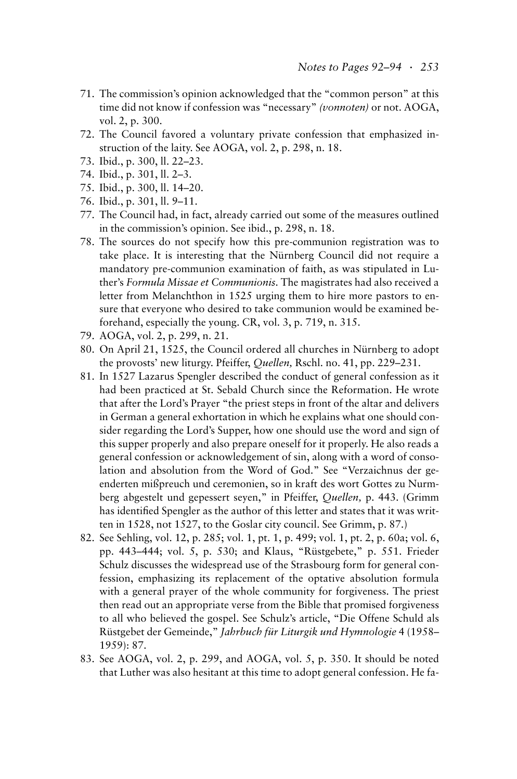- 71. The commission's opinion acknowledged that the "common person" at this time did not know if confession was "necessary" *(vonnoten)* or not. AOGA, vol. 2, p. 300.
- 72. The Council favored a voluntary private confession that emphasized instruction of the laity. See AOGA, vol. 2, p. 298, n. 18.
- 73. Ibid., p. 300, ll. 22–23.
- 74. Ibid., p. 301, ll. 2–3.
- 75. Ibid., p. 300, ll. 14–20.
- 76. Ibid., p. 301, ll. 9–11.
- 77. The Council had, in fact, already carried out some of the measures outlined in the commission's opinion. See ibid., p. 298, n. 18.
- 78. The sources do not specify how this pre-communion registration was to take place. It is interesting that the Nürnberg Council did not require a mandatory pre-communion examination of faith, as was stipulated in Luther's *Formula Missae et Communionis.* The magistrates had also received a letter from Melanchthon in 1525 urging them to hire more pastors to ensure that everyone who desired to take communion would be examined beforehand, especially the young. CR, vol. 3, p. 719, n. 315.
- 79. AOGA, vol. 2, p. 299, n. 21.
- 80. On April 21, 1525, the Council ordered all churches in Nürnberg to adopt the provosts' new liturgy. Pfeiffer, *Quellen,* Rschl. no. 41, pp. 229–231.
- 81. In 1527 Lazarus Spengler described the conduct of general confession as it had been practiced at St. Sebald Church since the Reformation. He wrote that after the Lord's Prayer "the priest steps in front of the altar and delivers in German a general exhortation in which he explains what one should consider regarding the Lord's Supper, how one should use the word and sign of this supper properly and also prepare oneself for it properly. He also reads a general confession or acknowledgement of sin, along with a word of consolation and absolution from the Word of God." See "Verzaichnus der geenderten mißpreuch und ceremonien, so in kraft des wort Gottes zu Nurmberg abgestelt und gepessert seyen," in Pfeiffer, *Quellen,* p. 443. (Grimm has identified Spengler as the author of this letter and states that it was written in 1528, not 1527, to the Goslar city council. See Grimm, p. 87.)
- 82. See Sehling, vol. 12, p. 285; vol. 1, pt. 1, p. 499; vol. 1, pt. 2, p. 60a; vol. 6, pp. 443–444; vol. 5, p. 530; and Klaus, "Rüstgebete," p. 551. Frieder Schulz discusses the widespread use of the Strasbourg form for general confession, emphasizing its replacement of the optative absolution formula with a general prayer of the whole community for forgiveness. The priest then read out an appropriate verse from the Bible that promised forgiveness to all who believed the gospel. See Schulz's article, "Die Offene Schuld als Rüstgebet der Gemeinde," *Jahrbuch für Liturgik und Hymnologie* 4 (1958– 1959): 87.
- 83. See AOGA, vol. 2, p. 299, and AOGA, vol. 5, p. 350. It should be noted that Luther was also hesitant at this time to adopt general confession. He fa-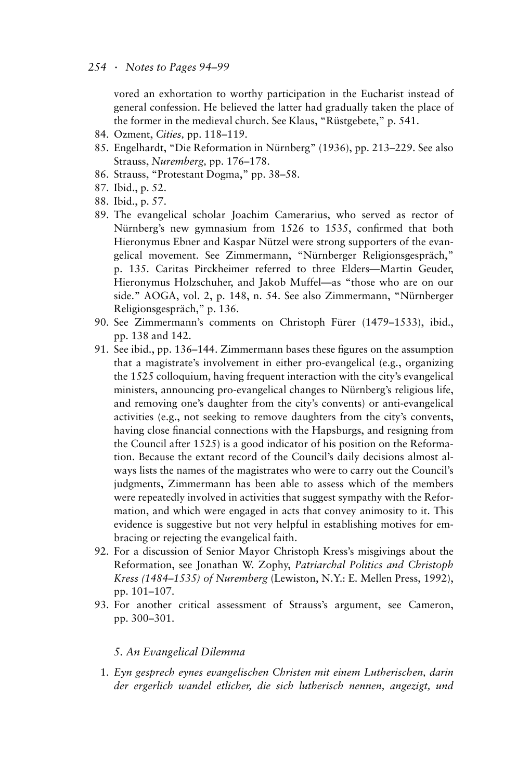*254 • Notes to Pages 94–99*

vored an exhortation to worthy participation in the Eucharist instead of general confession. He believed the latter had gradually taken the place of the former in the medieval church. See Klaus, "Rüstgebete," p. 541.

- 84. Ozment, *Cities,* pp. 118–119.
- 85. Engelhardt, "Die Reformation in Nürnberg" (1936), pp. 213–229. See also Strauss, *Nuremberg,* pp. 176–178.
- 86. Strauss, "Protestant Dogma," pp. 38–58.
- 87. Ibid., p. 52.
- 88. Ibid., p. 57.
- 89. The evangelical scholar Joachim Camerarius, who served as rector of Nürnberg's new gymnasium from 1526 to 1535, confirmed that both Hieronymus Ebner and Kaspar Nützel were strong supporters of the evangelical movement. See Zimmermann, "Nürnberger Religionsgespräch," p. 135. Caritas Pirckheimer referred to three Elders—Martin Geuder, Hieronymus Holzschuher, and Jakob Muffel—as "those who are on our side." AOGA, vol. 2, p. 148, n. 54. See also Zimmermann, "Nürnberger Religionsgespräch," p. 136.
- 90. See Zimmermann's comments on Christoph Fürer (1479–1533), ibid., pp. 138 and 142.
- 91. See ibid., pp. 136–144. Zimmermann bases these figures on the assumption that a magistrate's involvement in either pro-evangelical (e.g., organizing the 1525 colloquium, having frequent interaction with the city's evangelical ministers, announcing pro-evangelical changes to Nürnberg's religious life, and removing one's daughter from the city's convents) or anti-evangelical activities (e.g., not seeking to remove daughters from the city's convents, having close financial connections with the Hapsburgs, and resigning from the Council after 1525) is a good indicator of his position on the Reformation. Because the extant record of the Council's daily decisions almost always lists the names of the magistrates who were to carry out the Council's judgments, Zimmermann has been able to assess which of the members were repeatedly involved in activities that suggest sympathy with the Reformation, and which were engaged in acts that convey animosity to it. This evidence is suggestive but not very helpful in establishing motives for embracing or rejecting the evangelical faith.
- 92. For a discussion of Senior Mayor Christoph Kress's misgivings about the Reformation, see Jonathan W. Zophy, *Patriarchal Politics and Christoph Kress (1484–1535) of Nuremberg* (Lewiston, N.Y.: E. Mellen Press, 1992), pp. 101–107.
- 93. For another critical assessment of Strauss's argument, see Cameron, pp. 300–301.

## *5. An Evangelical Dilemma*

1. *Eyn gesprech eynes evangelischen Christen mit einem Lutherischen, darin der ergerlich wandel etlicher, die sich lutherisch nennen, angezigt, und*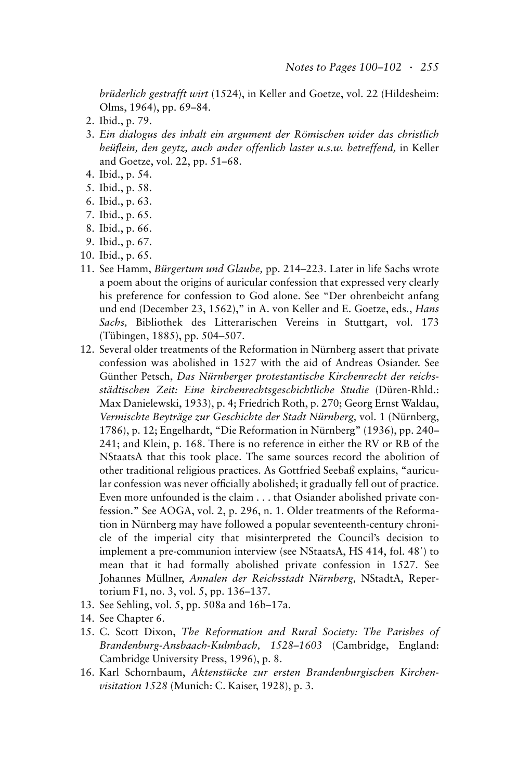*brüderlich gestrafft wirt* (1524), in Keller and Goetze, vol. 22 (Hildesheim: Olms, 1964), pp. 69–84.

- 2. Ibid., p. 79.
- 3. *Ein dialogus des inhalt ein argument der Römischen wider das christlich heüflein, den geytz, auch ander offenlich laster u.s.w. betreffend,* in Keller and Goetze, vol. 22, pp. 51–68.
- 4. Ibid., p. 54.
- 5. Ibid., p. 58.
- 6. Ibid., p. 63.
- 7. Ibid., p. 65.
- 8. Ibid., p. 66.
- 9. Ibid., p. 67.
- 10. Ibid., p. 65.
- 11. See Hamm, *Bürgertum und Glaube,* pp. 214–223. Later in life Sachs wrote a poem about the origins of auricular confession that expressed very clearly his preference for confession to God alone. See "Der ohrenbeicht anfang und end (December 23, 1562)," in A. von Keller and E. Goetze, eds., *Hans Sachs,* Bibliothek des Litterarischen Vereins in Stuttgart, vol. 173 (Tübingen, 1885), pp. 504–507.
- 12. Several older treatments of the Reformation in Nürnberg assert that private confession was abolished in 1527 with the aid of Andreas Osiander. See Günther Petsch, *Das Nürnberger protestantische Kirchenrecht der reichsstädtischen Zeit: Eine kirchenrechtsgeschichtliche Studie* (Düren-Rhld.: Max Danielewski, 1933), p. 4; Friedrich Roth, p. 270; Georg Ernst Waldau, *Vermischte Beyträge zur Geschichte der Stadt Nürnberg,* vol. 1 (Nürnberg, 1786), p. 12; Engelhardt, "Die Reformation in Nürnberg" (1936), pp. 240– 241; and Klein, p. 168. There is no reference in either the RV or RB of the NStaatsA that this took place. The same sources record the abolition of other traditional religious practices. As Gottfried Seebaß explains, "auricular confession was never officially abolished; it gradually fell out of practice. Even more unfounded is the claim... that Osiander abolished private confession." See AOGA, vol. 2, p. 296, n. 1. Older treatments of the Reformation in Nürnberg may have followed a popular seventeenth-century chronicle of the imperial city that misinterpreted the Council's decision to implement a pre-communion interview (see NStaatsA, HS 414, fol. 48′) to mean that it had formally abolished private confession in 1527. See Johannes Müllner, *Annalen der Reichsstadt Nürnberg,* NStadtA, Repertorium F1, no. 3, vol. 5, pp. 136–137.
- 13. See Sehling, vol. 5, pp. 508a and 16b–17a.
- 14. See Chapter 6.
- 15. C. Scott Dixon, *The Reformation and Rural Society: The Parishes of Brandenburg-Ansbaach-Kulmbach, 1528–1603* (Cambridge, England: Cambridge University Press, 1996), p. 8.
- 16. Karl Schornbaum, *Aktenstücke zur ersten Brandenburgischen Kirchenvisitation 1528* (Munich: C. Kaiser, 1928), p. 3.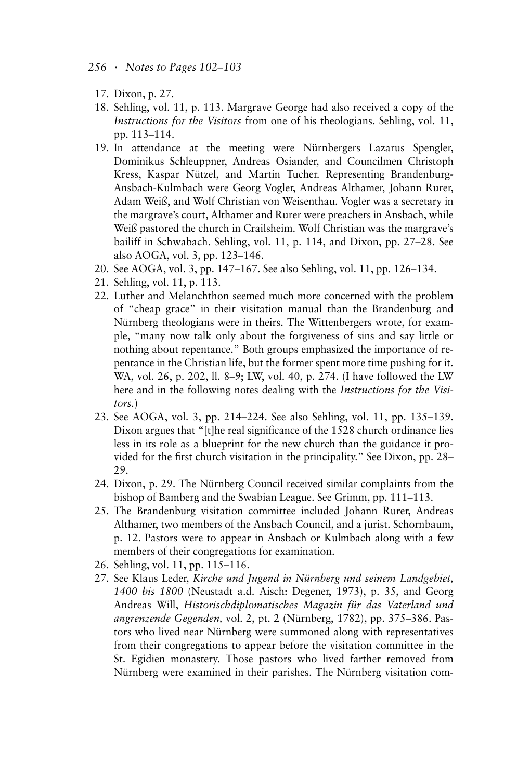- *256 • Notes to Pages 102–103*
	- 17. Dixon, p. 27.
	- 18. Sehling, vol. 11, p. 113. Margrave George had also received a copy of the *Instructions for the Visitors* from one of his theologians. Sehling, vol. 11, pp. 113–114.
	- 19. In attendance at the meeting were Nürnbergers Lazarus Spengler, Dominikus Schleuppner, Andreas Osiander, and Councilmen Christoph Kress, Kaspar Nützel, and Martin Tucher. Representing Brandenburg-Ansbach-Kulmbach were Georg Vogler, Andreas Althamer, Johann Rurer, Adam Weiß, and Wolf Christian von Weisenthau. Vogler was a secretary in the margrave's court, Althamer and Rurer were preachers in Ansbach, while Weiß pastored the church in Crailsheim. Wolf Christian was the margrave's bailiff in Schwabach. Sehling, vol. 11, p. 114, and Dixon, pp. 27–28. See also AOGA, vol. 3, pp. 123–146.
	- 20. See AOGA, vol. 3, pp. 147–167. See also Sehling, vol. 11, pp. 126–134.
	- 21. Sehling, vol. 11, p. 113.
	- 22. Luther and Melanchthon seemed much more concerned with the problem of "cheap grace" in their visitation manual than the Brandenburg and Nürnberg theologians were in theirs. The Wittenbergers wrote, for example, "many now talk only about the forgiveness of sins and say little or nothing about repentance." Both groups emphasized the importance of repentance in the Christian life, but the former spent more time pushing for it. WA, vol. 26, p. 202, ll. 8–9; LW, vol. 40, p. 274. (I have followed the LW here and in the following notes dealing with the *Instructions for the Visitors.*)
	- 23. See AOGA, vol. 3, pp. 214–224. See also Sehling, vol. 11, pp. 135–139. Dixon argues that "[t]he real significance of the 1528 church ordinance lies less in its role as a blueprint for the new church than the guidance it provided for the first church visitation in the principality." See Dixon, pp. 28– 29.
	- 24. Dixon, p. 29. The Nürnberg Council received similar complaints from the bishop of Bamberg and the Swabian League. See Grimm, pp. 111–113.
	- 25. The Brandenburg visitation committee included Johann Rurer, Andreas Althamer, two members of the Ansbach Council, and a jurist. Schornbaum, p. 12. Pastors were to appear in Ansbach or Kulmbach along with a few members of their congregations for examination.
	- 26. Sehling, vol. 11, pp. 115–116.
	- 27. See Klaus Leder, *Kirche und Jugend in Nürnberg und seinem Landgebiet, 1400 bis 1800* (Neustadt a.d. Aisch: Degener, 1973), p. 35, and Georg Andreas Will, *Historischdiplomatisches Magazin für das Vaterland und angrenzende Gegenden,* vol. 2, pt. 2 (Nürnberg, 1782), pp. 375–386. Pastors who lived near Nürnberg were summoned along with representatives from their congregations to appear before the visitation committee in the St. Egidien monastery. Those pastors who lived farther removed from Nürnberg were examined in their parishes. The Nürnberg visitation com-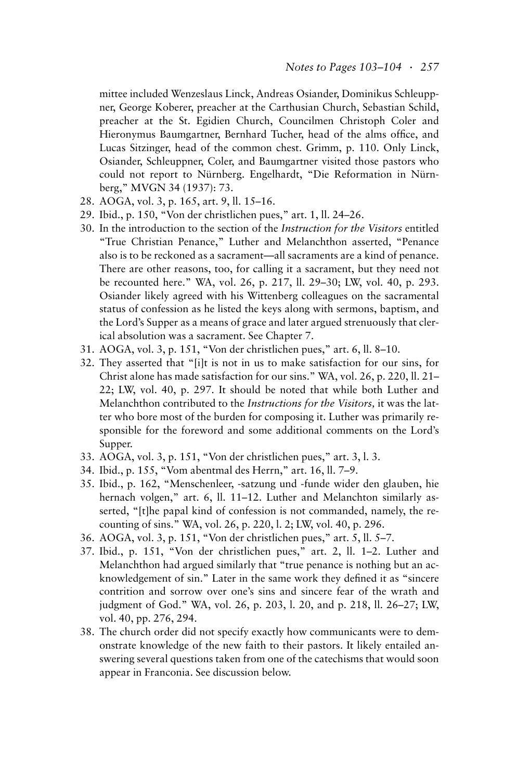mittee included Wenzeslaus Linck, Andreas Osiander, Dominikus Schleuppner, George Koberer, preacher at the Carthusian Church, Sebastian Schild, preacher at the St. Egidien Church, Councilmen Christoph Coler and Hieronymus Baumgartner, Bernhard Tucher, head of the alms office, and Lucas Sitzinger, head of the common chest. Grimm, p. 110. Only Linck, Osiander, Schleuppner, Coler, and Baumgartner visited those pastors who could not report to Nürnberg. Engelhardt, "Die Reformation in Nürnberg," MVGN 34 (1937): 73.

- 28. AOGA, vol. 3, p. 165, art. 9, ll. 15–16.
- 29. Ibid., p. 150, "Von der christlichen pues," art. 1, ll. 24–26.
- 30. In the introduction to the section of the *Instruction for the Visitors* entitled "True Christian Penance," Luther and Melanchthon asserted, "Penance also is to be reckoned as a sacrament—all sacraments are a kind of penance. There are other reasons, too, for calling it a sacrament, but they need not be recounted here." WA, vol. 26, p. 217, ll. 29–30; LW, vol. 40, p. 293. Osiander likely agreed with his Wittenberg colleagues on the sacramental status of confession as he listed the keys along with sermons, baptism, and the Lord's Supper as a means of grace and later argued strenuously that clerical absolution was a sacrament. See Chapter 7.
- 31. AOGA, vol. 3, p. 151, "Von der christlichen pues," art. 6, ll. 8–10.
- 32. They asserted that "[i]t is not in us to make satisfaction for our sins, for Christ alone has made satisfaction for our sins." WA, vol. 26, p. 220, ll. 21– 22; LW, vol. 40, p. 297. It should be noted that while both Luther and Melanchthon contributed to the *Instructions for the Visitors,* it was the latter who bore most of the burden for composing it. Luther was primarily responsible for the foreword and some additional comments on the Lord's Supper.
- 33. AOGA, vol. 3, p. 151, "Von der christlichen pues," art. 3, l. 3.
- 34. Ibid., p. 155, "Vom abentmal des Herrn," art. 16, ll. 7–9.
- 35. Ibid., p. 162, "Menschenleer, -satzung und -funde wider den glauben, hie hernach volgen," art. 6, ll. 11–12. Luther and Melanchton similarly asserted, "[t]he papal kind of confession is not commanded, namely, the recounting of sins." WA, vol. 26, p. 220, l. 2; LW, vol. 40, p. 296.
- 36. AOGA, vol. 3, p. 151, "Von der christlichen pues," art. 5, ll. 5–7.
- 37. Ibid., p. 151, "Von der christlichen pues," art. 2, ll. 1–2. Luther and Melanchthon had argued similarly that "true penance is nothing but an acknowledgement of sin." Later in the same work they defined it as "sincere contrition and sorrow over one's sins and sincere fear of the wrath and judgment of God." WA, vol. 26, p. 203, l. 20, and p. 218, ll. 26–27; LW, vol. 40, pp. 276, 294.
- 38. The church order did not specify exactly how communicants were to demonstrate knowledge of the new faith to their pastors. It likely entailed answering several questions taken from one of the catechisms that would soon appear in Franconia. See discussion below.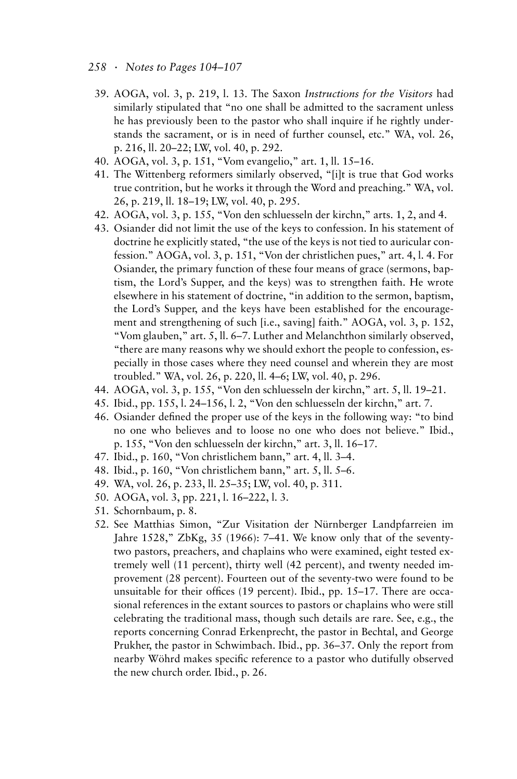- *258 • Notes to Pages 104–107*
	- 39. AOGA, vol. 3, p. 219, l. 13. The Saxon *Instructions for the Visitors* had similarly stipulated that "no one shall be admitted to the sacrament unless he has previously been to the pastor who shall inquire if he rightly understands the sacrament, or is in need of further counsel, etc." WA, vol. 26, p. 216, ll. 20–22; LW, vol. 40, p. 292.
	- 40. AOGA, vol. 3, p. 151, "Vom evangelio," art. 1, ll. 15–16.
	- 41. The Wittenberg reformers similarly observed, "[i]t is true that God works true contrition, but he works it through the Word and preaching." WA, vol. 26, p. 219, ll. 18–19; LW, vol. 40, p. 295.
	- 42. AOGA, vol. 3, p. 155, "Von den schluesseln der kirchn," arts. 1, 2, and 4.
	- 43. Osiander did not limit the use of the keys to confession. In his statement of doctrine he explicitly stated, "the use of the keys is not tied to auricular confession." AOGA, vol. 3, p. 151, "Von der christlichen pues," art. 4, l. 4. For Osiander, the primary function of these four means of grace (sermons, baptism, the Lord's Supper, and the keys) was to strengthen faith. He wrote elsewhere in his statement of doctrine, "in addition to the sermon, baptism, the Lord's Supper, and the keys have been established for the encouragement and strengthening of such [i.e., saving] faith." AOGA, vol. 3, p. 152, "Vom glauben," art. 5, ll. 6–7. Luther and Melanchthon similarly observed, "there are many reasons why we should exhort the people to confession, especially in those cases where they need counsel and wherein they are most troubled." WA, vol. 26, p. 220, ll. 4–6; LW, vol. 40, p. 296.
	- 44. AOGA, vol. 3, p. 155, "Von den schluesseln der kirchn," art. 5, ll. 19–21.
	- 45. Ibid., pp. 155, l. 24–156, l. 2, "Von den schluesseln der kirchn," art. 7.
	- 46. Osiander defined the proper use of the keys in the following way: "to bind no one who believes and to loose no one who does not believe." Ibid., p. 155, "Von den schluesseln der kirchn," art. 3, ll. 16–17.
	- 47. Ibid., p. 160, "Von christlichem bann," art. 4, ll. 3–4.
	- 48. Ibid., p. 160, "Von christlichem bann," art. 5, ll. 5–6.
	- 49. WA, vol. 26, p. 233, ll. 25–35; LW, vol. 40, p. 311.
	- 50. AOGA, vol. 3, pp. 221, l. 16–222, l. 3.
	- 51. Schornbaum, p. 8.
	- 52. See Matthias Simon, "Zur Visitation der Nürnberger Landpfarreien im Jahre 1528," ZbKg, 35 (1966): 7–41. We know only that of the seventytwo pastors, preachers, and chaplains who were examined, eight tested extremely well (11 percent), thirty well (42 percent), and twenty needed improvement (28 percent). Fourteen out of the seventy-two were found to be unsuitable for their offices (19 percent). Ibid., pp. 15–17. There are occasional references in the extant sources to pastors or chaplains who were still celebrating the traditional mass, though such details are rare. See, e.g., the reports concerning Conrad Erkenprecht, the pastor in Bechtal, and George Prukher, the pastor in Schwimbach. Ibid., pp. 36–37. Only the report from nearby Wöhrd makes specific reference to a pastor who dutifully observed the new church order. Ibid., p. 26.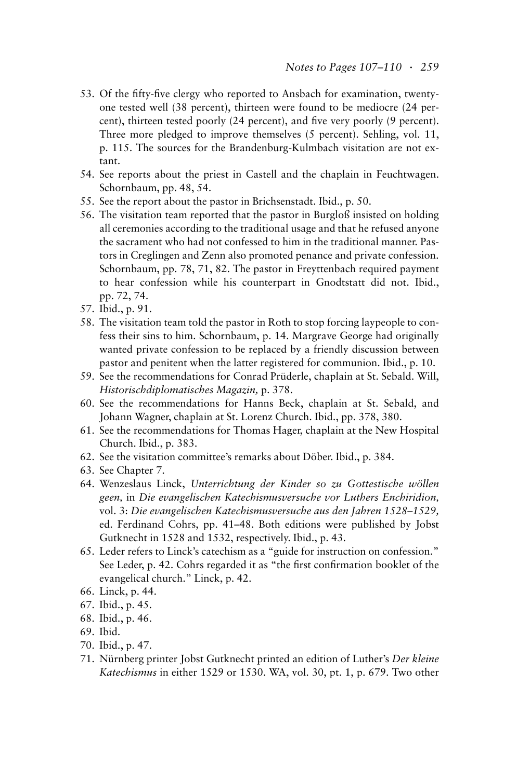- 53. Of the fifty-five clergy who reported to Ansbach for examination, twentyone tested well (38 percent), thirteen were found to be mediocre (24 percent), thirteen tested poorly (24 percent), and five very poorly (9 percent). Three more pledged to improve themselves (5 percent). Sehling, vol. 11, p. 115. The sources for the Brandenburg-Kulmbach visitation are not extant.
- 54. See reports about the priest in Castell and the chaplain in Feuchtwagen. Schornbaum, pp. 48, 54.
- 55. See the report about the pastor in Brichsenstadt. Ibid., p. 50.
- 56. The visitation team reported that the pastor in Burgloß insisted on holding all ceremonies according to the traditional usage and that he refused anyone the sacrament who had not confessed to him in the traditional manner. Pastors in Creglingen and Zenn also promoted penance and private confession. Schornbaum, pp. 78, 71, 82. The pastor in Freyttenbach required payment to hear confession while his counterpart in Gnodtstatt did not. Ibid., pp. 72, 74.
- 57. Ibid., p. 91.
- 58. The visitation team told the pastor in Roth to stop forcing laypeople to confess their sins to him. Schornbaum, p. 14. Margrave George had originally wanted private confession to be replaced by a friendly discussion between pastor and penitent when the latter registered for communion. Ibid., p. 10.
- 59. See the recommendations for Conrad Prüderle, chaplain at St. Sebald. Will, *Historischdiplomatisches Magazin,* p. 378.
- 60. See the recommendations for Hanns Beck, chaplain at St. Sebald, and Johann Wagner, chaplain at St. Lorenz Church. Ibid., pp. 378, 380.
- 61. See the recommendations for Thomas Hager, chaplain at the New Hospital Church. Ibid., p. 383.
- 62. See the visitation committee's remarks about Döber. Ibid., p. 384.
- 63. See Chapter 7.
- 64. Wenzeslaus Linck, *Unterrichtung der Kinder so zu Gottestische wöllen geen,* in *Die evangelischen Katechismusversuche vor Luthers Enchiridion,* vol. 3: *Die evangelischen Katechismusversuche aus den Jahren 1528–1529,* ed. Ferdinand Cohrs, pp. 41–48. Both editions were published by Jobst Gutknecht in 1528 and 1532, respectively. Ibid., p. 43.
- 65. Leder refers to Linck's catechism as a "guide for instruction on confession." See Leder, p. 42. Cohrs regarded it as "the first confirmation booklet of the evangelical church." Linck, p. 42.
- 66. Linck, p. 44.
- 67. Ibid., p. 45.
- 68. Ibid., p. 46.
- 69. Ibid.
- 70. Ibid., p. 47.
- 71. Nürnberg printer Jobst Gutknecht printed an edition of Luther's *Der kleine Katechismus* in either 1529 or 1530. WA, vol. 30, pt. 1, p. 679. Two other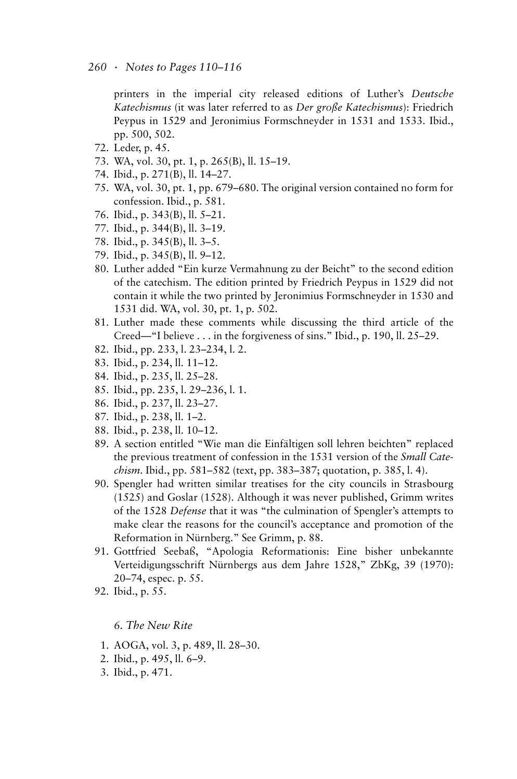*260 • Notes to Pages 110–116*

printers in the imperial city released editions of Luther's *Deutsche Katechismus* (it was later referred to as *Der große Katechismus*): Friedrich Peypus in 1529 and Jeronimius Formschneyder in 1531 and 1533. Ibid., pp. 500, 502.

- 72. Leder, p. 45.
- 73. WA, vol. 30, pt. 1, p. 265(B), ll. 15–19.
- 74. Ibid., p. 271(B), ll. 14–27.
- 75. WA, vol. 30, pt. 1, pp. 679–680. The original version contained no form for confession. Ibid., p. 581.
- 76. Ibid., p. 343(B), ll. 5–21.
- 77. Ibid., p. 344(B), ll. 3–19.
- 78. Ibid., p. 345(B), ll. 3–5.
- 79. Ibid., p. 345(B), ll. 9–12.
- 80. Luther added "Ein kurze Vermahnung zu der Beicht" to the second edition of the catechism. The edition printed by Friedrich Peypus in 1529 did not contain it while the two printed by Jeronimius Formschneyder in 1530 and 1531 did. WA, vol. 30, pt. 1, p. 502.
- 81. Luther made these comments while discussing the third article of the Creed—"I believe . . . in the forgiveness of sins." Ibid., p. 190, ll. 25–29.
- 82. Ibid., pp. 233, l. 23–234, l. 2.
- 83. Ibid., p. 234, ll. 11–12.
- 84. Ibid., p. 235, ll. 25–28.
- 85. Ibid., pp. 235, l. 29–236, l. 1.
- 86. Ibid., p. 237, ll. 23–27.
- 87. Ibid., p. 238, ll. 1–2.
- 88. Ibid., p. 238, ll. 10–12.
- 89. A section entitled "Wie man die Einfältigen soll lehren beichten" replaced the previous treatment of confession in the 1531 version of the *Small Catechism.* Ibid., pp. 581–582 (text, pp. 383–387; quotation, p. 385, l. 4).
- 90. Spengler had written similar treatises for the city councils in Strasbourg (1525) and Goslar (1528). Although it was never published, Grimm writes of the 1528 *Defense* that it was "the culmination of Spengler's attempts to make clear the reasons for the council's acceptance and promotion of the Reformation in Nürnberg." See Grimm, p. 88.
- 91. Gottfried Seebaß, "Apologia Reformationis: Eine bisher unbekannte Verteidigungsschrift Nürnbergs aus dem Jahre 1528," ZbKg, 39 (1970): 20–74, espec. p. 55.
- 92. Ibid., p. 55.

*6. The New Rite*

- 1. AOGA, vol. 3, p. 489, ll. 28–30.
- 2. Ibid., p. 495, ll. 6–9.
- 3. Ibid., p. 471.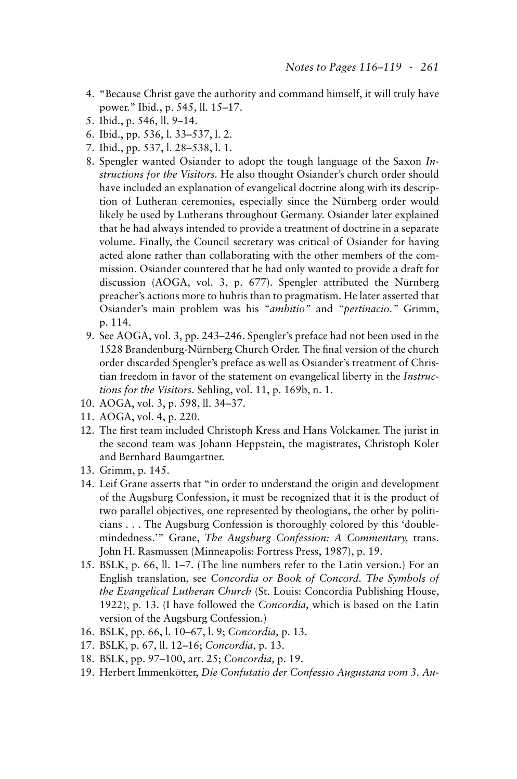- 4. "Because Christ gave the authority and command himself, it will truly have power." Ibid., p. 545, ll. 15–17.
- 5. Ibid., p. 546, ll. 9–14.
- 6. Ibid., pp. 536, l. 33–537, l. 2.
- 7. Ibid., pp. 537, l. 28–538, l. 1.
- 8. Spengler wanted Osiander to adopt the tough language of the Saxon *Instructions for the Visitors.* He also thought Osiander's church order should have included an explanation of evangelical doctrine along with its description of Lutheran ceremonies, especially since the Nürnberg order would likely be used by Lutherans throughout Germany. Osiander later explained that he had always intended to provide a treatment of doctrine in a separate volume. Finally, the Council secretary was critical of Osiander for having acted alone rather than collaborating with the other members of the commission. Osiander countered that he had only wanted to provide a draft for discussion (AOGA, vol. 3, p. 677). Spengler attributed the Nürnberg preacher's actions more to hubris than to pragmatism. He later asserted that Osiander's main problem was his *"ambitio"* and *"pertinacio."* Grimm, p. 114.
- 9. See AOGA, vol. 3, pp. 243–246. Spengler's preface had not been used in the 1528 Brandenburg-Nürnberg Church Order. The final version of the church order discarded Spengler's preface as well as Osiander's treatment of Christian freedom in favor of the statement on evangelical liberty in the *Instructions for the Visitors.* Sehling, vol. 11, p. 169b, n. 1.
- 10. AOGA, vol. 3, p. 598, ll. 34–37.
- 11. AOGA, vol. 4, p. 220.
- 12. The first team included Christoph Kress and Hans Volckamer. The jurist in the second team was Johann Heppstein, the magistrates, Christoph Koler and Bernhard Baumgartner.
- 13. Grimm, p. 145.
- 14. Leif Grane asserts that "in order to understand the origin and development of the Augsburg Confession, it must be recognized that it is the product of two parallel objectives, one represented by theologians, the other by politicians . . . The Augsburg Confession is thoroughly colored by this 'doublemindedness.'" Grane, *The Augsburg Confession: A Commentary,* trans. John H. Rasmussen (Minneapolis: Fortress Press, 1987), p. 19.
- 15. BSLK, p. 66, ll. 1–7. (The line numbers refer to the Latin version.) For an English translation, see *Concordia or Book of Concord. The Symbols of the Evangelical Lutheran Church* (St. Louis: Concordia Publishing House, 1922), p. 13. (I have followed the *Concordia,* which is based on the Latin version of the Augsburg Confession.)
- 16. BSLK, pp. 66, l. 10–67, l. 9; *Concordia,* p. 13.
- 17. BSLK, p. 67, ll. 12–16; *Concordia,* p. 13.
- 18. BSLK, pp. 97–100, art. 25; *Concordia,* p. 19.
- 19. Herbert Immenkötter, *Die Confutatio der Confessio Augustana vom 3. Au-*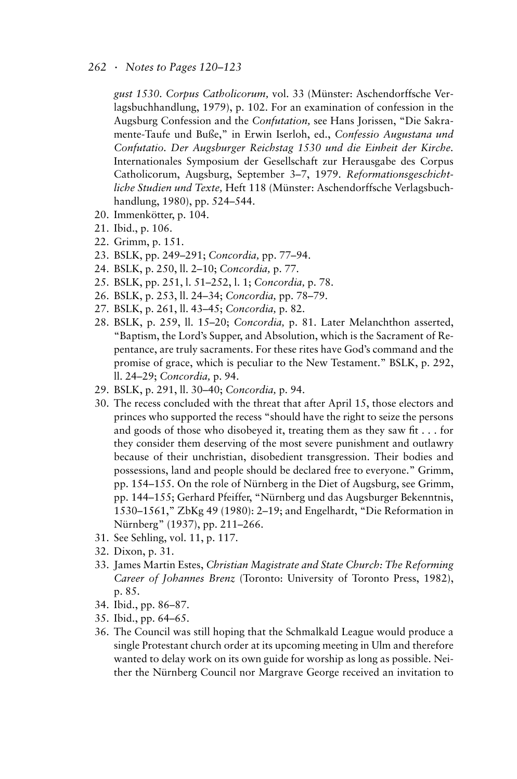*262 • Notes to Pages 120–123*

*gust 1530. Corpus Catholicorum,* vol. 33 (Münster: Aschendorffsche Verlagsbuchhandlung, 1979), p. 102. For an examination of confession in the Augsburg Confession and the *Confutation,* see Hans Jorissen, "Die Sakramente-Taufe und Buße," in Erwin Iserloh, ed., *Confessio Augustana und Confutatio. Der Augsburger Reichstag 1530 und die Einheit der Kirche.* Internationales Symposium der Gesellschaft zur Herausgabe des Corpus Catholicorum, Augsburg, September 3–7, 1979. *Reformationsgeschichtliche Studien und Texte,* Heft 118 (Münster: Aschendorffsche Verlagsbuchhandlung, 1980), pp. 524–544.

- 20. Immenkötter, p. 104.
- 21. Ibid., p. 106.
- 22. Grimm, p. 151.
- 23. BSLK, pp. 249–291; *Concordia,* pp. 77–94.
- 24. BSLK, p. 250, ll. 2–10; *Concordia,* p. 77.
- 25. BSLK, pp. 251, l. 51–252, l. 1; *Concordia,* p. 78.
- 26. BSLK, p. 253, ll. 24–34; *Concordia,* pp. 78–79.
- 27. BSLK, p. 261, ll. 43–45; *Concordia,* p. 82.
- 28. BSLK, p. 259, ll. 15–20; *Concordia,* p. 81. Later Melanchthon asserted, "Baptism, the Lord's Supper, and Absolution, which is the Sacrament of Repentance, are truly sacraments. For these rites have God's command and the promise of grace, which is peculiar to the New Testament." BSLK, p. 292, ll. 24–29; *Concordia,* p. 94.
- 29. BSLK, p. 291, ll. 30–40; *Concordia,* p. 94.
- 30. The recess concluded with the threat that after April 15, those electors and princes who supported the recess "should have the right to seize the persons and goods of those who disobeyed it, treating them as they saw fit . . . for they consider them deserving of the most severe punishment and outlawry because of their unchristian, disobedient transgression. Their bodies and possessions, land and people should be declared free to everyone." Grimm, pp. 154–155. On the role of Nürnberg in the Diet of Augsburg, see Grimm, pp. 144–155; Gerhard Pfeiffer, "Nürnberg und das Augsburger Bekenntnis, 1530–1561," ZbKg 49 (1980): 2–19; and Engelhardt, "Die Reformation in Nürnberg" (1937), pp. 211–266.
- 31. See Sehling, vol. 11, p. 117.
- 32. Dixon, p. 31.
- 33. James Martin Estes, *Christian Magistrate and State Church: The Reforming Career of Johannes Brenz* (Toronto: University of Toronto Press, 1982), p. 85.
- 34. Ibid., pp. 86–87.
- 35. Ibid., pp. 64–65.
- 36. The Council was still hoping that the Schmalkald League would produce a single Protestant church order at its upcoming meeting in Ulm and therefore wanted to delay work on its own guide for worship as long as possible. Neither the Nürnberg Council nor Margrave George received an invitation to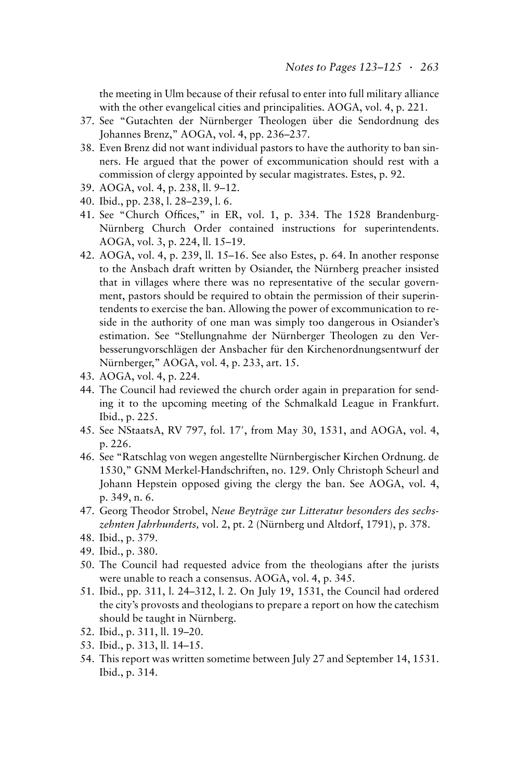the meeting in Ulm because of their refusal to enter into full military alliance with the other evangelical cities and principalities. AOGA, vol. 4, p. 221.

- 37. See "Gutachten der Nürnberger Theologen über die Sendordnung des Johannes Brenz," AOGA, vol. 4, pp. 236–237.
- 38. Even Brenz did not want individual pastors to have the authority to ban sinners. He argued that the power of excommunication should rest with a commission of clergy appointed by secular magistrates. Estes, p. 92.
- 39. AOGA, vol. 4, p. 238, ll. 9–12.
- 40. Ibid., pp. 238, l. 28–239, l. 6.
- 41. See "Church Offices," in ER, vol. 1, p. 334. The 1528 Brandenburg-Nürnberg Church Order contained instructions for superintendents. AOGA, vol. 3, p. 224, ll. 15–19.
- 42. AOGA, vol. 4, p. 239, ll. 15–16. See also Estes, p. 64. In another response to the Ansbach draft written by Osiander, the Nürnberg preacher insisted that in villages where there was no representative of the secular government, pastors should be required to obtain the permission of their superintendents to exercise the ban. Allowing the power of excommunication to reside in the authority of one man was simply too dangerous in Osiander's estimation. See "Stellungnahme der Nürnberger Theologen zu den Verbesserungvorschlägen der Ansbacher für den Kirchenordnungsentwurf der Nürnberger," AOGA, vol. 4, p. 233, art. 15.
- 43. AOGA, vol. 4, p. 224.
- 44. The Council had reviewed the church order again in preparation for sending it to the upcoming meeting of the Schmalkald League in Frankfurt. Ibid., p. 225.
- 45. See NStaatsA, RV 797, fol. 17′, from May 30, 1531, and AOGA, vol. 4, p. 226.
- 46. See "Ratschlag von wegen angestellte Nürnbergischer Kirchen Ordnung. de 1530," GNM Merkel-Handschriften, no. 129. Only Christoph Scheurl and Johann Hepstein opposed giving the clergy the ban. See AOGA, vol. 4, p. 349, n. 6.
- 47. Georg Theodor Strobel, *Neue Beyträge zur Litteratur besonders des sechszehnten Jahrhunderts,* vol. 2, pt. 2 (Nürnberg und Altdorf, 1791), p. 378.
- 48. Ibid., p. 379.
- 49. Ibid., p. 380.
- 50. The Council had requested advice from the theologians after the jurists were unable to reach a consensus. AOGA, vol. 4, p. 345.
- 51. Ibid., pp. 311, l. 24–312, l. 2. On July 19, 1531, the Council had ordered the city's provosts and theologians to prepare a report on how the catechism should be taught in Nürnberg.
- 52. Ibid., p. 311, ll. 19–20.
- 53. Ibid., p. 313, ll. 14–15.
- 54. This report was written sometime between July 27 and September 14, 1531. Ibid., p. 314.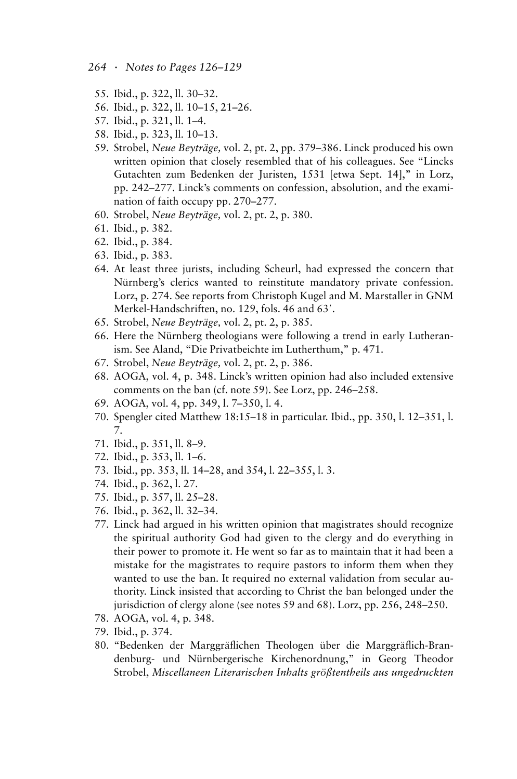- *264 • Notes to Pages 126–129*
	- 55. Ibid., p. 322, ll. 30–32.
	- 56. Ibid., p. 322, ll. 10–15, 21–26.
	- 57. Ibid., p. 321, ll. 1–4.
	- 58. Ibid., p. 323, ll. 10–13.
	- 59. Strobel, *Neue Beyträge,* vol. 2, pt. 2, pp. 379–386. Linck produced his own written opinion that closely resembled that of his colleagues. See "Lincks Gutachten zum Bedenken der Juristen, 1531 [etwa Sept. 14]," in Lorz, pp. 242–277. Linck's comments on confession, absolution, and the examination of faith occupy pp. 270–277.
	- 60. Strobel, *Neue Beyträge,* vol. 2, pt. 2, p. 380.
	- 61. Ibid., p. 382.
	- 62. Ibid., p. 384.
	- 63. Ibid., p. 383.
	- 64. At least three jurists, including Scheurl, had expressed the concern that Nürnberg's clerics wanted to reinstitute mandatory private confession. Lorz, p. 274. See reports from Christoph Kugel and M. Marstaller in GNM Merkel-Handschriften, no. 129, fols. 46 and 63′.
	- 65. Strobel, *Neue Beyträge,* vol. 2, pt. 2, p. 385.
	- 66. Here the Nürnberg theologians were following a trend in early Lutheranism. See Aland, "Die Privatbeichte im Lutherthum," p. 471.
	- 67. Strobel, *Neue Beyträge,* vol. 2, pt. 2, p. 386.
	- 68. AOGA, vol. 4, p. 348. Linck's written opinion had also included extensive comments on the ban (cf. note 59). See Lorz, pp. 246–258.
	- 69. AOGA, vol. 4, pp. 349, l. 7–350, l. 4.
	- 70. Spengler cited Matthew 18:15–18 in particular. Ibid., pp. 350, l. 12–351, l. 7.
	- 71. Ibid., p. 351, ll. 8–9.
	- 72. Ibid., p. 353, ll. 1–6.
	- 73. Ibid., pp. 353, ll. 14–28, and 354, l. 22–355, l. 3.
	- 74. Ibid., p. 362, l. 27.
	- 75. Ibid., p. 357, ll. 25–28.
	- 76. Ibid., p. 362, ll. 32–34.
	- 77. Linck had argued in his written opinion that magistrates should recognize the spiritual authority God had given to the clergy and do everything in their power to promote it. He went so far as to maintain that it had been a mistake for the magistrates to require pastors to inform them when they wanted to use the ban. It required no external validation from secular authority. Linck insisted that according to Christ the ban belonged under the jurisdiction of clergy alone (see notes 59 and 68). Lorz, pp. 256, 248–250.
	- 78. AOGA, vol. 4, p. 348.
	- 79. Ibid., p. 374.
	- 80. "Bedenken der Marggräflichen Theologen über die Marggräflich-Brandenburg- und Nürnbergerische Kirchenordnung," in Georg Theodor Strobel, *Miscellaneen Literarischen Inhalts größtentheils aus ungedruckten*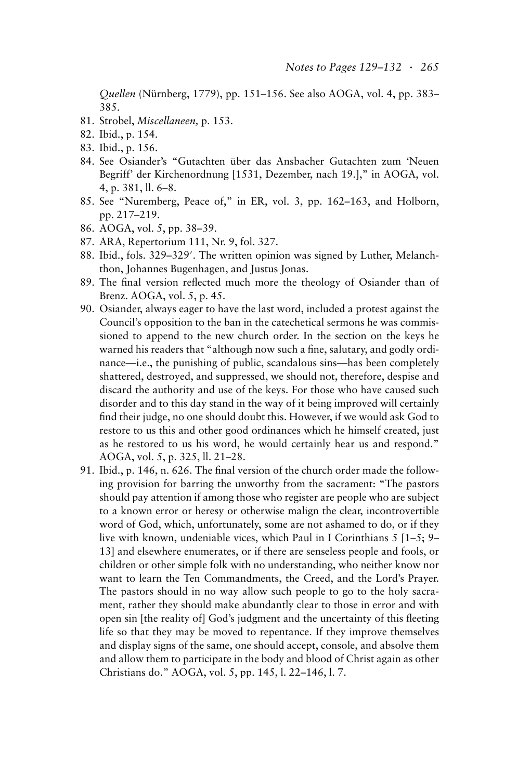*Quellen* (Nürnberg, 1779), pp. 151–156. See also AOGA, vol. 4, pp. 383– 385.

- 81. Strobel, *Miscellaneen,* p. 153.
- 82. Ibid., p. 154.
- 83. Ibid., p. 156.
- 84. See Osiander's "Gutachten über das Ansbacher Gutachten zum 'Neuen Begriff' der Kirchenordnung [1531, Dezember, nach 19.]," in AOGA, vol. 4, p. 381, ll. 6–8.
- 85. See "Nuremberg, Peace of," in ER, vol. 3, pp. 162–163, and Holborn, pp. 217–219.
- 86. AOGA, vol. 5, pp. 38–39.
- 87. ARA, Repertorium 111, Nr. 9, fol. 327.
- 88. Ibid., fols. 329–329′. The written opinion was signed by Luther, Melanchthon, Johannes Bugenhagen, and Justus Jonas.
- 89. The final version reflected much more the theology of Osiander than of Brenz. AOGA, vol. 5, p. 45.
- 90. Osiander, always eager to have the last word, included a protest against the Council's opposition to the ban in the catechetical sermons he was commissioned to append to the new church order. In the section on the keys he warned his readers that "although now such a fine, salutary, and godly ordinance—i.e., the punishing of public, scandalous sins—has been completely shattered, destroyed, and suppressed, we should not, therefore, despise and discard the authority and use of the keys. For those who have caused such disorder and to this day stand in the way of it being improved will certainly find their judge, no one should doubt this. However, if we would ask God to restore to us this and other good ordinances which he himself created, just as he restored to us his word, he would certainly hear us and respond." AOGA, vol. 5, p. 325, ll. 21–28.
- 91. Ibid., p. 146, n. 626. The final version of the church order made the following provision for barring the unworthy from the sacrament: "The pastors should pay attention if among those who register are people who are subject to a known error or heresy or otherwise malign the clear, incontrovertible word of God, which, unfortunately, some are not ashamed to do, or if they live with known, undeniable vices, which Paul in I Corinthians 5 [1–5; 9– 13] and elsewhere enumerates, or if there are senseless people and fools, or children or other simple folk with no understanding, who neither know nor want to learn the Ten Commandments, the Creed, and the Lord's Prayer. The pastors should in no way allow such people to go to the holy sacrament, rather they should make abundantly clear to those in error and with open sin [the reality of] God's judgment and the uncertainty of this fleeting life so that they may be moved to repentance. If they improve themselves and display signs of the same, one should accept, console, and absolve them and allow them to participate in the body and blood of Christ again as other Christians do." AOGA, vol. 5, pp. 145, l. 22–146, l. 7.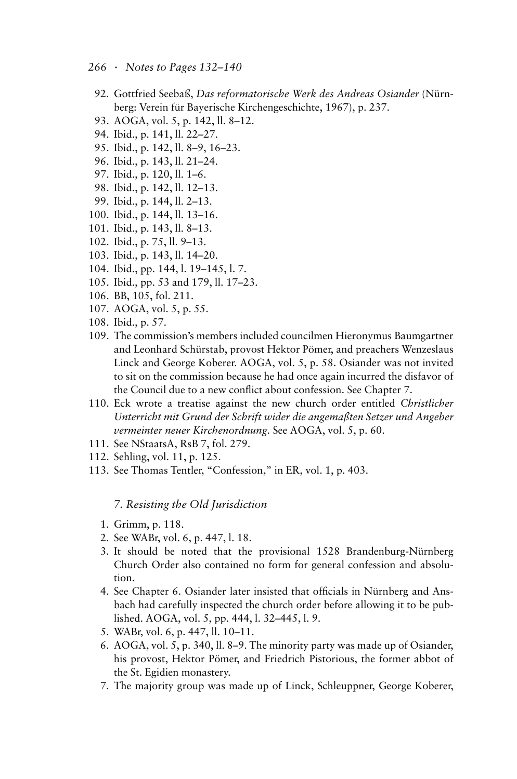- *266 • Notes to Pages 132–140*
- 92. Gottfried Seebaß, *Das reformatorische Werk des Andreas Osiander* (Nürnberg: Verein für Bayerische Kirchengeschichte, 1967), p. 237.
- 93. AOGA, vol. 5, p. 142, ll. 8–12.
- 94. Ibid., p. 141, ll. 22–27.
- 95. Ibid., p. 142, ll. 8–9, 16–23.
- 96. Ibid., p. 143, ll. 21–24.
- 97. Ibid., p. 120, ll. 1–6.
- 98. Ibid., p. 142, ll. 12–13.
- 99. Ibid., p. 144, ll. 2–13.
- 100. Ibid., p. 144, ll. 13–16.
- 101. Ibid., p. 143, ll. 8–13.
- 102. Ibid., p. 75, ll. 9–13.
- 103. Ibid., p. 143, ll. 14–20.
- 104. Ibid., pp. 144, l. 19–145, l. 7.
- 105. Ibid., pp. 53 and 179, ll. 17–23.
- 106. BB, 105, fol. 211.
- 107. AOGA, vol. 5, p. 55.
- 108. Ibid., p. 57.
- 109. The commission's members included councilmen Hieronymus Baumgartner and Leonhard Schürstab, provost Hektor Pömer, and preachers Wenzeslaus Linck and George Koberer. AOGA, vol. 5, p. 58. Osiander was not invited to sit on the commission because he had once again incurred the disfavor of the Council due to a new conflict about confession. See Chapter 7.
- 110. Eck wrote a treatise against the new church order entitled *Christlicher Unterricht mit Grund der Schrift wider die angemaßten Setzer und Angeber vermeinter neuer Kirchenordnung.* See AOGA, vol. 5, p. 60.
- 111. See NStaatsA, RsB 7, fol. 279.
- 112. Sehling, vol. 11, p. 125.
- 113. See Thomas Tentler, "Confession," in ER, vol. 1, p. 403.

*7. Resisting the Old Jurisdiction*

- 1. Grimm, p. 118.
- 2. See WABr, vol. 6, p. 447, l. 18.
- 3. It should be noted that the provisional 1528 Brandenburg-Nürnberg Church Order also contained no form for general confession and absolution.
- 4. See Chapter 6. Osiander later insisted that officials in Nürnberg and Ansbach had carefully inspected the church order before allowing it to be published. AOGA, vol. 5, pp. 444, l. 32–445, l. 9.
- 5. WABr, vol. 6, p. 447, ll. 10–11.
- 6. AOGA, vol. 5, p. 340, ll. 8–9. The minority party was made up of Osiander, his provost, Hektor Pömer, and Friedrich Pistorious, the former abbot of the St. Egidien monastery.
- 7. The majority group was made up of Linck, Schleuppner, George Koberer,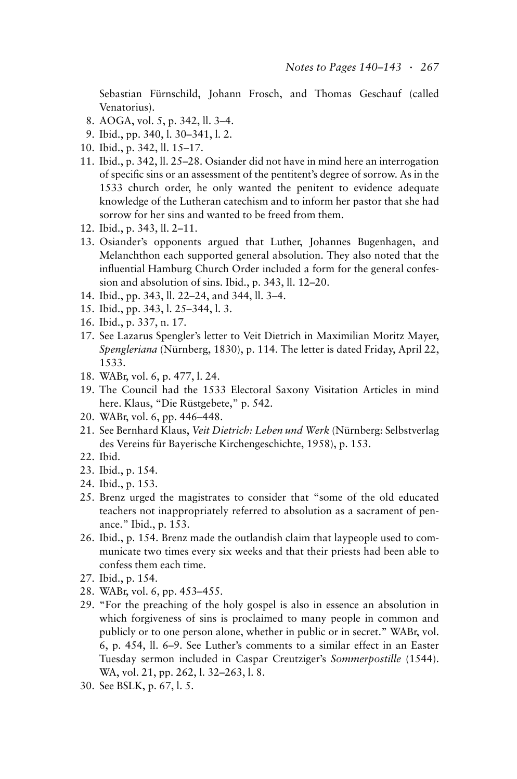Sebastian Fürnschild, Johann Frosch, and Thomas Geschauf (called Venatorius).

- 8. AOGA, vol. 5, p. 342, ll. 3–4.
- 9. Ibid., pp. 340, l. 30–341, l. 2.
- 10. Ibid., p. 342, ll. 15–17.
- 11. Ibid., p. 342, ll. 25–28. Osiander did not have in mind here an interrogation of specific sins or an assessment of the pentitent's degree of sorrow. As in the 1533 church order, he only wanted the penitent to evidence adequate knowledge of the Lutheran catechism and to inform her pastor that she had sorrow for her sins and wanted to be freed from them.
- 12. Ibid., p. 343, ll. 2–11.
- 13. Osiander's opponents argued that Luther, Johannes Bugenhagen, and Melanchthon each supported general absolution. They also noted that the influential Hamburg Church Order included a form for the general confession and absolution of sins. Ibid., p. 343, ll. 12–20.
- 14. Ibid., pp. 343, ll. 22–24, and 344, ll. 3–4.
- 15. Ibid., pp. 343, l. 25–344, l. 3.
- 16. Ibid., p. 337, n. 17.
- 17. See Lazarus Spengler's letter to Veit Dietrich in Maximilian Moritz Mayer, *Spengleriana* (Nürnberg, 1830), p. 114. The letter is dated Friday, April 22, 1533.
- 18. WABr, vol. 6, p. 477, l. 24.
- 19. The Council had the 1533 Electoral Saxony Visitation Articles in mind here. Klaus, "Die Rüstgebete," p. 542.
- 20. WABr, vol. 6, pp. 446–448.
- 21. See Bernhard Klaus, *Veit Dietrich: Leben und Werk* (Nürnberg: Selbstverlag des Vereins für Bayerische Kirchengeschichte, 1958), p. 153.
- 22. Ibid.
- 23. Ibid., p. 154.
- 24. Ibid., p. 153.
- 25. Brenz urged the magistrates to consider that "some of the old educated teachers not inappropriately referred to absolution as a sacrament of penance." Ibid., p. 153.
- 26. Ibid., p. 154. Brenz made the outlandish claim that laypeople used to communicate two times every six weeks and that their priests had been able to confess them each time.
- 27. Ibid., p. 154.
- 28. WABr, vol. 6, pp. 453–455.
- 29. "For the preaching of the holy gospel is also in essence an absolution in which forgiveness of sins is proclaimed to many people in common and publicly or to one person alone, whether in public or in secret." WABr, vol. 6, p. 454, ll. 6–9. See Luther's comments to a similar effect in an Easter Tuesday sermon included in Caspar Creutziger's *Sommerpostille* (1544). WA, vol. 21, pp. 262, l. 32–263, l. 8.
- 30. See BSLK, p. 67, l. 5.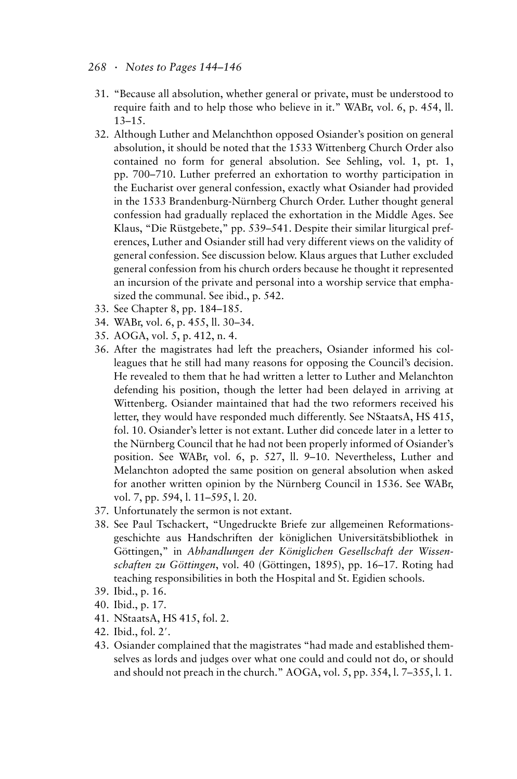- *268 • Notes to Pages 144–146*
	- 31. "Because all absolution, whether general or private, must be understood to require faith and to help those who believe in it." WABr, vol. 6, p. 454, ll. 13–15.
	- 32. Although Luther and Melanchthon opposed Osiander's position on general absolution, it should be noted that the 1533 Wittenberg Church Order also contained no form for general absolution. See Sehling, vol. 1, pt. 1, pp. 700–710. Luther preferred an exhortation to worthy participation in the Eucharist over general confession, exactly what Osiander had provided in the 1533 Brandenburg-Nürnberg Church Order. Luther thought general confession had gradually replaced the exhortation in the Middle Ages. See Klaus, "Die Rüstgebete," pp. 539–541. Despite their similar liturgical preferences, Luther and Osiander still had very different views on the validity of general confession. See discussion below. Klaus argues that Luther excluded general confession from his church orders because he thought it represented an incursion of the private and personal into a worship service that emphasized the communal. See ibid., p. 542.
	- 33. See Chapter 8, pp. 184–185.
	- 34. WABr, vol. 6, p. 455, ll. 30–34.
	- 35. AOGA, vol. 5, p. 412, n. 4.
	- 36. After the magistrates had left the preachers, Osiander informed his colleagues that he still had many reasons for opposing the Council's decision. He revealed to them that he had written a letter to Luther and Melanchton defending his position, though the letter had been delayed in arriving at Wittenberg. Osiander maintained that had the two reformers received his letter, they would have responded much differently. See NStaatsA, HS 415, fol. 10. Osiander's letter is not extant. Luther did concede later in a letter to the Nürnberg Council that he had not been properly informed of Osiander's position. See WABr, vol. 6, p. 527, ll. 9–10. Nevertheless, Luther and Melanchton adopted the same position on general absolution when asked for another written opinion by the Nürnberg Council in 1536. See WABr, vol. 7, pp. 594, l. 11–595, l. 20.
	- 37. Unfortunately the sermon is not extant.
	- 38. See Paul Tschackert, "Ungedruckte Briefe zur allgemeinen Reformationsgeschichte aus Handschriften der königlichen Universitätsbibliothek in Göttingen," in *Abhandlungen der Königlichen Gesellschaft der Wissenschaften zu Göttingen*, vol. 40 (Göttingen, 1895), pp. 16–17. Roting had teaching responsibilities in both the Hospital and St. Egidien schools.
	- 39. Ibid., p. 16.
	- 40. Ibid., p. 17.
	- 41. NStaatsA, HS 415, fol. 2.
	- 42. Ibid., fol. 2′.
	- 43. Osiander complained that the magistrates "had made and established themselves as lords and judges over what one could and could not do, or should and should not preach in the church." AOGA, vol. 5, pp. 354, l. 7–355, l. 1.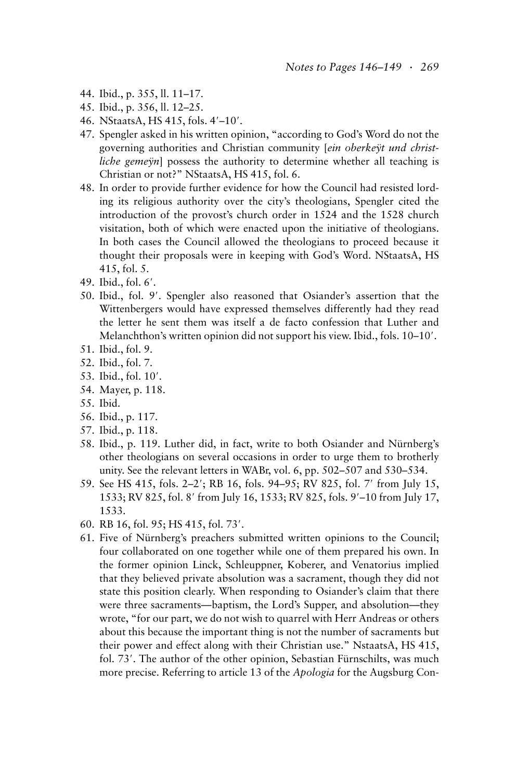- 44. Ibid., p. 355, ll. 11–17.
- 45. Ibid., p. 356, ll. 12–25.
- 46. NStaatsA, HS 415, fols. 4′–10′.
- 47. Spengler asked in his written opinion, "according to God's Word do not the governing authorities and Christian community [*ein oberkeÿt und christliche gemeÿn*] possess the authority to determine whether all teaching is Christian or not?" NStaatsA, HS 415, fol. 6.
- 48. In order to provide further evidence for how the Council had resisted lording its religious authority over the city's theologians, Spengler cited the introduction of the provost's church order in 1524 and the 1528 church visitation, both of which were enacted upon the initiative of theologians. In both cases the Council allowed the theologians to proceed because it thought their proposals were in keeping with God's Word. NStaatsA, HS 415, fol. 5.
- 49. Ibid., fol. 6′.
- 50. Ibid., fol. 9′. Spengler also reasoned that Osiander's assertion that the Wittenbergers would have expressed themselves differently had they read the letter he sent them was itself a de facto confession that Luther and Melanchthon's written opinion did not support his view. Ibid., fols. 10–10′.
- 51. Ibid., fol. 9.
- 52. Ibid., fol. 7.
- 53. Ibid., fol. 10′.
- 54. Mayer, p. 118.
- 55. Ibid.
- 56. Ibid., p. 117.
- 57. Ibid., p. 118.
- 58. Ibid., p. 119. Luther did, in fact, write to both Osiander and Nürnberg's other theologians on several occasions in order to urge them to brotherly unity. See the relevant letters in WABr, vol. 6, pp. 502–507 and 530–534.
- 59. See HS 415, fols. 2–2′; RB 16, fols. 94–95; RV 825, fol. 7′ from July 15, 1533; RV 825, fol. 8′ from July 16, 1533; RV 825, fols. 9′–10 from July 17, 1533.
- 60. RB 16, fol. 95; HS 415, fol. 73′.
- 61. Five of Nürnberg's preachers submitted written opinions to the Council; four collaborated on one together while one of them prepared his own. In the former opinion Linck, Schleuppner, Koberer, and Venatorius implied that they believed private absolution was a sacrament, though they did not state this position clearly. When responding to Osiander's claim that there were three sacraments—baptism, the Lord's Supper, and absolution—they wrote, "for our part, we do not wish to quarrel with Herr Andreas or others about this because the important thing is not the number of sacraments but their power and effect along with their Christian use." NstaatsA, HS 415, fol. 73′. The author of the other opinion, Sebastian Fürnschilts, was much more precise. Referring to article 13 of the *Apologia* for the Augsburg Con-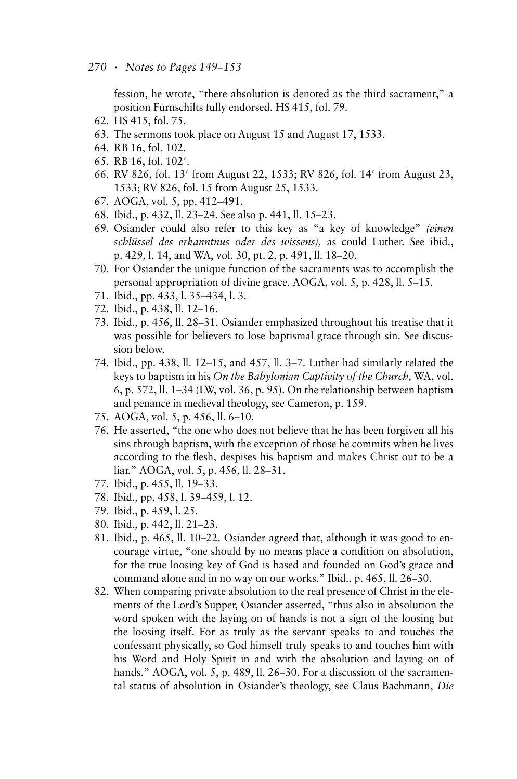*270 • Notes to Pages 149–153*

fession, he wrote, "there absolution is denoted as the third sacrament," a position Fürnschilts fully endorsed. HS 415, fol. 79.

- 62. HS 415, fol. 75.
- 63. The sermons took place on August 15 and August 17, 1533.
- 64. RB 16, fol. 102.
- 65. RB 16, fol. 102′.
- 66. RV 826, fol. 13′ from August 22, 1533; RV 826, fol. 14′ from August 23, 1533; RV 826, fol. 15 from August 25, 1533.
- 67. AOGA, vol. 5, pp. 412–491.
- 68. Ibid., p. 432, ll. 23–24. See also p. 441, ll. 15–23.
- 69. Osiander could also refer to this key as "a key of knowledge" *(einen schlüssel des erkanntnus oder des wissens),* as could Luther. See ibid., p. 429, l. 14, and WA, vol. 30, pt. 2, p. 491, ll. 18–20.
- 70. For Osiander the unique function of the sacraments was to accomplish the personal appropriation of divine grace. AOGA, vol. 5, p. 428, ll. 5–15.
- 71. Ibid., pp. 433, l. 35–434, l. 3.
- 72. Ibid., p. 438, ll. 12–16.
- 73. Ibid., p. 456, ll. 28–31. Osiander emphasized throughout his treatise that it was possible for believers to lose baptismal grace through sin. See discussion below.
- 74. Ibid., pp. 438, ll. 12–15, and 457, ll. 3–7. Luther had similarly related the keys to baptism in his *On the Babylonian Captivity of the Church,* WA, vol. 6, p. 572, ll. 1–34 (LW, vol. 36, p. 95). On the relationship between baptism and penance in medieval theology, see Cameron, p. 159.
- 75. AOGA, vol. 5, p. 456, ll. 6–10.
- 76. He asserted, "the one who does not believe that he has been forgiven all his sins through baptism, with the exception of those he commits when he lives according to the flesh, despises his baptism and makes Christ out to be a liar." AOGA, vol. 5, p. 456, ll. 28–31.
- 77. Ibid., p. 455, ll. 19–33.
- 78. Ibid., pp. 458, l. 39–459, l. 12.
- 79. Ibid., p. 459, l. 25.
- 80. Ibid., p. 442, ll. 21–23.
- 81. Ibid., p. 465, ll. 10–22. Osiander agreed that, although it was good to encourage virtue, "one should by no means place a condition on absolution, for the true loosing key of God is based and founded on God's grace and command alone and in no way on our works." Ibid., p. 465, ll. 26–30.
- 82. When comparing private absolution to the real presence of Christ in the elements of the Lord's Supper, Osiander asserted, "thus also in absolution the word spoken with the laying on of hands is not a sign of the loosing but the loosing itself. For as truly as the servant speaks to and touches the confessant physically, so God himself truly speaks to and touches him with his Word and Holy Spirit in and with the absolution and laying on of hands." AOGA, vol. 5, p. 489, ll. 26–30. For a discussion of the sacramental status of absolution in Osiander's theology, see Claus Bachmann, *Die*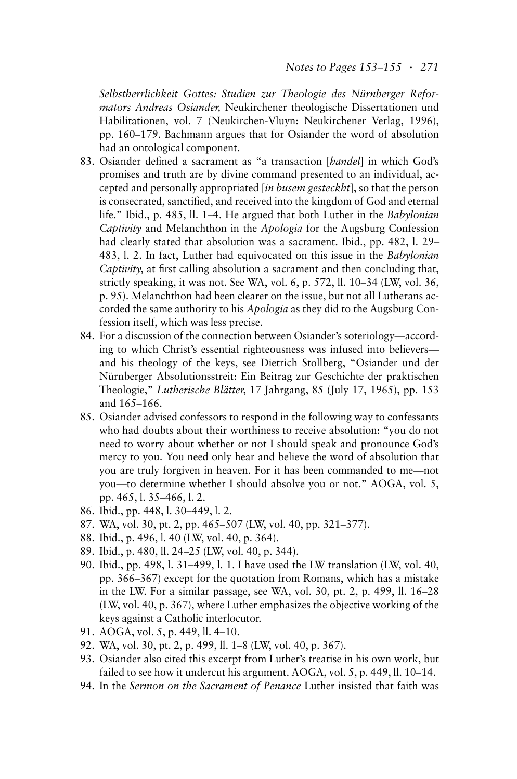*Selbstherrlichkeit Gottes: Studien zur Theologie des Nürnberger Reformators Andreas Osiander,* Neukirchener theologische Dissertationen und Habilitationen, vol. 7 (Neukirchen-Vluyn: Neukirchener Verlag, 1996), pp. 160–179. Bachmann argues that for Osiander the word of absolution had an ontological component.

- 83. Osiander defined a sacrament as "a transaction [*handel*] in which God's promises and truth are by divine command presented to an individual, accepted and personally appropriated [*in busem gesteckht*], so that the person is consecrated, sanctified, and received into the kingdom of God and eternal life." Ibid., p. 485, ll. 1–4. He argued that both Luther in the *Babylonian Captivity* and Melanchthon in the *Apologia* for the Augsburg Confession had clearly stated that absolution was a sacrament. Ibid., pp. 482, l. 29– 483, l. 2. In fact, Luther had equivocated on this issue in the *Babylonian Captivity*, at first calling absolution a sacrament and then concluding that, strictly speaking, it was not. See WA, vol. 6, p. 572, ll. 10–34 (LW, vol. 36, p. 95). Melanchthon had been clearer on the issue, but not all Lutherans accorded the same authority to his *Apologia* as they did to the Augsburg Confession itself, which was less precise.
- 84. For a discussion of the connection between Osiander's soteriology—according to which Christ's essential righteousness was infused into believers and his theology of the keys, see Dietrich Stollberg, "Osiander und der Nürnberger Absolutionsstreit: Ein Beitrag zur Geschichte der praktischen Theologie," *Lutherische Blätter*, 17 Jahrgang, 85 (July 17, 1965), pp. 153 and 165–166.
- 85. Osiander advised confessors to respond in the following way to confessants who had doubts about their worthiness to receive absolution: "you do not need to worry about whether or not I should speak and pronounce God's mercy to you. You need only hear and believe the word of absolution that you are truly forgiven in heaven. For it has been commanded to me—not you—to determine whether I should absolve you or not." AOGA, vol. 5, pp. 465, l. 35–466, l. 2.
- 86. Ibid., pp. 448, l. 30–449, l. 2.
- 87. WA, vol. 30, pt. 2, pp. 465–507 (LW, vol. 40, pp. 321–377).
- 88. Ibid., p. 496, l. 40 (LW, vol. 40, p. 364).
- 89. Ibid., p. 480, ll. 24–25 (LW, vol. 40, p. 344).
- 90. Ibid., pp. 498, l. 31–499, l. 1. I have used the LW translation (LW, vol. 40, pp. 366–367) except for the quotation from Romans, which has a mistake in the LW. For a similar passage, see WA, vol. 30, pt. 2, p. 499, ll. 16–28 (LW, vol. 40, p. 367), where Luther emphasizes the objective working of the keys against a Catholic interlocutor.
- 91. AOGA, vol. 5, p. 449, ll. 4–10.
- 92. WA, vol. 30, pt. 2, p. 499, ll. 1–8 (LW, vol. 40, p. 367).
- 93. Osiander also cited this excerpt from Luther's treatise in his own work, but failed to see how it undercut his argument. AOGA, vol. 5, p. 449, ll. 10–14.
- 94. In the *Sermon on the Sacrament of Penance* Luther insisted that faith was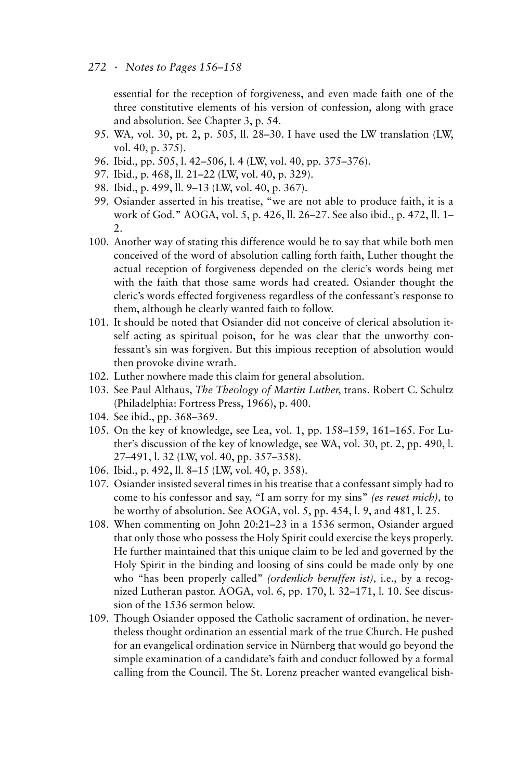*272 • Notes to Pages 156–158*

essential for the reception of forgiveness, and even made faith one of the three constitutive elements of his version of confession, along with grace and absolution. See Chapter 3, p. 54.

- 95. WA, vol. 30, pt. 2, p. 505, ll. 28–30. I have used the LW translation (LW, vol. 40, p. 375).
- 96. Ibid., pp. 505, l. 42–506, l. 4 (LW, vol. 40, pp. 375–376).
- 97. Ibid., p. 468, ll. 21–22 (LW, vol. 40, p. 329).
- 98. Ibid., p. 499, ll. 9–13 (LW, vol. 40, p. 367).
- 99. Osiander asserted in his treatise, "we are not able to produce faith, it is a work of God." AOGA, vol. 5, p. 426, ll. 26–27. See also ibid., p. 472, ll. 1– 2.
- 100. Another way of stating this difference would be to say that while both men conceived of the word of absolution calling forth faith, Luther thought the actual reception of forgiveness depended on the cleric's words being met with the faith that those same words had created. Osiander thought the cleric's words effected forgiveness regardless of the confessant's response to them, although he clearly wanted faith to follow.
- 101. It should be noted that Osiander did not conceive of clerical absolution itself acting as spiritual poison, for he was clear that the unworthy confessant's sin was forgiven. But this impious reception of absolution would then provoke divine wrath.
- 102. Luther nowhere made this claim for general absolution.
- 103. See Paul Althaus, *The Theology of Martin Luther*, trans. Robert C. Schultz (Philadelphia: Fortress Press, 1966), p. 400.
- 104. See ibid., pp. 368–369.
- 105. On the key of knowledge, see Lea, vol. 1, pp. 158–159, 161–165. For Luther's discussion of the key of knowledge, see WA, vol. 30, pt. 2, pp. 490, l. 27–491, l. 32 (LW, vol. 40, pp. 357–358).
- 106. Ibid., p. 492, ll. 8–15 (LW, vol. 40, p. 358).
- 107. Osiander insisted several times in his treatise that a confessant simply had to come to his confessor and say, "I am sorry for my sins" *(es reuet mich),* to be worthy of absolution. See AOGA, vol. 5, pp. 454, l. 9, and 481, l. 25.
- 108. When commenting on John 20:21–23 in a 1536 sermon, Osiander argued that only those who possess the Holy Spirit could exercise the keys properly. He further maintained that this unique claim to be led and governed by the Holy Spirit in the binding and loosing of sins could be made only by one who "has been properly called" *(ordenlich beruffen ist),* i.e., by a recognized Lutheran pastor. AOGA, vol. 6, pp. 170, l. 32–171, l. 10. See discussion of the 1536 sermon below.
- 109. Though Osiander opposed the Catholic sacrament of ordination, he nevertheless thought ordination an essential mark of the true Church. He pushed for an evangelical ordination service in Nürnberg that would go beyond the simple examination of a candidate's faith and conduct followed by a formal calling from the Council. The St. Lorenz preacher wanted evangelical bish-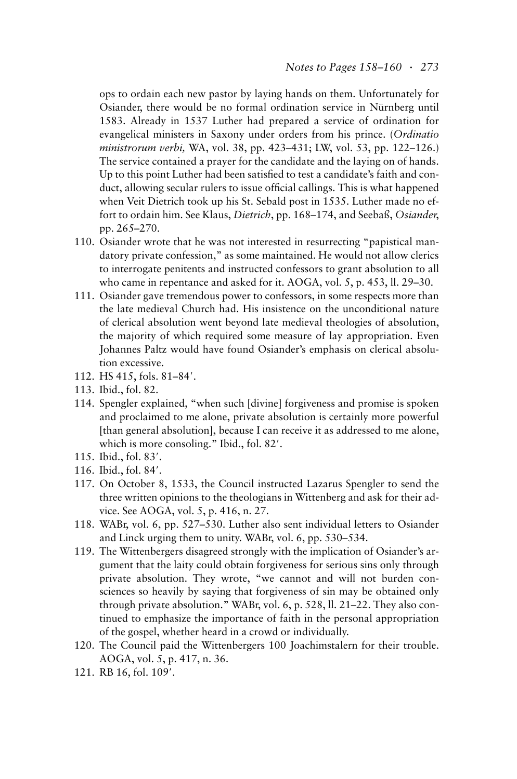ops to ordain each new pastor by laying hands on them. Unfortunately for Osiander, there would be no formal ordination service in Nürnberg until 1583. Already in 1537 Luther had prepared a service of ordination for evangelical ministers in Saxony under orders from his prince. (*Ordinatio ministrorum verbi,* WA, vol. 38, pp. 423–431; LW, vol. 53, pp. 122–126.) The service contained a prayer for the candidate and the laying on of hands. Up to this point Luther had been satisfied to test a candidate's faith and conduct, allowing secular rulers to issue official callings. This is what happened when Veit Dietrich took up his St. Sebald post in 1535. Luther made no effort to ordain him. See Klaus, *Dietrich*, pp. 168–174, and Seebaß, *Osiander*, pp. 265–270.

- 110. Osiander wrote that he was not interested in resurrecting "papistical mandatory private confession," as some maintained. He would not allow clerics to interrogate penitents and instructed confessors to grant absolution to all who came in repentance and asked for it. AOGA, vol. 5, p. 453, ll. 29–30.
- 111. Osiander gave tremendous power to confessors, in some respects more than the late medieval Church had. His insistence on the unconditional nature of clerical absolution went beyond late medieval theologies of absolution, the majority of which required some measure of lay appropriation. Even Johannes Paltz would have found Osiander's emphasis on clerical absolution excessive.
- 112. HS 415, fols. 81–84′.
- 113. Ibid., fol. 82.
- 114. Spengler explained, "when such [divine] forgiveness and promise is spoken and proclaimed to me alone, private absolution is certainly more powerful [than general absolution], because I can receive it as addressed to me alone, which is more consoling." Ibid., fol. 82′.
- 115. Ibid., fol. 83′.
- 116. Ibid., fol. 84′.
- 117. On October 8, 1533, the Council instructed Lazarus Spengler to send the three written opinions to the theologians in Wittenberg and ask for their advice. See AOGA, vol. 5, p. 416, n. 27.
- 118. WABr, vol. 6, pp. 527–530. Luther also sent individual letters to Osiander and Linck urging them to unity. WABr, vol. 6, pp. 530–534.
- 119. The Wittenbergers disagreed strongly with the implication of Osiander's argument that the laity could obtain forgiveness for serious sins only through private absolution. They wrote, "we cannot and will not burden consciences so heavily by saying that forgiveness of sin may be obtained only through private absolution." WABr, vol. 6, p. 528, ll. 21–22. They also continued to emphasize the importance of faith in the personal appropriation of the gospel, whether heard in a crowd or individually.
- 120. The Council paid the Wittenbergers 100 Joachimstalern for their trouble. AOGA, vol. 5, p. 417, n. 36.
- 121. RB 16, fol. 109′.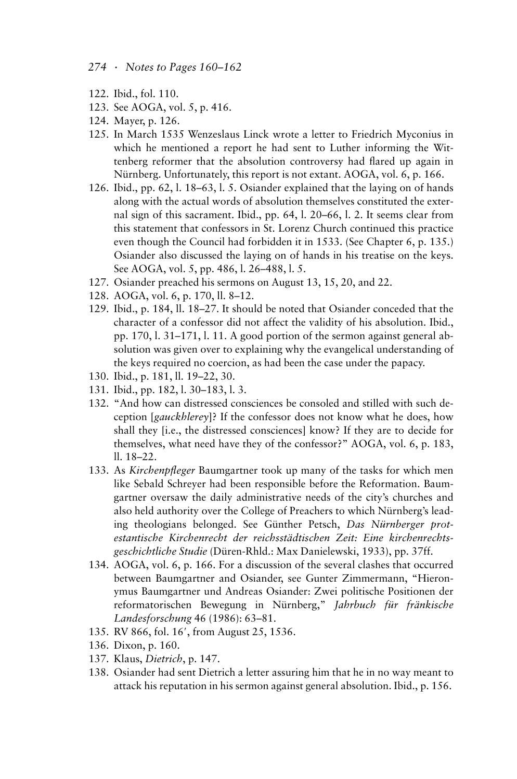- *274 • Notes to Pages 160–162*
- 122. Ibid., fol. 110.
- 123. See AOGA, vol. 5, p. 416.
- 124. Mayer, p. 126.
- 125. In March 1535 Wenzeslaus Linck wrote a letter to Friedrich Myconius in which he mentioned a report he had sent to Luther informing the Wittenberg reformer that the absolution controversy had flared up again in Nürnberg. Unfortunately, this report is not extant. AOGA, vol. 6, p. 166.
- 126. Ibid., pp. 62, l. 18–63, l. 5. Osiander explained that the laying on of hands along with the actual words of absolution themselves constituted the external sign of this sacrament. Ibid., pp. 64, l. 20–66, l. 2. It seems clear from this statement that confessors in St. Lorenz Church continued this practice even though the Council had forbidden it in 1533. (See Chapter 6, p. 135.) Osiander also discussed the laying on of hands in his treatise on the keys. See AOGA, vol. 5, pp. 486, l. 26–488, l. 5.
- 127. Osiander preached his sermons on August 13, 15, 20, and 22.
- 128. AOGA, vol. 6, p. 170, ll. 8–12.
- 129. Ibid., p. 184, ll. 18–27. It should be noted that Osiander conceded that the character of a confessor did not affect the validity of his absolution. Ibid., pp. 170, l. 31–171, l. 11. A good portion of the sermon against general absolution was given over to explaining why the evangelical understanding of the keys required no coercion, as had been the case under the papacy.
- 130. Ibid., p. 181, ll. 19–22, 30.
- 131. Ibid., pp. 182, l. 30–183, l. 3.
- 132. "And how can distressed consciences be consoled and stilled with such deception [*gauckhlerey*]? If the confessor does not know what he does, how shall they [i.e., the distressed consciences] know? If they are to decide for themselves, what need have they of the confessor?" AOGA, vol. 6, p. 183, ll. 18–22.
- 133. As *Kirchenpfleger* Baumgartner took up many of the tasks for which men like Sebald Schreyer had been responsible before the Reformation. Baumgartner oversaw the daily administrative needs of the city's churches and also held authority over the College of Preachers to which Nürnberg's leading theologians belonged. See Günther Petsch, *Das Nürnberger protestantische Kirchenrecht der reichsstädtischen Zeit: Eine kirchenrechtsgeschichtliche Studie* (Düren-Rhld.: Max Danielewski, 1933), pp. 37ff.
- 134. AOGA, vol. 6, p. 166. For a discussion of the several clashes that occurred between Baumgartner and Osiander, see Gunter Zimmermann, "Hieronymus Baumgartner und Andreas Osiander: Zwei politische Positionen der reformatorischen Bewegung in Nürnberg," *Jahrbuch für fränkische Landesforschung* 46 (1986): 63–81.
- 135. RV 866, fol. 16′, from August 25, 1536.
- 136. Dixon, p. 160.
- 137. Klaus, *Dietrich*, p. 147.
- 138. Osiander had sent Dietrich a letter assuring him that he in no way meant to attack his reputation in his sermon against general absolution. Ibid., p. 156.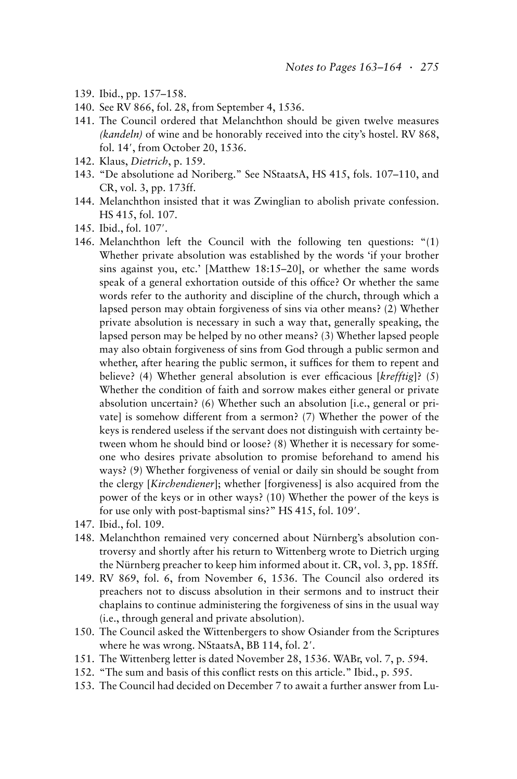- 139. Ibid., pp. 157–158.
- 140. See RV 866, fol. 28, from September 4, 1536.
- 141. The Council ordered that Melanchthon should be given twelve measures *(kandeln)* of wine and be honorably received into the city's hostel. RV 868, fol. 14′, from October 20, 1536.
- 142. Klaus, *Dietrich*, p. 159.
- 143. "De absolutione ad Noriberg." See NStaatsA, HS 415, fols. 107–110, and CR, vol. 3, pp. 173ff.
- 144. Melanchthon insisted that it was Zwinglian to abolish private confession. HS 415, fol. 107.
- 145. Ibid., fol. 107′.
- 146. Melanchthon left the Council with the following ten questions: "(1) Whether private absolution was established by the words 'if your brother sins against you, etc.' [Matthew 18:15–20], or whether the same words speak of a general exhortation outside of this office? Or whether the same words refer to the authority and discipline of the church, through which a lapsed person may obtain forgiveness of sins via other means? (2) Whether private absolution is necessary in such a way that, generally speaking, the lapsed person may be helped by no other means? (3) Whether lapsed people may also obtain forgiveness of sins from God through a public sermon and whether, after hearing the public sermon, it suffices for them to repent and believe? (4) Whether general absolution is ever efficacious [*krefftig*]? (5) Whether the condition of faith and sorrow makes either general or private absolution uncertain? (6) Whether such an absolution [i.e., general or private] is somehow different from a sermon? (7) Whether the power of the keys is rendered useless if the servant does not distinguish with certainty between whom he should bind or loose? (8) Whether it is necessary for someone who desires private absolution to promise beforehand to amend his ways? (9) Whether forgiveness of venial or daily sin should be sought from the clergy [*Kirchendiener*]; whether [forgiveness] is also acquired from the power of the keys or in other ways? (10) Whether the power of the keys is for use only with post-baptismal sins?" HS 415, fol. 109′.
- 147. Ibid., fol. 109.
- 148. Melanchthon remained very concerned about Nürnberg's absolution controversy and shortly after his return to Wittenberg wrote to Dietrich urging the Nürnberg preacher to keep him informed about it. CR, vol. 3, pp. 185ff.
- 149. RV 869, fol. 6, from November 6, 1536. The Council also ordered its preachers not to discuss absolution in their sermons and to instruct their chaplains to continue administering the forgiveness of sins in the usual way (i.e., through general and private absolution).
- 150. The Council asked the Wittenbergers to show Osiander from the Scriptures where he was wrong. NStaatsA, BB 114, fol. 2′.
- 151. The Wittenberg letter is dated November 28, 1536. WABr, vol. 7, p. 594.
- 152. "The sum and basis of this conflict rests on this article." Ibid., p. 595.
- 153. The Council had decided on December 7 to await a further answer from Lu-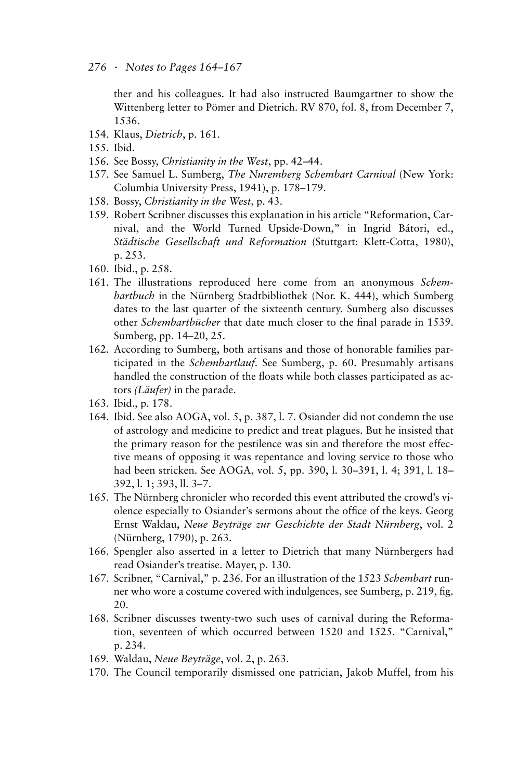*276 • Notes to Pages 164–167*

ther and his colleagues. It had also instructed Baumgartner to show the Wittenberg letter to Pömer and Dietrich. RV 870, fol. 8, from December 7, 1536.

- 154. Klaus, *Dietrich*, p. 161.
- 155. Ibid.
- 156. See Bossy, *Christianity in the West*, pp. 42–44.
- 157. See Samuel L. Sumberg, *The Nuremberg Schembart Carnival* (New York: Columbia University Press, 1941), p. 178–179.
- 158. Bossy, *Christianity in the West*, p. 43.
- 159. Robert Scribner discusses this explanation in his article "Reformation, Carnival, and the World Turned Upside-Down," in Ingrid Bátori, ed., *Städtische Gesellschaft und Reformation* (Stuttgart: Klett-Cotta, 1980), p. 253.
- 160. Ibid., p. 258.
- 161. The illustrations reproduced here come from an anonymous *Schembartbuch* in the Nürnberg Stadtbibliothek (Nor. K. 444), which Sumberg dates to the last quarter of the sixteenth century. Sumberg also discusses other *Schembartbücher* that date much closer to the final parade in 1539. Sumberg, pp. 14–20, 25.
- 162. According to Sumberg, both artisans and those of honorable families participated in the *Schembartlauf.* See Sumberg, p. 60. Presumably artisans handled the construction of the floats while both classes participated as actors *(Läufer)* in the parade.
- 163. Ibid., p. 178.
- 164. Ibid. See also AOGA, vol. 5, p. 387, l. 7. Osiander did not condemn the use of astrology and medicine to predict and treat plagues. But he insisted that the primary reason for the pestilence was sin and therefore the most effective means of opposing it was repentance and loving service to those who had been stricken. See AOGA, vol. 5, pp. 390, l. 30–391, l. 4; 391, l. 18– 392, l. 1; 393, ll. 3–7.
- 165. The Nürnberg chronicler who recorded this event attributed the crowd's violence especially to Osiander's sermons about the office of the keys. Georg Ernst Waldau, *Neue Beyträge zur Geschichte der Stadt Nürnberg*, vol. 2 (Nürnberg, 1790), p. 263.
- 166. Spengler also asserted in a letter to Dietrich that many Nürnbergers had read Osiander's treatise. Mayer, p. 130.
- 167. Scribner, "Carnival," p. 236. For an illustration of the 1523 *Schembart* runner who wore a costume covered with indulgences, see Sumberg, p. 219, fig. 20.
- 168. Scribner discusses twenty-two such uses of carnival during the Reformation, seventeen of which occurred between 1520 and 1525. "Carnival," p. 234.
- 169. Waldau, *Neue Beyträge*, vol. 2, p. 263.
- 170. The Council temporarily dismissed one patrician, Jakob Muffel, from his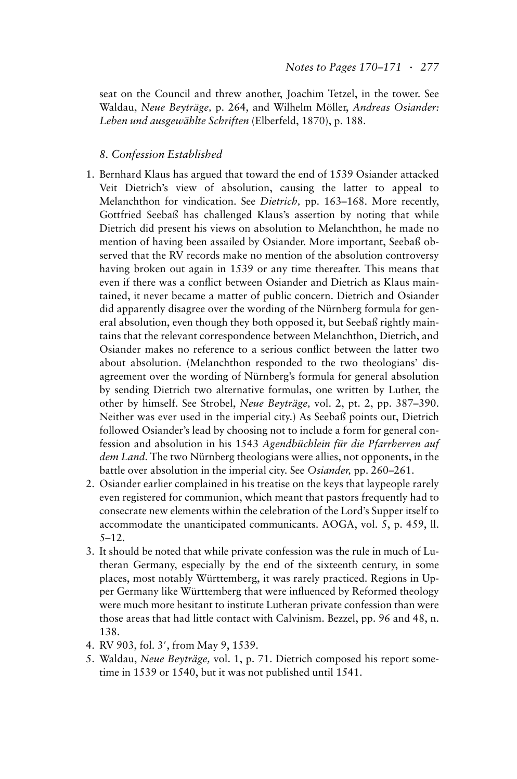seat on the Council and threw another, Joachim Tetzel, in the tower. See Waldau, *Neue Beyträge,* p. 264, and Wilhelm Möller, *Andreas Osiander: Leben und ausgewählte Schriften* (Elberfeld, 1870), p. 188.

*8. Confession Established*

- 1. Bernhard Klaus has argued that toward the end of 1539 Osiander attacked Veit Dietrich's view of absolution, causing the latter to appeal to Melanchthon for vindication. See *Dietrich,* pp. 163–168. More recently, Gottfried Seebaß has challenged Klaus's assertion by noting that while Dietrich did present his views on absolution to Melanchthon, he made no mention of having been assailed by Osiander. More important, Seebaß observed that the RV records make no mention of the absolution controversy having broken out again in 1539 or any time thereafter. This means that even if there was a conflict between Osiander and Dietrich as Klaus maintained, it never became a matter of public concern. Dietrich and Osiander did apparently disagree over the wording of the Nürnberg formula for general absolution, even though they both opposed it, but Seebaß rightly maintains that the relevant correspondence between Melanchthon, Dietrich, and Osiander makes no reference to a serious conflict between the latter two about absolution. (Melanchthon responded to the two theologians' disagreement over the wording of Nürnberg's formula for general absolution by sending Dietrich two alternative formulas, one written by Luther, the other by himself. See Strobel, *Neue Beyträge,* vol. 2, pt. 2, pp. 387–390. Neither was ever used in the imperial city.) As Seebaß points out, Dietrich followed Osiander's lead by choosing not to include a form for general confession and absolution in his 1543 *Agendbüchlein für die Pfarrherren auf dem Land.* The two Nürnberg theologians were allies, not opponents, in the battle over absolution in the imperial city. See *Osiander,* pp. 260–261.
- 2. Osiander earlier complained in his treatise on the keys that laypeople rarely even registered for communion, which meant that pastors frequently had to consecrate new elements within the celebration of the Lord's Supper itself to accommodate the unanticipated communicants. AOGA, vol. 5, p. 459, ll. 5–12.
- 3. It should be noted that while private confession was the rule in much of Lutheran Germany, especially by the end of the sixteenth century, in some places, most notably Württemberg, it was rarely practiced. Regions in Upper Germany like Württemberg that were influenced by Reformed theology were much more hesitant to institute Lutheran private confession than were those areas that had little contact with Calvinism. Bezzel, pp. 96 and 48, n. 138.
- 4. RV 903, fol. 3′, from May 9, 1539.
- 5. Waldau, *Neue Beyträge,* vol. 1, p. 71. Dietrich composed his report sometime in 1539 or 1540, but it was not published until 1541.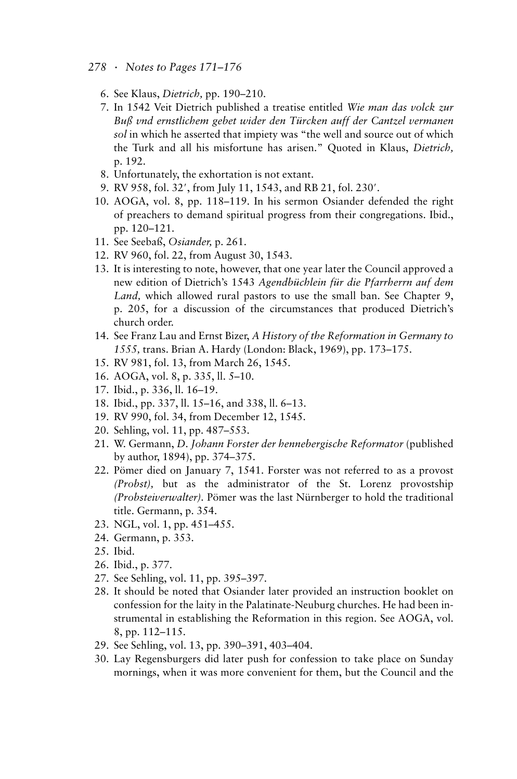- *278 • Notes to Pages 171–176*
	- 6. See Klaus, *Dietrich,* pp. 190–210.
	- 7. In 1542 Veit Dietrich published a treatise entitled *Wie man das volck zur Buß vnd ernstlichem gebet wider den Türcken auff der Cantzel vermanen sol* in which he asserted that impiety was "the well and source out of which the Turk and all his misfortune has arisen." Quoted in Klaus, *Dietrich,* p. 192.
	- 8. Unfortunately, the exhortation is not extant.
	- 9. RV 958, fol. 32′, from July 11, 1543, and RB 21, fol. 230′.
	- 10. AOGA, vol. 8, pp. 118–119. In his sermon Osiander defended the right of preachers to demand spiritual progress from their congregations. Ibid., pp. 120–121.
	- 11. See Seebaß, *Osiander,* p. 261.
	- 12. RV 960, fol. 22, from August 30, 1543.
	- 13. It is interesting to note, however, that one year later the Council approved a new edition of Dietrich's 1543 *Agendbüchlein für die Pfarrherrn auf dem Land,* which allowed rural pastors to use the small ban. See Chapter 9, p. 205, for a discussion of the circumstances that produced Dietrich's church order.
	- 14. See Franz Lau and Ernst Bizer, *A History of the Reformation in Germany to 1555,* trans. Brian A. Hardy (London: Black, 1969), pp. 173–175.
	- 15. RV 981, fol. 13, from March 26, 1545.
	- 16. AOGA, vol. 8, p. 335, ll. 5–10.
	- 17. Ibid., p. 336, ll. 16–19.
	- 18. Ibid., pp. 337, ll. 15–16, and 338, ll. 6–13.
	- 19. RV 990, fol. 34, from December 12, 1545.
	- 20. Sehling, vol. 11, pp. 487–553.
	- 21. W. Germann, *D. Johann Forster der hennebergische Reformator* (published by author, 1894), pp. 374–375.
	- 22. Pömer died on January 7, 1541. Forster was not referred to as a provost *(Probst),* but as the administrator of the St. Lorenz provostship *(Probsteiverwalter).* Pömer was the last Nürnberger to hold the traditional title. Germann, p. 354.
	- 23. NGL, vol. 1, pp. 451–455.
	- 24. Germann, p. 353.
	- 25. Ibid.
	- 26. Ibid., p. 377.
	- 27. See Sehling, vol. 11, pp. 395–397.
	- 28. It should be noted that Osiander later provided an instruction booklet on confession for the laity in the Palatinate-Neuburg churches. He had been instrumental in establishing the Reformation in this region. See AOGA, vol. 8, pp. 112–115.
	- 29. See Sehling, vol. 13, pp. 390–391, 403–404.
	- 30. Lay Regensburgers did later push for confession to take place on Sunday mornings, when it was more convenient for them, but the Council and the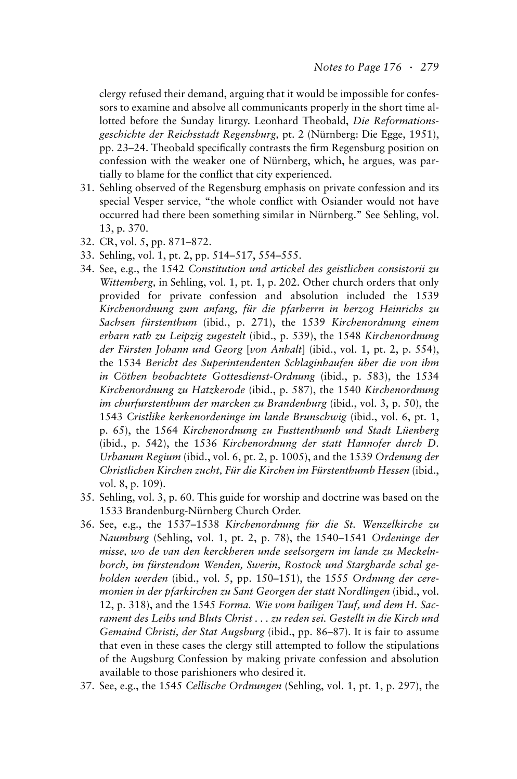clergy refused their demand, arguing that it would be impossible for confessors to examine and absolve all communicants properly in the short time allotted before the Sunday liturgy. Leonhard Theobald, *Die Reformationsgeschichte der Reichsstadt Regensburg,* pt. 2 (Nürnberg: Die Egge, 1951), pp. 23–24. Theobald specifically contrasts the firm Regensburg position on confession with the weaker one of Nürnberg, which, he argues, was partially to blame for the conflict that city experienced.

- 31. Sehling observed of the Regensburg emphasis on private confession and its special Vesper service, "the whole conflict with Osiander would not have occurred had there been something similar in Nürnberg." See Sehling, vol. 13, p. 370.
- 32. CR, vol. 5, pp. 871–872.
- 33. Sehling, vol. 1, pt. 2, pp. 514–517, 554–555.
- 34. See, e.g., the 1542 *Constitution und artickel des geistlichen consistorii zu Wittemberg,* in Sehling, vol. 1, pt. 1, p. 202. Other church orders that only provided for private confession and absolution included the 1539 *Kirchenordnung zum anfang, für die pfarherrn in herzog Heinrichs zu Sachsen fürstenthum* (ibid., p. 271), the 1539 *Kirchenordnung einem erbarn rath zu Leipzig zugestelt* (ibid., p. 539), the 1548 *Kirchenordnung der Fürsten Johann und Georg* [*von Anhalt*] (ibid., vol. 1, pt. 2, p. 554), the 1534 *Bericht des Superintendenten Schlaginhaufen über die von ihm in Cöthen beobachtete Gottesdienst-Ordnung* (ibid., p. 583), the 1534 *Kirchenordnung zu Hatzkerode* (ibid., p. 587), the 1540 *Kirchenordnung im churfurstenthum der marcken zu Brandenburg* (ibid., vol. 3, p. 50), the 1543 *Cristlike kerkenordeninge im lande Brunschwig* (ibid., vol. 6, pt. 1, p. 65), the 1564 *Kirchenordnung zu Fusttenthumb und Stadt Lüenberg* (ibid., p. 542), the 1536 *Kirchenordnung der statt Hannofer durch D. Urbanum Regium* (ibid., vol. 6, pt. 2, p. 1005), and the 1539 *Ordenung der Christlichen Kirchen zucht, Für die Kirchen im Fürstenthumb Hessen* (ibid., vol. 8, p. 109).
- 35. Sehling, vol. 3, p. 60. This guide for worship and doctrine was based on the 1533 Brandenburg-Nürnberg Church Order.
- 36. See, e.g., the 1537–1538 *Kirchenordnung für die St. Wenzelkirche zu Naumburg* (Sehling, vol. 1, pt. 2, p. 78), the 1540–1541 *Ordeninge der misse, wo de van den kerckheren unde seelsorgern im lande zu Meckelnborch, im fürstendom Wenden, Swerin, Rostock und Stargharde schal geholden werden* (ibid., vol. 5, pp. 150–151), the 1555 *Ordnung der ceremonien in der pfarkirchen zu Sant Georgen der statt Nordlingen* (ibid., vol. 12, p. 318), and the 1545 *Forma. Wie vom hailigen Tauf, und dem H. Sacrament des Leibs und Bluts Christ . . . zu reden sei. Gestellt in die Kirch und Gemaind Christi, der Stat Augsburg* (ibid., pp. 86–87). It is fair to assume that even in these cases the clergy still attempted to follow the stipulations of the Augsburg Confession by making private confession and absolution available to those parishioners who desired it.
- 37. See, e.g., the 1545 *Cellische Ordnungen* (Sehling, vol. 1, pt. 1, p. 297), the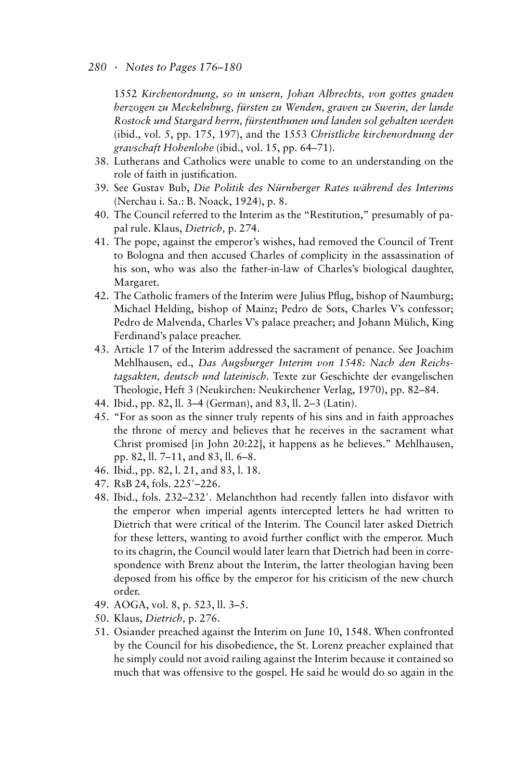*280 • Notes to Pages 176–180*

1552 *Kirchenordnung, so in unsern, Johan Albrechts, von gottes gnaden herzogen zu Meckelnburg, fürsten zu Wenden, graven zu Swerin, der lande Rostock und Stargard herrn, fürstenthunen und landen sol gehalten werden* (ibid., vol. 5, pp. 175, 197), and the 1553 *Christliche kirchenordnung der gravschaft Hohenlohe* (ibid., vol. 15, pp. 64–71).

- 38. Lutherans and Catholics were unable to come to an understanding on the role of faith in justification.
- 39. See Gustav Bub, *Die Politik des Nürnberger Rates während des Interims* (Nerchau i. Sa.: B. Noack, 1924), p. 8.
- 40. The Council referred to the Interim as the "Restitution," presumably of papal rule. Klaus, *Dietrich,* p. 274.
- 41. The pope, against the emperor's wishes, had removed the Council of Trent to Bologna and then accused Charles of complicity in the assassination of his son, who was also the father-in-law of Charles's biological daughter, Margaret.
- 42. The Catholic framers of the Interim were Julius Pflug, bishop of Naumburg; Michael Helding, bishop of Mainz; Pedro de Sots, Charles V's confessor; Pedro de Malvenda, Charles V's palace preacher; and Johann Mülich, King Ferdinand's palace preacher.
- 43. Article 17 of the Interim addressed the sacrament of penance. See Joachim Mehlhausen, ed., *Das Augsburger Interim von 1548: Nach den Reichstagsakten, deutsch und lateinisch.* Texte zur Geschichte der evangelischen Theologie, Heft 3 (Neukirchen: Neukirchener Verlag, 1970), pp. 82–84.
- 44. Ibid., pp. 82, ll. 3–4 (German), and 83, ll. 2–3 (Latin).
- 45. "For as soon as the sinner truly repents of his sins and in faith approaches the throne of mercy and believes that he receives in the sacrament what Christ promised [in John 20:22], it happens as he believes." Mehlhausen, pp. 82, ll. 7–11, and 83, ll. 6–8.
- 46. Ibid., pp. 82, l. 21, and 83, l. 18.
- 47. RsB 24, fols. 225′–226.
- 48. Ibid., fols. 232–232′. Melanchthon had recently fallen into disfavor with the emperor when imperial agents intercepted letters he had written to Dietrich that were critical of the Interim. The Council later asked Dietrich for these letters, wanting to avoid further conflict with the emperor. Much to its chagrin, the Council would later learn that Dietrich had been in correspondence with Brenz about the Interim, the latter theologian having been deposed from his office by the emperor for his criticism of the new church order.
- 49. AOGA, vol. 8, p. 523, ll. 3–5.
- 50. Klaus, *Dietrich,* p. 276.
- 51. Osiander preached against the Interim on June 10, 1548. When confronted by the Council for his disobedience, the St. Lorenz preacher explained that he simply could not avoid railing against the Interim because it contained so much that was offensive to the gospel. He said he would do so again in the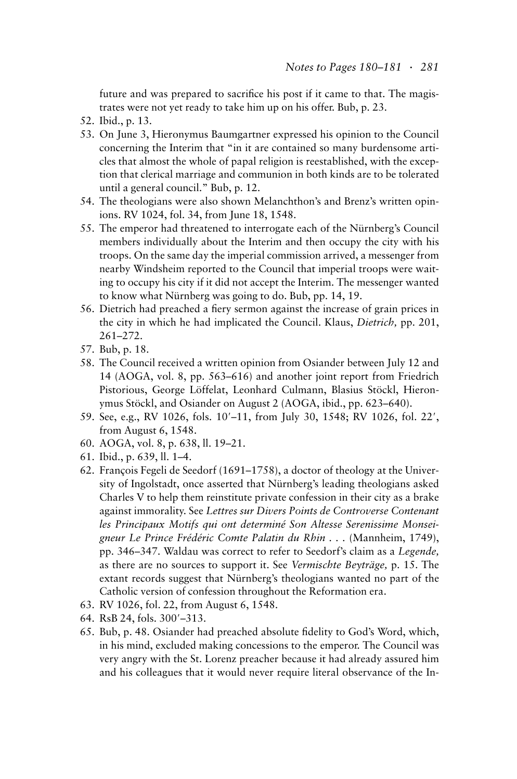future and was prepared to sacrifice his post if it came to that. The magistrates were not yet ready to take him up on his offer. Bub, p. 23.

- 52. Ibid., p. 13.
- 53. On June 3, Hieronymus Baumgartner expressed his opinion to the Council concerning the Interim that "in it are contained so many burdensome articles that almost the whole of papal religion is reestablished, with the exception that clerical marriage and communion in both kinds are to be tolerated until a general council." Bub, p. 12.
- 54. The theologians were also shown Melanchthon's and Brenz's written opinions. RV 1024, fol. 34, from June 18, 1548.
- 55. The emperor had threatened to interrogate each of the Nürnberg's Council members individually about the Interim and then occupy the city with his troops. On the same day the imperial commission arrived, a messenger from nearby Windsheim reported to the Council that imperial troops were waiting to occupy his city if it did not accept the Interim. The messenger wanted to know what Nürnberg was going to do. Bub, pp. 14, 19.
- 56. Dietrich had preached a fiery sermon against the increase of grain prices in the city in which he had implicated the Council. Klaus, *Dietrich,* pp. 201, 261–272.
- 57. Bub, p. 18.
- 58. The Council received a written opinion from Osiander between July 12 and 14 (AOGA, vol. 8, pp. 563–616) and another joint report from Friedrich Pistorious, George Löffelat, Leonhard Culmann, Blasius Stöckl, Hieronymus Stöckl, and Osiander on August 2 (AOGA, ibid., pp. 623–640).
- 59. See, e.g., RV 1026, fols. 10′–11, from July 30, 1548; RV 1026, fol. 22′, from August 6, 1548.
- 60. AOGA, vol. 8, p. 638, ll. 19–21.
- 61. Ibid., p. 639, ll. 1–4.
- 62. François Fegeli de Seedorf (1691–1758), a doctor of theology at the University of Ingolstadt, once asserted that Nürnberg's leading theologians asked Charles V to help them reinstitute private confession in their city as a brake against immorality. See *Lettres sur Divers Points de Controverse Contenant les Principaux Motifs qui ont determiné Son Altesse Serenissime Monseigneur Le Prince Frédéric Comte Palatin du Rhin...* (Mannheim, 1749), pp. 346–347. Waldau was correct to refer to Seedorf's claim as a *Legende,* as there are no sources to support it. See *Vermischte Beyträge,* p. 15. The extant records suggest that Nürnberg's theologians wanted no part of the Catholic version of confession throughout the Reformation era.
- 63. RV 1026, fol. 22, from August 6, 1548.
- 64. RsB 24, fols. 300′–313.
- 65. Bub, p. 48. Osiander had preached absolute fidelity to God's Word, which, in his mind, excluded making concessions to the emperor. The Council was very angry with the St. Lorenz preacher because it had already assured him and his colleagues that it would never require literal observance of the In-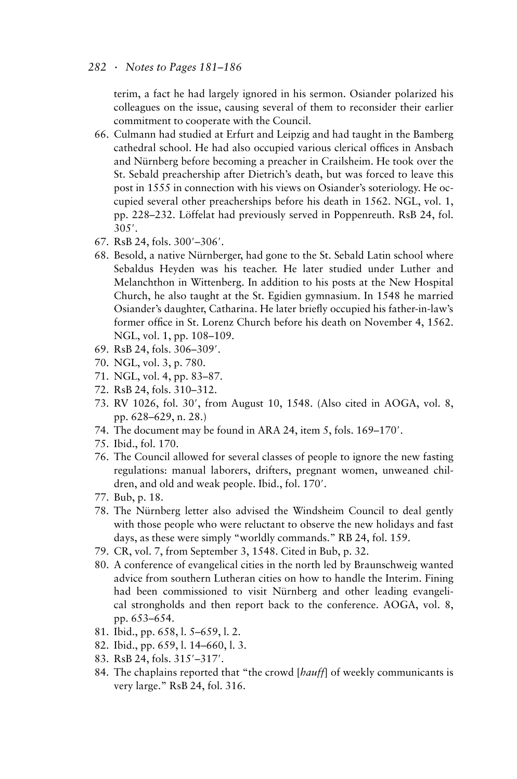*282 • Notes to Pages 181–186*

terim, a fact he had largely ignored in his sermon. Osiander polarized his colleagues on the issue, causing several of them to reconsider their earlier commitment to cooperate with the Council.

- 66. Culmann had studied at Erfurt and Leipzig and had taught in the Bamberg cathedral school. He had also occupied various clerical offices in Ansbach and Nürnberg before becoming a preacher in Crailsheim. He took over the St. Sebald preachership after Dietrich's death, but was forced to leave this post in 1555 in connection with his views on Osiander's soteriology. He occupied several other preacherships before his death in 1562. NGL, vol. 1, pp. 228–232. Löffelat had previously served in Poppenreuth. RsB 24, fol. 305′.
- 67. RsB 24, fols. 300′–306′.
- 68. Besold, a native Nürnberger, had gone to the St. Sebald Latin school where Sebaldus Heyden was his teacher. He later studied under Luther and Melanchthon in Wittenberg. In addition to his posts at the New Hospital Church, he also taught at the St. Egidien gymnasium. In 1548 he married Osiander's daughter, Catharina. He later briefly occupied his father-in-law's former office in St. Lorenz Church before his death on November 4, 1562. NGL, vol. 1, pp. 108–109.
- 69. RsB 24, fols. 306–309′.
- 70. NGL, vol. 3, p. 780.
- 71. NGL, vol. 4, pp. 83–87.
- 72. RsB 24, fols. 310–312.
- 73. RV 1026, fol. 30′, from August 10, 1548. (Also cited in AOGA, vol. 8, pp. 628–629, n. 28.)
- 74. The document may be found in ARA 24, item 5, fols. 169–170′.
- 75. Ibid., fol. 170.
- 76. The Council allowed for several classes of people to ignore the new fasting regulations: manual laborers, drifters, pregnant women, unweaned children, and old and weak people. Ibid., fol. 170′.
- 77. Bub, p. 18.
- 78. The Nürnberg letter also advised the Windsheim Council to deal gently with those people who were reluctant to observe the new holidays and fast days, as these were simply "worldly commands." RB 24, fol. 159.
- 79. CR, vol. 7, from September 3, 1548. Cited in Bub, p. 32.
- 80. A conference of evangelical cities in the north led by Braunschweig wanted advice from southern Lutheran cities on how to handle the Interim. Fining had been commissioned to visit Nürnberg and other leading evangelical strongholds and then report back to the conference. AOGA, vol. 8, pp. 653–654.
- 81. Ibid., pp. 658, l. 5–659, l. 2.
- 82. Ibid., pp. 659, l. 14–660, l. 3.
- 83. RsB 24, fols. 315′–317′.
- 84. The chaplains reported that "the crowd [*hauff*] of weekly communicants is very large." RsB 24, fol. 316.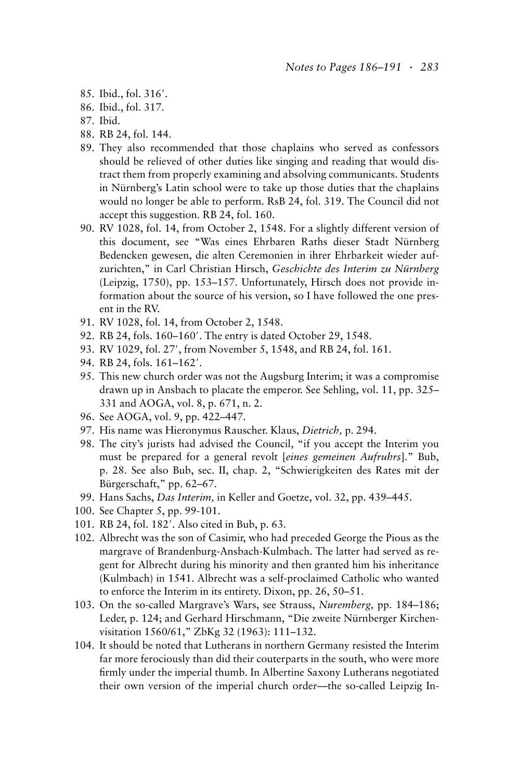- 85. Ibid., fol. 316′.
- 86. Ibid., fol. 317.
- 87. Ibid.
- 88. RB 24, fol. 144.
- 89. They also recommended that those chaplains who served as confessors should be relieved of other duties like singing and reading that would distract them from properly examining and absolving communicants. Students in Nürnberg's Latin school were to take up those duties that the chaplains would no longer be able to perform. RsB 24, fol. 319. The Council did not accept this suggestion. RB 24, fol. 160.
- 90. RV 1028, fol. 14, from October 2, 1548. For a slightly different version of this document, see "Was eines Ehrbaren Raths dieser Stadt Nürnberg Bedencken gewesen, die alten Ceremonien in ihrer Ehrbarkeit wieder aufzurichten," in Carl Christian Hirsch, *Geschichte des Interim zu Nürnberg* (Leipzig, 1750), pp. 153–157. Unfortunately, Hirsch does not provide information about the source of his version, so I have followed the one present in the RV.
- 91. RV 1028, fol. 14, from October 2, 1548.
- 92. RB 24, fols. 160–160′. The entry is dated October 29, 1548.
- 93. RV 1029, fol. 27′, from November 5, 1548, and RB 24, fol. 161.
- 94. RB 24, fols. 161–162′.
- 95. This new church order was not the Augsburg Interim; it was a compromise drawn up in Ansbach to placate the emperor. See Sehling, vol. 11, pp. 325– 331 and AOGA, vol. 8, p. 671, n. 2.
- 96. See AOGA, vol. 9, pp. 422–447.
- 97. His name was Hieronymus Rauscher. Klaus, *Dietrich,* p. 294.
- 98. The city's jurists had advised the Council, "if you accept the Interim you must be prepared for a general revolt [*eines gemeinen Aufruhrs*]." Bub, p. 28. See also Bub, sec. II, chap. 2, "Schwierigkeiten des Rates mit der Bürgerschaft," pp. 62–67.
- 99. Hans Sachs, *Das Interim,* in Keller and Goetze, vol. 32, pp. 439–445.
- 100. See Chapter 5, pp. 99-101.
- 101. RB 24, fol. 182′. Also cited in Bub, p. 63.
- 102. Albrecht was the son of Casimir, who had preceded George the Pious as the margrave of Brandenburg-Ansbach-Kulmbach. The latter had served as regent for Albrecht during his minority and then granted him his inheritance (Kulmbach) in 1541. Albrecht was a self-proclaimed Catholic who wanted to enforce the Interim in its entirety. Dixon, pp. 26, 50–51.
- 103. On the so-called Margrave's Wars, see Strauss, *Nuremberg,* pp. 184–186; Leder, p. 124; and Gerhard Hirschmann, "Die zweite Nürnberger Kirchenvisitation 1560/61," ZbKg 32 (1963): 111–132.
- 104. It should be noted that Lutherans in northern Germany resisted the Interim far more ferociously than did their couterparts in the south, who were more firmly under the imperial thumb. In Albertine Saxony Lutherans negotiated their own version of the imperial church order—the so-called Leipzig In-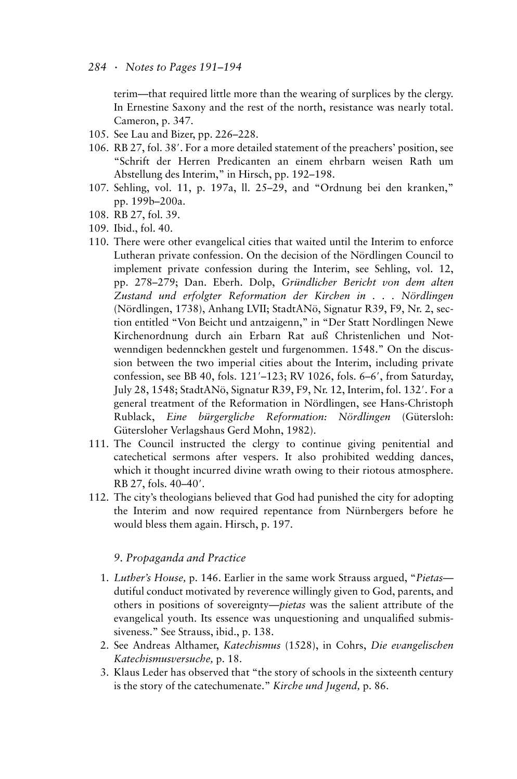*284 • Notes to Pages 191–194*

terim—that required little more than the wearing of surplices by the clergy. In Ernestine Saxony and the rest of the north, resistance was nearly total. Cameron, p. 347.

- 105. See Lau and Bizer, pp. 226–228.
- 106. RB 27, fol. 38′. For a more detailed statement of the preachers' position, see "Schrift der Herren Predicanten an einem ehrbarn weisen Rath um Abstellung des Interim," in Hirsch, pp. 192–198.
- 107. Sehling, vol. 11, p. 197a, ll. 25–29, and "Ordnung bei den kranken," pp. 199b–200a.
- 108. RB 27, fol. 39.
- 109. Ibid., fol. 40.
- 110. There were other evangelical cities that waited until the Interim to enforce Lutheran private confession. On the decision of the Nördlingen Council to implement private confession during the Interim, see Sehling, vol. 12, pp. 278–279; Dan. Eberh. Dolp, *Gründlicher Bericht von dem alten Zustand und erfolgter Reformation der Kirchen in... Nördlingen* (Nördlingen, 1738), Anhang LVII; StadtANö, Signatur R39, F9, Nr. 2, section entitled "Von Beicht und antzaigenn," in "Der Statt Nordlingen Newe Kirchenordnung durch ain Erbarn Rat auß Christenlichen und Notwenndigen bedennckhen gestelt und furgenommen. 1548." On the discussion between the two imperial cities about the Interim, including private confession, see BB 40, fols. 121′–123; RV 1026, fols. 6–6′, from Saturday, July 28, 1548; StadtANö, Signatur R39, F9, Nr. 12, Interim, fol. 132′. For a general treatment of the Reformation in Nördlingen, see Hans-Christoph Rublack, *Eine bürgergliche Reformation: Nördlingen* (Gütersloh: Gütersloher Verlagshaus Gerd Mohn, 1982).
- 111. The Council instructed the clergy to continue giving penitential and catechetical sermons after vespers. It also prohibited wedding dances, which it thought incurred divine wrath owing to their riotous atmosphere. RB 27, fols. 40–40′.
- 112. The city's theologians believed that God had punished the city for adopting the Interim and now required repentance from Nürnbergers before he would bless them again. Hirsch, p. 197.

## *9. Propaganda and Practice*

- 1. *Luther's House,* p. 146. Earlier in the same work Strauss argued, "*Pietas* dutiful conduct motivated by reverence willingly given to God, parents, and others in positions of sovereignty—*pietas* was the salient attribute of the evangelical youth. Its essence was unquestioning and unqualified submissiveness." See Strauss, ibid., p. 138.
- 2. See Andreas Althamer, *Katechismus* (1528), in Cohrs, *Die evangelischen Katechismusversuche,* p. 18.
- 3. Klaus Leder has observed that "the story of schools in the sixteenth century is the story of the catechumenate." *Kirche und Jugend,* p. 86.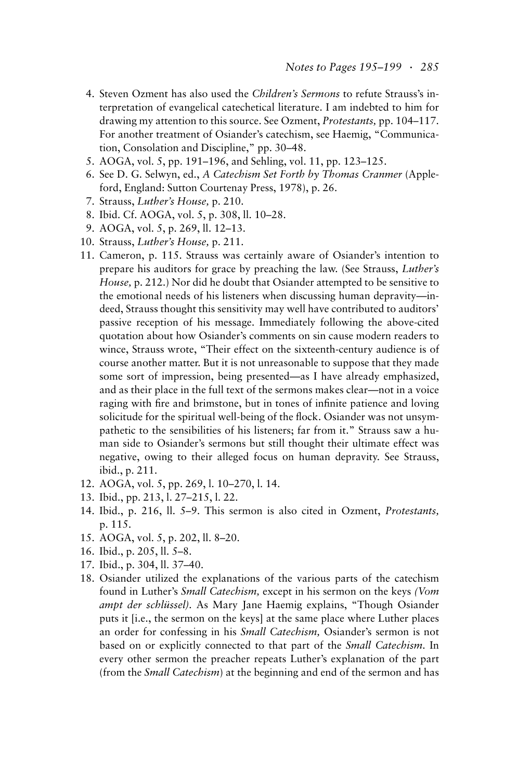- 4. Steven Ozment has also used the *Children's Sermons* to refute Strauss's interpretation of evangelical catechetical literature. I am indebted to him for drawing my attention to this source. See Ozment, *Protestants,* pp. 104–117. For another treatment of Osiander's catechism, see Haemig, "Communication, Consolation and Discipline," pp. 30–48.
- 5. AOGA, vol. 5, pp. 191–196, and Sehling, vol. 11, pp. 123–125.
- 6. See D. G. Selwyn, ed., *A Catechism Set Forth by Thomas Cranmer* (Appleford, England: Sutton Courtenay Press, 1978), p. 26.
- 7. Strauss, *Luther's House,* p. 210.
- 8. Ibid. Cf. AOGA, vol. 5, p. 308, ll. 10–28.
- 9. AOGA, vol. 5, p. 269, ll. 12–13.
- 10. Strauss, *Luther's House,* p. 211.
- 11. Cameron, p. 115. Strauss was certainly aware of Osiander's intention to prepare his auditors for grace by preaching the law. (See Strauss, *Luther's House,* p. 212.) Nor did he doubt that Osiander attempted to be sensitive to the emotional needs of his listeners when discussing human depravity—indeed, Strauss thought this sensitivity may well have contributed to auditors' passive reception of his message. Immediately following the above-cited quotation about how Osiander's comments on sin cause modern readers to wince, Strauss wrote, "Their effect on the sixteenth-century audience is of course another matter. But it is not unreasonable to suppose that they made some sort of impression, being presented—as I have already emphasized, and as their place in the full text of the sermons makes clear—not in a voice raging with fire and brimstone, but in tones of infinite patience and loving solicitude for the spiritual well-being of the flock. Osiander was not unsympathetic to the sensibilities of his listeners; far from it." Strauss saw a human side to Osiander's sermons but still thought their ultimate effect was negative, owing to their alleged focus on human depravity. See Strauss, ibid., p. 211.
- 12. AOGA, vol. 5, pp. 269, l. 10–270, l. 14.
- 13. Ibid., pp. 213, l. 27–215, l. 22.
- 14. Ibid., p. 216, ll. 5–9. This sermon is also cited in Ozment, *Protestants,* p. 115.
- 15. AOGA, vol. 5, p. 202, ll. 8–20.
- 16. Ibid., p. 205, ll. 5–8.
- 17. Ibid., p. 304, ll. 37–40.
- 18. Osiander utilized the explanations of the various parts of the catechism found in Luther's *Small Catechism,* except in his sermon on the keys *(Vom ampt der schlüssel).* As Mary Jane Haemig explains, "Though Osiander puts it [i.e., the sermon on the keys] at the same place where Luther places an order for confessing in his *Small Catechism,* Osiander's sermon is not based on or explicitly connected to that part of the *Small Catechism.* In every other sermon the preacher repeats Luther's explanation of the part (from the *Small Catechism*) at the beginning and end of the sermon and has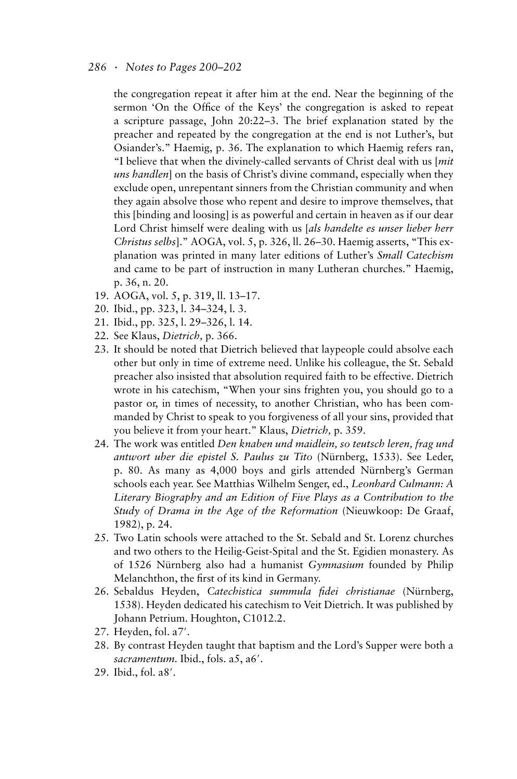### *286 • Notes to Pages 200–202*

the congregation repeat it after him at the end. Near the beginning of the sermon 'On the Office of the Keys' the congregation is asked to repeat a scripture passage, John 20:22–3. The brief explanation stated by the preacher and repeated by the congregation at the end is not Luther's, but Osiander's." Haemig, p. 36. The explanation to which Haemig refers ran, "I believe that when the divinely-called servants of Christ deal with us [*mit uns handlen*] on the basis of Christ's divine command, especially when they exclude open, unrepentant sinners from the Christian community and when they again absolve those who repent and desire to improve themselves, that this [binding and loosing] is as powerful and certain in heaven as if our dear Lord Christ himself were dealing with us [*als handelte es unser lieber herr Christus selbs*]." AOGA, vol. 5, p. 326, ll. 26–30. Haemig asserts, "This explanation was printed in many later editions of Luther's *Small Catechism* and came to be part of instruction in many Lutheran churches." Haemig, p. 36, n. 20.

- 19. AOGA, vol. 5, p. 319, ll. 13–17.
- 20. Ibid., pp. 323, l. 34–324, l. 3.
- 21. Ibid., pp. 325, l. 29–326, l. 14.
- 22. See Klaus, *Dietrich,* p. 366.
- 23. It should be noted that Dietrich believed that laypeople could absolve each other but only in time of extreme need. Unlike his colleague, the St. Sebald preacher also insisted that absolution required faith to be effective. Dietrich wrote in his catechism, "When your sins frighten you, you should go to a pastor or, in times of necessity, to another Christian, who has been commanded by Christ to speak to you forgiveness of all your sins, provided that you believe it from your heart." Klaus, *Dietrich,* p. 359.
- 24. The work was entitled *Den knaben und maidlein, so teutsch leren, frag und antwort uber die epistel S. Paulus zu Tito* (Nürnberg, 1533). See Leder, p. 80. As many as 4,000 boys and girls attended Nürnberg's German schools each year. See Matthias Wilhelm Senger, ed., *Leonhard Culmann: A Literary Biography and an Edition of Five Plays as a Contribution to the Study of Drama in the Age of the Reformation* (Nieuwkoop: De Graaf, 1982), p. 24.
- 25. Two Latin schools were attached to the St. Sebald and St. Lorenz churches and two others to the Heilig-Geist-Spital and the St. Egidien monastery. As of 1526 Nürnberg also had a humanist *Gymnasium* founded by Philip Melanchthon, the first of its kind in Germany.
- 26. Sebaldus Heyden, *Catechistica summula fidei christianae* (Nürnberg, 1538). Heyden dedicated his catechism to Veit Dietrich. It was published by Johann Petrium. Houghton, C1012.2.
- 27. Heyden, fol. a7′.
- 28. By contrast Heyden taught that baptism and the Lord's Supper were both a *sacramentum.* Ibid., fols. a5, a6′.
- 29. Ibid., fol. a8′.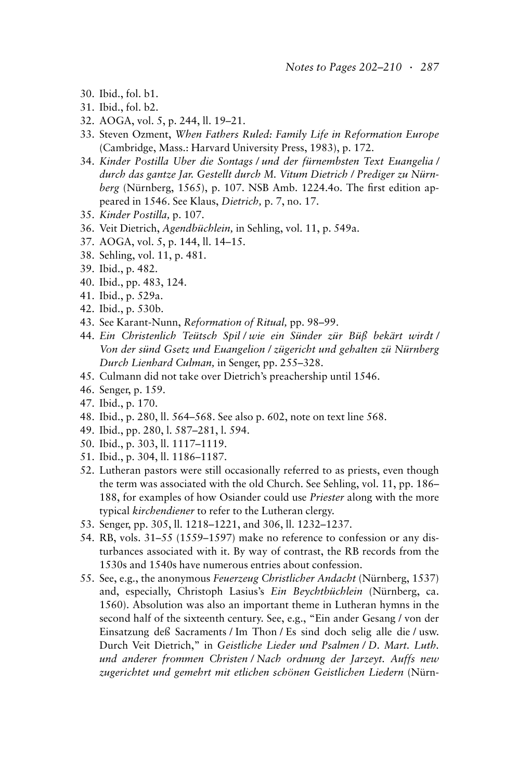*Notes to Pages 202–210 • 287*

- 30. Ibid., fol. b1.
- 31. Ibid., fol. b2.
- 32. AOGA, vol. 5, p. 244, ll. 19–21.
- 33. Steven Ozment, *When Fathers Ruled: Family Life in Reformation Europe* (Cambridge, Mass.: Harvard University Press, 1983), p. 172.
- 34. *Kinder Postilla Uber die Sontags / und der fürnembsten Text Euangelia / durch das gantze Jar. Gestellt durch M. Vitum Dietrich / Prediger zu Nürnberg* (Nürnberg, 1565), p. 107. NSB Amb. 1224.4o. The first edition appeared in 1546. See Klaus, *Dietrich,* p. 7, no. 17.
- 35. *Kinder Postilla,* p. 107.
- 36. Veit Dietrich, *Agendbüchlein,* in Sehling, vol. 11, p. 549a.
- 37. AOGA, vol. 5, p. 144, ll. 14–15.
- 38. Sehling, vol. 11, p. 481.
- 39. Ibid., p. 482.
- 40. Ibid., pp. 483, 124.
- 41. Ibid., p. 529a.
- 42. Ibid., p. 530b.
- 43. See Karant-Nunn, *Reformation of Ritual,* pp. 98–99.
- 44. *Ein Christenlich Teütsch Spil / wie ein Sünder zür Büß bekärt wirdt / Von der sünd Gsetz und Euangelion / zügericht und gehalten zü Nürnberg Durch Lienhard Culman,* in Senger, pp. 255–328.
- 45. Culmann did not take over Dietrich's preachership until 1546.
- 46. Senger, p. 159.
- 47. Ibid., p. 170.
- 48. Ibid., p. 280, ll. 564–568. See also p. 602, note on text line 568.
- 49. Ibid., pp. 280, l. 587–281, l. 594.
- 50. Ibid., p. 303, ll. 1117–1119.
- 51. Ibid., p. 304, ll. 1186–1187.
- 52. Lutheran pastors were still occasionally referred to as priests, even though the term was associated with the old Church. See Sehling, vol. 11, pp. 186– 188, for examples of how Osiander could use *Priester* along with the more typical *kirchendiener* to refer to the Lutheran clergy.
- 53. Senger, pp. 305, ll. 1218–1221, and 306, ll. 1232–1237.
- 54. RB, vols. 31–55 (1559–1597) make no reference to confession or any disturbances associated with it. By way of contrast, the RB records from the 1530s and 1540s have numerous entries about confession.
- 55. See, e.g., the anonymous *Feuerzeug Christlicher Andacht* (Nürnberg, 1537) and, especially, Christoph Lasius's *Ein Beychtbüchlein* (Nürnberg, ca. 1560). Absolution was also an important theme in Lutheran hymns in the second half of the sixteenth century. See, e.g., "Ein ander Gesang / von der Einsatzung deß Sacraments / Im Thon / Es sind doch selig alle die / usw. Durch Veit Dietrich," in *Geistliche Lieder und Psalmen / D. Mart. Luth. und anderer frommen Christen / Nach ordnung der Jarzeyt. Auffs new zugerichtet und gemehrt mit etlichen schönen Geistlichen Liedern* (Nürn-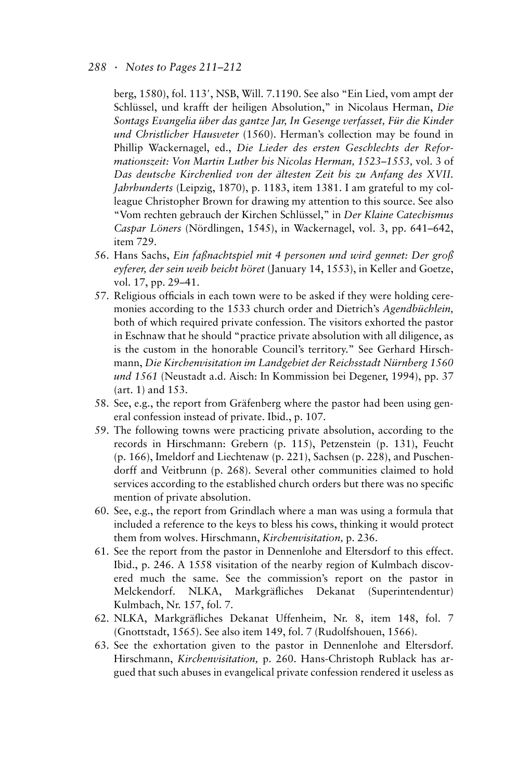*288 • Notes to Pages 211–212*

berg, 1580), fol. 113′, NSB, Will. 7.1190. See also "Ein Lied, vom ampt der Schlüssel, und krafft der heiligen Absolution," in Nicolaus Herman, *Die Sontags Evangelia über das gantze Jar, In Gesenge verfasset, Für die Kinder und Christlicher Hausveter* (1560). Herman's collection may be found in Phillip Wackernagel, ed., *Die Lieder des ersten Geschlechts der Reformationszeit: Von Martin Luther bis Nicolas Herman, 1523–1553,* vol. 3 of *Das deutsche Kirchenlied von der ältesten Zeit bis zu Anfang des XVII. Jahrhunderts* (Leipzig, 1870), p. 1183, item 1381. I am grateful to my colleague Christopher Brown for drawing my attention to this source. See also "Vom rechten gebrauch der Kirchen Schlüssel," in *Der Klaine Catechismus Caspar Löners* (Nördlingen, 1545), in Wackernagel, vol. 3, pp. 641–642, item 729.

- 56. Hans Sachs, *Ein faßnachtspiel mit 4 personen und wird gennet: Der groß eyferer, der sein weib beicht höret* (January 14, 1553), in Keller and Goetze, vol. 17, pp. 29–41.
- 57. Religious officials in each town were to be asked if they were holding ceremonies according to the 1533 church order and Dietrich's *Agendbüchlein,* both of which required private confession. The visitors exhorted the pastor in Eschnaw that he should "practice private absolution with all diligence, as is the custom in the honorable Council's territory." See Gerhard Hirschmann, *Die Kirchenvisitation im Landgebiet der Reichsstadt Nürnberg 1560 und 1561* (Neustadt a.d. Aisch: In Kommission bei Degener, 1994), pp. 37 (art. 1) and 153.
- 58. See, e.g., the report from Gräfenberg where the pastor had been using general confession instead of private. Ibid., p. 107.
- 59. The following towns were practicing private absolution, according to the records in Hirschmann: Grebern (p. 115), Petzenstein (p. 131), Feucht (p. 166), Imeldorf and Liechtenaw (p. 221), Sachsen (p. 228), and Puschendorff and Veitbrunn (p. 268). Several other communities claimed to hold services according to the established church orders but there was no specific mention of private absolution.
- 60. See, e.g., the report from Grindlach where a man was using a formula that included a reference to the keys to bless his cows, thinking it would protect them from wolves. Hirschmann, *Kirchenvisitation,* p. 236.
- 61. See the report from the pastor in Dennenlohe and Eltersdorf to this effect. Ibid., p. 246. A 1558 visitation of the nearby region of Kulmbach discovered much the same. See the commission's report on the pastor in Melckendorf. NLKA, Markgräfliches Dekanat (Superintendentur) Kulmbach, Nr. 157, fol. 7.
- 62. NLKA, Markgräfliches Dekanat Uffenheim, Nr. 8, item 148, fol. 7 (Gnottstadt, 1565). See also item 149, fol. 7 (Rudolfshouen, 1566).
- 63. See the exhortation given to the pastor in Dennenlohe and Eltersdorf. Hirschmann, *Kirchenvisitation,* p. 260. Hans-Christoph Rublack has argued that such abuses in evangelical private confession rendered it useless as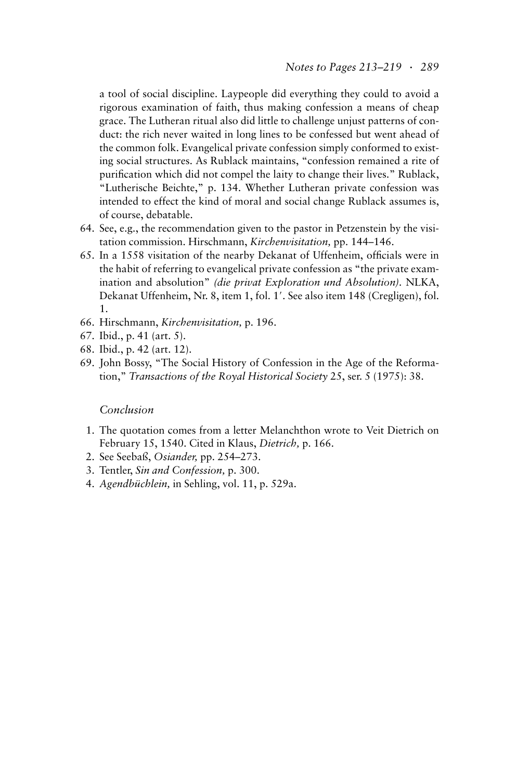a tool of social discipline. Laypeople did everything they could to avoid a rigorous examination of faith, thus making confession a means of cheap grace. The Lutheran ritual also did little to challenge unjust patterns of conduct: the rich never waited in long lines to be confessed but went ahead of the common folk. Evangelical private confession simply conformed to existing social structures. As Rublack maintains, "confession remained a rite of purification which did not compel the laity to change their lives." Rublack, "Lutherische Beichte," p. 134. Whether Lutheran private confession was intended to effect the kind of moral and social change Rublack assumes is, of course, debatable.

- 64. See, e.g., the recommendation given to the pastor in Petzenstein by the visitation commission. Hirschmann, *Kirchenvisitation,* pp. 144–146.
- 65. In a 1558 visitation of the nearby Dekanat of Uffenheim, officials were in the habit of referring to evangelical private confession as "the private examination and absolution" *(die privat Exploration und Absolution).* NLKA, Dekanat Uffenheim, Nr. 8, item 1, fol. 1′. See also item 148 (Cregligen), fol. 1.
- 66. Hirschmann, *Kirchenvisitation,* p. 196.
- 67. Ibid., p. 41 (art. 5).
- 68. Ibid., p. 42 (art. 12).
- 69. John Bossy, "The Social History of Confession in the Age of the Reformation," *Transactions of the Royal Historical Society* 25, ser. 5 (1975): 38.

## *Conclusion*

- 1. The quotation comes from a letter Melanchthon wrote to Veit Dietrich on February 15, 1540. Cited in Klaus, *Dietrich,* p. 166.
- 2. See Seebaß, *Osiander,* pp. 254–273.
- 3. Tentler, *Sin and Confession,* p. 300.
- 4. *Agendbüchlein,* in Sehling, vol. 11, p. 529a.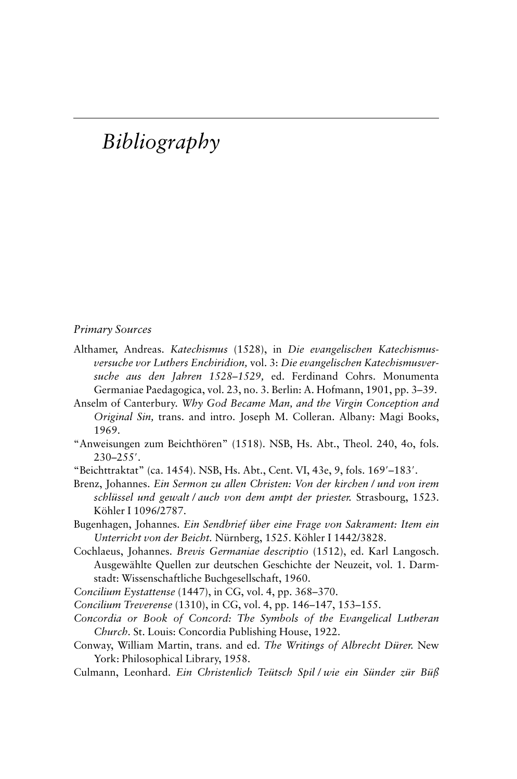## *Bibliography*

#### *Primary Sources*

- Althamer, Andreas. *Katechismus* (1528), in *Die evangelischen Katechismusversuche vor Luthers Enchiridion,* vol. 3: *Die evangelischen Katechismusversuche aus den Jahren 1528–1529,* ed. Ferdinand Cohrs. Monumenta Germaniae Paedagogica, vol. 23, no. 3. Berlin: A. Hofmann, 1901, pp. 3–39.
- Anselm of Canterbury. *Why God Became Man, and the Virgin Conception and Original Sin,* trans. and intro. Joseph M. Colleran. Albany: Magi Books, 1969.
- "Anweisungen zum Beichthören" (1518). NSB, Hs. Abt., Theol. 240, 4o, fols. 230–255′.
- "Beichttraktat" (ca. 1454). NSB, Hs. Abt., Cent. VI, 43e, 9, fols. 169′–183′.
- Brenz, Johannes. *Ein Sermon zu allen Christen: Von der kirchen / und von irem schlüssel und gewalt / auch von dem ampt der priester.* Strasbourg, 1523. Köhler I 1096/2787.
- Bugenhagen, Johannes. *Ein Sendbrief über eine Frage von Sakrament: Item ein Unterricht von der Beicht.* Nürnberg, 1525. Köhler I 1442/3828.
- Cochlaeus, Johannes. *Brevis Germaniae descriptio* (1512), ed. Karl Langosch. Ausgewählte Quellen zur deutschen Geschichte der Neuzeit, vol. 1. Darmstadt: Wissenschaftliche Buchgesellschaft, 1960.
- *Concilium Eystattense* (1447), in CG, vol. 4, pp. 368–370.
- *Concilium Treverense* (1310), in CG, vol. 4, pp. 146–147, 153–155.
- *Concordia or Book of Concord: The Symbols of the Evangelical Lutheran Church.* St. Louis: Concordia Publishing House, 1922.
- Conway, William Martin, trans. and ed. *The Writings of Albrecht Dürer.* New York: Philosophical Library, 1958.
- Culmann, Leonhard. *Ein Christenlich Teütsch Spil / wie ein Sünder zür Büß*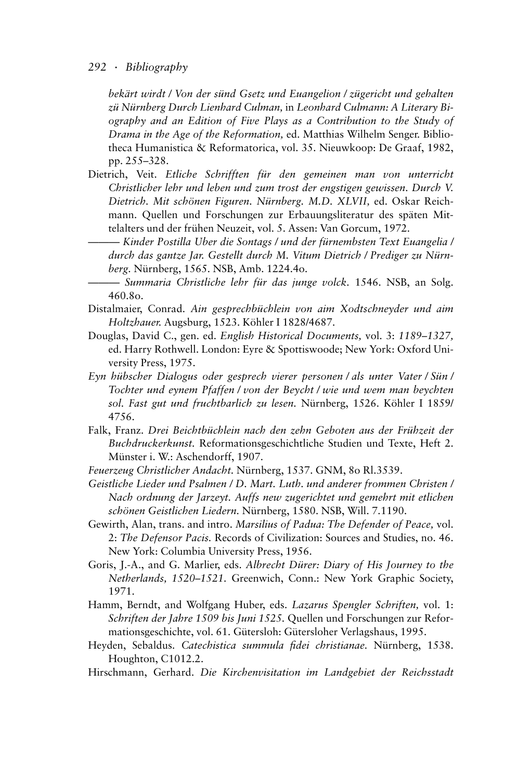*bekärt wirdt / Von der sünd Gsetz und Euangelion / zügericht und gehalten zü Nürnberg Durch Lienhard Culman,* in *Leonhard Culmann: A Literary Biography and an Edition of Five Plays as a Contribution to the Study of Drama in the Age of the Reformation,* ed. Matthias Wilhelm Senger. Bibliotheca Humanistica & Reformatorica, vol. 35. Nieuwkoop: De Graaf, 1982, pp. 255–328.

- Dietrich, Veit. *Etliche Schrifften für den gemeinen man von unterricht Christlicher lehr und leben und zum trost der engstigen gewissen. Durch V. Dietrich. Mit schönen Figuren. Nürnberg. M.D. XLVII,* ed. Oskar Reichmann. Quellen und Forschungen zur Erbauungsliteratur des späten Mittelalters und der frühen Neuzeit, vol. 5. Assen: Van Gorcum, 1972.
	- ——— *Kinder Postilla Uber die Sontags / und der fürnembsten Text Euangelia / durch das gantze Jar. Gestellt durch M. Vitum Dietrich / Prediger zu Nürnberg.* Nürnberg, 1565. NSB, Amb. 1224.4o.
	- ——— *Summaria Christliche lehr für das junge volck.* 1546. NSB, an Solg. 460.8o.
- Distalmaier, Conrad. *Ain gesprechbüchlein von aim Xodtschneyder und aim Holtzhauer.* Augsburg, 1523. Köhler I 1828/4687.
- Douglas, David C., gen. ed. *English Historical Documents,* vol. 3: *1189–1327,* ed. Harry Rothwell. London: Eyre & Spottiswoode; New York: Oxford University Press, 1975.
- *Eyn hübscher Dialogus oder gesprech vierer personen / als unter Vater / Sün / Tochter und eynem Pfaffen / von der Beycht / wie und wem man beychten sol. Fast gut und fruchtbarlich zu lesen.* Nürnberg, 1526. Köhler I 1859/ 4756.
- Falk, Franz. *Drei Beichtbüchlein nach den zehn Geboten aus der Frühzeit der Buchdruckerkunst.* Reformationsgeschichtliche Studien und Texte, Heft 2. Münster i. W.: Aschendorff, 1907.
- *Feuerzeug Christlicher Andacht.* Nürnberg, 1537. GNM, 8o Rl.3539.
- *Geistliche Lieder und Psalmen / D. Mart. Luth. und anderer frommen Christen / Nach ordnung der Jarzeyt. Auffs new zugerichtet und gemehrt mit etlichen schönen Geistlichen Liedern.* Nürnberg, 1580. NSB, Will. 7.1190.
- Gewirth, Alan, trans. and intro. *Marsilius of Padua: The Defender of Peace,* vol. 2: *The Defensor Pacis.* Records of Civilization: Sources and Studies, no. 46. New York: Columbia University Press, 1956.
- Goris, J.-A., and G. Marlier, eds. *Albrecht Dürer: Diary of His Journey to the Netherlands, 1520–1521.* Greenwich, Conn.: New York Graphic Society, 1971.
- Hamm, Berndt, and Wolfgang Huber, eds. *Lazarus Spengler Schriften,* vol. 1: *Schriften der Jahre 1509 bis Juni 1525.* Quellen und Forschungen zur Reformationsgeschichte, vol. 61. Gütersloh: Gütersloher Verlagshaus, 1995.
- Heyden, Sebaldus. *Catechistica summula fidei christianae.* Nürnberg, 1538. Houghton, C1012.2.
- Hirschmann, Gerhard. *Die Kirchenvisitation im Landgebiet der Reichsstadt*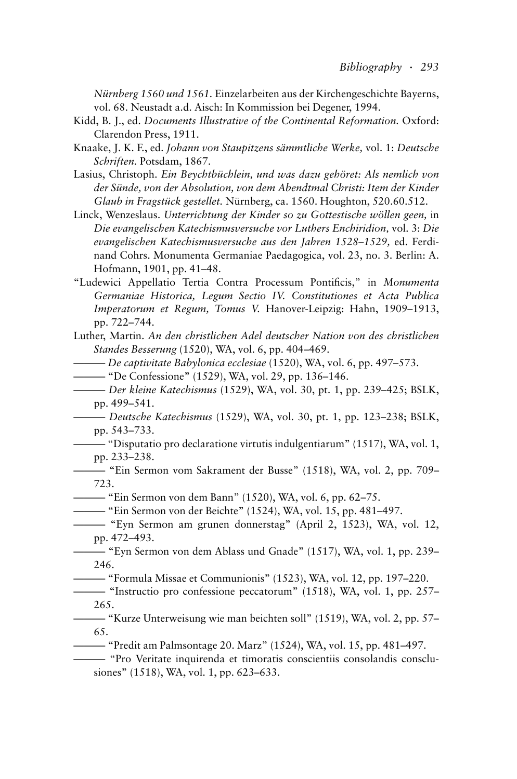*Nürnberg 1560 und 1561.* Einzelarbeiten aus der Kirchengeschichte Bayerns, vol. 68. Neustadt a.d. Aisch: In Kommission bei Degener, 1994.

- Kidd, B. J., ed. *Documents Illustrative of the Continental Reformation.* Oxford: Clarendon Press, 1911.
- Knaake, J. K. F., ed. *Johann von Staupitzens sämmtliche Werke,* vol. 1: *Deutsche Schriften.* Potsdam, 1867.
- Lasius, Christoph. *Ein Beychtbüchlein, und was dazu gehöret: Als nemlich von der Sünde, von der Absolution, von dem Abendtmal Christi: Item der Kinder Glaub in Fragstück gestellet.* Nürnberg, ca. 1560. Houghton, 520.60.512.
- Linck, Wenzeslaus. *Unterrichtung der Kinder so zu Gottestische wöllen geen,* in *Die evangelischen Katechismusversuche vor Luthers Enchiridion,* vol. 3: *Die evangelischen Katechismusversuche aus den Jahren 1528–1529,* ed. Ferdinand Cohrs. Monumenta Germaniae Paedagogica, vol. 23, no. 3. Berlin: A. Hofmann, 1901, pp. 41–48.
- "Ludewici Appellatio Tertia Contra Processum Pontificis," in *Monumenta Germaniae Historica, Legum Sectio IV. Constitutiones et Acta Publica Imperatorum et Regum, Tomus V.* Hanover-Leipzig: Hahn, 1909–1913, pp. 722–744.
- Luther, Martin. *An den christlichen Adel deutscher Nation von des christlichen Standes Besserung* (1520), WA, vol. 6, pp. 404–469.
- ——— *De captivitate Babylonica ecclesiae* (1520), WA, vol. 6, pp. 497–573.
- ——— "De Confessione" (1529), WA, vol. 29, pp. 136–146.
- ——— *Der kleine Katechismus* (1529), WA, vol. 30, pt. 1, pp. 239–425; BSLK, pp. 499–541.
	- ——— *Deutsche Katechismus* (1529), WA, vol. 30, pt. 1, pp. 123–238; BSLK, pp. 543–733.
	- ——— "Disputatio pro declaratione virtutis indulgentiarum" (1517), WA, vol. 1, pp. 233–238.
	- ——— "Ein Sermon vom Sakrament der Busse" (1518), WA, vol. 2, pp. 709– 723.
- —— "Ein Sermon von dem Bann" (1520), WA, vol. 6, pp. 62–75.
- ——— "Ein Sermon von der Beichte" (1524), WA, vol. 15, pp. 481–497.
- ——— "Eyn Sermon am grunen donnerstag" (April 2, 1523), WA, vol. 12, pp. 472–493.
- ——— "Eyn Sermon von dem Ablass und Gnade" (1517), WA, vol. 1, pp. 239– 246.
	- ——— "Formula Missae et Communionis" (1523), WA, vol. 12, pp. 197–220.
- ——— "Instructio pro confessione peccatorum" (1518), WA, vol. 1, pp. 257– 265.
- ——— "Kurze Unterweisung wie man beichten soll" (1519), WA, vol. 2, pp. 57– 65.
- ——— "Predit am Palmsontage 20. Marz" (1524), WA, vol. 15, pp. 481–497.
	- ——— "Pro Veritate inquirenda et timoratis conscientiis consolandis consclusiones" (1518), WA, vol. 1, pp. 623–633.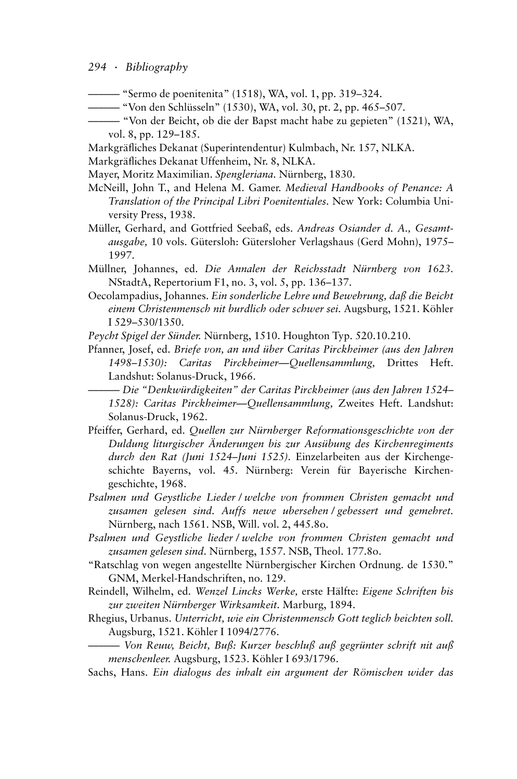## *294 • Bibliography*

- ——— "Sermo de poenitenita" (1518), WA, vol. 1, pp. 319–324.
- ——— "Von den Schlüsseln" (1530), WA, vol. 30, pt. 2, pp. 465–507.
- ——— "Von der Beicht, ob die der Bapst macht habe zu gepieten" (1521), WA, vol. 8, pp. 129–185.
- Markgräfliches Dekanat (Superintendentur) Kulmbach, Nr. 157, NLKA.

Markgräfliches Dekanat Uffenheim, Nr. 8, NLKA.

Mayer, Moritz Maximilian. *Spengleriana.* Nürnberg, 1830.

- McNeill, John T., and Helena M. Gamer. *Medieval Handbooks of Penance: A Translation of the Principal Libri Poenitentiales.* New York: Columbia University Press, 1938.
- Müller, Gerhard, and Gottfried Seebaß, eds. *Andreas Osiander d. A., Gesamtausgabe,* 10 vols. Gütersloh: Gütersloher Verlagshaus (Gerd Mohn), 1975– 1997.
- Müllner, Johannes, ed. *Die Annalen der Reichsstadt Nürnberg von 1623.* NStadtA, Repertorium F1, no. 3, vol. 5, pp. 136–137.
- Oecolampadius, Johannes. *Ein sonderliche Lehre und Bewehrung, daß die Beicht einem Christenmensch nit burdlich oder schwer sei.* Augsburg, 1521. Köhler I 529–530/1350.

*Peycht Spigel der Sünder.* Nürnberg, 1510. Houghton Typ. 520.10.210.

- Pfanner, Josef, ed. *Briefe von, an und über Caritas Pirckheimer (aus den Jahren 1498–1530): Caritas Pirckheimer—Quellensammlung,* Drittes Heft. Landshut: Solanus-Druck, 1966.
	- ——— *Die "Denkwürdigkeiten" der Caritas Pirckheimer (aus den Jahren 1524– 1528): Caritas Pirckheimer—Quellensammlung,* Zweites Heft. Landshut: Solanus-Druck, 1962.
- Pfeiffer, Gerhard, ed. *Quellen zur Nürnberger Reformationsgeschichte von der Duldung liturgischer Änderungen bis zur Ausübung des Kirchenregiments durch den Rat (Juni 1524–Juni 1525).* Einzelarbeiten aus der Kirchengeschichte Bayerns, vol. 45. Nürnberg: Verein für Bayerische Kirchengeschichte, 1968.
- *Psalmen und Geystliche Lieder / welche von frommen Christen gemacht und zusamen gelesen sind. Auffs newe ubersehen / gebessert und gemehret.* Nürnberg, nach 1561. NSB, Will. vol. 2, 445.8o.
- *Psalmen und Geystliche lieder / welche von frommen Christen gemacht und zusamen gelesen sind.* Nürnberg, 1557. NSB, Theol. 177.8o.
- "Ratschlag von wegen angestellte Nürnbergischer Kirchen Ordnung. de 1530." GNM, Merkel-Handschriften, no. 129.
- Reindell, Wilhelm, ed. *Wenzel Lincks Werke,* erste Hälfte: *Eigene Schriften bis zur zweiten Nürnberger Wirksamkeit.* Marburg, 1894.
- Rhegius, Urbanus. *Unterricht, wie ein Christenmensch Gott teglich beichten soll.* Augsburg, 1521. Köhler I 1094/2776.
	- ——— *Von Reuw, Beicht, Buß: Kurzer beschluß auß gegrünter schrift nit auß menschenleer.* Augsburg, 1523. Köhler I 693/1796.
- Sachs, Hans. *Ein dialogus des inhalt ein argument der Römischen wider das*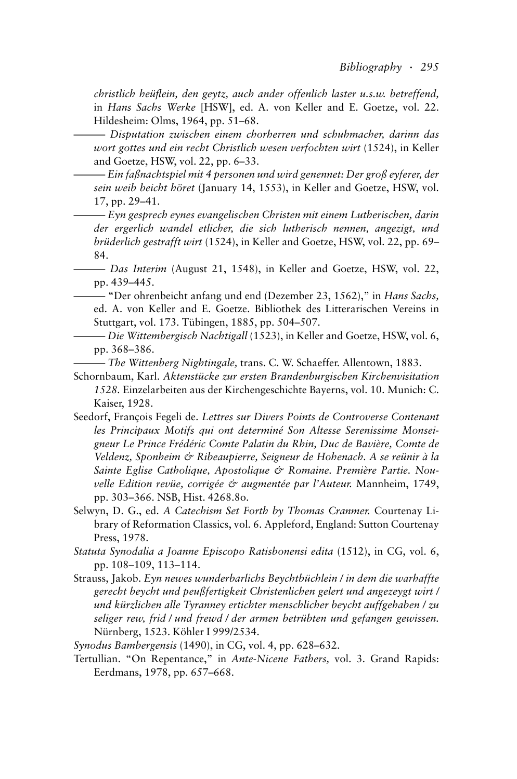*christlich heüflein, den geytz, auch ander offenlich laster u.s.w. betreffend,* in *Hans Sachs Werke* [HSW], ed. A. von Keller and E. Goetze, vol. 22. Hildesheim: Olms, 1964, pp. 51–68.

——— *Disputation zwischen einem chorherren und schuhmacher, darinn das wort gottes und ein recht Christlich wesen verfochten wirt* (1524), in Keller and Goetze, HSW, vol. 22, pp. 6–33.

——— *Ein faßnachtspiel mit 4 personen und wird genennet: Der groß eyferer, der sein weib beicht höret* (January 14, 1553), in Keller and Goetze, HSW, vol. 17, pp. 29–41.

——— *Eyn gesprech eynes evangelischen Christen mit einem Lutherischen, darin der ergerlich wandel etlicher, die sich lutherisch nennen, angezigt, und brüderlich gestrafft wirt* (1524), in Keller and Goetze, HSW, vol. 22, pp. 69– 84.

——— *Das Interim* (August 21, 1548), in Keller and Goetze, HSW, vol. 22, pp. 439–445.

——— "Der ohrenbeicht anfang und end (Dezember 23, 1562)," in *Hans Sachs,* ed. A. von Keller and E. Goetze. Bibliothek des Litterarischen Vereins in Stuttgart, vol. 173. Tübingen, 1885, pp. 504–507.

——— *Die Wittembergisch Nachtigall* (1523), in Keller and Goetze, HSW, vol. 6, pp. 368–386.

——— *The Wittenberg Nightingale,* trans. C. W. Schaeffer. Allentown, 1883.

- Schornbaum, Karl. *Aktenstücke zur ersten Brandenburgischen Kirchenvisitation 1528.* Einzelarbeiten aus der Kirchengeschichte Bayerns, vol. 10. Munich: C. Kaiser, 1928.
- Seedorf, François Fegeli de. *Lettres sur Divers Points de Controverse Contenant les Principaux Motifs qui ont determiné Son Altesse Serenissime Monseigneur Le Prince Frédéric Comte Palatin du Rhin, Duc de Bavière, Comte de Veldenz, Sponheim & Ribeaupierre, Seigneur de Hohenach. A se reünir à la Sainte Eglise Catholique, Apostolique & Romaine. Première Partie. Nouvelle Edition revüe, corrigée & augmentée par l'Auteur.* Mannheim, 1749, pp. 303–366. NSB, Hist. 4268.8o.
- Selwyn, D. G., ed. *A Catechism Set Forth by Thomas Cranmer.* Courtenay Library of Reformation Classics, vol. 6. Appleford, England: Sutton Courtenay Press, 1978.
- *Statuta Synodalia a Joanne Episcopo Ratisbonensi edita* (1512), in CG, vol. 6, pp. 108–109, 113–114.
- Strauss, Jakob. *Eyn newes wunderbarlichs Beychtbüchlein / in dem die warhaffte gerecht beycht und peußfertigkeit Christenlichen gelert und angezeygt wirt / und kürzlichen alle Tyranney ertichter menschlicher beycht auffgehaben / zu seliger rew, frid / und frewd / der armen betrübten und gefangen gewissen.* Nürnberg, 1523. Köhler I 999/2534.

*Synodus Bambergensis* (1490), in CG, vol. 4, pp. 628–632.

Tertullian. "On Repentance," in *Ante-Nicene Fathers,* vol. 3. Grand Rapids: Eerdmans, 1978, pp. 657–668.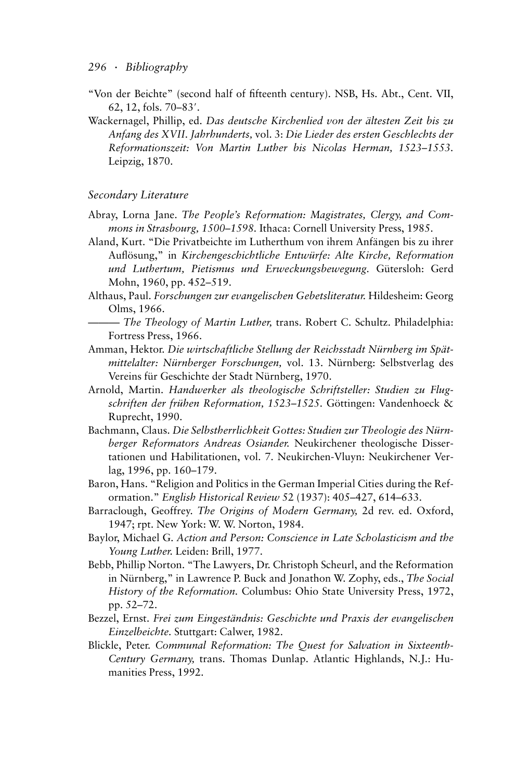## *296 • Bibliography*

- "Von der Beichte" (second half of fifteenth century). NSB, Hs. Abt., Cent. VII, 62, 12, fols. 70–83′.
- Wackernagel, Phillip, ed. *Das deutsche Kirchenlied von der ältesten Zeit bis zu Anfang des XVII. Jahrhunderts,* vol. 3: *Die Lieder des ersten Geschlechts der Reformationszeit: Von Martin Luther bis Nicolas Herman, 1523–1553.* Leipzig, 1870.

#### *Secondary Literature*

- Abray, Lorna Jane. *The People's Reformation: Magistrates, Clergy, and Commons in Strasbourg, 1500–1598.* Ithaca: Cornell University Press, 1985.
- Aland, Kurt. "Die Privatbeichte im Lutherthum von ihrem Anfängen bis zu ihrer Auflösung," in *Kirchengeschichtliche Entwürfe: Alte Kirche, Reformation und Luthertum, Pietismus und Erweckungsbewegung.* Gütersloh: Gerd Mohn, 1960, pp. 452–519.
- Althaus, Paul. *Forschungen zur evangelischen Gebetsliteratur.* Hildesheim: Georg Olms, 1966.
	- ——— *The Theology of Martin Luther,* trans. Robert C. Schultz. Philadelphia: Fortress Press, 1966.
- Amman, Hektor. *Die wirtschaftliche Stellung der Reichsstadt Nürnberg im Spätmittelalter: Nürnberger Forschungen,* vol. 13. Nürnberg: Selbstverlag des Vereins für Geschichte der Stadt Nürnberg, 1970.
- Arnold, Martin. *Handwerker als theologische Schriftsteller: Studien zu Flugschriften der frühen Reformation, 1523–1525.* Göttingen: Vandenhoeck & Ruprecht, 1990.
- Bachmann, Claus. *Die Selbstherrlichkeit Gottes: Studien zur Theologie des Nürnberger Reformators Andreas Osiander.* Neukirchener theologische Dissertationen und Habilitationen, vol. 7. Neukirchen-Vluyn: Neukirchener Verlag, 1996, pp. 160–179.
- Baron, Hans. "Religion and Politics in the German Imperial Cities during the Reformation." *English Historical Review* 52 (1937): 405–427, 614–633.
- Barraclough, Geoffrey. *The Origins of Modern Germany,* 2d rev. ed. Oxford, 1947; rpt. New York: W. W. Norton, 1984.
- Baylor, Michael G. *Action and Person: Conscience in Late Scholasticism and the Young Luther.* Leiden: Brill, 1977.
- Bebb, Phillip Norton. "The Lawyers, Dr. Christoph Scheurl, and the Reformation in Nürnberg," in Lawrence P. Buck and Jonathon W. Zophy, eds., *The Social History of the Reformation.* Columbus: Ohio State University Press, 1972, pp. 52–72.
- Bezzel, Ernst. *Frei zum Eingeständnis: Geschichte und Praxis der evangelischen Einzelbeichte.* Stuttgart: Calwer, 1982.
- Blickle, Peter. *Communal Reformation: The Quest for Salvation in Sixteenth-Century Germany,* trans. Thomas Dunlap. Atlantic Highlands, N.J.: Humanities Press, 1992.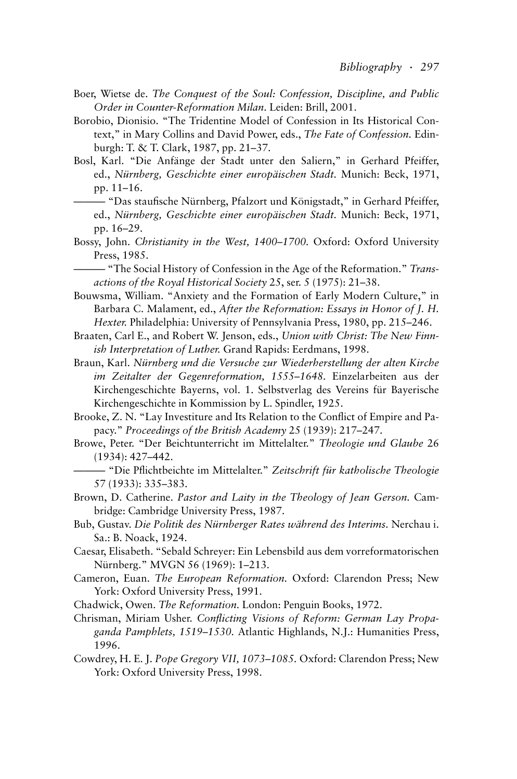- Boer, Wietse de. *The Conquest of the Soul: Confession, Discipline, and Public Order in Counter-Reformation Milan.* Leiden: Brill, 2001.
- Borobio, Dionisio. "The Tridentine Model of Confession in Its Historical Context," in Mary Collins and David Power, eds., *The Fate of Confession.* Edinburgh: T. & T. Clark, 1987, pp. 21–37.
- Bosl, Karl. "Die Anfänge der Stadt unter den Saliern," in Gerhard Pfeiffer, ed., *Nürnberg, Geschichte einer europäischen Stadt.* Munich: Beck, 1971, pp. 11–16.
	- ——— "Das staufische Nürnberg, Pfalzort und Königstadt," in Gerhard Pfeiffer, ed., *Nürnberg, Geschichte einer europäischen Stadt.* Munich: Beck, 1971, pp. 16–29.
- Bossy, John. *Christianity in the West, 1400–1700.* Oxford: Oxford University Press, 1985.
- ——— "The Social History of Confession in the Age of the Reformation." *Transactions of the Royal Historical Society* 25, ser. 5 (1975): 21–38.
- Bouwsma, William. "Anxiety and the Formation of Early Modern Culture," in Barbara C. Malament, ed., *After the Reformation: Essays in Honor of J. H. Hexter.* Philadelphia: University of Pennsylvania Press, 1980, pp. 215–246.
- Braaten, Carl E., and Robert W. Jenson, eds., *Union with Christ: The New Finnish Interpretation of Luther.* Grand Rapids: Eerdmans, 1998.
- Braun, Karl. *Nürnberg und die Versuche zur Wiederherstellung der alten Kirche im Zeitalter der Gegenreformation, 1555–1648.* Einzelarbeiten aus der Kirchengeschichte Bayerns, vol. 1. Selbstverlag des Vereins für Bayerische Kirchengeschichte in Kommission by L. Spindler, 1925.
- Brooke, Z. N. "Lay Investiture and Its Relation to the Conflict of Empire and Papacy." *Proceedings of the British Academy* 25 (1939): 217–247.
- Browe, Peter. "Der Beichtunterricht im Mittelalter." *Theologie und Glaube* 26 (1934): 427–442.
	- ——— "Die Pflichtbeichte im Mittelalter." *Zeitschrift für katholische Theologie* 57 (1933): 335–383.
- Brown, D. Catherine. *Pastor and Laity in the Theology of Jean Gerson.* Cambridge: Cambridge University Press, 1987.
- Bub, Gustav. *Die Politik des Nürnberger Rates während des Interims.* Nerchau i. Sa.: B. Noack, 1924.
- Caesar, Elisabeth. "Sebald Schreyer: Ein Lebensbild aus dem vorreformatorischen Nürnberg." MVGN 56 (1969): 1–213.
- Cameron, Euan. *The European Reformation.* Oxford: Clarendon Press; New York: Oxford University Press, 1991.
- Chadwick, Owen. *The Reformation.* London: Penguin Books, 1972.
- Chrisman, Miriam Usher. *Conflicting Visions of Reform: German Lay Propaganda Pamphlets, 1519–1530.* Atlantic Highlands, N.J.: Humanities Press, 1996.
- Cowdrey, H. E. J. *Pope Gregory VII, 1073–1085.* Oxford: Clarendon Press; New York: Oxford University Press, 1998.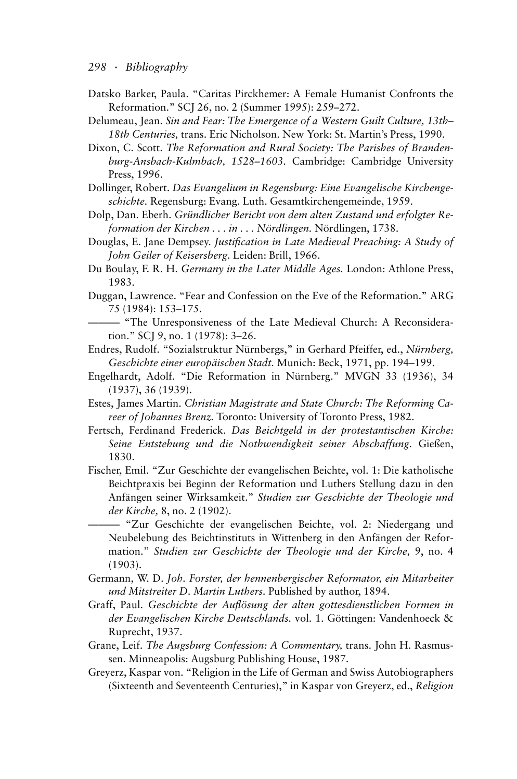- Datsko Barker, Paula. "Caritas Pirckhemer: A Female Humanist Confronts the Reformation." SCJ 26, no. 2 (Summer 1995): 259–272.
- Delumeau, Jean. *Sin and Fear: The Emergence of a Western Guilt Culture, 13th– 18th Centuries,* trans. Eric Nicholson. New York: St. Martin's Press, 1990.
- Dixon, C. Scott. *The Reformation and Rural Society: The Parishes of Brandenburg-Ansbach-Kulmbach, 1528–1603.* Cambridge: Cambridge University Press, 1996.
- Dollinger, Robert. *Das Evangelium in Regensburg: Eine Evangelische Kirchengeschichte.* Regensburg: Evang. Luth. Gesamtkirchengemeinde, 1959.
- Dolp, Dan. Eberh. *Gründlicher Bericht von dem alten Zustand und erfolgter Reformation der Kirchen . . . in . . . Nördlingen.* Nördlingen, 1738.
- Douglas, E. Jane Dempsey. *Justification in Late Medieval Preaching: A Study of John Geiler of Keisersberg.* Leiden: Brill, 1966.
- Du Boulay, F. R. H. *Germany in the Later Middle Ages.* London: Athlone Press, 1983.
- Duggan, Lawrence. "Fear and Confession on the Eve of the Reformation." ARG 75 (1984): 153–175.
- ——— "The Unresponsiveness of the Late Medieval Church: A Reconsideration." SCJ 9, no. 1 (1978): 3–26.
- Endres, Rudolf. "Sozialstruktur Nürnbergs," in Gerhard Pfeiffer, ed., *Nürnberg, Geschichte einer europäischen Stadt.* Munich: Beck, 1971, pp. 194–199.
- Engelhardt, Adolf. "Die Reformation in Nürnberg." MVGN 33 (1936), 34 (1937), 36 (1939).
- Estes, James Martin. *Christian Magistrate and State Church: The Reforming Career of Johannes Brenz.* Toronto: University of Toronto Press, 1982.
- Fertsch, Ferdinand Frederick. *Das Beichtgeld in der protestantischen Kirche: Seine Entstehung und die Nothwendigkeit seiner Abschaffung.* Gießen, 1830.
- Fischer, Emil. "Zur Geschichte der evangelischen Beichte, vol. 1: Die katholische Beichtpraxis bei Beginn der Reformation und Luthers Stellung dazu in den Anfängen seiner Wirksamkeit." *Studien zur Geschichte der Theologie und der Kirche,* 8, no. 2 (1902).
	- ——— "Zur Geschichte der evangelischen Beichte, vol. 2: Niedergang und Neubelebung des Beichtinstituts in Wittenberg in den Anfängen der Reformation." *Studien zur Geschichte der Theologie und der Kirche,* 9, no. 4 (1903).
- Germann, W. D. *Joh. Forster, der hennenbergischer Reformator, ein Mitarbeiter und Mitstreiter D. Martin Luthers.* Published by author, 1894.
- Graff, Paul. *Geschichte der Auflösung der alten gottesdienstlichen Formen in der Evangelischen Kirche Deutschlands.* vol. 1. Göttingen: Vandenhoeck & Ruprecht, 1937.
- Grane, Leif. *The Augsburg Confession: A Commentary,* trans. John H. Rasmussen. Minneapolis: Augsburg Publishing House, 1987.
- Greyerz, Kaspar von. "Religion in the Life of German and Swiss Autobiographers (Sixteenth and Seventeenth Centuries)," in Kaspar von Greyerz, ed., *Religion*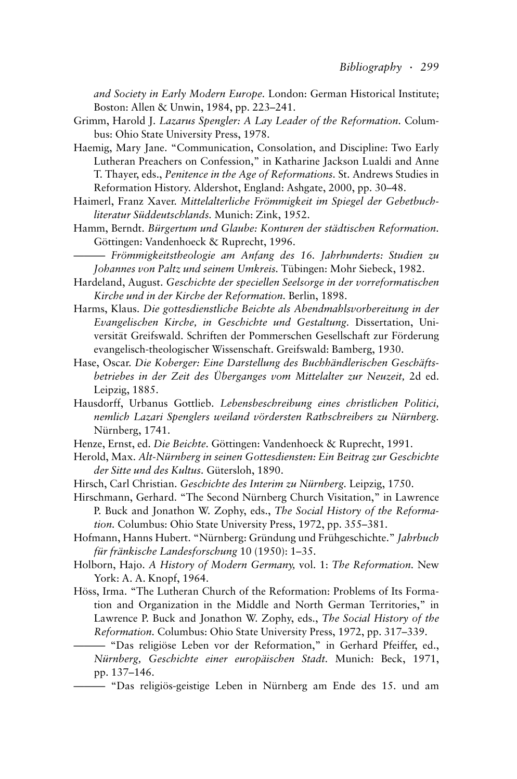*and Society in Early Modern Europe.* London: German Historical Institute; Boston: Allen & Unwin, 1984, pp. 223–241.

Grimm, Harold J. *Lazarus Spengler: A Lay Leader of the Reformation.* Columbus: Ohio State University Press, 1978.

Haemig, Mary Jane. "Communication, Consolation, and Discipline: Two Early Lutheran Preachers on Confession," in Katharine Jackson Lualdi and Anne T. Thayer, eds., *Penitence in the Age of Reformations.* St. Andrews Studies in Reformation History. Aldershot, England: Ashgate, 2000, pp. 30–48.

- Haimerl, Franz Xaver. *Mittelalterliche Frömmigkeit im Spiegel der Gebetbuchliteratur Süddeutschlands.* Munich: Zink, 1952.
- Hamm, Berndt. *Bürgertum und Glaube: Konturen der städtischen Reformation.* Göttingen: Vandenhoeck & Ruprecht, 1996.
	- ——— *Frömmigkeitstheologie am Anfang des 16. Jahrhunderts: Studien zu Johannes von Paltz und seinem Umkreis.* Tübingen: Mohr Siebeck, 1982.
- Hardeland, August. *Geschichte der speciellen Seelsorge in der vorreformatischen Kirche und in der Kirche der Reformation.* Berlin, 1898.
- Harms, Klaus. *Die gottesdienstliche Beichte als Abendmahlsvorbereitung in der Evangelischen Kirche, in Geschichte und Gestaltung.* Dissertation, Universität Greifswald. Schriften der Pommerschen Gesellschaft zur Förderung evangelisch-theologischer Wissenschaft. Greifswald: Bamberg, 1930.
- Hase, Oscar. *Die Koberger: Eine Darstellung des Buchhändlerischen Geschäftsbetriebes in der Zeit des Überganges vom Mittelalter zur Neuzeit,* 2d ed. Leipzig, 1885.
- Hausdorff, Urbanus Gottlieb. *Lebensbeschreibung eines christlichen Politici, nemlich Lazari Spenglers weiland vördersten Rathschreibers zu Nürnberg.* Nürnberg, 1741.
- Henze, Ernst, ed. *Die Beichte.* Göttingen: Vandenhoeck & Ruprecht, 1991.
- Herold, Max. *Alt-Nürnberg in seinen Gottesdiensten: Ein Beitrag zur Geschichte der Sitte und des Kultus.* Gütersloh, 1890.
- Hirsch, Carl Christian. *Geschichte des Interim zu Nürnberg.* Leipzig, 1750.
- Hirschmann, Gerhard. "The Second Nürnberg Church Visitation," in Lawrence P. Buck and Jonathon W. Zophy, eds., *The Social History of the Reformation.* Columbus: Ohio State University Press, 1972, pp. 355–381.
- Hofmann, Hanns Hubert. "Nürnberg: Gründung und Frühgeschichte." *Jahrbuch für fränkische Landesforschung* 10 (1950): 1–35.
- Holborn, Hajo. *A History of Modern Germany,* vol. 1: *The Reformation.* New York: A. A. Knopf, 1964.
- Höss, Irma. "The Lutheran Church of the Reformation: Problems of Its Formation and Organization in the Middle and North German Territories," in Lawrence P. Buck and Jonathon W. Zophy, eds., *The Social History of the Reformation.* Columbus: Ohio State University Press, 1972, pp. 317–339.
	- ——— "Das religiöse Leben vor der Reformation," in Gerhard Pfeiffer, ed., *Nürnberg, Geschichte einer europäischen Stadt.* Munich: Beck, 1971, pp. 137–146.
		- ——— "Das religiös-geistige Leben in Nürnberg am Ende des 15. und am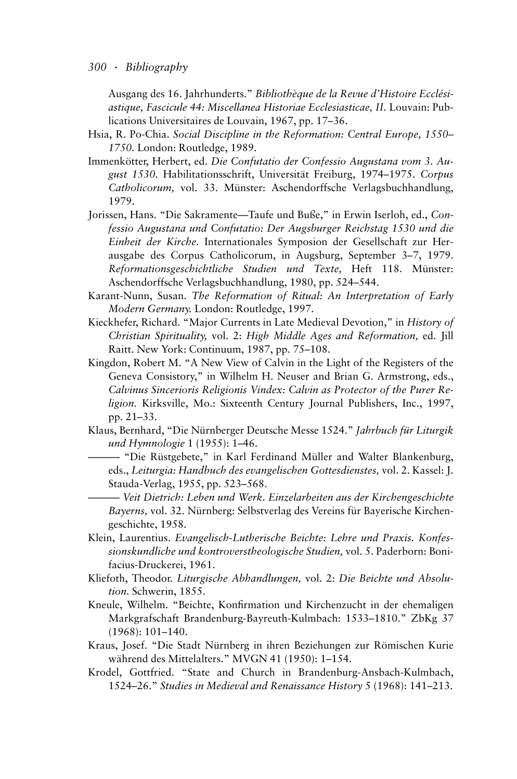*300 • Bibliography*

Ausgang des 16. Jahrhunderts." *Bibliothèque de la Revue d'Histoire Ecclésiastique, Fascicule 44: Miscellanea Historiae Ecclesiasticae, II.* Louvain: Publications Universitaires de Louvain, 1967, pp. 17–36.

- Hsia, R. Po-Chia. *Social Discipline in the Reformation: Central Europe, 1550– 1750.* London: Routledge, 1989.
- Immenkötter, Herbert, ed. *Die Confutatio der Confessio Augustana vom 3. August 1530.* Habilitationsschrift, Universität Freiburg, 1974–1975. *Corpus Catholicorum,* vol. 33. Münster: Aschendorffsche Verlagsbuchhandlung, 1979.
- Jorissen, Hans. "Die Sakramente—Taufe und Buße," in Erwin Iserloh, ed., *Confessio Augustana und Confutatio: Der Augsburger Reichstag 1530 und die Einheit der Kirche.* Internationales Symposion der Gesellschaft zur Herausgabe des Corpus Catholicorum, in Augsburg, September 3–7, 1979. *Reformationsgeschichtliche Studien und Texte,* Heft 118. Münster: Aschendorffsche Verlagsbuchhandlung, 1980, pp. 524–544.
- Karant-Nunn, Susan. *The Reformation of Ritual: An Interpretation of Early Modern Germany.* London: Routledge, 1997.
- Kieckhefer, Richard. "Major Currents in Late Medieval Devotion," in *History of Christian Spirituality,* vol. 2: *High Middle Ages and Reformation,* ed. Jill Raitt. New York: Continuum, 1987, pp. 75–108.
- Kingdon, Robert M. "A New View of Calvin in the Light of the Registers of the Geneva Consistory," in Wilhelm H. Neuser and Brian G. Armstrong, eds., *Calvinus Sincerioris Religionis Vindex: Calvin as Protector of the Purer Religion.* Kirksville, Mo.: Sixteenth Century Journal Publishers, Inc., 1997, pp. 21–33.
- Klaus, Bernhard, "Die Nürnberger Deutsche Messe 1524." *Jahrbuch für Liturgik und Hymnologie* 1 (1955): 1–46.
	- ——— "Die Rüstgebete," in Karl Ferdinand Müller and Walter Blankenburg, eds., *Leiturgia: Handbuch des evangelischen Gottesdienstes,* vol. 2. Kassel: J. Stauda-Verlag, 1955, pp. 523–568.
	- ——— *Veit Dietrich: Leben und Werk. Einzelarbeiten aus der Kirchengeschichte Bayerns,* vol. 32. Nürnberg: Selbstverlag des Vereins für Bayerische Kirchengeschichte, 1958.
- Klein, Laurentius. *Evangelisch-Lutherische Beichte: Lehre und Praxis. Konfessionskundliche und kontroverstheologische Studien,* vol. 5. Paderborn: Bonifacius-Druckerei, 1961.
- Kliefoth, Theodor. *Liturgische Abhandlungen,* vol. 2: *Die Beichte und Absolution.* Schwerin, 1855.
- Kneule, Wilhelm. "Beichte, Konfirmation und Kirchenzucht in der ehemaligen Markgrafschaft Brandenburg-Bayreuth-Kulmbach: 1533–1810." ZbKg 37 (1968): 101–140.
- Kraus, Josef. "Die Stadt Nürnberg in ihren Beziehungen zur Römischen Kurie während des Mittelalters." MVGN 41 (1950): 1–154.
- Krodel, Gottfried. "State and Church in Brandenburg-Ansbach-Kulmbach, 1524–26." *Studies in Medieval and Renaissance History* 5 (1968): 141–213.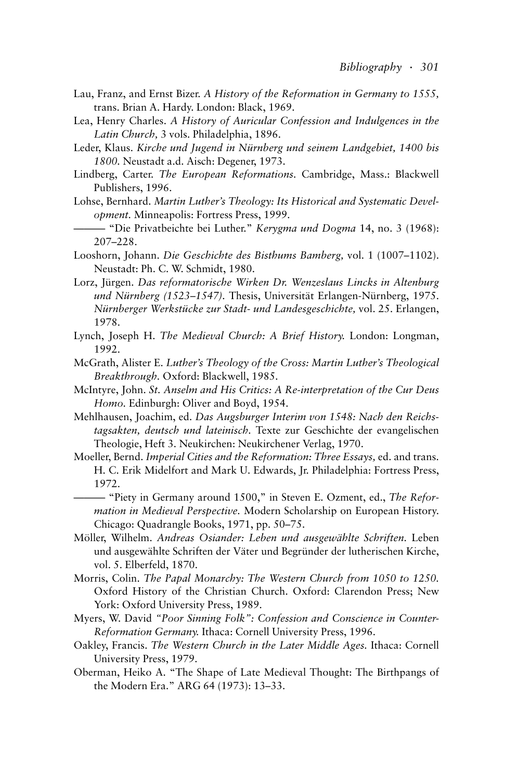- Lau, Franz, and Ernst Bizer. *A History of the Reformation in Germany to 1555,* trans. Brian A. Hardy. London: Black, 1969.
- Lea, Henry Charles. *A History of Auricular Confession and Indulgences in the Latin Church,* 3 vols. Philadelphia, 1896.
- Leder, Klaus. *Kirche und Jugend in Nürnberg und seinem Landgebiet, 1400 bis 1800.* Neustadt a.d. Aisch: Degener, 1973.
- Lindberg, Carter. *The European Reformations.* Cambridge, Mass.: Blackwell Publishers, 1996.
- Lohse, Bernhard. *Martin Luther's Theology: Its Historical and Systematic Development.* Minneapolis: Fortress Press, 1999.
- ——— "Die Privatbeichte bei Luther." *Kerygma und Dogma* 14, no. 3 (1968): 207–228.
- Looshorn, Johann. *Die Geschichte des Bisthums Bamberg,* vol. 1 (1007–1102). Neustadt: Ph. C. W. Schmidt, 1980.
- Lorz, Jürgen. *Das reformatorische Wirken Dr. Wenzeslaus Lincks in Altenburg und Nürnberg (1523–1547).* Thesis, Universität Erlangen-Nürnberg, 1975. *Nürnberger Werkstücke zur Stadt- und Landesgeschichte,* vol. 25. Erlangen, 1978.
- Lynch, Joseph H. *The Medieval Church: A Brief History.* London: Longman, 1992.
- McGrath, Alister E. *Luther's Theology of the Cross: Martin Luther's Theological Breakthrough.* Oxford: Blackwell, 1985.
- McIntyre, John. *St. Anselm and His Critics: A Re-interpretation of the Cur Deus Homo.* Edinburgh: Oliver and Boyd, 1954.
- Mehlhausen, Joachim, ed. *Das Augsburger Interim von 1548: Nach den Reichstagsakten, deutsch und lateinisch.* Texte zur Geschichte der evangelischen Theologie, Heft 3. Neukirchen: Neukirchener Verlag, 1970.
- Moeller, Bernd. *Imperial Cities and the Reformation: Three Essays,* ed. and trans. H. C. Erik Midelfort and Mark U. Edwards, Jr. Philadelphia: Fortress Press, 1972.
	- ——— "Piety in Germany around 1500," in Steven E. Ozment, ed., *The Reformation in Medieval Perspective.* Modern Scholarship on European History. Chicago: Quadrangle Books, 1971, pp. 50–75.
- Möller, Wilhelm. *Andreas Osiander: Leben und ausgewählte Schriften.* Leben und ausgewählte Schriften der Väter und Begründer der lutherischen Kirche, vol. 5. Elberfeld, 1870.
- Morris, Colin. *The Papal Monarchy: The Western Church from 1050 to 1250.* Oxford History of the Christian Church. Oxford: Clarendon Press; New York: Oxford University Press, 1989.
- Myers, W. David *"Poor Sinning Folk": Confession and Conscience in Counter-Reformation Germany.* Ithaca: Cornell University Press, 1996.
- Oakley, Francis. *The Western Church in the Later Middle Ages.* Ithaca: Cornell University Press, 1979.
- Oberman, Heiko A. "The Shape of Late Medieval Thought: The Birthpangs of the Modern Era." ARG 64 (1973): 13–33.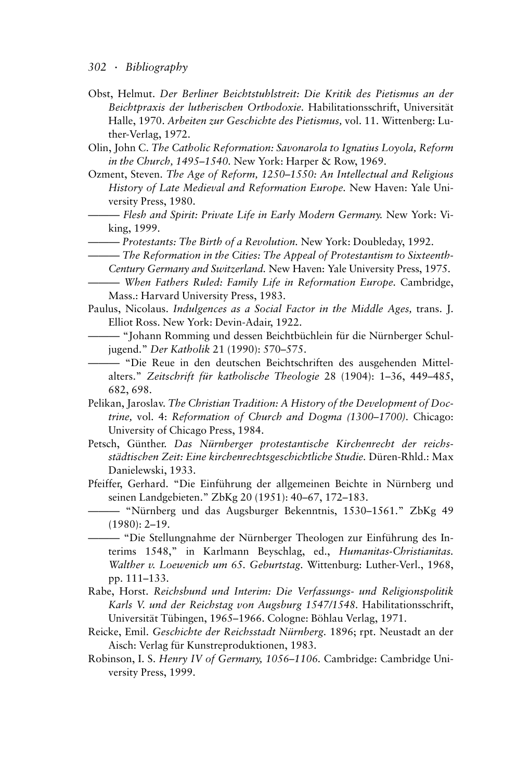*302 • Bibliography*

- Obst, Helmut. *Der Berliner Beichtstuhlstreit: Die Kritik des Pietismus an der Beichtpraxis der lutherischen Orthodoxie.* Habilitationsschrift, Universität Halle, 1970. *Arbeiten zur Geschichte des Pietismus,* vol. 11. Wittenberg: Luther-Verlag, 1972.
- Olin, John C. *The Catholic Reformation: Savonarola to Ignatius Loyola, Reform in the Church, 1495–1540.* New York: Harper & Row, 1969.
- Ozment, Steven. *The Age of Reform, 1250–1550: An Intellectual and Religious History of Late Medieval and Reformation Europe.* New Haven: Yale University Press, 1980.
	- ——— *Flesh and Spirit: Private Life in Early Modern Germany.* New York: Viking, 1999.
	- ——— *Protestants: The Birth of a Revolution.* New York: Doubleday, 1992.
	- ——— *The Reformation in the Cities: The Appeal of Protestantism to Sixteenth-Century Germany and Switzerland.* New Haven: Yale University Press, 1975.
- ——— *When Fathers Ruled: Family Life in Reformation Europe.* Cambridge, Mass.: Harvard University Press, 1983.
- Paulus, Nicolaus. *Indulgences as a Social Factor in the Middle Ages,* trans. J. Elliot Ross. New York: Devin-Adair, 1922.
	- ——— "Johann Romming und dessen Beichtbüchlein für die Nürnberger Schuljugend." *Der Katholik* 21 (1990): 570–575.
	- ——— "Die Reue in den deutschen Beichtschriften des ausgehenden Mittelalters." *Zeitschrift für katholische Theologie* 28 (1904): 1–36, 449–485, 682, 698.
- Pelikan, Jaroslav. *The Christian Tradition: A History of the Development of Doctrine,* vol. 4: *Reformation of Church and Dogma (1300–1700).* Chicago: University of Chicago Press, 1984.
- Petsch, Günther. *Das Nürnberger protestantische Kirchenrecht der reichsstädtischen Zeit: Eine kirchenrechtsgeschichtliche Studie.* Düren-Rhld.: Max Danielewski, 1933.
- Pfeiffer, Gerhard. "Die Einführung der allgemeinen Beichte in Nürnberg und seinen Landgebieten." ZbKg 20 (1951): 40–67, 172–183.
	- ——— "Nürnberg und das Augsburger Bekenntnis, 1530–1561." ZbKg 49 (1980): 2–19.
	- ——— "Die Stellungnahme der Nürnberger Theologen zur Einführung des Interims 1548," in Karlmann Beyschlag, ed., *Humanitas-Christianitas. Walther v. Loewenich um 65. Geburtstag.* Wittenburg: Luther-Verl., 1968, pp. 111–133.
- Rabe, Horst. *Reichsbund und Interim: Die Verfassungs- und Religionspolitik Karls V. und der Reichstag von Augsburg 1547/1548.* Habilitationsschrift, Universität Tübingen, 1965–1966. Cologne: Böhlau Verlag, 1971.
- Reicke, Emil. *Geschichte der Reichsstadt Nürnberg.* 1896; rpt. Neustadt an der Aisch: Verlag für Kunstreproduktionen, 1983.
- Robinson, I. S. *Henry IV of Germany, 1056–1106.* Cambridge: Cambridge University Press, 1999.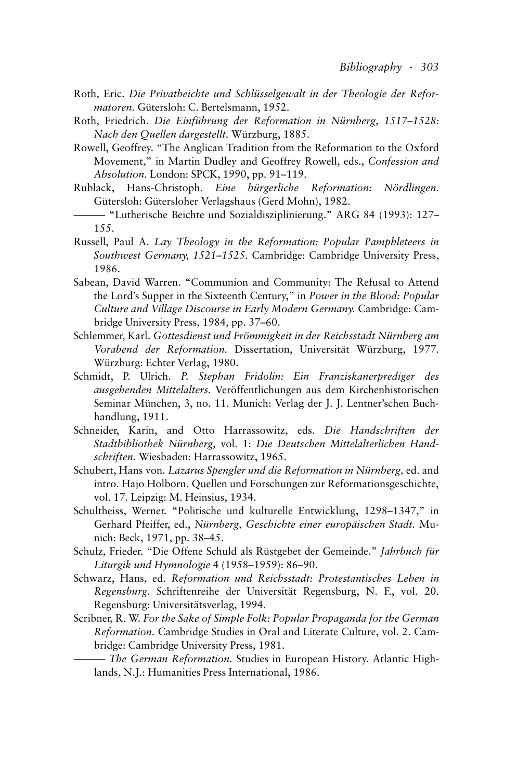- Roth, Eric. *Die Privatbeichte und Schlüsselgewalt in der Theologie der Reformatoren.* Gütersloh: C. Bertelsmann, 1952.
- Roth, Friedrich. *Die Einführung der Reformation in Nürnberg, 1517–1528: Nach den Quellen dargestellt.* Würzburg, 1885.
- Rowell, Geoffrey. "The Anglican Tradition from the Reformation to the Oxford Movement," in Martin Dudley and Geoffrey Rowell, eds., *Confession and Absolution.* London: SPCK, 1990, pp. 91–119.
- Rublack, Hans-Christoph. *Eine bürgerliche Reformation: Nördlingen.* Gütersloh: Gütersloher Verlagshaus (Gerd Mohn), 1982.
- ——— "Lutherische Beichte und Sozialdisziplinierung." ARG 84 (1993): 127– 155.
- Russell, Paul A. *Lay Theology in the Reformation: Popular Pamphleteers in Southwest Germany, 1521–1525.* Cambridge: Cambridge University Press, 1986.
- Sabean, David Warren. "Communion and Community: The Refusal to Attend the Lord's Supper in the Sixteenth Century," in *Power in the Blood: Popular Culture and Village Discourse in Early Modern Germany.* Cambridge: Cambridge University Press, 1984, pp. 37–60.
- Schlemmer, Karl. *Gottesdienst und Frömmigkeit in der Reichsstadt Nürnberg am Vorabend der Reformation.* Dissertation, Universität Würzburg, 1977. Würzburg: Echter Verlag, 1980.
- Schmidt, P. Ulrich. *P. Stephan Fridolin: Ein Franziskanerprediger des ausgehenden Mittelalters.* Veröffentlichungen aus dem Kirchenhistorischen Seminar München, 3, no. 11. Munich: Verlag der J. J. Lentner'schen Buchhandlung, 1911.
- Schneider, Karin, and Otto Harrassowitz, eds. *Die Handschriften der Stadtbibliothek Nürnberg,* vol. 1: *Die Deutschen Mittelalterlichen Handschriften.* Wiesbaden: Harrassowitz, 1965.
- Schubert, Hans von. *Lazarus Spengler und die Reformation in Nürnberg,* ed. and intro. Hajo Holborn. Quellen und Forschungen zur Reformationsgeschichte, vol. 17. Leipzig: M. Heinsius, 1934.
- Schultheiss, Werner. "Politische und kulturelle Entwicklung, 1298–1347," in Gerhard Pfeiffer, ed., *Nürnberg, Geschichte einer europäischen Stadt.* Munich: Beck, 1971, pp. 38–45.
- Schulz, Frieder. "Die Offene Schuld als Rüstgebet der Gemeinde." *Jahrbuch für Liturgik und Hymnologie* 4 (1958–1959): 86–90.
- Schwarz, Hans, ed. *Reformation und Reichsstadt: Protestantisches Leben in Regensburg.* Schriftenreihe der Universität Regensburg, N. F., vol. 20. Regensburg: Universitätsverlag, 1994.
- Scribner, R. W. *For the Sake of Simple Folk: Popular Propaganda for the German Reformation.* Cambridge Studies in Oral and Literate Culture, vol. 2. Cambridge: Cambridge University Press, 1981.

——— *The German Reformation.* Studies in European History. Atlantic Highlands, N.J.: Humanities Press International, 1986.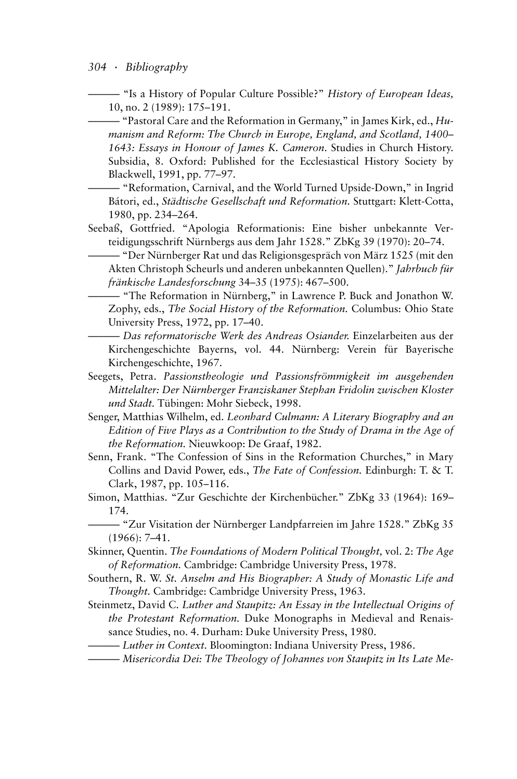——— "Is a History of Popular Culture Possible?" *History of European Ideas,* 10, no. 2 (1989): 175–191.

——— "Pastoral Care and the Reformation in Germany," in James Kirk, ed., *Humanism and Reform: The Church in Europe, England, and Scotland, 1400– 1643: Essays in Honour of James K. Cameron.* Studies in Church History. Subsidia, 8. Oxford: Published for the Ecclesiastical History Society by Blackwell, 1991, pp. 77–97.

——— "Reformation, Carnival, and the World Turned Upside-Down," in Ingrid Bátori, ed., *Städtische Gesellschaft und Reformation.* Stuttgart: Klett-Cotta, 1980, pp. 234–264.

Seebaß, Gottfried. "Apologia Reformationis: Eine bisher unbekannte Verteidigungsschrift Nürnbergs aus dem Jahr 1528." ZbKg 39 (1970): 20–74.

——— "Der Nürnberger Rat und das Religionsgespräch von März 1525 (mit den Akten Christoph Scheurls und anderen unbekannten Quellen)." *Jahrbuch für fränkische Landesforschung* 34–35 (1975): 467–500.

——— "The Reformation in Nürnberg," in Lawrence P. Buck and Jonathon W. Zophy, eds., *The Social History of the Reformation.* Columbus: Ohio State University Press, 1972, pp. 17–40.

- ——— *Das reformatorische Werk des Andreas Osiander.* Einzelarbeiten aus der Kirchengeschichte Bayerns, vol. 44. Nürnberg: Verein für Bayerische Kirchengeschichte, 1967.
- Seegets, Petra. *Passionstheologie und Passionsfrömmigkeit im ausgehenden Mittelalter: Der Nürnberger Franziskaner Stephan Fridolin zwischen Kloster und Stadt.* Tübingen: Mohr Siebeck, 1998.
- Senger, Matthias Wilhelm, ed. *Leonhard Culmann: A Literary Biography and an Edition of Five Plays as a Contribution to the Study of Drama in the Age of the Reformation.* Nieuwkoop: De Graaf, 1982.
- Senn, Frank. "The Confession of Sins in the Reformation Churches," in Mary Collins and David Power, eds., *The Fate of Confession.* Edinburgh: T. & T. Clark, 1987, pp. 105–116.
- Simon, Matthias. "Zur Geschichte der Kirchenbücher." ZbKg 33 (1964): 169– 174.
- ——— "Zur Visitation der Nürnberger Landpfarreien im Jahre 1528." ZbKg 35 (1966): 7–41.
- Skinner, Quentin. *The Foundations of Modern Political Thought,* vol. 2: *The Age of Reformation.* Cambridge: Cambridge University Press, 1978.
- Southern, R. W. *St. Anselm and His Biographer: A Study of Monastic Life and Thought.* Cambridge: Cambridge University Press, 1963.
- Steinmetz, David C. *Luther and Staupitz: An Essay in the Intellectual Origins of the Protestant Reformation.* Duke Monographs in Medieval and Renaissance Studies, no. 4. Durham: Duke University Press, 1980.
	- ——— *Luther in Context.* Bloomington: Indiana University Press, 1986.
	- ——— *Misericordia Dei: The Theology of Johannes von Staupitz in Its Late Me-*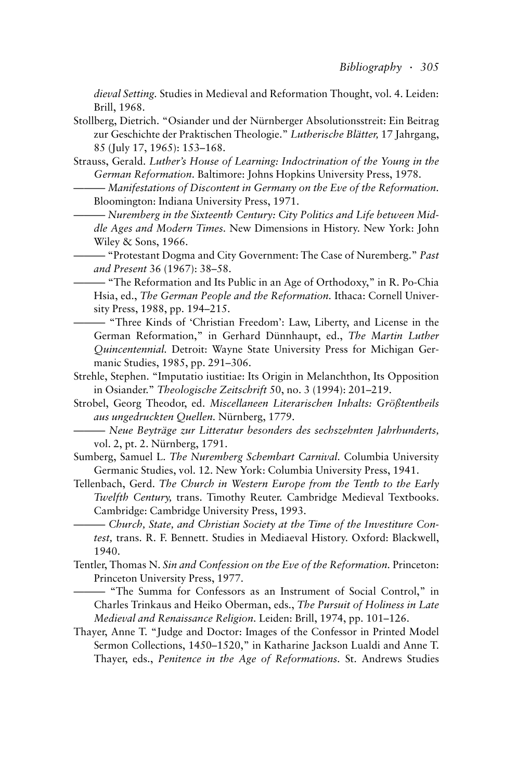*dieval Setting.* Studies in Medieval and Reformation Thought, vol. 4. Leiden: Brill, 1968.

- Stollberg, Dietrich. "Osiander und der Nürnberger Absolutionsstreit: Ein Beitrag zur Geschichte der Praktischen Theologie." *Lutherische Blätter,* 17 Jahrgang, 85 (July 17, 1965): 153–168.
- Strauss, Gerald. *Luther's House of Learning: Indoctrination of the Young in the German Reformation.* Baltimore: Johns Hopkins University Press, 1978.

——— *Manifestations of Discontent in Germany on the Eve of the Reformation.* Bloomington: Indiana University Press, 1971.

——— *Nuremberg in the Sixteenth Century: City Politics and Life between Middle Ages and Modern Times.* New Dimensions in History. New York: John Wiley & Sons, 1966.

——— "Protestant Dogma and City Government: The Case of Nuremberg." *Past and Present* 36 (1967): 38–58.

——— "The Reformation and Its Public in an Age of Orthodoxy," in R. Po-Chia Hsia, ed., *The German People and the Reformation.* Ithaca: Cornell University Press, 1988, pp. 194–215.

- ——— "Three Kinds of 'Christian Freedom': Law, Liberty, and License in the German Reformation," in Gerhard Dünnhaupt, ed., *The Martin Luther Quincentennial.* Detroit: Wayne State University Press for Michigan Germanic Studies, 1985, pp. 291–306.
- Strehle, Stephen. "Imputatio iustitiae: Its Origin in Melanchthon, Its Opposition in Osiander." *Theologische Zeitschrift* 50, no. 3 (1994): 201–219.
- Strobel, Georg Theodor, ed. *Miscellaneen Literarischen Inhalts: Größtentheils aus ungedruckten Quellen.* Nürnberg, 1779.

——— *Neue Beyträge zur Litteratur besonders des sechszehnten Jahrhunderts,* vol. 2, pt. 2. Nürnberg, 1791.

- Sumberg, Samuel L. *The Nuremberg Schembart Carnival.* Columbia University Germanic Studies, vol. 12. New York: Columbia University Press, 1941.
- Tellenbach, Gerd. *The Church in Western Europe from the Tenth to the Early Twelfth Century,* trans. Timothy Reuter. Cambridge Medieval Textbooks. Cambridge: Cambridge University Press, 1993.

——— *Church, State, and Christian Society at the Time of the Investiture Contest,* trans. R. F. Bennett. Studies in Mediaeval History. Oxford: Blackwell, 1940.

Tentler, Thomas N. *Sin and Confession on the Eve of the Reformation.* Princeton: Princeton University Press, 1977.

——— "The Summa for Confessors as an Instrument of Social Control," in Charles Trinkaus and Heiko Oberman, eds., *The Pursuit of Holiness in Late Medieval and Renaissance Religion.* Leiden: Brill, 1974, pp. 101–126.

Thayer, Anne T. "Judge and Doctor: Images of the Confessor in Printed Model Sermon Collections, 1450–1520," in Katharine Jackson Lualdi and Anne T. Thayer, eds., *Penitence in the Age of Reformations.* St. Andrews Studies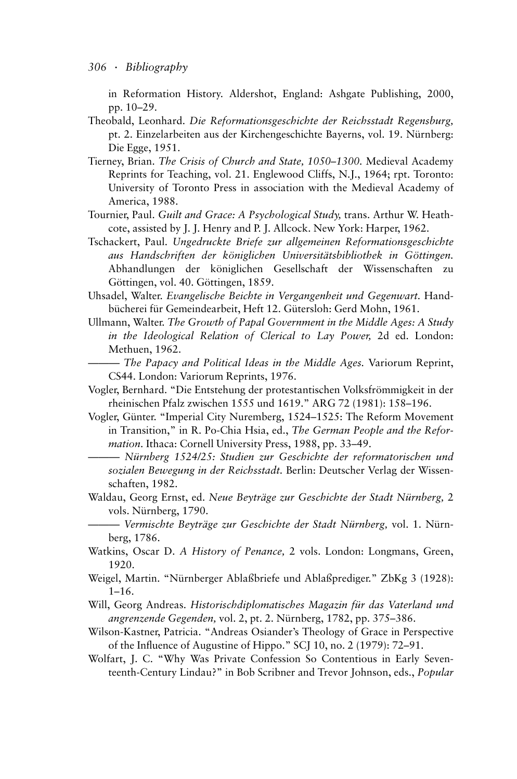in Reformation History. Aldershot, England: Ashgate Publishing, 2000, pp. 10–29.

- Theobald, Leonhard. *Die Reformationsgeschichte der Reichsstadt Regensburg,* pt. 2. Einzelarbeiten aus der Kirchengeschichte Bayerns, vol. 19. Nürnberg: Die Egge, 1951.
- Tierney, Brian. *The Crisis of Church and State, 1050–1300.* Medieval Academy Reprints for Teaching, vol. 21. Englewood Cliffs, N.J., 1964; rpt. Toronto: University of Toronto Press in association with the Medieval Academy of America, 1988.
- Tournier, Paul. *Guilt and Grace: A Psychological Study,* trans. Arthur W. Heathcote, assisted by J. J. Henry and P. J. Allcock. New York: Harper, 1962.
- Tschackert, Paul. *Ungedruckte Briefe zur allgemeinen Reformationsgeschichte aus Handschriften der königlichen Universitätsbibliothek in Göttingen.* Abhandlungen der königlichen Gesellschaft der Wissenschaften zu Göttingen, vol. 40. Göttingen, 1859.
- Uhsadel, Walter. *Evangelische Beichte in Vergangenheit und Gegenwart.* Handbücherei für Gemeindearbeit, Heft 12. Gütersloh: Gerd Mohn, 1961.
- Ullmann, Walter. *The Growth of Papal Government in the Middle Ages: A Study in the Ideological Relation of Clerical to Lay Power,* 2d ed. London: Methuen, 1962.
	- ——— *The Papacy and Political Ideas in the Middle Ages.* Variorum Reprint, CS44. London: Variorum Reprints, 1976.
- Vogler, Bernhard. "Die Entstehung der protestantischen Volksfrömmigkeit in der rheinischen Pfalz zwischen 1555 und 1619." ARG 72 (1981): 158–196.
- Vogler, Günter. "Imperial City Nuremberg, 1524–1525: The Reform Movement in Transition," in R. Po-Chia Hsia, ed., *The German People and the Reformation.* Ithaca: Cornell University Press, 1988, pp. 33–49.
	- ——— *Nürnberg 1524/25: Studien zur Geschichte der reformatorischen und sozialen Bewegung in der Reichsstadt.* Berlin: Deutscher Verlag der Wissenschaften, 1982.
- Waldau, Georg Ernst, ed. *Neue Beyträge zur Geschichte der Stadt Nürnberg,* 2 vols. Nürnberg, 1790.
- ——— *Vermischte Beyträge zur Geschichte der Stadt Nürnberg,* vol. 1. Nürnberg, 1786.
- Watkins, Oscar D. *A History of Penance,* 2 vols. London: Longmans, Green, 1920.
- Weigel, Martin. "Nürnberger Ablaßbriefe und Ablaßprediger." ZbKg 3 (1928): 1–16.
- Will, Georg Andreas. *Historischdiplomatisches Magazin für das Vaterland und angrenzende Gegenden,* vol. 2, pt. 2. Nürnberg, 1782, pp. 375–386.
- Wilson-Kastner, Patricia. "Andreas Osiander's Theology of Grace in Perspective of the Influence of Augustine of Hippo." SCJ 10, no. 2 (1979): 72–91.
- Wolfart, J. C. "Why Was Private Confession So Contentious in Early Seventeenth-Century Lindau?" in Bob Scribner and Trevor Johnson, eds., *Popular*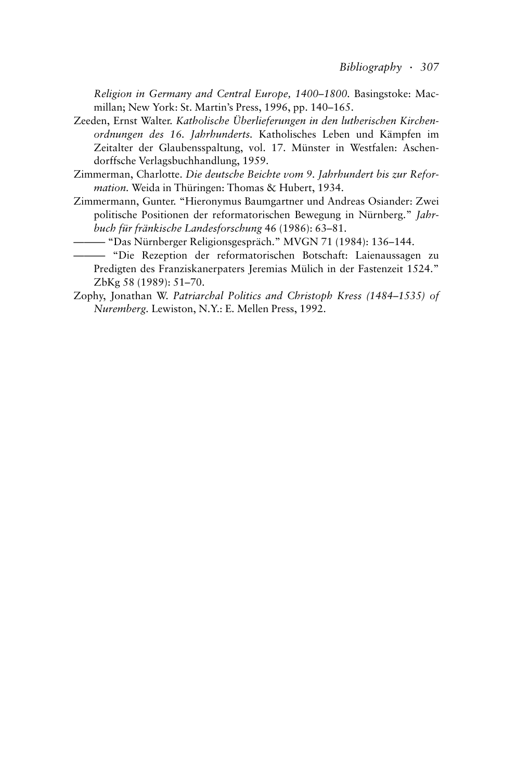*Religion in Germany and Central Europe, 1400–1800.* Basingstoke: Macmillan; New York: St. Martin's Press, 1996, pp. 140–165.

- Zeeden, Ernst Walter. *Katholische Überlieferungen in den lutherischen Kirchenordnungen des 16. Jahrhunderts.* Katholisches Leben und Kämpfen im Zeitalter der Glaubensspaltung, vol. 17. Münster in Westfalen: Aschendorffsche Verlagsbuchhandlung, 1959.
- Zimmerman, Charlotte. *Die deutsche Beichte vom 9. Jahrhundert bis zur Reformation.* Weida in Thüringen: Thomas & Hubert, 1934.
- Zimmermann, Gunter. "Hieronymus Baumgartner und Andreas Osiander: Zwei politische Positionen der reformatorischen Bewegung in Nürnberg." *Jahrbuch für fränkische Landesforschung* 46 (1986): 63–81.
- ——— "Das Nürnberger Religionsgespräch." MVGN 71 (1984): 136–144.
- ——— "Die Rezeption der reformatorischen Botschaft: Laienaussagen zu Predigten des Franziskanerpaters Jeremias Mülich in der Fastenzeit 1524." ZbKg 58 (1989): 51–70.
- Zophy, Jonathan W. *Patriarchal Politics and Christoph Kress (1484–1535) of Nuremberg.* Lewiston, N.Y.: E. Mellen Press, 1992.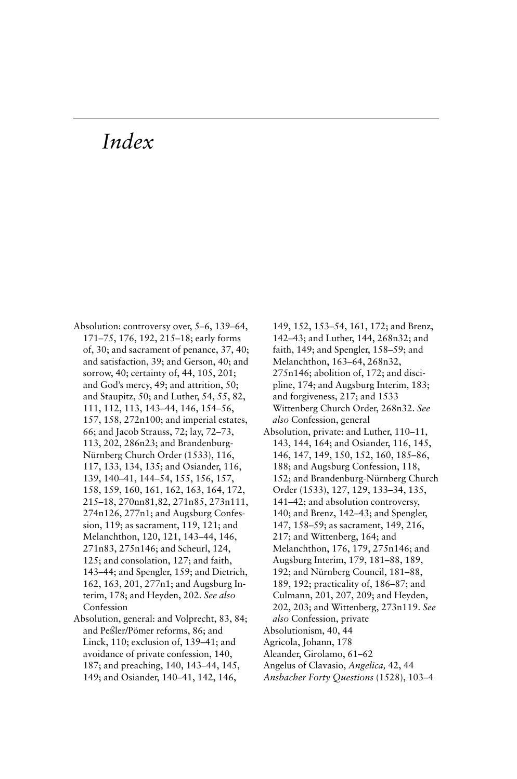# *Index*

- Absolution: controversy over, 5–6, 139–64, 171–75, 176, 192, 215–18; early forms of, 30; and sacrament of penance, 37, 40; and satisfaction, 39; and Gerson, 40; and sorrow, 40; certainty of, 44, 105, 201; and God's mercy, 49; and attrition, 50; and Staupitz, 50; and Luther, 54, 55, 82, 111, 112, 113, 143–44, 146, 154–56, 157, 158, 272n100; and imperial estates, 66; and Jacob Strauss, 72; lay, 72–73, 113, 202, 286n23; and Brandenburg-Nürnberg Church Order (1533), 116, 117, 133, 134, 135; and Osiander, 116, 139, 140–41, 144–54, 155, 156, 157, 158, 159, 160, 161, 162, 163, 164, 172, 215–18, 270nn81,82, 271n85, 273n111, 274n126, 277n1; and Augsburg Confession, 119; as sacrament, 119, 121; and Melanchthon, 120, 121, 143–44, 146, 271n83, 275n146; and Scheurl, 124, 125; and consolation, 127; and faith, 143–44; and Spengler, 159; and Dietrich, 162, 163, 201, 277n1; and Augsburg Interim, 178; and Heyden, 202. *See also* Confession
- Absolution, general: and Volprecht, 83, 84; and Peßler/Pömer reforms, 86; and Linck, 110; exclusion of, 139–41; and avoidance of private confession, 140, 187; and preaching, 140, 143–44, 145, 149; and Osiander, 140–41, 142, 146,

149, 152, 153–54, 161, 172; and Brenz, 142–43; and Luther, 144, 268n32; and faith, 149; and Spengler, 158–59; and Melanchthon, 163–64, 268n32, 275n146; abolition of, 172; and discipline, 174; and Augsburg Interim, 183; and forgiveness, 217; and 1533 Wittenberg Church Order, 268n32. *See also* Confession, general

Absolution, private: and Luther, 110–11, 143, 144, 164; and Osiander, 116, 145, 146, 147, 149, 150, 152, 160, 185–86, 188; and Augsburg Confession, 118, 152; and Brandenburg-Nürnberg Church Order (1533), 127, 129, 133–34, 135, 141–42; and absolution controversy, 140; and Brenz, 142–43; and Spengler, 147, 158–59; as sacrament, 149, 216, 217; and Wittenberg, 164; and Melanchthon, 176, 179, 275n146; and Augsburg Interim, 179, 181–88, 189, 192; and Nürnberg Council, 181–88, 189, 192; practicality of, 186–87; and Culmann, 201, 207, 209; and Heyden, 202, 203; and Wittenberg, 273n119. *See also* Confession, private Absolutionism, 40, 44 Agricola, Johann, 178 Aleander, Girolamo, 61–62 Angelus of Clavasio, *Angelica,* 42, 44 *Ansbacher Forty Questions* (1528), 103–4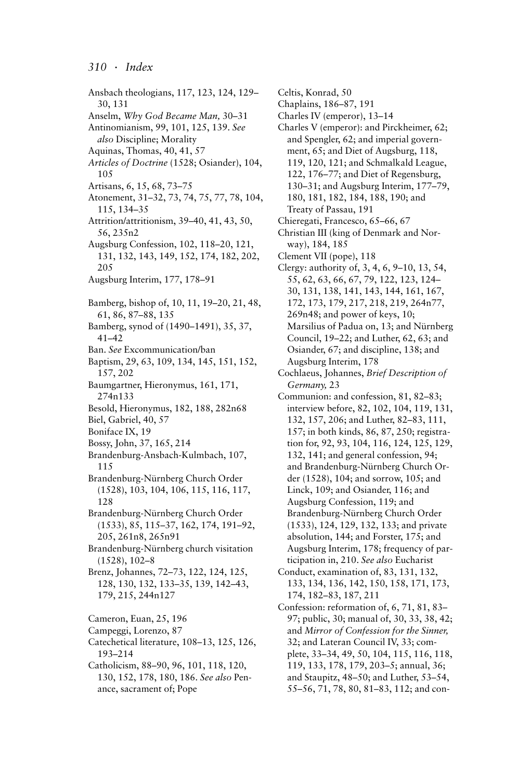*310 • Index*

Ansbach theologians, 117, 123, 124, 129– 30, 131 Anselm, *Why God Became Man,* 30–31 Antinomianism, 99, 101, 125, 139. *See also* Discipline; Morality Aquinas, Thomas, 40, 41, 57 *Articles of Doctrine* (1528; Osiander), 104, 105 Artisans, 6, 15, 68, 73–75 Atonement, 31–32, 73, 74, 75, 77, 78, 104, 115, 134–35 Attrition/attritionism, 39–40, 41, 43, 50, 56, 235n2 Augsburg Confession, 102, 118–20, 121, 131, 132, 143, 149, 152, 174, 182, 202, 205 Augsburg Interim, 177, 178–91 Bamberg, bishop of, 10, 11, 19–20, 21, 48, 61, 86, 87–88, 135 Bamberg, synod of (1490–1491), 35, 37, 41–42 Ban. *See* Excommunication/ban Baptism, 29, 63, 109, 134, 145, 151, 152, 157, 202 Baumgartner, Hieronymus, 161, 171, 274n133 Besold, Hieronymus, 182, 188, 282n68 Biel, Gabriel, 40, 57 Boniface IX, 19 Bossy, John, 37, 165, 214 Brandenburg-Ansbach-Kulmbach, 107, 115 Brandenburg-Nürnberg Church Order (1528), 103, 104, 106, 115, 116, 117, 128 Brandenburg-Nürnberg Church Order (1533), 85, 115–37, 162, 174, 191–92, 205, 261n8, 265n91 Brandenburg-Nürnberg church visitation (1528), 102–8 Brenz, Johannes, 72–73, 122, 124, 125, 128, 130, 132, 133–35, 139, 142–43, 179, 215, 244n127 Cameron, Euan, 25, 196 Campeggi, Lorenzo, 87 Catechetical literature, 108–13, 125, 126, 193–214

Catholicism, 88–90, 96, 101, 118, 120, 130, 152, 178, 180, 186. *See also* Penance, sacrament of; Pope

Celtis, Konrad, 50

Chaplains, 186–87, 191

Charles IV (emperor), 13–14

Charles V (emperor): and Pirckheimer, 62; and Spengler, 62; and imperial government, 65; and Diet of Augsburg, 118, 119, 120, 121; and Schmalkald League, 122, 176–77; and Diet of Regensburg, 130–31; and Augsburg Interim, 177–79, 180, 181, 182, 184, 188, 190; and Treaty of Passau, 191

Chieregati, Francesco, 65–66, 67

Christian III (king of Denmark and Norway), 184, 185

- Clement VII (pope), 118
- Clergy: authority of, 3, 4, 6, 9–10, 13, 54, 55, 62, 63, 66, 67, 79, 122, 123, 124– 30, 131, 138, 141, 143, 144, 161, 167, 172, 173, 179, 217, 218, 219, 264n77, 269n48; and power of keys, 10; Marsilius of Padua on, 13; and Nürnberg Council, 19–22; and Luther, 62, 63; and Osiander, 67; and discipline, 138; and Augsburg Interim, 178
- Cochlaeus, Johannes, *Brief Description of Germany,* 23
- Communion: and confession, 81, 82–83; interview before, 82, 102, 104, 119, 131, 132, 157, 206; and Luther, 82–83, 111, 157; in both kinds, 86, 87, 250; registration for, 92, 93, 104, 116, 124, 125, 129, 132, 141; and general confession, 94; and Brandenburg-Nürnberg Church Order (1528), 104; and sorrow, 105; and Linck, 109; and Osiander, 116; and Augsburg Confession, 119; and Brandenburg-Nürnberg Church Order (1533), 124, 129, 132, 133; and private absolution, 144; and Forster, 175; and Augsburg Interim, 178; frequency of participation in, 210. *See also* Eucharist
- Conduct, examination of, 83, 131, 132, 133, 134, 136, 142, 150, 158, 171, 173, 174, 182–83, 187, 211
- Confession: reformation of, 6, 71, 81, 83– 97; public, 30; manual of, 30, 33, 38, 42; and *Mirror of Confession for the Sinner,* 32; and Lateran Council IV, 33; complete, 33–34, 49, 50, 104, 115, 116, 118, 119, 133, 178, 179, 203–5; annual, 36; and Staupitz, 48–50; and Luther, 53–54, 55–56, 71, 78, 80, 81–83, 112; and con-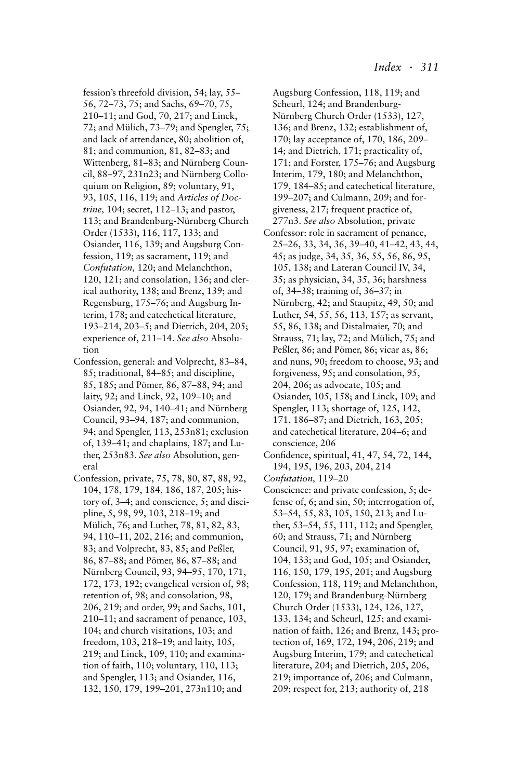fession's threefold division, 54; lay, 55– 56, 72–73, 75; and Sachs, 69–70, 75, 210–11; and God, 70, 217; and Linck, 72; and Mülich, 73–79; and Spengler, 75; and lack of attendance, 80; abolition of, 81; and communion, 81, 82–83; and Wittenberg, 81–83; and Nürnberg Council, 88–97, 231n23; and Nürnberg Colloquium on Religion, 89; voluntary, 91, 93, 105, 116, 119; and *Articles of Doctrine,* 104; secret, 112–13; and pastor, 113; and Brandenburg-Nürnberg Church Order (1533), 116, 117, 133; and Osiander, 116, 139; and Augsburg Confession, 119; as sacrament, 119; and *Confutation,* 120; and Melanchthon, 120, 121; and consolation, 136; and clerical authority, 138; and Brenz, 139; and Regensburg, 175–76; and Augsburg Interim, 178; and catechetical literature, 193–214, 203–5; and Dietrich, 204, 205; experience of, 211–14. *See also* Absolution

- Confession, general: and Volprecht, 83–84, 85; traditional, 84–85; and discipline, 85, 185; and Pömer, 86, 87–88, 94; and laity, 92; and Linck, 92, 109–10; and Osiander, 92, 94, 140–41; and Nürnberg Council, 93–94, 187; and communion, 94; and Spengler, 113, 253n81; exclusion of, 139–41; and chaplains, 187; and Luther, 253n83. *See also* Absolution, general
- Confession, private, 75, 78, 80, 87, 88, 92, 104, 178, 179, 184, 186, 187, 205; history of, 3–4; and conscience, 5; and discipline, 5, 98, 99, 103, 218–19; and Mülich, 76; and Luther, 78, 81, 82, 83, 94, 110–11, 202, 216; and communion, 83; and Volprecht, 83, 85; and Peßler, 86, 87–88; and Pömer, 86, 87–88; and Nürnberg Council, 93, 94–95, 170, 171, 172, 173, 192; evangelical version of, 98; retention of, 98; and consolation, 98, 206, 219; and order, 99; and Sachs, 101, 210–11; and sacrament of penance, 103, 104; and church visitations, 103; and freedom, 103, 218–19; and laity, 105, 219; and Linck, 109, 110; and examination of faith, 110; voluntary, 110, 113; and Spengler, 113; and Osiander, 116, 132, 150, 179, 199–201, 273n110; and

Augsburg Confession, 118, 119; and Scheurl, 124; and Brandenburg-Nürnberg Church Order (1533), 127, 136; and Brenz, 132; establishment of, 170; lay acceptance of, 170, 186, 209– 14; and Dietrich, 171; practicality of, 171; and Forster, 175–76; and Augsburg Interim, 179, 180; and Melanchthon, 179, 184–85; and catechetical literature, 199–207; and Culmann, 209; and forgiveness, 217; frequent practice of, 277n3. *See also* Absolution, private

- Confessor: role in sacrament of penance, 25–26, 33, 34, 36, 39–40, 41–42, 43, 44, 45; as judge, 34, 35, 36, 55, 56, 86, 95, 105, 138; and Lateran Council IV, 34, 35; as physician, 34, 35, 36; harshness of, 34–38; training of, 36–37; in Nürnberg, 42; and Staupitz, 49, 50; and Luther, 54, 55, 56, 113, 157; as servant, 55, 86, 138; and Distalmaier, 70; and Strauss, 71; lay, 72; and Mülich, 75; and Peßler, 86; and Pömer, 86; vicar as, 86; and nuns, 90; freedom to choose, 93; and forgiveness, 95; and consolation, 95, 204, 206; as advocate, 105; and Osiander, 105, 158; and Linck, 109; and Spengler, 113; shortage of, 125, 142, 171, 186–87; and Dietrich, 163, 205; and catechetical literature, 204–6; and conscience, 206
- Confidence, spiritual, 41, 47, 54, 72, 144, 194, 195, 196, 203, 204, 214
- *Confutation,* 119–20
- Conscience: and private confession, 5; defense of, 6; and sin, 50; interrogation of, 53–54, 55, 83, 105, 150, 213; and Luther, 53–54, 55, 111, 112; and Spengler, 60; and Strauss, 71; and Nürnberg Council, 91, 95, 97; examination of, 104, 133; and God, 105; and Osiander, 116, 150, 179, 195, 201; and Augsburg Confession, 118, 119; and Melanchthon, 120, 179; and Brandenburg-Nürnberg Church Order (1533), 124, 126, 127, 133, 134; and Scheurl, 125; and examination of faith, 126; and Brenz, 143; protection of, 169, 172, 194, 206, 219; and Augsburg Interim, 179; and catechetical literature, 204; and Dietrich, 205, 206, 219; importance of, 206; and Culmann, 209; respect for, 213; authority of, 218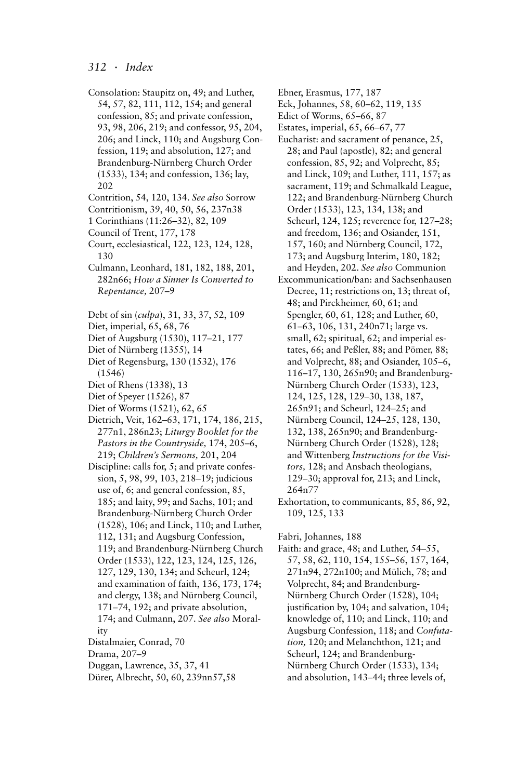## *312 • Index*

- Consolation: Staupitz on, 49; and Luther, 54, 57, 82, 111, 112, 154; and general confession, 85; and private confession, 93, 98, 206, 219; and confessor, 95, 204, 206; and Linck, 110; and Augsburg Confession, 119; and absolution, 127; and Brandenburg-Nürnberg Church Order (1533), 134; and confession, 136; lay, 202
- Contrition, 54, 120, 134. *See also* Sorrow
- Contritionism, 39, 40, 50, 56, 237n38
- 1 Corinthians (11:26–32), 82, 109
- Council of Trent, 177, 178
- Court, ecclesiastical, 122, 123, 124, 128, 130
- Culmann, Leonhard, 181, 182, 188, 201, 282n66; *How a Sinner Is Converted to Repentance,* 207–9
- Debt of sin (*culpa*), 31, 33, 37, 52, 109
- Diet, imperial, 65, 68, 76
- Diet of Augsburg (1530), 117–21, 177
- Diet of Nürnberg (1355), 14
- Diet of Regensburg, 130 (1532), 176 (1546)
- Diet of Rhens (1338), 13
- Diet of Speyer (1526), 87
- Diet of Worms (1521), 62, 65
- Dietrich, Veit, 162–63, 171, 174, 186, 215, 277n1, 286n23; *Liturgy Booklet for the Pastors in the Countryside,* 174, 205–6, 219; *Children's Sermons,* 201, 204
- Discipline: calls for, 5; and private confession, 5, 98, 99, 103, 218–19; judicious use of, 6; and general confession, 85, 185; and laity, 99; and Sachs, 101; and Brandenburg-Nürnberg Church Order (1528), 106; and Linck, 110; and Luther, 112, 131; and Augsburg Confession, 119; and Brandenburg-Nürnberg Church Order (1533), 122, 123, 124, 125, 126, 127, 129, 130, 134; and Scheurl, 124; and examination of faith, 136, 173, 174; and clergy, 138; and Nürnberg Council, 171–74, 192; and private absolution, 174; and Culmann, 207. *See also* Morality
- Distalmaier, Conrad, 70
- Drama, 207–9
- Duggan, Lawrence, 35, 37, 41
- Dürer, Albrecht, 50, 60, 239nn57,58

Ebner, Erasmus, 177, 187

- Eck, Johannes, 58, 60–62, 119, 135
- Edict of Worms, 65–66, 87
- Estates, imperial, 65, 66–67, 77
- Eucharist: and sacrament of penance, 25, 28; and Paul (apostle), 82; and general confession, 85, 92; and Volprecht, 85; and Linck, 109; and Luther, 111, 157; as sacrament, 119; and Schmalkald League, 122; and Brandenburg-Nürnberg Church Order (1533), 123, 134, 138; and Scheurl, 124, 125; reverence for, 127–28; and freedom, 136; and Osiander, 151, 157, 160; and Nürnberg Council, 172, 173; and Augsburg Interim, 180, 182; and Heyden, 202. *See also* Communion
- Excommunication/ban: and Sachsenhausen Decree, 11; restrictions on, 13; threat of, 48; and Pirckheimer, 60, 61; and Spengler, 60, 61, 128; and Luther, 60, 61–63, 106, 131, 240n71; large vs. small, 62; spiritual, 62; and imperial estates, 66; and Peßler, 88; and Pömer, 88; and Volprecht, 88; and Osiander, 105–6, 116–17, 130, 265n90; and Brandenburg-Nürnberg Church Order (1533), 123, 124, 125, 128, 129–30, 138, 187, 265n91; and Scheurl, 124–25; and Nürnberg Council, 124–25, 128, 130, 132, 138, 265n90; and Brandenburg-Nürnberg Church Order (1528), 128; and Wittenberg *Instructions for the Visitors,* 128; and Ansbach theologians, 129–30; approval for, 213; and Linck, 264n77
- Exhortation, to communicants, 85, 86, 92, 109, 125, 133

Fabri, Johannes, 188

Faith: and grace, 48; and Luther, 54–55, 57, 58, 62, 110, 154, 155–56, 157, 164, 271n94, 272n100; and Mülich, 78; and Volprecht, 84; and Brandenburg-Nürnberg Church Order (1528), 104; justification by, 104; and salvation, 104; knowledge of, 110; and Linck, 110; and Augsburg Confession, 118; and *Confutation,* 120; and Melanchthon, 121; and Scheurl, 124; and Brandenburg-Nürnberg Church Order (1533), 134; and absolution, 143–44; three levels of,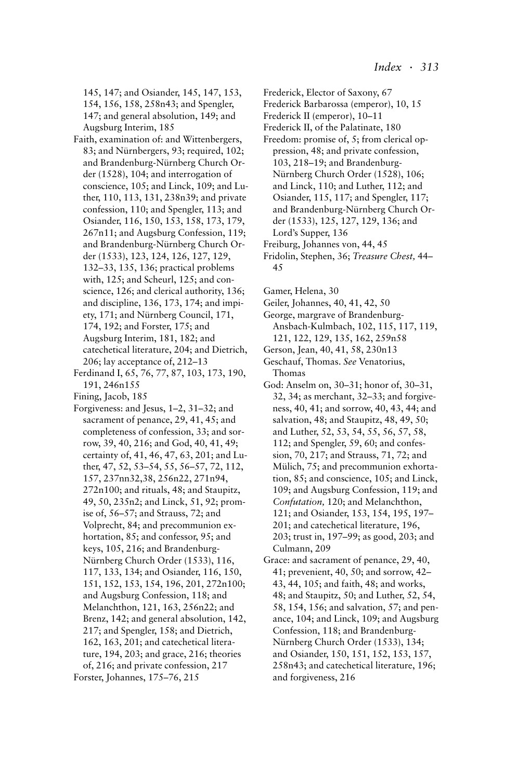145, 147; and Osiander, 145, 147, 153, 154, 156, 158, 258n43; and Spengler, 147; and general absolution, 149; and Augsburg Interim, 185

- Faith, examination of: and Wittenbergers, 83; and Nürnbergers, 93; required, 102; and Brandenburg-Nürnberg Church Order (1528), 104; and interrogation of conscience, 105; and Linck, 109; and Luther, 110, 113, 131, 238n39; and private confession, 110; and Spengler, 113; and Osiander, 116, 150, 153, 158, 173, 179, 267n11; and Augsburg Confession, 119; and Brandenburg-Nürnberg Church Order (1533), 123, 124, 126, 127, 129, 132–33, 135, 136; practical problems with, 125; and Scheurl, 125; and conscience, 126; and clerical authority, 136; and discipline, 136, 173, 174; and impiety, 171; and Nürnberg Council, 171, 174, 192; and Forster, 175; and Augsburg Interim, 181, 182; and catechetical literature, 204; and Dietrich, 206; lay acceptance of, 212–13
- Ferdinand I, 65, 76, 77, 87, 103, 173, 190, 191, 246n155
- Fining, Jacob, 185
- Forgiveness: and Jesus, 1–2, 31–32; and sacrament of penance, 29, 41, 45; and completeness of confession, 33; and sorrow, 39, 40, 216; and God, 40, 41, 49; certainty of, 41, 46, 47, 63, 201; and Luther, 47, 52, 53–54, 55, 56–57, 72, 112, 157, 237nn32,38, 256n22, 271n94, 272n100; and rituals, 48; and Staupitz, 49, 50, 235n2; and Linck, 51, 92; promise of, 56–57; and Strauss, 72; and Volprecht, 84; and precommunion exhortation, 85; and confessor, 95; and keys, 105, 216; and Brandenburg-Nürnberg Church Order (1533), 116, 117, 133, 134; and Osiander, 116, 150, 151, 152, 153, 154, 196, 201, 272n100; and Augsburg Confession, 118; and Melanchthon, 121, 163, 256n22; and Brenz, 142; and general absolution, 142, 217; and Spengler, 158; and Dietrich, 162, 163, 201; and catechetical literature, 194, 203; and grace, 216; theories of, 216; and private confession, 217 Forster, Johannes, 175–76, 215

Frederick, Elector of Saxony, 67

Frederick Barbarossa (emperor), 10, 15

Frederick II (emperor), 10–11

Frederick II, of the Palatinate, 180

- Freedom: promise of, 5; from clerical oppression, 48; and private confession, 103, 218–19; and Brandenburg-Nürnberg Church Order (1528), 106; and Linck, 110; and Luther, 112; and Osiander, 115, 117; and Spengler, 117; and Brandenburg-Nürnberg Church Order (1533), 125, 127, 129, 136; and Lord's Supper, 136
- Freiburg, Johannes von, 44, 45

Fridolin, Stephen, 36; *Treasure Chest,* 44– 45

Gamer, Helena, 30

- Geiler, Johannes, 40, 41, 42, 50
- George, margrave of Brandenburg-Ansbach-Kulmbach, 102, 115, 117, 119, 121, 122, 129, 135, 162, 259n58
- Gerson, Jean, 40, 41, 58, 230n13

Geschauf, Thomas. *See* Venatorius, Thomas

- God: Anselm on, 30–31; honor of, 30–31, 32, 34; as merchant, 32–33; and forgiveness, 40, 41; and sorrow, 40, 43, 44; and salvation, 48; and Staupitz, 48, 49, 50; and Luther, 52, 53, 54, 55, 56, 57, 58, 112; and Spengler, 59, 60; and confession, 70, 217; and Strauss, 71, 72; and Mülich, 75; and precommunion exhortation, 85; and conscience, 105; and Linck, 109; and Augsburg Confession, 119; and *Confutation,* 120; and Melanchthon, 121; and Osiander, 153, 154, 195, 197– 201; and catechetical literature, 196, 203; trust in, 197–99; as good, 203; and Culmann, 209
- Grace: and sacrament of penance, 29, 40, 41; prevenient, 40, 50; and sorrow, 42– 43, 44, 105; and faith, 48; and works, 48; and Staupitz, 50; and Luther, 52, 54, 58, 154, 156; and salvation, 57; and penance, 104; and Linck, 109; and Augsburg Confession, 118; and Brandenburg-Nürnberg Church Order (1533), 134; and Osiander, 150, 151, 152, 153, 157, 258n43; and catechetical literature, 196; and forgiveness, 216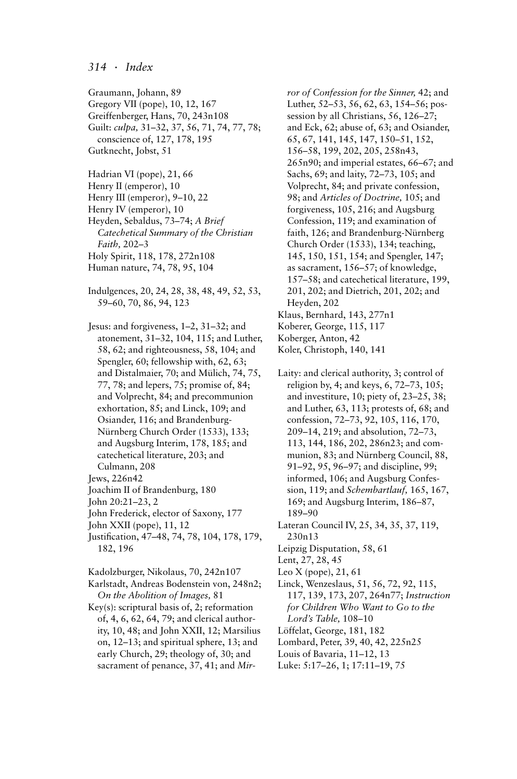## *314 • Index*

Graumann, Johann, 89 Gregory VII (pope), 10, 12, 167 Greiffenberger, Hans, 70, 243n108 Guilt: *culpa,* 31–32, 37, 56, 71, 74, 77, 78; conscience of, 127, 178, 195 Gutknecht, Jobst, 51

Hadrian VI (pope), 21, 66

- Henry II (emperor), 10
- Henry III (emperor), 9–10, 22
- Henry IV (emperor), 10
- Heyden, Sebaldus, 73–74; *A Brief Catechetical Summary of the Christian Faith,* 202–3
- Holy Spirit, 118, 178, 272n108
- Human nature, 74, 78, 95, 104
- Indulgences, 20, 24, 28, 38, 48, 49, 52, 53, 59–60, 70, 86, 94, 123
- Jesus: and forgiveness, 1–2, 31–32; and atonement, 31–32, 104, 115; and Luther, 58, 62; and righteousness, 58, 104; and Spengler, 60; fellowship with, 62, 63; and Distalmaier, 70; and Mülich, 74, 75, 77, 78; and lepers, 75; promise of, 84; and Volprecht, 84; and precommunion exhortation, 85; and Linck, 109; and Osiander, 116; and Brandenburg-Nürnberg Church Order (1533), 133; and Augsburg Interim, 178, 185; and catechetical literature, 203; and Culmann, 208
- Jews, 226n42
- Joachim II of Brandenburg, 180
- John 20:21–23, 2
- John Frederick, elector of Saxony, 177
- John XXII (pope), 11, 12
- Justification, 47–48, 74, 78, 104, 178, 179, 182, 196
- Kadolzburger, Nikolaus, 70, 242n107
- Karlstadt, Andreas Bodenstein von, 248n2; *On the Abolition of Images,* 81
- Key(s): scriptural basis of, 2; reformation of, 4, 6, 62, 64, 79; and clerical authority, 10, 48; and John XXII, 12; Marsilius on, 12–13; and spiritual sphere, 13; and early Church, 29; theology of, 30; and sacrament of penance, 37, 41; and *Mir-*

*ror of Confession for the Sinner,* 42; and Luther, 52–53, 56, 62, 63, 154–56; possession by all Christians, 56, 126–27; and Eck, 62; abuse of, 63; and Osiander, 65, 67, 141, 145, 147, 150–51, 152, 156–58, 199, 202, 205, 258n43, 265n90; and imperial estates, 66–67; and Sachs, 69; and laity, 72–73, 105; and Volprecht, 84; and private confession, 98; and *Articles of Doctrine,* 105; and forgiveness, 105, 216; and Augsburg Confession, 119; and examination of faith, 126; and Brandenburg-Nürnberg Church Order (1533), 134; teaching, 145, 150, 151, 154; and Spengler, 147; as sacrament, 156–57; of knowledge, 157–58; and catechetical literature, 199, 201, 202; and Dietrich, 201, 202; and Heyden, 202 Klaus, Bernhard, 143, 277n1 Koberer, George, 115, 117

- Koberger, Anton, 42
- Koler, Christoph, 140, 141
- Laity: and clerical authority, 3; control of religion by, 4; and keys, 6, 72–73, 105; and investiture, 10; piety of, 23–25, 38; and Luther, 63, 113; protests of, 68; and confession, 72–73, 92, 105, 116, 170, 209–14, 219; and absolution, 72–73, 113, 144, 186, 202, 286n23; and communion, 83; and Nürnberg Council, 88, 91–92, 95, 96–97; and discipline, 99; informed, 106; and Augsburg Confession, 119; and *Schembartlauf,* 165, 167, 169; and Augsburg Interim, 186–87, 189–90
- Lateran Council IV, 25, 34, 35, 37, 119, 230n13
- Leipzig Disputation, 58, 61
- Lent, 27, 28, 45
- Leo X (pope), 21, 61
- Linck, Wenzeslaus, 51, 56, 72, 92, 115, 117, 139, 173, 207, 264n77; *Instruction for Children Who Want to Go to the Lord's Table,* 108–10
- Löffelat, George, 181, 182
- Lombard, Peter, 39, 40, 42, 225n25
- Louis of Bavaria, 11–12, 13
- Luke: 5:17–26, 1; 17:11–19, 75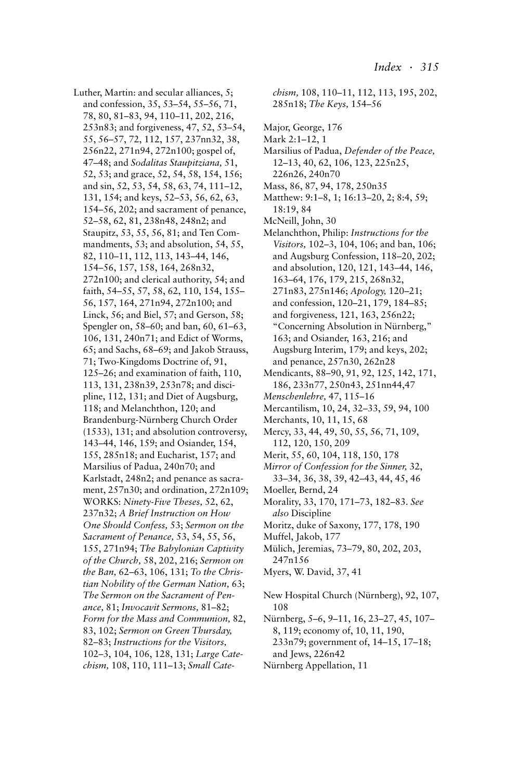Luther, Martin: and secular alliances, 5; and confession, 35, 53–54, 55–56, 71, 78, 80, 81–83, 94, 110–11, 202, 216, 253n83; and forgiveness, 47, 52, 53–54, 55, 56–57, 72, 112, 157, 237nn32, 38, 256n22, 271n94, 272n100; gospel of, 47–48; and *Sodalitas Staupitziana,* 51, 52, 53; and grace, 52, 54, 58, 154, 156; and sin, 52, 53, 54, 58, 63, 74, 111–12, 131, 154; and keys, 52–53, 56, 62, 63, 154–56, 202; and sacrament of penance, 52–58, 62, 81, 238n48, 248n2; and Staupitz, 53, 55, 56, 81; and Ten Commandments, 53; and absolution, 54, 55, 82, 110–11, 112, 113, 143–44, 146, 154–56, 157, 158, 164, 268n32, 272n100; and clerical authority, 54; and faith, 54–55, 57, 58, 62, 110, 154, 155– 56, 157, 164, 271n94, 272n100; and Linck, 56; and Biel, 57; and Gerson, 58; Spengler on, 58–60; and ban, 60, 61–63, 106, 131, 240n71; and Edict of Worms, 65; and Sachs, 68–69; and Jakob Strauss, 71; Two-Kingdoms Doctrine of, 91, 125–26; and examination of faith, 110, 113, 131, 238n39, 253n78; and discipline, 112, 131; and Diet of Augsburg, 118; and Melanchthon, 120; and Brandenburg-Nürnberg Church Order (1533), 131; and absolution controversy, 143–44, 146, 159; and Osiander, 154, 155, 285n18; and Eucharist, 157; and Marsilius of Padua, 240n70; and Karlstadt, 248n2; and penance as sacrament, 257n30; and ordination, 272n109; WORKS: *Ninety-Five Theses,* 52, 62, 237n32; *A Brief Instruction on How One Should Confess,* 53; *Sermon on the Sacrament of Penance,* 53, 54, 55, 56, 155, 271n94; *The Babylonian Captivity of the Church,* 58, 202, 216; *Sermon on the Ban,* 62–63, 106, 131; *To the Christian Nobility of the German Nation,* 63; *The Sermon on the Sacrament of Penance,* 81; *Invocavit Sermons,* 81–82; *Form for the Mass and Communion,* 82, 83, 102; *Sermon on Green Thursday,* 82–83; *Instructions for the Visitors,* 102–3, 104, 106, 128, 131; *Large Catechism,* 108, 110, 111–13; *Small Cate-* *chism,* 108, 110–11, 112, 113, 195, 202, 285n18; *The Keys,* 154–56

- Major, George, 176
- Mark 2:1–12, 1
- Marsilius of Padua, *Defender of the Peace,* 12–13, 40, 62, 106, 123, 225n25, 226n26, 240n70
- Mass, 86, 87, 94, 178, 250n35
- Matthew: 9:1–8, 1; 16:13–20, 2; 8:4, 59; 18:19, 84
- McNeill, John, 30
- Melanchthon, Philip: *Instructions for the Visitors,* 102–3, 104, 106; and ban, 106; and Augsburg Confession, 118–20, 202; and absolution, 120, 121, 143–44, 146, 163–64, 176, 179, 215, 268n32, 271n83, 275n146; *Apology,* 120–21; and confession, 120–21, 179, 184–85; and forgiveness, 121, 163, 256n22; "Concerning Absolution in Nürnberg," 163; and Osiander, 163, 216; and Augsburg Interim, 179; and keys, 202; and penance, 257n30, 262n28
- Mendicants, 88–90, 91, 92, 125, 142, 171, 186, 233n77, 250n43, 251nn44,47
- *Menschenlehre,* 47, 115–16
- Mercantilism, 10, 24, 32–33, 59, 94, 100
- Merchants, 10, 11, 15, 68
- Mercy, 33, 44, 49, 50, 55, 56, 71, 109, 112, 120, 150, 209
- Merit, 55, 60, 104, 118, 150, 178
- *Mirror of Confession for the Sinner,* 32, 33–34, 36, 38, 39, 42–43, 44, 45, 46
- Moeller, Bernd, 24
- Morality, 33, 170, 171–73, 182–83. *See also* Discipline
- Moritz, duke of Saxony, 177, 178, 190
- Muffel, Jakob, 177
- Mülich, Jeremias, 73–79, 80, 202, 203, 247n156

- New Hospital Church (Nürnberg), 92, 107, 108
- Nürnberg, 5–6, 9–11, 16, 23–27, 45, 107– 8, 119; economy of, 10, 11, 190, 233n79; government of, 14–15, 17–18; and Jews, 226n42
- Nürnberg Appellation, 11

Myers, W. David, 37, 41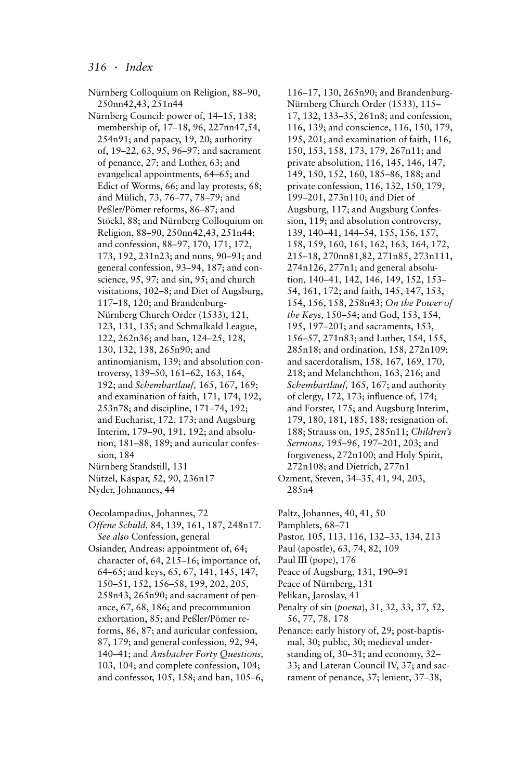## *316 • Index*

Nürnberg Colloquium on Religion, 88–90, 250nn42,43, 251n44

Nürnberg Council: power of, 14–15, 138; membership of, 17–18, 96, 227nn47,54, 254n91; and papacy, 19, 20; authority of, 19–22, 63, 95, 96–97; and sacrament of penance, 27; and Luther, 63; and evangelical appointments, 64–65; and Edict of Worms, 66; and lay protests, 68; and Mülich, 73, 76–77, 78–79; and Peßler/Pömer reforms, 86–87; and Stöckl, 88; and Nürnberg Colloquium on Religion, 88–90, 250nn42,43, 251n44; and confession, 88–97, 170, 171, 172, 173, 192, 231n23; and nuns, 90–91; and general confession, 93–94, 187; and conscience, 95, 97; and sin, 95; and church visitations, 102–8; and Diet of Augsburg, 117–18, 120; and Brandenburg-Nürnberg Church Order (1533), 121, 123, 131, 135; and Schmalkald League, 122, 262n36; and ban, 124–25, 128, 130, 132, 138, 265n90; and antinomianism, 139; and absolution controversy, 139–50, 161–62, 163, 164, 192; and *Schembartlauf,* 165, 167, 169; and examination of faith, 171, 174, 192, 253n78; and discipline, 171–74, 192; and Eucharist, 172, 173; and Augsburg Interim, 179–90, 191, 192; and absolution, 181–88, 189; and auricular confession, 184

Nürnberg Standstill, 131

Nützel, Kaspar, 52, 90, 236n17

Nyder, Johnannes, 44

Oecolampadius, Johannes, 72

- *Offene Schuld,* 84, 139, 161, 187, 248n17. *See also* Confession, general
- Osiander, Andreas: appointment of, 64; character of, 64, 215–16; importance of, 64–65; and keys, 65, 67, 141, 145, 147, 150–51, 152, 156–58, 199, 202, 205, 258n43, 265n90; and sacrament of penance, 67, 68, 186; and precommunion exhortation, 85; and Peßler/Pömer reforms, 86, 87; and auricular confession, 87, 179; and general confession, 92, 94, 140–41; and *Ansbacher Forty Questions,* 103, 104; and complete confession, 104; and confessor, 105, 158; and ban, 105–6,

116–17, 130, 265n90; and Brandenburg-Nürnberg Church Order (1533), 115– 17, 132, 133–35, 261n8; and confession, 116, 139; and conscience, 116, 150, 179, 195, 201; and examination of faith, 116, 150, 153, 158, 173, 179, 267n11; and private absolution, 116, 145, 146, 147, 149, 150, 152, 160, 185–86, 188; and private confession, 116, 132, 150, 179, 199–201, 273n110; and Diet of Augsburg, 117; and Augsburg Confession, 119; and absolution controversy, 139, 140–41, 144–54, 155, 156, 157, 158, 159, 160, 161, 162, 163, 164, 172, 215–18, 270nn81,82, 271n85, 273n111, 274n126, 277n1; and general absolution, 140–41, 142, 146, 149, 152, 153– 54, 161, 172; and faith, 145, 147, 153, 154, 156, 158, 258n43; *On the Power of the Keys,* 150–54; and God, 153, 154, 195, 197–201; and sacraments, 153, 156–57, 271n83; and Luther, 154, 155, 285n18; and ordination, 158, 272n109; and sacerdotalism, 158, 167, 169, 170, 218; and Melanchthon, 163, 216; and *Schembartlauf,* 165, 167; and authority of clergy, 172, 173; influence of, 174; and Forster, 175; and Augsburg Interim, 179, 180, 181, 185, 188; resignation of, 188; Strauss on, 195, 285n11; *Children's Sermons,* 195–96, 197–201, 203; and forgiveness, 272n100; and Holy Spirit, 272n108; and Dietrich, 277n1 Ozment, Steven, 34–35, 41, 94, 203,

285n4

Paltz, Johannes, 40, 41, 50

Pamphlets, 68–71

Pastor, 105, 113, 116, 132–33, 134, 213

Paul (apostle), 63, 74, 82, 109

Paul III (pope), 176

Peace of Augsburg, 131, 190–91

Peace of Nürnberg, 131

Pelikan, Jaroslav, 41

- Penalty of sin (*poena*), 31, 32, 33, 37, 52, 56, 77, 78, 178
- Penance: early history of, 29; post-baptismal, 30; public, 30; medieval understanding of, 30–31; and economy, 32– 33; and Lateran Council IV, 37; and sacrament of penance, 37; lenient, 37–38,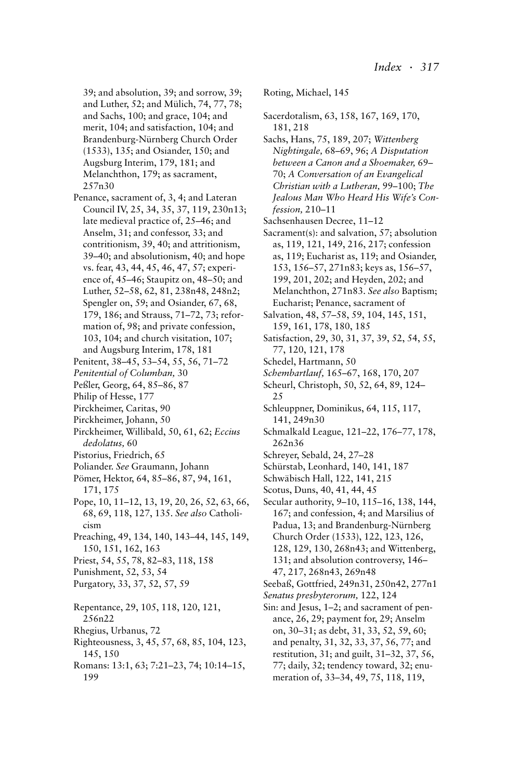39; and absolution, 39; and sorrow, 39; and Luther, 52; and Mülich, 74, 77, 78; and Sachs, 100; and grace, 104; and merit, 104; and satisfaction, 104; and Brandenburg-Nürnberg Church Order (1533), 135; and Osiander, 150; and Augsburg Interim, 179, 181; and Melanchthon, 179; as sacrament, 257n30

- Penance, sacrament of, 3, 4; and Lateran Council IV, 25, 34, 35, 37, 119, 230n13; late medieval practice of, 25–46; and Anselm, 31; and confessor, 33; and contritionism, 39, 40; and attritionism, 39–40; and absolutionism, 40; and hope vs. fear, 43, 44, 45, 46, 47, 57; experience of, 45–46; Staupitz on, 48–50; and Luther, 52–58, 62, 81, 238n48, 248n2; Spengler on, 59; and Osiander, 67, 68, 179, 186; and Strauss, 71–72, 73; reformation of, 98; and private confession, 103, 104; and church visitation, 107; and Augsburg Interim, 178, 181
- Penitent, 38–45, 53–54, 55, 56, 71–72
- *Penitential of Columban,* 30
- Peßler, Georg, 64, 85–86, 87
- Philip of Hesse, 177
- Pirckheimer, Caritas, 90
- Pirckheimer, Johann, 50
- Pirckheimer, Willibald, 50, 61, 62; *Eccius dedolatus,* 60
- Pistorius, Friedrich, 65
- Poliander. *See* Graumann, Johann
- Pömer, Hektor, 64, 85–86, 87, 94, 161, 171, 175
- Pope, 10, 11–12, 13, 19, 20, 26, 52, 63, 66, 68, 69, 118, 127, 135. *See also* Catholicism
- Preaching, 49, 134, 140, 143–44, 145, 149, 150, 151, 162, 163
- Priest, 54, 55, 78, 82–83, 118, 158
- Punishment, 52, 53, 54
- Purgatory, 33, 37, 52, 57, 59
- Repentance, 29, 105, 118, 120, 121, 256n22
- Rhegius, Urbanus, 72
- Righteousness, 3, 45, 57, 68, 85, 104, 123, 145, 150
- Romans: 13:1, 63; 7:21–23, 74; 10:14–15, 199

Roting, Michael, 145

- Sacerdotalism, 63, 158, 167, 169, 170, 181, 218
- Sachs, Hans, 75, 189, 207; *Wittenberg Nightingale,* 68–69, 96; *A Disputation between a Canon and a Shoemaker,* 69– 70; *A Conversation of an Evangelical Christian with a Lutheran,* 99–100; *The Jealous Man Who Heard His Wife's Confession,* 210–11
- Sachsenhausen Decree, 11–12
- Sacrament(s): and salvation, 57; absolution as, 119, 121, 149, 216, 217; confession as, 119; Eucharist as, 119; and Osiander, 153, 156–57, 271n83; keys as, 156–57, 199, 201, 202; and Heyden, 202; and Melanchthon, 271n83. *See also* Baptism; Eucharist; Penance, sacrament of
- Salvation, 48, 57–58, 59, 104, 145, 151, 159, 161, 178, 180, 185
- Satisfaction, 29, 30, 31, 37, 39, 52, 54, 55, 77, 120, 121, 178
- Schedel, Hartmann, 50
- *Schembartlauf,* 165–67, 168, 170, 207
- Scheurl, Christoph, 50, 52, 64, 89, 124– 25
- Schleuppner, Dominikus, 64, 115, 117, 141, 249n30
- Schmalkald League, 121–22, 176–77, 178, 262n36
- Schreyer, Sebald, 24, 27–28
- Schürstab, Leonhard, 140, 141, 187
- Schwäbisch Hall, 122, 141, 215
- Scotus, Duns, 40, 41, 44, 45
- Secular authority, 9–10, 115–16, 138, 144, 167; and confession, 4; and Marsilius of Padua, 13; and Brandenburg-Nürnberg Church Order (1533), 122, 123, 126, 128, 129, 130, 268n43; and Wittenberg, 131; and absolution controversy, 146– 47, 217, 268n43, 269n48
- Seebaß, Gottfried, 249n31, 250n42, 277n1
- *Senatus presbyterorum,* 122, 124
- Sin: and Jesus, 1–2; and sacrament of penance, 26, 29; payment for, 29; Anselm on, 30–31; as debt, 31, 33, 52, 59, 60; and penalty, 31, 32, 33, 37, 56, 77; and restitution, 31; and guilt, 31–32, 37, 56, 77; daily, 32; tendency toward, 32; enumeration of, 33–34, 49, 75, 118, 119,